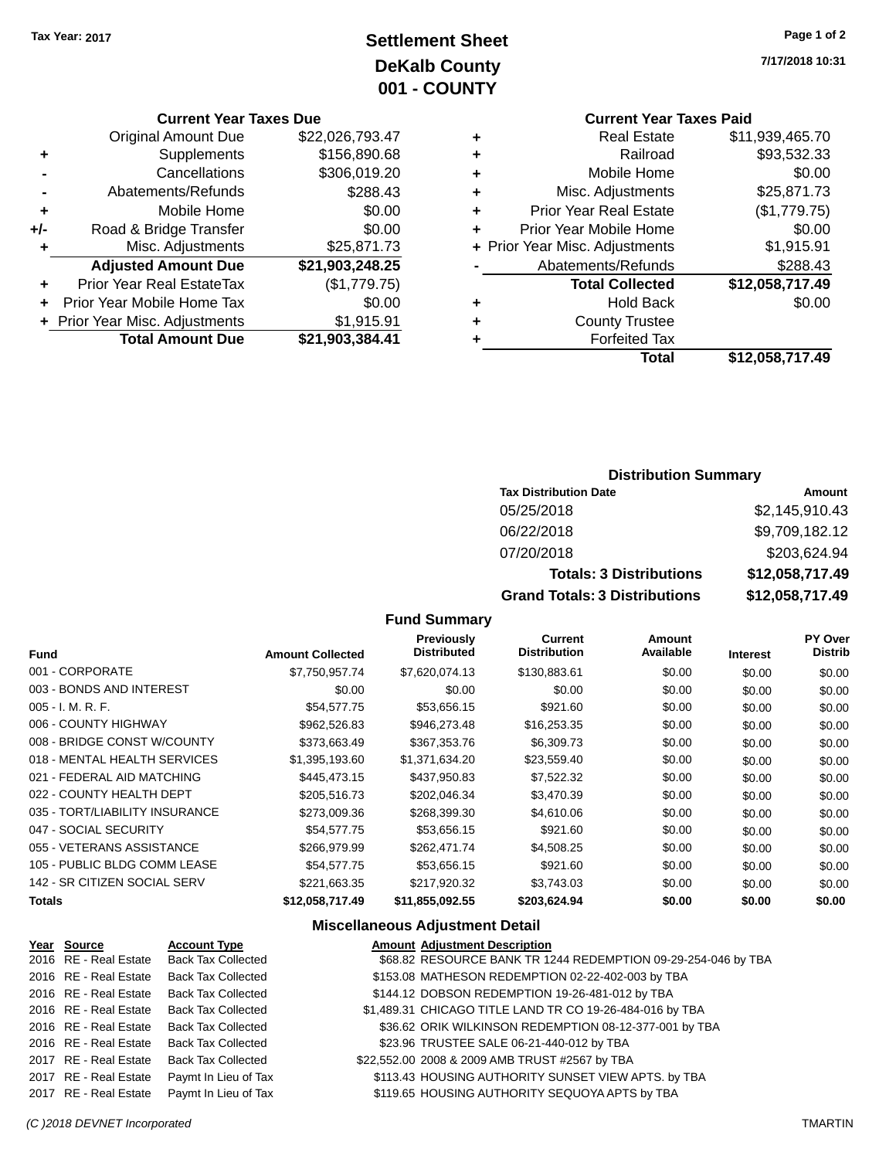# **Settlement Sheet Tax Year: 2017 Page 1 of 2 DeKalb County 001 - COUNTY**

**Current Year Taxes Due**

|       | <b>Original Amount Due</b>       | \$22,026,793.47 |
|-------|----------------------------------|-----------------|
| ٠     | Supplements                      | \$156,890.68    |
|       | Cancellations                    | \$306,019.20    |
|       | Abatements/Refunds               | \$288.43        |
| ٠     | Mobile Home                      | \$0.00          |
| $+/-$ | Road & Bridge Transfer           | \$0.00          |
| ÷     | Misc. Adjustments                | \$25,871.73     |
|       | <b>Adjusted Amount Due</b>       | \$21,903,248.25 |
| ÷     | <b>Prior Year Real EstateTax</b> | (\$1,779.75)    |
|       | Prior Year Mobile Home Tax       | \$0.00          |
|       | + Prior Year Misc. Adjustments   | \$1,915.91      |
|       | <b>Total Amount Due</b>          | \$21,903,384.41 |
|       |                                  |                 |

**7/17/2018 10:31**

# **Current Year Taxes Paid**

| ٠ | <b>Real Estate</b>             | \$11,939,465.70 |
|---|--------------------------------|-----------------|
| ٠ | Railroad                       | \$93,532.33     |
| ٠ | Mobile Home                    | \$0.00          |
| ٠ | Misc. Adjustments              | \$25,871.73     |
| ٠ | <b>Prior Year Real Estate</b>  | (\$1,779.75)    |
| ٠ | Prior Year Mobile Home         | \$0.00          |
|   | + Prior Year Misc. Adjustments | \$1,915.91      |
|   | Abatements/Refunds             | \$288.43        |
|   | <b>Total Collected</b>         | \$12,058,717.49 |
| ٠ | <b>Hold Back</b>               | \$0.00          |
| ٠ | <b>County Trustee</b>          |                 |
| ٠ | <b>Forfeited Tax</b>           |                 |
|   | <b>Total</b>                   | \$12,058,717.49 |
|   |                                |                 |

### **Distribution Summary**

| <b>Tax Distribution Date</b>         | Amount          |
|--------------------------------------|-----------------|
| 05/25/2018                           | \$2,145,910.43  |
| 06/22/2018                           | \$9,709,182.12  |
| 07/20/2018                           | \$203,624.94    |
| <b>Totals: 3 Distributions</b>       | \$12,058,717.49 |
| <b>Grand Totals: 3 Distributions</b> | \$12,058,717.49 |

### **Fund Summary**

| <b>Fund</b>                    | <b>Amount Collected</b> | <b>Previously</b><br><b>Distributed</b> | <b>Current</b><br><b>Distribution</b> | <b>Amount</b><br>Available | <b>Interest</b> | <b>PY Over</b><br><b>Distrib</b> |
|--------------------------------|-------------------------|-----------------------------------------|---------------------------------------|----------------------------|-----------------|----------------------------------|
| 001 - CORPORATE                | \$7,750,957.74          | \$7,620,074.13                          | \$130,883.61                          | \$0.00                     | \$0.00          | \$0.00                           |
| 003 - BONDS AND INTEREST       | \$0.00                  | \$0.00                                  | \$0.00                                | \$0.00                     | \$0.00          | \$0.00                           |
| $005 - I. M. R. F.$            | \$54,577.75             | \$53,656.15                             | \$921.60                              | \$0.00                     | \$0.00          | \$0.00                           |
| 006 - COUNTY HIGHWAY           | \$962,526.83            | \$946,273.48                            | \$16,253.35                           | \$0.00                     | \$0.00          | \$0.00                           |
| 008 - BRIDGE CONST W/COUNTY    | \$373,663.49            | \$367,353.76                            | \$6,309.73                            | \$0.00                     | \$0.00          | \$0.00                           |
| 018 - MENTAL HEALTH SERVICES   | \$1,395,193.60          | \$1,371,634.20                          | \$23,559.40                           | \$0.00                     | \$0.00          | \$0.00                           |
| 021 - FEDERAL AID MATCHING     | \$445,473.15            | \$437,950.83                            | \$7,522.32                            | \$0.00                     | \$0.00          | \$0.00                           |
| 022 - COUNTY HEALTH DEPT       | \$205,516.73            | \$202,046.34                            | \$3,470.39                            | \$0.00                     | \$0.00          | \$0.00                           |
| 035 - TORT/LIABILITY INSURANCE | \$273,009.36            | \$268,399.30                            | \$4,610.06                            | \$0.00                     | \$0.00          | \$0.00                           |
| 047 - SOCIAL SECURITY          | \$54,577.75             | \$53,656.15                             | \$921.60                              | \$0.00                     | \$0.00          | \$0.00                           |
| 055 - VETERANS ASSISTANCE      | \$266,979.99            | \$262,471.74                            | \$4,508.25                            | \$0.00                     | \$0.00          | \$0.00                           |
| 105 - PUBLIC BLDG COMM LEASE   | \$54,577.75             | \$53,656.15                             | \$921.60                              | \$0.00                     | \$0.00          | \$0.00                           |
| 142 - SR CITIZEN SOCIAL SERV   | \$221,663.35            | \$217,920.32                            | \$3,743.03                            | \$0.00                     | \$0.00          | \$0.00                           |
| <b>Totals</b>                  | \$12,058,717.49         | \$11,855,092.55                         | \$203,624.94                          | \$0.00                     | \$0.00          | \$0.00                           |

### **Miscellaneous Adjustment Detail**

| Year Source           | <b>Account Type</b>                        | <b>Amount Adjustment Description</b>                          |
|-----------------------|--------------------------------------------|---------------------------------------------------------------|
| 2016 RE - Real Estate | <b>Back Tax Collected</b>                  | \$68.82 RESOURCE BANK TR 1244 REDEMPTION 09-29-254-046 by TBA |
| 2016 RE - Real Estate | <b>Back Tax Collected</b>                  | \$153.08 MATHESON REDEMPTION 02-22-402-003 by TBA             |
| 2016 RE - Real Estate | <b>Back Tax Collected</b>                  | \$144.12 DOBSON REDEMPTION 19-26-481-012 by TBA               |
| 2016 RE - Real Estate | <b>Back Tax Collected</b>                  | \$1,489.31 CHICAGO TITLE LAND TR CO 19-26-484-016 by TBA      |
| 2016 RE - Real Estate | <b>Back Tax Collected</b>                  | \$36.62 ORIK WILKINSON REDEMPTION 08-12-377-001 by TBA        |
| 2016 RE - Real Estate | <b>Back Tax Collected</b>                  | \$23.96 TRUSTEE SALE 06-21-440-012 by TBA                     |
| 2017 RE - Real Estate | <b>Back Tax Collected</b>                  | \$22,552.00 2008 & 2009 AMB TRUST #2567 by TBA                |
|                       | 2017 RE - Real Estate Paymt In Lieu of Tax | \$113.43 HOUSING AUTHORITY SUNSET VIEW APTS. by TBA           |
| 2017 RE - Real Estate | Paymt In Lieu of Tax                       | \$119.65 HOUSING AUTHORITY SEQUOYA APTS by TBA                |
|                       |                                            |                                                               |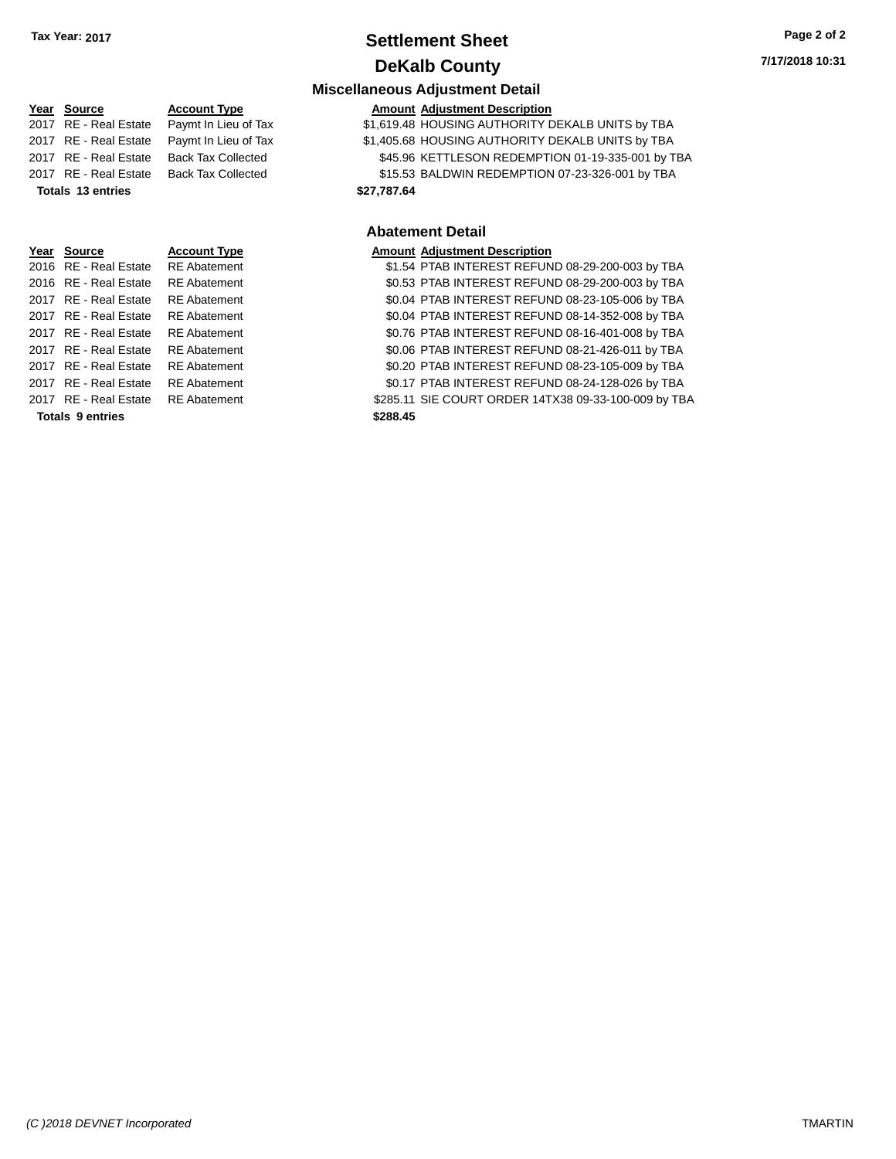### **Settlement Sheet Tax Year: 2017 Page 2 of 2 DeKalb County**

### **Miscellaneous Adjustment Detail Year** Source **Account Type Account Adjustment Description** 2017 RE - Real Estate Paymt In Lieu of Tax \$1,619.48 HOUSING AUTHORITY DEKALB UNITS by TBA 2017 RE - Real Estate Paymt In Lieu of Tax \$1,405.68 HOUSING AUTHORITY DEKALB UNITS by TBA 2017 RE - Real Estate Back Tax Collected \$45.96 KETTLESON REDEMPTION 01-19-335-001 by TBA 2017 RE - Real Estate Back Tax Collected \$15.53 BALDWIN REDEMPTION 07-23-326-001 by TBA **Totals \$27,787.64 13 entries Abatement Detail Year Source Account Type Amount Adjustment Description** 2016 RE - Real Estate RE Abatement \$1.54 PTAB INTEREST REFUND 08-29-200-003 by TBA 2016 RE - Real Estate RE Abatement \$0.53 PTAB INTEREST REFUND 08-29-200-003 by TBA 2017 RE - Real Estate RE Abatement \$0.04 PTAB INTEREST REFUND 08-23-105-006 by TBA 2017 RE - Real Estate RE Abatement \$0.04 PTAB INTEREST REFUND 08-14-352-008 by TBA 2017 RE - Real Estate RE Abatement \$0.76 PTAB INTEREST REFUND 08-16-401-008 by TBA 2017 RE - Real Estate RE Abatement \$0.06 PTAB INTEREST REFUND 08-21-426-011 by TBA 2017 RE - Real Estate RE Abatement \$0.20 PTAB INTEREST REFUND 08-23-105-009 by TBA 2017 RE - Real Estate RE Abatement \$0.17 PTAB INTEREST REFUND 08-24-128-026 by TBA

2017 RE - Real Estate RE Abatement \$285.11 SIE COURT ORDER 14TX38 09-33-100-009 by TBA

**Totals \$288.45 9 entries**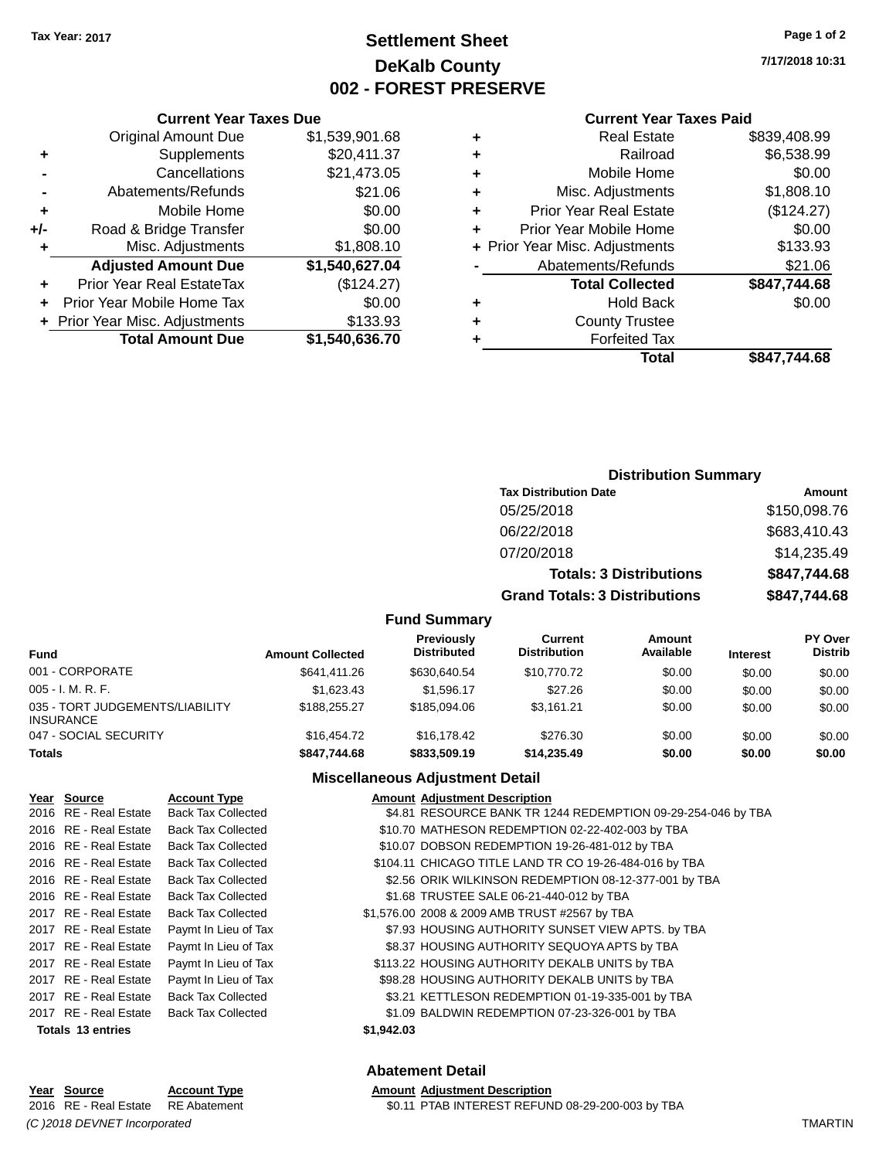# **Settlement Sheet Tax Year: 2017 Page 1 of 2 DeKalb County 002 - FOREST PRESERVE**

**7/17/2018 10:31**

#### **Current Year Taxes Paid**

|          |   | Total                          | \$847,744.68 |
|----------|---|--------------------------------|--------------|
| 36.70    |   | <b>Forfeited Tax</b>           |              |
| 33.93    | ٠ | <b>County Trustee</b>          |              |
| \$0.00   | ٠ | <b>Hold Back</b>               | \$0.00       |
| 24.27    |   | <b>Total Collected</b>         | \$847,744.68 |
| 27.04    |   | Abatements/Refunds             | \$21.06      |
| 08.10    |   | + Prior Year Misc. Adjustments | \$133.93     |
| \$0.00   | ٠ | Prior Year Mobile Home         | \$0.00       |
| \$0.00   | ٠ | <b>Prior Year Real Estate</b>  | (\$124.27)   |
| 21.06    | ٠ | Misc. Adjustments              | \$1,808.10   |
| 73.05    | ٠ | Mobile Home                    | \$0.00       |
| $-11.37$ | ٠ | Railroad                       | \$6,538.99   |
| 01.68    | ٠ | <b>Real Estate</b>             | \$839,408.99 |
|          |   |                                |              |

### Original Amount Due \$1,539,9 **+** Supplements \$20.4 **-** Cancellations \$21,47 **-** Abatements/Refunds \$21.066  $+$  Mobile Home **+/-** Road & Bridge Transfer **+** Misc. Adjustments \$1,80 Adjusted Amount Due \$1,540,62 **+** Prior Year Real EstateTax (\$124.27) **+** Prior Year Mobile Home Tax **+** Prior Year Misc. Adjustments \$13<br>Total Amount Due \$1,540,63 **Total Amount Due**

**Current Year Taxes Due**

# **Distribution Summary**

| <b>Tax Distribution Date</b>         | Amount       |
|--------------------------------------|--------------|
| 05/25/2018                           | \$150,098.76 |
| 06/22/2018                           | \$683,410.43 |
| 07/20/2018                           | \$14,235.49  |
| <b>Totals: 3 Distributions</b>       | \$847,744.68 |
| <b>Grand Totals: 3 Distributions</b> | \$847,744.68 |

### **Fund Summary**

| <b>Fund</b>                                         | <b>Amount Collected</b> | Previously<br><b>Distributed</b> | <b>Current</b><br><b>Distribution</b> | Amount<br>Available | <b>Interest</b> | <b>PY Over</b><br><b>Distrib</b> |
|-----------------------------------------------------|-------------------------|----------------------------------|---------------------------------------|---------------------|-----------------|----------------------------------|
| 001 - CORPORATE                                     | \$641,411,26            | \$630.640.54                     | \$10,770.72                           | \$0.00              | \$0.00          | \$0.00                           |
| $005 - I. M. R. F.$                                 | \$1.623.43              | \$1.596.17                       | \$27.26                               | \$0.00              | \$0.00          | \$0.00                           |
| 035 - TORT JUDGEMENTS/LIABILITY<br><b>INSURANCE</b> | \$188,255,27            | \$185,094,06                     | \$3.161.21                            | \$0.00              | \$0.00          | \$0.00                           |
| 047 - SOCIAL SECURITY                               | \$16,454.72             | \$16,178.42                      | \$276.30                              | \$0.00              | \$0.00          | \$0.00                           |
| <b>Totals</b>                                       | \$847,744.68            | \$833,509.19                     | \$14,235.49                           | \$0.00              | \$0.00          | \$0.00                           |

### **Miscellaneous Adjustment Detail**

| Year Source           | <b>Account Type</b>       |            | <b>Amount Adjustment Description</b>                         |
|-----------------------|---------------------------|------------|--------------------------------------------------------------|
| 2016 RE - Real Estate | <b>Back Tax Collected</b> |            | \$4.81 RESOURCE BANK TR 1244 REDEMPTION 09-29-254-046 by TBA |
| 2016 RE - Real Estate | <b>Back Tax Collected</b> |            | \$10.70 MATHESON REDEMPTION 02-22-402-003 by TBA             |
| 2016 RE - Real Estate | <b>Back Tax Collected</b> |            | \$10.07 DOBSON REDEMPTION 19-26-481-012 by TBA               |
| 2016 RE - Real Estate | <b>Back Tax Collected</b> |            | \$104.11 CHICAGO TITLE LAND TR CO 19-26-484-016 by TBA       |
| 2016 RE - Real Estate | <b>Back Tax Collected</b> |            | \$2.56 ORIK WILKINSON REDEMPTION 08-12-377-001 by TBA        |
| 2016 RE - Real Estate | <b>Back Tax Collected</b> |            | \$1.68 TRUSTEE SALE 06-21-440-012 by TBA                     |
| 2017 RE - Real Estate | <b>Back Tax Collected</b> |            | \$1,576.00 2008 & 2009 AMB TRUST #2567 by TBA                |
| 2017 RE - Real Estate | Paymt In Lieu of Tax      |            | \$7.93 HOUSING AUTHORITY SUNSET VIEW APTS. by TBA            |
| 2017 RE - Real Estate | Paymt In Lieu of Tax      |            | \$8.37 HOUSING AUTHORITY SEQUOYA APTS by TBA                 |
| 2017 RE - Real Estate | Paymt In Lieu of Tax      |            | \$113.22 HOUSING AUTHORITY DEKALB UNITS by TBA               |
| 2017 RE - Real Estate | Paymt In Lieu of Tax      |            | \$98.28 HOUSING AUTHORITY DEKALB UNITS by TBA                |
| 2017 RE - Real Estate | <b>Back Tax Collected</b> |            | \$3.21 KETTLESON REDEMPTION 01-19-335-001 by TBA             |
| 2017 RE - Real Estate | <b>Back Tax Collected</b> |            | \$1.09 BALDWIN REDEMPTION 07-23-326-001 by TBA               |
| Totals 13 entries     |                           | \$1,942.03 |                                                              |
|                       |                           |            |                                                              |

### **Abatement Detail**

**Amount Adjustment Description** 

|                                                | Year Source                        | <b>Account Type</b> | <b>Amount Adjustment Description</b>             |  |
|------------------------------------------------|------------------------------------|---------------------|--------------------------------------------------|--|
|                                                | 2016 RE - Real Estate RE Abatement |                     | \$0.11 PTAB INTEREST REFUND 08-29-200-003 by TBA |  |
| (C) 2018 DEVNET Incorporated<br><b>TMARTIN</b> |                                    |                     |                                                  |  |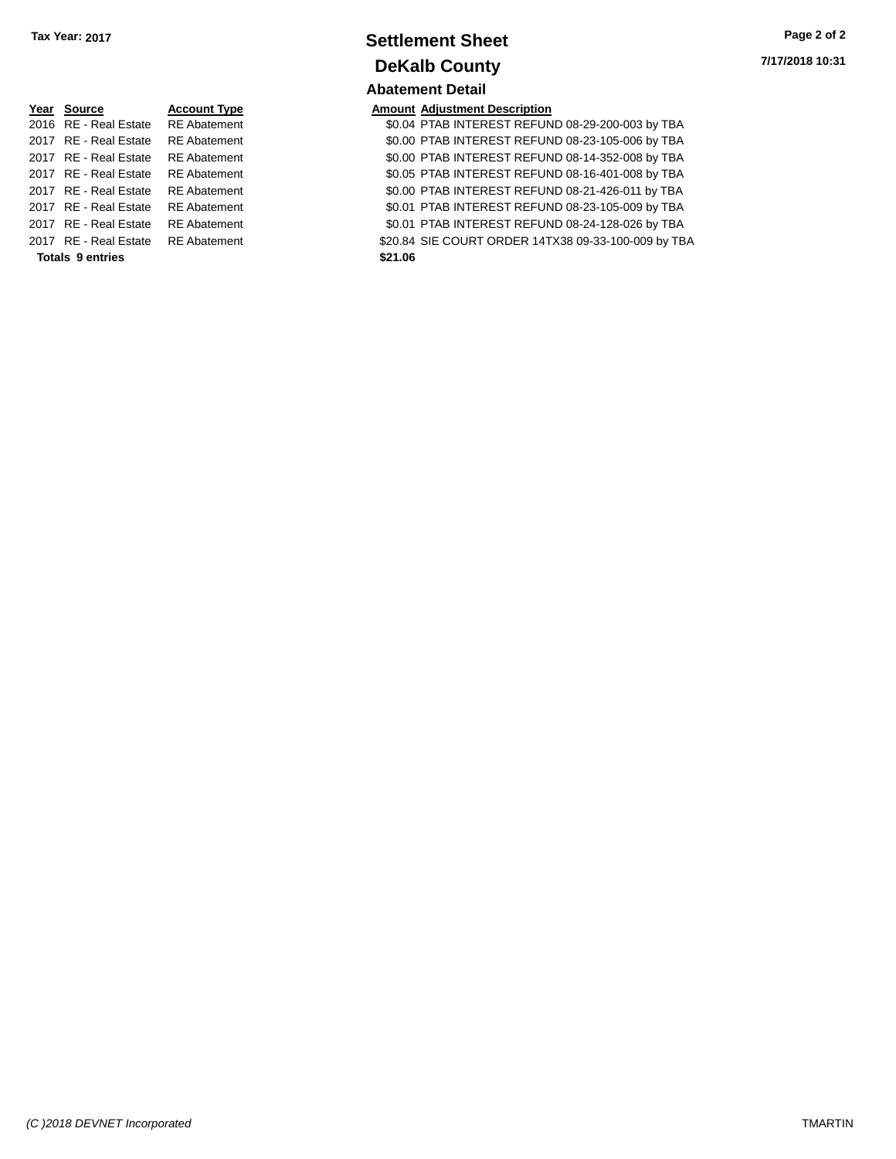| Year Source           | <b>Account Type</b> |
|-----------------------|---------------------|
| 2016 RE - Real Estate | <b>RE</b> Abatement |
| 2017 RE - Real Estate | <b>RE</b> Abatement |
| 2017 RE - Real Estate | <b>RE</b> Abatement |
| 2017 RE - Real Estate | <b>RE</b> Abatement |
| 2017 RE - Real Estate | <b>RE</b> Abatement |
| 2017 RE - Real Estate | <b>RE</b> Abatement |
| 2017 RE - Real Estate | <b>RE</b> Abatement |
| 2017 RE - Real Estate | <b>RE</b> Abatement |
|                       |                     |

**Totals \$21.06 9 entries**

### **Settlement Sheet Tax Year: 2017 Page 2 of 2 DeKalb County Abatement Detail**

# **7/17/2018 10:31**

### **Amount Adjustment Description**

\$0.04 PTAB INTEREST REFUND 08-29-200-003 by TBA \$0.00 PTAB INTEREST REFUND 08-23-105-006 by TBA \$0.00 PTAB INTEREST REFUND 08-14-352-008 by TBA \$0.05 PTAB INTEREST REFUND 08-16-401-008 by TBA \$0.00 PTAB INTEREST REFUND 08-21-426-011 by TBA \$0.01 PTAB INTEREST REFUND 08-23-105-009 by TBA \$0.01 PTAB INTEREST REFUND 08-24-128-026 by TBA \$20.84 SIE COURT ORDER 14TX38 09-33-100-009 by TBA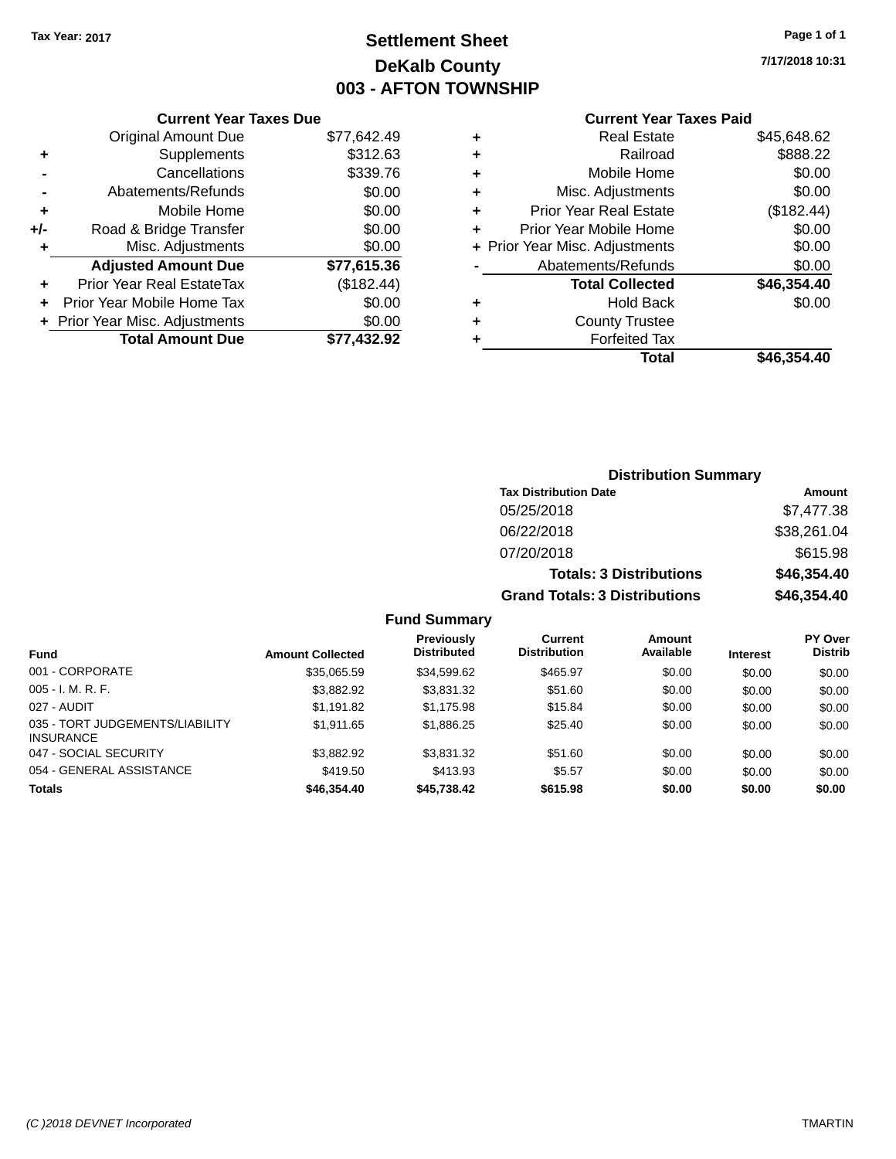# **Settlement Sheet Tax Year: 2017 Page 1 of 1 DeKalb County 003 - AFTON TOWNSHIP**

**7/17/2018 10:31**

### **Current Year Taxes Paid**

|     | <b>Current Year Taxes Due</b>  |             |  |  |  |  |  |
|-----|--------------------------------|-------------|--|--|--|--|--|
|     | <b>Original Amount Due</b>     | \$77,642.49 |  |  |  |  |  |
| ٠   | Supplements                    | \$312.63    |  |  |  |  |  |
|     | Cancellations                  | \$339.76    |  |  |  |  |  |
|     | Abatements/Refunds             | \$0.00      |  |  |  |  |  |
| ٠   | Mobile Home                    | \$0.00      |  |  |  |  |  |
| +/- | Road & Bridge Transfer         | \$0.00      |  |  |  |  |  |
| ٠   | Misc. Adjustments              | \$0.00      |  |  |  |  |  |
|     | <b>Adjusted Amount Due</b>     | \$77,615.36 |  |  |  |  |  |
|     | Prior Year Real EstateTax      | (\$182.44)  |  |  |  |  |  |
|     | Prior Year Mobile Home Tax     | \$0.00      |  |  |  |  |  |
|     | + Prior Year Misc. Adjustments | \$0.00      |  |  |  |  |  |
|     | <b>Total Amount Due</b>        | \$77.432.92 |  |  |  |  |  |

| ٠ | Real Estate                    | \$45,648.62 |
|---|--------------------------------|-------------|
| ٠ | Railroad                       | \$888.22    |
| ٠ | Mobile Home                    | \$0.00      |
| ٠ | Misc. Adjustments              | \$0.00      |
| ٠ | <b>Prior Year Real Estate</b>  | (\$182.44)  |
| ٠ | Prior Year Mobile Home         | \$0.00      |
|   | + Prior Year Misc. Adjustments | \$0.00      |
|   | Abatements/Refunds             | \$0.00      |
|   | <b>Total Collected</b>         | \$46,354.40 |
| ٠ | Hold Back                      | \$0.00      |
| ٠ | <b>County Trustee</b>          |             |
| ٠ | <b>Forfeited Tax</b>           |             |
|   | Total                          | \$46,354.40 |
|   |                                |             |

| <b>Distribution Summary</b>          |             |
|--------------------------------------|-------------|
| <b>Tax Distribution Date</b>         | Amount      |
| 05/25/2018                           | \$7,477.38  |
| 06/22/2018                           | \$38,261.04 |
| 07/20/2018                           | \$615.98    |
| <b>Totals: 3 Distributions</b>       | \$46,354.40 |
| <b>Grand Totals: 3 Distributions</b> | \$46,354.40 |

| <b>Fund</b>                                         | <b>Amount Collected</b> | <b>Previously</b><br><b>Distributed</b> | Current<br><b>Distribution</b> | <b>Amount</b><br>Available | <b>Interest</b> | <b>PY Over</b><br><b>Distrib</b> |
|-----------------------------------------------------|-------------------------|-----------------------------------------|--------------------------------|----------------------------|-----------------|----------------------------------|
| 001 - CORPORATE                                     | \$35,065.59             | \$34,599.62                             | \$465.97                       | \$0.00                     | \$0.00          | \$0.00                           |
| $005 - I. M. R. F.$                                 | \$3,882.92              | \$3,831.32                              | \$51.60                        | \$0.00                     | \$0.00          | \$0.00                           |
| 027 - AUDIT                                         | \$1,191.82              | \$1.175.98                              | \$15.84                        | \$0.00                     | \$0.00          | \$0.00                           |
| 035 - TORT JUDGEMENTS/LIABILITY<br><b>INSURANCE</b> | \$1.911.65              | \$1,886.25                              | \$25.40                        | \$0.00                     | \$0.00          | \$0.00                           |
| 047 - SOCIAL SECURITY                               | \$3,882.92              | \$3,831.32                              | \$51.60                        | \$0.00                     | \$0.00          | \$0.00                           |
| 054 - GENERAL ASSISTANCE                            | \$419.50                | \$413.93                                | \$5.57                         | \$0.00                     | \$0.00          | \$0.00                           |
| <b>Totals</b>                                       | \$46,354.40             | \$45,738.42                             | \$615.98                       | \$0.00                     | \$0.00          | \$0.00                           |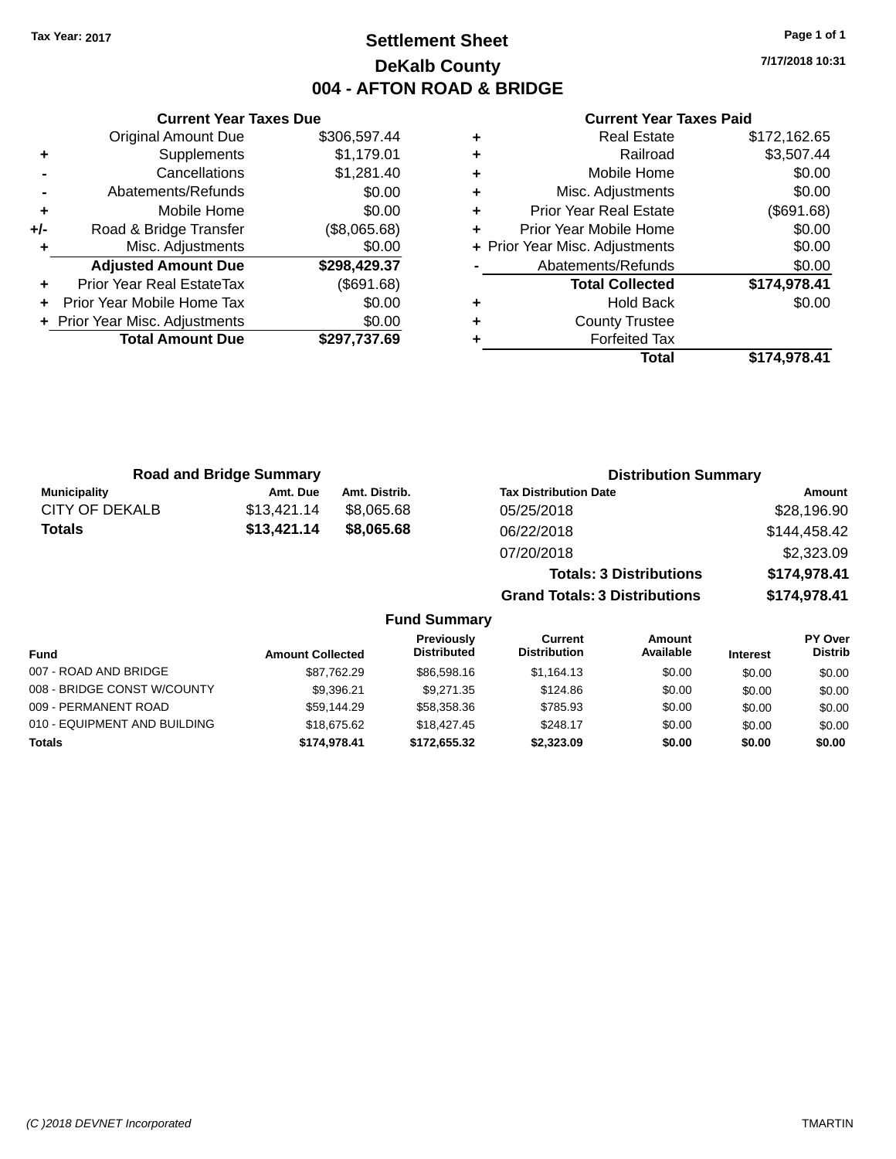# **Settlement Sheet Tax Year: 2017 Page 1 of 1 DeKalb County 004 - AFTON ROAD & BRIDGE**

**7/17/2018 10:31**

#### **Current Year Taxes Paid**

|     | <b>Original Amount Due</b>     | \$306,597.44 |
|-----|--------------------------------|--------------|
| ٠   | Supplements                    | \$1,179.01   |
|     | Cancellations                  | \$1,281.40   |
|     | Abatements/Refunds             | \$0.00       |
| ٠   | Mobile Home                    | \$0.00       |
| +/- | Road & Bridge Transfer         | (\$8,065.68) |
|     | Misc. Adjustments              | \$0.00       |
|     | <b>Adjusted Amount Due</b>     | \$298,429.37 |
| ÷   | Prior Year Real EstateTax      | (\$691.68)   |
|     | Prior Year Mobile Home Tax     | \$0.00       |
|     | + Prior Year Misc. Adjustments | \$0.00       |
|     |                                |              |
|     | <b>Total Amount Due</b>        | \$297,737.69 |

**Current Year Taxes Due**

|   | <b>Real Estate</b>             | \$172,162.65 |
|---|--------------------------------|--------------|
| ٠ | Railroad                       | \$3,507.44   |
| ÷ | Mobile Home                    | \$0.00       |
| ٠ | Misc. Adjustments              | \$0.00       |
| ٠ | <b>Prior Year Real Estate</b>  | (\$691.68)   |
| ٠ | Prior Year Mobile Home         | \$0.00       |
|   | + Prior Year Misc. Adjustments | \$0.00       |
|   | Abatements/Refunds             | \$0.00       |
|   | <b>Total Collected</b>         | \$174,978.41 |
| ٠ | <b>Hold Back</b>               | \$0.00       |
| ٠ | <b>County Trustee</b>          |              |
| ٠ | <b>Forfeited Tax</b>           |              |
|   | Total                          | \$174,978.41 |
|   |                                |              |

**Grand Totals: 3 Distributions \$174,978.41**

| <b>Road and Bridge Summary</b> |             |               | <b>Distribution Summary</b>    |              |  |
|--------------------------------|-------------|---------------|--------------------------------|--------------|--|
| <b>Municipality</b>            | Amt. Due    | Amt. Distrib. | <b>Tax Distribution Date</b>   | Amount       |  |
| CITY OF DEKALB                 | \$13,421.14 | \$8.065.68    | 05/25/2018                     | \$28,196.90  |  |
| <b>Totals</b>                  | \$13,421.14 | \$8.065.68    | 06/22/2018                     | \$144,458.42 |  |
|                                |             |               | 07/20/2018                     | \$2,323.09   |  |
|                                |             |               | <b>Totals: 3 Distributions</b> | \$174,978.41 |  |

**Fund Summary Fund Interest Amount Collected Distributed PY Over Distrib Amount Available Current Distribution Previously** 007 - ROAD AND BRIDGE 60.00 \$87,762.29 \$86,598.16 \$1,164.13 \$0.00 \$0.00 \$0.00 008 - BRIDGE CONST W/COUNTY  $$9,396.21$   $$9,271.35$   $$124.86$   $$0.00$   $$0.00$   $$0.00$ 009 - PERMANENT ROAD \$59,144.29 \$58,358.36 \$785.93 \$0.00 \$0.00 \$0.00 010 - EQUIPMENT AND BUILDING \$18,675.62 \$18,427.45 \$248.17 \$0.00 \$0.00 \$0.00 \$0.00 **Totals \$174,978.41 \$172,655.32 \$2,323.09 \$0.00 \$0.00 \$0.00**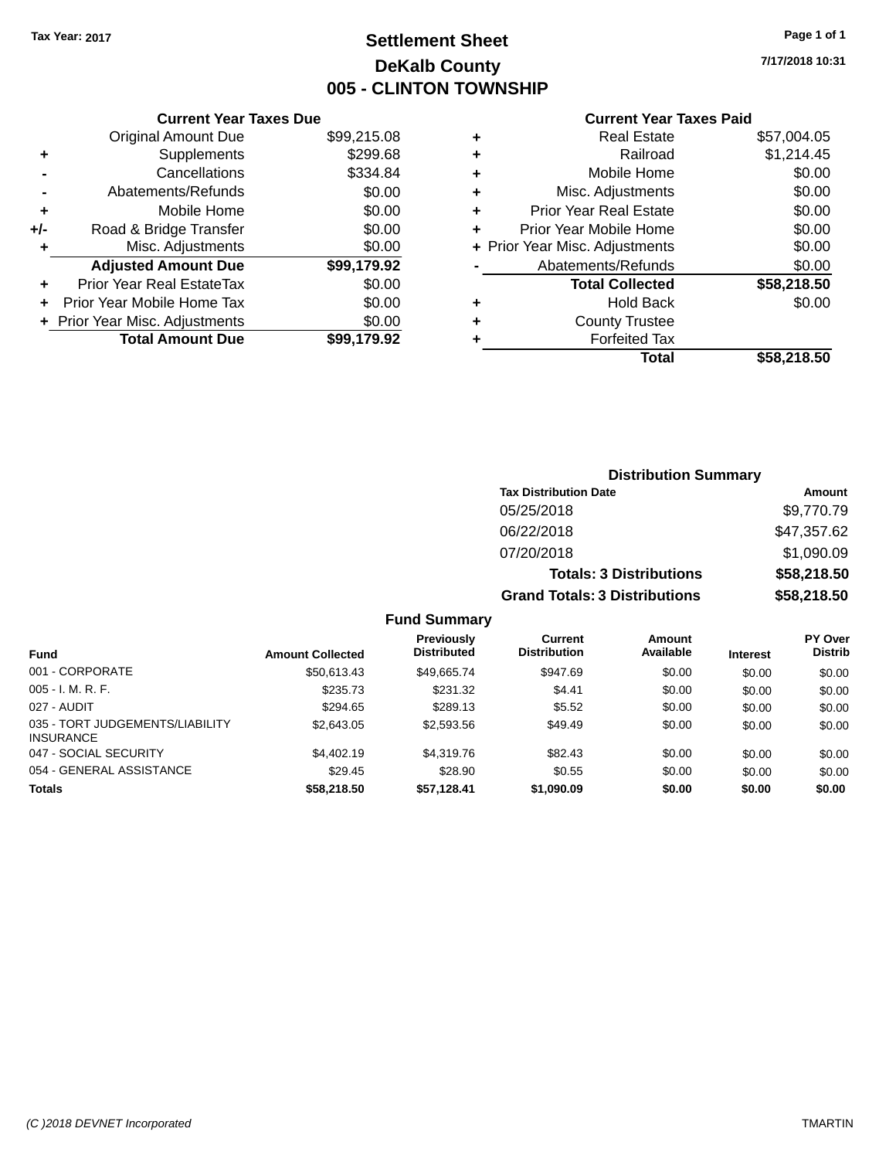# **Settlement Sheet Tax Year: 2017 Page 1 of 1 DeKalb County 005 - CLINTON TOWNSHIP**

**7/17/2018 10:31**

| \$99,215.08 |
|-------------|
| \$299.68    |
| \$334.84    |
| \$0.00      |
| \$0.00      |
| \$0.00      |
| \$0.00      |
| \$99,179.92 |
| \$0.00      |
| \$0.00      |
| \$0.00      |
| \$99.179.92 |
|             |

|   | <b>Real Estate</b>             | \$57,004.05 |
|---|--------------------------------|-------------|
| ٠ | Railroad                       | \$1,214.45  |
| ٠ | Mobile Home                    | \$0.00      |
| ٠ | Misc. Adjustments              | \$0.00      |
| ٠ | Prior Year Real Estate         | \$0.00      |
| ٠ | Prior Year Mobile Home         | \$0.00      |
|   | + Prior Year Misc. Adjustments | \$0.00      |
|   | Abatements/Refunds             | \$0.00      |
|   | <b>Total Collected</b>         | \$58,218.50 |
| ٠ | Hold Back                      | \$0.00      |
| ٠ | <b>County Trustee</b>          |             |
| ٠ | <b>Forfeited Tax</b>           |             |
|   | Total                          | \$58,218.50 |
|   |                                |             |

|                     |                                      | <b>Distribution Summary</b>    |                |
|---------------------|--------------------------------------|--------------------------------|----------------|
|                     | <b>Tax Distribution Date</b>         |                                | Amount         |
|                     | 05/25/2018                           |                                | \$9,770.79     |
|                     | 06/22/2018                           |                                | \$47,357.62    |
|                     | 07/20/2018                           |                                | \$1,090.09     |
|                     |                                      | <b>Totals: 3 Distributions</b> | \$58,218.50    |
|                     | <b>Grand Totals: 3 Distributions</b> |                                | \$58,218.50    |
| <b>Fund Summary</b> |                                      |                                |                |
| Previously          | Current                              | Amount                         | <b>PY Over</b> |

| Fund                                                | <b>Amount Collected</b> | <b>Previously</b><br><b>Distributed</b> | Current<br><b>Distribution</b> | Amount<br>Available | <b>Interest</b> | <b>PY Over</b><br><b>Distrib</b> |
|-----------------------------------------------------|-------------------------|-----------------------------------------|--------------------------------|---------------------|-----------------|----------------------------------|
| 001 - CORPORATE                                     | \$50,613,43             | \$49.665.74                             | \$947.69                       | \$0.00              | \$0.00          | \$0.00                           |
| $005 - I. M. R. F.$                                 | \$235.73                | \$231.32                                | \$4.41                         | \$0.00              | \$0.00          | \$0.00                           |
| 027 - AUDIT                                         | \$294.65                | \$289.13                                | \$5.52                         | \$0.00              | \$0.00          | \$0.00                           |
| 035 - TORT JUDGEMENTS/LIABILITY<br><b>INSURANCE</b> | \$2,643.05              | \$2,593.56                              | \$49.49                        | \$0.00              | \$0.00          | \$0.00                           |
| 047 - SOCIAL SECURITY                               | \$4,402.19              | \$4,319.76                              | \$82.43                        | \$0.00              | \$0.00          | \$0.00                           |
| 054 - GENERAL ASSISTANCE                            | \$29.45                 | \$28.90                                 | \$0.55                         | \$0.00              | \$0.00          | \$0.00                           |
| <b>Totals</b>                                       | \$58,218,50             | \$57.128.41                             | \$1,090.09                     | \$0.00              | \$0.00          | \$0.00                           |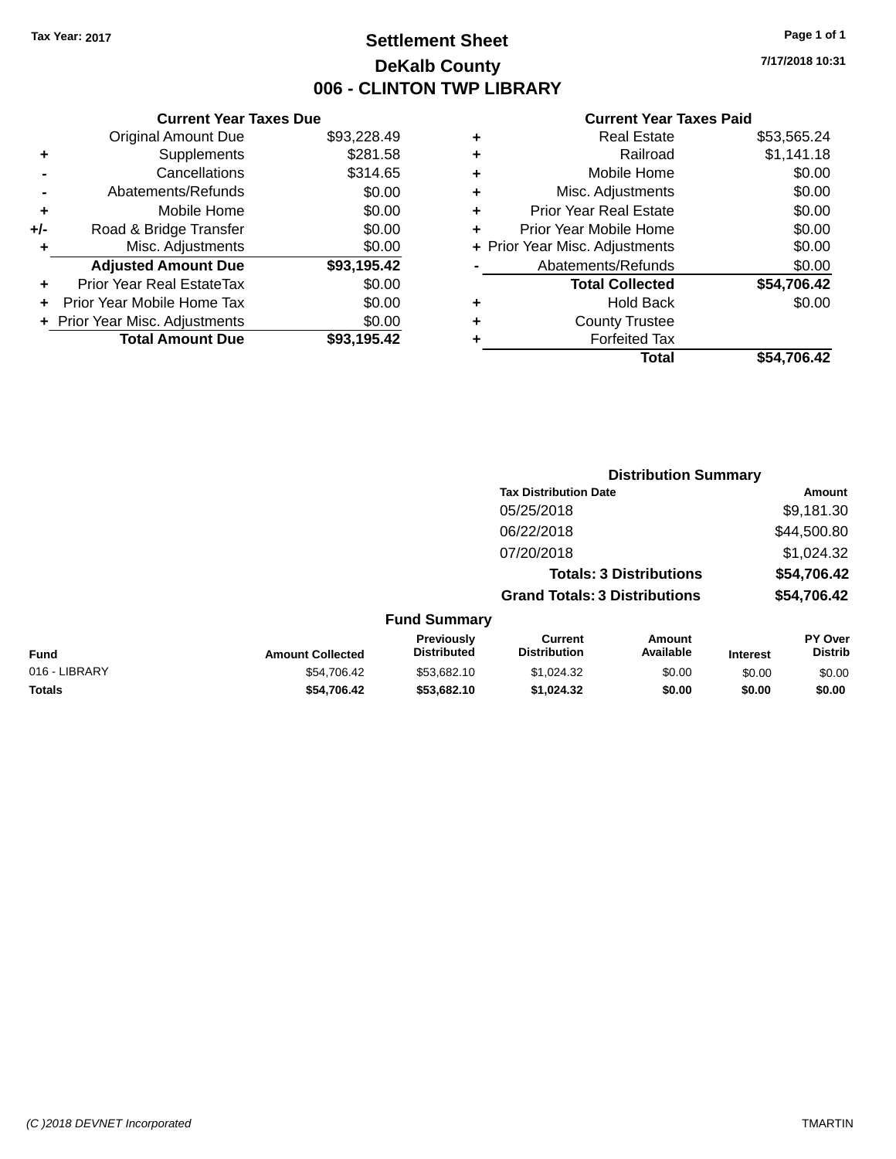# **Settlement Sheet Tax Year: 2017 Page 1 of 1 DeKalb County 006 - CLINTON TWP LIBRARY**

**7/17/2018 10:31**

|     | <b>Current Year Taxes Due</b> |             |
|-----|-------------------------------|-------------|
|     | <b>Original Amount Due</b>    | \$93,228.49 |
| ٠   | Supplements                   | \$281.58    |
|     | Cancellations                 | \$314.65    |
|     | Abatements/Refunds            | \$0.00      |
| ٠   | Mobile Home                   | \$0.00      |
| +/- | Road & Bridge Transfer        | \$0.00      |
| ٠   | Misc. Adjustments             | \$0.00      |
|     | <b>Adjusted Amount Due</b>    | \$93,195.42 |
| ٠   | Prior Year Real EstateTax     | \$0.00      |
| ÷   | Prior Year Mobile Home Tax    | \$0.00      |
|     | Prior Year Misc. Adjustments  | \$0.00      |
|     | <b>Total Amount Due</b>       | \$93.195.42 |
|     |                               |             |

|   | <b>Real Estate</b>             | \$53,565.24 |
|---|--------------------------------|-------------|
| ٠ | Railroad                       | \$1,141.18  |
| ٠ | Mobile Home                    | \$0.00      |
| ٠ | Misc. Adjustments              | \$0.00      |
| ٠ | <b>Prior Year Real Estate</b>  | \$0.00      |
| ٠ | Prior Year Mobile Home         | \$0.00      |
|   | + Prior Year Misc. Adjustments | \$0.00      |
|   | Abatements/Refunds             | \$0.00      |
|   | <b>Total Collected</b>         | \$54,706.42 |
| ٠ | Hold Back                      | \$0.00      |
| ٠ | <b>County Trustee</b>          |             |
| ٠ | <b>Forfeited Tax</b>           |             |
|   | Total                          | \$54,706.42 |
|   |                                |             |

|               |                         |                                  | <b>Distribution Summary</b>           |                                |                 |                           |
|---------------|-------------------------|----------------------------------|---------------------------------------|--------------------------------|-----------------|---------------------------|
|               |                         |                                  | <b>Tax Distribution Date</b>          |                                |                 | Amount                    |
|               |                         |                                  | 05/25/2018                            |                                |                 | \$9,181.30                |
|               |                         |                                  | 06/22/2018                            |                                |                 | \$44,500.80               |
|               |                         |                                  | 07/20/2018                            |                                |                 | \$1,024.32                |
|               |                         |                                  |                                       | <b>Totals: 3 Distributions</b> |                 | \$54,706.42               |
|               |                         |                                  | <b>Grand Totals: 3 Distributions</b>  |                                | \$54,706.42     |                           |
|               |                         | <b>Fund Summary</b>              |                                       |                                |                 |                           |
| <b>Fund</b>   | <b>Amount Collected</b> | Previously<br><b>Distributed</b> | <b>Current</b><br><b>Distribution</b> | Amount<br>Available            | <b>Interest</b> | PY Over<br><b>Distrib</b> |
| 016 - LIBRARY | \$54,706.42             | \$53,682.10                      | \$1,024.32                            | \$0.00                         | \$0.00          | \$0.00                    |
| <b>Totals</b> | \$54,706.42             | \$53,682.10                      | \$1,024.32                            | \$0.00                         | \$0.00          | \$0.00                    |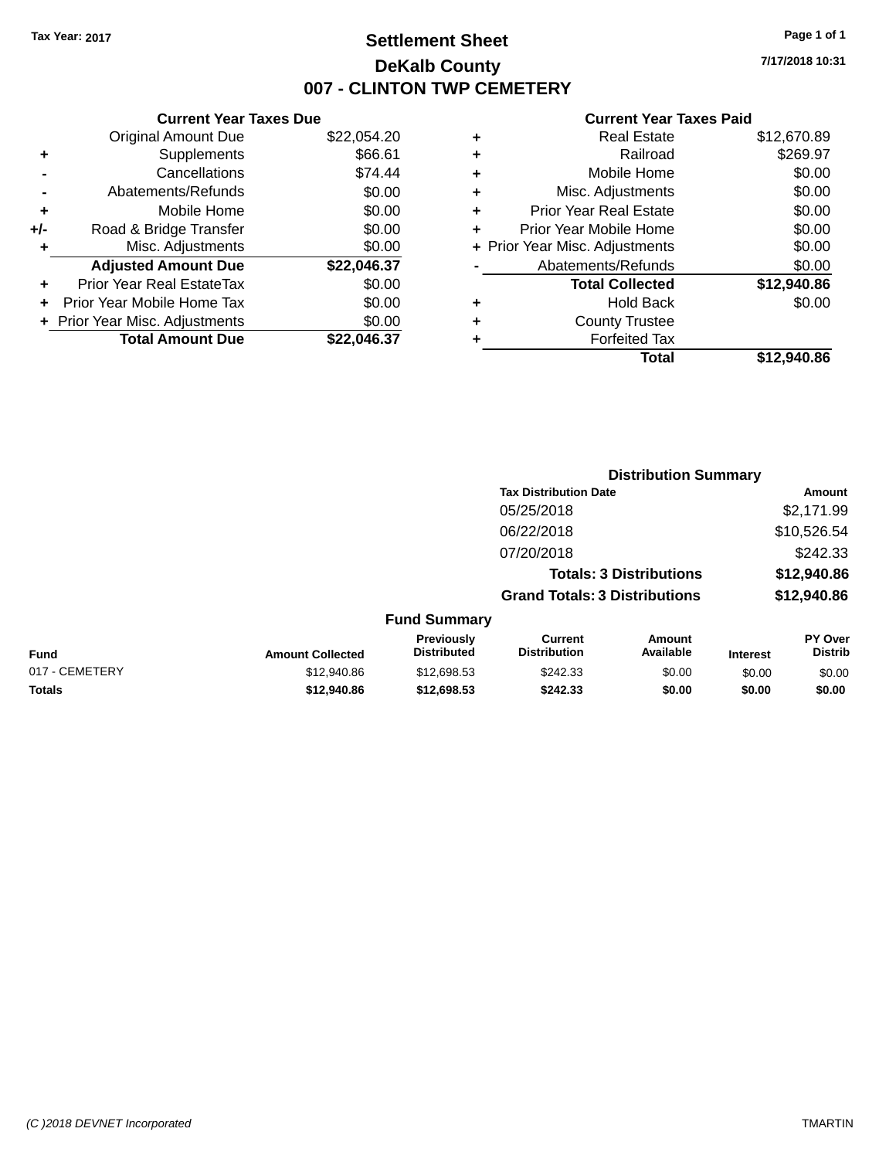# **Settlement Sheet Tax Year: 2017 Page 1 of 1 DeKalb County 007 - CLINTON TWP CEMETERY**

**7/17/2018 10:31**

|       | <b>Current Year Taxes Due</b>  |             |
|-------|--------------------------------|-------------|
|       | <b>Original Amount Due</b>     | \$22,054.20 |
| ٠     | Supplements                    | \$66.61     |
|       | Cancellations                  | \$74.44     |
|       | Abatements/Refunds             | \$0.00      |
| ٠     | Mobile Home                    | \$0.00      |
| $+/-$ | Road & Bridge Transfer         | \$0.00      |
|       | Misc. Adjustments              | \$0.00      |
|       | <b>Adjusted Amount Due</b>     | \$22,046.37 |
| ÷     | Prior Year Real EstateTax      | \$0.00      |
| ٠     | Prior Year Mobile Home Tax     | \$0.00      |
|       | + Prior Year Misc. Adjustments | \$0.00      |
|       | <b>Total Amount Due</b>        | \$22.046.37 |
|       |                                |             |

|   | <b>Real Estate</b>             | \$12,670.89 |
|---|--------------------------------|-------------|
| ٠ | Railroad                       | \$269.97    |
| ٠ | Mobile Home                    | \$0.00      |
| ٠ | Misc. Adjustments              | \$0.00      |
| ٠ | <b>Prior Year Real Estate</b>  | \$0.00      |
| ٠ | Prior Year Mobile Home         | \$0.00      |
|   | + Prior Year Misc. Adjustments | \$0.00      |
|   | Abatements/Refunds             | \$0.00      |
|   | <b>Total Collected</b>         | \$12,940.86 |
| ٠ | <b>Hold Back</b>               | \$0.00      |
| ÷ | <b>County Trustee</b>          |             |
| ٠ | <b>Forfeited Tax</b>           |             |
|   | Total                          | \$12,940.86 |
|   |                                |             |

|                |                         |                                  | <b>Distribution Summary</b>           |                                |                 |                           |
|----------------|-------------------------|----------------------------------|---------------------------------------|--------------------------------|-----------------|---------------------------|
|                |                         |                                  | <b>Tax Distribution Date</b>          |                                |                 | Amount                    |
|                |                         |                                  | 05/25/2018                            |                                |                 | \$2,171.99                |
|                |                         |                                  | 06/22/2018                            |                                |                 | \$10,526.54               |
|                |                         |                                  | 07/20/2018                            |                                |                 | \$242.33                  |
|                |                         |                                  |                                       | <b>Totals: 3 Distributions</b> |                 | \$12,940.86               |
|                |                         |                                  | <b>Grand Totals: 3 Distributions</b>  |                                |                 | \$12,940.86               |
|                |                         | <b>Fund Summary</b>              |                                       |                                |                 |                           |
| <b>Fund</b>    | <b>Amount Collected</b> | Previously<br><b>Distributed</b> | <b>Current</b><br><b>Distribution</b> | <b>Amount</b><br>Available     | <b>Interest</b> | PY Over<br><b>Distrib</b> |
| 017 - CEMETERY | \$12,940.86             | \$12,698.53                      | \$242.33                              | \$0.00                         | \$0.00          | \$0.00                    |
| <b>Totals</b>  | \$12,940.86             | \$12,698.53                      | \$242.33                              | \$0.00                         | \$0.00          | \$0.00                    |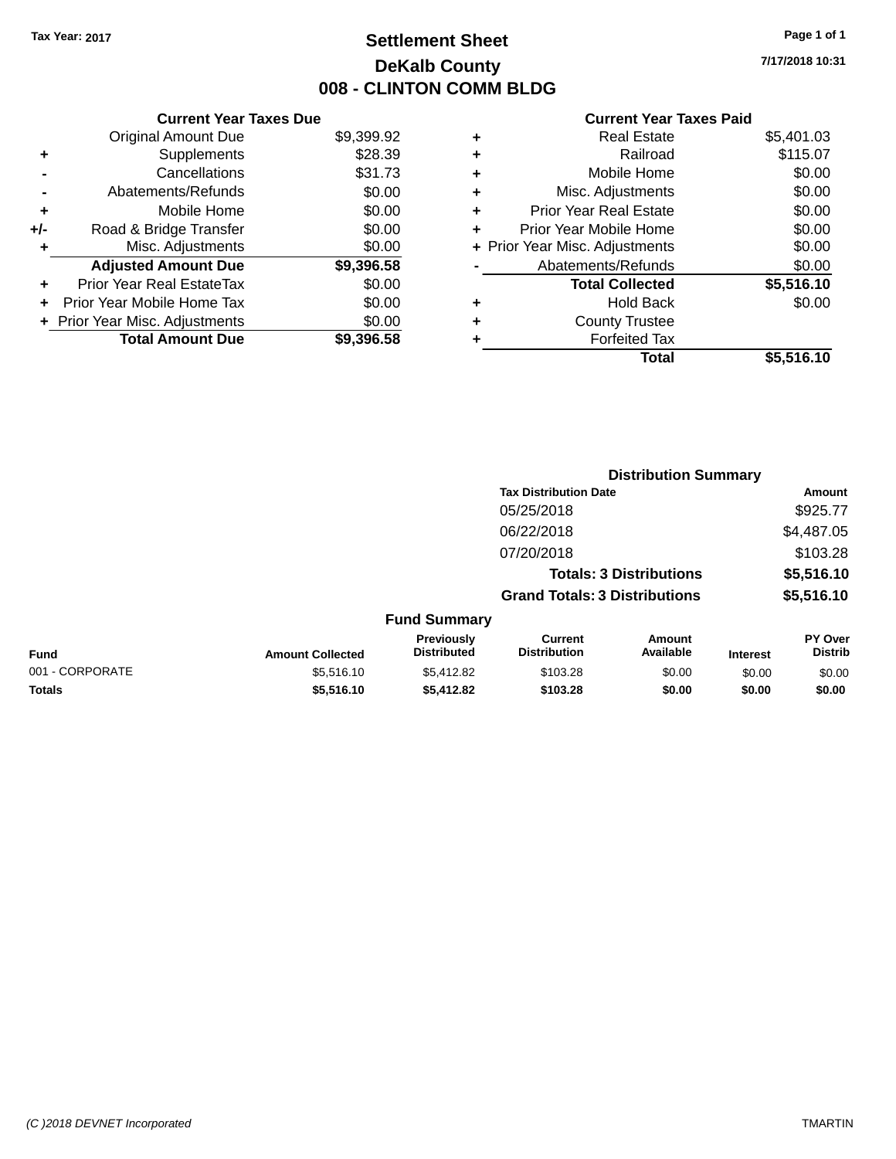# **Settlement Sheet Tax Year: 2017 Page 1 of 1 DeKalb County 008 - CLINTON COMM BLDG**

**7/17/2018 10:31**

|     | <b>Current Year Taxes Due</b>  |            |
|-----|--------------------------------|------------|
|     | <b>Original Amount Due</b>     | \$9,399.92 |
| ٠   | Supplements                    | \$28.39    |
|     | Cancellations                  | \$31.73    |
|     | Abatements/Refunds             | \$0.00     |
| ٠   | Mobile Home                    | \$0.00     |
| +/- | Road & Bridge Transfer         | \$0.00     |
| ٠   | Misc. Adjustments              | \$0.00     |
|     | <b>Adjusted Amount Due</b>     | \$9,396.58 |
| ٠   | Prior Year Real EstateTax      | \$0.00     |
| ÷   | Prior Year Mobile Home Tax     | \$0.00     |
|     | + Prior Year Misc. Adjustments | \$0.00     |
|     | <b>Total Amount Due</b>        | \$9,396.58 |

|   | <b>Real Estate</b>             | \$5,401.03 |
|---|--------------------------------|------------|
| ٠ | Railroad                       | \$115.07   |
| ٠ | Mobile Home                    | \$0.00     |
| ٠ | Misc. Adjustments              | \$0.00     |
| ٠ | <b>Prior Year Real Estate</b>  | \$0.00     |
| ÷ | Prior Year Mobile Home         | \$0.00     |
|   | + Prior Year Misc. Adjustments | \$0.00     |
|   | Abatements/Refunds             | \$0.00     |
|   | <b>Total Collected</b>         | \$5,516.10 |
| ٠ | Hold Back                      | \$0.00     |
| ٠ | <b>County Trustee</b>          |            |
| ٠ | <b>Forfeited Tax</b>           |            |
|   | Total                          | \$5,516.10 |
|   |                                |            |

|                 |                         |                                  |                                       | <b>Distribution Summary</b>    |                 |                           |
|-----------------|-------------------------|----------------------------------|---------------------------------------|--------------------------------|-----------------|---------------------------|
|                 |                         |                                  | <b>Tax Distribution Date</b>          |                                |                 | Amount                    |
|                 |                         |                                  | 05/25/2018                            |                                |                 | \$925.77                  |
|                 |                         |                                  | 06/22/2018                            |                                |                 | \$4,487.05                |
|                 |                         |                                  | 07/20/2018                            |                                |                 | \$103.28                  |
|                 |                         |                                  |                                       | <b>Totals: 3 Distributions</b> |                 | \$5,516.10                |
|                 |                         |                                  | <b>Grand Totals: 3 Distributions</b>  |                                |                 | \$5,516.10                |
|                 |                         | <b>Fund Summary</b>              |                                       |                                |                 |                           |
| <b>Fund</b>     | <b>Amount Collected</b> | Previously<br><b>Distributed</b> | <b>Current</b><br><b>Distribution</b> | Amount<br>Available            | <b>Interest</b> | PY Over<br><b>Distrib</b> |
| 001 - CORPORATE | \$5.516.10              | \$5,412.82                       | \$103.28                              | \$0.00                         | \$0.00          | \$0.00                    |
| <b>Totals</b>   | \$5,516.10              | \$5,412.82                       | \$103.28                              | \$0.00                         | \$0.00          | \$0.00                    |
|                 |                         |                                  |                                       |                                |                 |                           |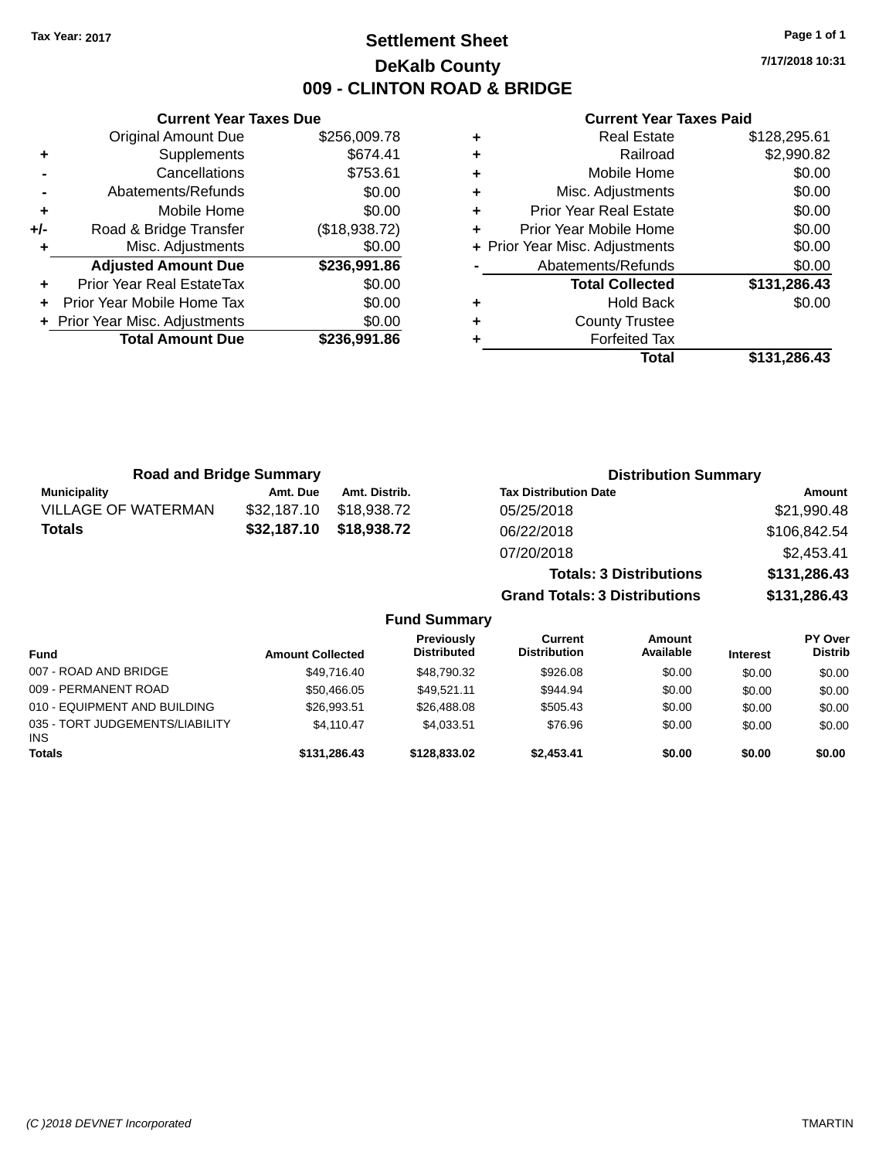# **Settlement Sheet Tax Year: 2017 Page 1 of 1 DeKalb County 009 - CLINTON ROAD & BRIDGE**

**7/17/2018 10:31**

|       | <b>Current Year Taxes Due</b>  |               |
|-------|--------------------------------|---------------|
|       | <b>Original Amount Due</b>     | \$256,009.78  |
| ٠     | Supplements                    | \$674.41      |
|       | Cancellations                  | \$753.61      |
|       | Abatements/Refunds             | \$0.00        |
| ٠     | Mobile Home                    | \$0.00        |
| $+/-$ | Road & Bridge Transfer         | (\$18,938.72) |
|       | Misc. Adjustments              | \$0.00        |
|       | <b>Adjusted Amount Due</b>     | \$236,991.86  |
| ٠     | Prior Year Real EstateTax      | \$0.00        |
|       | Prior Year Mobile Home Tax     | \$0.00        |
|       | + Prior Year Misc. Adjustments | \$0.00        |
|       | <b>Total Amount Due</b>        | \$236,991.86  |
|       |                                |               |

| <b>Real Estate</b>                 | \$128,295.61 |
|------------------------------------|--------------|
| Railroad<br>٠                      | \$2,990.82   |
| Mobile Home<br>÷                   | \$0.00       |
| Misc. Adjustments<br>٠             | \$0.00       |
| <b>Prior Year Real Estate</b><br>٠ | \$0.00       |
| Prior Year Mobile Home<br>٠        | \$0.00       |
| + Prior Year Misc. Adjustments     | \$0.00       |
| Abatements/Refunds                 | \$0.00       |
| <b>Total Collected</b>             | \$131,286.43 |
| Hold Back<br>٠                     | \$0.00       |
| <b>County Trustee</b><br>٠         |              |
| <b>Forfeited Tax</b><br>٠          |              |
| Total                              | \$131,286.43 |

| <b>Road and Bridge Summary</b> |             | <b>Distribution Summary</b> |                                      |              |
|--------------------------------|-------------|-----------------------------|--------------------------------------|--------------|
| <b>Municipality</b>            | Amt. Due    | Amt. Distrib.               | <b>Tax Distribution Date</b>         | Amount       |
| <b>VILLAGE OF WATERMAN</b>     | \$32,187.10 | \$18,938.72                 | 05/25/2018                           | \$21,990.48  |
| <b>Totals</b>                  | \$32,187.10 | \$18,938.72                 | 06/22/2018                           | \$106,842.54 |
|                                |             |                             | 07/20/2018                           | \$2,453.41   |
|                                |             |                             | <b>Totals: 3 Distributions</b>       | \$131,286.43 |
|                                |             |                             | <b>Grand Totals: 3 Distributions</b> | \$131,286.43 |

|  | <b>Fund Summary</b> |
|--|---------------------|
|  |                     |

| <b>Fund</b>                                   | <b>Amount Collected</b> | Previously<br><b>Distributed</b> | Current<br><b>Distribution</b> | Amount<br>Available | <b>Interest</b> | <b>PY Over</b><br><b>Distrib</b> |
|-----------------------------------------------|-------------------------|----------------------------------|--------------------------------|---------------------|-----------------|----------------------------------|
| 007 - ROAD AND BRIDGE                         | \$49.716.40             | \$48,790.32                      | \$926.08                       | \$0.00              | \$0.00          | \$0.00                           |
| 009 - PERMANENT ROAD                          | \$50.466.05             | \$49.521.11                      | \$944.94                       | \$0.00              | \$0.00          | \$0.00                           |
| 010 - EQUIPMENT AND BUILDING                  | \$26,993.51             | \$26,488,08                      | \$505.43                       | \$0.00              | \$0.00          | \$0.00                           |
| 035 - TORT JUDGEMENTS/LIABILITY<br><b>INS</b> | \$4.110.47              | \$4.033.51                       | \$76.96                        | \$0.00              | \$0.00          | \$0.00                           |
| <b>Totals</b>                                 | \$131,286,43            | \$128,833,02                     | \$2.453.41                     | \$0.00              | \$0.00          | \$0.00                           |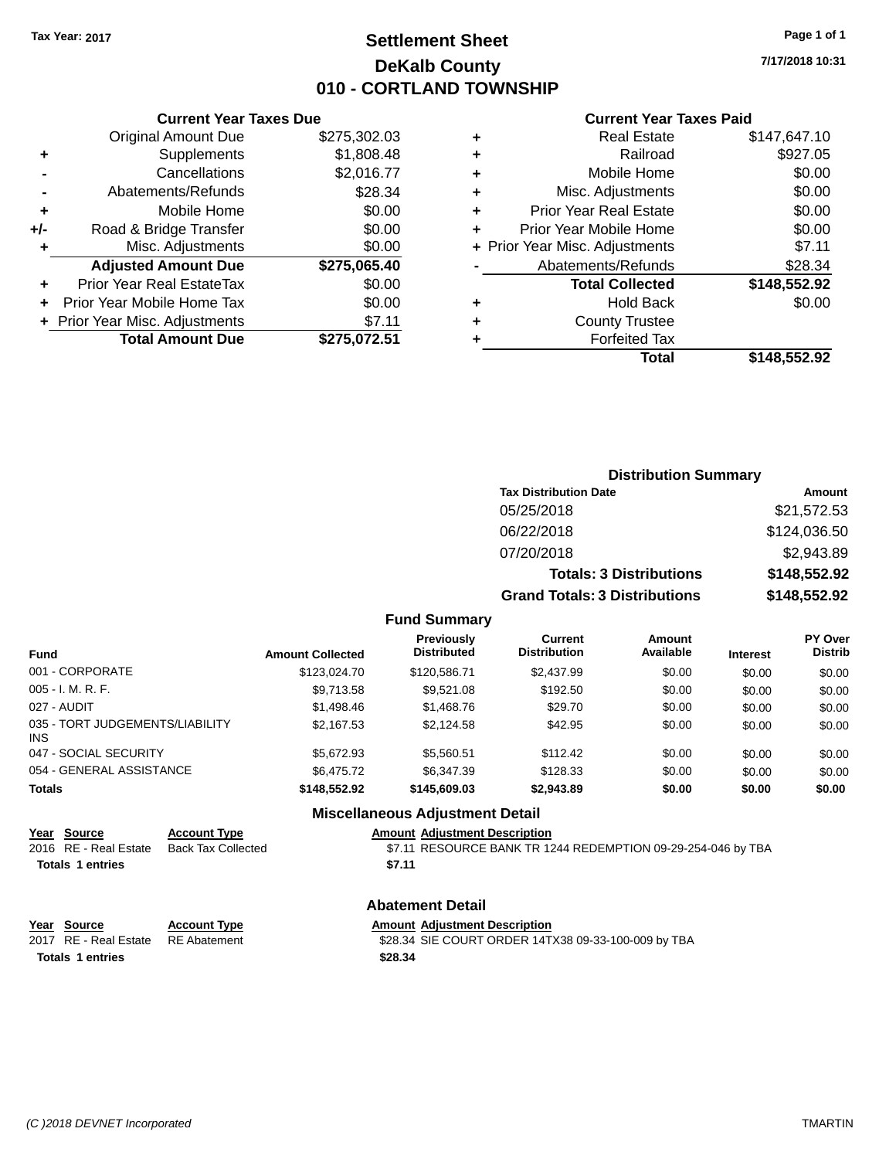# **Settlement Sheet Tax Year: 2017 Page 1 of 1 DeKalb County 010 - CORTLAND TOWNSHIP**

**7/17/2018 10:31**

#### **Current Year Taxes Paid**

|     | <b>Current Year Taxes Due</b>  |              |
|-----|--------------------------------|--------------|
|     | <b>Original Amount Due</b>     | \$275,302.03 |
| ٠   | Supplements                    | \$1,808.48   |
|     | Cancellations                  | \$2,016.77   |
|     | Abatements/Refunds             | \$28.34      |
| ٠   | Mobile Home                    | \$0.00       |
| +/- | Road & Bridge Transfer         | \$0.00       |
|     | Misc. Adjustments              | \$0.00       |
|     | <b>Adjusted Amount Due</b>     | \$275,065.40 |
| ٠   | Prior Year Real EstateTax      | \$0.00       |
|     | Prior Year Mobile Home Tax     | \$0.00       |
|     | + Prior Year Misc. Adjustments | \$7.11       |
|     | <b>Total Amount Due</b>        | \$275,072.51 |
|     |                                |              |

| <b>Real Estate</b>            | \$147,647.10                   |
|-------------------------------|--------------------------------|
| Railroad                      | \$927.05                       |
| Mobile Home                   | \$0.00                         |
| Misc. Adjustments             | \$0.00                         |
| <b>Prior Year Real Estate</b> | \$0.00                         |
| Prior Year Mobile Home        | \$0.00                         |
|                               | \$7.11                         |
| Abatements/Refunds            | \$28.34                        |
| <b>Total Collected</b>        | \$148,552.92                   |
| <b>Hold Back</b>              | \$0.00                         |
| <b>County Trustee</b>         |                                |
| <b>Forfeited Tax</b>          |                                |
| Total                         | \$148,552.92                   |
|                               | + Prior Year Misc. Adjustments |

| <b>Distribution Summary</b>          |              |
|--------------------------------------|--------------|
| <b>Tax Distribution Date</b>         | Amount       |
| 05/25/2018                           | \$21,572.53  |
| 06/22/2018                           | \$124,036.50 |
| 07/20/2018                           | \$2,943.89   |
| <b>Totals: 3 Distributions</b>       | \$148,552.92 |
| <b>Grand Totals: 3 Distributions</b> | \$148,552.92 |

#### **Fund Summary**

| <b>Fund</b>                            | <b>Amount Collected</b> | <b>Previously</b><br><b>Distributed</b> | <b>Current</b><br><b>Distribution</b> | Amount<br>Available | <b>Interest</b> | <b>PY Over</b><br><b>Distrib</b> |
|----------------------------------------|-------------------------|-----------------------------------------|---------------------------------------|---------------------|-----------------|----------------------------------|
| 001 - CORPORATE                        | \$123,024.70            | \$120.586.71                            | \$2,437.99                            | \$0.00              | \$0.00          | \$0.00                           |
| 005 - I. M. R. F.                      | \$9,713.58              | \$9.521.08                              | \$192.50                              | \$0.00              | \$0.00          | \$0.00                           |
| 027 - AUDIT                            | \$1,498,46              | \$1,468.76                              | \$29.70                               | \$0.00              | \$0.00          | \$0.00                           |
| 035 - TORT JUDGEMENTS/LIABILITY<br>INS | \$2,167.53              | \$2.124.58                              | \$42.95                               | \$0.00              | \$0.00          | \$0.00                           |
| 047 - SOCIAL SECURITY                  | \$5.672.93              | \$5,560.51                              | \$112.42                              | \$0.00              | \$0.00          | \$0.00                           |
| 054 - GENERAL ASSISTANCE               | \$6,475.72              | \$6,347.39                              | \$128.33                              | \$0.00              | \$0.00          | \$0.00                           |
| <b>Totals</b>                          | \$148,552.92            | \$145,609.03                            | \$2,943.89                            | \$0.00              | \$0.00          | \$0.00                           |

#### **Miscellaneous Adjustment Detail**

# **Year Source Account Type Amount Adjustment Description**

\$7.11 RESOURCE BANK TR 1244 REDEMPTION 09-29-254-046 by TBA **Totals 1 entries** \$7.11

#### **Abatement Detail**

| Year Source           | <b>Account Type</b> | <b>Amount Adiustment Description</b>                |
|-----------------------|---------------------|-----------------------------------------------------|
| 2017 RE - Real Estate | RE Abatement        | \$28.34 SIE COURT ORDER 14TX38 09-33-100-009 by TBA |
| Totals 1 entries      |                     | \$28.34                                             |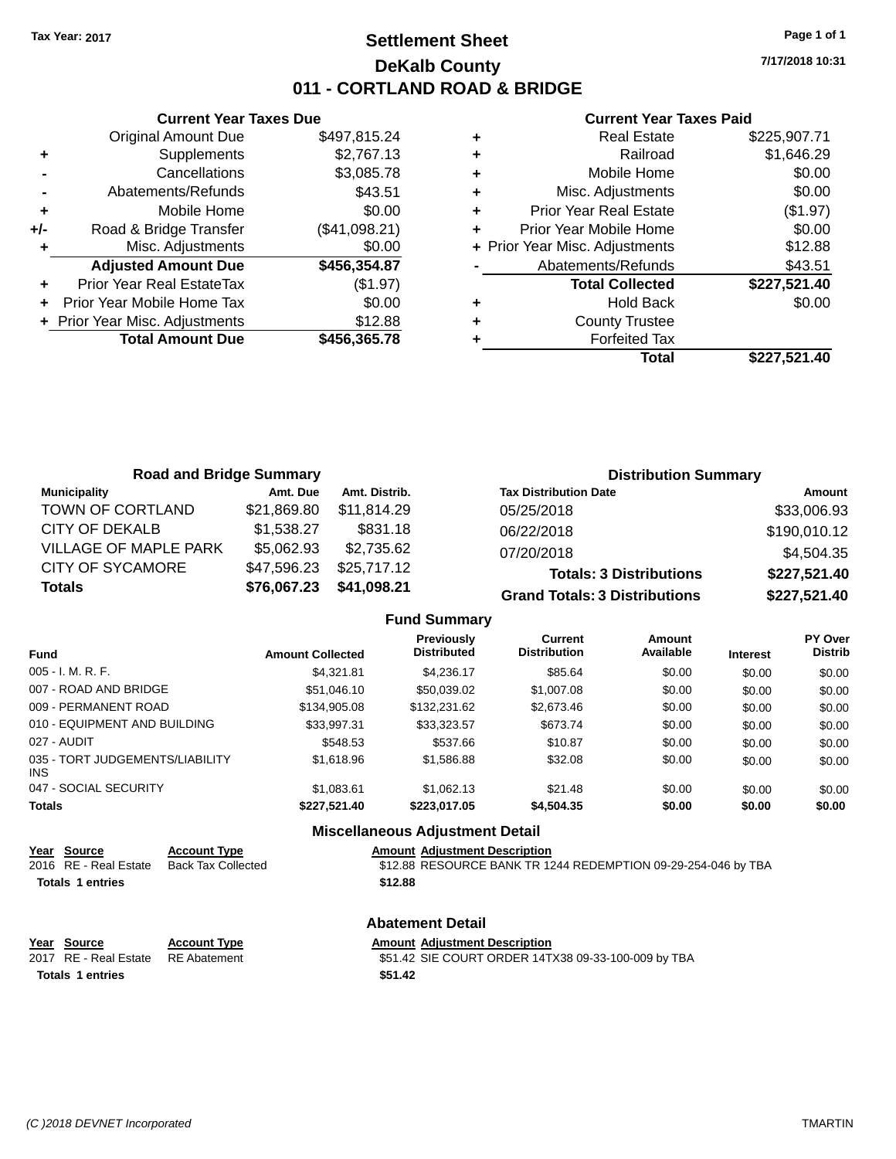# **Settlement Sheet Tax Year: 2017 Page 1 of 1 DeKalb County 011 - CORTLAND ROAD & BRIDGE**

**Current Year Taxes Due** Original Amount Due \$497,815.24 **+** Supplements \$2,767.13 **-** Cancellations \$3,085.78 **-** Abatements/Refunds \$43.51 **+** Mobile Home \$0.00 **+/-** Road & Bridge Transfer (\$41,098.21) **+** Misc. Adjustments \$0.00 **Adjusted Amount Due \$456,354.87 +** Prior Year Real EstateTax (\$1.97) **+** Prior Year Mobile Home Tax \$0.00 **+** Prior Year Misc. Adjustments \$12.88 **Total Amount Due \$456,365.78**

#### **Current Year Taxes Paid**

| ٠ | <b>Real Estate</b>             | \$225,907.71 |
|---|--------------------------------|--------------|
| ٠ | Railroad                       | \$1,646.29   |
| ٠ | Mobile Home                    | \$0.00       |
| ٠ | Misc. Adjustments              | \$0.00       |
| ٠ | <b>Prior Year Real Estate</b>  | (\$1.97)     |
| ٠ | Prior Year Mobile Home         | \$0.00       |
|   | + Prior Year Misc. Adjustments | \$12.88      |
|   | Abatements/Refunds             | \$43.51      |
|   | <b>Total Collected</b>         | \$227,521.40 |
| ٠ | <b>Hold Back</b>               | \$0.00       |
| ٠ | <b>County Trustee</b>          |              |
| ٠ | <b>Forfeited Tax</b>           |              |
|   | <b>Total</b>                   | \$227,521.40 |
|   |                                |              |

| <b>Road and Bridge Summary</b> |             |               | <b>Distribution Summary</b>          |              |
|--------------------------------|-------------|---------------|--------------------------------------|--------------|
| <b>Municipality</b>            | Amt. Due    | Amt. Distrib. | <b>Tax Distribution Date</b>         | Amount       |
| TOWN OF CORTLAND               | \$21,869.80 | \$11.814.29   | 05/25/2018                           | \$33,006.93  |
| <b>CITY OF DEKALB</b>          | \$1,538.27  | \$831.18      | 06/22/2018                           | \$190,010.12 |
| <b>VILLAGE OF MAPLE PARK</b>   | \$5,062.93  | \$2,735.62    | 07/20/2018                           | \$4,504.35   |
| <b>CITY OF SYCAMORE</b>        | \$47,596.23 | \$25,717.12   | <b>Totals: 3 Distributions</b>       | \$227,521.40 |
| <b>Totals</b>                  | \$76,067.23 | \$41,098.21   | <b>Grand Totals: 3 Distributions</b> | \$227,521.40 |

### **Fund Summary**

| <b>Fund</b>                                   | <b>Amount Collected</b> | <b>Previously</b><br><b>Distributed</b> | Current<br><b>Distribution</b> | Amount<br>Available | <b>Interest</b> | PY Over<br><b>Distrib</b> |
|-----------------------------------------------|-------------------------|-----------------------------------------|--------------------------------|---------------------|-----------------|---------------------------|
| $005 - I. M. R. F.$                           | \$4.321.81              | \$4.236.17                              | \$85.64                        | \$0.00              | \$0.00          | \$0.00                    |
| 007 - ROAD AND BRIDGE                         | \$51,046.10             | \$50,039.02                             | \$1,007.08                     | \$0.00              | \$0.00          | \$0.00                    |
| 009 - PERMANENT ROAD                          | \$134,905.08            | \$132,231.62                            | \$2,673.46                     | \$0.00              | \$0.00          | \$0.00                    |
| 010 - EQUIPMENT AND BUILDING                  | \$33.997.31             | \$33,323.57                             | \$673.74                       | \$0.00              | \$0.00          | \$0.00                    |
| 027 - AUDIT                                   | \$548.53                | \$537.66                                | \$10.87                        | \$0.00              | \$0.00          | \$0.00                    |
| 035 - TORT JUDGEMENTS/LIABILITY<br><b>INS</b> | \$1,618.96              | \$1,586.88                              | \$32.08                        | \$0.00              | \$0.00          | \$0.00                    |
| 047 - SOCIAL SECURITY                         | \$1,083.61              | \$1,062.13                              | \$21.48                        | \$0.00              | \$0.00          | \$0.00                    |
| <b>Totals</b>                                 | \$227,521.40            | \$223,017.05                            | \$4,504.35                     | \$0.00              | \$0.00          | \$0.00                    |

#### **Miscellaneous Adjustment Detail**

| Year Source                        | <b>Account Type</b>       | <b>Amount Adjustment Description</b>                          |
|------------------------------------|---------------------------|---------------------------------------------------------------|
| 2016 RE - Real Estate              | <b>Back Tax Collected</b> | \$12.88 RESOURCE BANK TR 1244 REDEMPTION 09-29-254-046 by TBA |
| <b>Totals 1 entries</b><br>\$12.88 |                           |                                                               |
|                                    |                           | <b>Abatement Detail</b>                                       |
| Year<br>Source                     | <b>Account Type</b>       | <b>Amount Adjustment Description</b>                          |

**Totals \$51.42 1 entries**

# 2017 RE - Real Estate RE Abatement \$51.42 SIE COURT ORDER 14TX38 09-33-100-009 by TBA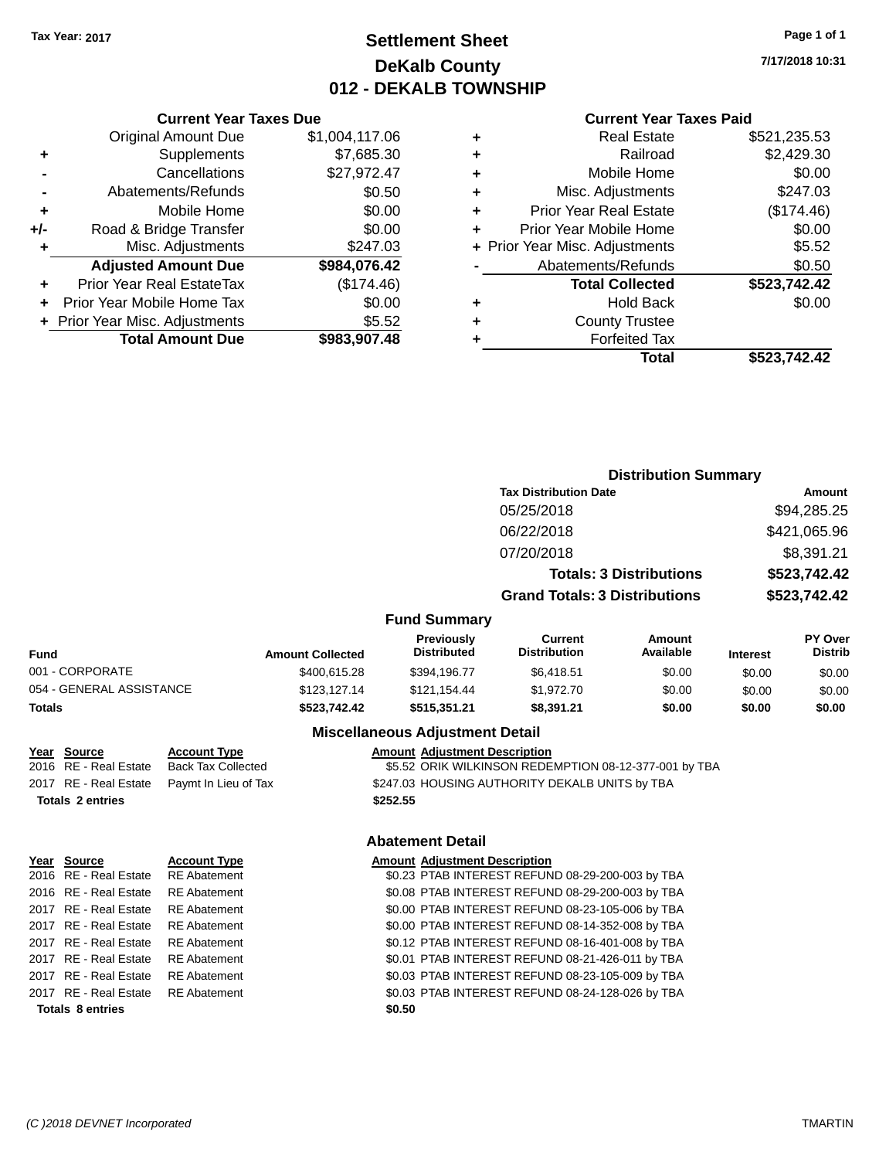# **Settlement Sheet Tax Year: 2017 Page 1 of 1 DeKalb County 012 - DEKALB TOWNSHIP**

**7/17/2018 10:31**

#### **Current Year Taxes Paid**

|     | <b>Current Year Taxes Due</b>  |                |
|-----|--------------------------------|----------------|
|     | <b>Original Amount Due</b>     | \$1,004,117.06 |
| ٠   | Supplements                    | \$7,685.30     |
|     | Cancellations                  | \$27,972.47    |
|     | Abatements/Refunds             | \$0.50         |
| ٠   | Mobile Home                    | \$0.00         |
| +/- | Road & Bridge Transfer         | \$0.00         |
|     | Misc. Adjustments              | \$247.03       |
|     | <b>Adjusted Amount Due</b>     | \$984,076.42   |
| ÷   | Prior Year Real EstateTax      | (\$174.46)     |
|     | Prior Year Mobile Home Tax     | \$0.00         |
|     | + Prior Year Misc. Adjustments | \$5.52         |
|     | <b>Total Amount Due</b>        | \$983,907.48   |

| ٠ | <b>Real Estate</b>             | \$521.235.53 |
|---|--------------------------------|--------------|
| ٠ | Railroad                       | \$2,429.30   |
| ٠ | Mobile Home                    | \$0.00       |
| ٠ | Misc. Adjustments              | \$247.03     |
| ٠ | <b>Prior Year Real Estate</b>  | (\$174.46)   |
| ٠ | Prior Year Mobile Home         | \$0.00       |
|   | + Prior Year Misc. Adjustments | \$5.52       |
|   | Abatements/Refunds             | \$0.50       |
|   | <b>Total Collected</b>         | \$523,742.42 |
| ٠ | <b>Hold Back</b>               | \$0.00       |
| ٠ | <b>County Trustee</b>          |              |
| ٠ | <b>Forfeited Tax</b>           |              |
|   | Total                          | \$523.742.42 |
|   |                                |              |

|                          |                         |                                  |                                      | <b>Distribution Summary</b>    |                 |                           |  |
|--------------------------|-------------------------|----------------------------------|--------------------------------------|--------------------------------|-----------------|---------------------------|--|
|                          |                         |                                  | <b>Tax Distribution Date</b>         |                                |                 | <b>Amount</b>             |  |
|                          |                         |                                  | 05/25/2018                           |                                |                 | \$94,285.25               |  |
|                          |                         |                                  | 06/22/2018                           |                                |                 | \$421,065.96              |  |
|                          |                         |                                  | 07/20/2018                           |                                |                 | \$8,391.21                |  |
|                          |                         |                                  |                                      | <b>Totals: 3 Distributions</b> |                 | \$523,742.42              |  |
|                          |                         |                                  | <b>Grand Totals: 3 Distributions</b> |                                | \$523,742.42    |                           |  |
|                          |                         | <b>Fund Summary</b>              |                                      |                                |                 |                           |  |
| <b>Fund</b>              | <b>Amount Collected</b> | Previously<br><b>Distributed</b> | Current<br><b>Distribution</b>       | Amount<br>Available            | <b>Interest</b> | PY Over<br><b>Distrib</b> |  |
| 001 - CORPORATE          | \$400,615.28            | \$394.196.77                     | \$6,418.51                           | \$0.00                         | \$0.00          | \$0.00                    |  |
| 054 - GENERAL ASSISTANCE | \$123,127.14            | \$121,154.44                     | \$1,972.70                           | \$0.00                         | \$0.00          | \$0.00                    |  |
| Totals                   | \$523,742.42            | \$515,351.21                     | \$8,391.21                           | \$0.00                         | \$0.00          | \$0.00                    |  |

### **Miscellaneous Adjustment Detail**

| Year Source             | <b>Account Type</b>       | <b>Amount Adjustment Description</b>                  |
|-------------------------|---------------------------|-------------------------------------------------------|
| 2016 RE - Real Estate   | <b>Back Tax Collected</b> | \$5.52 ORIK WILKINSON REDEMPTION 08-12-377-001 by TBA |
| 2017 RE - Real Estate   | Paymt In Lieu of Tax      | \$247.03 HOUSING AUTHORITY DEKALB UNITS by TBA        |
| <b>Totals 2 entries</b> |                           | \$252.55                                              |
|                         |                           | <b>Abatement Detail</b>                               |
| Year Source             | <b>Account Type</b>       | <b>Amount Adjustment Description</b>                  |
| 2016 RE - Real Estate   | <b>RE</b> Abatement       | \$0.23 PTAB INTEREST REFUND 08-29-200-003 by TBA      |
|                         |                           |                                                       |

| <b>Totals 8 entries</b>            |              | \$0.50                                           |
|------------------------------------|--------------|--------------------------------------------------|
| 2017 RE - Real Estate RE Abatement |              | \$0.03 PTAB INTEREST REFUND 08-24-128-026 by TBA |
| 2017 RE - Real Estate              | RE Abatement | \$0.03 PTAB INTEREST REFUND 08-23-105-009 by TBA |
| 2017 RE - Real Estate              | RE Abatement | \$0.01 PTAB INTEREST REFUND 08-21-426-011 by TBA |
| 2017 RE - Real Estate RE Abatement |              | \$0.12 PTAB INTEREST REFUND 08-16-401-008 by TBA |
| 2017 RE - Real Estate RE Abatement |              | \$0.00 PTAB INTEREST REFUND 08-14-352-008 by TBA |
| 2017 RE - Real Estate RE Abatement |              | \$0.00 PTAB INTEREST REFUND 08-23-105-006 by TBA |
| 2016 RE - Real Estate RE Abatement |              | \$0.08 PTAB INTEREST REFUND 08-29-200-003 by TBA |
| 2016 RE - Real Estate RE Abatement |              | \$0.23 PTAB INTEREST REFUND 08-29-200-003 by TBA |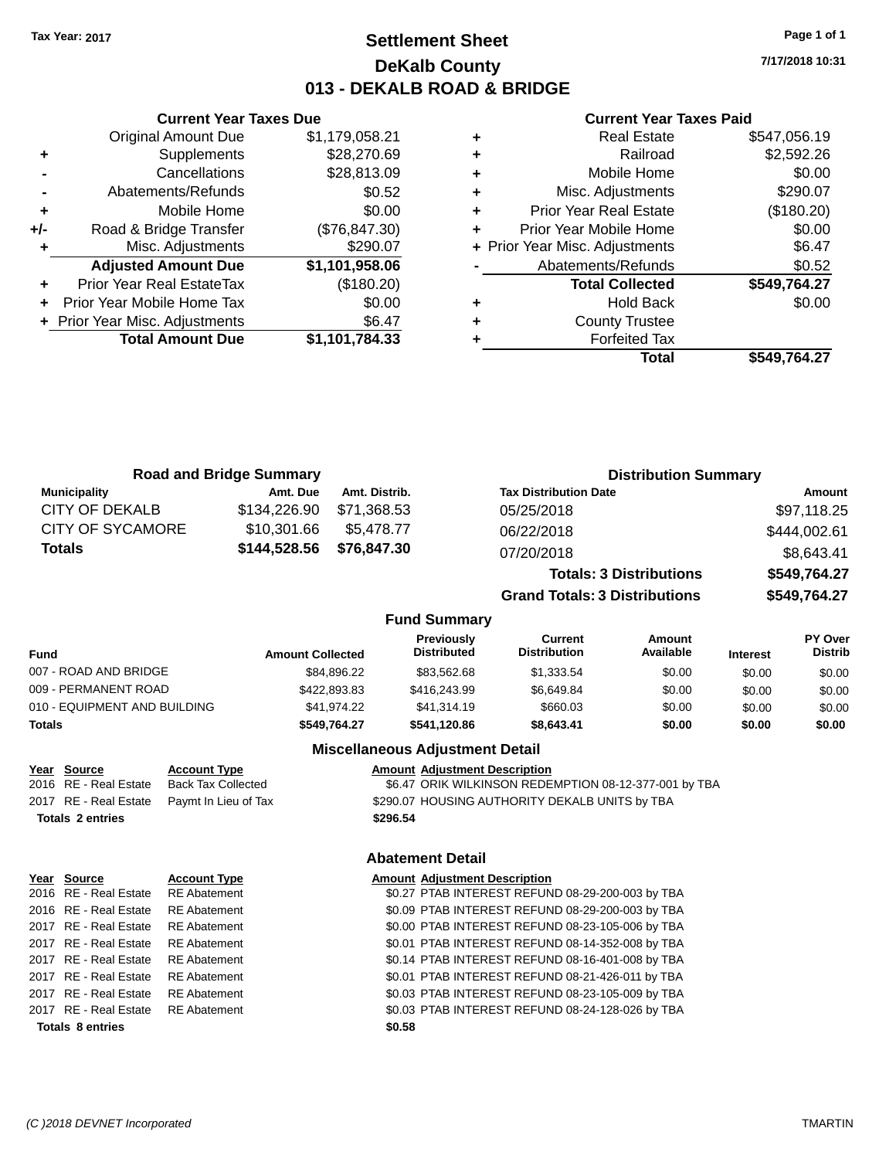**Current Year Taxes Due** Original Amount Due \$1,179,058.21

**Adjusted Amount Due \$1,101,958.06**

**Total Amount Due \$1,101,784.33**

**+** Supplements \$28,270.69 **-** Cancellations \$28,813.09 **-** Abatements/Refunds \$0.52 **+** Mobile Home \$0.00 **+/-** Road & Bridge Transfer (\$76,847.30) **+** Misc. Adjustments \$290.07

**+** Prior Year Real EstateTax (\$180.20) **+** Prior Year Mobile Home Tax \$0.00 **+** Prior Year Misc. Adjustments  $$6.47$ 

# **Settlement Sheet Tax Year: 2017 Page 1 of 1 DeKalb County 013 - DEKALB ROAD & BRIDGE**

**7/17/2018 10:31**

#### **Current Year Taxes Paid**

| ٠ | Real Estate                    | \$547,056.19 |
|---|--------------------------------|--------------|
| ٠ | Railroad                       | \$2,592.26   |
| ٠ | Mobile Home                    | \$0.00       |
| ٠ | Misc. Adjustments              | \$290.07     |
| ٠ | <b>Prior Year Real Estate</b>  | (\$180.20)   |
| ٠ | Prior Year Mobile Home         | \$0.00       |
|   | + Prior Year Misc. Adjustments | \$6.47       |
|   | Abatements/Refunds             | \$0.52       |
|   | <b>Total Collected</b>         | \$549,764.27 |
| ٠ | <b>Hold Back</b>               | \$0.00       |
| ٠ | <b>County Trustee</b>          |              |
|   | <b>Forfeited Tax</b>           |              |
|   | Total                          | \$549.764.27 |
|   |                                |              |

|                                              |                                                  | <b>Road and Bridge Summary</b> |                              |                                        |                                                                                                                                                                                                                                                                                                                                                                                | <b>Distribution Summary</b>    |                 |                           |
|----------------------------------------------|--------------------------------------------------|--------------------------------|------------------------------|----------------------------------------|--------------------------------------------------------------------------------------------------------------------------------------------------------------------------------------------------------------------------------------------------------------------------------------------------------------------------------------------------------------------------------|--------------------------------|-----------------|---------------------------|
| <b>Municipality</b><br><b>CITY OF DEKALB</b> |                                                  | Amt. Due<br>\$134,226.90       | Amt. Distrib.<br>\$71,368.53 |                                        | <b>Tax Distribution Date</b>                                                                                                                                                                                                                                                                                                                                                   |                                |                 | <b>Amount</b>             |
| <b>CITY OF SYCAMORE</b>                      |                                                  | \$10,301.66                    | \$5,478.77                   |                                        | 05/25/2018                                                                                                                                                                                                                                                                                                                                                                     |                                |                 | \$97,118.25               |
| <b>Totals</b>                                |                                                  |                                |                              |                                        | 06/22/2018                                                                                                                                                                                                                                                                                                                                                                     |                                |                 | \$444,002.61              |
|                                              |                                                  | \$144,528.56                   | \$76,847.30                  |                                        | 07/20/2018                                                                                                                                                                                                                                                                                                                                                                     |                                |                 | \$8,643.41                |
|                                              |                                                  |                                |                              |                                        |                                                                                                                                                                                                                                                                                                                                                                                | <b>Totals: 3 Distributions</b> |                 | \$549,764.27              |
|                                              |                                                  |                                |                              |                                        | <b>Grand Totals: 3 Distributions</b>                                                                                                                                                                                                                                                                                                                                           |                                |                 | \$549,764.27              |
|                                              |                                                  |                                |                              | <b>Fund Summary</b>                    |                                                                                                                                                                                                                                                                                                                                                                                |                                |                 |                           |
| Fund                                         |                                                  | <b>Amount Collected</b>        |                              | Previously<br><b>Distributed</b>       | <b>Current</b><br><b>Distribution</b>                                                                                                                                                                                                                                                                                                                                          | Amount<br>Available            | <b>Interest</b> | PY Over<br><b>Distrib</b> |
| 007 - ROAD AND BRIDGE                        |                                                  |                                | \$84,896.22                  | \$83,562.68                            | \$1,333.54                                                                                                                                                                                                                                                                                                                                                                     | \$0.00                         | \$0.00          | \$0.00                    |
| 009 - PERMANENT ROAD                         |                                                  |                                | \$422,893.83                 | \$416,243.99                           | \$6,649.84                                                                                                                                                                                                                                                                                                                                                                     | \$0.00                         | \$0.00          | \$0.00                    |
| 010 - EQUIPMENT AND BUILDING                 |                                                  |                                | \$41,974.22                  | \$41,314.19                            | \$660.03                                                                                                                                                                                                                                                                                                                                                                       | \$0.00                         | \$0.00          | \$0.00                    |
| <b>Totals</b>                                |                                                  |                                | \$549,764.27                 | \$541,120.86                           | \$8,643.41                                                                                                                                                                                                                                                                                                                                                                     | \$0.00                         | \$0.00          | \$0.00                    |
|                                              |                                                  |                                |                              | <b>Miscellaneous Adjustment Detail</b> |                                                                                                                                                                                                                                                                                                                                                                                |                                |                 |                           |
| Year Source<br>2016 RE - Real Estate         | <b>Account Type</b><br><b>Back Tax Collected</b> |                                |                              | <b>Amount Adjustment Description</b>   | \$6.47 ORIK WILKINSON REDEMPTION 08-12-377-001 by TBA                                                                                                                                                                                                                                                                                                                          |                                |                 |                           |
| 2017 RE - Real Estate                        | Paymt In Lieu of Tax                             |                                |                              |                                        | \$290.07 HOUSING AUTHORITY DEKALB UNITS by TBA                                                                                                                                                                                                                                                                                                                                 |                                |                 |                           |
| <b>Totals 2 entries</b>                      |                                                  |                                |                              | \$296.54                               |                                                                                                                                                                                                                                                                                                                                                                                |                                |                 |                           |
|                                              |                                                  |                                |                              | <b>Abatement Detail</b>                |                                                                                                                                                                                                                                                                                                                                                                                |                                |                 |                           |
| Year Source                                  | <b>Account Type</b>                              |                                |                              | <b>Amount Adjustment Description</b>   |                                                                                                                                                                                                                                                                                                                                                                                |                                |                 |                           |
| $\sim$ $\sim$                                | <b>PP</b> 11 1                                   |                                |                              |                                        | $0.07$ $\overline{C}$ $\overline{C}$ $\overline{C}$ $\overline{C}$ $\overline{C}$ $\overline{C}$ $\overline{C}$ $\overline{C}$ $\overline{C}$ $\overline{C}$ $\overline{C}$ $\overline{C}$ $\overline{C}$ $\overline{C}$ $\overline{C}$ $\overline{C}$ $\overline{C}$ $\overline{C}$ $\overline{C}$ $\overline{C}$ $\overline{C}$ $\overline{C}$ $\overline{C}$ $\overline{C}$ |                                |                 |                           |

| Year Source             | <b>Account Type</b> | Amount |
|-------------------------|---------------------|--------|
| 2016 RE - Real Estate   | <b>RE</b> Abatement | \$0.27 |
| 2016 RE - Real Estate   | <b>RE</b> Abatement | \$0.09 |
| 2017 RE - Real Estate   | <b>RE</b> Abatement | \$0.00 |
| 2017 RE - Real Estate   | <b>RE</b> Abatement | \$0.01 |
| 2017 RE - Real Estate   | <b>RE</b> Abatement | \$0.14 |
| 2017 RE - Real Estate   | <b>RE</b> Abatement | \$0.01 |
| 2017 RE - Real Estate   | <b>RE</b> Abatement | \$0.03 |
| 2017 RE - Real Estate   | <b>RE</b> Abatement | \$0.03 |
| <b>Totals 8 entries</b> |                     | \$0.58 |

\$0.27 PTAB INTEREST REFUND 08-29-200-003 by TBA \$0.09 PTAB INTEREST REFUND 08-29-200-003 by TBA \$0.00 PTAB INTEREST REFUND 08-23-105-006 by TBA \$0.01 PTAB INTEREST REFUND 08-14-352-008 by TBA \$0.14 PTAB INTEREST REFUND 08-16-401-008 by TBA \$0.01 PTAB INTEREST REFUND 08-21-426-011 by TBA \$0.03 PTAB INTEREST REFUND 08-23-105-009 by TBA \$0.03 PTAB INTEREST REFUND 08-24-128-026 by TBA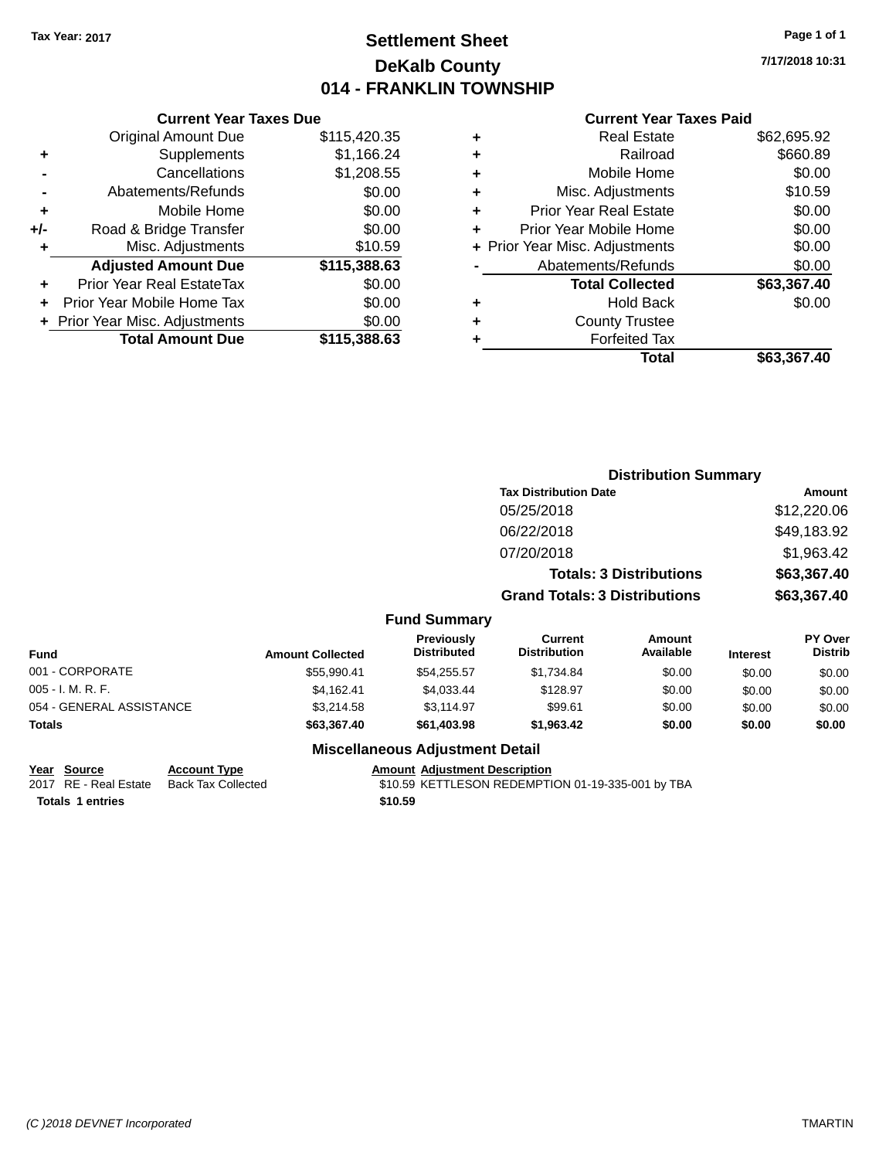# **Settlement Sheet Tax Year: 2017 Page 1 of 1 DeKalb County 014 - FRANKLIN TOWNSHIP**

**7/17/2018 10:31**

#### **Current Year Taxes Paid**

|     | <b>Current Year Taxes Due</b>  |              |
|-----|--------------------------------|--------------|
|     | <b>Original Amount Due</b>     | \$115,420.35 |
| ٠   | Supplements                    | \$1,166.24   |
|     | Cancellations                  | \$1,208.55   |
|     | Abatements/Refunds             | \$0.00       |
| ٠   | Mobile Home                    | \$0.00       |
| +/- | Road & Bridge Transfer         | \$0.00       |
|     | Misc. Adjustments              | \$10.59      |
|     | <b>Adjusted Amount Due</b>     | \$115,388.63 |
| ٠   | Prior Year Real EstateTax      | \$0.00       |
|     | Prior Year Mobile Home Tax     | \$0.00       |
|     | + Prior Year Misc. Adjustments | \$0.00       |
|     | <b>Total Amount Due</b>        | \$115,388.63 |
|     |                                |              |

|   | <b>Real Estate</b>             | \$62,695.92 |
|---|--------------------------------|-------------|
| ٠ | Railroad                       | \$660.89    |
| ٠ | Mobile Home                    | \$0.00      |
| ٠ | Misc. Adjustments              | \$10.59     |
| ٠ | <b>Prior Year Real Estate</b>  | \$0.00      |
| ÷ | Prior Year Mobile Home         | \$0.00      |
|   | + Prior Year Misc. Adjustments | \$0.00      |
|   | Abatements/Refunds             | \$0.00      |
|   | <b>Total Collected</b>         | \$63,367.40 |
| ٠ | Hold Back                      | \$0.00      |
|   | <b>County Trustee</b>          |             |
| ٠ | <b>Forfeited Tax</b>           |             |
|   | Total                          | \$63,367.40 |
|   |                                |             |

|                          |                         |                                         |                                       | <b>Distribution Summary</b>    |                 |                           |
|--------------------------|-------------------------|-----------------------------------------|---------------------------------------|--------------------------------|-----------------|---------------------------|
|                          |                         |                                         | <b>Tax Distribution Date</b>          |                                |                 | Amount                    |
|                          |                         |                                         | 05/25/2018                            |                                |                 | \$12,220.06               |
|                          |                         |                                         | 06/22/2018                            |                                |                 | \$49,183.92               |
|                          |                         |                                         | 07/20/2018                            |                                |                 | \$1,963.42                |
|                          |                         |                                         |                                       | <b>Totals: 3 Distributions</b> |                 | \$63,367.40               |
|                          |                         |                                         | <b>Grand Totals: 3 Distributions</b>  |                                |                 | \$63,367.40               |
|                          |                         | <b>Fund Summary</b>                     |                                       |                                |                 |                           |
| <b>Fund</b>              | <b>Amount Collected</b> | <b>Previously</b><br><b>Distributed</b> | <b>Current</b><br><b>Distribution</b> | Amount<br>Available            | <b>Interest</b> | PY Over<br><b>Distrib</b> |
| 001 - CORPORATE          | \$55,990.41             | \$54,255.57                             | \$1,734.84                            | \$0.00                         | \$0.00          | \$0.00                    |
| 005 - I. M. R. F.        | \$4,162.41              | \$4,033.44                              | \$128.97                              | \$0.00                         | \$0.00          | \$0.00                    |
| 054 - GENERAL ASSISTANCE | \$3,214.58              | \$3,114.97                              | \$99.61                               | \$0.00                         | \$0.00          | \$0.00                    |
| Totals                   | \$63,367.40             | \$61,403.98                             | \$1,963.42                            | \$0.00                         | \$0.00          | \$0.00                    |
|                          |                         | Miccollangeus Adjustment Detail         |                                       |                                |                 |                           |

### **Miscellaneous Adjustment Detail**

**Totals 1 entries** \$10.59

**Year Source Account Type Account Adjustment Description** 

2017 RE - Real Estate Back Tax Collected \$10.59 KETTLESON REDEMPTION 01-19-335-001 by TBA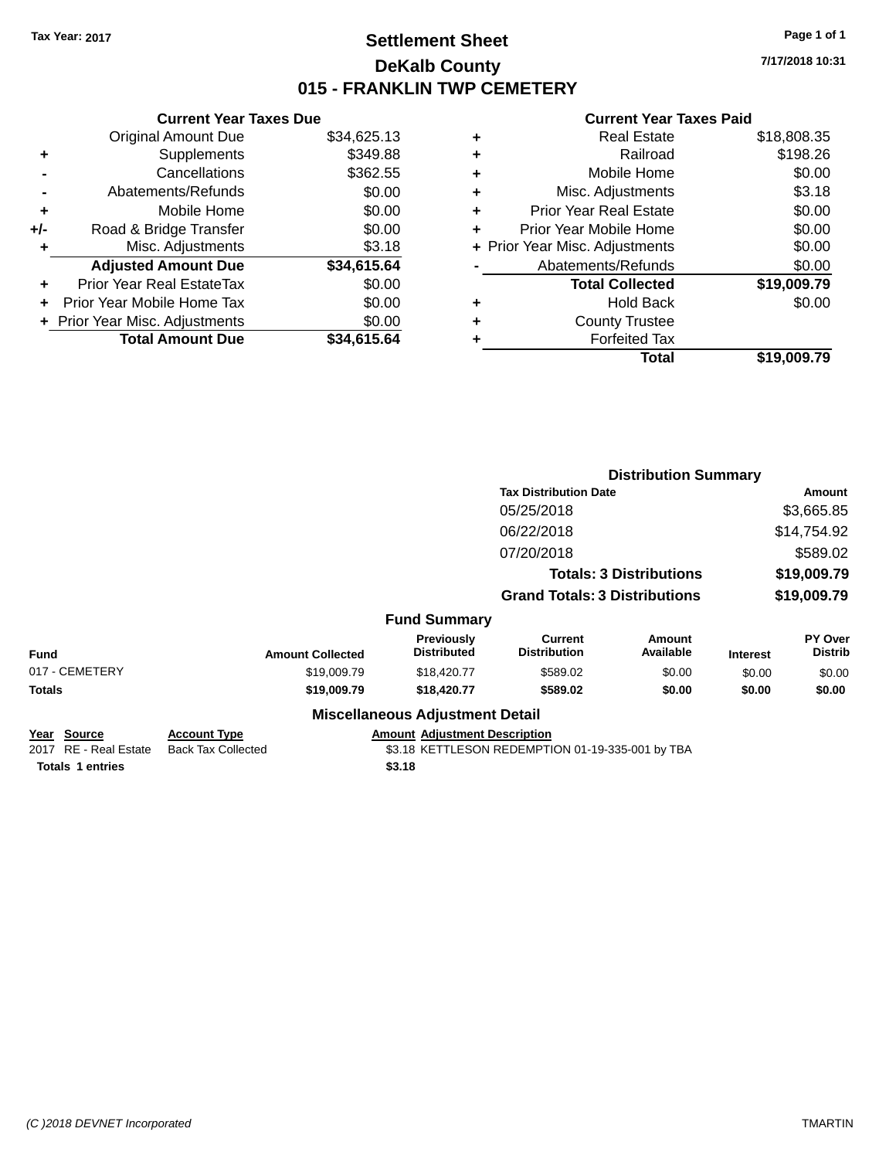# **Settlement Sheet Tax Year: 2017 Page 1 of 1 DeKalb County 015 - FRANKLIN TWP CEMETERY**

**7/17/2018 10:31**

|   | Real Estate                    | \$18,808.35 |
|---|--------------------------------|-------------|
| ٠ | Railroad                       | \$198.26    |
| ٠ | Mobile Home                    | \$0.00      |
| ٠ | Misc. Adjustments              | \$3.18      |
| ٠ | <b>Prior Year Real Estate</b>  | \$0.00      |
| ٠ | Prior Year Mobile Home         | \$0.00      |
|   | + Prior Year Misc. Adjustments | \$0.00      |
|   | Abatements/Refunds             | \$0.00      |
|   | <b>Total Collected</b>         | \$19,009.79 |
| ٠ | Hold Back                      | \$0.00      |
| ٠ | <b>County Trustee</b>          |             |
| ٠ | <b>Forfeited Tax</b>           |             |
|   | Total                          | \$19,009.79 |
|   |                                |             |

|                                              |                                                  |                                        |                                                  | <b>Distribution Summary</b>    |                 |                           |
|----------------------------------------------|--------------------------------------------------|----------------------------------------|--------------------------------------------------|--------------------------------|-----------------|---------------------------|
|                                              |                                                  | <b>Tax Distribution Date</b>           |                                                  |                                |                 | Amount                    |
|                                              |                                                  |                                        | 05/25/2018                                       |                                |                 | \$3,665.85                |
|                                              |                                                  |                                        | 06/22/2018                                       |                                |                 | \$14,754.92               |
|                                              |                                                  |                                        | 07/20/2018                                       |                                |                 | \$589.02                  |
|                                              |                                                  |                                        |                                                  | <b>Totals: 3 Distributions</b> |                 | \$19,009.79               |
|                                              |                                                  |                                        | <b>Grand Totals: 3 Distributions</b>             |                                |                 | \$19,009.79               |
|                                              |                                                  | <b>Fund Summary</b>                    |                                                  |                                |                 |                           |
| <b>Fund</b>                                  | <b>Amount Collected</b>                          | Previously<br><b>Distributed</b>       | <b>Current</b><br><b>Distribution</b>            | <b>Amount</b><br>Available     | <b>Interest</b> | PY Over<br><b>Distrib</b> |
| 017 - CEMETERY                               | \$19,009.79                                      | \$18,420.77                            | \$589.02                                         | \$0.00                         | \$0.00          | \$0.00                    |
| <b>Totals</b>                                | \$19,009.79                                      | \$18,420.77                            | \$589.02                                         | \$0.00                         | \$0.00          | \$0.00                    |
|                                              |                                                  | <b>Miscellaneous Adjustment Detail</b> |                                                  |                                |                 |                           |
| <u> Year Source</u><br>2017 RE - Real Estate | <b>Account Type</b><br><b>Back Tax Collected</b> | <b>Amount Adjustment Description</b>   | \$3.18 KETTLESON REDEMPTION 01-19-335-001 by TBA |                                |                 |                           |
| <b>Totals 1 entries</b>                      |                                                  | \$3.18                                 |                                                  |                                |                 |                           |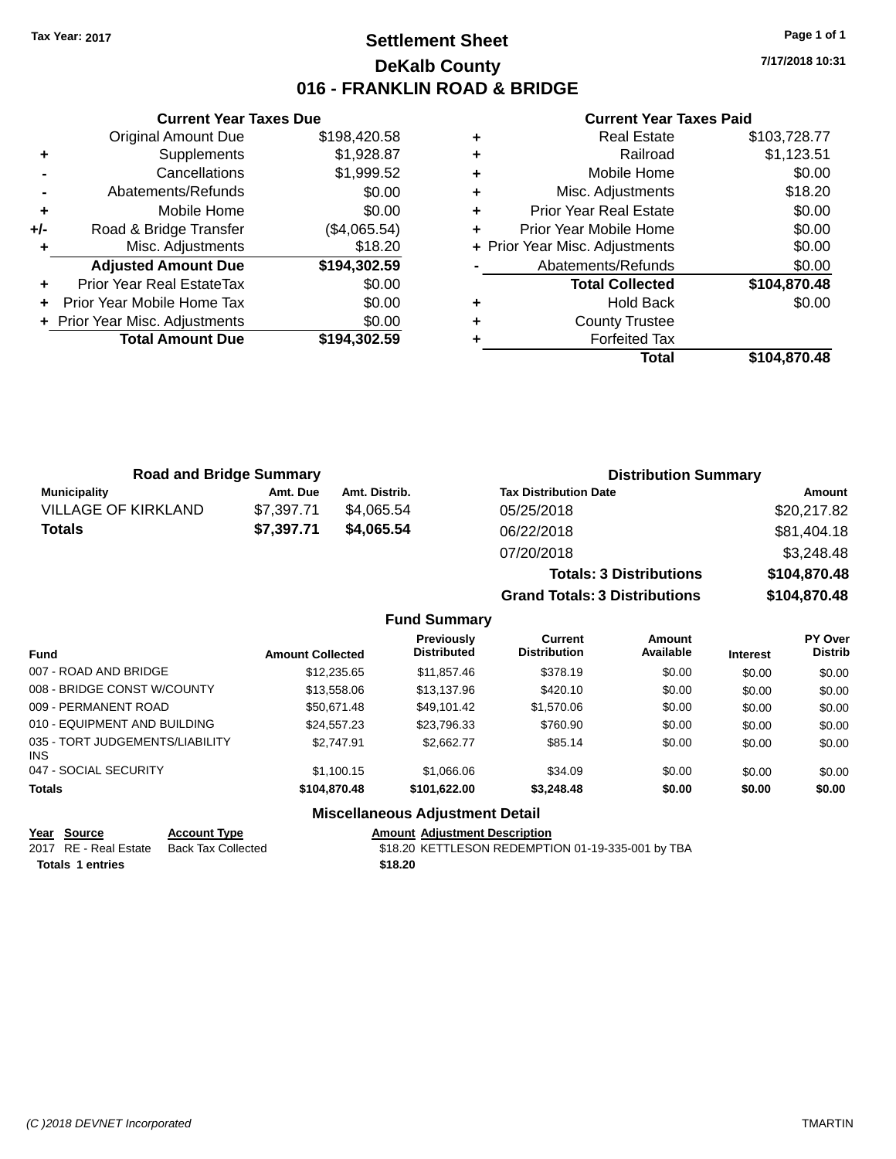# **Settlement Sheet Tax Year: 2017 Page 1 of 1 DeKalb County 016 - FRANKLIN ROAD & BRIDGE**

**7/17/2018 10:31**

#### **Current Year Taxes Paid**

|                | <b>Original Amount Due</b>     | \$198,420.58 |
|----------------|--------------------------------|--------------|
| ÷              | Supplements                    | \$1,928.87   |
|                | Cancellations                  | \$1,999.52   |
| $\blacksquare$ | Abatements/Refunds             | \$0.00       |
| ÷              | Mobile Home                    | \$0.00       |
| +/-            | Road & Bridge Transfer         | (\$4,065.54) |
|                | Misc. Adjustments              | \$18.20      |
|                | <b>Adjusted Amount Due</b>     | \$194,302.59 |
| ٠              | Prior Year Real EstateTax      | \$0.00       |
| ÷              | Prior Year Mobile Home Tax     | \$0.00       |
|                | + Prior Year Misc. Adjustments | \$0.00       |
|                | <b>Total Amount Due</b>        | \$194,302.59 |
|                |                                |              |

**Current Year Taxes Due**

| ٠ | <b>Real Estate</b>             | \$103,728.77 |
|---|--------------------------------|--------------|
| ٠ | Railroad                       | \$1,123.51   |
| ٠ | Mobile Home                    | \$0.00       |
| ٠ | Misc. Adjustments              | \$18.20      |
| ٠ | <b>Prior Year Real Estate</b>  | \$0.00       |
| ٠ | Prior Year Mobile Home         | \$0.00       |
|   | + Prior Year Misc. Adjustments | \$0.00       |
|   | Abatements/Refunds             | \$0.00       |
|   | <b>Total Collected</b>         | \$104,870.48 |
| ٠ | <b>Hold Back</b>               | \$0.00       |
| ٠ | <b>County Trustee</b>          |              |
|   | <b>Forfeited Tax</b>           |              |
|   | Total                          | \$104.870.48 |

| <b>Road and Bridge Summary</b> |            |               | <b>Distribution Summary</b>    |              |
|--------------------------------|------------|---------------|--------------------------------|--------------|
| <b>Municipality</b>            | Amt. Due   | Amt. Distrib. | <b>Tax Distribution Date</b>   | Amount       |
| <b>VILLAGE OF KIRKLAND</b>     | \$7.397.71 | \$4.065.54    | 05/25/2018                     | \$20,217.82  |
| <b>Totals</b>                  | \$7,397.71 | \$4.065.54    | 06/22/2018                     | \$81,404.18  |
|                                |            |               | 07/20/2018                     | \$3,248.48   |
|                                |            |               | <b>Totals: 3 Distributions</b> | \$104,870.48 |

**Grand Totals: 3 Distributions \$104,870.48**

### **Fund Summary**

| <b>Fund</b>                                   | <b>Amount Collected</b> | <b>Previously</b><br><b>Distributed</b> | Current<br><b>Distribution</b> | Amount<br>Available | <b>Interest</b> | <b>PY Over</b><br><b>Distrib</b> |
|-----------------------------------------------|-------------------------|-----------------------------------------|--------------------------------|---------------------|-----------------|----------------------------------|
| 007 - ROAD AND BRIDGE                         | \$12,235,65             | \$11,857.46                             | \$378.19                       | \$0.00              | \$0.00          | \$0.00                           |
| 008 - BRIDGE CONST W/COUNTY                   | \$13,558.06             | \$13,137.96                             | \$420.10                       | \$0.00              | \$0.00          | \$0.00                           |
| 009 - PERMANENT ROAD                          | \$50,671.48             | \$49.101.42                             | \$1,570.06                     | \$0.00              | \$0.00          | \$0.00                           |
| 010 - EQUIPMENT AND BUILDING                  | \$24.557.23             | \$23,796.33                             | \$760.90                       | \$0.00              | \$0.00          | \$0.00                           |
| 035 - TORT JUDGEMENTS/LIABILITY<br><b>INS</b> | \$2.747.91              | \$2,662.77                              | \$85.14                        | \$0.00              | \$0.00          | \$0.00                           |
| 047 - SOCIAL SECURITY                         | \$1.100.15              | \$1,066,06                              | \$34.09                        | \$0.00              | \$0.00          | \$0.00                           |
| <b>Totals</b>                                 | \$104,870.48            | \$101.622.00                            | \$3,248.48                     | \$0.00              | \$0.00          | \$0.00                           |

### **Miscellaneous Adjustment Detail**

# **Year Source Account Type Amount Adjustment Description**

Totals 1 entries \$18.20

\$18.20 KETTLESON REDEMPTION 01-19-335-001 by TBA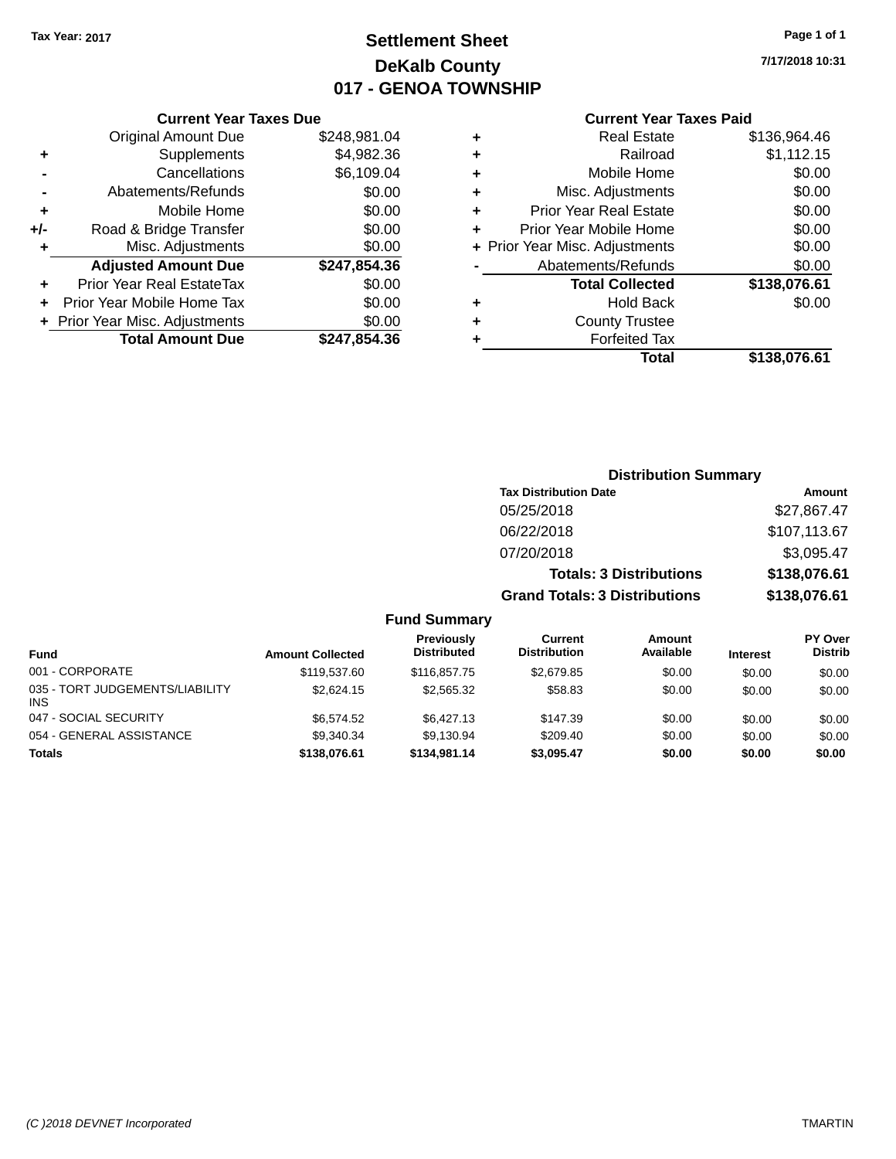# **Settlement Sheet Tax Year: 2017 Page 1 of 1 DeKalb County 017 - GENOA TOWNSHIP**

**7/17/2018 10:31**

#### **Current Year Taxes Paid**

|     | <b>Current Year Taxes Due</b>  |              |
|-----|--------------------------------|--------------|
|     | <b>Original Amount Due</b>     | \$248,981.04 |
| ٠   | Supplements                    | \$4,982.36   |
|     | Cancellations                  | \$6,109.04   |
|     | Abatements/Refunds             | \$0.00       |
| ٠   | Mobile Home                    | \$0.00       |
| +/- | Road & Bridge Transfer         | \$0.00       |
| ٠   | Misc. Adjustments              | \$0.00       |
|     | <b>Adjusted Amount Due</b>     | \$247,854.36 |
| ٠   | Prior Year Real EstateTax      | \$0.00       |
|     | Prior Year Mobile Home Tax     | \$0.00       |
|     | + Prior Year Misc. Adjustments | \$0.00       |
|     | <b>Total Amount Due</b>        | \$247,854.36 |
|     |                                |              |

|   | <b>Real Estate</b>             | \$136.964.46 |
|---|--------------------------------|--------------|
| ٠ | Railroad                       | \$1,112.15   |
| ٠ | Mobile Home                    | \$0.00       |
| ٠ | Misc. Adjustments              | \$0.00       |
| ٠ | <b>Prior Year Real Estate</b>  | \$0.00       |
| ÷ | Prior Year Mobile Home         | \$0.00       |
|   | + Prior Year Misc. Adjustments | \$0.00       |
|   | Abatements/Refunds             | \$0.00       |
|   | <b>Total Collected</b>         | \$138,076.61 |
| ٠ | <b>Hold Back</b>               | \$0.00       |
| ٠ | <b>County Trustee</b>          |              |
| ٠ | <b>Forfeited Tax</b>           |              |
|   | Total                          | \$138,076.61 |
|   |                                |              |

### **Distribution Summary Tax Distribution Date Amount** 05/25/2018 \$27,867.47 06/22/2018 \$107,113.67 07/20/2018 \$3,095.47 **Totals: 3 Distributions \$138,076.61 Grand Totals: 3 Distributions \$138,076.61**

| <b>Fund</b>                                   | <b>Amount Collected</b> | <b>Previously</b><br><b>Distributed</b> | Current<br><b>Distribution</b> | <b>Amount</b><br>Available | <b>Interest</b> | <b>PY Over</b><br><b>Distrib</b> |
|-----------------------------------------------|-------------------------|-----------------------------------------|--------------------------------|----------------------------|-----------------|----------------------------------|
| 001 - CORPORATE                               | \$119,537.60            | \$116,857,75                            | \$2,679.85                     | \$0.00                     | \$0.00          | \$0.00                           |
| 035 - TORT JUDGEMENTS/LIABILITY<br><b>INS</b> | \$2,624.15              | \$2,565,32                              | \$58.83                        | \$0.00                     | \$0.00          | \$0.00                           |
| 047 - SOCIAL SECURITY                         | \$6.574.52              | \$6.427.13                              | \$147.39                       | \$0.00                     | \$0.00          | \$0.00                           |
| 054 - GENERAL ASSISTANCE                      | \$9.340.34              | \$9.130.94                              | \$209.40                       | \$0.00                     | \$0.00          | \$0.00                           |
| <b>Totals</b>                                 | \$138,076.61            | \$134,981.14                            | \$3.095.47                     | \$0.00                     | \$0.00          | \$0.00                           |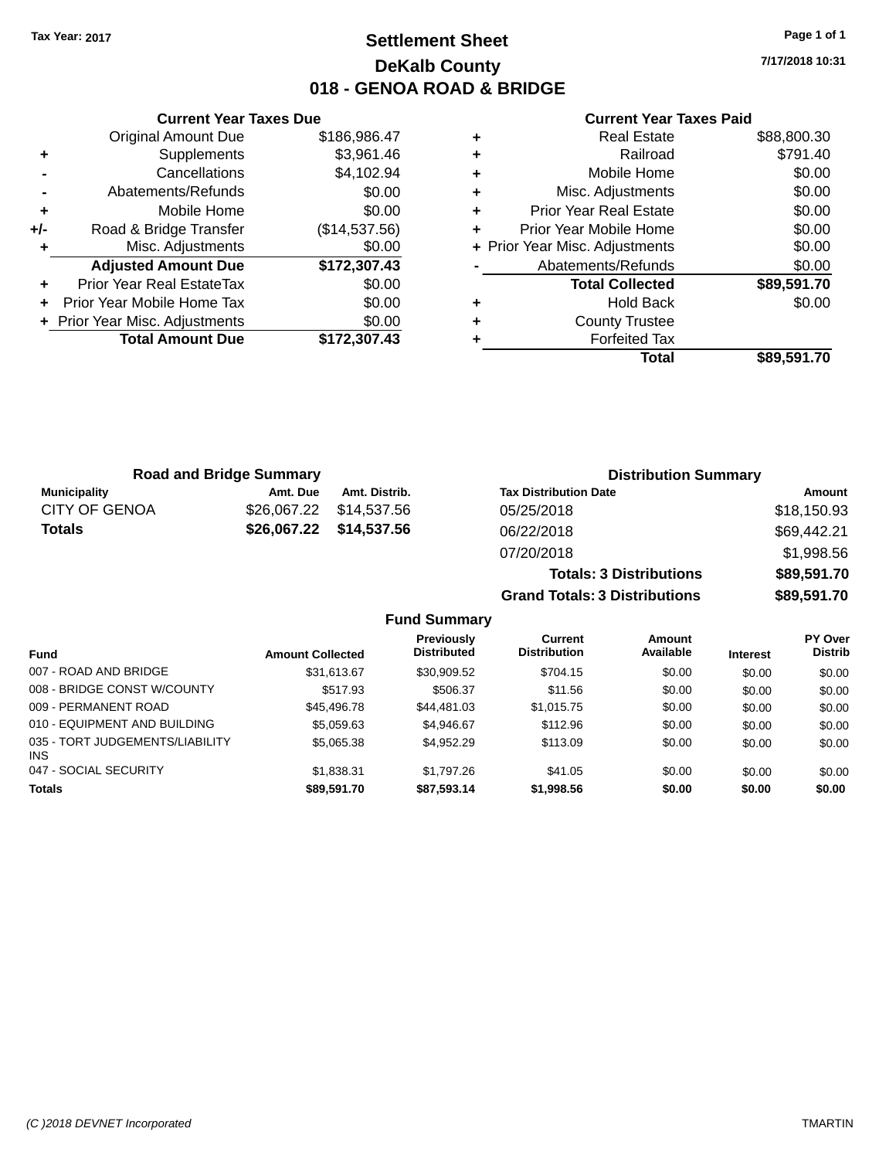# **Settlement Sheet Tax Year: 2017 Page 1 of 1 DeKalb County 018 - GENOA ROAD & BRIDGE**

**7/17/2018 10:31**

#### **Current Year Taxes Paid**

|     | <b>Original Amount Due</b>     | \$186,986.47  |
|-----|--------------------------------|---------------|
| ٠   | Supplements                    | \$3,961.46    |
|     | Cancellations                  | \$4,102.94    |
|     | Abatements/Refunds             | \$0.00        |
| ٠   | Mobile Home                    | \$0.00        |
| +/- | Road & Bridge Transfer         | (\$14,537.56) |
|     | Misc. Adjustments              | \$0.00        |
|     | <b>Adjusted Amount Due</b>     | \$172,307.43  |
| ÷   | Prior Year Real EstateTax      | \$0.00        |
| ÷   | Prior Year Mobile Home Tax     | \$0.00        |
|     | + Prior Year Misc. Adjustments | \$0.00        |
|     | <b>Total Amount Due</b>        | \$172,307.43  |
|     |                                |               |

**Current Year Taxes Due**

| ٠ | <b>Real Estate</b>             | \$88,800.30 |
|---|--------------------------------|-------------|
| ٠ | Railroad                       | \$791.40    |
| ٠ | Mobile Home                    | \$0.00      |
| ٠ | Misc. Adjustments              | \$0.00      |
| ٠ | <b>Prior Year Real Estate</b>  | \$0.00      |
| ٠ | Prior Year Mobile Home         | \$0.00      |
|   | + Prior Year Misc. Adjustments | \$0.00      |
|   | Abatements/Refunds             | \$0.00      |
|   | <b>Total Collected</b>         | \$89,591.70 |
| ٠ | <b>Hold Back</b>               | \$0.00      |
| ٠ | <b>County Trustee</b>          |             |
| ٠ | <b>Forfeited Tax</b>           |             |
|   | Total                          | \$89,591.70 |
|   |                                |             |

**Grand Totals: 3 Distributions \$89,591.70**

| <b>Road and Bridge Summary</b> |          |                         | <b>Distribution Summary</b>    |             |  |
|--------------------------------|----------|-------------------------|--------------------------------|-------------|--|
| <b>Municipality</b>            | Amt. Due | Amt. Distrib.           | <b>Tax Distribution Date</b>   | Amount      |  |
| <b>CITY OF GENOA</b>           |          |                         | 05/25/2018                     | \$18,150.93 |  |
| Totals                         |          | \$26,067.22 \$14,537.56 | 06/22/2018                     | \$69,442.21 |  |
|                                |          |                         | 07/20/2018                     | \$1,998.56  |  |
|                                |          |                         | <b>Totals: 3 Distributions</b> | \$89,591.70 |  |

**Fund Summary Fund Interest Amount Collected Distributed PY Over Distrib Amount Available Current Distribution Previously** 007 - ROAD AND BRIDGE \$31,613.67 \$30,909.52 \$704.15 \$0.00 \$0.00 \$0.00 008 - BRIDGE CONST W/COUNTY  $$517.93$   $$506.37$   $$11.56$   $$0.00$   $$0.00$   $$0.00$ 009 - PERMANENT ROAD \$45,496.78 \$44,481.03 \$1,015.75 \$0.00 \$0.00 \$0.00 \$0.00 \$0.00 \$0.00 010 - EQUIPMENT AND BUILDING \$5,059.63 \$4,946.67 \$112.96 \$0.00 \$0.00 \$0.00 \$0.00 035 - TORT JUDGEMENTS/LIABILITY INS \$5,065.38 \$4,952.29 \$113.09 \$0.00 \$0.00 \$0.00 047 - SOCIAL SECURITY \$1,838.31 \$1,797.26 \$0.00 \$0.00 \$0.00 \$0.00 \$0.00 **Totals \$89,591.70 \$87,593.14 \$1,998.56 \$0.00 \$0.00 \$0.00**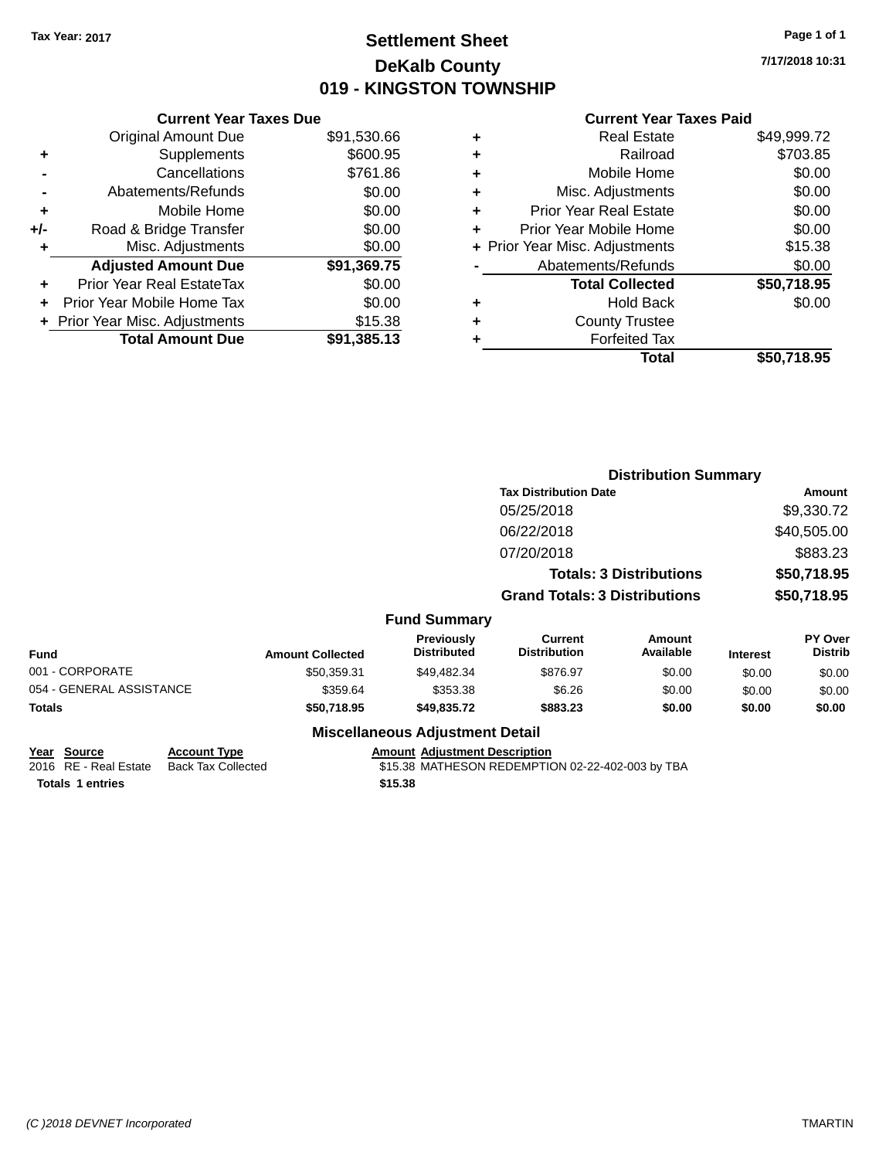# **Settlement Sheet Tax Year: 2017 Page 1 of 1 DeKalb County 019 - KINGSTON TOWNSHIP**

**7/17/2018 10:31**

#### **Current Year Taxes Paid**

|     | <b>Current Year Taxes Due</b>  |             |
|-----|--------------------------------|-------------|
|     | <b>Original Amount Due</b>     | \$91,530.66 |
| ٠   | Supplements                    | \$600.95    |
|     | Cancellations                  | \$761.86    |
|     | Abatements/Refunds             | \$0.00      |
| ٠   | Mobile Home                    | \$0.00      |
| +/- | Road & Bridge Transfer         | \$0.00      |
| ٠   | Misc. Adjustments              | \$0.00      |
|     | <b>Adjusted Amount Due</b>     | \$91,369.75 |
| ÷   | Prior Year Real EstateTax      | \$0.00      |
| ÷   | Prior Year Mobile Home Tax     | \$0.00      |
|     | + Prior Year Misc. Adjustments | \$15.38     |
|     | <b>Total Amount Due</b>        | \$91,385.13 |

|   | <b>Real Estate</b>             | \$49,999.72 |
|---|--------------------------------|-------------|
| ٠ | Railroad                       | \$703.85    |
| ٠ | Mobile Home                    | \$0.00      |
| ٠ | Misc. Adjustments              | \$0.00      |
| ٠ | <b>Prior Year Real Estate</b>  | \$0.00      |
|   | Prior Year Mobile Home         | \$0.00      |
|   | + Prior Year Misc. Adjustments | \$15.38     |
|   | Abatements/Refunds             | \$0.00      |
|   | <b>Total Collected</b>         | \$50,718.95 |
| ٠ | <b>Hold Back</b>               | \$0.00      |
| ٠ | <b>County Trustee</b>          |             |
|   | <b>Forfeited Tax</b>           |             |
|   | Total                          | \$50.718.95 |
|   |                                |             |

|                          |                         |                                  | <b>Distribution Summary</b>           |                                |                 |                           |
|--------------------------|-------------------------|----------------------------------|---------------------------------------|--------------------------------|-----------------|---------------------------|
|                          |                         |                                  | <b>Tax Distribution Date</b>          |                                |                 | <b>Amount</b>             |
|                          |                         |                                  | 05/25/2018                            |                                |                 | \$9,330.72                |
|                          |                         |                                  | 06/22/2018                            |                                |                 | \$40,505.00               |
|                          |                         |                                  | 07/20/2018                            |                                |                 | \$883.23                  |
|                          |                         |                                  |                                       | <b>Totals: 3 Distributions</b> |                 | \$50,718.95               |
|                          |                         |                                  | <b>Grand Totals: 3 Distributions</b>  |                                |                 | \$50,718.95               |
|                          |                         | <b>Fund Summary</b>              |                                       |                                |                 |                           |
| <b>Fund</b>              | <b>Amount Collected</b> | Previously<br><b>Distributed</b> | <b>Current</b><br><b>Distribution</b> | Amount<br>Available            | <b>Interest</b> | PY Over<br><b>Distrib</b> |
| 001 - CORPORATE          | \$50,359.31             | \$49,482.34                      | \$876.97                              | \$0.00                         | \$0.00          | \$0.00                    |
| 054 - GENERAL ASSISTANCE | \$359.64                | \$353.38                         | \$6.26                                | \$0.00                         | \$0.00          | \$0.00                    |
| <b>Totals</b>            | \$50,718.95             | \$49,835.72                      | \$883.23                              | \$0.00                         | \$0.00          | \$0.00                    |

### **Miscellaneous Adjustment Detail**

| Year Source | <b>Account Type</b> | <b>Amount Adiustment Description</b> |
|-------------|---------------------|--------------------------------------|
| ---------   | _ _ _ _             |                                      |

**Totals \$15.38 1 entries**

2016 RE - Real Estate Back Tax Collected **\$15.38 MATHESON REDEMPTION 02-22-402-003 by TBA**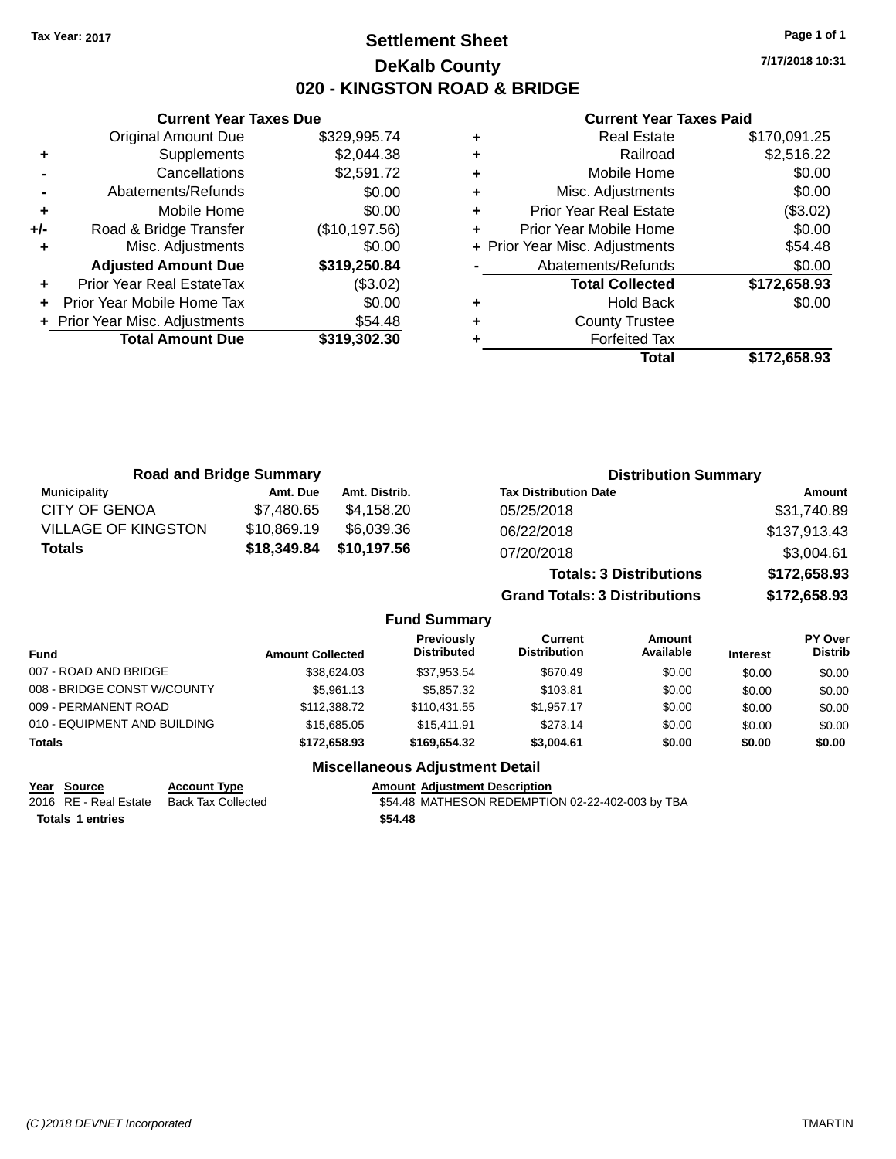# **Settlement Sheet Tax Year: 2017 Page 1 of 1 DeKalb County 020 - KINGSTON ROAD & BRIDGE**

**7/17/2018 10:31**

#### **Current Year Taxes Paid**

|     | <b>Current Year Taxes Due</b>  |               |
|-----|--------------------------------|---------------|
|     | <b>Original Amount Due</b>     | \$329,995.74  |
| ٠   | Supplements                    | \$2,044.38    |
|     | Cancellations                  | \$2,591.72    |
|     | Abatements/Refunds             | \$0.00        |
| ٠   | Mobile Home                    | \$0.00        |
| +/- | Road & Bridge Transfer         | (\$10,197.56) |
| ٠   | Misc. Adjustments              | \$0.00        |
|     | <b>Adjusted Amount Due</b>     | \$319,250.84  |
|     | Prior Year Real EstateTax      | (\$3.02)      |
| ٠   | Prior Year Mobile Home Tax     | \$0.00        |
|     | + Prior Year Misc. Adjustments | \$54.48       |
|     | <b>Total Amount Due</b>        | \$319,302.30  |
|     |                                |               |

| \$2,516.22<br>Railroad<br>÷<br>\$0.00<br>Mobile Home<br>٠<br>\$0.00<br>Misc. Adjustments<br>٠<br>(\$3.02)<br><b>Prior Year Real Estate</b><br>٠<br>\$0.00<br>Prior Year Mobile Home<br>\$54.48<br>+ Prior Year Misc. Adjustments<br>\$0.00<br>Abatements/Refunds<br>\$172,658.93<br><b>Total Collected</b><br>\$0.00<br><b>Hold Back</b><br>٠<br><b>County Trustee</b><br>٠<br><b>Forfeited Tax</b><br>Total<br>\$172.658.93 | <b>Real Estate</b> | \$170,091.25 |
|------------------------------------------------------------------------------------------------------------------------------------------------------------------------------------------------------------------------------------------------------------------------------------------------------------------------------------------------------------------------------------------------------------------------------|--------------------|--------------|
|                                                                                                                                                                                                                                                                                                                                                                                                                              |                    |              |
|                                                                                                                                                                                                                                                                                                                                                                                                                              |                    |              |
|                                                                                                                                                                                                                                                                                                                                                                                                                              |                    |              |
|                                                                                                                                                                                                                                                                                                                                                                                                                              |                    |              |
|                                                                                                                                                                                                                                                                                                                                                                                                                              |                    |              |
|                                                                                                                                                                                                                                                                                                                                                                                                                              |                    |              |
|                                                                                                                                                                                                                                                                                                                                                                                                                              |                    |              |
|                                                                                                                                                                                                                                                                                                                                                                                                                              |                    |              |
|                                                                                                                                                                                                                                                                                                                                                                                                                              |                    |              |
|                                                                                                                                                                                                                                                                                                                                                                                                                              |                    |              |
|                                                                                                                                                                                                                                                                                                                                                                                                                              |                    |              |
|                                                                                                                                                                                                                                                                                                                                                                                                                              |                    |              |

| <b>Road and Bridge Summary</b> |             |               | <b>Distribution Summary</b>    |              |  |
|--------------------------------|-------------|---------------|--------------------------------|--------------|--|
| <b>Municipality</b>            | Amt. Due    | Amt. Distrib. | <b>Tax Distribution Date</b>   | Amount       |  |
| <b>CITY OF GENOA</b>           | \$7.480.65  | \$4.158.20    | 05/25/2018                     | \$31,740.89  |  |
| <b>VILLAGE OF KINGSTON</b>     | \$10,869.19 | \$6,039.36    | 06/22/2018                     | \$137,913.43 |  |
| <b>Totals</b>                  | \$18,349.84 | \$10,197.56   | 07/20/2018                     | \$3,004.61   |  |
|                                |             |               | <b>Totals: 3 Distributions</b> | \$172,658.93 |  |

**Grand Totals: 3 Distributions \$172,658.93**

### **Fund Summary**

| <b>Fund</b>                  | <b>Amount Collected</b> | <b>Previously</b><br><b>Distributed</b> | Current<br><b>Distribution</b> | Amount<br>Available | <b>Interest</b> | PY Over<br><b>Distrib</b> |
|------------------------------|-------------------------|-----------------------------------------|--------------------------------|---------------------|-----------------|---------------------------|
| 007 - ROAD AND BRIDGE        | \$38,624.03             | \$37.953.54                             | \$670.49                       | \$0.00              | \$0.00          | \$0.00                    |
| 008 - BRIDGE CONST W/COUNTY  | \$5,961.13              | \$5,857,32                              | \$103.81                       | \$0.00              | \$0.00          | \$0.00                    |
| 009 - PERMANENT ROAD         | \$112,388.72            | \$110.431.55                            | \$1.957.17                     | \$0.00              | \$0.00          | \$0.00                    |
| 010 - EQUIPMENT AND BUILDING | \$15,685,05             | \$15,411.91                             | \$273.14                       | \$0.00              | \$0.00          | \$0.00                    |
| <b>Totals</b>                | \$172,658,93            | \$169.654.32                            | \$3,004.61                     | \$0.00              | \$0.00          | \$0.00                    |

### **Miscellaneous Adjustment Detail**

**Year Source Account Type Account Adjustment Description** 

**Totals \$54.48 1 entries**

2016 RE - Real Estate Back Tax Collected **554.48 MATHESON REDEMPTION 02-22-402-003 by TBA**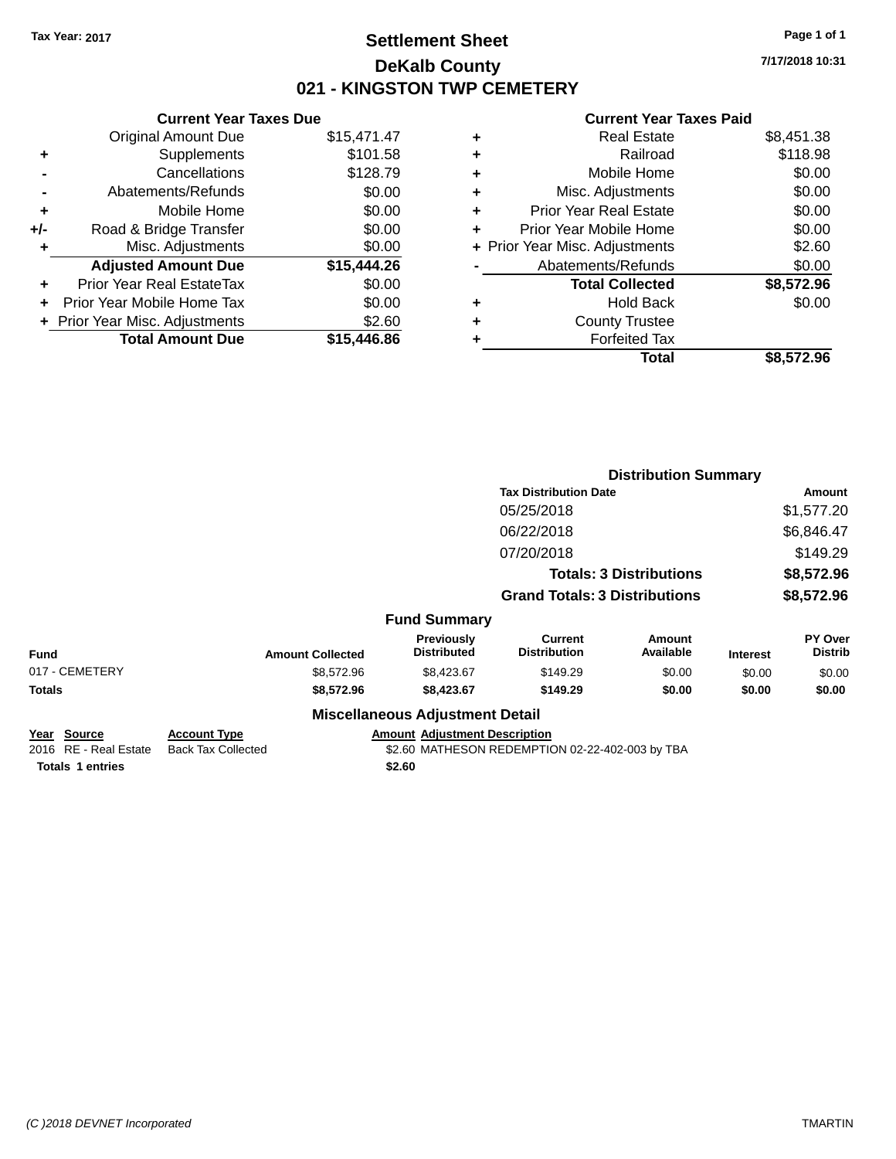# **Settlement Sheet Tax Year: 2017 Page 1 of 1 DeKalb County 021 - KINGSTON TWP CEMETERY**

**7/17/2018 10:31**

|       | <b>Current Year Taxes Due</b>  |             |
|-------|--------------------------------|-------------|
|       | Original Amount Due            | \$15,471.47 |
| ٠     | Supplements                    | \$101.58    |
|       | Cancellations                  | \$128.79    |
|       | Abatements/Refunds             | \$0.00      |
| ÷     | Mobile Home                    | \$0.00      |
| $+/-$ | Road & Bridge Transfer         | \$0.00      |
| ٠     | Misc. Adjustments              | \$0.00      |
|       | <b>Adjusted Amount Due</b>     | \$15,444.26 |
| ÷     | Prior Year Real EstateTax      | \$0.00      |
|       | Prior Year Mobile Home Tax     | \$0.00      |
|       | + Prior Year Misc. Adjustments | \$2.60      |
|       | <b>Total Amount Due</b>        | \$15,446.86 |
|       |                                |             |

|   | <b>Real Estate</b>             | \$8,451.38 |
|---|--------------------------------|------------|
| ٠ | Railroad                       | \$118.98   |
| ٠ | Mobile Home                    | \$0.00     |
| ٠ | Misc. Adjustments              | \$0.00     |
| ٠ | <b>Prior Year Real Estate</b>  | \$0.00     |
| ٠ | Prior Year Mobile Home         | \$0.00     |
|   | + Prior Year Misc. Adjustments | \$2.60     |
|   | Abatements/Refunds             | \$0.00     |
|   | <b>Total Collected</b>         | \$8,572.96 |
| ٠ | <b>Hold Back</b>               | \$0.00     |
| ٠ | <b>County Trustee</b>          |            |
|   | <b>Forfeited Tax</b>           |            |
|   | Total                          | \$8,572.96 |
|   |                                |            |

|                                              |                                                  |                                        | <b>Distribution Summary</b>                     |                                |                 |                           |
|----------------------------------------------|--------------------------------------------------|----------------------------------------|-------------------------------------------------|--------------------------------|-----------------|---------------------------|
|                                              |                                                  |                                        | <b>Tax Distribution Date</b>                    |                                |                 | Amount                    |
|                                              |                                                  |                                        | 05/25/2018                                      |                                |                 | \$1,577.20                |
|                                              |                                                  |                                        | 06/22/2018                                      |                                |                 | \$6,846.47                |
|                                              |                                                  |                                        | 07/20/2018                                      |                                |                 | \$149.29                  |
|                                              |                                                  |                                        |                                                 | <b>Totals: 3 Distributions</b> |                 | \$8,572.96                |
|                                              |                                                  |                                        | <b>Grand Totals: 3 Distributions</b>            |                                |                 | \$8,572.96                |
|                                              |                                                  | <b>Fund Summary</b>                    |                                                 |                                |                 |                           |
| <b>Fund</b>                                  | <b>Amount Collected</b>                          | Previously<br><b>Distributed</b>       | <b>Current</b><br><b>Distribution</b>           | Amount<br>Available            | <b>Interest</b> | PY Over<br><b>Distrib</b> |
| 017 - CEMETERY                               | \$8,572.96                                       | \$8,423.67                             | \$149.29                                        | \$0.00                         | \$0.00          | \$0.00                    |
| Totals                                       | \$8,572.96                                       | \$8,423.67                             | \$149.29                                        | \$0.00                         | \$0.00          | \$0.00                    |
|                                              |                                                  | <b>Miscellaneous Adjustment Detail</b> |                                                 |                                |                 |                           |
| <u> Year Source</u><br>2016 RE - Real Estate | <b>Account Type</b><br><b>Back Tax Collected</b> | <b>Amount Adjustment Description</b>   | \$2.60 MATHESON REDEMPTION 02-22-402-003 by TBA |                                |                 |                           |
| <b>Totals 1 entries</b>                      |                                                  | \$2.60                                 |                                                 |                                |                 |                           |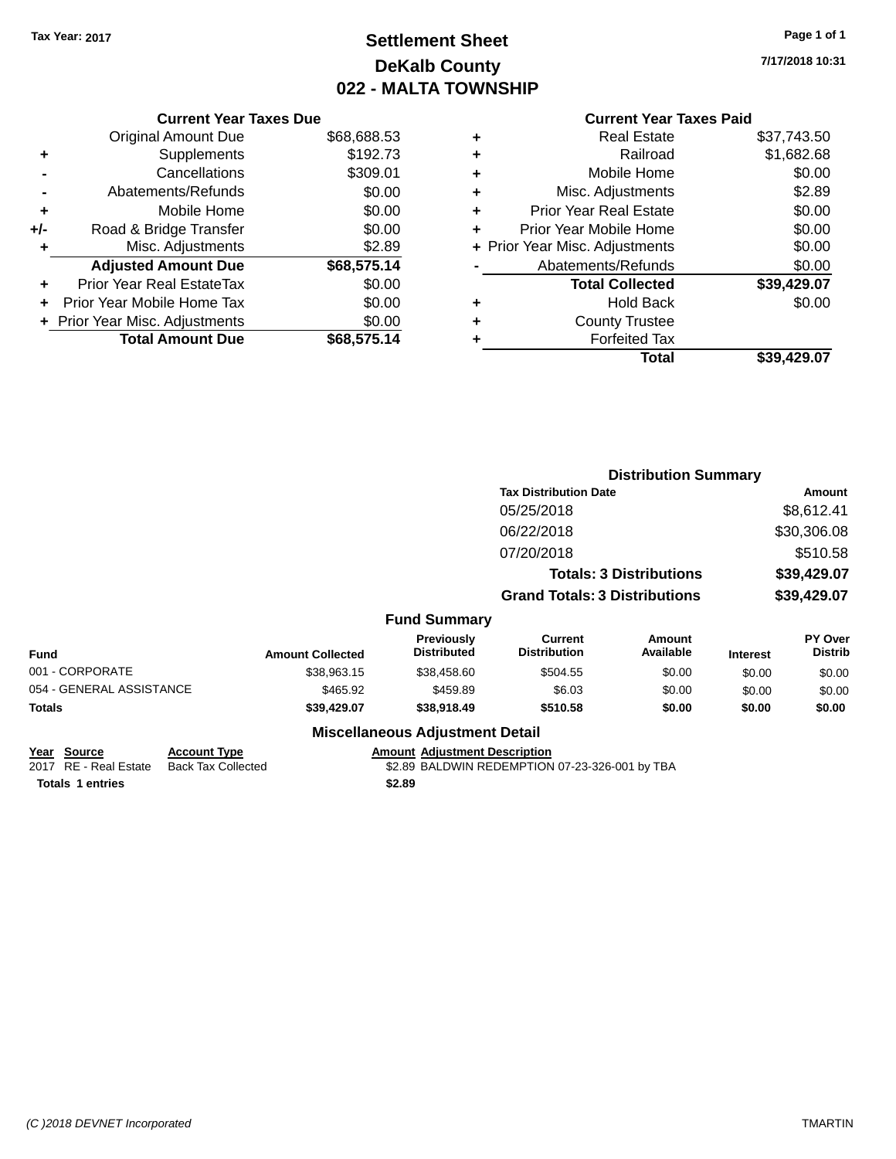# **Settlement Sheet Tax Year: 2017 Page 1 of 1 DeKalb County 022 - MALTA TOWNSHIP**

**7/17/2018 10:31**

|       | <b>Current Year Taxes Due</b>  |             |
|-------|--------------------------------|-------------|
|       | <b>Original Amount Due</b>     | \$68,688.53 |
|       | Supplements                    | \$192.73    |
|       | Cancellations                  | \$309.01    |
|       | Abatements/Refunds             | \$0.00      |
| ÷     | Mobile Home                    | \$0.00      |
| $+/-$ | Road & Bridge Transfer         | \$0.00      |
| ٠     | Misc. Adjustments              | \$2.89      |
|       | <b>Adjusted Amount Due</b>     | \$68,575.14 |
|       | Prior Year Real EstateTax      | \$0.00      |
|       | Prior Year Mobile Home Tax     | \$0.00      |
|       | + Prior Year Misc. Adjustments | \$0.00      |
|       | <b>Total Amount Due</b>        | \$68,575.14 |
|       |                                |             |

#### **Current Year Taxes Paid +** Real Estate \$37,743.50

|   | Total                          | \$39,429.07 |
|---|--------------------------------|-------------|
| ٠ | <b>Forfeited Tax</b>           |             |
| ٠ | <b>County Trustee</b>          |             |
| ٠ | <b>Hold Back</b>               | \$0.00      |
|   | <b>Total Collected</b>         | \$39,429.07 |
|   | Abatements/Refunds             | \$0.00      |
|   | + Prior Year Misc. Adjustments | \$0.00      |
| ٠ | Prior Year Mobile Home         | \$0.00      |
| ٠ | <b>Prior Year Real Estate</b>  | \$0.00      |
| ٠ | Misc. Adjustments              | \$2.89      |
| ٠ | Mobile Home                    | \$0.00      |
| ÷ | Railroad                       | \$1,682.68  |
| Ŧ | NGAI ESIAIG                    | JU., 140.UU |

|                          |                         |                                  |                                       | <b>Distribution Summary</b>    |                 |                           |
|--------------------------|-------------------------|----------------------------------|---------------------------------------|--------------------------------|-----------------|---------------------------|
|                          |                         |                                  | <b>Tax Distribution Date</b>          |                                |                 | Amount                    |
|                          |                         |                                  | 05/25/2018                            |                                |                 | \$8,612.41                |
|                          |                         |                                  | 06/22/2018                            |                                |                 | \$30,306.08               |
|                          |                         |                                  | 07/20/2018                            |                                |                 | \$510.58                  |
|                          |                         |                                  |                                       | <b>Totals: 3 Distributions</b> |                 | \$39,429.07               |
|                          |                         |                                  | <b>Grand Totals: 3 Distributions</b>  |                                |                 | \$39,429.07               |
|                          |                         | <b>Fund Summary</b>              |                                       |                                |                 |                           |
| <b>Fund</b>              | <b>Amount Collected</b> | Previously<br><b>Distributed</b> | <b>Current</b><br><b>Distribution</b> | <b>Amount</b><br>Available     | <b>Interest</b> | PY Over<br><b>Distrib</b> |
| 001 - CORPORATE          | \$38,963.15             | \$38,458.60                      | \$504.55                              | \$0.00                         | \$0.00          | \$0.00                    |
| 054 - GENERAL ASSISTANCE | \$465.92                | \$459.89                         | \$6.03                                | \$0.00                         | \$0.00          | \$0.00                    |
| <b>Totals</b>            | \$39,429.07             | \$38,918.49                      | \$510.58                              | \$0.00                         | \$0.00          | \$0.00                    |
|                          |                         |                                  |                                       |                                |                 |                           |

### **Miscellaneous Adjustment Detail**

| Year Source             | <b>Account Type</b> | Amount |
|-------------------------|---------------------|--------|
| 2017 RE - Real Estate   | Back Tax Collected  | \$2.89 |
| <b>Totals 1 entries</b> |                     | \$2.89 |

**Amount Adjustment Description** 

\$2.89 BALDWIN REDEMPTION 07-23-326-001 by TBA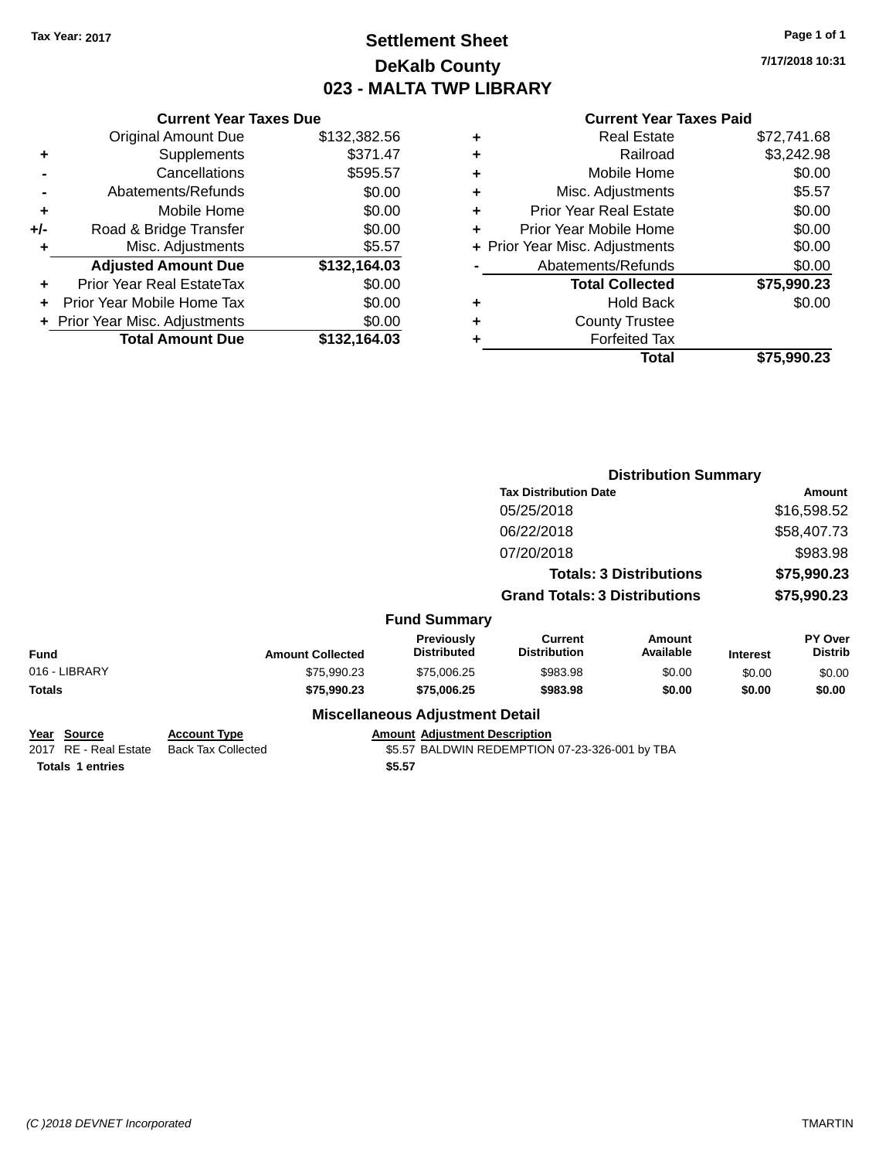# **Settlement Sheet Tax Year: 2017 Page 1 of 1 DeKalb County 023 - MALTA TWP LIBRARY**

**7/17/2018 10:31**

|       | <b>Current Year Taxes Due</b>  |              |
|-------|--------------------------------|--------------|
|       | <b>Original Amount Due</b>     | \$132,382.56 |
| ٠     | Supplements                    | \$371.47     |
|       | Cancellations                  | \$595.57     |
|       | Abatements/Refunds             | \$0.00       |
| ٠     | Mobile Home                    | \$0.00       |
| $+/-$ | Road & Bridge Transfer         | \$0.00       |
|       | Misc. Adjustments              | \$5.57       |
|       | <b>Adjusted Amount Due</b>     | \$132,164.03 |
| ٠     | Prior Year Real EstateTax      | \$0.00       |
|       | Prior Year Mobile Home Tax     | \$0.00       |
|       | + Prior Year Misc. Adjustments | \$0.00       |
|       | <b>Total Amount Due</b>        | \$132,164.03 |
|       |                                |              |

|   | <b>Real Estate</b>             | \$72,741.68 |
|---|--------------------------------|-------------|
| ٠ | Railroad                       | \$3,242.98  |
| ٠ | Mobile Home                    | \$0.00      |
| ٠ | Misc. Adjustments              | \$5.57      |
| ٠ | <b>Prior Year Real Estate</b>  | \$0.00      |
| ٠ | Prior Year Mobile Home         | \$0.00      |
|   | + Prior Year Misc. Adjustments | \$0.00      |
|   | Abatements/Refunds             | \$0.00      |
|   | <b>Total Collected</b>         | \$75,990.23 |
| ٠ | <b>Hold Back</b>               | \$0.00      |
|   | <b>County Trustee</b>          |             |
| ٠ | <b>Forfeited Tax</b>           |             |
|   | Total                          | \$75,990.23 |
|   |                                |             |

|                                      |                                                  |                                        | <b>Distribution Summary</b>                    |                                |                 |                           |
|--------------------------------------|--------------------------------------------------|----------------------------------------|------------------------------------------------|--------------------------------|-----------------|---------------------------|
|                                      |                                                  |                                        | <b>Tax Distribution Date</b>                   |                                |                 | <b>Amount</b>             |
|                                      |                                                  |                                        | 05/25/2018                                     |                                |                 | \$16,598.52               |
|                                      |                                                  |                                        | 06/22/2018                                     |                                |                 | \$58,407.73               |
|                                      |                                                  |                                        | 07/20/2018                                     |                                |                 | \$983.98                  |
|                                      |                                                  |                                        |                                                | <b>Totals: 3 Distributions</b> |                 | \$75,990.23               |
|                                      |                                                  |                                        | <b>Grand Totals: 3 Distributions</b>           |                                |                 | \$75,990.23               |
|                                      |                                                  | <b>Fund Summary</b>                    |                                                |                                |                 |                           |
| <b>Fund</b>                          | <b>Amount Collected</b>                          | Previously<br><b>Distributed</b>       | <b>Current</b><br><b>Distribution</b>          | Amount<br>Available            | <b>Interest</b> | PY Over<br><b>Distrib</b> |
| 016 - LIBRARY                        | \$75,990.23                                      | \$75,006.25                            | \$983.98                                       | \$0.00                         | \$0.00          | \$0.00                    |
| Totals                               | \$75,990.23                                      | \$75,006.25                            | \$983.98                                       | \$0.00                         | \$0.00          | \$0.00                    |
|                                      |                                                  | <b>Miscellaneous Adjustment Detail</b> |                                                |                                |                 |                           |
| Year Source<br>2017 RE - Real Estate | <b>Account Type</b><br><b>Back Tax Collected</b> | <b>Amount Adjustment Description</b>   | \$5.57 BALDWIN REDEMPTION 07-23-326-001 by TBA |                                |                 |                           |
| <b>Totals 1 entries</b>              |                                                  | \$5.57                                 |                                                |                                |                 |                           |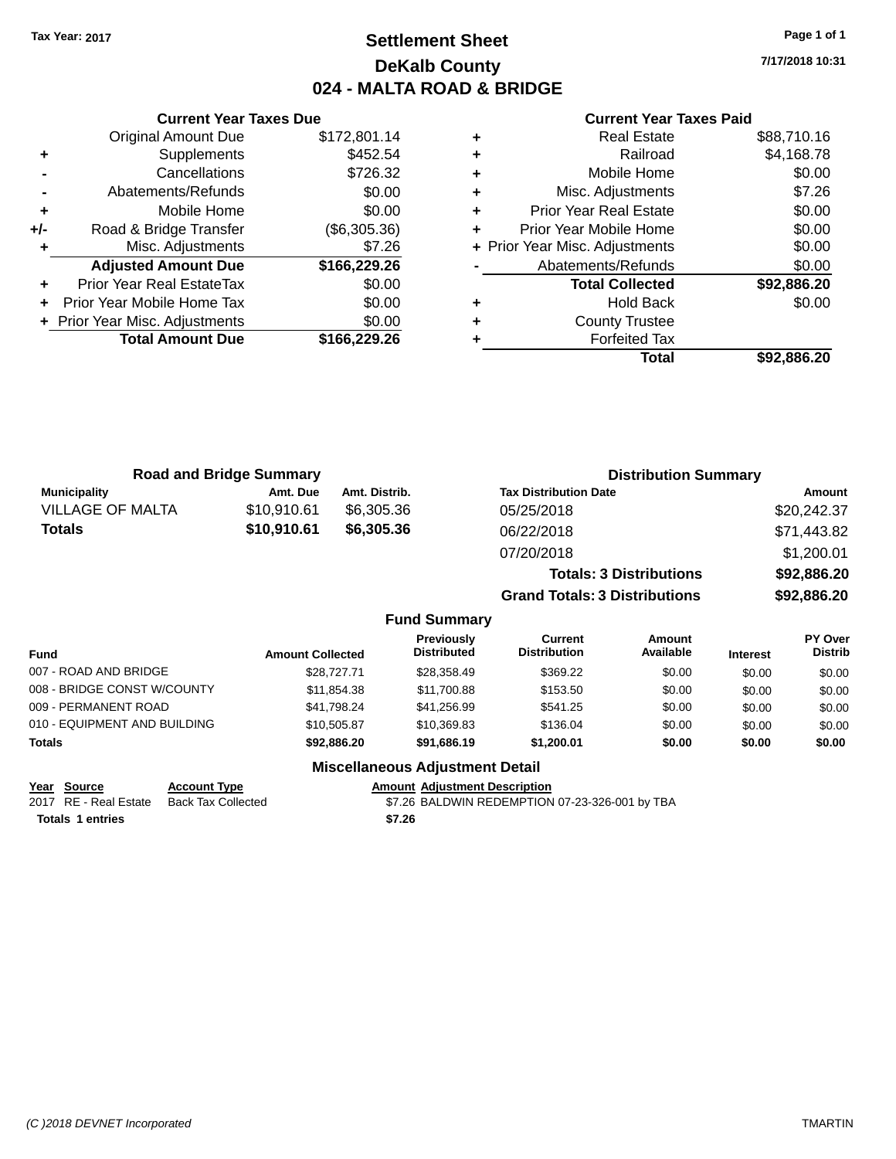# **Settlement Sheet Tax Year: 2017 Page 1 of 1 DeKalb County 024 - MALTA ROAD & BRIDGE**

**7/17/2018 10:31**

|     | <b>Current Year Taxes Due</b>  |              |
|-----|--------------------------------|--------------|
|     | <b>Original Amount Due</b>     | \$172,801.14 |
| ٠   | Supplements                    | \$452.54     |
|     | Cancellations                  | \$726.32     |
|     | Abatements/Refunds             | \$0.00       |
| ٠   | Mobile Home                    | \$0.00       |
| +/- | Road & Bridge Transfer         | (\$6,305.36) |
| ٠   | Misc. Adjustments              | \$7.26       |
|     | <b>Adjusted Amount Due</b>     | \$166,229.26 |
| ٠   | Prior Year Real EstateTax      | \$0.00       |
|     | Prior Year Mobile Home Tax     | \$0.00       |
|     | + Prior Year Misc. Adjustments | \$0.00       |
|     | <b>Total Amount Due</b>        | \$166,229.26 |
|     |                                |              |

# **Current Year Taxes Paid**

|   | <b>Real Estate</b>             | \$88,710.16 |
|---|--------------------------------|-------------|
| ٠ | Railroad                       | \$4,168.78  |
| ٠ | Mobile Home                    | \$0.00      |
| ٠ | Misc. Adjustments              | \$7.26      |
| ÷ | <b>Prior Year Real Estate</b>  | \$0.00      |
| ٠ | Prior Year Mobile Home         | \$0.00      |
|   | + Prior Year Misc. Adjustments | \$0.00      |
|   | Abatements/Refunds             | \$0.00      |
|   | <b>Total Collected</b>         | \$92,886.20 |
| ٠ | Hold Back                      | \$0.00      |
| ٠ | <b>County Trustee</b>          |             |
|   | <b>Forfeited Tax</b>           |             |
|   | Total                          | \$92,886.20 |
|   |                                |             |

| <b>Road and Bridge Summary</b> |             |               | <b>Distribution Summary</b>    |             |  |
|--------------------------------|-------------|---------------|--------------------------------|-------------|--|
| <b>Municipality</b>            | Amt. Due    | Amt. Distrib. | <b>Tax Distribution Date</b>   | Amount      |  |
| <b>VILLAGE OF MALTA</b>        | \$10,910.61 | \$6,305,36    | 05/25/2018                     | \$20,242.37 |  |
| \$10,910.61<br><b>Totals</b>   |             | \$6,305.36    | 06/22/2018                     | \$71,443.82 |  |
|                                |             |               | 07/20/2018                     | \$1,200.01  |  |
|                                |             |               | <b>Totals: 3 Distributions</b> | \$92,886.20 |  |

**Grand Totals: 3 Distributions \$92,886.20**

### **Fund Summary**

| <b>Fund</b>                  | <b>Amount Collected</b> | <b>Previously</b><br><b>Distributed</b> | Current<br><b>Distribution</b> | Amount<br>Available | <b>Interest</b> | PY Over<br><b>Distrib</b> |
|------------------------------|-------------------------|-----------------------------------------|--------------------------------|---------------------|-----------------|---------------------------|
| 007 - ROAD AND BRIDGE        | \$28,727.71             | \$28,358.49                             | \$369.22                       | \$0.00              | \$0.00          | \$0.00                    |
| 008 - BRIDGE CONST W/COUNTY  | \$11.854.38             | \$11.700.88                             | \$153.50                       | \$0.00              | \$0.00          | \$0.00                    |
| 009 - PERMANENT ROAD         | \$41.798.24             | \$41.256.99                             | \$541.25                       | \$0.00              | \$0.00          | \$0.00                    |
| 010 - EQUIPMENT AND BUILDING | \$10,505.87             | \$10.369.83                             | \$136.04                       | \$0.00              | \$0.00          | \$0.00                    |
| <b>Totals</b>                | \$92,886,20             | \$91.686.19                             | \$1,200.01                     | \$0.00              | \$0.00          | \$0.00                    |

### **Miscellaneous Adjustment Detail**

#### **Year Source Account Type Account Adjustment Description**

2017 RE - Real Estate Back Tax Collected **37.26 BALDWIN REDEMPTION 07-23-326-001 by TBA Totals \$7.26 1 entries**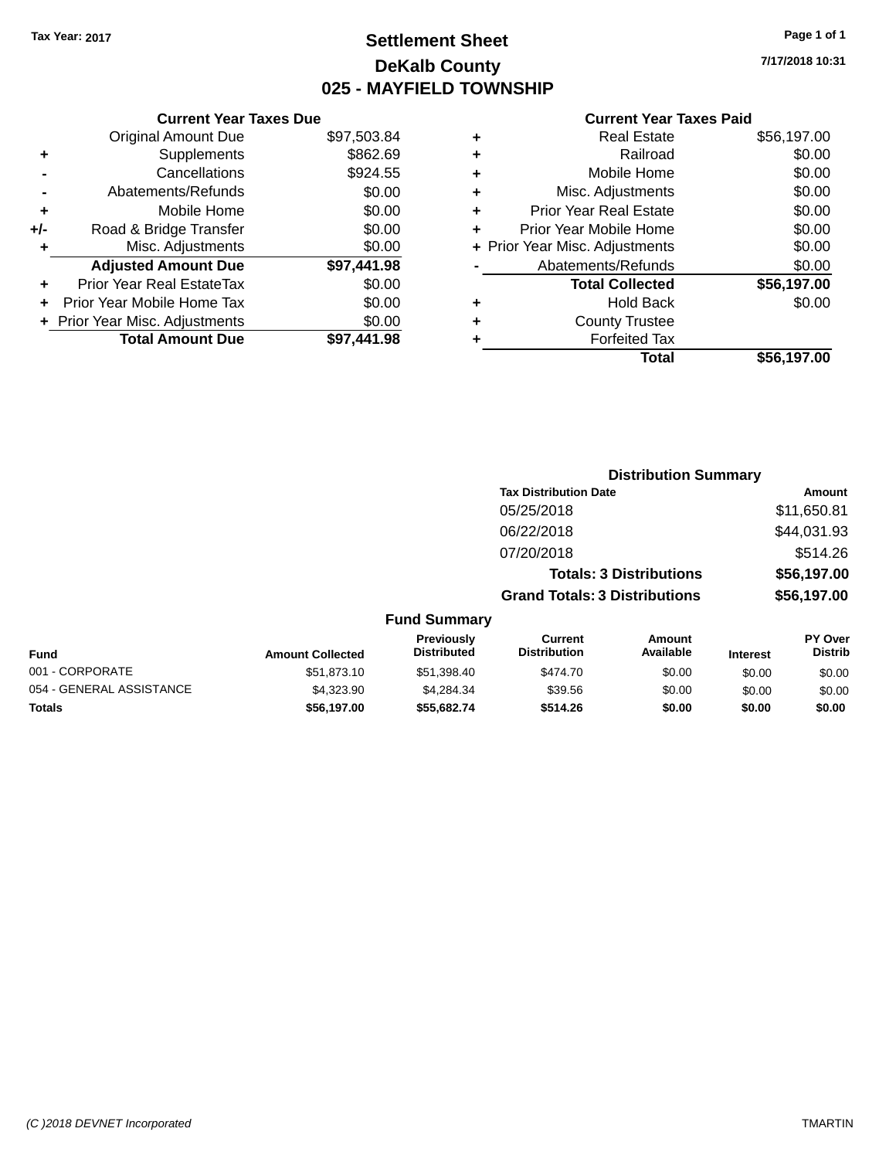# **Settlement Sheet Tax Year: 2017 Page 1 of 1 DeKalb County 025 - MAYFIELD TOWNSHIP**

**7/17/2018 10:31**

|       | <b>Current Year Taxes Due</b>  |             |
|-------|--------------------------------|-------------|
|       | <b>Original Amount Due</b>     | \$97,503.84 |
| ٠     | Supplements                    | \$862.69    |
|       | Cancellations                  | \$924.55    |
|       | Abatements/Refunds             | \$0.00      |
| ٠     | Mobile Home                    | \$0.00      |
| $+/-$ | Road & Bridge Transfer         | \$0.00      |
|       | Misc. Adjustments              | \$0.00      |
|       | <b>Adjusted Amount Due</b>     | \$97,441.98 |
| ٠     | Prior Year Real EstateTax      | \$0.00      |
|       | Prior Year Mobile Home Tax     | \$0.00      |
|       | + Prior Year Misc. Adjustments | \$0.00      |
|       | <b>Total Amount Due</b>        | \$97.441.98 |
|       |                                |             |

|   | <b>Real Estate</b>             | \$56,197.00 |
|---|--------------------------------|-------------|
| ٠ | Railroad                       | \$0.00      |
| ٠ | Mobile Home                    | \$0.00      |
| ٠ | Misc. Adjustments              | \$0.00      |
| ٠ | <b>Prior Year Real Estate</b>  | \$0.00      |
| ٠ | Prior Year Mobile Home         | \$0.00      |
|   | + Prior Year Misc. Adjustments | \$0.00      |
|   | Abatements/Refunds             | \$0.00      |
|   | <b>Total Collected</b>         | \$56,197.00 |
| ٠ | <b>Hold Back</b>               | \$0.00      |
|   | <b>County Trustee</b>          |             |
| ٠ | <b>Forfeited Tax</b>           |             |
|   | Total                          | \$56,197.00 |
|   |                                |             |

|                     |                                      | <b>Distribution Summary</b>    |                |
|---------------------|--------------------------------------|--------------------------------|----------------|
|                     | <b>Tax Distribution Date</b>         |                                | Amount         |
|                     | 05/25/2018                           |                                | \$11,650.81    |
|                     | 06/22/2018                           |                                | \$44,031.93    |
|                     | 07/20/2018                           |                                | \$514.26       |
|                     |                                      | <b>Totals: 3 Distributions</b> | \$56,197.00    |
|                     | <b>Grand Totals: 3 Distributions</b> |                                | \$56,197.00    |
| <b>Fund Summary</b> |                                      |                                |                |
| Previously          | Current                              | Amount                         | <b>PY Over</b> |

| Fund                     | <b>Amount Collected</b> | <b>Previously</b><br><b>Distributed</b> | Current<br><b>Distribution</b> | Amount<br>Available | <b>Interest</b> | <b>PY Over</b><br><b>Distrib</b> |
|--------------------------|-------------------------|-----------------------------------------|--------------------------------|---------------------|-----------------|----------------------------------|
| 001 - CORPORATE          | \$51.873.10             | \$51.398.40                             | \$474.70                       | \$0.00              | \$0.00          | \$0.00                           |
| 054 - GENERAL ASSISTANCE | \$4,323.90              | \$4.284.34                              | \$39.56                        | \$0.00              | \$0.00          | \$0.00                           |
| Totals                   | \$56,197.00             | \$55,682,74                             | \$514.26                       | \$0.00              | \$0.00          | \$0.00                           |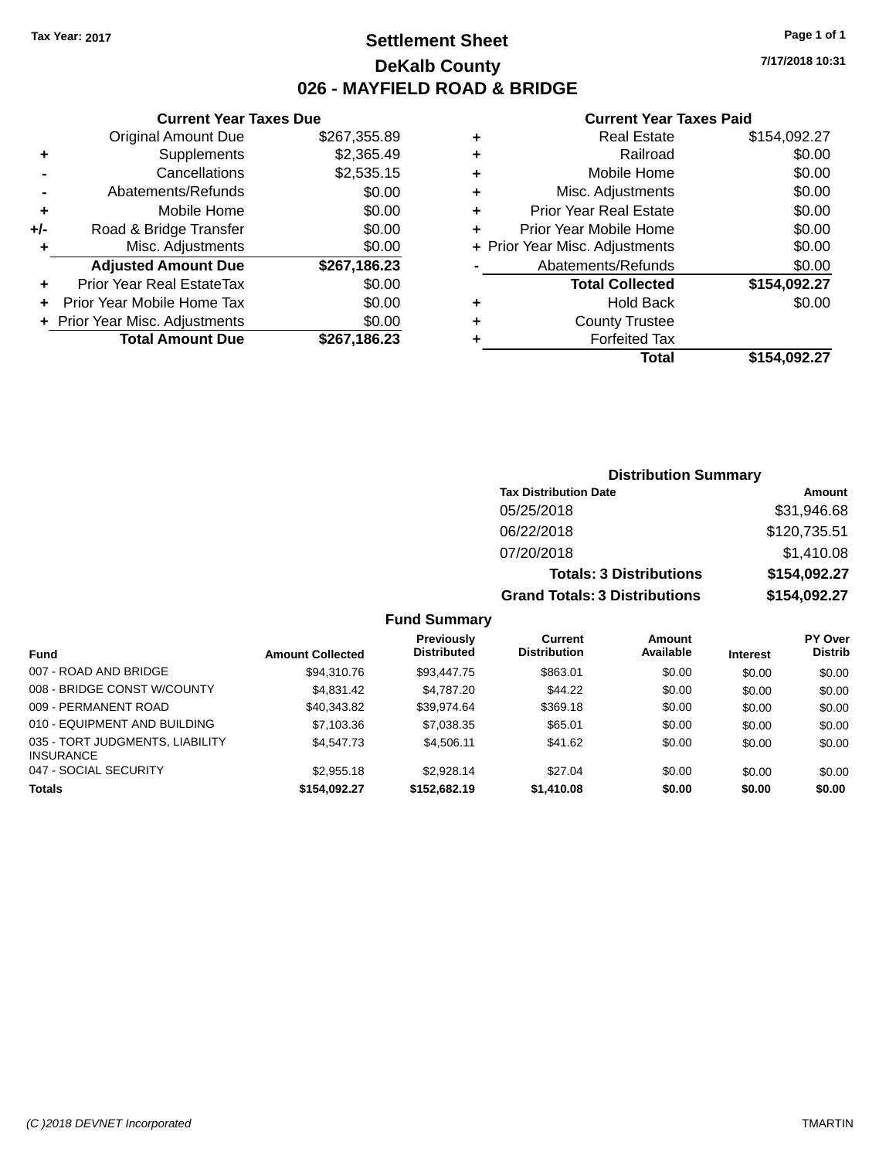**Current Year Taxes Due**

# **Settlement Sheet Tax Year: 2017 Page 1 of 1 DeKalb County 026 - MAYFIELD ROAD & BRIDGE**

**7/17/2018 10:31**

#### **Current Year Taxes Paid**

|     | OGIIGIIL IGAI IGAGO DUG        |              |   | OGNONI IVAI IGAVJI GIV         |              |  |
|-----|--------------------------------|--------------|---|--------------------------------|--------------|--|
|     | Original Amount Due            | \$267,355.89 | ٠ | <b>Real Estate</b>             | \$154,092.27 |  |
| ٠   | Supplements                    | \$2,365.49   |   | Railroad                       | \$0.00       |  |
|     | Cancellations                  | \$2,535.15   |   | Mobile Home                    | \$0.00       |  |
|     | Abatements/Refunds             | \$0.00       | ٠ | Misc. Adjustments              | \$0.00       |  |
| ٠   | Mobile Home                    | \$0.00       |   | <b>Prior Year Real Estate</b>  | \$0.00       |  |
| +/- | Road & Bridge Transfer         | \$0.00       |   | Prior Year Mobile Home         | \$0.00       |  |
|     | Misc. Adjustments              | \$0.00       |   | + Prior Year Misc. Adjustments | \$0.00       |  |
|     | <b>Adjusted Amount Due</b>     | \$267,186.23 |   | Abatements/Refunds             | \$0.00       |  |
| ÷.  | Prior Year Real EstateTax      | \$0.00       |   | <b>Total Collected</b>         | \$154,092.27 |  |
| $+$ | Prior Year Mobile Home Tax     | \$0.00       |   | <b>Hold Back</b>               | \$0.00       |  |
|     | + Prior Year Misc. Adjustments | \$0.00       |   | <b>County Trustee</b>          |              |  |
|     | <b>Total Amount Due</b>        | \$267,186.23 |   | <b>Forfeited Tax</b>           |              |  |
|     |                                |              |   | <b>Total</b>                   | \$154,092.27 |  |

| <b>Distribution Summary</b>          |              |
|--------------------------------------|--------------|
| <b>Tax Distribution Date</b>         | Amount       |
| 05/25/2018                           | \$31,946.68  |
| 06/22/2018                           | \$120,735.51 |
| 07/20/2018                           | \$1,410.08   |
| <b>Totals: 3 Distributions</b>       | \$154,092.27 |
| <b>Grand Totals: 3 Distributions</b> | \$154,092.27 |

**Fund Summary Fund Interest Amount Collected Distributed PY Over Distrib Amount Available Current Distribution Previously** 007 - ROAD AND BRIDGE \$94,310.76 \$93,447.75 \$863.01 \$0.00 \$0.00 \$0.00 008 - BRIDGE CONST W/COUNTY  $$4,831.42$   $$4,787.20$   $$44.22$   $$0.00$   $$0.00$   $$0.00$ 009 - PERMANENT ROAD \$40,343.82 \$39,974.64 \$369.18 \$0.00 \$0.00 \$0.00 \$0.00 \$0.00 \$0.00 \$ 010 - EQUIPMENT AND BUILDING \$7,103.36 \$7,038.35 \$65.01 \$0.00 \$0.00 \$0.00 \$0.00 035 - TORT JUDGMENTS, LIABILITY INSURANCE \$4,547.73 \$4,506.11 \$41.62 \$0.00 \$0.00 \$0.00 047 - SOCIAL SECURITY \$2,955.18 \$2,928.14 \$2.00 \$0.00 \$0.00 \$0.00 \$0.00 **Totals \$154,092.27 \$152,682.19 \$1,410.08 \$0.00 \$0.00 \$0.00**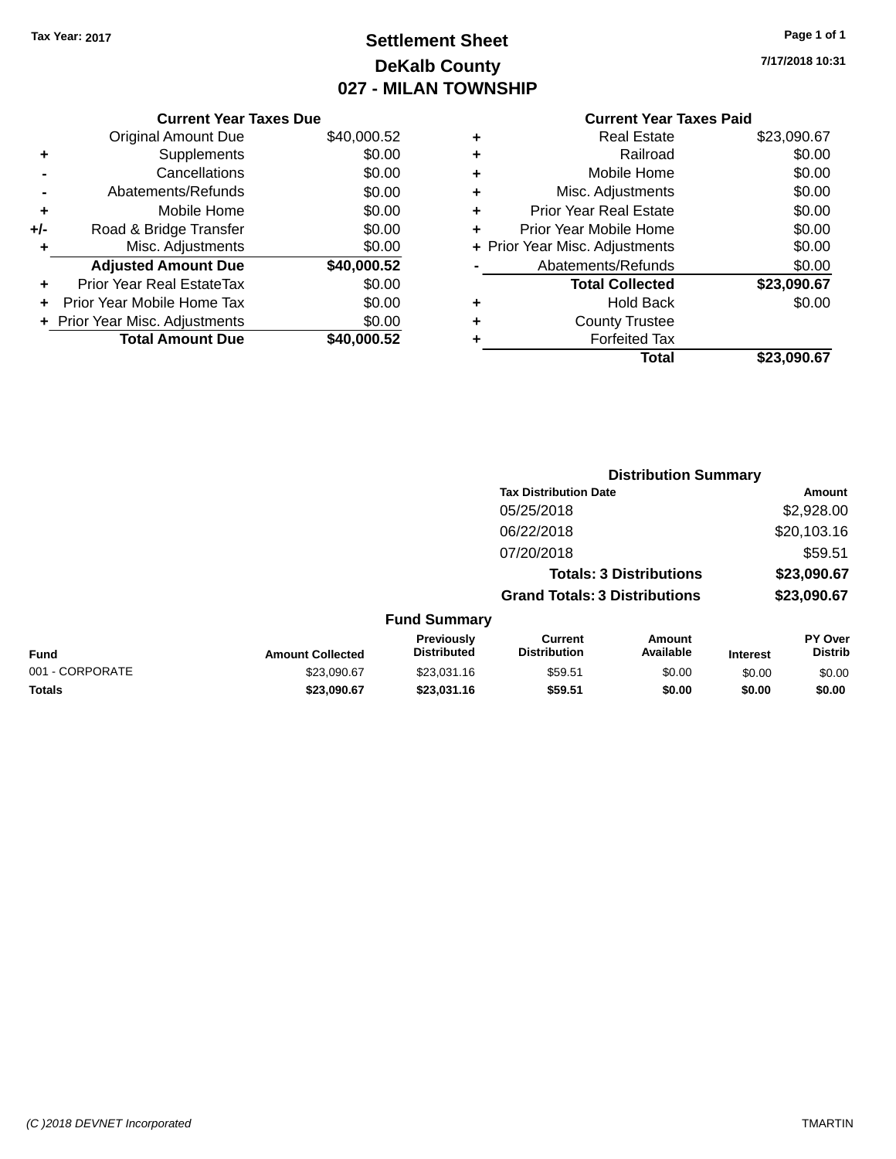# **Settlement Sheet Tax Year: 2017 Page 1 of 1 DeKalb County 027 - MILAN TOWNSHIP**

**7/17/2018 10:31**

### **Current Year Taxes Paid**

|     | <b>Current Year Taxes Due</b>  |             |
|-----|--------------------------------|-------------|
|     | <b>Original Amount Due</b>     | \$40,000.52 |
| ٠   | Supplements                    | \$0.00      |
|     | Cancellations                  | \$0.00      |
|     | Abatements/Refunds             | \$0.00      |
| ٠   | Mobile Home                    | \$0.00      |
| +/- | Road & Bridge Transfer         | \$0.00      |
| ٠   | Misc. Adjustments              | \$0.00      |
|     | <b>Adjusted Amount Due</b>     | \$40,000.52 |
| ÷   | Prior Year Real EstateTax      | \$0.00      |
|     | Prior Year Mobile Home Tax     | \$0.00      |
|     | + Prior Year Misc. Adjustments | \$0.00      |
|     | <b>Total Amount Due</b>        | \$40,000.52 |
|     |                                |             |

|   | <b>Real Estate</b>             | \$23,090.67 |
|---|--------------------------------|-------------|
| ٠ | Railroad                       | \$0.00      |
| ٠ | Mobile Home                    | \$0.00      |
| ٠ | Misc. Adjustments              | \$0.00      |
| ٠ | <b>Prior Year Real Estate</b>  | \$0.00      |
| ÷ | Prior Year Mobile Home         | \$0.00      |
|   | + Prior Year Misc. Adjustments | \$0.00      |
|   | Abatements/Refunds             | \$0.00      |
|   | <b>Total Collected</b>         | \$23,090.67 |
| ٠ | <b>Hold Back</b>               | \$0.00      |
|   | <b>County Trustee</b>          |             |
| ٠ | <b>Forfeited Tax</b>           |             |
|   | Total                          | \$23.090.67 |
|   |                                |             |

|                 |                         |                                  | <b>Distribution Summary</b>           |                                |                 |                                  |
|-----------------|-------------------------|----------------------------------|---------------------------------------|--------------------------------|-----------------|----------------------------------|
|                 |                         |                                  | <b>Tax Distribution Date</b>          |                                |                 | <b>Amount</b>                    |
|                 |                         |                                  | 05/25/2018                            |                                |                 | \$2,928.00                       |
|                 |                         |                                  | 06/22/2018                            |                                |                 | \$20,103.16                      |
|                 |                         |                                  | 07/20/2018                            |                                |                 | \$59.51                          |
|                 |                         |                                  |                                       | <b>Totals: 3 Distributions</b> |                 | \$23,090.67                      |
|                 |                         |                                  | <b>Grand Totals: 3 Distributions</b>  |                                |                 | \$23,090.67                      |
|                 |                         | <b>Fund Summary</b>              |                                       |                                |                 |                                  |
| Fund            | <b>Amount Collected</b> | Previously<br><b>Distributed</b> | <b>Current</b><br><b>Distribution</b> | Amount<br>Available            | <b>Interest</b> | <b>PY Over</b><br><b>Distrib</b> |
| 001 - CORPORATE | \$23,090.67             | \$23,031.16                      | \$59.51                               | \$0.00                         | \$0.00          | \$0.00                           |

**Totals \$23,090.67 \$23,031.16 \$59.51 \$0.00 \$0.00 \$0.00**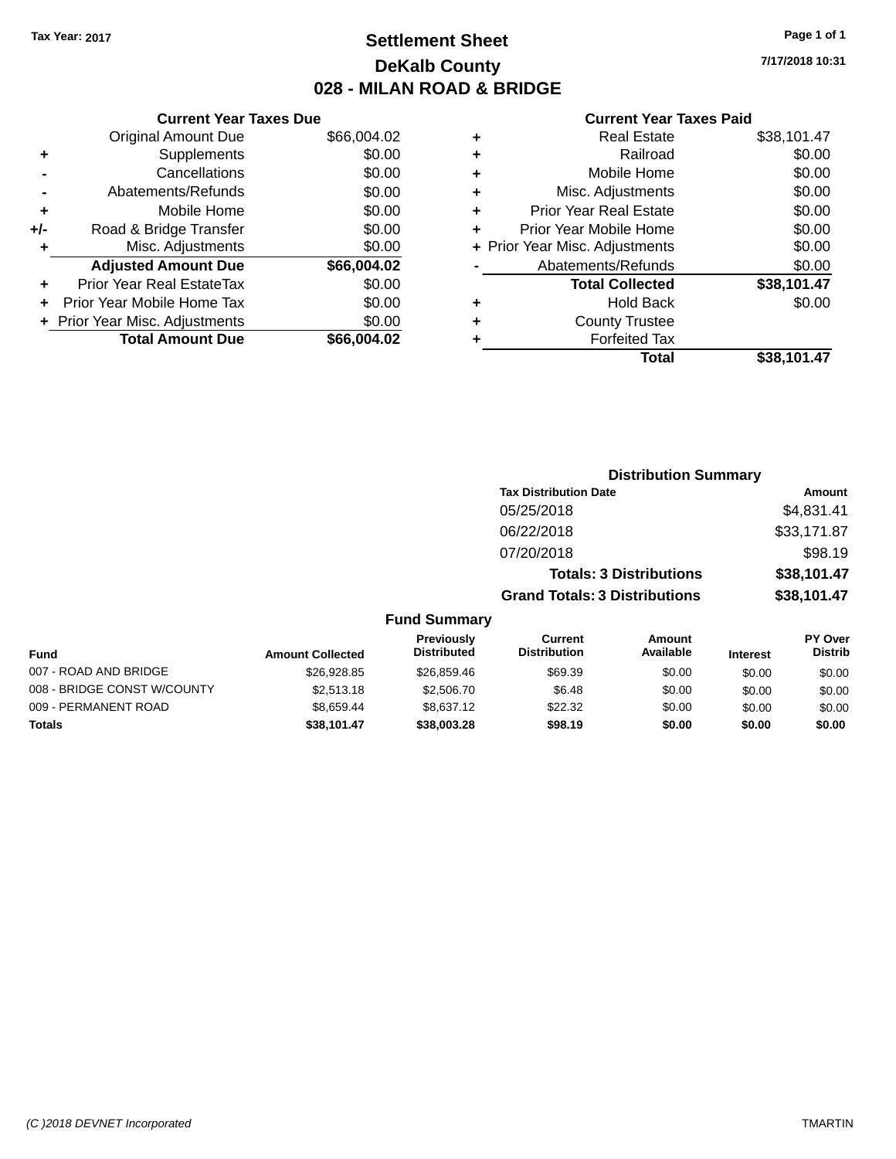# **Settlement Sheet Tax Year: 2017 Page 1 of 1 DeKalb County 028 - MILAN ROAD & BRIDGE**

**7/17/2018 10:31**

|     | <b>Current Year Taxes Due</b>  |             |  |
|-----|--------------------------------|-------------|--|
|     | <b>Original Amount Due</b>     | \$66,004.02 |  |
| ٠   | Supplements                    | \$0.00      |  |
|     | Cancellations                  | \$0.00      |  |
|     | Abatements/Refunds             | \$0.00      |  |
| ٠   | Mobile Home                    | \$0.00      |  |
| +/- | Road & Bridge Transfer         | \$0.00      |  |
| ٠   | Misc. Adjustments              | \$0.00      |  |
|     | <b>Adjusted Amount Due</b>     | \$66,004.02 |  |
| ٠   | Prior Year Real EstateTax      | \$0.00      |  |
|     | Prior Year Mobile Home Tax     | \$0.00      |  |
|     | + Prior Year Misc. Adjustments | \$0.00      |  |
|     | <b>Total Amount Due</b>        | \$66,004.02 |  |
|     |                                |             |  |

|   | <b>Real Estate</b>             | \$38,101.47 |
|---|--------------------------------|-------------|
| ٠ | Railroad                       | \$0.00      |
| ٠ | Mobile Home                    | \$0.00      |
| ٠ | Misc. Adjustments              | \$0.00      |
| ٠ | <b>Prior Year Real Estate</b>  | \$0.00      |
| ٠ | Prior Year Mobile Home         | \$0.00      |
|   | + Prior Year Misc. Adjustments | \$0.00      |
|   | Abatements/Refunds             | \$0.00      |
|   | <b>Total Collected</b>         | \$38,101.47 |
| ٠ | <b>Hold Back</b>               | \$0.00      |
| ٠ | <b>County Trustee</b>          |             |
| ٠ | <b>Forfeited Tax</b>           |             |
|   | Total                          | \$38,101.47 |
|   |                                |             |

|                  |                                         |                                       | <b>Distribution Summary</b>    |                 |                                  |
|------------------|-----------------------------------------|---------------------------------------|--------------------------------|-----------------|----------------------------------|
|                  |                                         | <b>Tax Distribution Date</b>          |                                |                 | Amount                           |
|                  |                                         | 05/25/2018                            |                                |                 | \$4,831.41                       |
|                  |                                         | 06/22/2018                            |                                |                 | \$33,171.87                      |
|                  |                                         | 07/20/2018                            |                                |                 | \$98.19                          |
|                  |                                         |                                       | <b>Totals: 3 Distributions</b> |                 | \$38,101.47                      |
|                  |                                         | <b>Grand Totals: 3 Distributions</b>  |                                |                 | \$38,101.47                      |
|                  | <b>Fund Summary</b>                     |                                       |                                |                 |                                  |
| <b>Collected</b> | <b>Previously</b><br><b>Distributed</b> | <b>Current</b><br><b>Distribution</b> | Amount<br><b>Available</b>     | <b>Interest</b> | <b>PY Over</b><br><b>Distrib</b> |

| <b>Fund</b>                 | <b>Amount Collected</b> | <b>Distributed</b> | <b>Distribution</b> | Available | <b>Interest</b> | <b>Distrib</b> |
|-----------------------------|-------------------------|--------------------|---------------------|-----------|-----------------|----------------|
| 007 - ROAD AND BRIDGE       | \$26.928.85             | \$26,859.46        | \$69.39             | \$0.00    | \$0.00          | \$0.00         |
| 008 - BRIDGE CONST W/COUNTY | \$2,513.18              | \$2,506.70         | \$6.48              | \$0.00    | \$0.00          | \$0.00         |
| 009 - PERMANENT ROAD        | \$8.659.44              | \$8.637.12         | \$22.32             | \$0.00    | \$0.00          | \$0.00         |
| <b>Totals</b>               | \$38.101.47             | \$38,003.28        | \$98.19             | \$0.00    | \$0.00          | \$0.00         |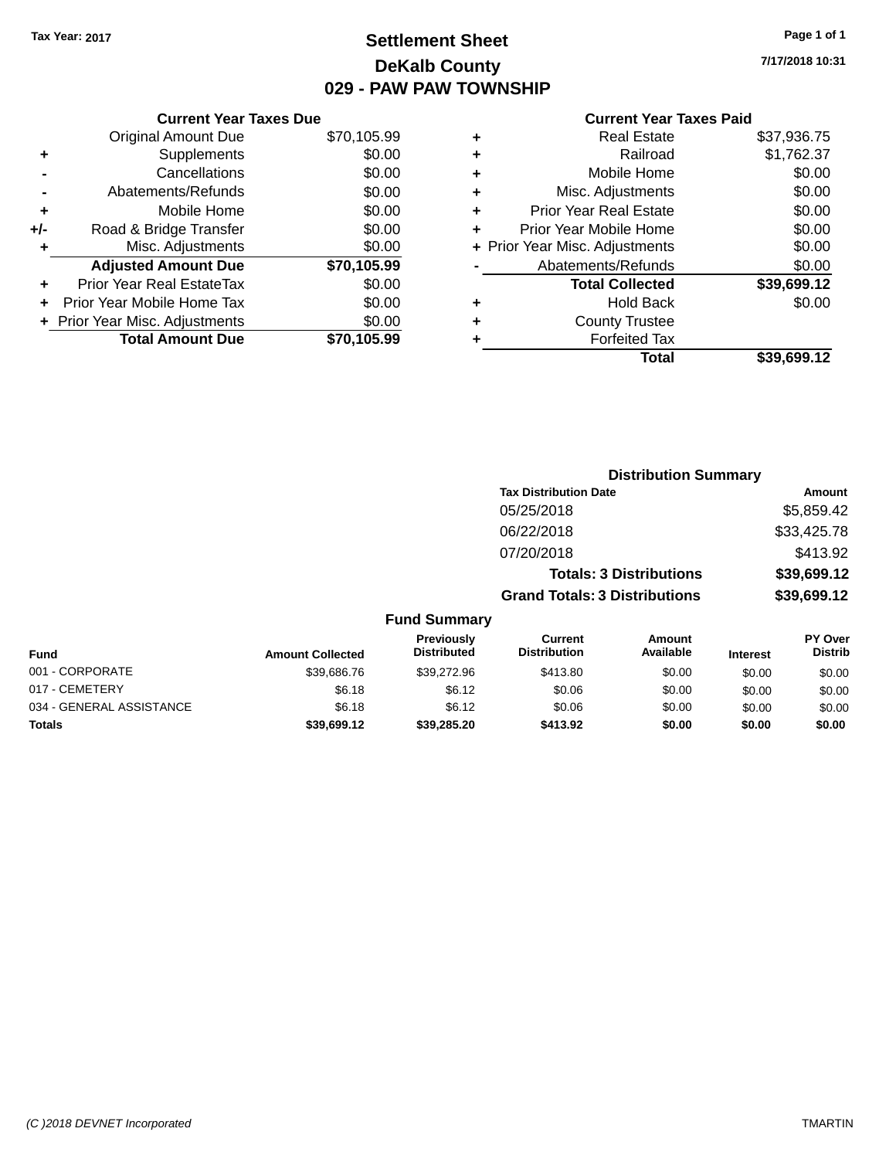# **Settlement Sheet Tax Year: 2017 Page 1 of 1 DeKalb County 029 - PAW PAW TOWNSHIP**

# **Current Year Taxes Due**

|     | <b>Original Amount Due</b>       | \$70,105.99 |
|-----|----------------------------------|-------------|
| ٠   | Supplements                      | \$0.00      |
|     | Cancellations                    | \$0.00      |
|     | Abatements/Refunds               | \$0.00      |
| ÷   | Mobile Home                      | \$0.00      |
| +/- | Road & Bridge Transfer           | \$0.00      |
| ٠   | Misc. Adjustments                | \$0.00      |
|     | <b>Adjusted Amount Due</b>       | \$70,105.99 |
|     | <b>Prior Year Real EstateTax</b> | \$0.00      |
|     | Prior Year Mobile Home Tax       | \$0.00      |
|     | + Prior Year Misc. Adjustments   | \$0.00      |
|     | <b>Total Amount Due</b>          | \$70,105.99 |

#### **Current Year Taxes Paid**

| ٠ | <b>Real Estate</b>             | \$37,936.75 |
|---|--------------------------------|-------------|
| ٠ | Railroad                       | \$1,762.37  |
| ٠ | Mobile Home                    | \$0.00      |
| ٠ | Misc. Adjustments              | \$0.00      |
| ٠ | <b>Prior Year Real Estate</b>  | \$0.00      |
| ٠ | Prior Year Mobile Home         | \$0.00      |
|   | + Prior Year Misc. Adjustments | \$0.00      |
|   | Abatements/Refunds             | \$0.00      |
|   | <b>Total Collected</b>         | \$39,699.12 |
| ٠ | <b>Hold Back</b>               | \$0.00      |
| ٠ | <b>County Trustee</b>          |             |
|   | <b>Forfeited Tax</b>           |             |
|   | Total                          | \$39.699.12 |
|   |                                |             |

**7/17/2018 10:31**

| <b>Distribution Summary</b>          |             |
|--------------------------------------|-------------|
| <b>Tax Distribution Date</b>         | Amount      |
| 05/25/2018                           | \$5,859.42  |
| 06/22/2018                           | \$33,425.78 |
| 07/20/2018                           | \$413.92    |
| <b>Totals: 3 Distributions</b>       | \$39,699.12 |
| <b>Grand Totals: 3 Distributions</b> | \$39,699.12 |

| <b>Fund</b>              | <b>Amount Collected</b> | <b>Previously</b><br><b>Distributed</b> | Current<br><b>Distribution</b> | Amount<br>Available | <b>Interest</b> | PY Over<br><b>Distrib</b> |
|--------------------------|-------------------------|-----------------------------------------|--------------------------------|---------------------|-----------------|---------------------------|
| 001 - CORPORATE          | \$39,686.76             | \$39,272.96                             | \$413.80                       | \$0.00              | \$0.00          | \$0.00                    |
| 017 - CEMETERY           | \$6.18                  | \$6.12                                  | \$0.06                         | \$0.00              | \$0.00          | \$0.00                    |
| 034 - GENERAL ASSISTANCE | \$6.18                  | \$6.12                                  | \$0.06                         | \$0.00              | \$0.00          | \$0.00                    |
| <b>Totals</b>            | \$39,699.12             | \$39,285,20                             | \$413.92                       | \$0.00              | \$0.00          | \$0.00                    |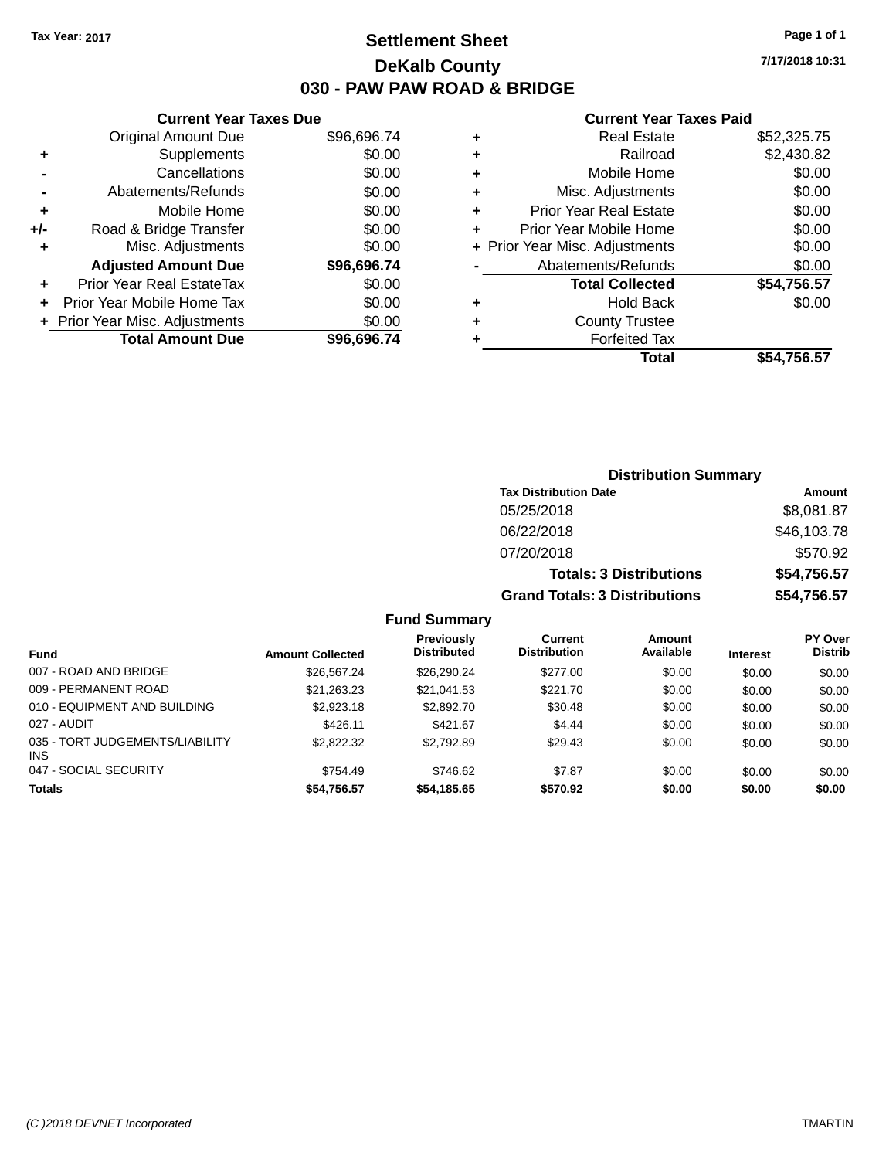# **Settlement Sheet Tax Year: 2017 Page 1 of 1 DeKalb County 030 - PAW PAW ROAD & BRIDGE**

**7/17/2018 10:31**

#### **Current Year Taxes Paid**

|     | <b>Current Year Taxes Due</b>  |             |  |  |  |
|-----|--------------------------------|-------------|--|--|--|
|     | <b>Original Amount Due</b>     | \$96,696.74 |  |  |  |
| ÷   | Supplements                    | \$0.00      |  |  |  |
|     | Cancellations                  | \$0.00      |  |  |  |
|     | Abatements/Refunds             | \$0.00      |  |  |  |
| ٠   | Mobile Home                    | \$0.00      |  |  |  |
| +/- | Road & Bridge Transfer         | \$0.00      |  |  |  |
|     | Misc. Adjustments              | \$0.00      |  |  |  |
|     | <b>Adjusted Amount Due</b>     | \$96,696.74 |  |  |  |
| ÷   | Prior Year Real EstateTax      | \$0.00      |  |  |  |
|     | Prior Year Mobile Home Tax     | \$0.00      |  |  |  |
|     | + Prior Year Misc. Adjustments | \$0.00      |  |  |  |
|     | <b>Total Amount Due</b>        | \$96,696.74 |  |  |  |
|     |                                |             |  |  |  |

| ٠ | <b>Real Estate</b>             | \$52,325.75 |
|---|--------------------------------|-------------|
| ٠ | Railroad                       | \$2,430.82  |
| ٠ | Mobile Home                    | \$0.00      |
| ٠ | Misc. Adjustments              | \$0.00      |
| ٠ | <b>Prior Year Real Estate</b>  | \$0.00      |
| ٠ | Prior Year Mobile Home         | \$0.00      |
|   | + Prior Year Misc. Adjustments | \$0.00      |
|   | Abatements/Refunds             | \$0.00      |
|   | <b>Total Collected</b>         | \$54,756.57 |
| ٠ | <b>Hold Back</b>               | \$0.00      |
| ٠ | <b>County Trustee</b>          |             |
| ٠ | <b>Forfeited Tax</b>           |             |
|   | Total                          | \$54,756.57 |
|   |                                |             |

| <b>Distribution Summary</b>          |             |
|--------------------------------------|-------------|
| <b>Tax Distribution Date</b>         | Amount      |
| 05/25/2018                           | \$8,081.87  |
| 06/22/2018                           | \$46,103.78 |
| 07/20/2018                           | \$570.92    |
| <b>Totals: 3 Distributions</b>       | \$54,756.57 |
| <b>Grand Totals: 3 Distributions</b> | \$54,756.57 |

|                                        |                         | Previously         | Current             | Amount    |                 | <b>PY Over</b> |
|----------------------------------------|-------------------------|--------------------|---------------------|-----------|-----------------|----------------|
| <b>Fund</b>                            | <b>Amount Collected</b> | <b>Distributed</b> | <b>Distribution</b> | Available | <b>Interest</b> | <b>Distrib</b> |
| 007 - ROAD AND BRIDGE                  | \$26,567,24             | \$26,290.24        | \$277.00            | \$0.00    | \$0.00          | \$0.00         |
| 009 - PERMANENT ROAD                   | \$21,263.23             | \$21,041.53        | \$221.70            | \$0.00    | \$0.00          | \$0.00         |
| 010 - EQUIPMENT AND BUILDING           | \$2,923.18              | \$2,892.70         | \$30.48             | \$0.00    | \$0.00          | \$0.00         |
| 027 - AUDIT                            | \$426.11                | \$421.67           | \$4.44              | \$0.00    | \$0.00          | \$0.00         |
| 035 - TORT JUDGEMENTS/LIABILITY<br>INS | \$2,822,32              | \$2.792.89         | \$29.43             | \$0.00    | \$0.00          | \$0.00         |
| 047 - SOCIAL SECURITY                  | \$754.49                | \$746.62           | \$7.87              | \$0.00    | \$0.00          | \$0.00         |
| <b>Totals</b>                          | \$54,756.57             | \$54,185.65        | \$570.92            | \$0.00    | \$0.00          | \$0.00         |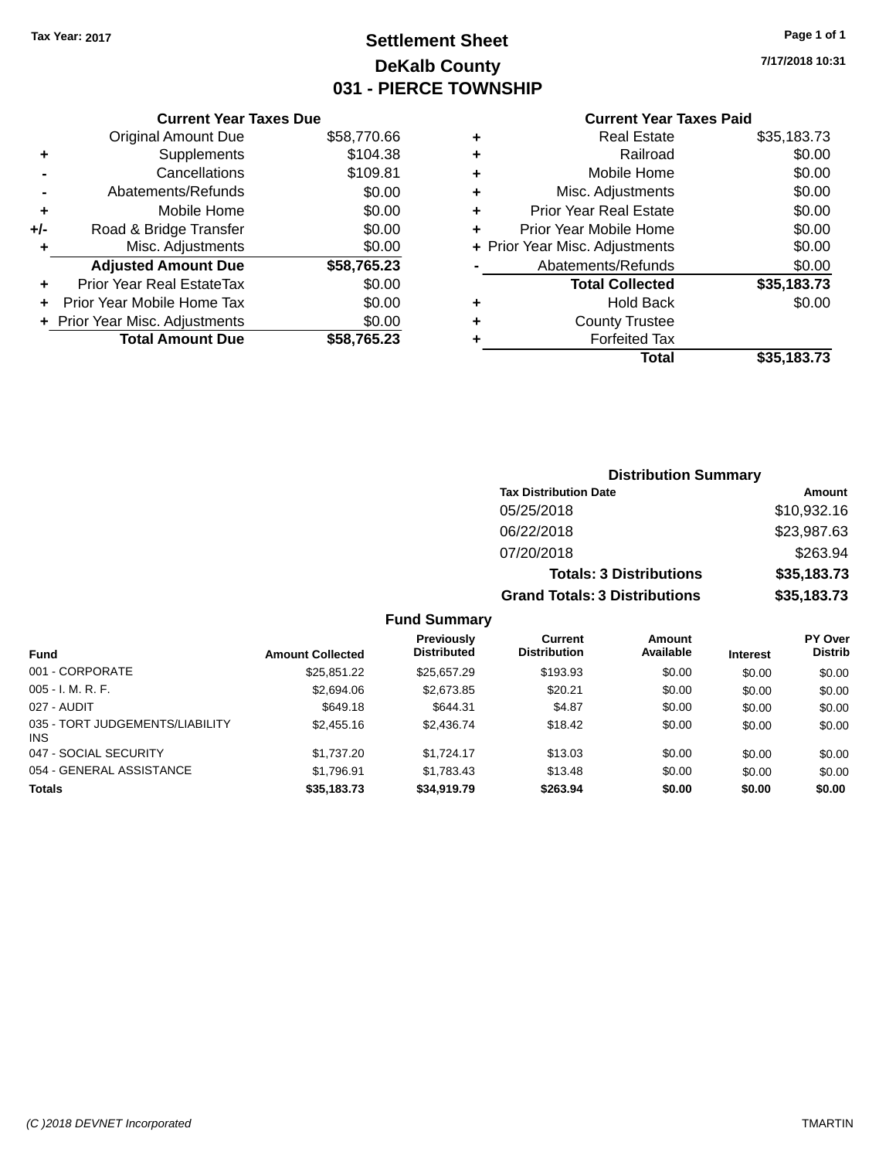# **Settlement Sheet Tax Year: 2017 Page 1 of 1 DeKalb County 031 - PIERCE TOWNSHIP**

**7/17/2018 10:31**

### **Current Year Taxes Paid**

|     | <b>Current Year Taxes Due</b>  |             |  |  |  |
|-----|--------------------------------|-------------|--|--|--|
|     | <b>Original Amount Due</b>     | \$58,770.66 |  |  |  |
| ٠   | Supplements                    | \$104.38    |  |  |  |
|     | Cancellations                  | \$109.81    |  |  |  |
|     | Abatements/Refunds             | \$0.00      |  |  |  |
| ٠   | Mobile Home                    | \$0.00      |  |  |  |
| +/- | Road & Bridge Transfer         | \$0.00      |  |  |  |
|     | Misc. Adjustments              | \$0.00      |  |  |  |
|     | <b>Adjusted Amount Due</b>     | \$58,765.23 |  |  |  |
| ٠   | Prior Year Real EstateTax      | \$0.00      |  |  |  |
| ÷   | Prior Year Mobile Home Tax     | \$0.00      |  |  |  |
|     | + Prior Year Misc. Adjustments | \$0.00      |  |  |  |
|     | <b>Total Amount Due</b>        | \$58,765.23 |  |  |  |
|     |                                |             |  |  |  |

|   | <b>Real Estate</b>             | \$35,183.73 |
|---|--------------------------------|-------------|
| ٠ | Railroad                       | \$0.00      |
| ٠ | Mobile Home                    | \$0.00      |
| ٠ | Misc. Adjustments              | \$0.00      |
| ٠ | <b>Prior Year Real Estate</b>  | \$0.00      |
| ٠ | Prior Year Mobile Home         | \$0.00      |
|   | + Prior Year Misc. Adjustments | \$0.00      |
|   | Abatements/Refunds             | \$0.00      |
|   | <b>Total Collected</b>         | \$35,183.73 |
| ٠ | <b>Hold Back</b>               | \$0.00      |
|   | <b>County Trustee</b>          |             |
| ٠ | <b>Forfeited Tax</b>           |             |
|   | Total                          | \$35,183.73 |
|   |                                |             |

| <b>Distribution Summary</b>          |             |
|--------------------------------------|-------------|
| <b>Tax Distribution Date</b>         | Amount      |
| 05/25/2018                           | \$10,932.16 |
| 06/22/2018                           | \$23,987.63 |
| 07/20/2018                           | \$263.94    |
| <b>Totals: 3 Distributions</b>       | \$35,183.73 |
| <b>Grand Totals: 3 Distributions</b> | \$35,183.73 |

| <b>Fund</b>                            | <b>Amount Collected</b> | Previously<br><b>Distributed</b> | Current<br><b>Distribution</b> | <b>Amount</b><br>Available | <b>Interest</b> | <b>PY Over</b><br><b>Distrib</b> |
|----------------------------------------|-------------------------|----------------------------------|--------------------------------|----------------------------|-----------------|----------------------------------|
| 001 - CORPORATE                        | \$25.851.22             | \$25.657.29                      | \$193.93                       | \$0.00                     | \$0.00          | \$0.00                           |
| $005 - I. M. R. F.$                    | \$2,694.06              | \$2,673.85                       | \$20.21                        | \$0.00                     | \$0.00          | \$0.00                           |
| 027 - AUDIT                            | \$649.18                | \$644.31                         | \$4.87                         | \$0.00                     | \$0.00          | \$0.00                           |
| 035 - TORT JUDGEMENTS/LIABILITY<br>INS | \$2,455.16              | \$2,436.74                       | \$18.42                        | \$0.00                     | \$0.00          | \$0.00                           |
| 047 - SOCIAL SECURITY                  | \$1,737.20              | \$1.724.17                       | \$13.03                        | \$0.00                     | \$0.00          | \$0.00                           |
| 054 - GENERAL ASSISTANCE               | \$1,796.91              | \$1,783.43                       | \$13.48                        | \$0.00                     | \$0.00          | \$0.00                           |
| <b>Totals</b>                          | \$35,183.73             | \$34,919.79                      | \$263.94                       | \$0.00                     | \$0.00          | \$0.00                           |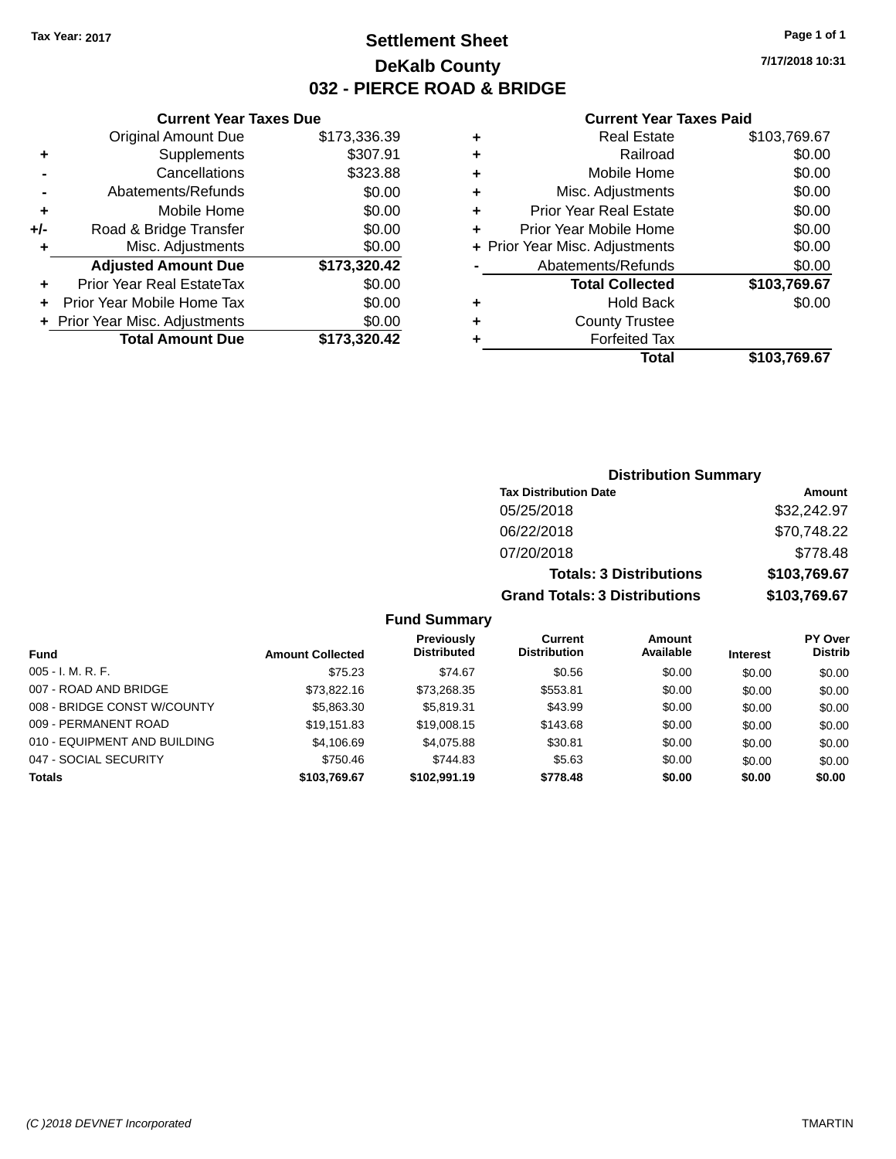# **Settlement Sheet Tax Year: 2017 Page 1 of 1 DeKalb County 032 - PIERCE ROAD & BRIDGE**

**7/17/2018 10:31**

### **Current Year Taxes Paid**

|       | <b>Current Year Taxes Due</b>  |              |  |  |  |
|-------|--------------------------------|--------------|--|--|--|
|       | <b>Original Amount Due</b>     | \$173,336.39 |  |  |  |
| ٠     | Supplements                    | \$307.91     |  |  |  |
|       | Cancellations                  | \$323.88     |  |  |  |
|       | Abatements/Refunds             | \$0.00       |  |  |  |
| ٠     | Mobile Home                    | \$0.00       |  |  |  |
| $+/-$ | Road & Bridge Transfer         | \$0.00       |  |  |  |
| ٠     | Misc. Adjustments              | \$0.00       |  |  |  |
|       | <b>Adjusted Amount Due</b>     | \$173,320.42 |  |  |  |
| ÷     | Prior Year Real EstateTax      | \$0.00       |  |  |  |
|       | Prior Year Mobile Home Tax     | \$0.00       |  |  |  |
|       | + Prior Year Misc. Adjustments | \$0.00       |  |  |  |
|       | <b>Total Amount Due</b>        | \$173,320.42 |  |  |  |
|       |                                |              |  |  |  |

|   | <b>Real Estate</b>             | \$103,769.67 |
|---|--------------------------------|--------------|
| ٠ | Railroad                       | \$0.00       |
| ٠ | Mobile Home                    | \$0.00       |
| ٠ | Misc. Adjustments              | \$0.00       |
| ٠ | <b>Prior Year Real Estate</b>  | \$0.00       |
| ٠ | Prior Year Mobile Home         | \$0.00       |
|   | + Prior Year Misc. Adjustments | \$0.00       |
|   | Abatements/Refunds             | \$0.00       |
|   | <b>Total Collected</b>         | \$103,769.67 |
| ٠ | <b>Hold Back</b>               | \$0.00       |
|   | <b>County Trustee</b>          |              |
| ٠ | <b>Forfeited Tax</b>           |              |
|   | Total                          | \$103,769.67 |
|   |                                |              |

| <b>Distribution Summary</b>          |              |  |  |  |
|--------------------------------------|--------------|--|--|--|
| <b>Tax Distribution Date</b>         | Amount       |  |  |  |
| 05/25/2018                           | \$32,242.97  |  |  |  |
| 06/22/2018                           | \$70,748.22  |  |  |  |
| 07/20/2018                           | \$778.48     |  |  |  |
| <b>Totals: 3 Distributions</b>       | \$103,769.67 |  |  |  |
| <b>Grand Totals: 3 Distributions</b> | \$103,769.67 |  |  |  |

| Fund                         | <b>Amount Collected</b> | Previously<br><b>Distributed</b> | Current<br><b>Distribution</b> | <b>Amount</b><br>Available | <b>Interest</b> | <b>PY Over</b><br><b>Distrib</b> |
|------------------------------|-------------------------|----------------------------------|--------------------------------|----------------------------|-----------------|----------------------------------|
| $005 - I. M. R. F.$          | \$75.23                 | \$74.67                          | \$0.56                         | \$0.00                     | \$0.00          | \$0.00                           |
| 007 - ROAD AND BRIDGE        | \$73,822.16             | \$73,268.35                      | \$553.81                       | \$0.00                     | \$0.00          | \$0.00                           |
| 008 - BRIDGE CONST W/COUNTY  | \$5,863.30              | \$5.819.31                       | \$43.99                        | \$0.00                     | \$0.00          | \$0.00                           |
| 009 - PERMANENT ROAD         | \$19.151.83             | \$19,008.15                      | \$143.68                       | \$0.00                     | \$0.00          | \$0.00                           |
| 010 - EQUIPMENT AND BUILDING | \$4,106.69              | \$4,075.88                       | \$30.81                        | \$0.00                     | \$0.00          | \$0.00                           |
| 047 - SOCIAL SECURITY        | \$750.46                | \$744.83                         | \$5.63                         | \$0.00                     | \$0.00          | \$0.00                           |
| <b>Totals</b>                | \$103.769.67            | \$102.991.19                     | \$778.48                       | \$0.00                     | \$0.00          | \$0.00                           |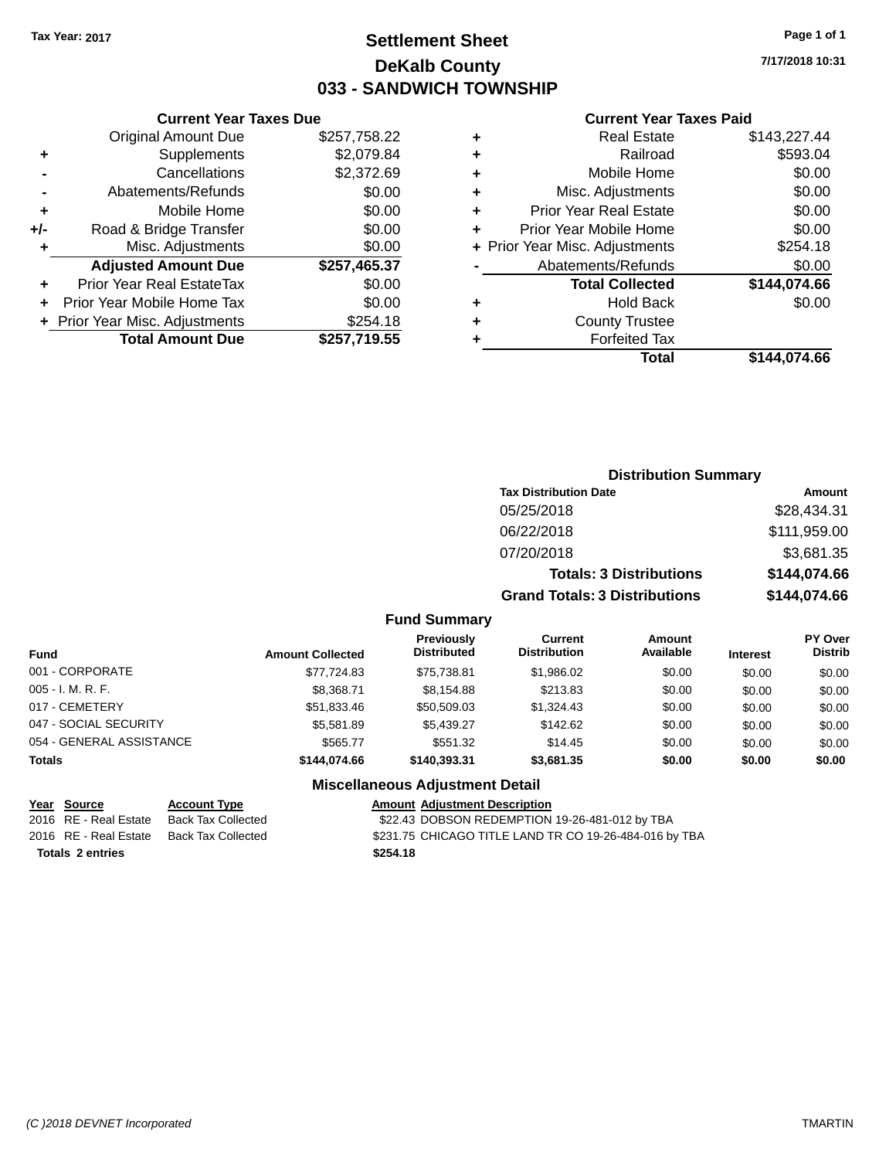# **Settlement Sheet Tax Year: 2017 Page 1 of 1 DeKalb County 033 - SANDWICH TOWNSHIP**

**7/17/2018 10:31**

#### **Current Year Taxes Paid**

|     | <b>Current Year Taxes Due</b>  |              |
|-----|--------------------------------|--------------|
|     | <b>Original Amount Due</b>     | \$257,758.22 |
| ÷   | Supplements                    | \$2,079.84   |
|     | Cancellations                  | \$2,372.69   |
|     | Abatements/Refunds             | \$0.00       |
| ٠   | Mobile Home                    | \$0.00       |
| +/- | Road & Bridge Transfer         | \$0.00       |
| ٠   | Misc. Adjustments              | \$0.00       |
|     | <b>Adjusted Amount Due</b>     | \$257,465.37 |
| ٠   | Prior Year Real EstateTax      | \$0.00       |
|     | Prior Year Mobile Home Tax     | \$0.00       |
|     | + Prior Year Misc. Adjustments | \$254.18     |
|     | <b>Total Amount Due</b>        | \$257,719.55 |
|     |                                |              |

| ٠ | <b>Real Estate</b>             | \$143,227.44 |
|---|--------------------------------|--------------|
| ٠ | Railroad                       | \$593.04     |
| ٠ | Mobile Home                    | \$0.00       |
| ٠ | Misc. Adjustments              | \$0.00       |
| ٠ | <b>Prior Year Real Estate</b>  | \$0.00       |
| ٠ | Prior Year Mobile Home         | \$0.00       |
|   | + Prior Year Misc. Adjustments | \$254.18     |
|   | Abatements/Refunds             | \$0.00       |
|   | <b>Total Collected</b>         | \$144,074.66 |
| ٠ | <b>Hold Back</b>               | \$0.00       |
| ٠ | <b>County Trustee</b>          |              |
| ٠ | <b>Forfeited Tax</b>           |              |
|   | Total                          | \$144.074.66 |
|   |                                |              |

| <b>Distribution Summary</b>          |              |  |  |  |
|--------------------------------------|--------------|--|--|--|
| <b>Tax Distribution Date</b>         | Amount       |  |  |  |
| 05/25/2018                           | \$28,434.31  |  |  |  |
| 06/22/2018                           | \$111,959.00 |  |  |  |
| 07/20/2018                           | \$3,681.35   |  |  |  |
| <b>Totals: 3 Distributions</b>       | \$144,074.66 |  |  |  |
| <b>Grand Totals: 3 Distributions</b> | \$144,074.66 |  |  |  |

### **Fund Summary**

| <b>Fund</b>              | <b>Amount Collected</b> | <b>Previously</b><br><b>Distributed</b> | Current<br><b>Distribution</b> | <b>Amount</b><br>Available | <b>Interest</b> | <b>PY Over</b><br><b>Distrib</b> |
|--------------------------|-------------------------|-----------------------------------------|--------------------------------|----------------------------|-----------------|----------------------------------|
| 001 - CORPORATE          | \$77.724.83             | \$75.738.81                             | \$1,986.02                     | \$0.00                     | \$0.00          | \$0.00                           |
| $005 - I. M. R. F.$      | \$8,368.71              | \$8.154.88                              | \$213.83                       | \$0.00                     | \$0.00          | \$0.00                           |
| 017 - CEMETERY           | \$51,833.46             | \$50,509.03                             | \$1.324.43                     | \$0.00                     | \$0.00          | \$0.00                           |
| 047 - SOCIAL SECURITY    | \$5,581.89              | \$5.439.27                              | \$142.62                       | \$0.00                     | \$0.00          | \$0.00                           |
| 054 - GENERAL ASSISTANCE | \$565.77                | \$551.32                                | \$14.45                        | \$0.00                     | \$0.00          | \$0.00                           |
| <b>Totals</b>            | \$144.074.66            | \$140,393,31                            | \$3,681.35                     | \$0.00                     | \$0.00          | \$0.00                           |

#### **Miscellaneous Adjustment Detail**

|                         | <u>Year Source</u>    | <b>Account Type</b> | <b>Amount Adjustment Description</b>                   |
|-------------------------|-----------------------|---------------------|--------------------------------------------------------|
|                         | 2016 RE - Real Estate | Back Tax Collected  | \$22.43 DOBSON REDEMPTION 19-26-481-012 by TBA         |
|                         | 2016 RE - Real Estate | Back Tax Collected  | \$231.75 CHICAGO TITLE LAND TR CO 19-26-484-016 by TBA |
| <b>Totals 2 entries</b> |                       |                     | \$254.18                                               |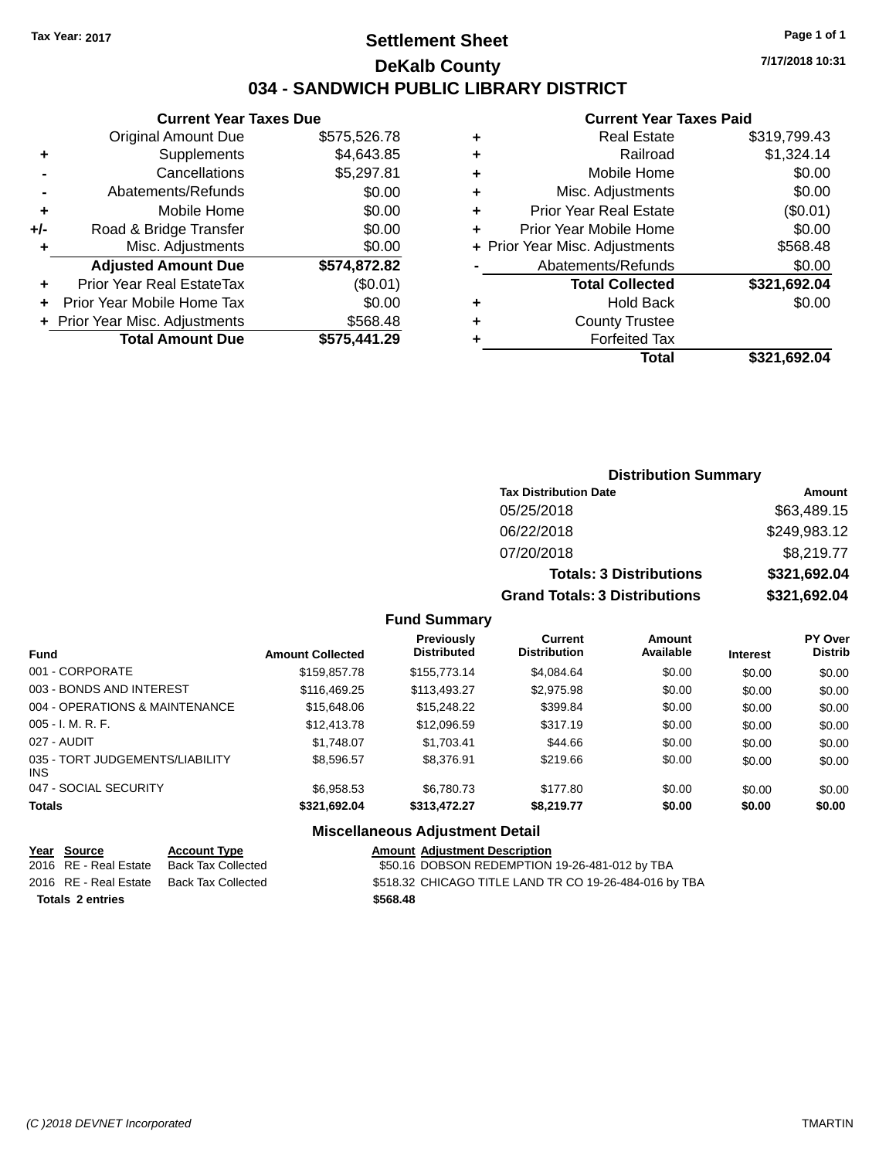### **Settlement Sheet Tax Year: 2017 Page 1 of 1 DeKalb County 034 - SANDWICH PUBLIC LIBRARY DISTRICT**

|                | <b>Adjusted Amount Due</b> | \$574,872.82 |
|----------------|----------------------------|--------------|
| ÷              | Misc. Adjustments          | \$0.00       |
| +/-            | Road & Bridge Transfer     | \$0.00       |
| ٠              | Mobile Home                | \$0.00       |
| $\blacksquare$ | Abatements/Refunds         | \$0.00       |
|                | Cancellations              | \$5,297.81   |
| ٠              | Supplements                | \$4,643.85   |
|                | <b>Original Amount Due</b> | \$575,526.78 |
|                | Current rear laxes Due     |              |

**Current Year Taxes Due**

| $+$ | <b>Prior Year Real EstateTax</b><br>+ Prior Year Mobile Home Tax | (\$0.01)<br>\$0.00 |
|-----|------------------------------------------------------------------|--------------------|
|     | + Prior Year Misc. Adjustments                                   | \$568.48           |
|     | <b>Total Amount Due</b>                                          | \$575,441.29       |

#### **Current Year Taxes Paid**

|   | <b>Real Estate</b>             | \$319,799.43 |
|---|--------------------------------|--------------|
| ٠ | Railroad                       | \$1,324.14   |
| ٠ | Mobile Home                    | \$0.00       |
| ٠ | Misc. Adjustments              | \$0.00       |
| ٠ | Prior Year Real Estate         | (\$0.01)     |
| ٠ | Prior Year Mobile Home         | \$0.00       |
|   | + Prior Year Misc. Adjustments | \$568.48     |
|   | Abatements/Refunds             | \$0.00       |
|   | <b>Total Collected</b>         | \$321,692.04 |
| ٠ | <b>Hold Back</b>               | \$0.00       |
| ٠ | <b>County Trustee</b>          |              |
| ٠ | <b>Forfeited Tax</b>           |              |
|   | Total                          | \$321,692.04 |
|   |                                |              |

### **Distribution Summary Tax Distribution Date Amount** 05/25/2018 \$63,489.15 06/22/2018 \$249,983.12 07/20/2018 \$8,219.77 **Totals: 3 Distributions \$321,692.04 Grand Totals: 3 Distributions \$321,692.04**

#### **Fund Summary**

| <b>Fund</b>                                   | <b>Amount Collected</b> | Previously<br><b>Distributed</b> | Current<br><b>Distribution</b> | Amount<br>Available | <b>Interest</b> | <b>PY Over</b><br><b>Distrib</b> |
|-----------------------------------------------|-------------------------|----------------------------------|--------------------------------|---------------------|-----------------|----------------------------------|
| 001 - CORPORATE                               | \$159,857.78            | \$155,773.14                     | \$4,084.64                     | \$0.00              | \$0.00          | \$0.00                           |
| 003 - BONDS AND INTEREST                      | \$116,469.25            | \$113,493.27                     | \$2,975.98                     | \$0.00              | \$0.00          | \$0.00                           |
| 004 - OPERATIONS & MAINTENANCE                | \$15,648.06             | \$15,248.22                      | \$399.84                       | \$0.00              | \$0.00          | \$0.00                           |
| $005 - I. M. R. F.$                           | \$12,413.78             | \$12,096.59                      | \$317.19                       | \$0.00              | \$0.00          | \$0.00                           |
| 027 - AUDIT                                   | \$1,748.07              | \$1,703.41                       | \$44.66                        | \$0.00              | \$0.00          | \$0.00                           |
| 035 - TORT JUDGEMENTS/LIABILITY<br><b>INS</b> | \$8,596.57              | \$8,376.91                       | \$219.66                       | \$0.00              | \$0.00          | \$0.00                           |
| 047 - SOCIAL SECURITY                         | \$6,958.53              | \$6,780.73                       | \$177.80                       | \$0.00              | \$0.00          | \$0.00                           |
| <b>Totals</b>                                 | \$321,692.04            | \$313,472.27                     | \$8,219.77                     | \$0.00              | \$0.00          | \$0.00                           |

### **Miscellaneous Adjustment Detail**

|                         | Year Source           | <b>Account Type</b> | <b>Amount Adiustment Description</b>                   |
|-------------------------|-----------------------|---------------------|--------------------------------------------------------|
|                         | 2016 RE - Real Estate | Back Tax Collected  | \$50.16 DOBSON REDEMPTION 19-26-481-012 by TBA         |
|                         | 2016 RE - Real Estate | Back Tax Collected  | \$518.32 CHICAGO TITLE LAND TR CO 19-26-484-016 by TBA |
| <b>Totals 2 entries</b> |                       |                     | \$568.48                                               |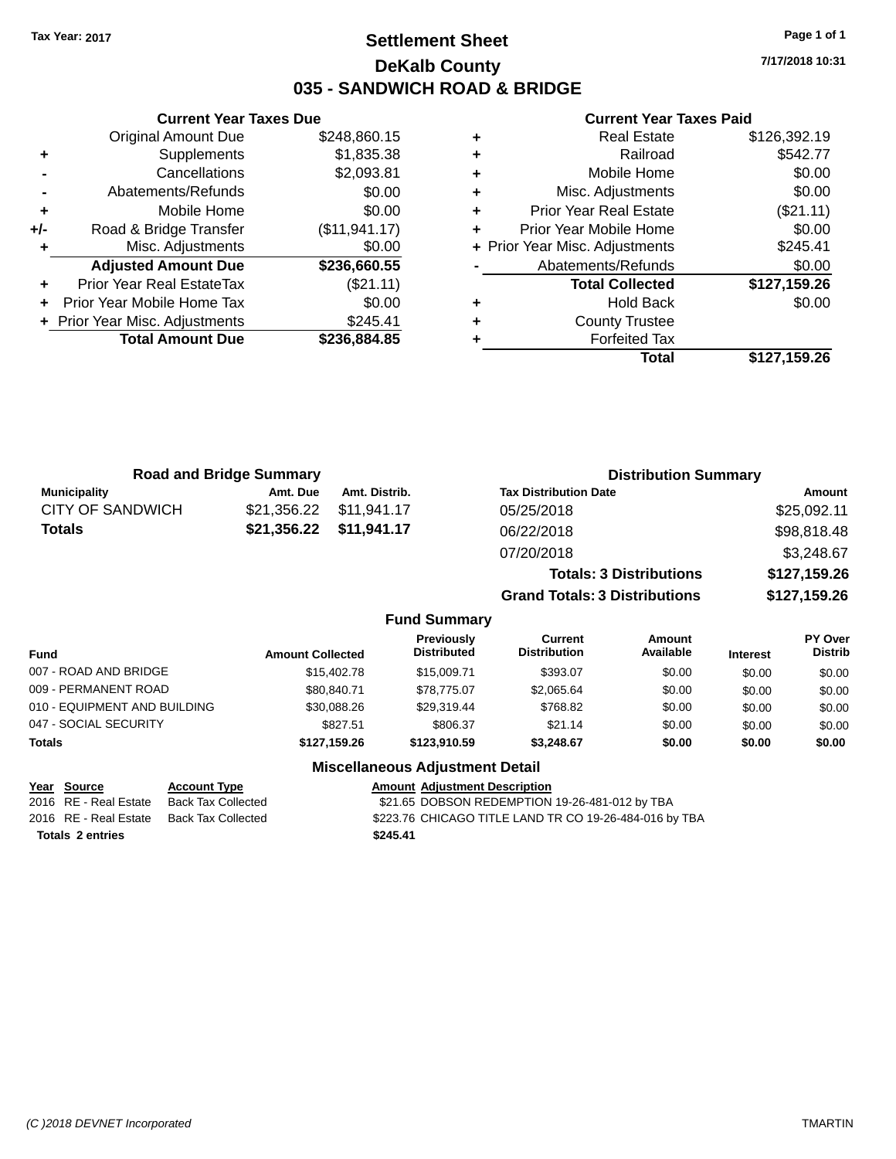### **Settlement Sheet Tax Year: 2017 Page 1 of 1 DeKalb County 035 - SANDWICH ROAD & BRIDGE**

**7/17/2018 10:31**

#### **Current Year Taxes Paid**

|     | <b>Current Year Taxes Due</b>  |                |
|-----|--------------------------------|----------------|
|     | <b>Original Amount Due</b>     | \$248,860.15   |
| ÷   | Supplements                    | \$1,835.38     |
|     | Cancellations                  | \$2,093.81     |
|     | Abatements/Refunds             | \$0.00         |
| ÷   | Mobile Home                    | \$0.00         |
| +/- | Road & Bridge Transfer         | (\$11, 941.17) |
|     | Misc. Adjustments              | \$0.00         |
|     | <b>Adjusted Amount Due</b>     | \$236,660.55   |
| ٠   | Prior Year Real EstateTax      | (\$21.11)      |
|     | Prior Year Mobile Home Tax     | \$0.00         |
|     | + Prior Year Misc. Adjustments | \$245.41       |
|     | <b>Total Amount Due</b>        | \$236,884.85   |
|     |                                |                |

| <b>Real Estate</b>             | \$126,392.19 |
|--------------------------------|--------------|
| Railroad                       | \$542.77     |
| Mobile Home                    | \$0.00       |
| Misc. Adjustments              | \$0.00       |
| <b>Prior Year Real Estate</b>  | (\$21.11)    |
| Prior Year Mobile Home         | \$0.00       |
| + Prior Year Misc. Adjustments | \$245.41     |
| Abatements/Refunds             | \$0.00       |
| <b>Total Collected</b>         | \$127,159.26 |
| <b>Hold Back</b>               | \$0.00       |
| <b>County Trustee</b>          |              |
| <b>Forfeited Tax</b>           |              |
| Total                          | \$127,159.26 |
|                                |              |

| <b>Road and Bridge Summary</b> |                         |               | <b>Distribution Summary</b>    |              |  |
|--------------------------------|-------------------------|---------------|--------------------------------|--------------|--|
| <b>Municipality</b>            | Amt. Due                | Amt. Distrib. | <b>Tax Distribution Date</b>   | Amount       |  |
| CITY OF SANDWICH               | \$21,356.22             | \$11,941.17   | 05/25/2018                     | \$25,092.11  |  |
| Totals                         | \$21,356.22 \$11,941.17 |               | 06/22/2018                     | \$98,818.48  |  |
|                                |                         |               | 07/20/2018                     | \$3,248.67   |  |
|                                |                         |               | <b>Totals: 3 Distributions</b> | \$127,159.26 |  |

**Grand Totals: 3 Distributions \$127,159.26**

#### **Fund Summary**

| <b>Fund</b>                  | <b>Amount Collected</b> | Previously<br><b>Distributed</b> | Current<br><b>Distribution</b> | Amount<br>Available | <b>Interest</b> | <b>PY Over</b><br><b>Distrib</b> |
|------------------------------|-------------------------|----------------------------------|--------------------------------|---------------------|-----------------|----------------------------------|
| 007 - ROAD AND BRIDGE        | \$15,402.78             | \$15,009.71                      | \$393.07                       | \$0.00              | \$0.00          | \$0.00                           |
| 009 - PERMANENT ROAD         | \$80.840.71             | \$78,775.07                      | \$2.065.64                     | \$0.00              | \$0.00          | \$0.00                           |
| 010 - EQUIPMENT AND BUILDING | \$30,088.26             | \$29.319.44                      | \$768.82                       | \$0.00              | \$0.00          | \$0.00                           |
| 047 - SOCIAL SECURITY        | \$827.51                | \$806.37                         | \$21.14                        | \$0.00              | \$0.00          | \$0.00                           |
| <b>Totals</b>                | \$127.159.26            | \$123,910.59                     | \$3,248.67                     | \$0.00              | \$0.00          | \$0.00                           |

#### **Miscellaneous Adjustment Detail**

**Totals \$245.41 2 entries**

**Year Source Account Type Amount Adjustment Description** \$21.65 DOBSON REDEMPTION 19-26-481-012 by TBA 2016 RE - Real Estate Back Tax Collected \$223.76 CHICAGO TITLE LAND TR CO 19-26-484-016 by TBA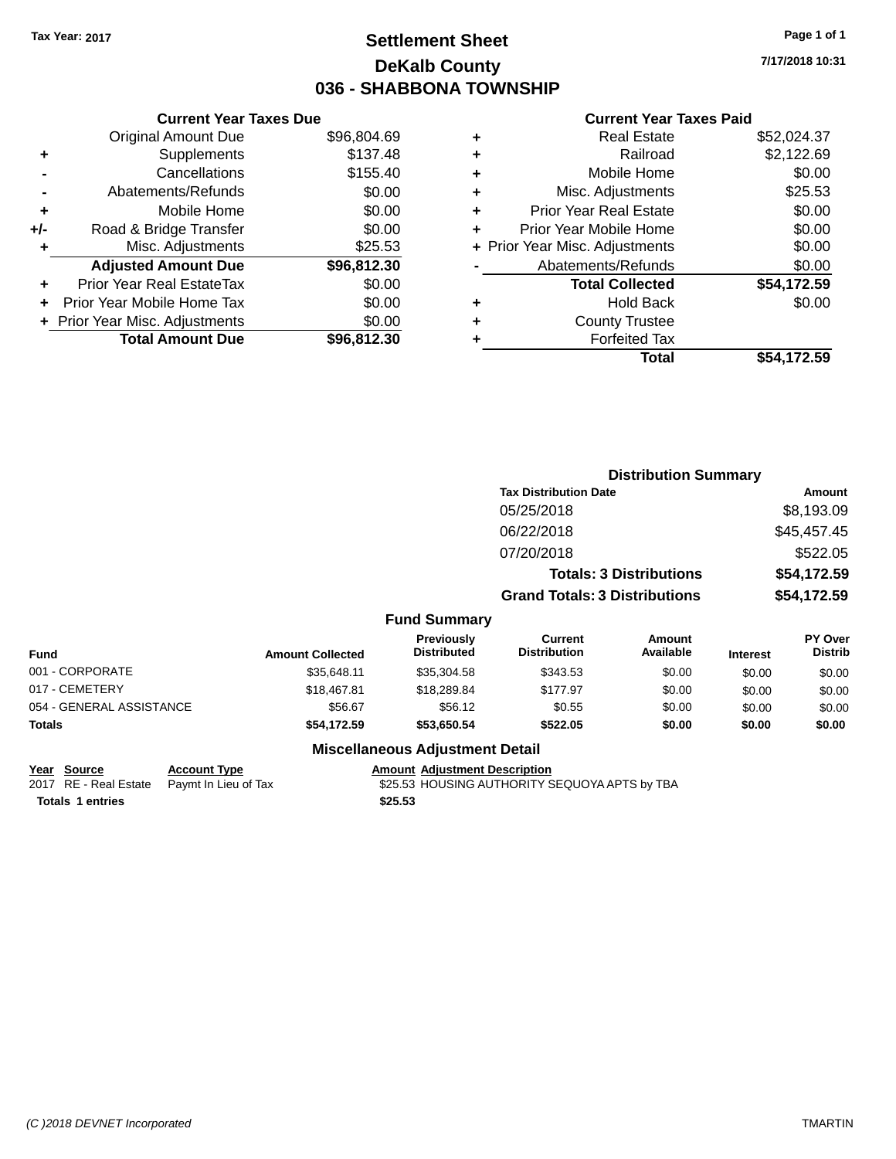### **Settlement Sheet Tax Year: 2017 Page 1 of 1 DeKalb County 036 - SHABBONA TOWNSHIP**

**7/17/2018 10:31**

#### **Current Year Taxes Paid**

| <b>Current Year Taxes Due</b> |             |
|-------------------------------|-------------|
| <b>Original Amount Due</b>    | \$96,804.69 |
| Supplements                   | \$137.48    |
| Cancellations                 | \$155.40    |
| Abatements/Refunds            | \$0.00      |
| Mobile Home                   | \$0.00      |
| Road & Bridge Transfer        | \$0.00      |
| Misc. Adjustments             | \$25.53     |
| <b>Adjusted Amount Due</b>    | \$96,812.30 |
| Prior Year Real EstateTax     | \$0.00      |
| Prior Year Mobile Home Tax    | \$0.00      |
| Prior Year Misc. Adjustments  | \$0.00      |
| <b>Total Amount Due</b>       | \$96.812.30 |
|                               |             |

|   | <b>Real Estate</b>             | \$52,024.37 |
|---|--------------------------------|-------------|
| ٠ | Railroad                       | \$2,122.69  |
| ٠ | Mobile Home                    | \$0.00      |
| ٠ | Misc. Adjustments              | \$25.53     |
| ٠ | <b>Prior Year Real Estate</b>  | \$0.00      |
| ÷ | Prior Year Mobile Home         | \$0.00      |
|   | + Prior Year Misc. Adjustments | \$0.00      |
|   | Abatements/Refunds             | \$0.00      |
|   | <b>Total Collected</b>         | \$54,172.59 |
| ٠ | <b>Hold Back</b>               | \$0.00      |
| ٠ | <b>County Trustee</b>          |             |
| ٠ | <b>Forfeited Tax</b>           |             |
|   | Total                          | \$54,172.59 |
|   |                                |             |

|                          |                         |                                         | <b>Distribution Summary</b>           |                                |                 |                           |  |
|--------------------------|-------------------------|-----------------------------------------|---------------------------------------|--------------------------------|-----------------|---------------------------|--|
|                          |                         |                                         | <b>Tax Distribution Date</b>          |                                |                 | <b>Amount</b>             |  |
|                          |                         |                                         | 05/25/2018                            |                                |                 | \$8,193.09                |  |
|                          |                         |                                         | 06/22/2018                            |                                |                 | \$45,457.45               |  |
|                          |                         |                                         | 07/20/2018                            |                                |                 | \$522.05                  |  |
|                          |                         |                                         |                                       | <b>Totals: 3 Distributions</b> |                 | \$54,172.59               |  |
|                          |                         |                                         | <b>Grand Totals: 3 Distributions</b>  |                                |                 | \$54,172.59               |  |
|                          |                         | <b>Fund Summary</b>                     |                                       |                                |                 |                           |  |
| <b>Fund</b>              | <b>Amount Collected</b> | <b>Previously</b><br><b>Distributed</b> | <b>Current</b><br><b>Distribution</b> | Amount<br>Available            | <b>Interest</b> | PY Over<br><b>Distrib</b> |  |
| 001 - CORPORATE          | \$35,648.11             | \$35,304.58                             | \$343.53                              | \$0.00                         | \$0.00          | \$0.00                    |  |
| 017 - CEMETERY           | \$18,467.81             | \$18,289.84                             | \$177.97                              | \$0.00                         | \$0.00          | \$0.00                    |  |
| 054 - GENERAL ASSISTANCE | \$56.67                 | \$56.12                                 | \$0.55                                | \$0.00                         | \$0.00          | \$0.00                    |  |
| <b>Totals</b>            | \$54,172.59             | \$53,650.54                             | \$522.05                              | \$0.00                         | \$0.00          | \$0.00                    |  |
|                          |                         | <b>Miscellaneous Adjustment Detail</b>  |                                       |                                |                 |                           |  |

### **Year** Source **Account Type Account Adjustment Description**

| $equ$                   | <b>ACCOUNT IVPG</b>                        | <u>Alliount Aujustinent Description</u>       |
|-------------------------|--------------------------------------------|-----------------------------------------------|
|                         | 2017 RE - Real Estate Paymt In Lieu of Tax | \$25.53 HOUSING AUTHORITY SEQUOYA APTS by TBA |
| <b>Totals 1 entries</b> |                                            | \$25.53                                       |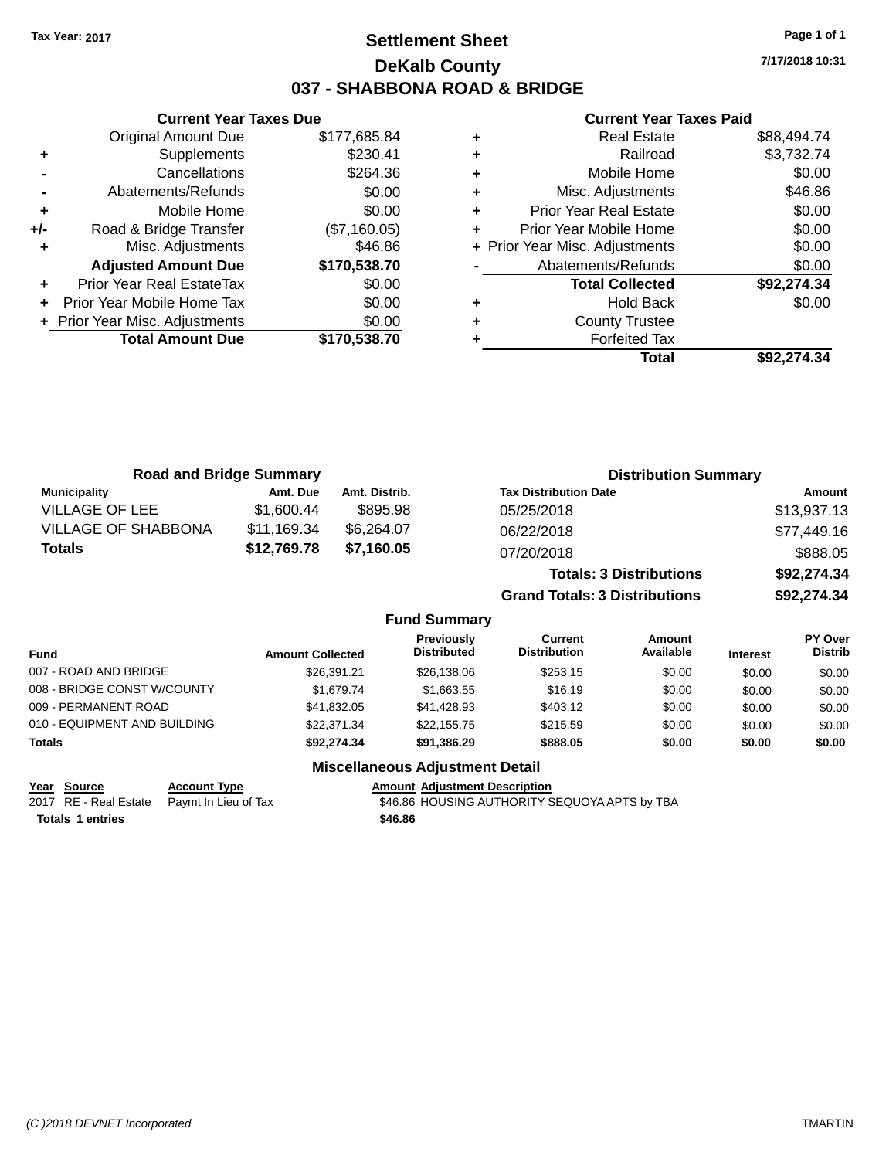### **Settlement Sheet Tax Year: 2017 Page 1 of 1 DeKalb County 037 - SHABBONA ROAD & BRIDGE**

**7/17/2018 10:31**

#### **Current Year Taxes Paid**

|     | <b>Original Amount Due</b>     | \$177,685.84 |
|-----|--------------------------------|--------------|
| ٠   | Supplements                    | \$230.41     |
|     | Cancellations                  | \$264.36     |
|     | Abatements/Refunds             | \$0.00       |
| ٠   | Mobile Home                    | \$0.00       |
| +/- | Road & Bridge Transfer         | (\$7,160.05) |
| ٠   | Misc. Adjustments              | \$46.86      |
|     | <b>Adjusted Amount Due</b>     | \$170,538.70 |
| ÷   | Prior Year Real EstateTax      | \$0.00       |
| ÷   | Prior Year Mobile Home Tax     | \$0.00       |
|     | + Prior Year Misc. Adjustments | \$0.00       |
|     |                                |              |
|     | <b>Total Amount Due</b>        | \$170,538.70 |

**Current Year Taxes Due**

| ٠ | <b>Real Estate</b>             | \$88,494.74 |
|---|--------------------------------|-------------|
| ٠ | Railroad                       | \$3,732.74  |
| ٠ | Mobile Home                    | \$0.00      |
| ٠ | Misc. Adjustments              | \$46.86     |
| ٠ | <b>Prior Year Real Estate</b>  | \$0.00      |
| ٠ | Prior Year Mobile Home         | \$0.00      |
|   | + Prior Year Misc. Adjustments | \$0.00      |
|   | Abatements/Refunds             | \$0.00      |
|   | <b>Total Collected</b>         | \$92,274.34 |
| ٠ | <b>Hold Back</b>               | \$0.00      |
| ٠ | <b>County Trustee</b>          |             |
| ٠ | <b>Forfeited Tax</b>           |             |
|   | Total                          | \$92,274.34 |
|   |                                |             |

| <b>Road and Bridge Summary</b> |             |               | <b>Distribution Summary</b>    |             |
|--------------------------------|-------------|---------------|--------------------------------|-------------|
| <b>Municipality</b>            | Amt. Due    | Amt. Distrib. | <b>Tax Distribution Date</b>   | Amount      |
| VILLAGE OF LEE                 | \$1,600.44  | \$895.98      | 05/25/2018                     | \$13,937.13 |
| <b>VILLAGE OF SHABBONA</b>     | \$11,169.34 | \$6,264.07    | 06/22/2018                     | \$77,449.16 |
| Totals                         | \$12,769.78 | \$7,160.05    | 07/20/2018                     | \$888.05    |
|                                |             |               | <b>Totals: 3 Distributions</b> | \$92,274.34 |

**Grand Totals: 3 Distributions \$92,274.34**

#### **Fund Summary**

| <b>Fund</b>                  | <b>Amount Collected</b> | Previously<br><b>Distributed</b> | Current<br><b>Distribution</b> | Amount<br>Available | <b>Interest</b> | PY Over<br><b>Distrib</b> |
|------------------------------|-------------------------|----------------------------------|--------------------------------|---------------------|-----------------|---------------------------|
| 007 - ROAD AND BRIDGE        | \$26,391.21             | \$26,138.06                      | \$253.15                       | \$0.00              | \$0.00          | \$0.00                    |
| 008 - BRIDGE CONST W/COUNTY  | \$1,679.74              | \$1.663.55                       | \$16.19                        | \$0.00              | \$0.00          | \$0.00                    |
| 009 - PERMANENT ROAD         | \$41,832.05             | \$41,428.93                      | \$403.12                       | \$0.00              | \$0.00          | \$0.00                    |
| 010 - EQUIPMENT AND BUILDING | \$22,371,34             | \$22.155.75                      | \$215.59                       | \$0.00              | \$0.00          | \$0.00                    |
| <b>Totals</b>                | \$92,274.34             | \$91,386,29                      | \$888.05                       | \$0.00              | \$0.00          | \$0.00                    |

#### **Miscellaneous Adjustment Detail**

**Year** Source **Account Type Account Adjustment Description** 

**Totals \$46.86 1 entries**

2017 RE - Real Estate Paymt In Lieu of Tax S46.86 HOUSING AUTHORITY SEQUOYA APTS by TBA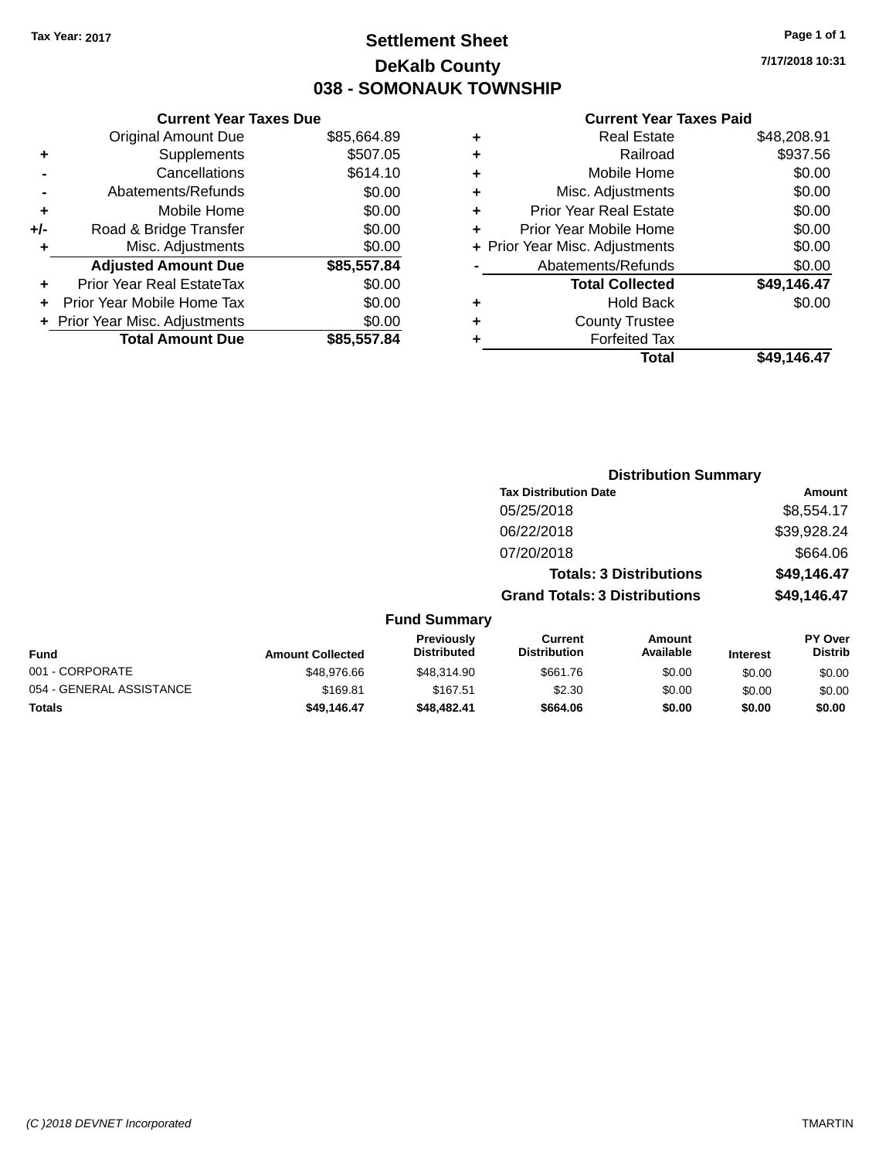### **Settlement Sheet Tax Year: 2017 Page 1 of 1 DeKalb County 038 - SOMONAUK TOWNSHIP**

**7/17/2018 10:31**

#### **Current Year Taxes Paid**

|       | <b>Current Year Taxes Due</b>  |             |
|-------|--------------------------------|-------------|
|       | <b>Original Amount Due</b>     | \$85,664.89 |
| ٠     | Supplements                    | \$507.05    |
|       | Cancellations                  | \$614.10    |
|       | Abatements/Refunds             | \$0.00      |
| ٠     | Mobile Home                    | \$0.00      |
| $+/-$ | Road & Bridge Transfer         | \$0.00      |
| ٠     | Misc. Adjustments              | \$0.00      |
|       | <b>Adjusted Amount Due</b>     | \$85,557.84 |
| ٠     | Prior Year Real EstateTax      | \$0.00      |
|       | Prior Year Mobile Home Tax     | \$0.00      |
|       | + Prior Year Misc. Adjustments | \$0.00      |
|       | <b>Total Amount Due</b>        | \$85.557.84 |
|       |                                |             |

| ٠ | <b>Real Estate</b>             | \$48,208.91 |
|---|--------------------------------|-------------|
| ٠ | Railroad                       | \$937.56    |
| ٠ | Mobile Home                    | \$0.00      |
| ٠ | Misc. Adjustments              | \$0.00      |
| ٠ | <b>Prior Year Real Estate</b>  | \$0.00      |
| ÷ | Prior Year Mobile Home         | \$0.00      |
|   | + Prior Year Misc. Adjustments | \$0.00      |
|   | Abatements/Refunds             | \$0.00      |
|   | <b>Total Collected</b>         | \$49,146.47 |
| ٠ | <b>Hold Back</b>               | \$0.00      |
| ٠ | <b>County Trustee</b>          |             |
| ٠ | <b>Forfeited Tax</b>           |             |
|   | Total                          | \$49,146.47 |
|   |                                |             |

|                         |                                  |                                       | <b>Distribution Summary</b>    |                 |                                  |
|-------------------------|----------------------------------|---------------------------------------|--------------------------------|-----------------|----------------------------------|
|                         |                                  | <b>Tax Distribution Date</b>          |                                |                 | Amount                           |
|                         |                                  | 05/25/2018                            |                                |                 | \$8,554.17                       |
|                         |                                  | 06/22/2018                            |                                |                 | \$39,928.24                      |
|                         |                                  | 07/20/2018                            |                                |                 | \$664.06                         |
|                         |                                  |                                       | <b>Totals: 3 Distributions</b> |                 | \$49,146.47                      |
|                         |                                  | <b>Grand Totals: 3 Distributions</b>  |                                |                 | \$49,146.47                      |
|                         | <b>Fund Summary</b>              |                                       |                                |                 |                                  |
| <b>Amount Collected</b> | Previously<br><b>Distributed</b> | <b>Current</b><br><b>Distribution</b> | Amount<br>Available            | <b>Interest</b> | <b>PY Over</b><br><b>Distrib</b> |
| \$48,976.66             | \$48,314.90                      | \$661.76                              | \$0.00                         | \$0.00          | \$0.00                           |
|                         |                                  |                                       |                                |                 |                                  |

| <b>Amount Collected</b> | Distributed | <b>Distribution</b> | Available | <b>Interest</b> | Distrib |
|-------------------------|-------------|---------------------|-----------|-----------------|---------|
| \$48,976.66             | \$48,314.90 | \$661.76            | \$0.00    | \$0.00          | \$0.00  |
| \$169.81                | \$167.51    | \$2.30              | \$0.00    | \$0.00          | \$0.00  |
| \$49.146.47             | \$48,482.41 | \$664.06            | \$0.00    | \$0.00          | \$0.00  |
|                         |             |                     |           |                 |         |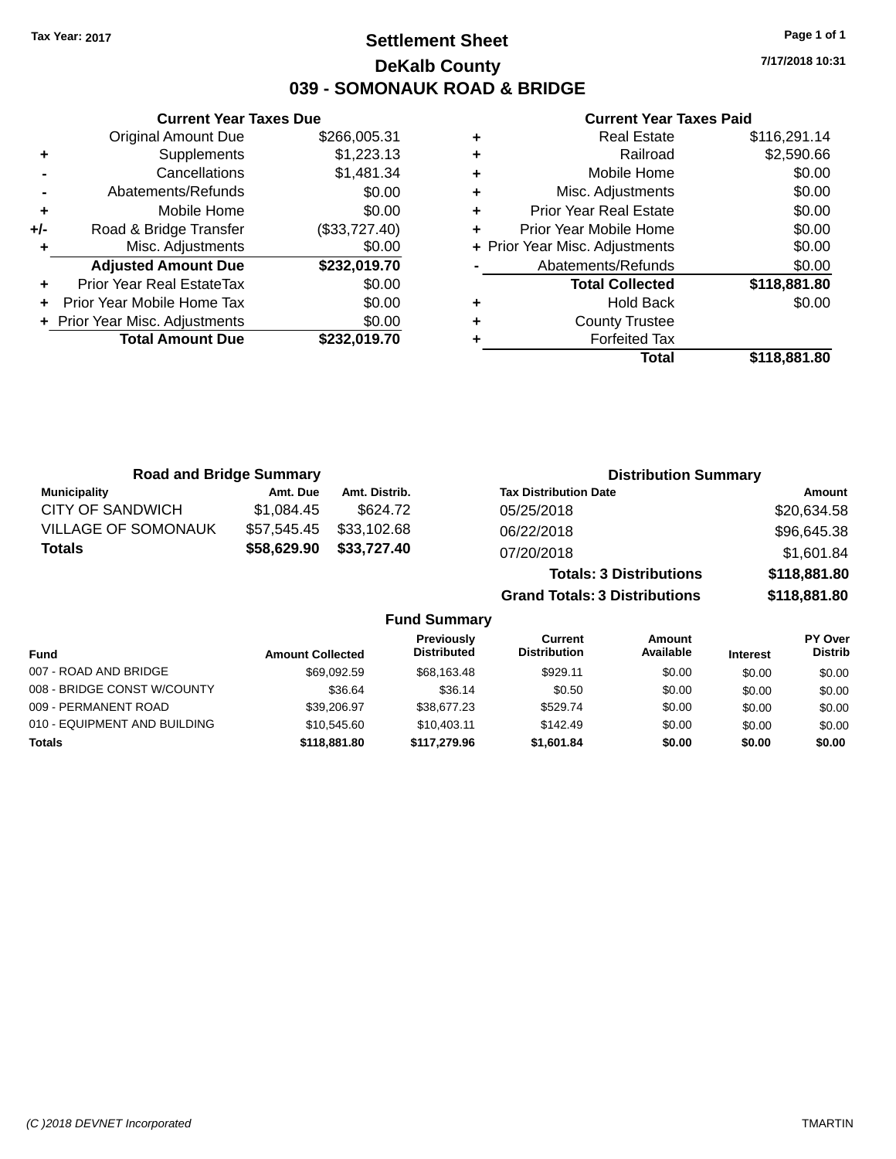### **Settlement Sheet Tax Year: 2017 Page 1 of 1 DeKalb County 039 - SOMONAUK ROAD & BRIDGE**

**7/17/2018 10:31**

#### **Current Year Taxes Paid**

|     | <b>Current Year Taxes Due</b>    |               |  |
|-----|----------------------------------|---------------|--|
|     | <b>Original Amount Due</b>       | \$266,005.31  |  |
| ٠   | Supplements                      | \$1,223.13    |  |
|     | Cancellations                    | \$1,481.34    |  |
|     | Abatements/Refunds               | \$0.00        |  |
| ٠   | Mobile Home                      | \$0.00        |  |
| +/- | Road & Bridge Transfer           | (\$33,727.40) |  |
| ٠   | Misc. Adjustments                | \$0.00        |  |
|     | <b>Adjusted Amount Due</b>       | \$232,019.70  |  |
| ٠   | <b>Prior Year Real EstateTax</b> | \$0.00        |  |
|     | Prior Year Mobile Home Tax       | \$0.00        |  |
|     | + Prior Year Misc. Adjustments   | \$0.00        |  |
|     | <b>Total Amount Due</b>          | \$232.019.70  |  |
|     |                                  |               |  |

|   | Real Estate                    | \$116,291.14 |
|---|--------------------------------|--------------|
| ٠ | Railroad                       | \$2,590.66   |
| ٠ | Mobile Home                    | \$0.00       |
| ٠ | Misc. Adjustments              | \$0.00       |
| ٠ | <b>Prior Year Real Estate</b>  | \$0.00       |
| ٠ | Prior Year Mobile Home         | \$0.00       |
|   | + Prior Year Misc. Adjustments | \$0.00       |
|   | Abatements/Refunds             | \$0.00       |
|   | <b>Total Collected</b>         | \$118,881.80 |
| ٠ | <b>Hold Back</b>               | \$0.00       |
| ٠ | <b>County Trustee</b>          |              |
|   | <b>Forfeited Tax</b>           |              |
|   | Total                          | \$118,881.80 |
|   |                                |              |

| <b>Road and Bridge Summary</b> |             |               | <b>Distribution Summary</b>          |              |  |
|--------------------------------|-------------|---------------|--------------------------------------|--------------|--|
| <b>Municipality</b>            | Amt. Due    | Amt. Distrib. | <b>Tax Distribution Date</b>         | Amount       |  |
| CITY OF SANDWICH               | \$1.084.45  | \$624.72      | 05/25/2018                           | \$20,634.58  |  |
| <b>VILLAGE OF SOMONAUK</b>     | \$57,545.45 | \$33,102.68   | 06/22/2018                           | \$96,645.38  |  |
| <b>Totals</b>                  | \$58,629.90 | \$33,727.40   | 07/20/2018                           | \$1,601.84   |  |
|                                |             |               | <b>Totals: 3 Distributions</b>       | \$118,881.80 |  |
|                                |             |               | <b>Grand Totals: 3 Distributions</b> | \$118,881.80 |  |

| <b>Fund</b>                  | <b>Amount Collected</b> | Previously<br><b>Distributed</b> | Current<br><b>Distribution</b> | Amount<br>Available | <b>Interest</b> | PY Over<br><b>Distrib</b> |
|------------------------------|-------------------------|----------------------------------|--------------------------------|---------------------|-----------------|---------------------------|
| 007 - ROAD AND BRIDGE        | \$69,092.59             | \$68,163.48                      | \$929.11                       | \$0.00              | \$0.00          | \$0.00                    |
| 008 - BRIDGE CONST W/COUNTY  | \$36.64                 | \$36.14                          | \$0.50                         | \$0.00              | \$0.00          | \$0.00                    |
| 009 - PERMANENT ROAD         | \$39,206.97             | \$38,677.23                      | \$529.74                       | \$0.00              | \$0.00          | \$0.00                    |
| 010 - EQUIPMENT AND BUILDING | \$10.545.60             | \$10.403.11                      | \$142.49                       | \$0.00              | \$0.00          | \$0.00                    |
| <b>Totals</b>                | \$118,881,80            | \$117.279.96                     | \$1,601.84                     | \$0.00              | \$0.00          | \$0.00                    |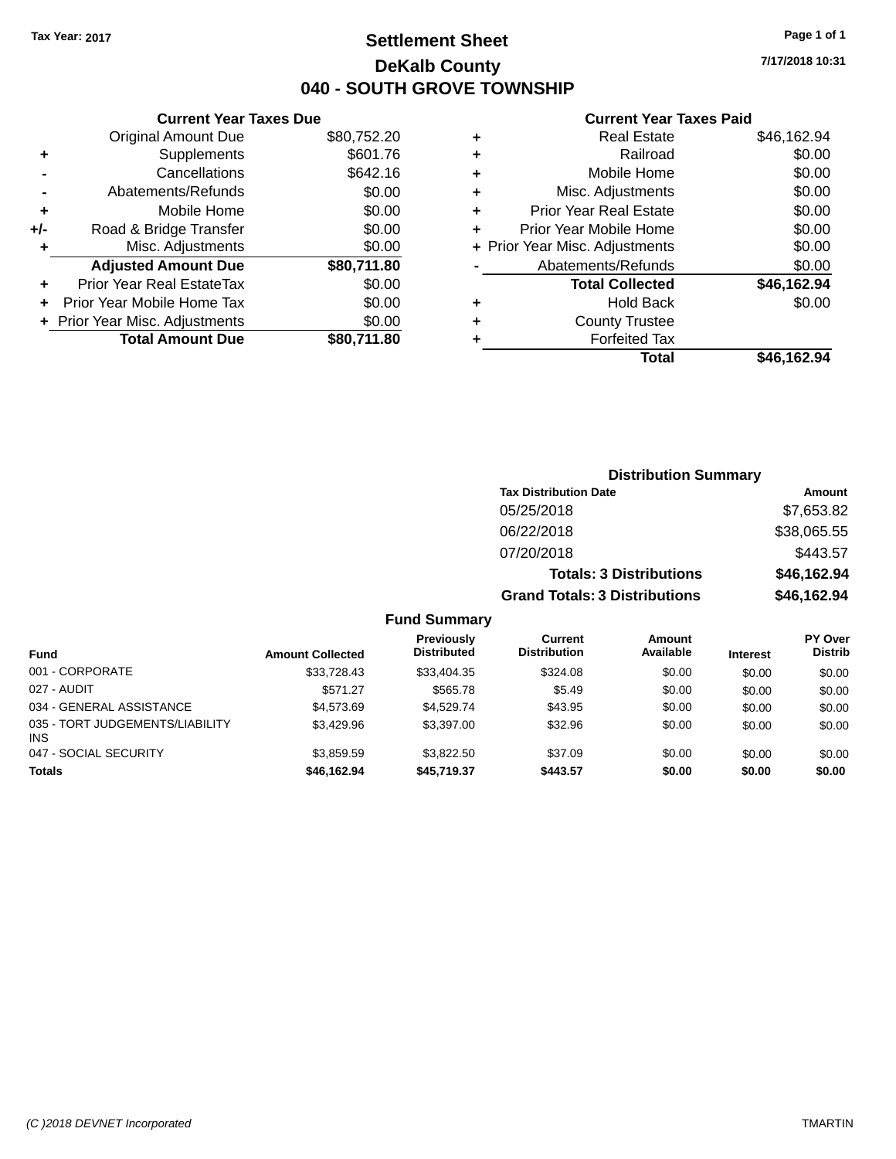### **Settlement Sheet Tax Year: 2017 Page 1 of 1 DeKalb County 040 - SOUTH GROVE TOWNSHIP**

**7/17/2018 10:31**

#### **Current Year Taxes Paid**

| \$80,752.20 |
|-------------|
| \$601.76    |
| \$642.16    |
| \$0.00      |
| \$0.00      |
| \$0.00      |
| \$0.00      |
| \$80,711.80 |
| \$0.00      |
| \$0.00      |
| \$0.00      |
| \$80.711.80 |
|             |

|   | <b>Real Estate</b>             | \$46,162.94 |
|---|--------------------------------|-------------|
| ٠ | Railroad                       | \$0.00      |
| ٠ | Mobile Home                    | \$0.00      |
| ٠ | Misc. Adjustments              | \$0.00      |
| ٠ | <b>Prior Year Real Estate</b>  | \$0.00      |
|   | Prior Year Mobile Home         | \$0.00      |
|   | + Prior Year Misc. Adjustments | \$0.00      |
|   | Abatements/Refunds             | \$0.00      |
|   | <b>Total Collected</b>         | \$46,162.94 |
| ٠ | <b>Hold Back</b>               | \$0.00      |
| ٠ | <b>County Trustee</b>          |             |
| ٠ | <b>Forfeited Tax</b>           |             |
|   | Total                          | \$46,162.94 |
|   |                                |             |

| <b>Distribution Summary</b>          |             |
|--------------------------------------|-------------|
| <b>Tax Distribution Date</b>         | Amount      |
| 05/25/2018                           | \$7,653.82  |
| 06/22/2018                           | \$38,065.55 |
| 07/20/2018                           | \$443.57    |
| <b>Totals: 3 Distributions</b>       | \$46,162.94 |
| <b>Grand Totals: 3 Distributions</b> | \$46,162.94 |

| <b>Fund</b>                             | <b>Amount Collected</b> | <b>Previously</b><br><b>Distributed</b> | Current<br><b>Distribution</b> | Amount<br>Available | <b>Interest</b> | <b>PY Over</b><br><b>Distrib</b> |
|-----------------------------------------|-------------------------|-----------------------------------------|--------------------------------|---------------------|-----------------|----------------------------------|
| 001 - CORPORATE                         | \$33.728.43             | \$33,404.35                             | \$324.08                       | \$0.00              | \$0.00          | \$0.00                           |
| 027 - AUDIT                             | \$571.27                | \$565.78                                | \$5.49                         | \$0.00              | \$0.00          | \$0.00                           |
| 034 - GENERAL ASSISTANCE                | \$4.573.69              | \$4.529.74                              | \$43.95                        | \$0.00              | \$0.00          | \$0.00                           |
| 035 - TORT JUDGEMENTS/LIABILITY<br>INS. | \$3.429.96              | \$3.397.00                              | \$32.96                        | \$0.00              | \$0.00          | \$0.00                           |
| 047 - SOCIAL SECURITY                   | \$3.859.59              | \$3.822.50                              | \$37.09                        | \$0.00              | \$0.00          | \$0.00                           |
| <b>Totals</b>                           | \$46.162.94             | \$45,719,37                             | \$443.57                       | \$0.00              | \$0.00          | \$0.00                           |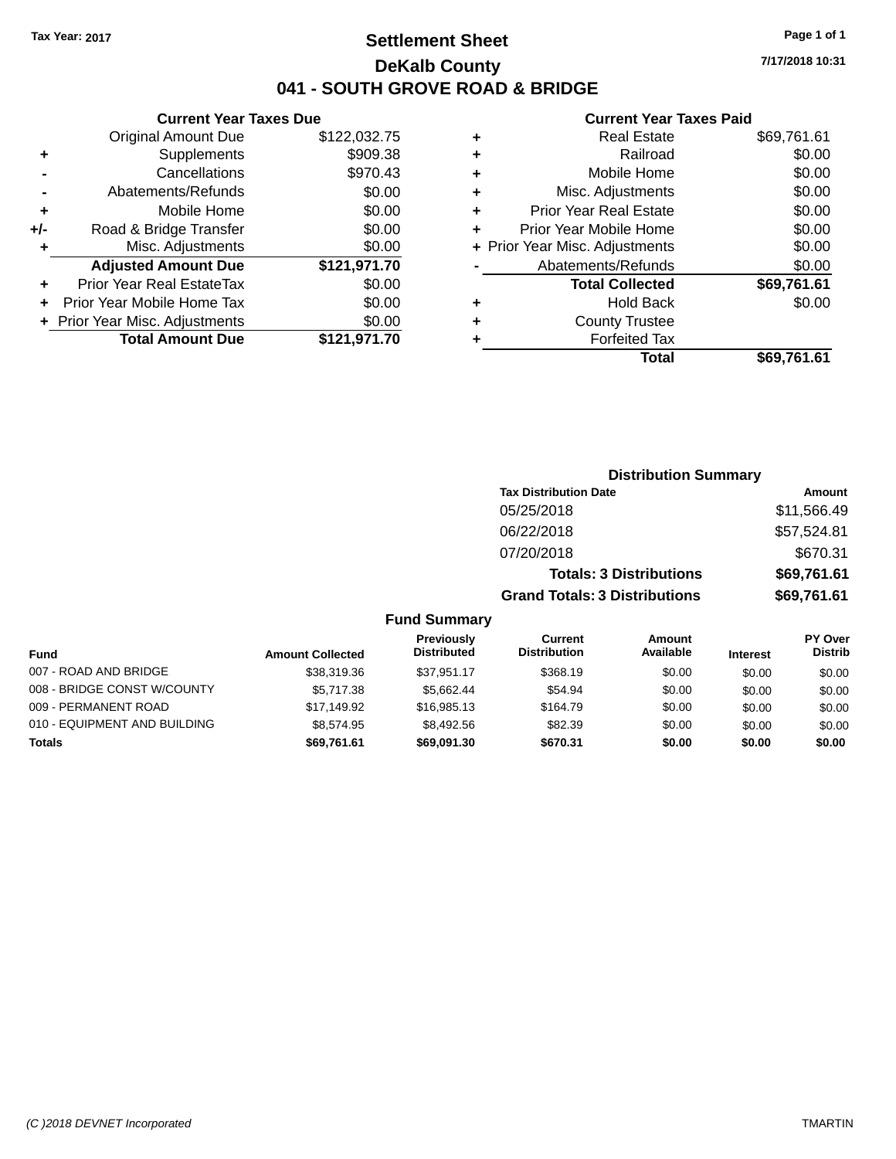### **Settlement Sheet Tax Year: 2017 Page 1 of 1 DeKalb County 041 - SOUTH GROVE ROAD & BRIDGE**

**7/17/2018 10:31**

#### **Current Year Taxes Paid**

| <b>Current Year Taxes Due</b> |                                |  |  |  |
|-------------------------------|--------------------------------|--|--|--|
| <b>Original Amount Due</b>    | \$122,032.75                   |  |  |  |
| Supplements                   | \$909.38                       |  |  |  |
| Cancellations                 | \$970.43                       |  |  |  |
| Abatements/Refunds            | \$0.00                         |  |  |  |
| Mobile Home                   | \$0.00                         |  |  |  |
| Road & Bridge Transfer        | \$0.00                         |  |  |  |
| Misc. Adjustments             | \$0.00                         |  |  |  |
| <b>Adjusted Amount Due</b>    | \$121,971.70                   |  |  |  |
| Prior Year Real EstateTax     | \$0.00                         |  |  |  |
| Prior Year Mobile Home Tax    | \$0.00                         |  |  |  |
|                               | \$0.00                         |  |  |  |
| <b>Total Amount Due</b>       | \$121,971.70                   |  |  |  |
|                               | + Prior Year Misc. Adjustments |  |  |  |

| ٠ | <b>Real Estate</b>             | \$69,761.61 |
|---|--------------------------------|-------------|
| ٠ | Railroad                       | \$0.00      |
| ٠ | Mobile Home                    | \$0.00      |
| ٠ | Misc. Adjustments              | \$0.00      |
| ٠ | <b>Prior Year Real Estate</b>  | \$0.00      |
|   | Prior Year Mobile Home         | \$0.00      |
|   | + Prior Year Misc. Adjustments | \$0.00      |
|   | Abatements/Refunds             | \$0.00      |
|   | <b>Total Collected</b>         | \$69,761.61 |
| ٠ | <b>Hold Back</b>               | \$0.00      |
|   | <b>County Trustee</b>          |             |
| ٠ | <b>Forfeited Tax</b>           |             |
|   | Total                          | \$69,761.61 |
|   |                                |             |

| <b>Distribution Summary</b>          |             |
|--------------------------------------|-------------|
| <b>Tax Distribution Date</b>         | Amount      |
| 05/25/2018                           | \$11,566.49 |
| 06/22/2018                           | \$57,524.81 |
| 07/20/2018                           | \$670.31    |
| <b>Totals: 3 Distributions</b>       | \$69,761.61 |
| <b>Grand Totals: 3 Distributions</b> | \$69,761.61 |

| <b>Fund</b>                  | <b>Amount Collected</b> | Previously<br><b>Distributed</b> | Current<br><b>Distribution</b> | <b>Amount</b><br>Available | <b>Interest</b> | PY Over<br><b>Distrib</b> |
|------------------------------|-------------------------|----------------------------------|--------------------------------|----------------------------|-----------------|---------------------------|
| 007 - ROAD AND BRIDGE        | \$38,319.36             | \$37.951.17                      | \$368.19                       | \$0.00                     | \$0.00          | \$0.00                    |
| 008 - BRIDGE CONST W/COUNTY  | \$5,717.38              | \$5.662.44                       | \$54.94                        | \$0.00                     | \$0.00          | \$0.00                    |
| 009 - PERMANENT ROAD         | \$17.149.92             | \$16,985.13                      | \$164.79                       | \$0.00                     | \$0.00          | \$0.00                    |
| 010 - EQUIPMENT AND BUILDING | \$8,574.95              | \$8.492.56                       | \$82.39                        | \$0.00                     | \$0.00          | \$0.00                    |
| Totals                       | \$69.761.61             | \$69.091.30                      | \$670.31                       | \$0.00                     | \$0.00          | \$0.00                    |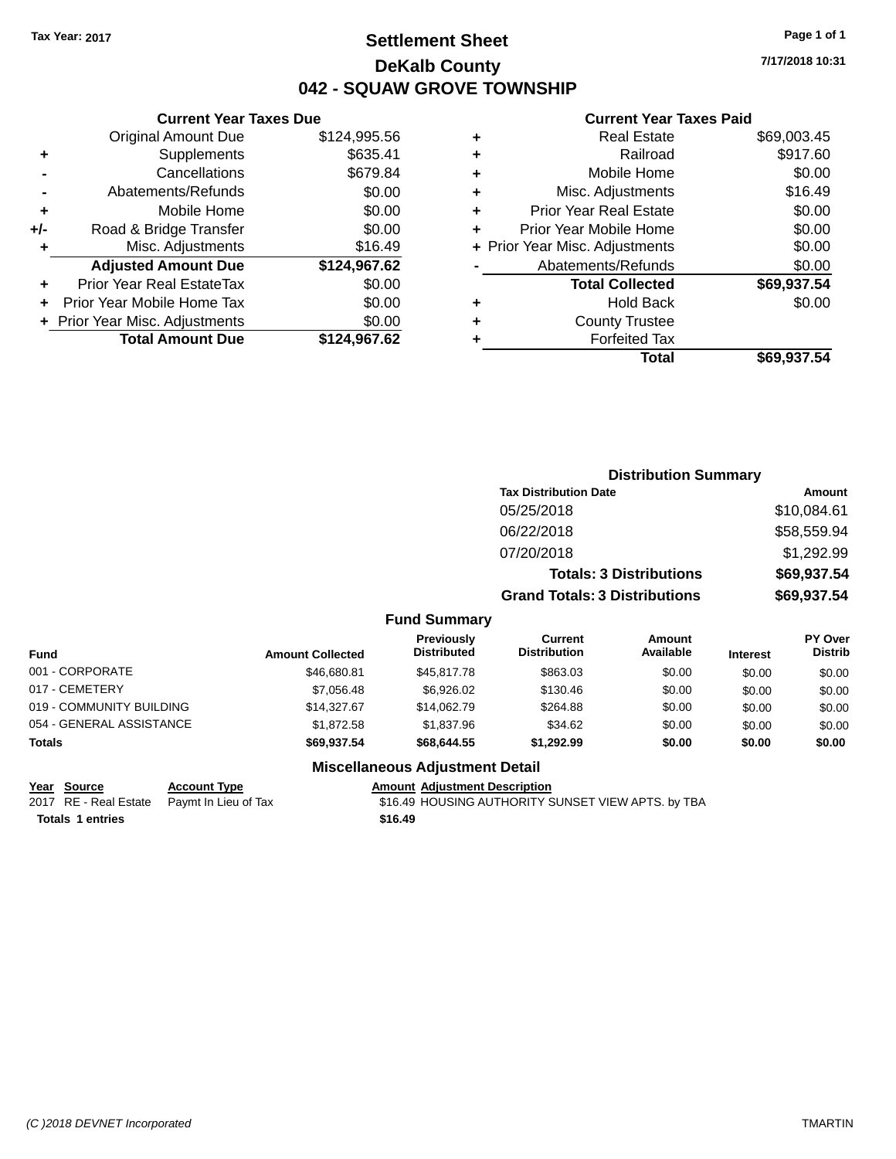### **Settlement Sheet Tax Year: 2017 Page 1 of 1 DeKalb County 042 - SQUAW GROVE TOWNSHIP**

**7/17/2018 10:31**

#### **Current Year Taxes Paid**

|     | <b>Current Year Taxes Due</b>  |              |
|-----|--------------------------------|--------------|
|     | <b>Original Amount Due</b>     | \$124,995.56 |
| ٠   | Supplements                    | \$635.41     |
|     | Cancellations                  | \$679.84     |
|     | Abatements/Refunds             | \$0.00       |
| ٠   | Mobile Home                    | \$0.00       |
| +/- | Road & Bridge Transfer         | \$0.00       |
| ٠   | Misc. Adjustments              | \$16.49      |
|     | <b>Adjusted Amount Due</b>     | \$124,967.62 |
| ٠   | Prior Year Real EstateTax      | \$0.00       |
|     | Prior Year Mobile Home Tax     | \$0.00       |
|     | + Prior Year Misc. Adjustments | \$0.00       |
|     | <b>Total Amount Due</b>        | \$124,967.62 |
|     |                                |              |

| ٠ | <b>Real Estate</b>             | \$69,003.45 |
|---|--------------------------------|-------------|
| ٠ | Railroad                       | \$917.60    |
| ٠ | Mobile Home                    | \$0.00      |
| ٠ | Misc. Adjustments              | \$16.49     |
| ٠ | <b>Prior Year Real Estate</b>  | \$0.00      |
| ÷ | Prior Year Mobile Home         | \$0.00      |
|   | + Prior Year Misc. Adjustments | \$0.00      |
|   | Abatements/Refunds             | \$0.00      |
|   | <b>Total Collected</b>         | \$69,937.54 |
| ٠ | <b>Hold Back</b>               | \$0.00      |
| ٠ | <b>County Trustee</b>          |             |
| ٠ | <b>Forfeited Tax</b>           |             |
|   | Total                          | \$69,937.54 |
|   |                                |             |

|                                  |                                      | <b>Distribution Summary</b>    |                                              |
|----------------------------------|--------------------------------------|--------------------------------|----------------------------------------------|
|                                  | <b>Tax Distribution Date</b>         |                                | Amount                                       |
|                                  | 05/25/2018                           |                                | \$10,084.61                                  |
|                                  | 06/22/2018                           |                                | \$58,559.94                                  |
|                                  | 07/20/2018                           |                                | \$1,292.99                                   |
|                                  |                                      | <b>Totals: 3 Distributions</b> | \$69,937.54                                  |
|                                  | <b>Grand Totals: 3 Distributions</b> |                                | \$69,937.54                                  |
| <b>Fund Summary</b>              |                                      |                                |                                              |
| <b>Previously</b><br>Dietributed | Current<br>Dietribution              | Amount<br>Avoilabla            | <b>PY Over</b><br><b>Dietrih</b><br>$\cdots$ |

| <b>Fund</b>              | <b>Amount Collected</b> | <b>Previously</b><br><b>Distributed</b> | Current<br><b>Distribution</b> | <b>Amount</b><br>Available | <b>Interest</b> | <b>PY Over</b><br><b>Distrib</b> |
|--------------------------|-------------------------|-----------------------------------------|--------------------------------|----------------------------|-----------------|----------------------------------|
| 001 - CORPORATE          | \$46,680.81             | \$45,817.78                             | \$863.03                       | \$0.00                     | \$0.00          | \$0.00                           |
| 017 - CEMETERY           | \$7,056.48              | \$6,926,02                              | \$130.46                       | \$0.00                     | \$0.00          | \$0.00                           |
| 019 - COMMUNITY BUILDING | \$14,327.67             | \$14.062.79                             | \$264.88                       | \$0.00                     | \$0.00          | \$0.00                           |
| 054 - GENERAL ASSISTANCE | \$1.872.58              | \$1,837.96                              | \$34.62                        | \$0.00                     | \$0.00          | \$0.00                           |
| <b>Totals</b>            | \$69,937.54             | \$68,644,55                             | \$1.292.99                     | \$0.00                     | \$0.00          | \$0.00                           |

### **Miscellaneous Adjustment Detail**

#### **Year** Source **Account Type Account Adjustment Description**

**Totals \$16.49 1 entries**

2017 RE - Real Estate Paymt In Lieu of Tax S16.49 HOUSING AUTHORITY SUNSET VIEW APTS. by TBA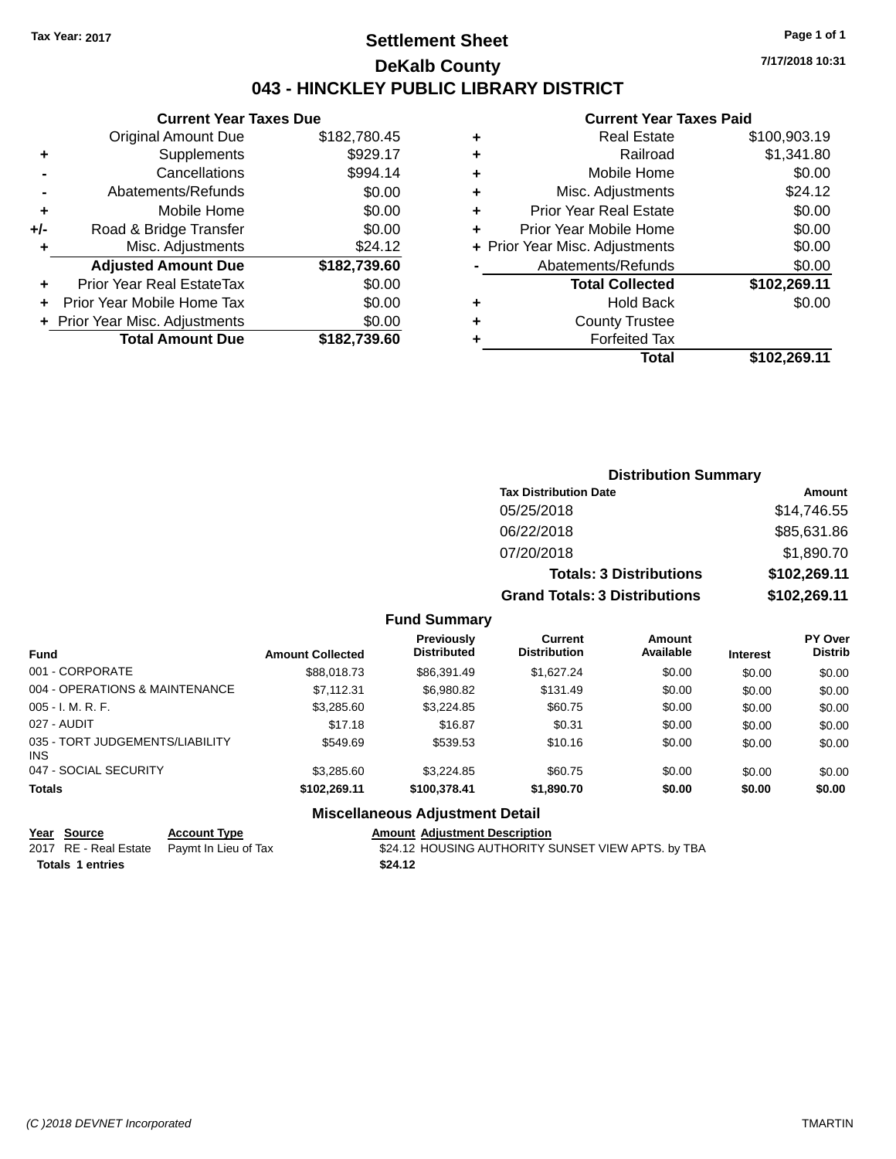### **Settlement Sheet Tax Year: 2017 Page 1 of 1 DeKalb County 043 - HINCKLEY PUBLIC LIBRARY DISTRICT**

**7/17/2018 10:31**

### **Current Year Taxes Paid**

|     | <b>Current Year Taxes Due</b>  |              |
|-----|--------------------------------|--------------|
|     | <b>Original Amount Due</b>     | \$182,780.45 |
| ٠   | Supplements                    | \$929.17     |
|     | Cancellations                  | \$994.14     |
|     | Abatements/Refunds             | \$0.00       |
| ٠   | Mobile Home                    | \$0.00       |
| +/- | Road & Bridge Transfer         | \$0.00       |
| ٠   | Misc. Adjustments              | \$24.12      |
|     | <b>Adjusted Amount Due</b>     | \$182,739.60 |
| ÷   | Prior Year Real EstateTax      | \$0.00       |
|     | Prior Year Mobile Home Tax     | \$0.00       |
|     | + Prior Year Misc. Adjustments | \$0.00       |
|     | <b>Total Amount Due</b>        | \$182,739.60 |
|     |                                |              |

| ٠ | <b>Real Estate</b>             | \$100,903.19 |
|---|--------------------------------|--------------|
| ٠ | Railroad                       | \$1,341.80   |
| ٠ | Mobile Home                    | \$0.00       |
| ٠ | Misc. Adjustments              | \$24.12      |
| ٠ | <b>Prior Year Real Estate</b>  | \$0.00       |
| ٠ | Prior Year Mobile Home         | \$0.00       |
|   | + Prior Year Misc. Adjustments | \$0.00       |
|   | Abatements/Refunds             | \$0.00       |
|   | <b>Total Collected</b>         | \$102,269.11 |
| ٠ | <b>Hold Back</b>               | \$0.00       |
| ٠ | <b>County Trustee</b>          |              |
| ٠ | <b>Forfeited Tax</b>           |              |
|   | Total                          | \$102,269.11 |
|   |                                |              |

| <b>Distribution Summary</b>          |              |  |  |  |
|--------------------------------------|--------------|--|--|--|
| <b>Tax Distribution Date</b>         | Amount       |  |  |  |
| 05/25/2018                           | \$14,746.55  |  |  |  |
| 06/22/2018                           | \$85,631.86  |  |  |  |
| 07/20/2018                           | \$1,890.70   |  |  |  |
| <b>Totals: 3 Distributions</b>       | \$102,269.11 |  |  |  |
| <b>Grand Totals: 3 Distributions</b> | \$102,269.11 |  |  |  |

#### **Fund Summary**

| <b>Fund</b>                             | <b>Amount Collected</b> | <b>Previously</b><br><b>Distributed</b> | Current<br><b>Distribution</b> | Amount<br>Available | <b>Interest</b> | <b>PY Over</b><br><b>Distrib</b> |
|-----------------------------------------|-------------------------|-----------------------------------------|--------------------------------|---------------------|-----------------|----------------------------------|
| 001 - CORPORATE                         | \$88,018.73             | \$86,391.49                             | \$1.627.24                     | \$0.00              | \$0.00          | \$0.00                           |
| 004 - OPERATIONS & MAINTENANCE          | \$7.112.31              | \$6,980.82                              | \$131.49                       | \$0.00              | \$0.00          | \$0.00                           |
| $005 - I. M. R. F.$                     | \$3,285.60              | \$3,224.85                              | \$60.75                        | \$0.00              | \$0.00          | \$0.00                           |
| 027 - AUDIT                             | \$17.18                 | \$16.87                                 | \$0.31                         | \$0.00              | \$0.00          | \$0.00                           |
| 035 - TORT JUDGEMENTS/LIABILITY<br>INS. | \$549.69                | \$539.53                                | \$10.16                        | \$0.00              | \$0.00          | \$0.00                           |
| 047 - SOCIAL SECURITY                   | \$3,285,60              | \$3.224.85                              | \$60.75                        | \$0.00              | \$0.00          | \$0.00                           |
| <b>Totals</b>                           | \$102.269.11            | \$100,378,41                            | \$1.890.70                     | \$0.00              | \$0.00          | \$0.00                           |

#### **Miscellaneous Adjustment Detail**

**Year Source Account Type Account Type Amount Adjustment Description**<br>2017 RE - Real Estate Paymt In Lieu of Tax **1988** \$24.12 HOUSING AUTHORITY S \$24.12 HOUSING AUTHORITY SUNSET VIEW APTS. by TBA **Totals \$24.12 1 entries**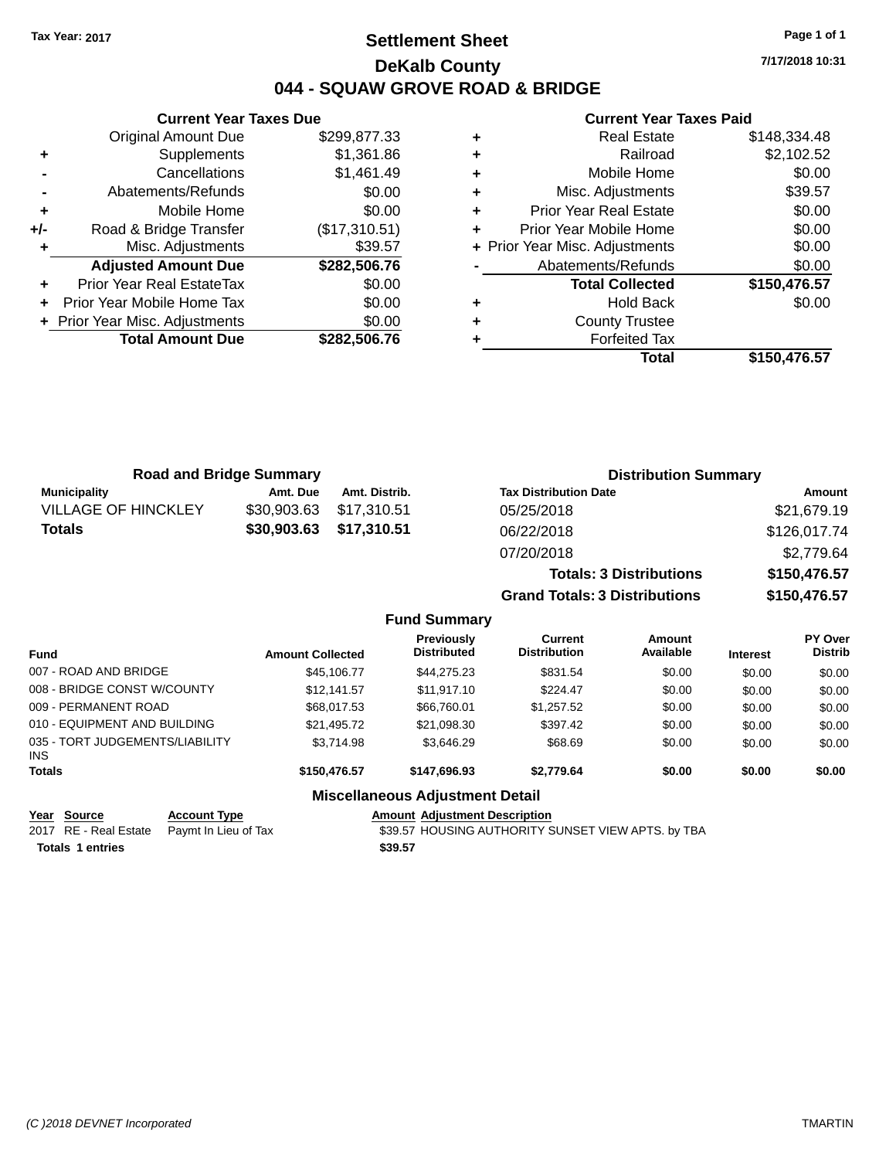### **Settlement Sheet Tax Year: 2017 Page 1 of 1 DeKalb County 044 - SQUAW GROVE ROAD & BRIDGE**

**7/17/2018 10:31**

#### **Current Year Taxes Paid**

|       | <b>Current Year Taxes Due</b>  |               |
|-------|--------------------------------|---------------|
|       | <b>Original Amount Due</b>     | \$299,877.33  |
| ٠     | Supplements                    | \$1,361.86    |
|       | Cancellations                  | \$1,461.49    |
|       | Abatements/Refunds             | \$0.00        |
| ٠     | Mobile Home                    | \$0.00        |
| $+/-$ | Road & Bridge Transfer         | (\$17,310.51) |
|       | Misc. Adjustments              | \$39.57       |
|       | <b>Adjusted Amount Due</b>     | \$282,506.76  |
|       | Prior Year Real EstateTax      | \$0.00        |
|       | Prior Year Mobile Home Tax     | \$0.00        |
|       | + Prior Year Misc. Adjustments | \$0.00        |
|       | <b>Total Amount Due</b>        | \$282.506.76  |
|       |                                |               |

|   | <b>Real Estate</b>             | \$148,334.48 |
|---|--------------------------------|--------------|
| ÷ | Railroad                       | \$2,102.52   |
| ٠ | Mobile Home                    | \$0.00       |
| ٠ | Misc. Adjustments              | \$39.57      |
| ٠ | <b>Prior Year Real Estate</b>  | \$0.00       |
| ٠ | Prior Year Mobile Home         | \$0.00       |
|   | + Prior Year Misc. Adjustments | \$0.00       |
|   | Abatements/Refunds             | \$0.00       |
|   | <b>Total Collected</b>         | \$150,476.57 |
| ٠ | <b>Hold Back</b>               | \$0.00       |
| ٠ | <b>County Trustee</b>          |              |
| ٠ | <b>Forfeited Tax</b>           |              |
|   | Total                          | \$150,476.57 |
|   |                                |              |

| <b>Road and Bridge Summary</b> |             |               | <b>Distribution Summary</b>    |              |  |
|--------------------------------|-------------|---------------|--------------------------------|--------------|--|
| <b>Municipality</b>            | Amt. Due    | Amt. Distrib. | <b>Tax Distribution Date</b>   | Amount       |  |
| <b>VILLAGE OF HINCKLEY</b>     | \$30,903.63 | \$17,310.51   | 05/25/2018                     | \$21,679.19  |  |
| Totals                         | \$30,903.63 | \$17,310.51   | 06/22/2018                     | \$126,017.74 |  |
|                                |             |               | 07/20/2018                     | \$2,779.64   |  |
|                                |             |               | <b>Totals: 3 Distributions</b> | \$150,476.57 |  |

**Grand Totals: 3 Distributions \$150,476.57**

#### **Fund Summary**

| <b>Fund</b>                                   | <b>Amount Collected</b> | <b>Previously</b><br><b>Distributed</b> | Current<br><b>Distribution</b> | Amount<br>Available | <b>Interest</b> | PY Over<br><b>Distrib</b> |
|-----------------------------------------------|-------------------------|-----------------------------------------|--------------------------------|---------------------|-----------------|---------------------------|
| 007 - ROAD AND BRIDGE                         | \$45,106,77             | \$44.275.23                             | \$831.54                       | \$0.00              | \$0.00          | \$0.00                    |
| 008 - BRIDGE CONST W/COUNTY                   | \$12.141.57             | \$11.917.10                             | \$224.47                       | \$0.00              | \$0.00          | \$0.00                    |
| 009 - PERMANENT ROAD                          | \$68,017.53             | \$66,760.01                             | \$1,257.52                     | \$0.00              | \$0.00          | \$0.00                    |
| 010 - EQUIPMENT AND BUILDING                  | \$21.495.72             | \$21,098.30                             | \$397.42                       | \$0.00              | \$0.00          | \$0.00                    |
| 035 - TORT JUDGEMENTS/LIABILITY<br><b>INS</b> | \$3.714.98              | \$3.646.29                              | \$68.69                        | \$0.00              | \$0.00          | \$0.00                    |
| <b>Totals</b>                                 | \$150,476.57            | \$147.696.93                            | \$2.779.64                     | \$0.00              | \$0.00          | \$0.00                    |
|                                               |                         |                                         |                                |                     |                 |                           |

# **Miscellaneous Adjustment Detail**

| Year Source             | <b>Account Type</b>                        | <b>Amount Adiustment Description</b>               |
|-------------------------|--------------------------------------------|----------------------------------------------------|
|                         | 2017 RE - Real Estate Paymt In Lieu of Tax | \$39.57 HOUSING AUTHORITY SUNSET VIEW APTS. by TBA |
| <b>Totals 1 entries</b> |                                            | \$39.57                                            |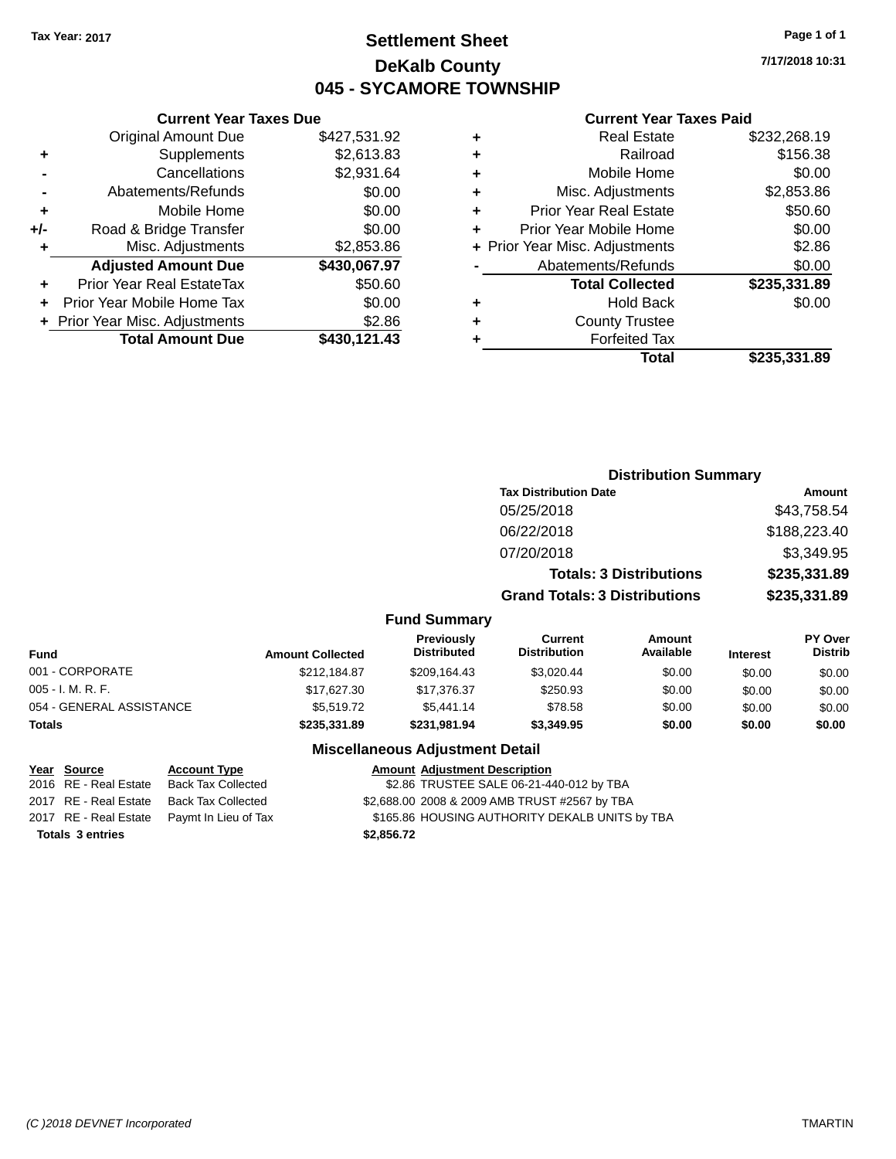### **Settlement Sheet Tax Year: 2017 Page 1 of 1 DeKalb County 045 - SYCAMORE TOWNSHIP**

**7/17/2018 10:31**

#### **Current Year Taxes Paid**

|     | <b>Current Year Taxes Due</b>  |              |
|-----|--------------------------------|--------------|
|     | <b>Original Amount Due</b>     | \$427,531.92 |
| ٠   | Supplements                    | \$2,613.83   |
|     | Cancellations                  | \$2,931.64   |
|     | Abatements/Refunds             | \$0.00       |
| ٠   | Mobile Home                    | \$0.00       |
| +/- | Road & Bridge Transfer         | \$0.00       |
| ٠   | Misc. Adjustments              | \$2,853.86   |
|     | <b>Adjusted Amount Due</b>     | \$430,067.97 |
| ÷   | Prior Year Real EstateTax      | \$50.60      |
|     | Prior Year Mobile Home Tax     | \$0.00       |
|     | + Prior Year Misc. Adjustments | \$2.86       |
|     | <b>Total Amount Due</b>        | \$430,121.43 |
|     |                                |              |

| ٠ | <b>Real Estate</b>             | \$232,268.19 |
|---|--------------------------------|--------------|
| ٠ | Railroad                       | \$156.38     |
| ٠ | Mobile Home                    | \$0.00       |
| ٠ | Misc. Adjustments              | \$2,853.86   |
| ٠ | <b>Prior Year Real Estate</b>  | \$50.60      |
| ÷ | Prior Year Mobile Home         | \$0.00       |
|   | + Prior Year Misc. Adjustments | \$2.86       |
|   | Abatements/Refunds             | \$0.00       |
|   | <b>Total Collected</b>         | \$235,331.89 |
| ٠ | <b>Hold Back</b>               | \$0.00       |
|   | <b>County Trustee</b>          |              |
| ٠ | <b>Forfeited Tax</b>           |              |
|   | Total                          | \$235,331.89 |
|   |                                |              |

|                          |                         |                                                                                                                 | <b>Distribution Summary</b><br><b>Tax Distribution Date</b> |                                |                 |                           |
|--------------------------|-------------------------|-----------------------------------------------------------------------------------------------------------------|-------------------------------------------------------------|--------------------------------|-----------------|---------------------------|
|                          |                         |                                                                                                                 |                                                             |                                |                 | <b>Amount</b>             |
|                          |                         |                                                                                                                 | 05/25/2018                                                  |                                |                 | \$43,758.54               |
|                          |                         |                                                                                                                 | 06/22/2018                                                  |                                |                 | \$188,223.40              |
|                          |                         |                                                                                                                 | 07/20/2018                                                  |                                |                 | \$3,349.95                |
|                          |                         |                                                                                                                 |                                                             | <b>Totals: 3 Distributions</b> |                 | \$235,331.89              |
|                          |                         |                                                                                                                 | <b>Grand Totals: 3 Distributions</b>                        |                                | \$235,331.89    |                           |
|                          |                         | <b>Fund Summary</b>                                                                                             |                                                             |                                |                 |                           |
| <b>Fund</b>              | <b>Amount Collected</b> | Previously<br><b>Distributed</b>                                                                                | <b>Current</b><br><b>Distribution</b>                       | <b>Amount</b><br>Available     | <b>Interest</b> | PY Over<br><b>Distrib</b> |
| 001 - CORPORATE          | \$212,184.87            | \$209,164.43                                                                                                    | \$3,020.44                                                  | \$0.00                         | \$0.00          | \$0.00                    |
| 005 - I. M. R. F.        | \$17,627.30             | \$17,376.37                                                                                                     | \$250.93                                                    | \$0.00                         | \$0.00          | \$0.00                    |
| 054 - GENERAL ASSISTANCE | \$5,519.72              | \$5,441.14                                                                                                      | \$78.58                                                     | \$0.00                         | \$0.00          | \$0.00                    |
| Totals                   | \$235,331.89            | \$231,981.94                                                                                                    | \$3,349.95                                                  | \$0.00                         | \$0.00          | \$0.00                    |
|                          |                         | Battle of History and Carolina and Constantinople of the Maria Miller of the Miller of the Miller of the Miller |                                                             |                                |                 |                           |

#### **Miscellaneous Adjustment Detail**

#### **Year Source Account Type Account Adjustment Description**

| Totals 3 entries |                                            | \$2,856.72 |                                                |
|------------------|--------------------------------------------|------------|------------------------------------------------|
|                  | 2017 RE - Real Estate Paymt In Lieu of Tax |            | \$165.86 HOUSING AUTHORITY DEKALB UNITS by TBA |
|                  | 2017 RE - Real Estate Back Tax Collected   |            | \$2,688.00 2008 & 2009 AMB TRUST #2567 by TBA  |
|                  | 2016 RE - Real Estate Back Tax Collected   |            | \$2.86 TRUSTEE SALE 06-21-440-012 by TBA       |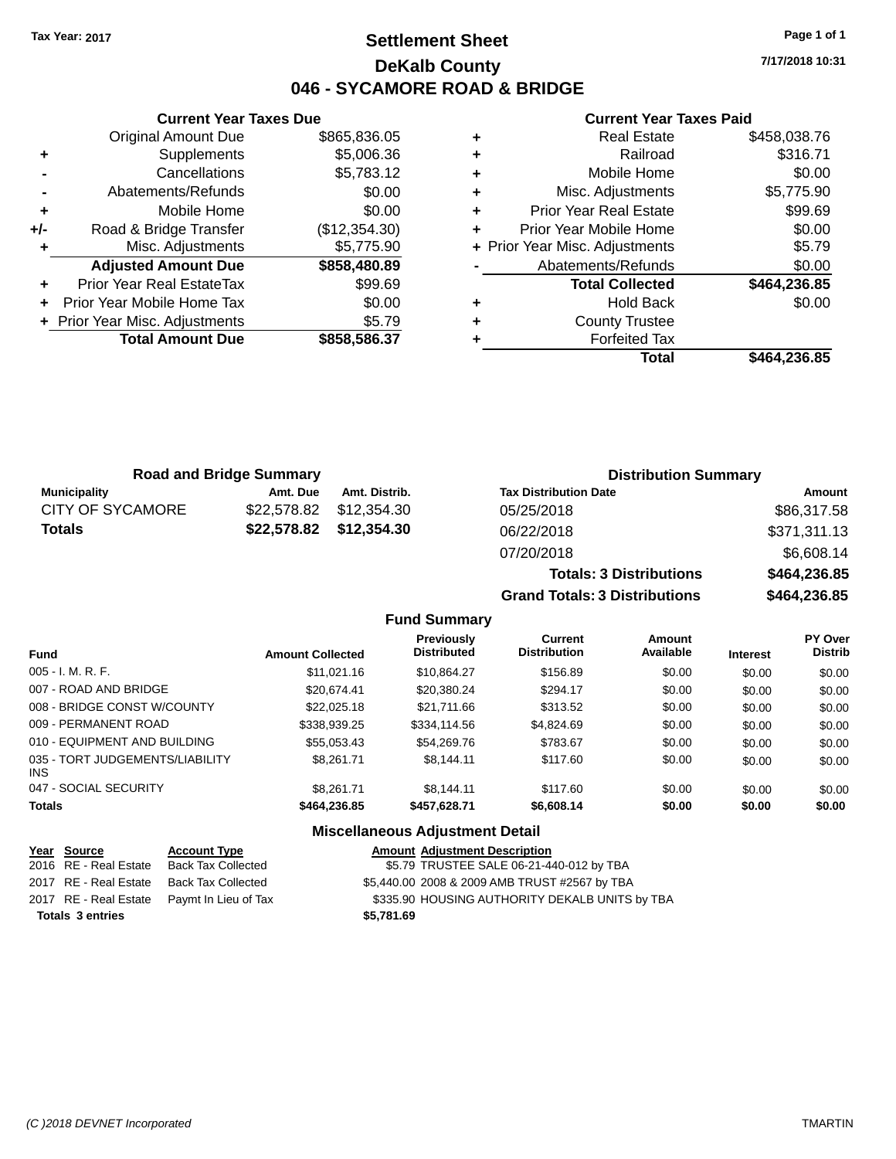### **Settlement Sheet Tax Year: 2017 Page 1 of 1 DeKalb County 046 - SYCAMORE ROAD & BRIDGE**

**7/17/2018 10:31**

#### **Current Year Taxes Paid**

|       | <b>Original Amount Due</b>       | \$865,836.05  |
|-------|----------------------------------|---------------|
| ٠     | Supplements                      | \$5,006.36    |
|       | Cancellations                    | \$5,783.12    |
|       | Abatements/Refunds               | \$0.00        |
| ÷     | Mobile Home                      | \$0.00        |
| $+/-$ | Road & Bridge Transfer           | (\$12,354.30) |
| ٠     | Misc. Adjustments                | \$5,775.90    |
|       | <b>Adjusted Amount Due</b>       | \$858,480.89  |
| ÷     | <b>Prior Year Real EstateTax</b> | \$99.69       |
|       | Prior Year Mobile Home Tax       | \$0.00        |
|       | + Prior Year Misc. Adjustments   | \$5.79        |
|       | <b>Total Amount Due</b>          | \$858,586.37  |
|       |                                  |               |

**Current Year Taxes Due**

|   | <b>Real Estate</b>             | \$458,038.76 |
|---|--------------------------------|--------------|
| ÷ | Railroad                       | \$316.71     |
| ÷ | Mobile Home                    | \$0.00       |
| ٠ | Misc. Adjustments              | \$5,775.90   |
| ٠ | <b>Prior Year Real Estate</b>  | \$99.69      |
|   | Prior Year Mobile Home         | \$0.00       |
|   | + Prior Year Misc. Adjustments | \$5.79       |
|   | Abatements/Refunds             | \$0.00       |
|   | <b>Total Collected</b>         | \$464,236.85 |
| ٠ | <b>Hold Back</b>               | \$0.00       |
| ٠ | <b>County Trustee</b>          |              |
|   | <b>Forfeited Tax</b>           |              |
|   | Total                          | \$464,236.85 |
|   |                                |              |

**Grand Totals: 3 Distributions \$464,236.85**

| <b>Road and Bridge Summary</b> |             |                         | <b>Distribution Summary</b>    |              |  |
|--------------------------------|-------------|-------------------------|--------------------------------|--------------|--|
| <b>Municipality</b>            | Amt. Due    | Amt. Distrib.           | <b>Tax Distribution Date</b>   | Amount       |  |
| <b>CITY OF SYCAMORE</b>        | \$22.578.82 | \$12.354.30             | 05/25/2018                     | \$86,317.58  |  |
| <b>Totals</b>                  |             | \$22,578.82 \$12,354.30 | 06/22/2018                     | \$371,311.13 |  |
|                                |             |                         | 07/20/2018                     | \$6,608.14   |  |
|                                |             |                         | <b>Totals: 3 Distributions</b> | \$464,236.85 |  |

#### **Fund Summary Fund Interest Amount Collected Distributed PY Over Distrib Amount Available Current Distribution Previously** 005 - I. M. R. F. \$11,021.16 \$10,864.27 \$156.89 \$0.00 \$0.00 \$0.00 007 - ROAD AND BRIDGE 60.00 \$20,674.41 \$20,380.24 \$294.17 \$0.00 \$0.00 \$0.00 \$0.00 008 - BRIDGE CONST W/COUNTY  $$22,025.18$   $$21,711.66$   $$313.52$   $$0.00$   $$0.00$   $$0.00$ 009 - PERMANENT ROAD \$338,939.25 \$334,114.56 \$4,824.69 \$0.00 \$0.00 \$0.00 \$0.00 010 - EQUIPMENT AND BUILDING \$55,053.43 \$54,269.76 \$783.67 \$0.00 \$0.00 \$0.00 \$0.00 035 - TORT JUDGEMENTS/LIABILITY INS \$8,261.71 \$8,144.11 \$117.60 \$0.00 \$0.00 \$0.00 047 - SOCIAL SECURITY \$8,261.71 \$8,144.11 \$117.60 \$0.00 \$0.00 \$0.00 \$0.00 **Totals \$464,236.85 \$457,628.71 \$6,608.14 \$0.00 \$0.00 \$0.00**

#### **Miscellaneous Adjustment Detail**

| Year Source             | <b>Account Type</b>                        |            | <b>Amount Adjustment Description</b>           |
|-------------------------|--------------------------------------------|------------|------------------------------------------------|
|                         | 2016 RE - Real Estate Back Tax Collected   |            | \$5.79 TRUSTEE SALE 06-21-440-012 by TBA       |
|                         | 2017 RE - Real Estate Back Tax Collected   |            | \$5,440.00 2008 & 2009 AMB TRUST #2567 by TBA  |
|                         | 2017 RE - Real Estate Paymt In Lieu of Tax |            | \$335.90 HOUSING AUTHORITY DEKALB UNITS by TBA |
| <b>Totals 3 entries</b> |                                            | \$5.781.69 |                                                |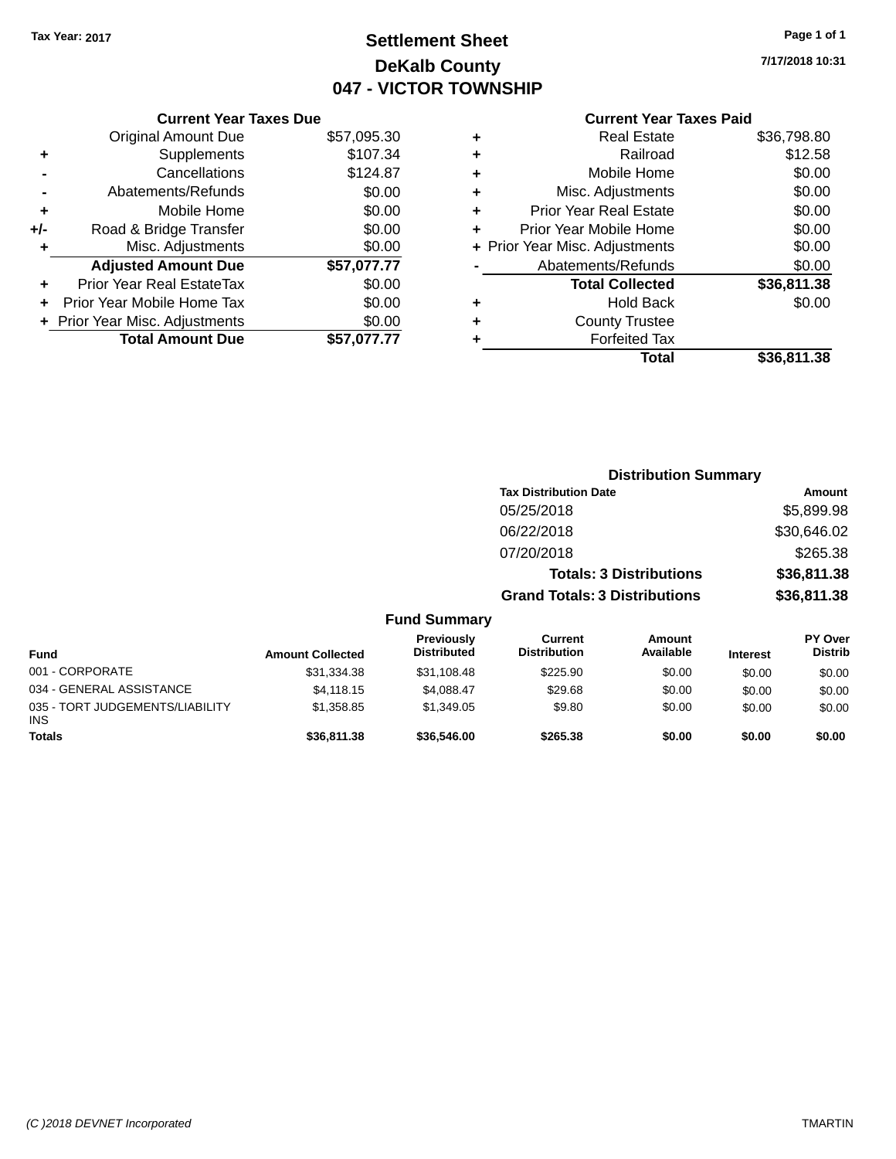## **Settlement Sheet Tax Year: 2017 Page 1 of 1 DeKalb County 047 - VICTOR TOWNSHIP**

**7/17/2018 10:31**

### **Current Year Taxes Paid**

|     | <b>Current Year Taxes Due</b>  |             |
|-----|--------------------------------|-------------|
|     | <b>Original Amount Due</b>     | \$57,095.30 |
| ٠   | Supplements                    | \$107.34    |
|     | Cancellations                  | \$124.87    |
|     | Abatements/Refunds             | \$0.00      |
| ٠   | Mobile Home                    | \$0.00      |
| +/- | Road & Bridge Transfer         | \$0.00      |
| ٠   | Misc. Adjustments              | \$0.00      |
|     | <b>Adjusted Amount Due</b>     | \$57,077.77 |
| ٠   | Prior Year Real EstateTax      | \$0.00      |
|     | Prior Year Mobile Home Tax     | \$0.00      |
|     | + Prior Year Misc. Adjustments | \$0.00      |
|     | <b>Total Amount Due</b>        | \$57.077.77 |
|     |                                |             |

|   | Total                          | \$36,811.38 |
|---|--------------------------------|-------------|
|   | <b>Forfeited Tax</b>           |             |
| ٠ | <b>County Trustee</b>          |             |
| ٠ | <b>Hold Back</b>               | \$0.00      |
|   | <b>Total Collected</b>         | \$36,811.38 |
|   | Abatements/Refunds             | \$0.00      |
|   | + Prior Year Misc. Adjustments | \$0.00      |
| ٠ | Prior Year Mobile Home         | \$0.00      |
| ٠ | <b>Prior Year Real Estate</b>  | \$0.00      |
| ٠ | Misc. Adjustments              | \$0.00      |
| ٠ | Mobile Home                    | \$0.00      |
| ٠ | Railroad                       | \$12.58     |
| ٠ | <b>Real Estate</b>             | \$36.798.80 |
|   |                                |             |

|                         |                                  |                                       | <b>Distribution Summary</b>    |                 |                                  |
|-------------------------|----------------------------------|---------------------------------------|--------------------------------|-----------------|----------------------------------|
|                         |                                  | <b>Tax Distribution Date</b>          |                                |                 | Amount                           |
|                         |                                  | 05/25/2018                            | \$5,899.98                     |                 |                                  |
|                         |                                  | 06/22/2018                            |                                |                 | \$30,646.02                      |
|                         |                                  | 07/20/2018                            |                                |                 | \$265.38                         |
|                         |                                  |                                       | <b>Totals: 3 Distributions</b> |                 | \$36,811.38                      |
|                         |                                  | <b>Grand Totals: 3 Distributions</b>  |                                |                 | \$36,811.38                      |
|                         | <b>Fund Summary</b>              |                                       |                                |                 |                                  |
| <b>Amount Collected</b> | Previously<br><b>Distributed</b> | <b>Current</b><br><b>Distribution</b> | Amount<br>Available            | <b>Interest</b> | <b>PY Over</b><br><b>Distrib</b> |
| \$31,334.38             | \$31,108.48                      | \$225.90                              | \$0.00                         | \$0.00          | \$0.00                           |
|                         |                                  |                                       |                                |                 |                                  |

| Fund                                   | <b>Amount Collected</b> | <b>Distributed</b> | <b>Distribution</b> | Available | <b>Interest</b> | <b>Distrib</b> |
|----------------------------------------|-------------------------|--------------------|---------------------|-----------|-----------------|----------------|
| 001 - CORPORATE                        | \$31.334.38             | \$31,108.48        | \$225.90            | \$0.00    | \$0.00          | \$0.00         |
| 034 - GENERAL ASSISTANCE               | \$4,118,15              | \$4.088.47         | \$29.68             | \$0.00    | \$0.00          | \$0.00         |
| 035 - TORT JUDGEMENTS/LIABILITY<br>INS | \$1.358.85              | \$1,349.05         | \$9.80              | \$0.00    | \$0.00          | \$0.00         |
| <b>Totals</b>                          | \$36,811.38             | \$36,546,00        | \$265.38            | \$0.00    | \$0.00          | \$0.00         |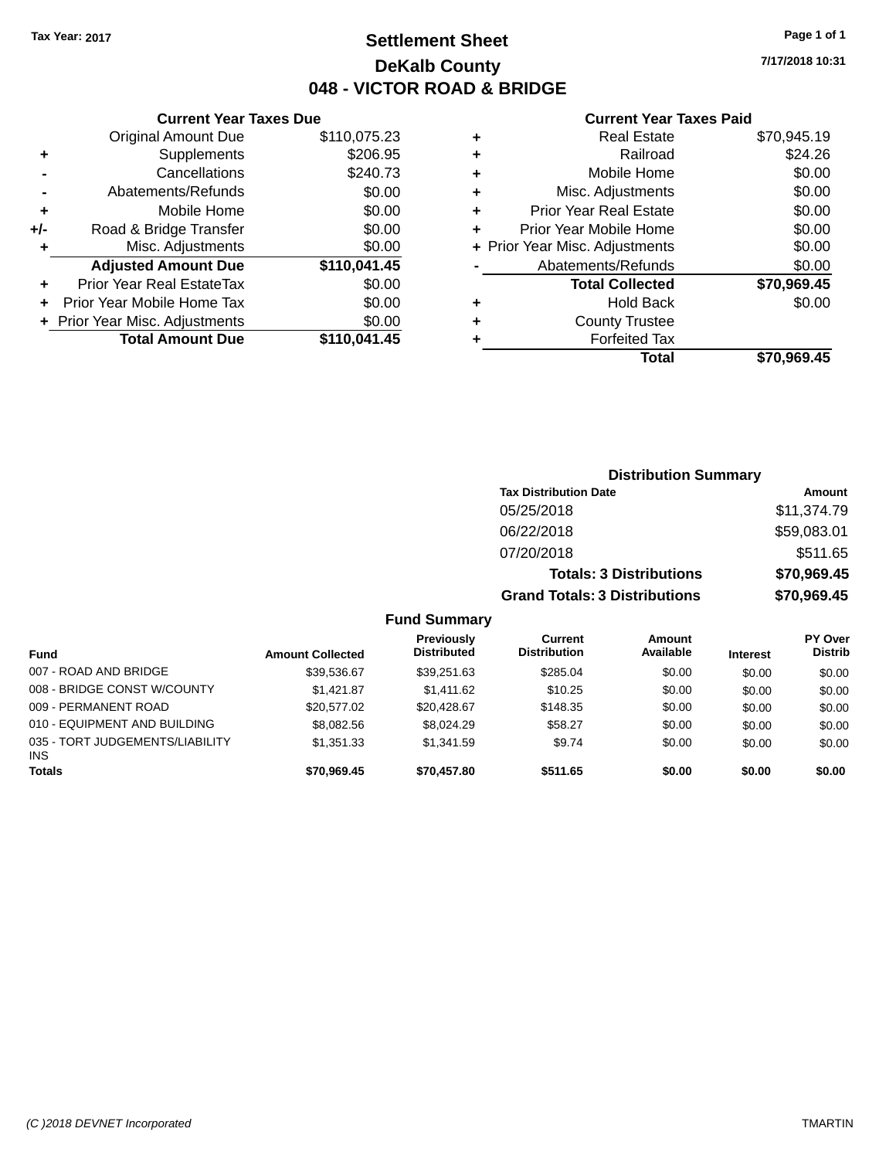**Current Year Taxes Due** Original Amount Due \$110,075.23

**Adjusted Amount Due \$110,041.45**

**Total Amount Due \$110,041.45**

**+** Supplements \$206.95 **-** Cancellations \$240.73 **-** Abatements/Refunds \$0.00 **+** Mobile Home \$0.00 **+/-** Road & Bridge Transfer \$0.00 **+** Misc. Adjustments \$0.00

**+** Prior Year Real EstateTax \$0.00 **+** Prior Year Mobile Home Tax \$0.00 **+ Prior Year Misc. Adjustments**  $$0.00$ 

### **Settlement Sheet Tax Year: 2017 Page 1 of 1 DeKalb County 048 - VICTOR ROAD & BRIDGE**

**7/17/2018 10:31**

#### **Current Year Taxes Paid**

| <b>County Trustee</b><br><b>Forfeited Tax</b> |                                |
|-----------------------------------------------|--------------------------------|
|                                               |                                |
|                                               |                                |
| <b>Hold Back</b>                              | \$0.00                         |
| <b>Total Collected</b>                        | \$70,969.45                    |
| Abatements/Refunds                            | \$0.00                         |
|                                               | \$0.00                         |
| Prior Year Mobile Home                        | \$0.00                         |
| <b>Prior Year Real Estate</b>                 | \$0.00                         |
| Misc. Adjustments                             | \$0.00                         |
| Mobile Home                                   | \$0.00                         |
| Railroad                                      | \$24.26                        |
| <b>Real Estate</b>                            | \$70,945.19                    |
|                                               | + Prior Year Misc. Adjustments |

|                              |                         |                                  |                                       | <b>Distribution Summary</b>    |                 |                           |
|------------------------------|-------------------------|----------------------------------|---------------------------------------|--------------------------------|-----------------|---------------------------|
|                              |                         |                                  | <b>Tax Distribution Date</b>          |                                |                 | Amount                    |
|                              |                         |                                  | 05/25/2018                            |                                |                 | \$11,374.79               |
|                              |                         |                                  | 06/22/2018                            |                                |                 | \$59,083.01               |
|                              |                         |                                  | 07/20/2018                            |                                |                 | \$511.65                  |
|                              |                         |                                  |                                       | <b>Totals: 3 Distributions</b> |                 | \$70,969.45               |
|                              |                         |                                  | <b>Grand Totals: 3 Distributions</b>  |                                |                 | \$70,969.45               |
|                              |                         | <b>Fund Summary</b>              |                                       |                                |                 |                           |
| <b>Fund</b>                  | <b>Amount Collected</b> | Previously<br><b>Distributed</b> | <b>Current</b><br><b>Distribution</b> | Amount<br>Available            | <b>Interest</b> | PY Over<br><b>Distrib</b> |
| 007 - ROAD AND BRIDGE        | \$39,536.67             | \$39,251.63                      | \$285.04                              | \$0.00                         | \$0.00          | \$0.00                    |
| 008 - BRIDGE CONST W/COUNTY  | \$1,421.87              | \$1,411.62                       | \$10.25                               | \$0.00                         | \$0.00          | \$0.00                    |
| 009 - PERMANENT ROAD         | \$20,577.02             | \$20,428.67                      | \$148.35                              | \$0.00                         | \$0.00          | \$0.00                    |
| 010 - EQUIPMENT AND BUILDING | \$8,082.56              | \$8,024.29                       | \$58.27                               | \$0.00                         | \$0.00          | \$0.00                    |

**Totals \$70,969.45 \$70,457.80 \$511.65 \$0.00 \$0.00 \$0.00**

\$1,351.33 \$1,341.59 \$9.74 \$0.00 \$0.00 \$0.00

035 - TORT JUDGEMENTS/LIABILITY

INS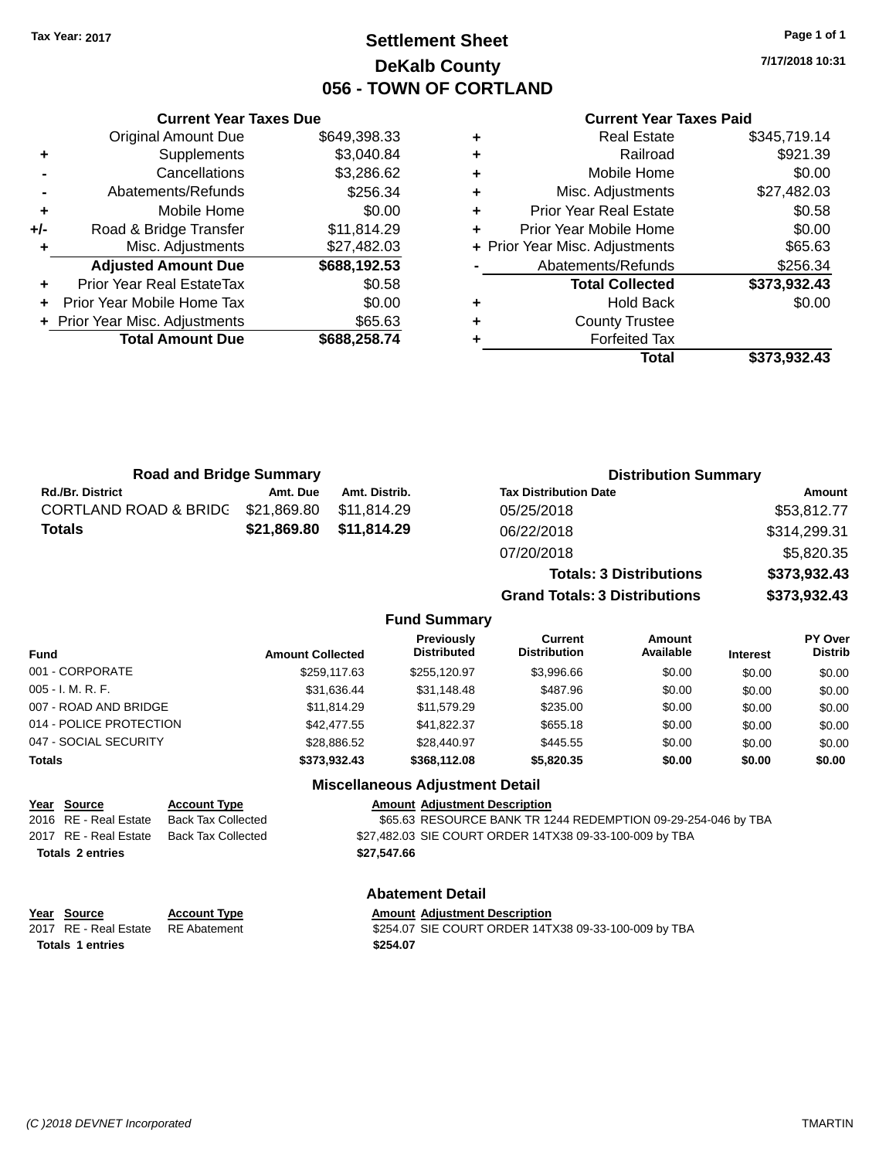### **Settlement Sheet Tax Year: 2017 Page 1 of 1 DeKalb County 056 - TOWN OF CORTLAND**

**7/17/2018 10:31**

#### **Current Year Taxes Paid**

|     | <b>Current Year Taxes Due</b>  |              |
|-----|--------------------------------|--------------|
|     | <b>Original Amount Due</b>     | \$649,398.33 |
| ٠   | Supplements                    | \$3,040.84   |
|     | Cancellations                  | \$3,286.62   |
|     | Abatements/Refunds             | \$256.34     |
| ٠   | Mobile Home                    | \$0.00       |
| +/- | Road & Bridge Transfer         | \$11,814.29  |
| ٠   | Misc. Adjustments              | \$27,482.03  |
|     | <b>Adjusted Amount Due</b>     | \$688,192.53 |
| ٠   | Prior Year Real EstateTax      | \$0.58       |
|     | Prior Year Mobile Home Tax     | \$0.00       |
|     | + Prior Year Misc. Adjustments | \$65.63      |
|     | <b>Total Amount Due</b>        | \$688,258.74 |
|     |                                |              |

|   | <b>Real Estate</b>             | \$345,719.14 |
|---|--------------------------------|--------------|
| ٠ | Railroad                       | \$921.39     |
| ٠ | Mobile Home                    | \$0.00       |
| ٠ | Misc. Adjustments              | \$27,482.03  |
| ٠ | <b>Prior Year Real Estate</b>  | \$0.58       |
| ٠ | Prior Year Mobile Home         | \$0.00       |
|   | + Prior Year Misc. Adjustments | \$65.63      |
|   | Abatements/Refunds             | \$256.34     |
|   | <b>Total Collected</b>         | \$373,932.43 |
| ٠ | <b>Hold Back</b>               | \$0.00       |
| ٠ | <b>County Trustee</b>          |              |
|   | <b>Forfeited Tax</b>           |              |
|   | Total                          | \$373,932.43 |
|   |                                |              |

| <b>Road and Bridge Summary</b>                                                                            |                         | <b>Distribution Summary</b> |                                        |                                                               |                                |                 |                           |
|-----------------------------------------------------------------------------------------------------------|-------------------------|-----------------------------|----------------------------------------|---------------------------------------------------------------|--------------------------------|-----------------|---------------------------|
| <b>Rd./Br. District</b>                                                                                   | Amt. Due                | Amt. Distrib.               |                                        | <b>Tax Distribution Date</b>                                  |                                |                 | <b>Amount</b>             |
| CORTLAND ROAD & BRIDG                                                                                     | \$21,869.80             | \$11,814.29                 |                                        | 05/25/2018                                                    |                                |                 | \$53,812.77               |
| Totals                                                                                                    | \$21,869.80             | \$11,814.29                 |                                        | 06/22/2018                                                    |                                |                 | \$314,299.31              |
|                                                                                                           |                         |                             |                                        | 07/20/2018                                                    |                                |                 | \$5,820.35                |
|                                                                                                           |                         |                             |                                        |                                                               | <b>Totals: 3 Distributions</b> |                 | \$373,932.43              |
|                                                                                                           |                         |                             |                                        | <b>Grand Totals: 3 Distributions</b>                          |                                |                 | \$373,932.43              |
|                                                                                                           |                         |                             | <b>Fund Summary</b>                    |                                                               |                                |                 |                           |
| Fund                                                                                                      | <b>Amount Collected</b> |                             | Previously<br><b>Distributed</b>       | Current<br><b>Distribution</b>                                | Amount<br>Available            | <b>Interest</b> | PY Over<br><b>Distrib</b> |
| 001 - CORPORATE                                                                                           |                         | \$259,117.63                | \$255,120.97                           | \$3,996.66                                                    | \$0.00                         | \$0.00          | \$0.00                    |
| 005 - I. M. R. F.                                                                                         |                         | \$31,636.44                 | \$31,148.48                            | \$487.96                                                      | \$0.00                         | \$0.00          | \$0.00                    |
| 007 - ROAD AND BRIDGE                                                                                     |                         | \$11,814.29                 | \$11,579.29                            | \$235.00                                                      | \$0.00                         | \$0.00          | \$0.00                    |
| 014 - POLICE PROTECTION                                                                                   |                         | \$42,477.55                 | \$41,822.37                            | \$655.18                                                      | \$0.00                         | \$0.00          | \$0.00                    |
| 047 - SOCIAL SECURITY                                                                                     |                         | \$28,886.52                 | \$28,440.97                            | \$445.55                                                      | \$0.00                         | \$0.00          | \$0.00                    |
| Totals                                                                                                    |                         | \$373,932.43                | \$368,112.08                           | \$5,820.35                                                    | \$0.00                         | \$0.00          | \$0.00                    |
|                                                                                                           |                         |                             | <b>Miscellaneous Adjustment Detail</b> |                                                               |                                |                 |                           |
| <u>Year</u><br><b>Account Type</b><br><b>Source</b><br>2016 RE - Real Estate<br><b>Back Tax Collected</b> |                         |                             | <b>Amount Adjustment Description</b>   | \$65.63 RESOURCE BANK TR 1244 REDEMPTION 09-29-254-046 by TBA |                                |                 |                           |

**Totals \$27,547.66 2 entries**

2017 RE - Real Estate Back Tax Collected \$27,482.03 SIE COURT ORDER 14TX38 09-33-100-009 by TBA

### **Abatement Detail**

| Year Source                        | <b>Account Type</b> | <b>Amount Adjustment Description</b>                 |
|------------------------------------|---------------------|------------------------------------------------------|
| 2017 RE - Real Estate RE Abatement |                     | \$254.07 SIE COURT ORDER 14TX38 09-33-100-009 by TBA |
| <b>Totals 1 entries</b>            |                     | \$254.07                                             |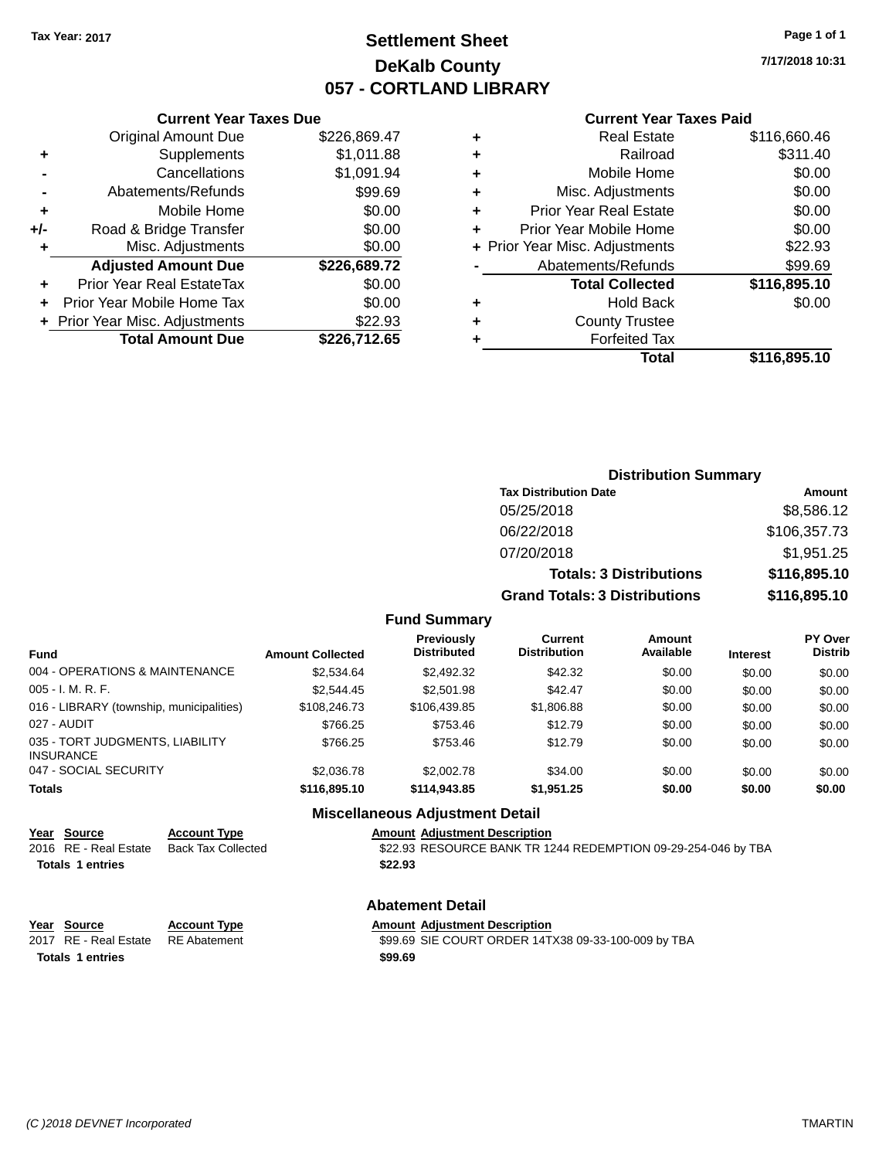### **Settlement Sheet Tax Year: 2017 Page 1 of 1 DeKalb County 057 - CORTLAND LIBRARY**

**7/17/2018 10:31**

#### **Current Year Taxes Paid**

|       | <b>Current Year Taxes Due</b>             |              |  |  |  |  |  |
|-------|-------------------------------------------|--------------|--|--|--|--|--|
|       | <b>Original Amount Due</b>                | \$226,869.47 |  |  |  |  |  |
| ٠     | \$1,011.88<br>Supplements                 |              |  |  |  |  |  |
|       | \$1,091.94<br>Cancellations               |              |  |  |  |  |  |
|       | \$99.69<br>Abatements/Refunds             |              |  |  |  |  |  |
| ٠     | Mobile Home                               | \$0.00       |  |  |  |  |  |
| $+/-$ | Road & Bridge Transfer                    | \$0.00       |  |  |  |  |  |
|       | \$0.00<br>Misc. Adjustments               |              |  |  |  |  |  |
|       | <b>Adjusted Amount Due</b>                | \$226,689.72 |  |  |  |  |  |
| ٠     | Prior Year Real EstateTax                 | \$0.00       |  |  |  |  |  |
|       | Prior Year Mobile Home Tax                | \$0.00       |  |  |  |  |  |
|       | \$22.93<br>+ Prior Year Misc. Adjustments |              |  |  |  |  |  |
|       | <b>Total Amount Due</b>                   | \$226,712.65 |  |  |  |  |  |
|       |                                           |              |  |  |  |  |  |

|   | <b>Real Estate</b>             | \$116,660.46 |
|---|--------------------------------|--------------|
| ٠ | Railroad                       | \$311.40     |
| ٠ | Mobile Home                    | \$0.00       |
| ٠ | Misc. Adjustments              | \$0.00       |
| ٠ | <b>Prior Year Real Estate</b>  | \$0.00       |
| ÷ | Prior Year Mobile Home         | \$0.00       |
|   | + Prior Year Misc. Adjustments | \$22.93      |
|   | Abatements/Refunds             | \$99.69      |
|   | <b>Total Collected</b>         | \$116,895.10 |
| ٠ | <b>Hold Back</b>               | \$0.00       |
| ٠ | <b>County Trustee</b>          |              |
| ٠ | <b>Forfeited Tax</b>           |              |
|   | Total                          | \$116,895.10 |
|   |                                |              |

| <b>Distribution Summary</b>          |              |
|--------------------------------------|--------------|
| <b>Tax Distribution Date</b>         | Amount       |
| 05/25/2018                           | \$8,586.12   |
| 06/22/2018                           | \$106,357.73 |
| 07/20/2018                           | \$1,951.25   |
| <b>Totals: 3 Distributions</b>       | \$116,895.10 |
| <b>Grand Totals: 3 Distributions</b> | \$116,895.10 |

#### **Fund Summary**

| <b>Fund</b>                                         | <b>Amount Collected</b> | <b>Previously</b><br><b>Distributed</b> | Current<br><b>Distribution</b> | Amount<br>Available | <b>Interest</b> | PY Over<br><b>Distrib</b> |
|-----------------------------------------------------|-------------------------|-----------------------------------------|--------------------------------|---------------------|-----------------|---------------------------|
| 004 - OPERATIONS & MAINTENANCE                      | \$2.534.64              | \$2,492.32                              | \$42.32                        | \$0.00              | \$0.00          | \$0.00                    |
| $005 - I. M. R. F.$                                 | \$2.544.45              | \$2,501.98                              | \$42.47                        | \$0.00              | \$0.00          | \$0.00                    |
| 016 - LIBRARY (township, municipalities)            | \$108,246.73            | \$106.439.85                            | \$1,806.88                     | \$0.00              | \$0.00          | \$0.00                    |
| 027 - AUDIT                                         | \$766.25                | \$753.46                                | \$12.79                        | \$0.00              | \$0.00          | \$0.00                    |
| 035 - TORT JUDGMENTS, LIABILITY<br><b>INSURANCE</b> | \$766.25                | \$753.46                                | \$12.79                        | \$0.00              | \$0.00          | \$0.00                    |
| 047 - SOCIAL SECURITY                               | \$2,036.78              | \$2,002.78                              | \$34.00                        | \$0.00              | \$0.00          | \$0.00                    |
| <b>Totals</b>                                       | \$116,895.10            | \$114,943.85                            | \$1.951.25                     | \$0.00              | \$0.00          | \$0.00                    |

#### **Miscellaneous Adjustment Detail**

# **Year Source Account Type Amount Adjustment Description**<br>2016 RE - Real Estate Back Tax Collected \$22.93 RESOURCE BANK TR 12

\$22.93 RESOURCE BANK TR 1244 REDEMPTION 09-29-254-046 by TBA **Totals \$22.93 1 entries**

#### **Abatement Detail**

| Year Source           | <b>Account Type</b> | <b>Amount Adiustment Description</b>                |
|-----------------------|---------------------|-----------------------------------------------------|
| 2017 RE - Real Estate | RE Abatement        | \$99.69 SIE COURT ORDER 14TX38 09-33-100-009 by TBA |
| Totals 1 entries      |                     | \$99.69                                             |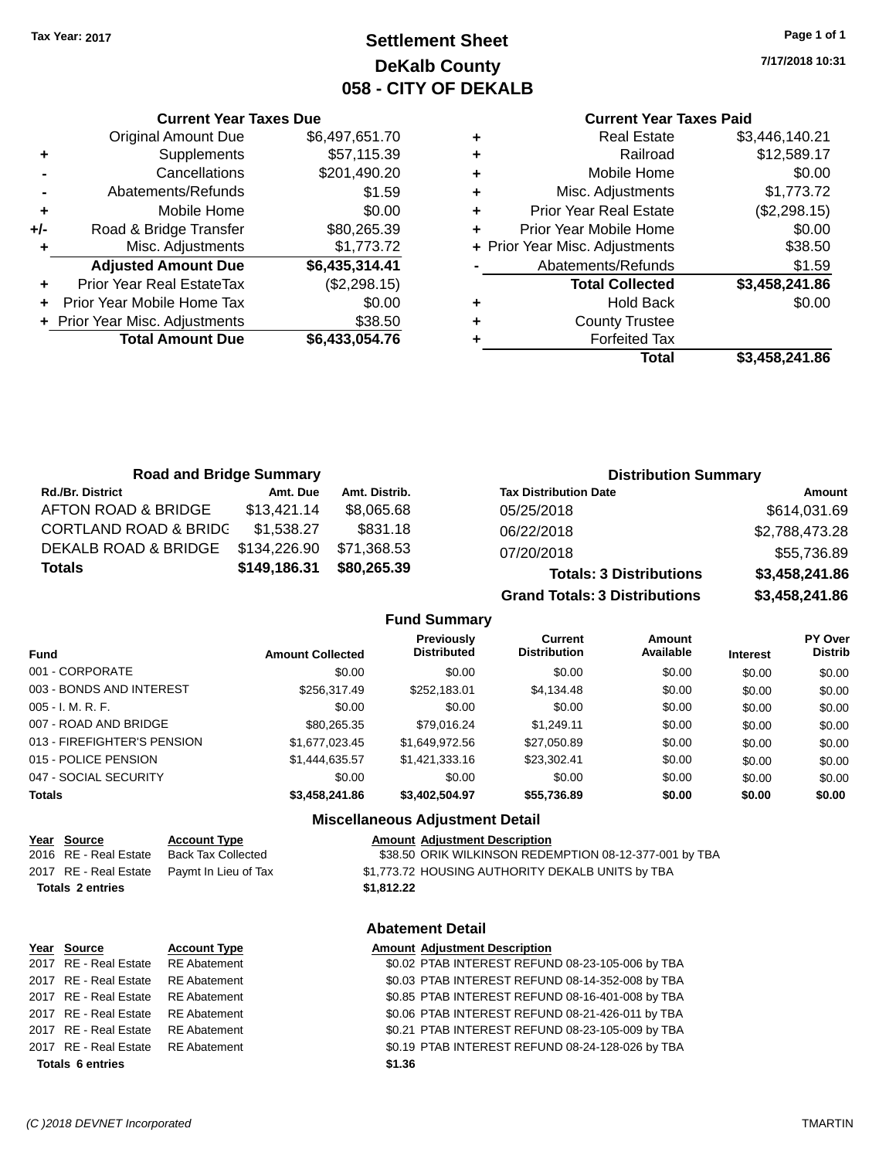### **Settlement Sheet Tax Year: 2017 Page 1 of 1 DeKalb County 058 - CITY OF DEKALB**

**7/17/2018 10:31**

#### **Current Year Taxes Paid**

| ٠ | <b>Real Estate</b>             | \$3,446,140.21 |
|---|--------------------------------|----------------|
| ٠ | Railroad                       | \$12,589.17    |
| ٠ | Mobile Home                    | \$0.00         |
| ٠ | Misc. Adjustments              | \$1,773.72     |
| ٠ | <b>Prior Year Real Estate</b>  | (\$2,298.15)   |
| ٠ | Prior Year Mobile Home         | \$0.00         |
|   | + Prior Year Misc. Adjustments | \$38.50        |
|   | Abatements/Refunds             | \$1.59         |
|   | <b>Total Collected</b>         | \$3,458,241.86 |
| ٠ | <b>Hold Back</b>               | \$0.00         |
| ٠ | <b>County Trustee</b>          |                |
|   | <b>Forfeited Tax</b>           |                |
|   | Total                          | \$3,458,241.86 |
|   |                                |                |

|     | <b>Current Year Taxes Due</b>  |                |  |  |  |  |
|-----|--------------------------------|----------------|--|--|--|--|
|     | <b>Original Amount Due</b>     | \$6,497,651.70 |  |  |  |  |
| ٠   | Supplements                    | \$57,115.39    |  |  |  |  |
|     | Cancellations                  | \$201,490.20   |  |  |  |  |
|     | Abatements/Refunds             | \$1.59         |  |  |  |  |
| ٠   | Mobile Home                    | \$0.00         |  |  |  |  |
| +/- | Road & Bridge Transfer         | \$80,265.39    |  |  |  |  |
| ٠   | Misc. Adjustments              | \$1,773.72     |  |  |  |  |
|     | <b>Adjusted Amount Due</b>     | \$6,435,314.41 |  |  |  |  |
| ٠   | Prior Year Real EstateTax      | (\$2,298.15)   |  |  |  |  |
|     | Prior Year Mobile Home Tax     | \$0.00         |  |  |  |  |
|     | + Prior Year Misc. Adjustments | \$38.50        |  |  |  |  |
|     | <b>Total Amount Due</b>        | \$6,433,054.76 |  |  |  |  |
|     |                                |                |  |  |  |  |

| <b>Road and Bridge Summary</b>   |              |               | <b>Distribution Summary</b>    |                |  |  |
|----------------------------------|--------------|---------------|--------------------------------|----------------|--|--|
| <b>Rd./Br. District</b>          | Amt. Due     | Amt. Distrib. | <b>Tax Distribution Date</b>   | Amount         |  |  |
| AFTON ROAD & BRIDGE              | \$13,421.14  | \$8,065.68    | 05/25/2018                     | \$614,031.69   |  |  |
| <b>CORTLAND ROAD &amp; BRIDC</b> | \$1.538.27   | \$831.18      | 06/22/2018                     | \$2,788,473.28 |  |  |
| DEKALB ROAD & BRIDGE             | \$134,226.90 | \$71,368.53   | 07/20/2018                     | \$55,736.89    |  |  |
| <b>Totals</b>                    | \$149,186.31 | \$80,265.39   | <b>Totals: 3 Distributions</b> | \$3,458,241.86 |  |  |

**Grand Totals: 3 Distributions \$3,458,241.86**

**Fund Summary**

| <b>Fund</b>                 | <b>Amount Collected</b> | Previously<br><b>Distributed</b> | Current<br><b>Distribution</b> | Amount<br>Available | <b>Interest</b> | <b>PY Over</b><br><b>Distrib</b> |
|-----------------------------|-------------------------|----------------------------------|--------------------------------|---------------------|-----------------|----------------------------------|
| 001 - CORPORATE             | \$0.00                  | \$0.00                           | \$0.00                         | \$0.00              | \$0.00          | \$0.00                           |
| 003 - BONDS AND INTEREST    | \$256,317.49            | \$252.183.01                     | \$4,134.48                     | \$0.00              | \$0.00          | \$0.00                           |
| $005 - I. M. R. F.$         | \$0.00                  | \$0.00                           | \$0.00                         | \$0.00              | \$0.00          | \$0.00                           |
| 007 - ROAD AND BRIDGE       | \$80,265.35             | \$79.016.24                      | \$1.249.11                     | \$0.00              | \$0.00          | \$0.00                           |
| 013 - FIREFIGHTER'S PENSION | \$1,677,023.45          | \$1.649.972.56                   | \$27,050.89                    | \$0.00              | \$0.00          | \$0.00                           |
| 015 - POLICE PENSION        | \$1,444,635.57          | \$1,421,333.16                   | \$23,302.41                    | \$0.00              | \$0.00          | \$0.00                           |
| 047 - SOCIAL SECURITY       | \$0.00                  | \$0.00                           | \$0.00                         | \$0.00              | \$0.00          | \$0.00                           |
| <b>Totals</b>               | \$3,458,241.86          | \$3,402,504.97                   | \$55,736.89                    | \$0.00              | \$0.00          | \$0.00                           |

### **Miscellaneous Adjustment Detail**

#### **Year Source Account Type And Amount Adjustment Description**

2016 RE - Real Estate Back Tax Collected **198.50 ORIK WILK BACK REDEMPTION 08-12-377-001 by TBA** 2017 RE - Real Estate Paymt In Lieu of Tax S1,773.72 HOUSING AUTHORITY DEKALB UNITS by TBA **Totals \$1,812.22 2 entries**

#### **Abatement Detail**

| Year Source                        | <b>Account Type</b> |        | <b>Amount Adjustment Description</b>             |
|------------------------------------|---------------------|--------|--------------------------------------------------|
| 2017 RE - Real Estate RE Abatement |                     |        | \$0.02 PTAB INTEREST REFUND 08-23-105-006 by TBA |
| 2017 RE - Real Estate RE Abatement |                     |        | \$0.03 PTAB INTEREST REFUND 08-14-352-008 by TBA |
| 2017 RE - Real Estate RE Abatement |                     |        | \$0.85 PTAB INTEREST REFUND 08-16-401-008 by TBA |
| 2017 RE - Real Estate RE Abatement |                     |        | \$0.06 PTAB INTEREST REFUND 08-21-426-011 by TBA |
| 2017 RE - Real Estate RE Abatement |                     |        | \$0.21 PTAB INTEREST REFUND 08-23-105-009 by TBA |
| 2017 RE - Real Estate RE Abatement |                     |        | \$0.19 PTAB INTEREST REFUND 08-24-128-026 by TBA |
| <b>Totals 6 entries</b>            |                     | \$1.36 |                                                  |
|                                    |                     |        |                                                  |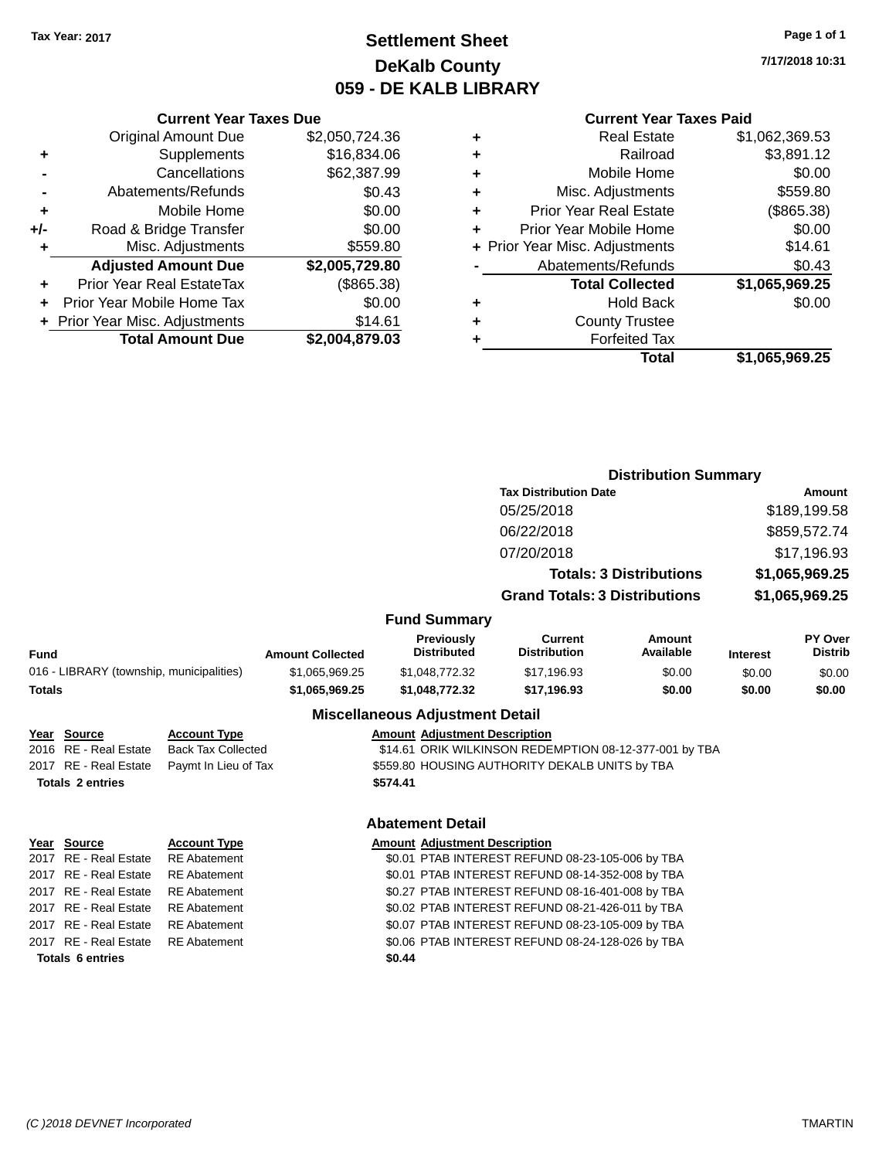### **Settlement Sheet Tax Year: 2017 Page 1 of 1 DeKalb County 059 - DE KALB LIBRARY**

**7/17/2018 10:31**

#### **Current Year Taxes Paid**

|       | <b>Current Year Taxes Due</b>    |                |   |                  |
|-------|----------------------------------|----------------|---|------------------|
|       | <b>Original Amount Due</b>       | \$2,050,724.36 | ٠ |                  |
| ٠     | <b>Supplements</b>               | \$16,834.06    |   |                  |
|       | Cancellations                    | \$62,387.99    | ٠ |                  |
|       | Abatements/Refunds               | \$0.43         | ٠ | Mis              |
| ٠     | Mobile Home                      | \$0.00         |   | Prior Ye         |
| $+/-$ | Road & Bridge Transfer           | \$0.00         |   | Prior Yea        |
| ٠     | Misc. Adjustments                | \$559.80       |   | + Prior Year Mis |
|       | <b>Adjusted Amount Due</b>       | \$2,005,729.80 |   | Abate            |
| ٠     | <b>Prior Year Real EstateTax</b> | (\$865.38)     |   |                  |
|       | Prior Year Mobile Home Tax       | \$0.00         |   |                  |
|       | + Prior Year Misc. Adjustments   | \$14.61        |   |                  |
|       | <b>Total Amount Due</b>          | \$2,004,879.03 |   |                  |
|       |                                  |                |   |                  |

|   | Real Estate                    | \$1,062,369.53 |
|---|--------------------------------|----------------|
| ٠ | Railroad                       | \$3,891.12     |
| ٠ | Mobile Home                    | \$0.00         |
| ٠ | Misc. Adjustments              | \$559.80       |
| ٠ | <b>Prior Year Real Estate</b>  | (\$865.38)     |
| ٠ | Prior Year Mobile Home         | \$0.00         |
|   | + Prior Year Misc. Adjustments | \$14.61        |
|   | Abatements/Refunds             | \$0.43         |
|   | <b>Total Collected</b>         | \$1,065,969.25 |
|   | <b>Hold Back</b>               | \$0.00         |
| ٠ | <b>County Trustee</b>          |                |
|   | <b>Forfeited Tax</b>           |                |
|   | Total                          | \$1,065,969.25 |
|   |                                |                |

|               |                                                                                          |                                                                          |                         |                                                  |                                                                                                          | <b>Distribution Summary</b>    |                 |                           |
|---------------|------------------------------------------------------------------------------------------|--------------------------------------------------------------------------|-------------------------|--------------------------------------------------|----------------------------------------------------------------------------------------------------------|--------------------------------|-----------------|---------------------------|
|               |                                                                                          |                                                                          |                         |                                                  | <b>Tax Distribution Date</b>                                                                             |                                | Amount          |                           |
|               |                                                                                          |                                                                          |                         |                                                  | 05/25/2018                                                                                               |                                |                 | \$189,199.58              |
|               |                                                                                          |                                                                          |                         |                                                  | 06/22/2018                                                                                               |                                |                 | \$859,572.74              |
|               |                                                                                          |                                                                          |                         |                                                  |                                                                                                          |                                |                 |                           |
|               |                                                                                          |                                                                          |                         |                                                  | 07/20/2018                                                                                               |                                |                 | \$17,196.93               |
|               |                                                                                          |                                                                          |                         |                                                  |                                                                                                          | <b>Totals: 3 Distributions</b> |                 | \$1,065,969.25            |
|               |                                                                                          |                                                                          |                         |                                                  | <b>Grand Totals: 3 Distributions</b>                                                                     |                                |                 | \$1,065,969.25            |
|               |                                                                                          |                                                                          |                         | <b>Fund Summary</b>                              |                                                                                                          |                                |                 |                           |
| <b>Fund</b>   |                                                                                          |                                                                          | <b>Amount Collected</b> | Previously<br><b>Distributed</b>                 | <b>Current</b><br><b>Distribution</b>                                                                    | Amount<br>Available            | <b>Interest</b> | PY Over<br><b>Distrib</b> |
|               | 016 - LIBRARY (township, municipalities)                                                 |                                                                          | \$1,065,969.25          | \$1,048,772.32                                   | \$17,196.93                                                                                              | \$0.00                         | \$0.00          | \$0.00                    |
| <b>Totals</b> |                                                                                          |                                                                          | \$1,065,969.25          | \$1,048,772.32                                   | \$17,196.93                                                                                              | \$0.00                         | \$0.00          | \$0.00                    |
|               |                                                                                          |                                                                          |                         | <b>Miscellaneous Adjustment Detail</b>           |                                                                                                          |                                |                 |                           |
|               | Year Source<br>2016 RE - Real Estate<br>2017 RE - Real Estate<br><b>Totals 2 entries</b> | <b>Account Type</b><br><b>Back Tax Collected</b><br>Paymt In Lieu of Tax |                         | <b>Amount Adjustment Description</b><br>\$574.41 | \$14.61 ORIK WILKINSON REDEMPTION 08-12-377-001 by TBA<br>\$559.80 HOUSING AUTHORITY DEKALB UNITS by TBA |                                |                 |                           |
|               |                                                                                          |                                                                          |                         | <b>Abatement Detail</b>                          |                                                                                                          |                                |                 |                           |
|               | Year Source                                                                              | <b>Account Type</b>                                                      |                         | <b>Amount Adjustment Description</b>             |                                                                                                          |                                |                 |                           |
|               | 2017 RE - Real Estate                                                                    | <b>RE</b> Abatement                                                      |                         |                                                  | \$0.01 PTAB INTEREST REFUND 08-23-105-006 by TBA                                                         |                                |                 |                           |
|               | 2017 RE - Real Estate                                                                    | <b>RE</b> Abatement                                                      |                         |                                                  | \$0.01 PTAB INTEREST REFUND 08-14-352-008 by TBA                                                         |                                |                 |                           |
|               | 2017 RE - Real Estate                                                                    | <b>RE</b> Abatement                                                      |                         |                                                  | \$0.27 PTAB INTEREST REFUND 08-16-401-008 by TBA                                                         |                                |                 |                           |
|               | 2017 RE - Real Estate                                                                    | <b>RE</b> Abatement                                                      |                         |                                                  | \$0.02 PTAB INTEREST REFUND 08-21-426-011 by TBA                                                         |                                |                 |                           |
|               | 2017 RE - Real Estate                                                                    | <b>RE</b> Abatement                                                      |                         |                                                  | \$0.07 PTAB INTEREST REFUND 08-23-105-009 by TBA                                                         |                                |                 |                           |
|               | 2017 RE - Real Estate                                                                    | <b>RE</b> Abatement                                                      |                         |                                                  | \$0.06 PTAB INTEREST REFUND 08-24-128-026 by TBA                                                         |                                |                 |                           |
|               | <b>Totals 6 entries</b>                                                                  |                                                                          |                         | \$0.44                                           |                                                                                                          |                                |                 |                           |
|               |                                                                                          |                                                                          |                         |                                                  |                                                                                                          |                                |                 |                           |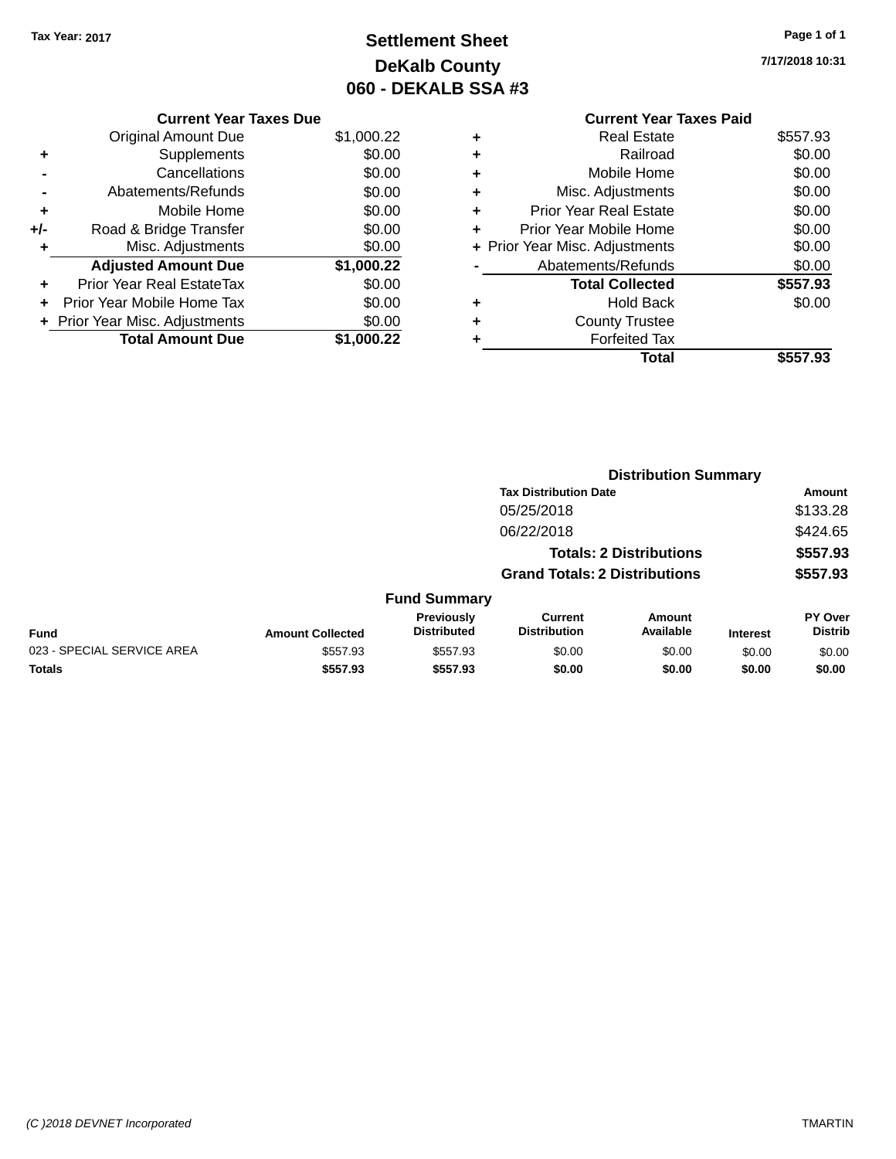## **Settlement Sheet Tax Year: 2017 Page 1 of 1 DeKalb County 060 - DEKALB SSA #3**

**7/17/2018 10:31**

| <b>Current Year Taxes Paid</b> |                                |
|--------------------------------|--------------------------------|
| <b>Real Estate</b>             | \$557.93                       |
| Railroad                       | \$0.00                         |
| Mobile Home                    | \$0.00                         |
| Misc. Adjustments              | \$0.00                         |
| Prior Year Real Estate         | \$0.00                         |
| Prior Year Mobile Home         | \$0.00                         |
|                                | \$0.00                         |
| Abatements/Refunds             | \$0.00                         |
| <b>Total Collected</b>         | \$557.93                       |
| <b>Hold Back</b>               | \$0.00                         |
| <b>County Trustee</b>          |                                |
| <b>Forfeited Tax</b>           |                                |
| Total                          | \$557<br>93                    |
|                                | + Prior Year Misc. Adjustments |

| <b>Current Year Taxes Due</b>  |            |
|--------------------------------|------------|
| <b>Original Amount Due</b>     | \$1,000.22 |
| Supplements                    | \$0.00     |
| Cancellations                  | \$0.00     |
| Abatements/Refunds             | \$0.00     |
| Mobile Home                    | \$0.00     |
| Road & Bridge Transfer         | \$0.00     |
| Misc. Adjustments              | \$0.00     |
| <b>Adjusted Amount Due</b>     | \$1,000.22 |
| Prior Year Real EstateTax      | \$0.00     |
| Prior Year Mobile Home Tax     | \$0.00     |
| + Prior Year Misc. Adjustments | \$0.00     |
| <b>Total Amount Due</b>        | \$1,000.22 |
|                                |            |

|                            |                         |                                         | <b>Distribution Summary</b>           |                                |                 |                           |  |
|----------------------------|-------------------------|-----------------------------------------|---------------------------------------|--------------------------------|-----------------|---------------------------|--|
|                            |                         |                                         | <b>Tax Distribution Date</b>          |                                |                 | Amount                    |  |
|                            |                         |                                         | 05/25/2018                            |                                |                 | \$133.28                  |  |
|                            |                         |                                         | 06/22/2018                            |                                |                 | \$424.65                  |  |
|                            |                         |                                         |                                       | <b>Totals: 2 Distributions</b> |                 | \$557.93                  |  |
|                            |                         |                                         | <b>Grand Totals: 2 Distributions</b>  |                                |                 | \$557.93                  |  |
|                            |                         | <b>Fund Summary</b>                     |                                       |                                |                 |                           |  |
| Fund                       | <b>Amount Collected</b> | <b>Previously</b><br><b>Distributed</b> | <b>Current</b><br><b>Distribution</b> | Amount<br>Available            | <b>Interest</b> | PY Over<br><b>Distrib</b> |  |
| 023 - SPECIAL SERVICE AREA | \$557.93                | \$557.93                                | \$0.00                                | \$0.00                         | \$0.00          | \$0.00                    |  |
| <b>Totals</b>              | \$557.93                | \$557.93                                | \$0.00                                | \$0.00                         | \$0.00          | \$0.00                    |  |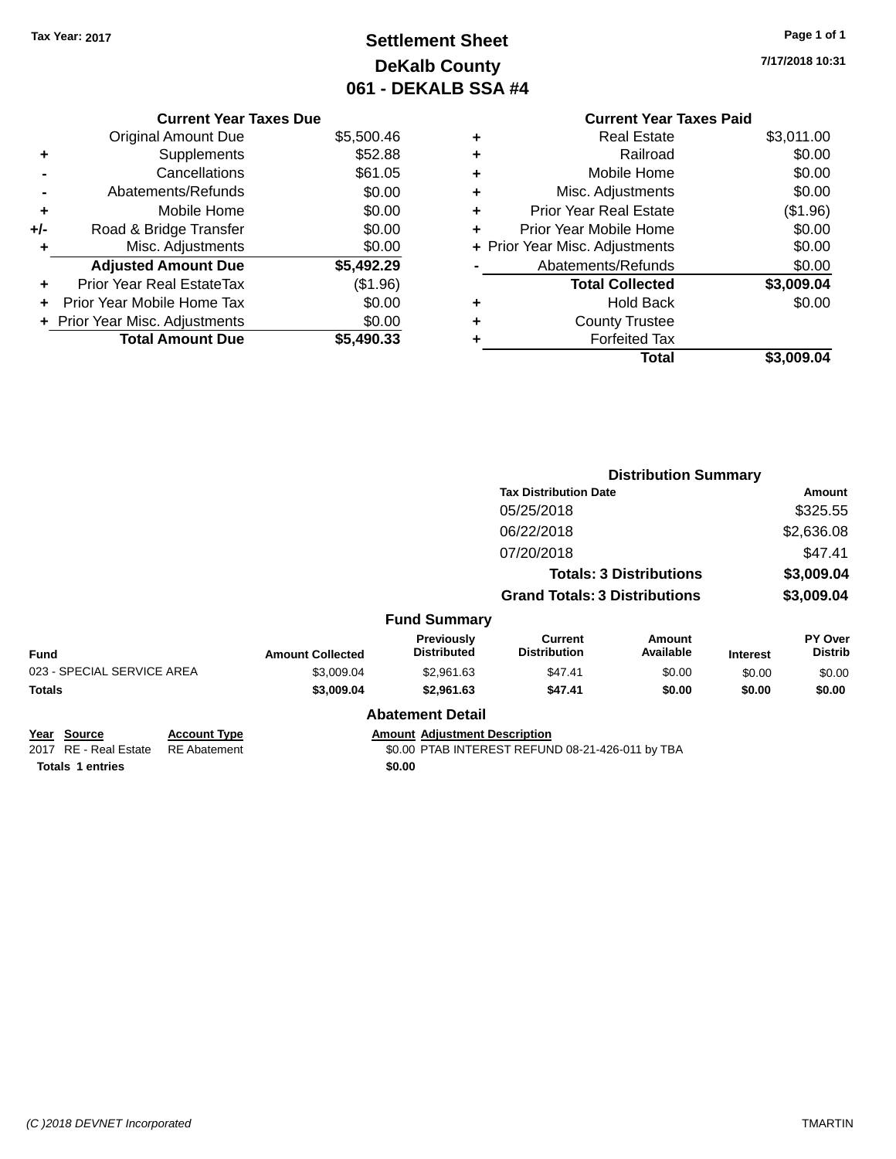## **Settlement Sheet Tax Year: 2017 Page 1 of 1 DeKalb County 061 - DEKALB SSA #4**

**7/17/2018 10:31**

|   | <b>Current Year Taxes Paid</b> |            |
|---|--------------------------------|------------|
| ٠ | <b>Real Estate</b>             | \$3,011.00 |
|   | Railroad                       | \$0.00     |
| ٠ | Mobile Home                    | \$0.00     |
| ٠ | Misc. Adjustments              | \$0.00     |
| ٠ | <b>Prior Year Real Estate</b>  | (\$1.96)   |
| ٠ | Prior Year Mobile Home         | \$0.00     |
|   | + Prior Year Misc. Adjustments | \$0.00     |
|   | Abatements/Refunds             | \$0.00     |
|   | <b>Total Collected</b>         | \$3,009.04 |
|   | <b>Hold Back</b>               | \$0.00     |
|   | <b>County Trustee</b>          |            |
|   | <b>Forfeited Tax</b>           |            |
|   | Total                          | \$3,009.04 |
|   |                                |            |

|     | <b>Current Year Taxes Due</b>  |            |
|-----|--------------------------------|------------|
|     | <b>Original Amount Due</b>     | \$5,500.46 |
|     | Supplements                    | \$52.88    |
|     | Cancellations                  | \$61.05    |
|     | Abatements/Refunds             | \$0.00     |
| ٠   | Mobile Home                    | \$0.00     |
| +/- | Road & Bridge Transfer         | \$0.00     |
| ٠   | Misc. Adjustments              | \$0.00     |
|     | <b>Adjusted Amount Due</b>     | \$5,492.29 |
|     | Prior Year Real EstateTax      | (\$1.96)   |
|     | Prior Year Mobile Home Tax     | \$0.00     |
|     | + Prior Year Misc. Adjustments | \$0.00     |
|     | <b>Total Amount Due</b>        | \$5,490.33 |

|                                                |                                            |                         |                                      |                                                  | <b>Distribution Summary</b>    |                 |                                  |
|------------------------------------------------|--------------------------------------------|-------------------------|--------------------------------------|--------------------------------------------------|--------------------------------|-----------------|----------------------------------|
|                                                |                                            |                         |                                      | <b>Tax Distribution Date</b>                     |                                |                 | Amount                           |
|                                                |                                            |                         |                                      | 05/25/2018                                       |                                |                 | \$325.55                         |
|                                                |                                            |                         |                                      | 06/22/2018                                       |                                |                 | \$2,636.08                       |
|                                                |                                            |                         |                                      | 07/20/2018                                       |                                |                 | \$47.41                          |
|                                                |                                            |                         |                                      |                                                  | <b>Totals: 3 Distributions</b> |                 | \$3,009.04                       |
|                                                |                                            |                         |                                      | <b>Grand Totals: 3 Distributions</b>             |                                |                 | \$3,009.04                       |
|                                                |                                            |                         | <b>Fund Summary</b>                  |                                                  |                                |                 |                                  |
| <b>Fund</b>                                    |                                            | <b>Amount Collected</b> | Previously<br><b>Distributed</b>     | Current<br><b>Distribution</b>                   | <b>Amount</b><br>Available     | <b>Interest</b> | <b>PY Over</b><br><b>Distrib</b> |
| 023 - SPECIAL SERVICE AREA                     |                                            | \$3,009.04              | \$2,961.63                           | \$47.41                                          | \$0.00                         | \$0.00          | \$0.00                           |
| <b>Totals</b>                                  |                                            | \$3,009.04              | \$2,961.63                           | \$47.41                                          | \$0.00                         | \$0.00          | \$0.00                           |
|                                                |                                            |                         | <b>Abatement Detail</b>              |                                                  |                                |                 |                                  |
| Year<br><b>Source</b><br>2017 RE - Real Estate | <b>Account Type</b><br><b>RE</b> Abatement |                         | <b>Amount Adjustment Description</b> | \$0.00 PTAB INTEREST REFUND 08-21-426-011 by TBA |                                |                 |                                  |
| <b>Totals 1 entries</b>                        |                                            |                         | \$0.00                               |                                                  |                                |                 |                                  |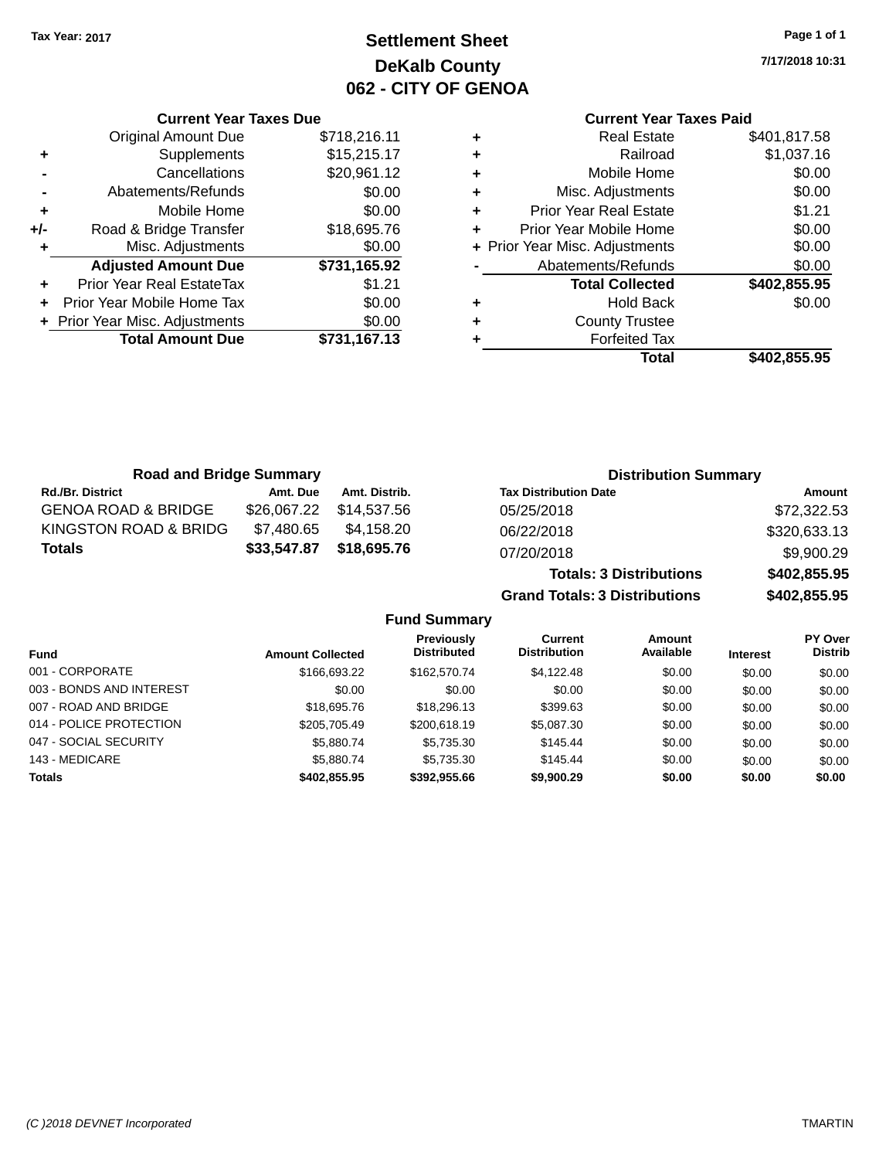### **Settlement Sheet Tax Year: 2017 Page 1 of 1 DeKalb County 062 - CITY OF GENOA**

**7/17/2018 10:31**

# **Current Year Taxes Paid**

|     | <b>Current Year Taxes Due</b>  |              |  |  |
|-----|--------------------------------|--------------|--|--|
|     | <b>Original Amount Due</b>     | \$718,216.11 |  |  |
| ٠   | Supplements                    | \$15,215.17  |  |  |
|     | Cancellations                  | \$20,961.12  |  |  |
|     | Abatements/Refunds             | \$0.00       |  |  |
| ٠   | Mobile Home                    | \$0.00       |  |  |
| +/- | Road & Bridge Transfer         | \$18,695.76  |  |  |
|     | \$0.00<br>Misc. Adjustments    |              |  |  |
|     | <b>Adjusted Amount Due</b>     | \$731,165.92 |  |  |
|     | Prior Year Real EstateTax      | \$1.21       |  |  |
|     | Prior Year Mobile Home Tax     | \$0.00       |  |  |
|     | + Prior Year Misc. Adjustments | \$0.00       |  |  |
|     | <b>Total Amount Due</b>        | \$731,167.13 |  |  |
|     |                                |              |  |  |

|   | Total                          | \$402,855.95 |
|---|--------------------------------|--------------|
| ٠ | <b>Forfeited Tax</b>           |              |
| ٠ | <b>County Trustee</b>          |              |
| ٠ | <b>Hold Back</b>               | \$0.00       |
|   | <b>Total Collected</b>         | \$402,855.95 |
|   | Abatements/Refunds             | \$0.00       |
|   | + Prior Year Misc. Adjustments | \$0.00       |
| ٠ | Prior Year Mobile Home         | \$0.00       |
| ٠ | <b>Prior Year Real Estate</b>  | \$1.21       |
| ٠ | Misc. Adjustments              | \$0.00       |
| ٠ | Mobile Home                    | \$0.00       |
| ٠ | Railroad                       | \$1,037.16   |
| ٠ | <b>Real Estate</b>             | \$401,817.58 |
|   |                                |              |

**Grand Totals: 3 Distributions \$402,855.95**

| <b>Road and Bridge Summary</b> |             |               | <b>Distribution Summary</b>    |              |  |
|--------------------------------|-------------|---------------|--------------------------------|--------------|--|
| <b>Rd./Br. District</b>        | Amt. Due    | Amt. Distrib. | <b>Tax Distribution Date</b>   | Amount       |  |
| <b>GENOA ROAD &amp; BRIDGE</b> | \$26,067.22 | \$14,537.56   | 05/25/2018                     | \$72,322.53  |  |
| KINGSTON ROAD & BRIDG          | \$7,480.65  | \$4.158.20    | 06/22/2018                     | \$320,633.13 |  |
| <b>Totals</b>                  | \$33,547.87 | \$18,695.76   | 07/20/2018                     | \$9,900.29   |  |
|                                |             |               | <b>Totals: 3 Distributions</b> | \$402,855.95 |  |

**Fund Summary Fund Interest Amount Collected Distributed PY Over Distrib Amount Available Current Distribution Previously** 001 - CORPORATE \$166,693.22 \$162,570.74 \$4,122.48 \$0.00 \$0.00 \$0.00 \$0.00 003 - BONDS AND INTEREST 60.00 \$0.00 \$0.00 \$0.00 \$0.00 \$0.00 \$0.00 \$0.00 \$0.00 007 - ROAD AND BRIDGE 60.00 \$18,695.76 \$18,296.13 \$399.63 \$0.00 \$0.00 \$0.00 \$0.00 014 - POLICE PROTECTION \$205,705.49 \$200,618.19 \$5,087.30 \$0.00 \$0.00 \$0.00 \$0.00 047 - SOCIAL SECURITY \$5,880.74 \$5,735.30 \$145.44 \$0.00 \$0.00 \$0.00 143 - MEDICARE \$5,880.74 \$5,735.30 \$145.44 \$0.00 \$0.00 \$0.00 **Totals \$402,855.95 \$392,955.66 \$9,900.29 \$0.00 \$0.00 \$0.00**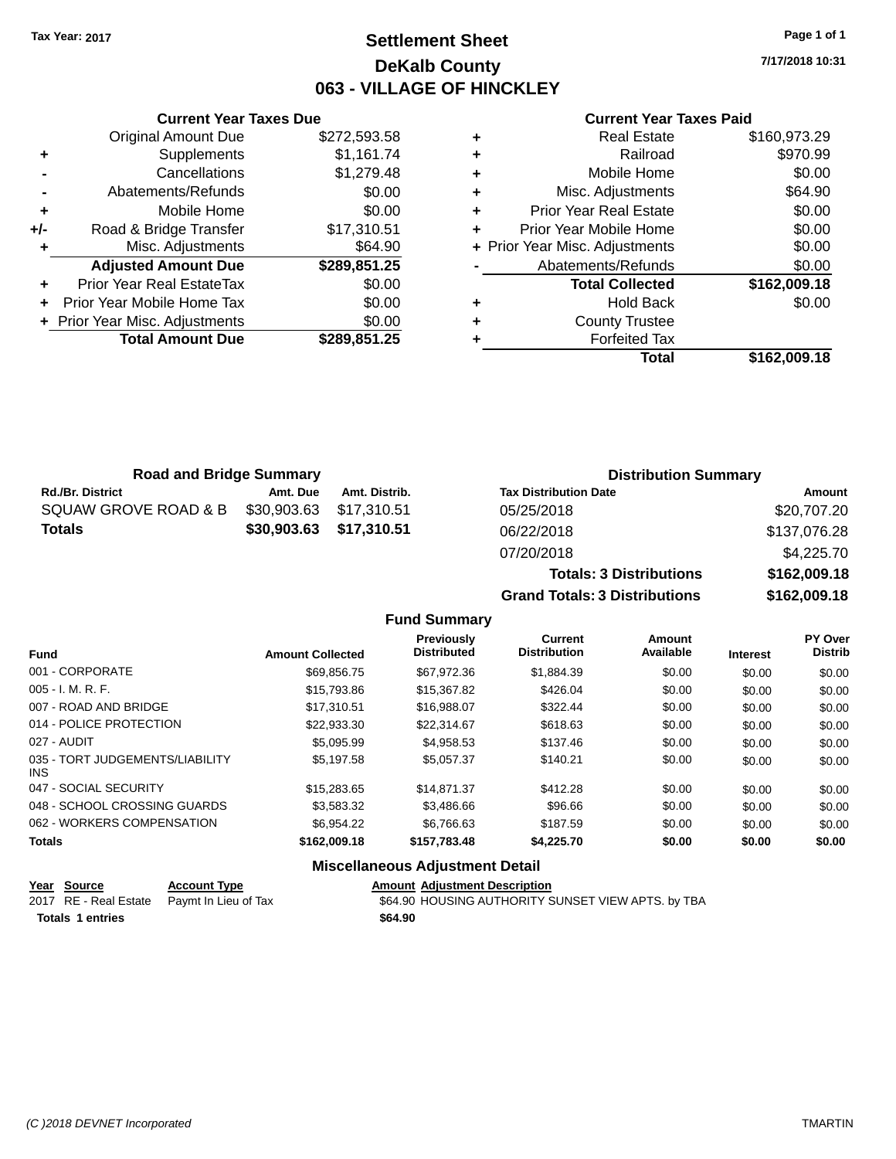### **Settlement Sheet Tax Year: 2017 Page 1 of 1 DeKalb County 063 - VILLAGE OF HINCKLEY**

**7/17/2018 10:31**

#### **Current Year Taxes Paid**

|     | <b>Current Year Taxes Due</b>         |              |  |  |  |
|-----|---------------------------------------|--------------|--|--|--|
|     | <b>Original Amount Due</b>            | \$272,593.58 |  |  |  |
| ٠   | Supplements                           | \$1,161.74   |  |  |  |
|     | Cancellations                         | \$1,279.48   |  |  |  |
|     | Abatements/Refunds                    | \$0.00       |  |  |  |
| ٠   | Mobile Home                           | \$0.00       |  |  |  |
| +/- | \$17,310.51<br>Road & Bridge Transfer |              |  |  |  |
| ٠   | Misc. Adjustments                     | \$64.90      |  |  |  |
|     | <b>Adjusted Amount Due</b>            | \$289,851.25 |  |  |  |
| ٠   | Prior Year Real EstateTax             | \$0.00       |  |  |  |
| ٠   | Prior Year Mobile Home Tax            | \$0.00       |  |  |  |
|     | + Prior Year Misc. Adjustments        | \$0.00       |  |  |  |
|     | <b>Total Amount Due</b>               | \$289,851.25 |  |  |  |
|     |                                       |              |  |  |  |

|   | <b>Real Estate</b>             | \$160,973.29 |
|---|--------------------------------|--------------|
| ÷ | Railroad                       | \$970.99     |
| ٠ | Mobile Home                    | \$0.00       |
| ٠ | Misc. Adjustments              | \$64.90      |
| ٠ | <b>Prior Year Real Estate</b>  | \$0.00       |
| ٠ | Prior Year Mobile Home         | \$0.00       |
|   | + Prior Year Misc. Adjustments | \$0.00       |
|   | Abatements/Refunds             | \$0.00       |
|   | <b>Total Collected</b>         | \$162,009.18 |
| ٠ | <b>Hold Back</b>               | \$0.00       |
| ٠ | <b>County Trustee</b>          |              |
| ٠ | <b>Forfeited Tax</b>           |              |
|   | Total                          | \$162,009.18 |
|   |                                |              |

| <b>Road and Bridge Summary</b> |             |                         | <b>Distribution Summary</b>    |              |  |
|--------------------------------|-------------|-------------------------|--------------------------------|--------------|--|
| <b>Rd./Br. District</b>        | Amt. Due    | Amt. Distrib.           | <b>Tax Distribution Date</b>   | Amount       |  |
| SQUAW GROVE ROAD & B           | \$30,903.63 | \$17.310.51             | 05/25/2018                     | \$20,707.20  |  |
| <b>Totals</b>                  |             | \$30,903.63 \$17,310.51 | 06/22/2018                     | \$137,076.28 |  |
|                                |             |                         | 07/20/2018                     | \$4,225.70   |  |
|                                |             |                         | <b>Totals: 3 Distributions</b> | \$162,009.18 |  |

**Grand Totals: 3 Distributions \$162,009.18**

#### **Fund Summary**

| <b>Fund</b>                             | <b>Amount Collected</b> | Previously<br><b>Distributed</b> | Current<br><b>Distribution</b> | Amount<br>Available | <b>Interest</b> | PY Over<br><b>Distrib</b> |
|-----------------------------------------|-------------------------|----------------------------------|--------------------------------|---------------------|-----------------|---------------------------|
| 001 - CORPORATE                         | \$69.856.75             | \$67.972.36                      | \$1,884.39                     | \$0.00              | \$0.00          | \$0.00                    |
| $005 - I. M. R. F.$                     | \$15,793.86             | \$15,367.82                      | \$426.04                       | \$0.00              | \$0.00          | \$0.00                    |
| 007 - ROAD AND BRIDGE                   | \$17.310.51             | \$16,988,07                      | \$322.44                       | \$0.00              | \$0.00          | \$0.00                    |
| 014 - POLICE PROTECTION                 | \$22,933,30             | \$22,314.67                      | \$618.63                       | \$0.00              | \$0.00          | \$0.00                    |
| 027 - AUDIT                             | \$5,095.99              | \$4.958.53                       | \$137.46                       | \$0.00              | \$0.00          | \$0.00                    |
| 035 - TORT JUDGEMENTS/LIABILITY<br>INS. | \$5.197.58              | \$5.057.37                       | \$140.21                       | \$0.00              | \$0.00          | \$0.00                    |
| 047 - SOCIAL SECURITY                   | \$15,283.65             | \$14.871.37                      | \$412.28                       | \$0.00              | \$0.00          | \$0.00                    |
| 048 - SCHOOL CROSSING GUARDS            | \$3,583.32              | \$3,486.66                       | \$96.66                        | \$0.00              | \$0.00          | \$0.00                    |
| 062 - WORKERS COMPENSATION              | \$6.954.22              | \$6,766.63                       | \$187.59                       | \$0.00              | \$0.00          | \$0.00                    |
| <b>Totals</b>                           | \$162,009.18            | \$157,783.48                     | \$4,225.70                     | \$0.00              | \$0.00          | \$0.00                    |

#### **Miscellaneous Adjustment Detail**

| Year Source             | <b>Account Type</b>                        | <b>Amount Adiustment Description</b>               |
|-------------------------|--------------------------------------------|----------------------------------------------------|
|                         | 2017 RE - Real Estate Paymt In Lieu of Tax | \$64.90 HOUSING AUTHORITY SUNSET VIEW APTS. by TBA |
| <b>Totals 1 entries</b> |                                            | \$64.90                                            |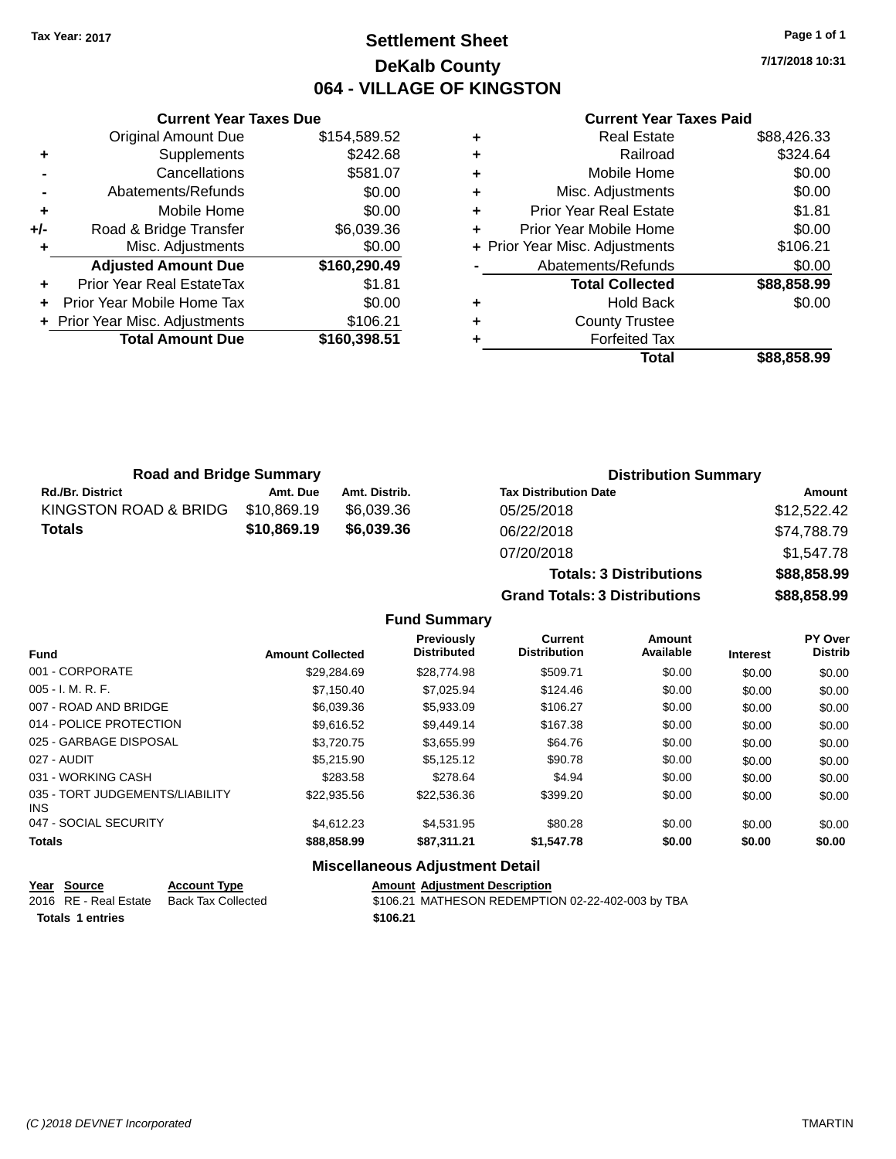### **Settlement Sheet Tax Year: 2017 Page 1 of 1 DeKalb County 064 - VILLAGE OF KINGSTON**

**7/17/2018 10:31**

#### **Current Year Taxes Paid**

|     | <b>Current Year Taxes Due</b>    |              |
|-----|----------------------------------|--------------|
|     | <b>Original Amount Due</b>       | \$154,589.52 |
| ٠   | Supplements                      | \$242.68     |
|     | Cancellations                    | \$581.07     |
|     | Abatements/Refunds               | \$0.00       |
| ٠   | Mobile Home                      | \$0.00       |
| +/- | Road & Bridge Transfer           | \$6,039.36   |
|     | Misc. Adjustments                | \$0.00       |
|     | <b>Adjusted Amount Due</b>       | \$160,290.49 |
| ٠   | <b>Prior Year Real EstateTax</b> | \$1.81       |
|     | Prior Year Mobile Home Tax       | \$0.00       |
|     | + Prior Year Misc. Adjustments   | \$106.21     |
|     | <b>Total Amount Due</b>          | \$160,398.51 |
|     |                                  |              |

| ٠ | <b>Real Estate</b>             | \$88,426.33 |
|---|--------------------------------|-------------|
| ٠ | Railroad                       | \$324.64    |
| ٠ | Mobile Home                    | \$0.00      |
| ٠ | Misc. Adjustments              | \$0.00      |
| ٠ | <b>Prior Year Real Estate</b>  | \$1.81      |
| ٠ | Prior Year Mobile Home         | \$0.00      |
|   | + Prior Year Misc. Adjustments | \$106.21    |
|   | Abatements/Refunds             | \$0.00      |
|   | <b>Total Collected</b>         | \$88,858.99 |
| ٠ | Hold Back                      | \$0.00      |
| ٠ | <b>County Trustee</b>          |             |
| ٠ | <b>Forfeited Tax</b>           |             |
|   | Total                          | \$88,858,99 |
|   |                                |             |

| <b>Road and Bridge Summary</b> |             |               | <b>Distribution Summary</b>  |             |
|--------------------------------|-------------|---------------|------------------------------|-------------|
| <b>Rd./Br. District</b>        | Amt. Due    | Amt. Distrib. | <b>Tax Distribution Date</b> | Amount      |
| KINGSTON ROAD & BRIDG          | \$10,869.19 | \$6.039.36    | 05/25/2018                   | \$12,522.42 |
| <b>Totals</b>                  | \$10,869.19 | \$6,039,36    | 06/22/2018                   | \$74,788.79 |
|                                |             |               | 07/20/2018                   | \$1.547.78  |

**Totals: 3 Distributions \$88,858.99 Grand Totals: 3 Distributions \$88,858.99**

#### **Fund Summary**

| <b>Fund</b>                             | <b>Amount Collected</b> | <b>Previously</b><br><b>Distributed</b> | Current<br><b>Distribution</b> | Amount<br>Available | <b>Interest</b> | <b>PY Over</b><br><b>Distrib</b> |
|-----------------------------------------|-------------------------|-----------------------------------------|--------------------------------|---------------------|-----------------|----------------------------------|
| 001 - CORPORATE                         | \$29.284.69             | \$28,774.98                             | \$509.71                       | \$0.00              | \$0.00          | \$0.00                           |
| $005 - I. M. R. F.$                     | \$7.150.40              | \$7.025.94                              | \$124.46                       | \$0.00              | \$0.00          | \$0.00                           |
| 007 - ROAD AND BRIDGE                   | \$6,039.36              | \$5,933.09                              | \$106.27                       | \$0.00              | \$0.00          | \$0.00                           |
| 014 - POLICE PROTECTION                 | \$9.616.52              | \$9,449.14                              | \$167.38                       | \$0.00              | \$0.00          | \$0.00                           |
| 025 - GARBAGE DISPOSAL                  | \$3,720.75              | \$3,655.99                              | \$64.76                        | \$0.00              | \$0.00          | \$0.00                           |
| 027 - AUDIT                             | \$5,215.90              | \$5.125.12                              | \$90.78                        | \$0.00              | \$0.00          | \$0.00                           |
| 031 - WORKING CASH                      | \$283.58                | \$278.64                                | \$4.94                         | \$0.00              | \$0.00          | \$0.00                           |
| 035 - TORT JUDGEMENTS/LIABILITY<br>INS. | \$22,935.56             | \$22,536.36                             | \$399.20                       | \$0.00              | \$0.00          | \$0.00                           |
| 047 - SOCIAL SECURITY                   | \$4,612.23              | \$4,531.95                              | \$80.28                        | \$0.00              | \$0.00          | \$0.00                           |
| <b>Totals</b>                           | \$88,858.99             | \$87,311.21                             | \$1,547.78                     | \$0.00              | \$0.00          | \$0.00                           |

#### **Miscellaneous Adjustment Detail**

| Year Source             | <b>Account Type</b> | <b>Amount Adiustment Description</b>              |
|-------------------------|---------------------|---------------------------------------------------|
| 2016 RE - Real Estate   | Back Tax Collected  | \$106.21 MATHESON REDEMPTION 02-22-402-003 by TBA |
| <b>Totals 1 entries</b> |                     | \$106.21                                          |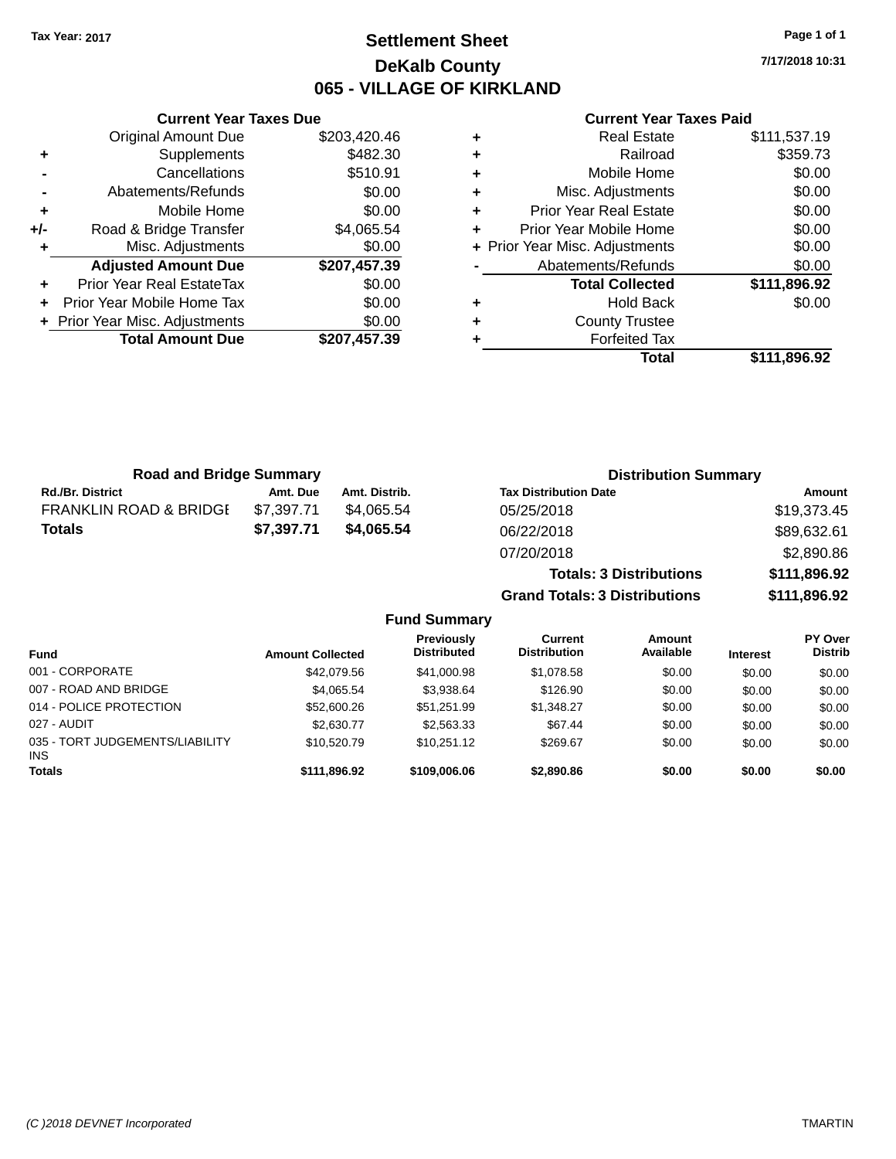### **Settlement Sheet Tax Year: 2017 Page 1 of 1 DeKalb County 065 - VILLAGE OF KIRKLAND**

**7/17/2018 10:31**

|     | <b>Current Year Taxes Due</b>    |              |
|-----|----------------------------------|--------------|
|     | <b>Original Amount Due</b>       | \$203,420.46 |
| ٠   | Supplements                      | \$482.30     |
|     | Cancellations                    | \$510.91     |
|     | Abatements/Refunds               | \$0.00       |
| ٠   | Mobile Home                      | \$0.00       |
| +/- | Road & Bridge Transfer           | \$4,065.54   |
| ٠   | Misc. Adjustments                | \$0.00       |
|     | <b>Adjusted Amount Due</b>       | \$207,457.39 |
| ٠   | <b>Prior Year Real EstateTax</b> | \$0.00       |
| ÷   | Prior Year Mobile Home Tax       | \$0.00       |
|     | + Prior Year Misc. Adjustments   | \$0.00       |
|     | <b>Total Amount Due</b>          | \$207,457.39 |
|     |                                  |              |

#### **Current Year Taxes Paid**

|   | Total                          | \$111,896.92 |
|---|--------------------------------|--------------|
| ٠ | <b>Forfeited Tax</b>           |              |
| ٠ | <b>County Trustee</b>          |              |
| ٠ | <b>Hold Back</b>               | \$0.00       |
|   | <b>Total Collected</b>         | \$111,896.92 |
|   | Abatements/Refunds             | \$0.00       |
|   | + Prior Year Misc. Adjustments | \$0.00       |
| ٠ | Prior Year Mobile Home         | \$0.00       |
| ٠ | <b>Prior Year Real Estate</b>  | \$0.00       |
| ٠ | Misc. Adjustments              | \$0.00       |
| ٠ | Mobile Home                    | \$0.00       |
| ٠ | Railroad                       | \$359.73     |
|   | <b>Real Estate</b>             | \$111,537.19 |

| <b>Road and Bridge Summary</b>    |            |               | <b>Distribution Summary</b>    |              |
|-----------------------------------|------------|---------------|--------------------------------|--------------|
| <b>Rd./Br. District</b>           | Amt. Due   | Amt. Distrib. | <b>Tax Distribution Date</b>   | Amount       |
| <b>FRANKLIN ROAD &amp; BRIDGE</b> | \$7,397.71 | \$4.065.54    | 05/25/2018                     | \$19,373.45  |
| <b>Totals</b>                     | \$7.397.71 | \$4.065.54    | 06/22/2018                     | \$89,632.61  |
|                                   |            |               | 07/20/2018                     | \$2,890.86   |
|                                   |            |               | <b>Totals: 3 Distributions</b> | \$111,896.92 |

**Grand Totals: 3 Distributions \$111,896.92**

| <b>Fund</b>                             | <b>Amount Collected</b> | Previously<br><b>Distributed</b> | Current<br><b>Distribution</b> | Amount<br>Available | <b>Interest</b> | PY Over<br><b>Distrib</b> |
|-----------------------------------------|-------------------------|----------------------------------|--------------------------------|---------------------|-----------------|---------------------------|
| 001 - CORPORATE                         | \$42,079.56             | \$41,000.98                      | \$1,078.58                     | \$0.00              | \$0.00          | \$0.00                    |
| 007 - ROAD AND BRIDGE                   | \$4,065.54              | \$3,938.64                       | \$126.90                       | \$0.00              | \$0.00          | \$0.00                    |
| 014 - POLICE PROTECTION                 | \$52,600.26             | \$51.251.99                      | \$1.348.27                     | \$0.00              | \$0.00          | \$0.00                    |
| 027 - AUDIT                             | \$2,630.77              | \$2,563.33                       | \$67.44                        | \$0.00              | \$0.00          | \$0.00                    |
| 035 - TORT JUDGEMENTS/LIABILITY<br>INS. | \$10,520.79             | \$10.251.12                      | \$269.67                       | \$0.00              | \$0.00          | \$0.00                    |
| <b>Totals</b>                           | \$111,896.92            | \$109,006,06                     | \$2,890.86                     | \$0.00              | \$0.00          | \$0.00                    |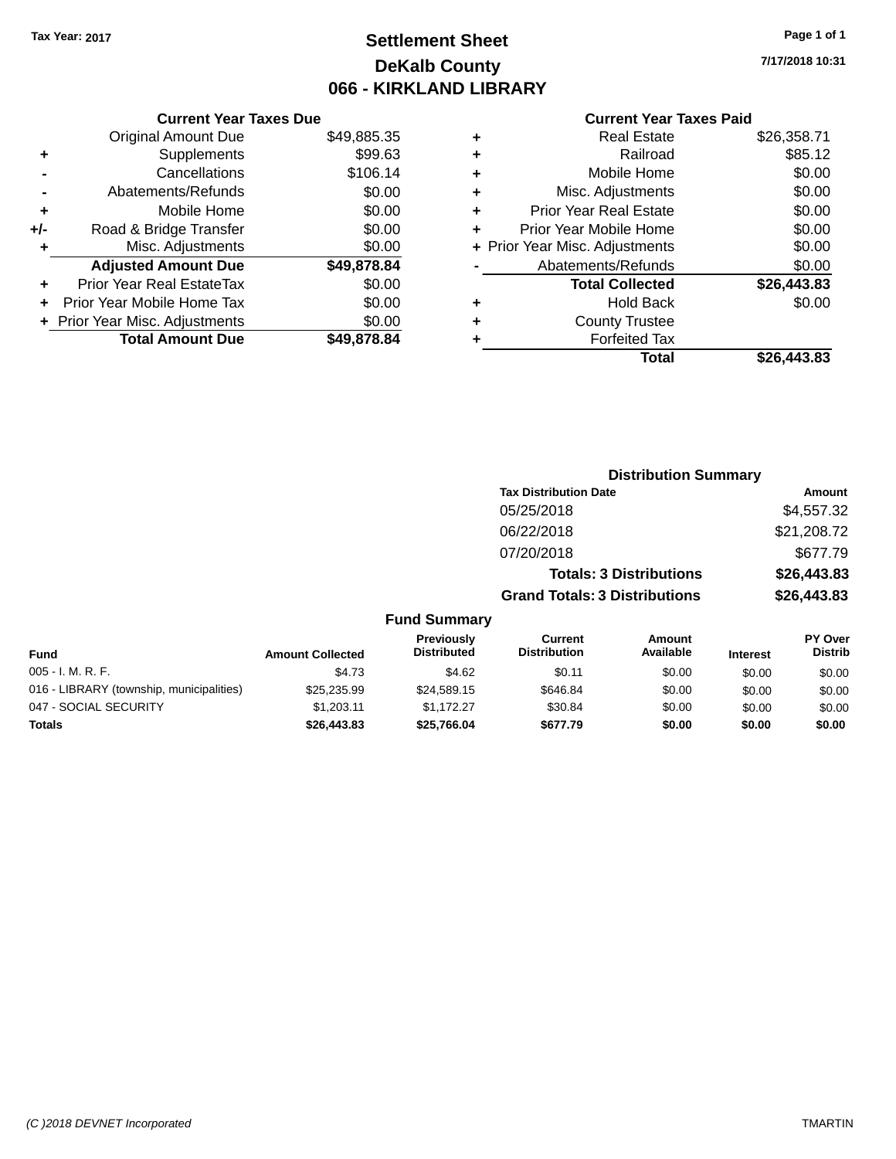## **Settlement Sheet Tax Year: 2017 Page 1 of 1 DeKalb County 066 - KIRKLAND LIBRARY**

**7/17/2018 10:31**

#### **Current Year Taxes Paid**

|     | <b>Current Year Taxes Due</b>  |             |
|-----|--------------------------------|-------------|
|     | <b>Original Amount Due</b>     | \$49,885.35 |
| ٠   | Supplements                    | \$99.63     |
|     | Cancellations                  | \$106.14    |
|     | Abatements/Refunds             | \$0.00      |
| ÷   | Mobile Home                    | \$0.00      |
| +/- | Road & Bridge Transfer         | \$0.00      |
|     | Misc. Adjustments              | \$0.00      |
|     | <b>Adjusted Amount Due</b>     | \$49,878.84 |
| ٠   | Prior Year Real EstateTax      | \$0.00      |
|     | Prior Year Mobile Home Tax     | \$0.00      |
|     | + Prior Year Misc. Adjustments | \$0.00      |
|     | <b>Total Amount Due</b>        | \$49,878.84 |
|     |                                |             |

|   | <b>Real Estate</b>             | \$26,358.71 |
|---|--------------------------------|-------------|
| ٠ | Railroad                       | \$85.12     |
| ٠ | Mobile Home                    | \$0.00      |
| ٠ | Misc. Adjustments              | \$0.00      |
| ٠ | <b>Prior Year Real Estate</b>  | \$0.00      |
| ٠ | Prior Year Mobile Home         | \$0.00      |
|   | + Prior Year Misc. Adjustments | \$0.00      |
|   | Abatements/Refunds             | \$0.00      |
|   | <b>Total Collected</b>         | \$26,443.83 |
| ٠ | <b>Hold Back</b>               | \$0.00      |
| ٠ | <b>County Trustee</b>          |             |
| ٠ | <b>Forfeited Tax</b>           |             |
|   | Total                          | \$26,443.83 |
|   |                                |             |

|     |                                         |                                      | <b>Distribution Summary</b>    |                                                     |  |
|-----|-----------------------------------------|--------------------------------------|--------------------------------|-----------------------------------------------------|--|
|     |                                         | <b>Tax Distribution Date</b>         |                                | Amount                                              |  |
|     |                                         | 05/25/2018                           |                                | \$4,557.32                                          |  |
|     |                                         | 06/22/2018                           |                                | \$21,208.72                                         |  |
|     |                                         | 07/20/2018                           |                                | \$677.79                                            |  |
|     |                                         |                                      | <b>Totals: 3 Distributions</b> | \$26,443.83                                         |  |
|     |                                         | <b>Grand Totals: 3 Distributions</b> |                                | \$26,443.83                                         |  |
|     | <b>Fund Summary</b>                     |                                      |                                |                                                     |  |
| ted | <b>Previously</b><br><b>Distributed</b> | Current<br><b>Distribution</b>       | Amount<br>Available            | <b>PY Over</b><br><b>Distrib</b><br><b>Interest</b> |  |

| <b>Fund</b>                              | <b>Amount Collected</b> | <b>Previously</b><br><b>Distributed</b> | Current<br><b>Distribution</b> | Amount<br>Available | <b>Interest</b> | <b>PT OVER</b><br><b>Distrib</b> |
|------------------------------------------|-------------------------|-----------------------------------------|--------------------------------|---------------------|-----------------|----------------------------------|
| $005 - I. M. R. F.$                      | \$4.73                  | \$4.62                                  | \$0.11                         | \$0.00              | \$0.00          | \$0.00                           |
| 016 - LIBRARY (township, municipalities) | \$25,235,99             | \$24,589.15                             | \$646.84                       | \$0.00              | \$0.00          | \$0.00                           |
| 047 - SOCIAL SECURITY                    | \$1.203.11              | \$1.172.27                              | \$30.84                        | \$0.00              | \$0.00          | \$0.00                           |
| Totals                                   | \$26,443.83             | \$25,766.04                             | \$677.79                       | \$0.00              | \$0.00          | \$0.00                           |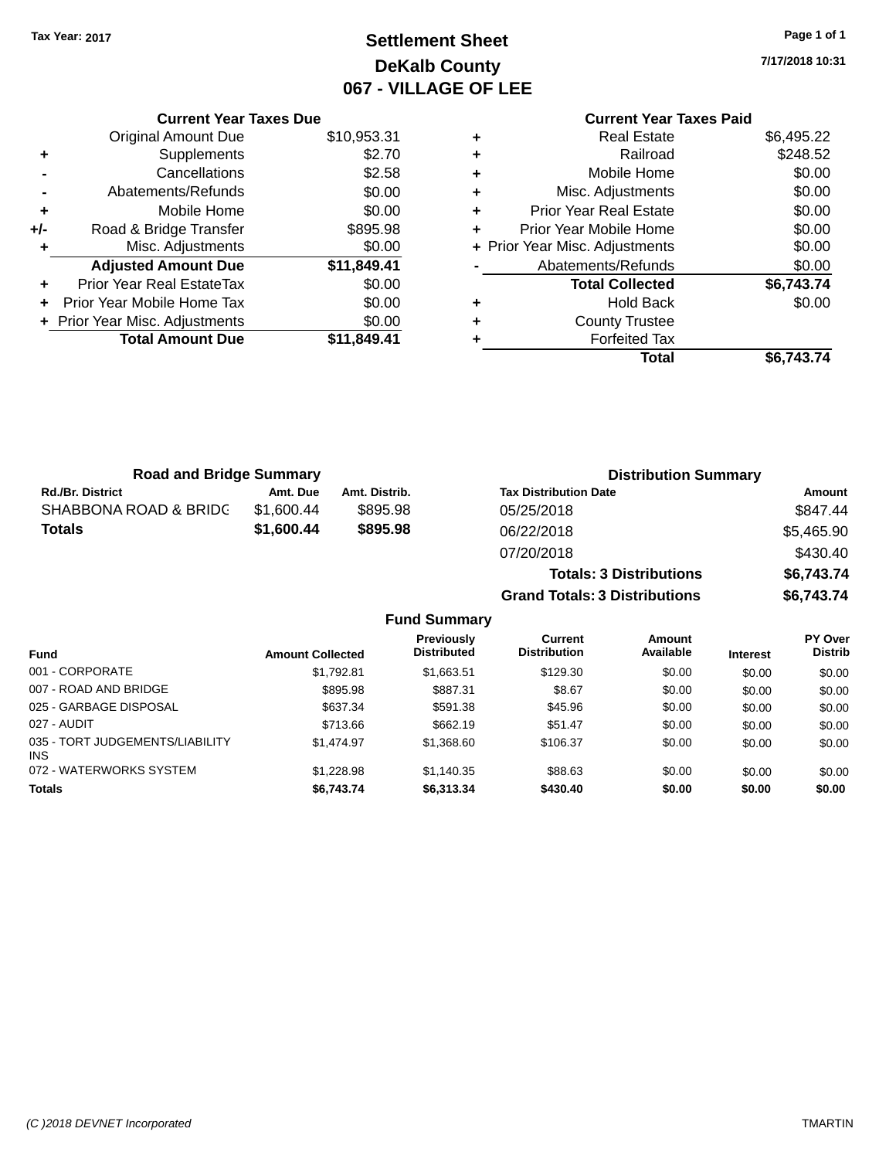## **Settlement Sheet Tax Year: 2017 Page 1 of 1 DeKalb County 067 - VILLAGE OF LEE**

**7/17/2018 10:31**

### **Current Year Taxes Paid**

|     | <b>Current Year Taxes Due</b>      |             |  |  |  |  |
|-----|------------------------------------|-------------|--|--|--|--|
|     | <b>Original Amount Due</b>         | \$10,953.31 |  |  |  |  |
| ٠   | Supplements                        | \$2.70      |  |  |  |  |
|     | Cancellations                      | \$2.58      |  |  |  |  |
|     | \$0.00<br>Abatements/Refunds       |             |  |  |  |  |
| ٠   | \$0.00<br>Mobile Home              |             |  |  |  |  |
| +/- | \$895.98<br>Road & Bridge Transfer |             |  |  |  |  |
|     | Misc. Adjustments                  | \$0.00      |  |  |  |  |
|     | <b>Adjusted Amount Due</b>         | \$11,849.41 |  |  |  |  |
|     | Prior Year Real EstateTax          | \$0.00      |  |  |  |  |
|     | Prior Year Mobile Home Tax         | \$0.00      |  |  |  |  |
|     | + Prior Year Misc. Adjustments     | \$0.00      |  |  |  |  |
|     | <b>Total Amount Due</b>            | \$11,849.41 |  |  |  |  |
|     |                                    |             |  |  |  |  |

| ٠ | <b>Real Estate</b>             | \$6,495.22 |
|---|--------------------------------|------------|
| ٠ | Railroad                       | \$248.52   |
| ٠ | Mobile Home                    | \$0.00     |
| ٠ | Misc. Adjustments              | \$0.00     |
| ٠ | <b>Prior Year Real Estate</b>  | \$0.00     |
| ÷ | Prior Year Mobile Home         | \$0.00     |
|   | + Prior Year Misc. Adjustments | \$0.00     |
|   | Abatements/Refunds             | \$0.00     |
|   | <b>Total Collected</b>         | \$6,743.74 |
| ٠ | <b>Hold Back</b>               | \$0.00     |
| ٠ | <b>County Trustee</b>          |            |
| ٠ | <b>Forfeited Tax</b>           |            |
|   | Total                          | \$6,743.74 |
|   |                                |            |

| <b>Road and Bridge Summary</b> |            |               | <b>Distribution Summary</b>    |            |
|--------------------------------|------------|---------------|--------------------------------|------------|
| <b>Rd./Br. District</b>        | Amt. Due   | Amt. Distrib. | <b>Tax Distribution Date</b>   | Amount     |
| SHABBONA ROAD & BRIDG          | \$1.600.44 | \$895.98      | 05/25/2018                     | \$847.44   |
| <b>Totals</b>                  | \$1,600.44 | \$895.98      | 06/22/2018                     | \$5,465.90 |
|                                |            |               | 07/20/2018                     | \$430.40   |
|                                |            |               | <b>Totals: 3 Distributions</b> | \$6,743.74 |

**Grand Totals: 3 Distributions \$6,743.74**

|                                         |                         | Previously         | Current             | Amount    |                 | PY Over        |
|-----------------------------------------|-------------------------|--------------------|---------------------|-----------|-----------------|----------------|
| <b>Fund</b>                             | <b>Amount Collected</b> | <b>Distributed</b> | <b>Distribution</b> | Available | <b>Interest</b> | <b>Distrib</b> |
| 001 - CORPORATE                         | \$1,792.81              | \$1,663.51         | \$129.30            | \$0.00    | \$0.00          | \$0.00         |
| 007 - ROAD AND BRIDGE                   | \$895.98                | \$887.31           | \$8.67              | \$0.00    | \$0.00          | \$0.00         |
| 025 - GARBAGE DISPOSAL                  | \$637.34                | \$591.38           | \$45.96             | \$0.00    | \$0.00          | \$0.00         |
| 027 - AUDIT                             | \$713.66                | \$662.19           | \$51.47             | \$0.00    | \$0.00          | \$0.00         |
| 035 - TORT JUDGEMENTS/LIABILITY<br>INS. | \$1.474.97              | \$1,368.60         | \$106.37            | \$0.00    | \$0.00          | \$0.00         |
| 072 - WATERWORKS SYSTEM                 | \$1,228.98              | \$1,140.35         | \$88.63             | \$0.00    | \$0.00          | \$0.00         |
| <b>Totals</b>                           | \$6,743.74              | \$6,313.34         | \$430.40            | \$0.00    | \$0.00          | \$0.00         |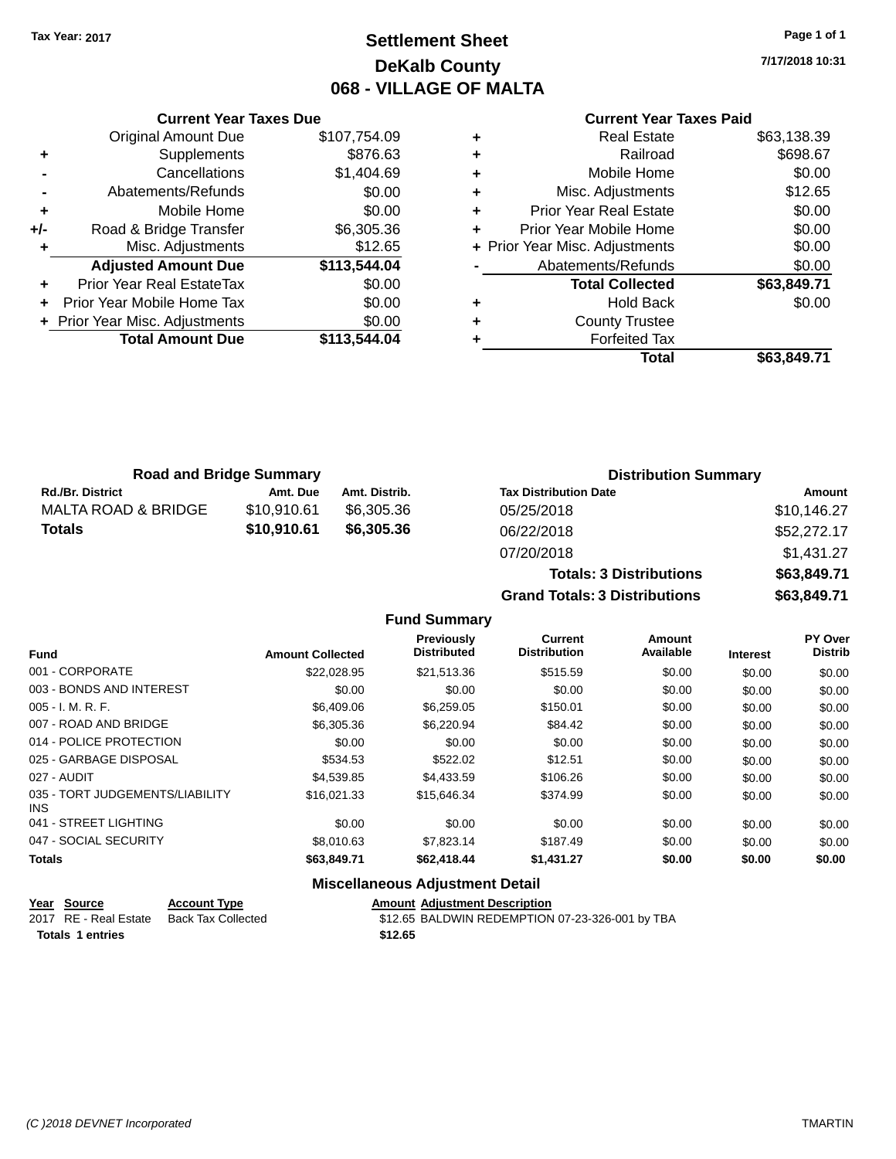### **Settlement Sheet Tax Year: 2017 Page 1 of 1 DeKalb County 068 - VILLAGE OF MALTA**

**7/17/2018 10:31**

#### **Current Year Taxes Paid**

|     | <b>Original Amount Due</b>     | \$107,754.09 |
|-----|--------------------------------|--------------|
| ٠   | Supplements                    | \$876.63     |
|     | Cancellations                  | \$1,404.69   |
|     | Abatements/Refunds             | \$0.00       |
| ÷   | Mobile Home                    | \$0.00       |
| +/- | Road & Bridge Transfer         | \$6,305.36   |
| ٠   | Misc. Adjustments              | \$12.65      |
|     | <b>Adjusted Amount Due</b>     | \$113,544.04 |
| ÷   | Prior Year Real EstateTax      | \$0.00       |
| ÷   | Prior Year Mobile Home Tax     | \$0.00       |
|     | + Prior Year Misc. Adjustments | \$0.00       |
|     | <b>Total Amount Due</b>        | \$113,544.04 |
|     |                                |              |

**Current Year Taxes Due**

|   | <b>Real Estate</b>             | \$63,138.39 |
|---|--------------------------------|-------------|
| ٠ | Railroad                       | \$698.67    |
| ٠ | Mobile Home                    | \$0.00      |
| ٠ | Misc. Adjustments              | \$12.65     |
| ٠ | Prior Year Real Estate         | \$0.00      |
| ٠ | Prior Year Mobile Home         | \$0.00      |
|   | + Prior Year Misc. Adjustments | \$0.00      |
|   | Abatements/Refunds             | \$0.00      |
|   | <b>Total Collected</b>         | \$63,849.71 |
| ٠ | <b>Hold Back</b>               | \$0.00      |
| ٠ | <b>County Trustee</b>          |             |
| ٠ | <b>Forfeited Tax</b>           |             |
|   | Total                          | \$63,849.71 |
|   |                                |             |

|                         | <b>Road and Bridge Summary</b> |               | <b>Distribution Summary</b>  |             |
|-------------------------|--------------------------------|---------------|------------------------------|-------------|
| <b>Rd./Br. District</b> | Amt. Due                       | Amt. Distrib. | <b>Tax Distribution Date</b> | Amount      |
| MALTA ROAD & BRIDGE     | \$10.910.61                    | \$6.305.36    | 05/25/2018                   | \$10,146.27 |
| <b>Totals</b>           | \$10,910.61                    | \$6,305.36    | 06/22/2018                   | \$52,272.17 |
|                         |                                |               | 07/20/2018                   | \$1,431.27  |

|                     | <b>Totals: 3 Distributions</b>       | \$63,849.71 |
|---------------------|--------------------------------------|-------------|
|                     | <b>Grand Totals: 3 Distributions</b> | \$63,849.71 |
| <b>Fund Summary</b> |                                      |             |

#### **Fund Interest Amount Collected Distributed PY Over Distrib Amount Available Current Distribution Previously** 001 - CORPORATE \$22,028.95 \$21,513.36 \$515.59 \$0.00 \$0.00 \$0.00 003 - BONDS AND INTEREST  $$0.00$   $$0.00$   $$0.00$   $$0.00$   $$0.00$   $$0.00$   $$0.00$   $$0.00$ 005 - I. M. R. F. \$6,409.06 \$6,259.05 \$150.01 \$0.00 \$0.00 \$0.00 007 - ROAD AND BRIDGE \$6,305.36 \$6,305.36 \$6,220.94 \$84.42 \$0.00 \$0.00 \$0.00 \$0.00 014 - POLICE PROTECTION  $$0.00$   $$0.00$   $$0.00$   $$0.00$   $$0.00$   $$0.00$   $$0.00$   $$0.00$ 025 - GARBAGE DISPOSAL \$534.53 \$522.02 \$0.00 \$0.00 \$0.00 \$0.00 027 - AUDIT \$4,539.85 \$4,433.59 \$106.26 \$0.00 \$0.00 \$0.00 035 - TORT JUDGEMENTS/LIABILITY INS \$16,021.33 \$15,646.34 \$374.99 \$0.00 \$0.00 \$0.00 \$0.00 041 - STREET LIGHTING \$0.00 \$0.00 \$0.00 \$0.00 \$0.00 \$0.00 047 - SOCIAL SECURITY 68,010.63 \$7,823.14 \$187.49 \$0.00 \$0.00 \$0.00 \$0.00 **Totals \$63,849.71 \$62,418.44 \$1,431.27 \$0.00 \$0.00 \$0.00**

#### **Miscellaneous Adjustment Detail**

| Year Source             | <b>Account Type</b>                      | <b>Amount Adiustment Description</b>            |
|-------------------------|------------------------------------------|-------------------------------------------------|
|                         | 2017 RE - Real Estate Back Tax Collected | \$12.65 BALDWIN REDEMPTION 07-23-326-001 by TBA |
| <b>Totals 1 entries</b> |                                          | \$12.65                                         |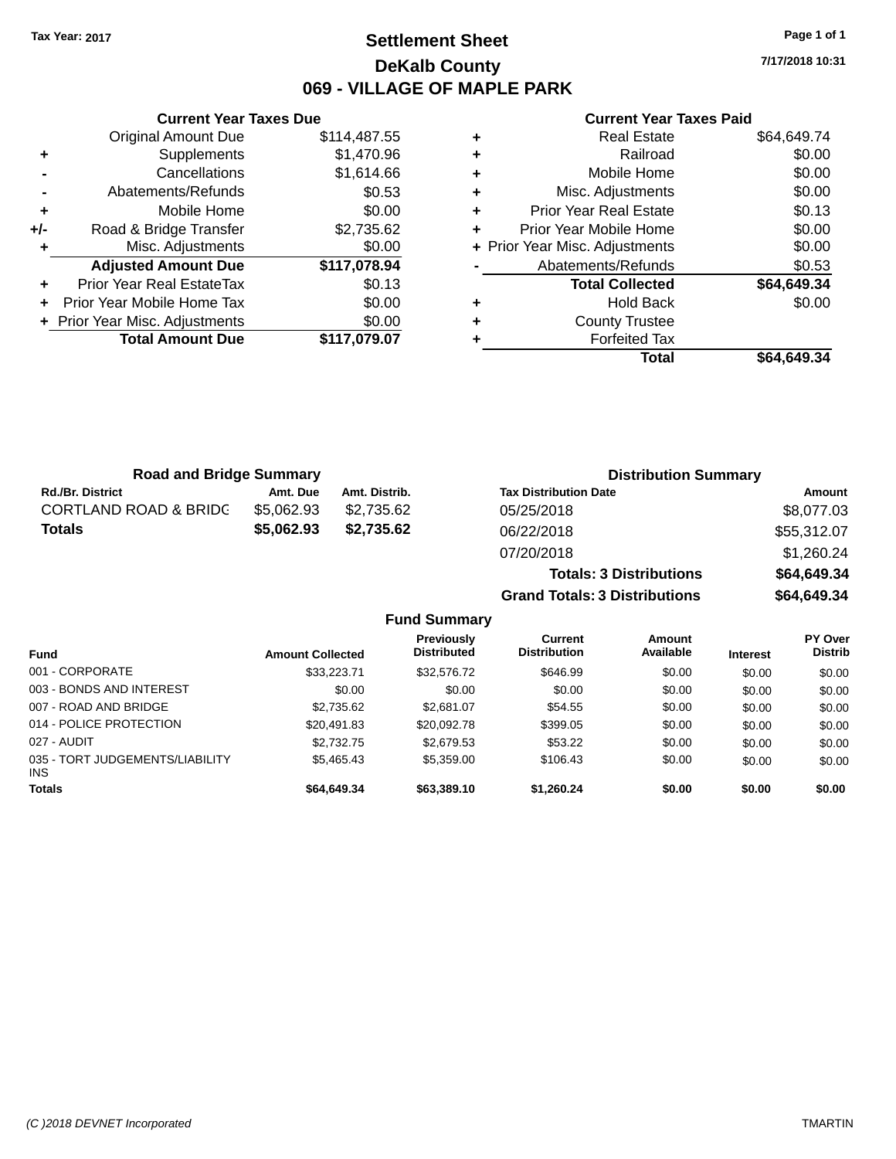### **Settlement Sheet Tax Year: 2017 Page 1 of 1 DeKalb County 069 - VILLAGE OF MAPLE PARK**

**7/17/2018 10:31**

|     |                                | 069 - VILLAGE |
|-----|--------------------------------|---------------|
|     | <b>Current Year Taxes Due</b>  |               |
|     | Original Amount Due            | \$114,487.55  |
| ٠   | Supplements                    | \$1,470.96    |
|     | Cancellations                  | \$1,614.66    |
|     | Abatements/Refunds             | \$0.53        |
| ٠   | Mobile Home                    | \$0.00        |
| +/- | Road & Bridge Transfer         | \$2,735.62    |
| ٠   | Misc. Adjustments              | \$0.00        |
|     | <b>Adjusted Amount Due</b>     | \$117,078.94  |
| ٠   | Prior Year Real EstateTax      | \$0.13        |
| ÷   | Prior Year Mobile Home Tax     | \$0.00        |
|     | + Prior Year Misc. Adjustments | \$0.00        |
|     | <b>Total Amount Due</b>        | \$117,079.07  |

#### **Current Year Taxes Paid**

|   | <b>Real Estate</b>             | \$64,649.74 |
|---|--------------------------------|-------------|
| ٠ | Railroad                       | \$0.00      |
| ٠ | Mobile Home                    | \$0.00      |
| ٠ | Misc. Adjustments              | \$0.00      |
| ٠ | <b>Prior Year Real Estate</b>  | \$0.13      |
|   | Prior Year Mobile Home         | \$0.00      |
|   | + Prior Year Misc. Adjustments | \$0.00      |
|   | Abatements/Refunds             | \$0.53      |
|   | <b>Total Collected</b>         | \$64,649.34 |
| ٠ | Hold Back                      | \$0.00      |
| ٠ | <b>County Trustee</b>          |             |
|   | <b>Forfeited Tax</b>           |             |
|   | Total                          | \$64,649.34 |
|   |                                |             |

**Grand Totals: 3 Distributions \$64,649.34**

| <b>Road and Bridge Summary</b>   |            |               | <b>Distribution Summary</b>    |             |  |
|----------------------------------|------------|---------------|--------------------------------|-------------|--|
| <b>Rd./Br. District</b>          | Amt. Due   | Amt. Distrib. | <b>Tax Distribution Date</b>   | Amount      |  |
| <b>CORTLAND ROAD &amp; BRIDC</b> | \$5.062.93 | \$2,735.62    | 05/25/2018                     | \$8,077.03  |  |
| <b>Totals</b>                    | \$5,062.93 | \$2,735.62    | 06/22/2018                     | \$55,312.07 |  |
|                                  |            |               | 07/20/2018                     | \$1,260.24  |  |
|                                  |            |               | <b>Totals: 3 Distributions</b> | \$64,649.34 |  |

**Fund Summary Fund Interest Amount Collected Distributed PY Over Distrib Amount Available Current Distribution Previously** 001 - CORPORATE \$33,223.71 \$32,576.72 \$646.99 \$0.00 \$0.00 \$0.00 003 - BONDS AND INTEREST  $$0.00$   $$0.00$   $$0.00$   $$0.00$   $$0.00$   $$0.00$   $$0.00$   $$0.00$ 007 - ROAD AND BRIDGE  $$2,735.62$   $$2,681.07$   $$54.55$   $$0.00$   $$0.00$   $$0.00$ 014 - POLICE PROTECTION \$20,491.83 \$20,092.78 \$399.05 \$0.00 \$0.00 \$0.00 \$0.00 027 - AUDIT \$2,732.75 \$2,679.53 \$53.22 \$0.00 \$0.00 \$0.00 035 - TORT JUDGEMENTS/LIABILITY INS \$5,465.43 \$5,359.00 \$106.43 \$0.00 \$0.00 \$0.00 **Totals \$64,649.34 \$63,389.10 \$1,260.24 \$0.00 \$0.00 \$0.00**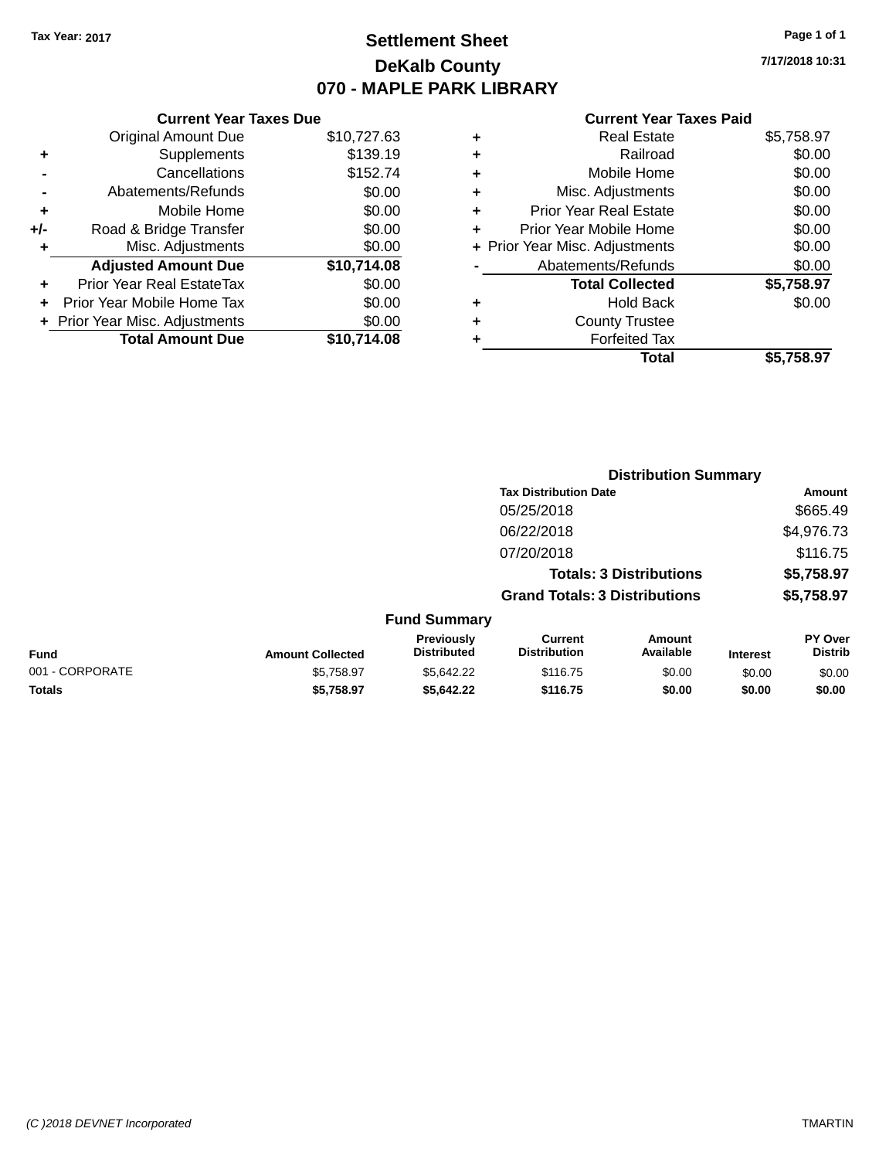### **Settlement Sheet Tax Year: 2017 Page 1 of 1 DeKalb County 070 - MAPLE PARK LIBRARY**

**7/17/2018 10:31**

#### **Current Year Taxes Paid**

| <b>Original Amount Due</b><br>\$10,727.63 |          |
|-------------------------------------------|----------|
| Supplements<br>٠                          | \$139.19 |
| Cancellations                             | \$152.74 |
| Abatements/Refunds                        | \$0.00   |
| Mobile Home<br>÷                          | \$0.00   |
| Road & Bridge Transfer<br>$+/-$           | \$0.00   |
| Misc. Adjustments<br>٠                    | \$0.00   |
| <b>Adjusted Amount Due</b><br>\$10,714.08 |          |
| Prior Year Real EstateTax<br>٠            | \$0.00   |
| Prior Year Mobile Home Tax                | \$0.00   |
| + Prior Year Misc. Adjustments            | \$0.00   |
| <b>Total Amount Due</b><br>\$10.714.08    |          |

|   | <b>Real Estate</b>             | \$5,758.97 |
|---|--------------------------------|------------|
| ٠ | Railroad                       | \$0.00     |
| ٠ | Mobile Home                    | \$0.00     |
| ٠ | Misc. Adjustments              | \$0.00     |
| ٠ | <b>Prior Year Real Estate</b>  | \$0.00     |
| ÷ | Prior Year Mobile Home         | \$0.00     |
|   | + Prior Year Misc. Adjustments | \$0.00     |
|   | Abatements/Refunds             | \$0.00     |
|   | <b>Total Collected</b>         | \$5,758.97 |
| ٠ | <b>Hold Back</b>               | \$0.00     |
| ٠ | <b>County Trustee</b>          |            |
| ٠ | <b>Forfeited Tax</b>           |            |
|   | Total                          | \$5,758.97 |
|   |                                |            |

|                 |                         |                                  |                                       | <b>Distribution Summary</b>    |                 |                           |
|-----------------|-------------------------|----------------------------------|---------------------------------------|--------------------------------|-----------------|---------------------------|
|                 |                         |                                  | <b>Tax Distribution Date</b>          |                                |                 | Amount                    |
|                 |                         |                                  | 05/25/2018                            |                                |                 | \$665.49                  |
|                 |                         |                                  | 06/22/2018                            |                                |                 | \$4,976.73                |
|                 |                         |                                  | 07/20/2018                            |                                |                 | \$116.75                  |
|                 |                         |                                  |                                       | <b>Totals: 3 Distributions</b> |                 | \$5,758.97                |
|                 |                         |                                  | <b>Grand Totals: 3 Distributions</b>  |                                |                 | \$5,758.97                |
|                 |                         | <b>Fund Summary</b>              |                                       |                                |                 |                           |
| <b>Fund</b>     | <b>Amount Collected</b> | Previously<br><b>Distributed</b> | <b>Current</b><br><b>Distribution</b> | <b>Amount</b><br>Available     | <b>Interest</b> | PY Over<br><b>Distrib</b> |
| 001 - CORPORATE | \$5,758.97              | \$5,642.22                       | \$116.75                              | \$0.00                         | \$0.00          | \$0.00                    |
| <b>Totals</b>   | \$5,758.97              | \$5,642.22                       | \$116.75                              | \$0.00                         | \$0.00          | \$0.00                    |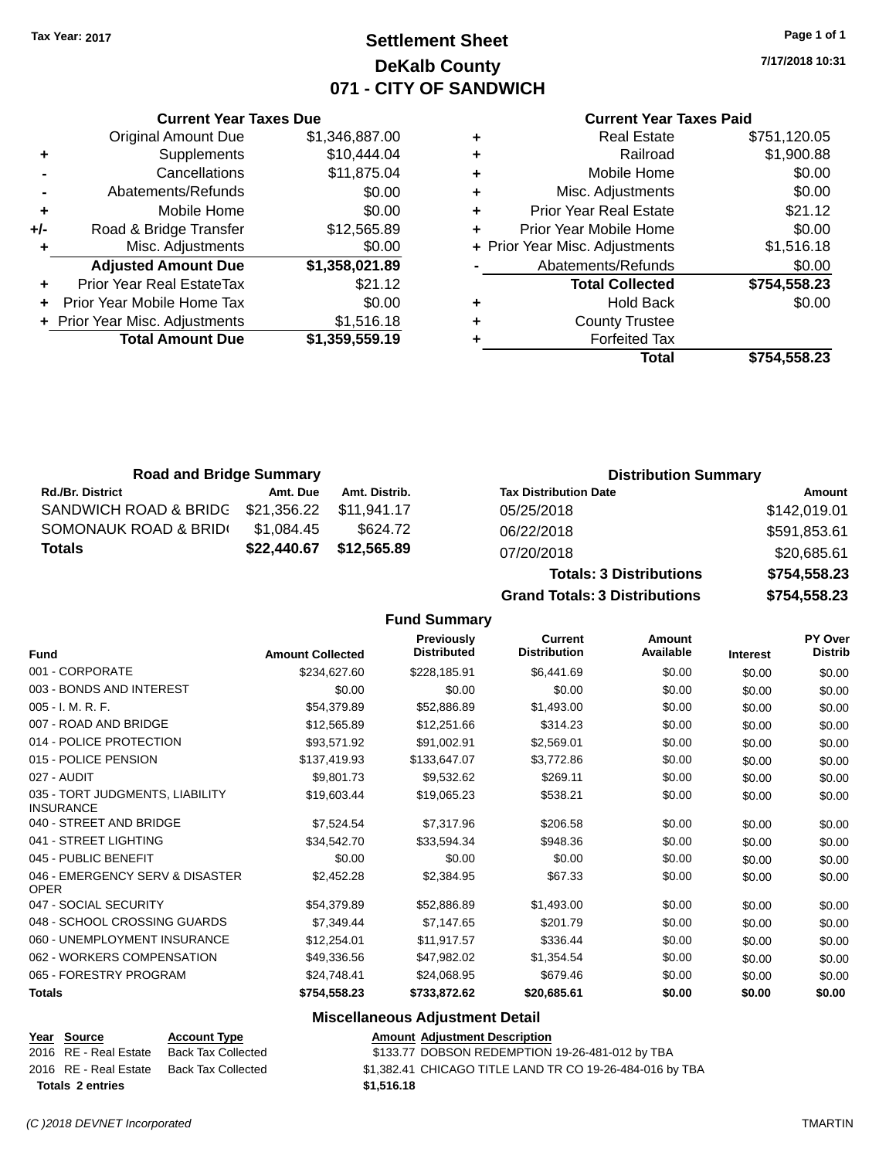### **Settlement Sheet Tax Year: 2017 Page 1 of 1 DeKalb County 071 - CITY OF SANDWICH**

**7/17/2018 10:31**

#### **Current Year Taxes Paid**

|     | <b>Original Amount Due</b>       | \$1,346,887.00 | ٠ |
|-----|----------------------------------|----------------|---|
| ٠   | Supplements                      | \$10,444.04    | ٠ |
|     | Cancellations                    | \$11,875.04    | ٠ |
|     | Abatements/Refunds               | \$0.00         | ٠ |
| ٠   | Mobile Home                      | \$0.00         | ٠ |
| +/- | Road & Bridge Transfer           | \$12,565.89    | ٠ |
|     | Misc. Adjustments                | \$0.00         | ٠ |
|     | <b>Adjusted Amount Due</b>       | \$1,358,021.89 |   |
|     | <b>Prior Year Real EstateTax</b> | \$21.12        |   |
| ٠   | Prior Year Mobile Home Tax       | \$0.00         | ٠ |
|     | + Prior Year Misc. Adjustments   | \$1,516.18     | ٠ |
|     | <b>Total Amount Due</b>          | \$1,359,559.19 |   |
|     |                                  |                |   |

**Current Year Taxes Due**

| ٠ | <b>Real Estate</b>             | \$751,120.05 |
|---|--------------------------------|--------------|
| ٠ | Railroad                       | \$1,900.88   |
| ٠ | Mobile Home                    | \$0.00       |
| ٠ | Misc. Adjustments              | \$0.00       |
| ٠ | <b>Prior Year Real Estate</b>  | \$21.12      |
| ٠ | Prior Year Mobile Home         | \$0.00       |
|   | + Prior Year Misc. Adjustments | \$1,516.18   |
|   | Abatements/Refunds             | \$0.00       |
|   | <b>Total Collected</b>         | \$754,558.23 |
| ٠ | <b>Hold Back</b>               | \$0.00       |
| ٠ | <b>County Trustee</b>          |              |
| ٠ | <b>Forfeited Tax</b>           |              |
|   | Total                          | \$754,558.23 |
|   |                                |              |

**Totals: 3 Distributions \$754,558.23**

**Grand Totals: 3 Distributions \$754,558.23**

| <b>Road and Bridge Summary</b>                |             |               | <b>Distribution Summary</b>  |              |
|-----------------------------------------------|-------------|---------------|------------------------------|--------------|
| <b>Rd./Br. District</b>                       | Amt. Due    | Amt. Distrib. | <b>Tax Distribution Date</b> | Amount       |
| SANDWICH ROAD & BRIDC \$21,356.22 \$11,941.17 |             |               | 05/25/2018                   | \$142,019.01 |
| SOMONAUK ROAD & BRIDI                         | \$1.084.45  | \$624.72      | 06/22/2018                   | \$591,853.61 |
| Totals                                        | \$22,440.67 | \$12,565.89   | 07/20/2018                   | \$20,685.61  |

**Fund Summary Fund Interest Amount Collected Distributed PY Over Distrib Amount Available Current Distribution Previously** 001 - CORPORATE \$234,627.60 \$228,185.91 \$6,441.69 \$0.00 \$0.00 \$0.00 003 - BONDS AND INTEREST  $$0.00$   $$0.00$   $$0.00$   $$0.00$   $$0.00$   $$0.00$   $$0.00$   $$0.00$ 005 - I. M. R. F. \$54,379.89 \$52,886.89 \$1,493.00 \$0.00 \$0.00 \$0.00 007 - ROAD AND BRIDGE 60.00 \$12,565.89 \$12,565.89 \$12,251.66 \$314.23 \$0.00 \$0.00 \$0.00 014 - POLICE PROTECTION \$93,571.92 \$91,002.91 \$2,569.01 \$0.00 \$0.00 \$0.00 \$0.00 015 - POLICE PENSION \$137,419.93 \$137,647.07 \$3,772.86 \$0.00 \$0.00 \$0.00 \$0.00 027 - AUDIT \$9,801.73 \$9,532.62 \$269.11 \$0.00 \$0.00 \$0.00 035 - TORT JUDGMENTS, LIABILITY INSURANCE \$19,603.44 \$19,065.23 \$538.21 \$0.00 \$0.00 \$0.00 040 - STREET AND BRIDGE 60.00 \$7,524.54 \$7,317.96 \$206.58 \$0.00 \$0.00 \$0.00 \$0.00 041 - STREET LIGHTING \$34,542.70 \$33,594.34 \$948.36 \$0.00 \$0.00 \$0.00 045 - PUBLIC BENEFIT \$0.00 \$0.00 \$0.00 \$0.00 \$0.00 \$0.00 046 - EMERGENCY SERV & DISASTER OPER \$2,452.28 \$2,384.95 \$67.33 \$0.00 \$0.00 \$0.00 047 - SOCIAL SECURITY \$54,379.89 \$52,886.89 \$1,493.00 \$0.00 \$0.00 \$0.00 \$0.00 048 - SCHOOL CROSSING GUARDS \$7,349.44 \$7,147.65 \$201.79 \$0.00 \$0.00 \$0.00 060 - UNEMPLOYMENT INSURANCE \$12,254.01 \$11,917.57 \$336.44 \$0.00 \$0.00 \$0.00 \$0.00 062 - WORKERS COMPENSATION \$49,336.56 \$47,982.02 \$1,354.54 \$0.00 \$0.00 \$0.00 065 - FORESTRY PROGRAM \$24,748.41 \$24,068.95 \$679.46 \$0.00 \$0.00 \$0.00 **Totals \$754,558.23 \$733,872.62 \$20,685.61 \$0.00 \$0.00 \$0.00**

#### **Miscellaneous Adjustment Detail**

|                         | Year Source           | <b>Account Type</b> | <b>Amount Adiustment Description</b>                     |
|-------------------------|-----------------------|---------------------|----------------------------------------------------------|
|                         | 2016 RE - Real Estate | Back Tax Collected  | \$133.77 DOBSON REDEMPTION 19-26-481-012 by TBA          |
|                         | 2016 RE - Real Estate | Back Tax Collected  | \$1,382.41 CHICAGO TITLE LAND TR CO 19-26-484-016 by TBA |
| <b>Totals 2 entries</b> |                       |                     | \$1,516,18                                               |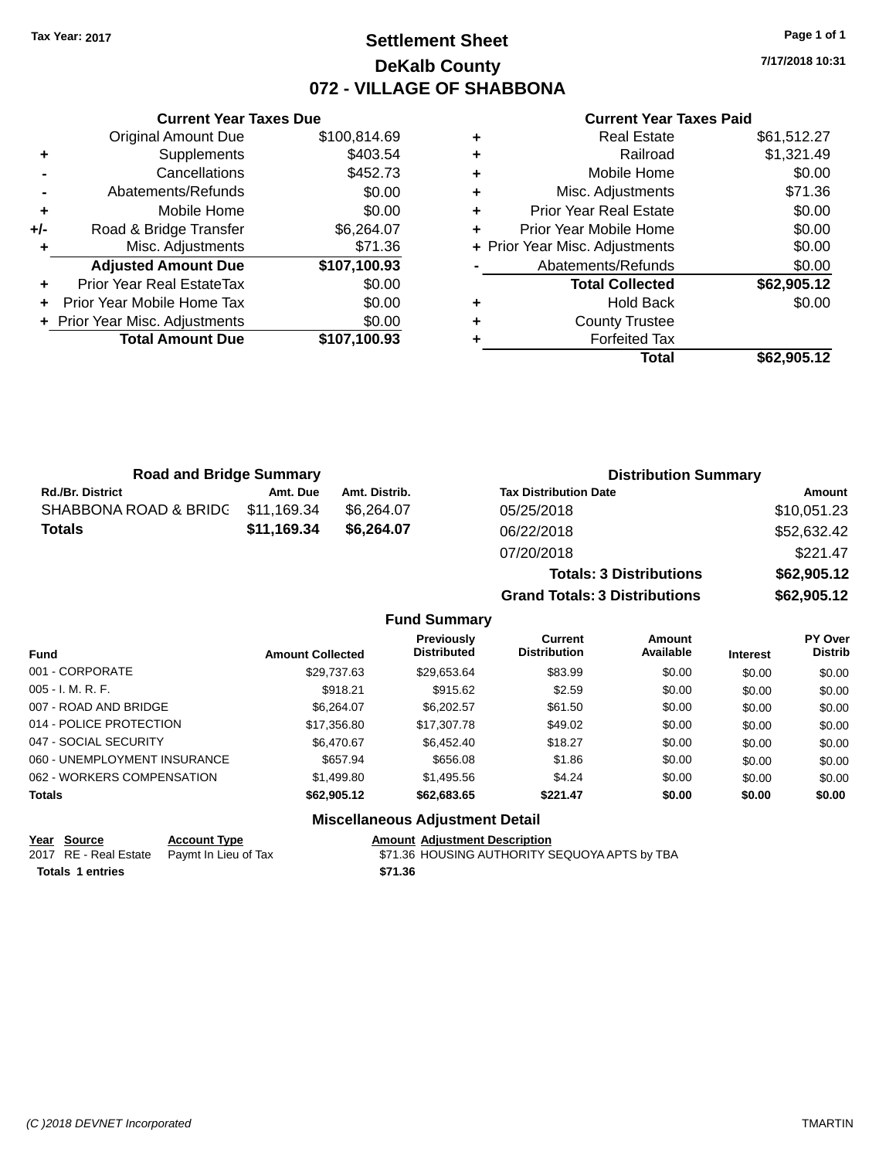### **Settlement Sheet Tax Year: 2017 Page 1 of 1 DeKalb County 072 - VILLAGE OF SHABBONA**

**7/17/2018 10:31**

| <b>Current Year Taxes Paid</b> |  |  |
|--------------------------------|--|--|
|                                |  |  |

|       | <b>Current Year Taxes Due</b>    |              |
|-------|----------------------------------|--------------|
|       | <b>Original Amount Due</b>       | \$100,814.69 |
| ٠     | Supplements                      | \$403.54     |
|       | Cancellations                    | \$452.73     |
|       | Abatements/Refunds               | \$0.00       |
| ٠     | Mobile Home                      | \$0.00       |
| $+/-$ | Road & Bridge Transfer           | \$6,264.07   |
| ٠     | Misc. Adjustments                | \$71.36      |
|       | <b>Adjusted Amount Due</b>       | \$107,100.93 |
|       | <b>Prior Year Real EstateTax</b> | \$0.00       |
|       | Prior Year Mobile Home Tax       | \$0.00       |
|       | + Prior Year Misc. Adjustments   | \$0.00       |
|       | <b>Total Amount Due</b>          | \$107,100.93 |
|       |                                  |              |

|   | <b>Real Estate</b>             | \$61,512.27 |
|---|--------------------------------|-------------|
| ÷ | Railroad                       | \$1,321.49  |
| ٠ | Mobile Home                    | \$0.00      |
| ٠ | Misc. Adjustments              | \$71.36     |
| ٠ | <b>Prior Year Real Estate</b>  | \$0.00      |
| ٠ | Prior Year Mobile Home         | \$0.00      |
|   | + Prior Year Misc. Adjustments | \$0.00      |
|   | Abatements/Refunds             | \$0.00      |
|   | <b>Total Collected</b>         | \$62,905.12 |
| ٠ | <b>Hold Back</b>               | \$0.00      |
| ٠ | <b>County Trustee</b>          |             |
| ٠ | <b>Forfeited Tax</b>           |             |
|   | Total                          | \$62,905.12 |
|   |                                |             |

**Grand Totals: 3 Distributions \$62,905.12**

| <b>Road and Bridge Summary</b> |             |               | <b>Distribution Summary</b>    |             |
|--------------------------------|-------------|---------------|--------------------------------|-------------|
| <b>Rd./Br. District</b>        | Amt. Due    | Amt. Distrib. | <b>Tax Distribution Date</b>   | Amount      |
| SHABBONA ROAD & BRIDG          | \$11,169.34 | \$6.264.07    | 05/25/2018                     | \$10,051.23 |
| <b>Totals</b>                  | \$11,169.34 | \$6.264.07    | 06/22/2018                     | \$52,632.42 |
|                                |             |               | 07/20/2018                     | \$221.47    |
|                                |             |               | <b>Totals: 3 Distributions</b> | \$62,905.12 |

|                              |                         | <b>Fund Summary</b>                              |                                       |                     |                 |                           |
|------------------------------|-------------------------|--------------------------------------------------|---------------------------------------|---------------------|-----------------|---------------------------|
| <b>Fund</b>                  | <b>Amount Collected</b> | Previously<br><b>Distributed</b>                 | <b>Current</b><br><b>Distribution</b> | Amount<br>Available | <b>Interest</b> | PY Over<br><b>Distrib</b> |
| 001 - CORPORATE              | \$29.737.63             | \$29.653.64                                      | \$83.99                               | \$0.00              | \$0.00          | \$0.00                    |
| 005 - I. M. R. F.            | \$918.21                | \$915.62                                         | \$2.59                                | \$0.00              | \$0.00          | \$0.00                    |
| 007 - ROAD AND BRIDGE.       | \$6.264.07              | \$6.202.57                                       | \$61.50                               | \$0.00              | \$0.00          | \$0.00                    |
| 014 - POLICE PROTECTION      | \$17,356.80             | \$17,307.78                                      | \$49.02                               | \$0.00              | \$0.00          | \$0.00                    |
| 047 - SOCIAL SECURITY        | \$6.470.67              | \$6.452.40                                       | \$18.27                               | \$0.00              | \$0.00          | \$0.00                    |
| 060 - UNEMPLOYMENT INSURANCE | \$657.94                | \$656.08                                         | \$1.86                                | \$0.00              | \$0.00          | \$0.00                    |
| 062 - WORKERS COMPENSATION   | \$1,499.80              | \$1,495.56                                       | \$4.24                                | \$0.00              | \$0.00          | \$0.00                    |
| <b>Totals</b>                | \$62,905.12             | \$62,683.65                                      | \$221.47                              | \$0.00              | \$0.00          | \$0.00                    |
|                              |                         | <b>Address House Court A. Househouse Broad H</b> |                                       |                     |                 |                           |

#### **Miscellaneous Adjustment Detail**

#### **Year Source Account Type Account Adjustment Description**

2017 RE - Real Estate Paymt In Lieu of Tax **\$71.36 HOUSING AUTHORITY SEQUOYA APTS by TBA Totals \$71.36 1 entries**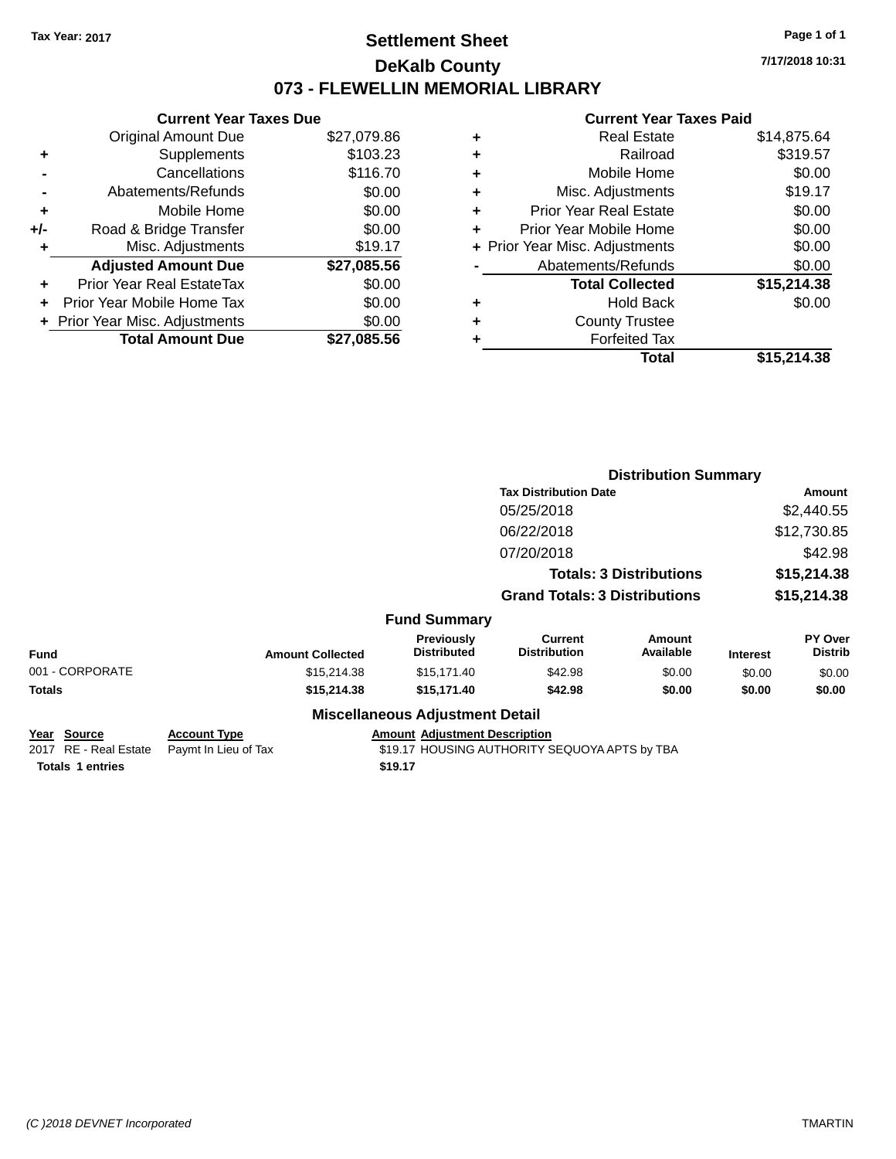### **Settlement Sheet Tax Year: 2017 Page 1 of 1 DeKalb County 073 - FLEWELLIN MEMORIAL LIBRARY**

**7/17/2018 10:31**

#### **Current Year Taxes Paid**

|     | <b>Current Year Taxes Due</b> |             |  |  |  |  |  |
|-----|-------------------------------|-------------|--|--|--|--|--|
|     | <b>Original Amount Due</b>    | \$27,079.86 |  |  |  |  |  |
| ٠   | Supplements                   | \$103.23    |  |  |  |  |  |
|     | Cancellations                 | \$116.70    |  |  |  |  |  |
|     | Abatements/Refunds            | \$0.00      |  |  |  |  |  |
| ٠   | Mobile Home                   | \$0.00      |  |  |  |  |  |
| +/- | Road & Bridge Transfer        | \$0.00      |  |  |  |  |  |
| ٠   | Misc. Adjustments             | \$19.17     |  |  |  |  |  |
|     | <b>Adjusted Amount Due</b>    | \$27,085.56 |  |  |  |  |  |
| ÷   | Prior Year Real EstateTax     | \$0.00      |  |  |  |  |  |
| ÷   | Prior Year Mobile Home Tax    | \$0.00      |  |  |  |  |  |
|     | Prior Year Misc. Adjustments  | \$0.00      |  |  |  |  |  |
|     | <b>Total Amount Due</b>       | \$27,085.56 |  |  |  |  |  |

| ٠ | <b>Real Estate</b>             | \$14,875.64 |
|---|--------------------------------|-------------|
| ٠ | Railroad                       | \$319.57    |
| ٠ | Mobile Home                    | \$0.00      |
| ٠ | Misc. Adjustments              | \$19.17     |
| ٠ | <b>Prior Year Real Estate</b>  | \$0.00      |
| ٠ | Prior Year Mobile Home         | \$0.00      |
|   | + Prior Year Misc. Adjustments | \$0.00      |
|   | Abatements/Refunds             | \$0.00      |
|   | <b>Total Collected</b>         | \$15,214.38 |
| ٠ | <b>Hold Back</b>               | \$0.00      |
| ٠ | <b>County Trustee</b>          |             |
| ٠ | <b>Forfeited Tax</b>           |             |
|   | Total                          | \$15,214.38 |
|   |                                |             |

|                                              |                                             |                                         | <b>Distribution Summary</b>                   |                                |                 |                                  |  |
|----------------------------------------------|---------------------------------------------|-----------------------------------------|-----------------------------------------------|--------------------------------|-----------------|----------------------------------|--|
|                                              |                                             |                                         | <b>Tax Distribution Date</b>                  |                                |                 | Amount                           |  |
|                                              |                                             |                                         | 05/25/2018                                    |                                |                 | \$2,440.55                       |  |
|                                              |                                             |                                         | 06/22/2018                                    |                                |                 | \$12,730.85                      |  |
|                                              |                                             |                                         | 07/20/2018                                    |                                |                 | \$42.98                          |  |
|                                              |                                             |                                         |                                               | <b>Totals: 3 Distributions</b> |                 | \$15,214.38                      |  |
|                                              |                                             |                                         | <b>Grand Totals: 3 Distributions</b>          |                                |                 | \$15,214.38                      |  |
|                                              |                                             | <b>Fund Summary</b>                     |                                               |                                |                 |                                  |  |
| Fund                                         | <b>Amount Collected</b>                     | <b>Previously</b><br><b>Distributed</b> | <b>Current</b><br><b>Distribution</b>         | Amount<br>Available            | <b>Interest</b> | <b>PY Over</b><br><b>Distrib</b> |  |
| 001 - CORPORATE                              | \$15,214.38                                 | \$15,171.40                             | \$42.98                                       | \$0.00                         | \$0.00          | \$0.00                           |  |
| Totals                                       | \$15,214.38                                 | \$15,171.40                             | \$42.98                                       | \$0.00                         | \$0.00          | \$0.00                           |  |
|                                              |                                             | <b>Miscellaneous Adjustment Detail</b>  |                                               |                                |                 |                                  |  |
| <u> Year Source</u><br>2017 RE - Real Estate | <b>Account Type</b><br>Paymt In Lieu of Tax | <b>Amount Adjustment Description</b>    | \$19.17 HOUSING AUTHORITY SEQUOYA APTS by TBA |                                |                 |                                  |  |
|                                              |                                             |                                         |                                               |                                |                 |                                  |  |

**Totals 1 entries** \$19.17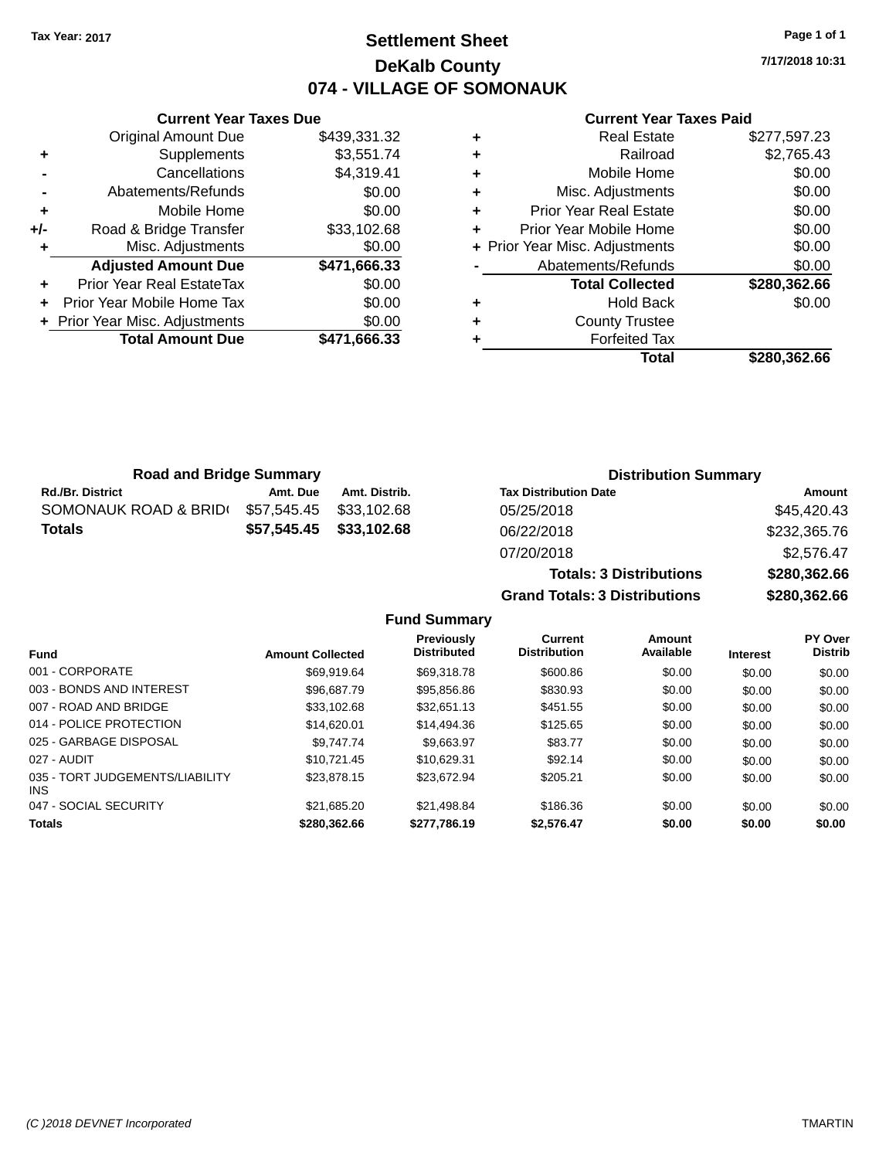### **Settlement Sheet Tax Year: 2017 Page 1 of 1 DeKalb County 074 - VILLAGE OF SOMONAUK**

**7/17/2018 10:31**

#### **Current Year Taxes Paid**

|     | <b>Adjusted Amount Due</b>   | \$471,666.33             |
|-----|------------------------------|--------------------------|
|     | Misc. Adjustments            | \$0.00                   |
| +/- | Road & Bridge Transfer       | \$33,102.68              |
| ٠   | Mobile Home                  | \$0.00                   |
|     | Abatements/Refunds           | \$0.00                   |
|     |                              |                          |
| ٠   | Supplements<br>Cancellations | \$3,551.74<br>\$4,319.41 |
|     | <b>Original Amount Due</b>   | \$439,331.32             |
|     |                              |                          |

**Current Year Taxes Due**

|   | <b>Real Estate</b>             | \$277,597.23 |
|---|--------------------------------|--------------|
| ٠ | Railroad                       | \$2,765.43   |
| ٠ | Mobile Home                    | \$0.00       |
| ٠ | Misc. Adjustments              | \$0.00       |
| ٠ | <b>Prior Year Real Estate</b>  | \$0.00       |
| ٠ | Prior Year Mobile Home         | \$0.00       |
|   | + Prior Year Misc. Adjustments | \$0.00       |
|   | Abatements/Refunds             | \$0.00       |
|   | <b>Total Collected</b>         | \$280,362.66 |
| ٠ | <b>Hold Back</b>               | \$0.00       |
| ٠ | <b>County Trustee</b>          |              |
| ٠ | <b>Forfeited Tax</b>           |              |
|   | Total                          | \$280,362.66 |
|   |                                |              |

**Totals: 3 Distributions \$280,362.66**

| <b>Road and Bridge Summary</b> |             |               | <b>Distribution Summary</b>  |              |  |
|--------------------------------|-------------|---------------|------------------------------|--------------|--|
| <b>Rd./Br. District</b>        | Amt. Due    | Amt. Distrib. | <b>Tax Distribution Date</b> | Amount       |  |
| SOMONAUK ROAD & BRID(          | \$57,545.45 | \$33.102.68   | 05/25/2018                   | \$45,420.43  |  |
| <b>Totals</b>                  | \$57,545.45 | \$33,102.68   | 06/22/2018                   | \$232,365.76 |  |
|                                |             |               | 07/20/2018                   | \$2.576.47   |  |

**Grand Totals: 3 Distributions \$280,362.66 Fund Summary Fund Interest Amount Collected Distributed PY Over Distrib Amount Available Current Distribution Previously** 001 - CORPORATE \$69,919.64 \$69,318.78 \$600.86 \$0.00 \$0.00 \$0.00 003 - BONDS AND INTEREST 60.00 \$96,687.79 \$95,856.86 \$830.93 \$0.00 \$0.00 \$0.00 \$0.00 007 - ROAD AND BRIDGE \$33,102.68 \$32,651.13 \$451.55 \$0.00 \$0.00 \$0.00 \$0.00 014 - POLICE PROTECTION \$14,620.01 \$14,494.36 \$125.65 \$0.00 \$0.00 \$0.00 025 - GARBAGE DISPOSAL \$9,747.74 \$9,663.97 \$83.77 \$0.00 \$0.00 \$0.00 \$0.00 027 - AUDIT \$10,721.45 \$10,629.31 \$92.14 \$0.00 \$0.00 \$0.00 035 - TORT JUDGEMENTS/LIABILITY \$23,878.15 \$23,672.94 \$205.21 \$0.00 \$0.00 \$0.00 047 - SOCIAL SECURITY \$21,685.20 \$21,498.84 \$186.36 \$0.00 \$0.00 \$0.00 \$0.00

**Totals \$280,362.66 \$277,786.19 \$2,576.47 \$0.00 \$0.00 \$0.00**

INS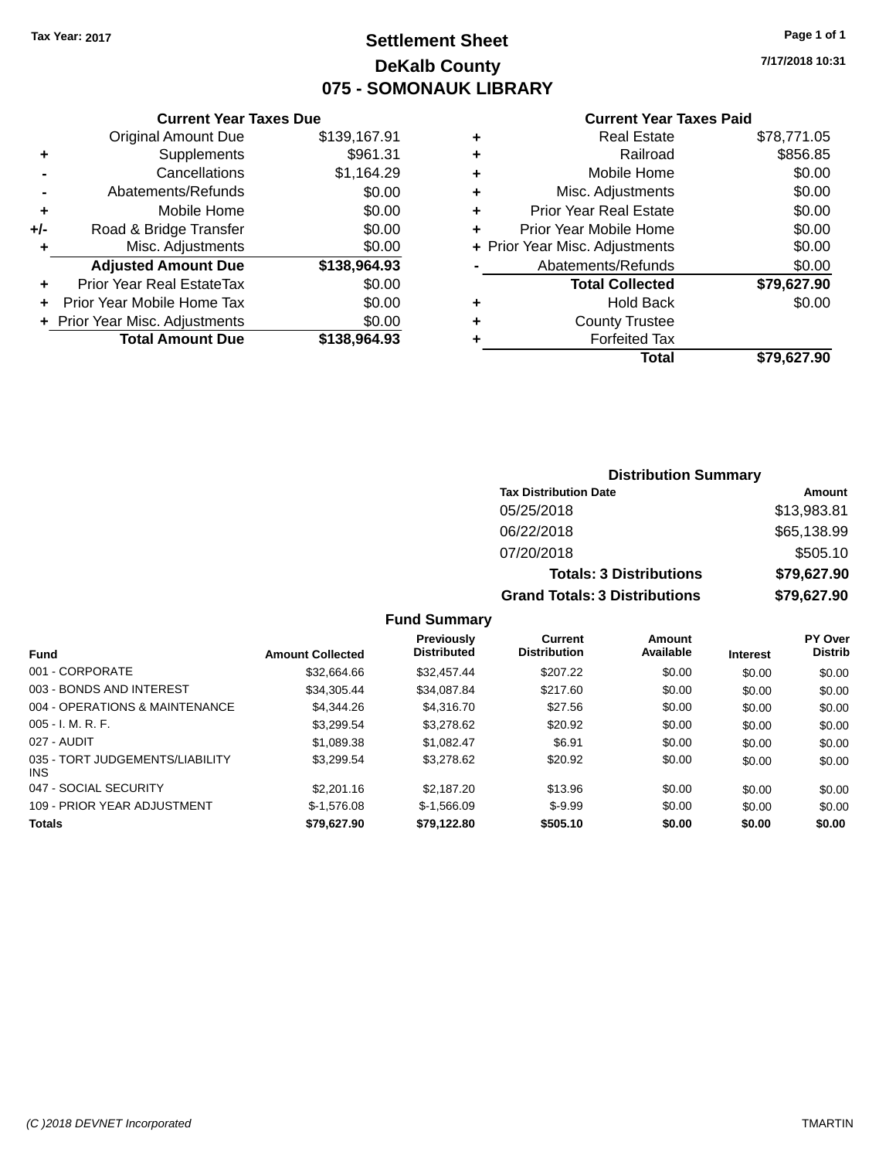### **Settlement Sheet Tax Year: 2017 Page 1 of 1 DeKalb County 075 - SOMONAUK LIBRARY**

**7/17/2018 10:31**

#### **Current Year Taxes Paid**

|       | <b>Current Year Taxes Due</b>  |              |
|-------|--------------------------------|--------------|
|       | <b>Original Amount Due</b>     | \$139,167.91 |
| ٠     | Supplements                    | \$961.31     |
|       | Cancellations                  | \$1,164.29   |
|       | Abatements/Refunds             | \$0.00       |
| ٠     | Mobile Home                    | \$0.00       |
| $+/-$ | Road & Bridge Transfer         | \$0.00       |
| ٠     | Misc. Adjustments              | \$0.00       |
|       | <b>Adjusted Amount Due</b>     | \$138,964.93 |
| ٠     | Prior Year Real EstateTax      | \$0.00       |
|       | Prior Year Mobile Home Tax     | \$0.00       |
|       | + Prior Year Misc. Adjustments | \$0.00       |
|       | <b>Total Amount Due</b>        | \$138,964.93 |
|       |                                |              |

| ٠ | Real Estate                    | \$78,771.05 |
|---|--------------------------------|-------------|
| ٠ | Railroad                       | \$856.85    |
| ٠ | Mobile Home                    | \$0.00      |
| ٠ | Misc. Adjustments              | \$0.00      |
| ٠ | <b>Prior Year Real Estate</b>  | \$0.00      |
|   | Prior Year Mobile Home         | \$0.00      |
|   | + Prior Year Misc. Adjustments | \$0.00      |
|   | Abatements/Refunds             | \$0.00      |
|   | <b>Total Collected</b>         | \$79,627.90 |
| ٠ | <b>Hold Back</b>               | \$0.00      |
| ٠ | <b>County Trustee</b>          |             |
|   | <b>Forfeited Tax</b>           |             |
|   | Total                          | \$79.627.90 |
|   |                                |             |

### **Distribution Summary Tax Distribution Date Amount** 05/25/2018 \$13,983.81 06/22/2018 \$65,138.99 07/20/2018 \$505.10 **Totals: 3 Distributions \$79,627.90 Grand Totals: 3 Distributions \$79,627.90**

| Fund                                    | <b>Amount Collected</b> | <b>Previously</b><br><b>Distributed</b> | Current<br><b>Distribution</b> | Amount<br>Available | <b>Interest</b> | PY Over<br><b>Distrib</b> |
|-----------------------------------------|-------------------------|-----------------------------------------|--------------------------------|---------------------|-----------------|---------------------------|
| 001 - CORPORATE                         | \$32.664.66             | \$32,457.44                             | \$207.22                       | \$0.00              | \$0.00          | \$0.00                    |
| 003 - BONDS AND INTEREST                | \$34,305.44             | \$34.087.84                             | \$217.60                       | \$0.00              | \$0.00          | \$0.00                    |
| 004 - OPERATIONS & MAINTENANCE          | \$4,344,26              | \$4,316,70                              | \$27.56                        | \$0.00              | \$0.00          | \$0.00                    |
| $005 - I. M. R. F.$                     | \$3,299.54              | \$3,278.62                              | \$20.92                        | \$0.00              | \$0.00          | \$0.00                    |
| 027 - AUDIT                             | \$1.089.38              | \$1.082.47                              | \$6.91                         | \$0.00              | \$0.00          | \$0.00                    |
| 035 - TORT JUDGEMENTS/LIABILITY<br>INS. | \$3.299.54              | \$3,278.62                              | \$20.92                        | \$0.00              | \$0.00          | \$0.00                    |
| 047 - SOCIAL SECURITY                   | \$2,201.16              | \$2,187.20                              | \$13.96                        | \$0.00              | \$0.00          | \$0.00                    |
| 109 - PRIOR YEAR ADJUSTMENT             | $$-1.576.08$            | $$-1.566.09$                            | $$-9.99$                       | \$0.00              | \$0.00          | \$0.00                    |
| <b>Totals</b>                           | \$79,627.90             | \$79.122.80                             | \$505.10                       | \$0.00              | \$0.00          | \$0.00                    |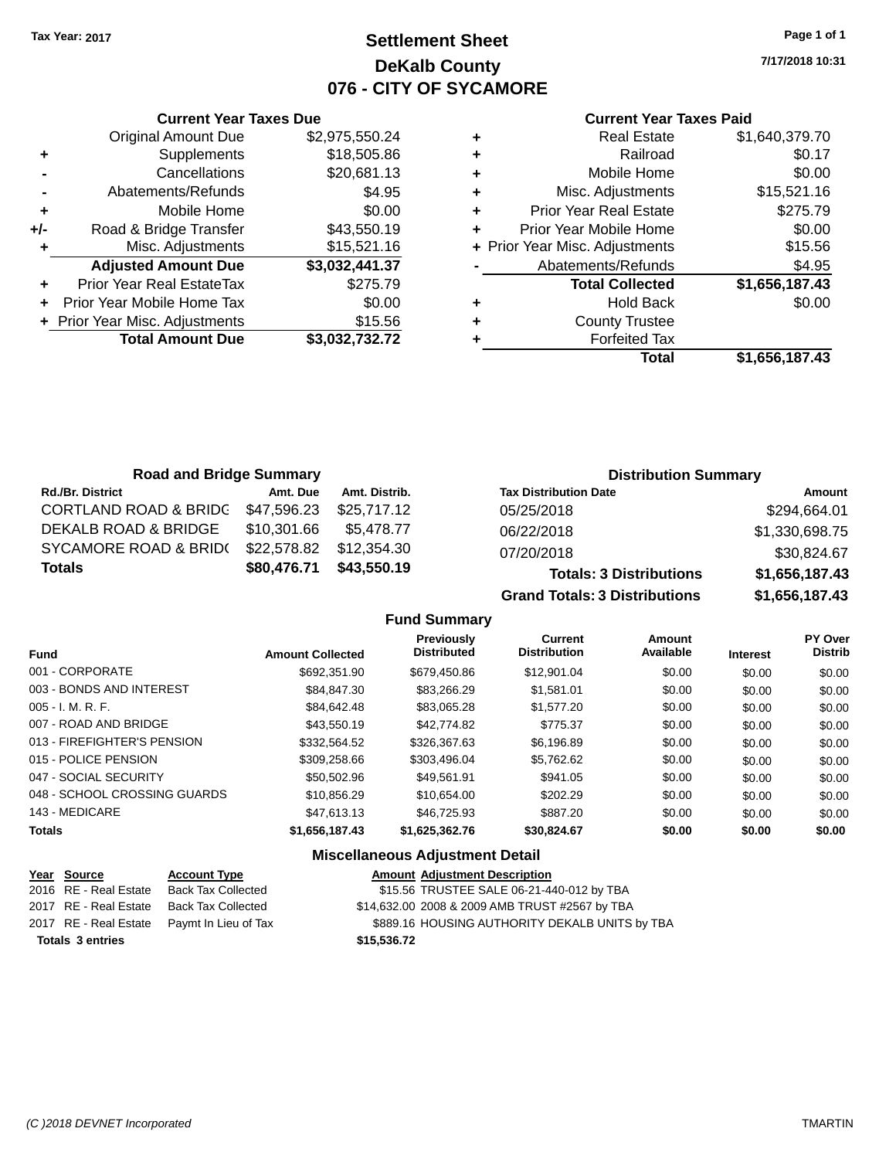### **Settlement Sheet Tax Year: 2017 Page 1 of 1 DeKalb County 076 - CITY OF SYCAMORE**

**7/17/2018 10:31**

#### **Current Year Taxes Paid**

|     | <b>Current Year Taxes Due</b>  |                |
|-----|--------------------------------|----------------|
|     | <b>Original Amount Due</b>     | \$2,975,550.24 |
| ٠   | Supplements                    | \$18,505.86    |
|     | Cancellations                  | \$20,681.13    |
|     | Abatements/Refunds             | \$4.95         |
| ٠   | Mobile Home                    | \$0.00         |
| +/- | Road & Bridge Transfer         | \$43,550.19    |
|     | Misc. Adjustments              | \$15,521.16    |
|     | <b>Adjusted Amount Due</b>     | \$3,032,441.37 |
| ٠   | Prior Year Real EstateTax      | \$275.79       |
|     | Prior Year Mobile Home Tax     | \$0.00         |
|     | + Prior Year Misc. Adjustments | \$15.56        |
|     | <b>Total Amount Due</b>        | \$3,032,732.72 |
|     |                                |                |

|   | <b>Real Estate</b>             | \$1,640,379.70 |
|---|--------------------------------|----------------|
| ٠ | Railroad                       | \$0.17         |
| ٠ | Mobile Home                    | \$0.00         |
| ٠ | Misc. Adjustments              | \$15,521.16    |
| ٠ | <b>Prior Year Real Estate</b>  | \$275.79       |
|   | Prior Year Mobile Home         | \$0.00         |
|   | + Prior Year Misc. Adjustments | \$15.56        |
|   | Abatements/Refunds             | \$4.95         |
|   | <b>Total Collected</b>         | \$1,656,187.43 |
| ٠ | <b>Hold Back</b>               | \$0.00         |
|   | <b>County Trustee</b>          |                |
|   | <b>Forfeited Tax</b>           |                |
|   | Total                          | \$1,656,187.43 |
|   |                                |                |

| <b>Road and Bridge Summary</b> |             |               | <b>Distribution Summary</b>    |                |  |
|--------------------------------|-------------|---------------|--------------------------------|----------------|--|
| <b>Rd./Br. District</b>        | Amt. Due    | Amt. Distrib. | <b>Tax Distribution Date</b>   | Amount         |  |
| CORTLAND ROAD & BRIDG          | \$47,596.23 | \$25,717.12   | 05/25/2018                     | \$294,664.01   |  |
| DEKALB ROAD & BRIDGE           | \$10,301.66 | \$5.478.77    | 06/22/2018                     | \$1,330,698.75 |  |
| SYCAMORE ROAD & BRID(          | \$22,578.82 | \$12,354.30   | 07/20/2018                     | \$30,824.67    |  |
| <b>Totals</b>                  | \$80,476.71 | \$43,550.19   | <b>Totals: 3 Distributions</b> | \$1,656,187.43 |  |

**Grand Totals: 3 Distributions \$1,656,187.43**

**Fund Summary**

| <b>Fund</b>                  | <b>Amount Collected</b> | <b>Previously</b><br><b>Distributed</b> | Current<br><b>Distribution</b> | <b>Amount</b><br>Available | <b>Interest</b> | PY Over<br><b>Distrib</b> |
|------------------------------|-------------------------|-----------------------------------------|--------------------------------|----------------------------|-----------------|---------------------------|
|                              |                         |                                         |                                |                            |                 |                           |
| 001 - CORPORATE              | \$692,351,90            | \$679.450.86                            | \$12,901.04                    | \$0.00                     | \$0.00          | \$0.00                    |
| 003 - BONDS AND INTEREST     | \$84.847.30             | \$83.266.29                             | \$1.581.01                     | \$0.00                     | \$0.00          | \$0.00                    |
| $005 - I. M. R. F.$          | \$84.642.48             | \$83,065.28                             | \$1,577,20                     | \$0.00                     | \$0.00          | \$0.00                    |
| 007 - ROAD AND BRIDGE        | \$43,550.19             | \$42,774.82                             | \$775.37                       | \$0.00                     | \$0.00          | \$0.00                    |
| 013 - FIREFIGHTER'S PENSION  | \$332,564.52            | \$326,367.63                            | \$6,196.89                     | \$0.00                     | \$0.00          | \$0.00                    |
| 015 - POLICE PENSION         | \$309,258.66            | \$303.496.04                            | \$5.762.62                     | \$0.00                     | \$0.00          | \$0.00                    |
| 047 - SOCIAL SECURITY        | \$50,502.96             | \$49.561.91                             | \$941.05                       | \$0.00                     | \$0.00          | \$0.00                    |
| 048 - SCHOOL CROSSING GUARDS | \$10.856.29             | \$10.654.00                             | \$202.29                       | \$0.00                     | \$0.00          | \$0.00                    |
| 143 - MEDICARE               | \$47,613.13             | \$46,725,93                             | \$887.20                       | \$0.00                     | \$0.00          | \$0.00                    |
| <b>Totals</b>                | \$1,656,187.43          | \$1,625,362.76                          | \$30,824.67                    | \$0.00                     | \$0.00          | \$0.00                    |

### **Miscellaneous Adjustment Detail**

|                         | Year Source           | <b>Account Type</b>                        |             | <b>Amount Adjustment Description</b>           |
|-------------------------|-----------------------|--------------------------------------------|-------------|------------------------------------------------|
|                         | 2016 RE - Real Estate | <b>Back Tax Collected</b>                  |             | \$15.56 TRUSTEE SALE 06-21-440-012 by TBA      |
|                         |                       | 2017 RE - Real Estate Back Tax Collected   |             | \$14,632.00 2008 & 2009 AMB TRUST #2567 by TBA |
|                         |                       | 2017 RE - Real Estate Paymt In Lieu of Tax |             | \$889.16 HOUSING AUTHORITY DEKALB UNITS by TBA |
| <b>Totals 3 entries</b> |                       |                                            | \$15,536.72 |                                                |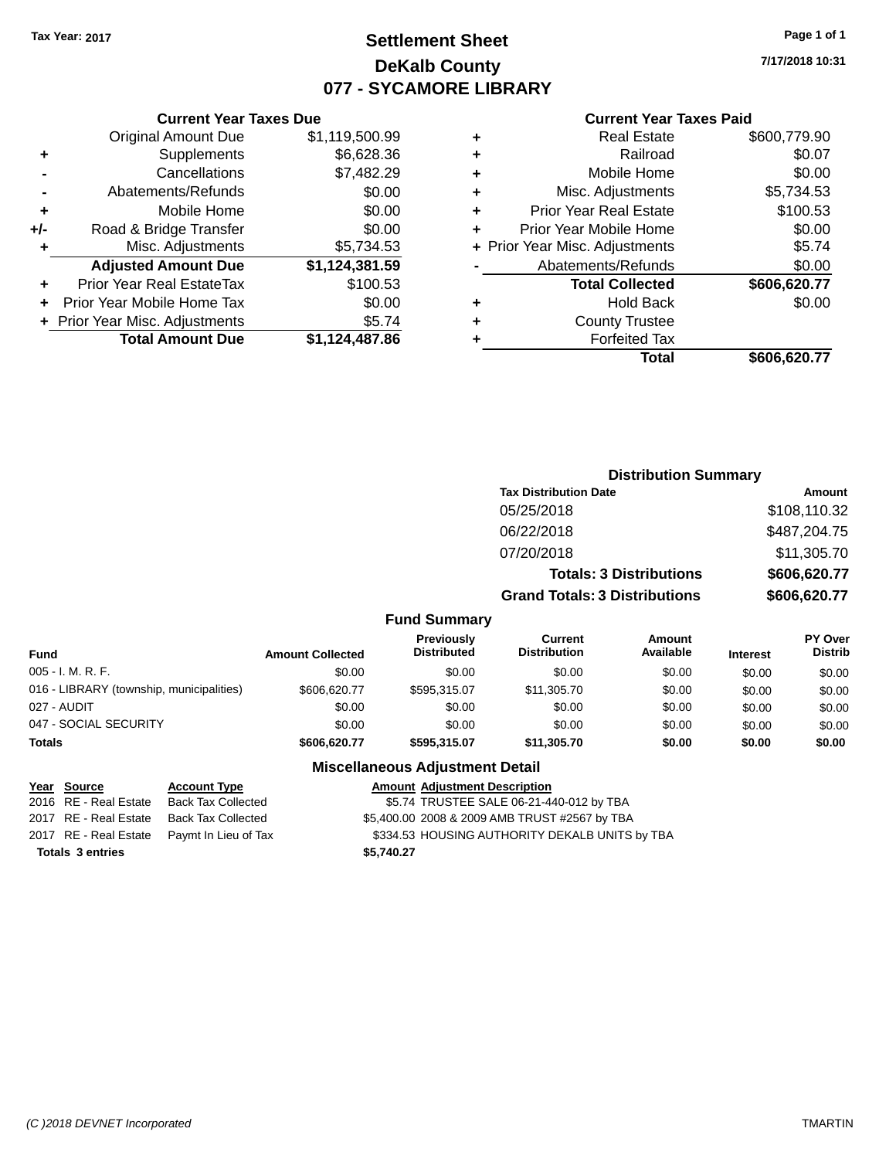### **Settlement Sheet Tax Year: 2017 Page 1 of 1 DeKalb County 077 - SYCAMORE LIBRARY**

**7/17/2018 10:31**

#### **Current Year Taxes Paid**

|     | Original Amount Due            | \$1,119,500.99 |
|-----|--------------------------------|----------------|
| ٠   | Supplements                    | \$6,628.36     |
|     | Cancellations                  | \$7,482.29     |
|     | Abatements/Refunds             | \$0.00         |
| ÷   | Mobile Home                    | \$0.00         |
| +/- | Road & Bridge Transfer         | \$0.00         |
| ٠   | Misc. Adjustments              | \$5,734.53     |
|     | <b>Adjusted Amount Due</b>     | \$1,124,381.59 |
| ÷   | Prior Year Real EstateTax      | \$100.53       |
|     | Prior Year Mobile Home Tax     | \$0.00         |
|     | + Prior Year Misc. Adjustments | \$5.74         |
|     | <b>Total Amount Due</b>        | \$1,124,487.86 |
|     |                                |                |

**Current Year Taxes Due**

|   | <b>Real Estate</b>             | \$600,779.90 |
|---|--------------------------------|--------------|
| ٠ | Railroad                       | \$0.07       |
| ٠ | Mobile Home                    | \$0.00       |
| ٠ | Misc. Adjustments              | \$5,734.53   |
| ٠ | <b>Prior Year Real Estate</b>  | \$100.53     |
| ÷ | Prior Year Mobile Home         | \$0.00       |
|   | + Prior Year Misc. Adjustments | \$5.74       |
|   | Abatements/Refunds             | \$0.00       |
|   | <b>Total Collected</b>         | \$606,620.77 |
| ٠ | <b>Hold Back</b>               | \$0.00       |
| ٠ | <b>County Trustee</b>          |              |
| ٠ | <b>Forfeited Tax</b>           |              |
|   | Total                          | \$606,620.77 |
|   |                                |              |

### **Distribution Summary Tax Distribution Date Amount** 05/25/2018 \$108,110.32 06/22/2018 \$487,204.75 07/20/2018 \$11,305.70 **Totals: 3 Distributions \$606,620.77 Grand Totals: 3 Distributions \$606,620.77**

#### **Fund Summary**

|                                          |                         | Previously         | <b>Current</b>      | Amount    |                 | <b>PY Over</b> |
|------------------------------------------|-------------------------|--------------------|---------------------|-----------|-----------------|----------------|
| <b>Fund</b>                              | <b>Amount Collected</b> | <b>Distributed</b> | <b>Distribution</b> | Available | <b>Interest</b> | <b>Distrib</b> |
| $005 - I. M. R. F.$                      | \$0.00                  | \$0.00             | \$0.00              | \$0.00    | \$0.00          | \$0.00         |
| 016 - LIBRARY (township, municipalities) | \$606,620.77            | \$595.315.07       | \$11.305.70         | \$0.00    | \$0.00          | \$0.00         |
| 027 - AUDIT                              | \$0.00                  | \$0.00             | \$0.00              | \$0.00    | \$0.00          | \$0.00         |
| 047 - SOCIAL SECURITY                    | \$0.00                  | \$0.00             | \$0.00              | \$0.00    | \$0.00          | \$0.00         |
| <b>Totals</b>                            | \$606,620.77            | \$595.315.07       | \$11,305.70         | \$0.00    | \$0.00          | \$0.00         |

#### **Miscellaneous Adjustment Detail**

#### **Year Source Account Type Amount Adjustment Description**

2016 RE - Real Estate Back Tax Collected \$5.74 TRUSTEE SALE 06-21-440-012 by TBA 2017 RE - Real Estate Back Tax Collected \$5,400.00 2008 & 2009 AMB TRUST #2567 by TBA 2017 RE - Real Estate Paymt In Lieu of Tax S334.53 HOUSING AUTHORITY DEKALB UNITS by TBA **Totals \$5,740.27 3 entries**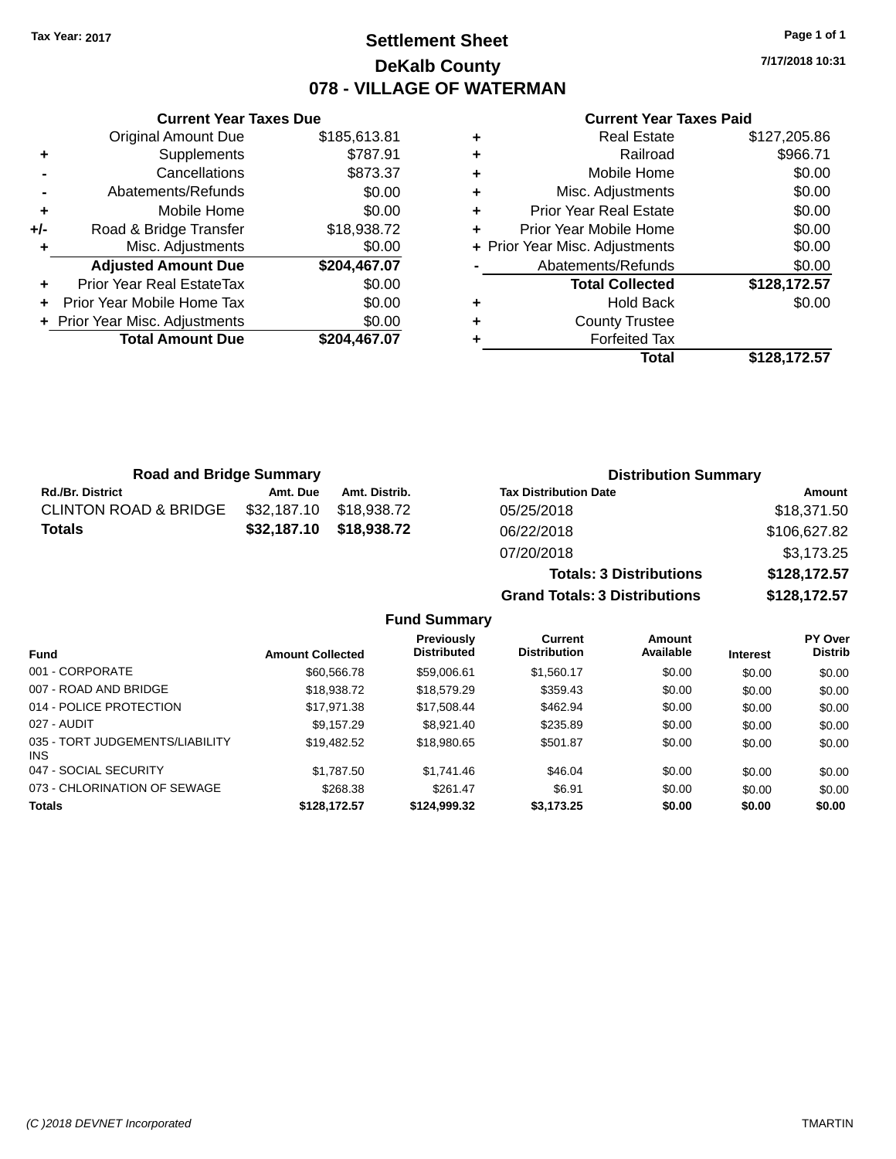### **Settlement Sheet Tax Year: 2017 Page 1 of 1 DeKalb County 078 - VILLAGE OF WATERMAN**

**7/17/2018 10:31**

| <b>Current Year Taxes Paid</b> |  |  |  |
|--------------------------------|--|--|--|
|--------------------------------|--|--|--|

|       | <b>Original Amount Due</b>     | \$185,613.81 |
|-------|--------------------------------|--------------|
| ٠     | Supplements                    | \$787.91     |
|       | Cancellations                  | \$873.37     |
|       | Abatements/Refunds             | \$0.00       |
| ٠     | Mobile Home                    | \$0.00       |
| $+/-$ | Road & Bridge Transfer         | \$18,938.72  |
| ٠     | Misc. Adjustments              | \$0.00       |
|       | <b>Adjusted Amount Due</b>     | \$204,467.07 |
| ٠     | Prior Year Real EstateTax      | \$0.00       |
|       | Prior Year Mobile Home Tax     | \$0.00       |
|       | + Prior Year Misc. Adjustments | \$0.00       |
|       | <b>Total Amount Due</b>        | \$204,467.07 |
|       |                                |              |

**Current Year Taxes Due**

|   | <b>Real Estate</b>             | \$127,205.86 |
|---|--------------------------------|--------------|
| ٠ | Railroad                       | \$966.71     |
| ٠ | Mobile Home                    | \$0.00       |
| ٠ | Misc. Adjustments              | \$0.00       |
| ٠ | Prior Year Real Estate         | \$0.00       |
| ٠ | Prior Year Mobile Home         | \$0.00       |
|   | + Prior Year Misc. Adjustments | \$0.00       |
|   | Abatements/Refunds             | \$0.00       |
|   | <b>Total Collected</b>         | \$128,172.57 |
| ٠ | <b>Hold Back</b>               | \$0.00       |
| ٠ | <b>County Trustee</b>          |              |
|   | <b>Forfeited Tax</b>           |              |
|   | Total                          | \$128.172.57 |

**Totals: 3 Distributions \$128,172.57**

**Grand Totals: 3 Distributions \$128,172.57**

| <b>Road and Bridge Summary</b>   |             | <b>Distribution Summary</b> |                              |              |
|----------------------------------|-------------|-----------------------------|------------------------------|--------------|
| <b>Rd./Br. District</b>          | Amt. Due    | Amt. Distrib.               | <b>Tax Distribution Date</b> | Amount       |
| <b>CLINTON ROAD &amp; BRIDGE</b> | \$32,187.10 | \$18.938.72                 | 05/25/2018                   | \$18,371.50  |
| <b>Totals</b>                    |             | \$32,187.10 \$18,938.72     | 06/22/2018                   | \$106,627.82 |
|                                  |             |                             | 07/20/2018                   | \$3,173.25   |

**Fund Summary Fund Interest Amount Collected Distributed PY Over Distrib Amount Available Current Distribution Previously** 001 - CORPORATE 60.00 \$60,566.78 \$59,006.61 \$1,560.17 \$0.00 \$0.00 \$0.00 \$0.00 007 - ROAD AND BRIDGE 60.00 \$18,938.72 \$18,938.72 \$18,579.29 \$359.43 \$0.00 \$0.00 \$0.00 014 - POLICE PROTECTION \$17,971.38 \$17,971.38 \$17,508.44 \$462.94 \$0.00 \$0.00 \$0.00 027 - AUDIT \$9,157.29 \$8,921.40 \$235.89 \$0.00 \$0.00 \$0.00 035 - TORT JUDGEMENTS/LIABILITY INS \$19,482.52 \$18,980.65 \$501.87 \$0.00 \$0.00 \$0.00 \$0.00 047 - SOCIAL SECURITY \$1,787.50 \$1,741.46 \$0.00 \$0.00 \$0.00 \$0.00 073 - CHLORINATION OF SEWAGE \$268.38 \$261.47 \$6.91 \$0.00 \$0.00 \$0.00 \$0.00 **Totals \$128,172.57 \$124,999.32 \$3,173.25 \$0.00 \$0.00 \$0.00**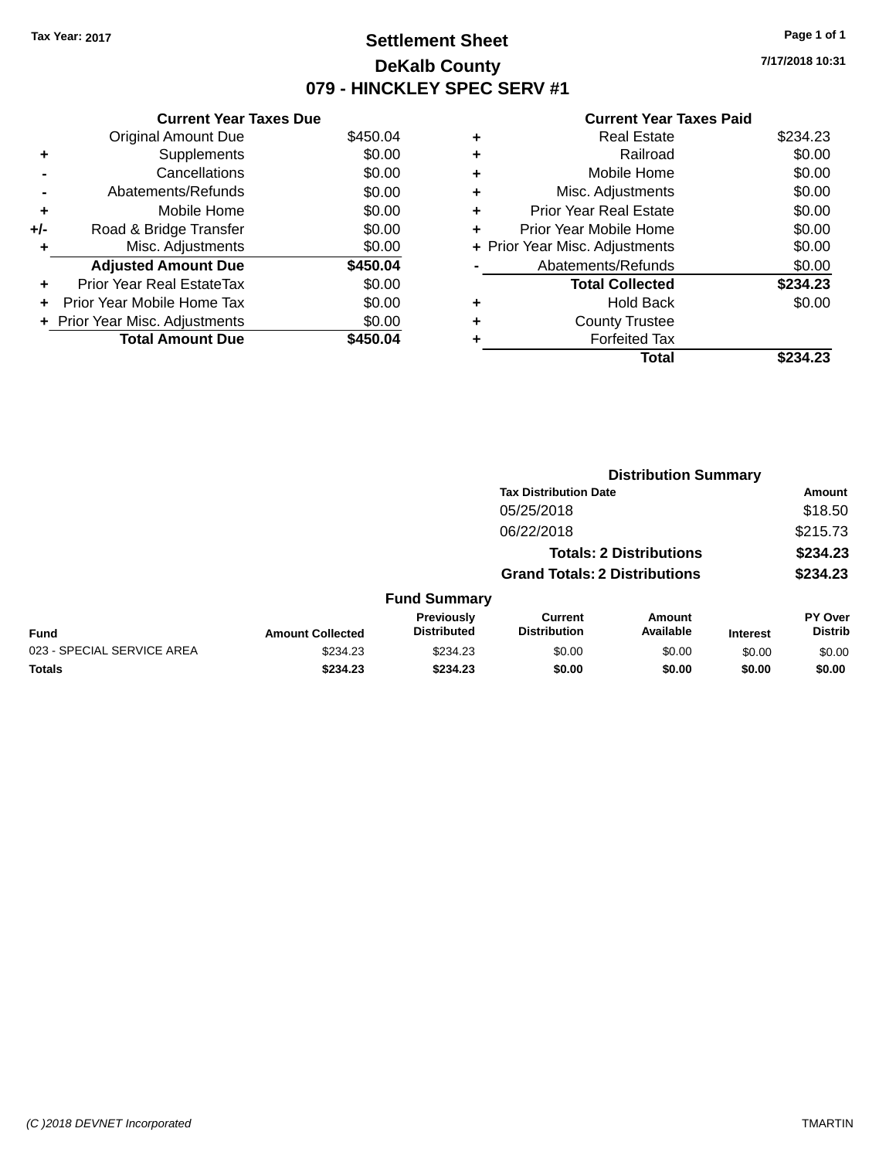## **Settlement Sheet Tax Year: 2017 Page 1 of 1 DeKalb County 079 - HINCKLEY SPEC SERV #1**

**7/17/2018 10:31**

#### **Current Year Taxes Paid**

|       | <b>Current Year Taxes Due</b> |          |
|-------|-------------------------------|----------|
|       | <b>Original Amount Due</b>    | \$450.04 |
| ٠     | Supplements                   | \$0.00   |
|       | Cancellations                 | \$0.00   |
|       | Abatements/Refunds            | \$0.00   |
| ٠     | Mobile Home                   | \$0.00   |
| $+/-$ | Road & Bridge Transfer        | \$0.00   |
| ٠     | Misc. Adjustments             | \$0.00   |
|       | <b>Adjusted Amount Due</b>    | \$450.04 |
| ٠     | Prior Year Real EstateTax     | \$0.00   |
| ÷     | Prior Year Mobile Home Tax    | \$0.00   |
|       | Prior Year Misc. Adjustments  | \$0.00   |
|       | <b>Total Amount Due</b>       | \$450.04 |

|   | Total                          | \$234.23 |
|---|--------------------------------|----------|
|   | <b>Forfeited Tax</b>           |          |
|   | <b>County Trustee</b>          |          |
| ٠ | <b>Hold Back</b>               | \$0.00   |
|   | <b>Total Collected</b>         | \$234.23 |
|   | Abatements/Refunds             | \$0.00   |
|   | + Prior Year Misc. Adjustments | \$0.00   |
| ٠ | Prior Year Mobile Home         | \$0.00   |
| ÷ | <b>Prior Year Real Estate</b>  | \$0.00   |
| ٠ | Misc. Adjustments              | \$0.00   |
| ٠ | Mobile Home                    | \$0.00   |
| ٠ | Railroad                       | \$0.00   |
| ٠ | <b>Real Estate</b>             | \$234.23 |
|   |                                |          |

|                            |                         |                                  | <b>Distribution Summary</b>           |                                |                 |                           |
|----------------------------|-------------------------|----------------------------------|---------------------------------------|--------------------------------|-----------------|---------------------------|
|                            |                         |                                  | <b>Tax Distribution Date</b>          |                                |                 | <b>Amount</b>             |
|                            |                         |                                  | 05/25/2018                            |                                |                 | \$18.50                   |
|                            |                         |                                  | 06/22/2018                            |                                |                 | \$215.73                  |
|                            |                         |                                  |                                       | <b>Totals: 2 Distributions</b> |                 | \$234.23                  |
|                            |                         |                                  | <b>Grand Totals: 2 Distributions</b>  |                                |                 | \$234.23                  |
|                            |                         | <b>Fund Summary</b>              |                                       |                                |                 |                           |
| <b>Fund</b>                | <b>Amount Collected</b> | Previously<br><b>Distributed</b> | <b>Current</b><br><b>Distribution</b> | <b>Amount</b><br>Available     | <b>Interest</b> | PY Over<br><b>Distrib</b> |
| 023 - SPECIAL SERVICE AREA | \$234.23                | \$234.23                         | \$0.00                                | \$0.00                         | \$0.00          | \$0.00                    |
| <b>Totals</b>              | \$234.23                | \$234.23                         | \$0.00                                | \$0.00                         | \$0.00          | \$0.00                    |
|                            |                         |                                  |                                       |                                |                 |                           |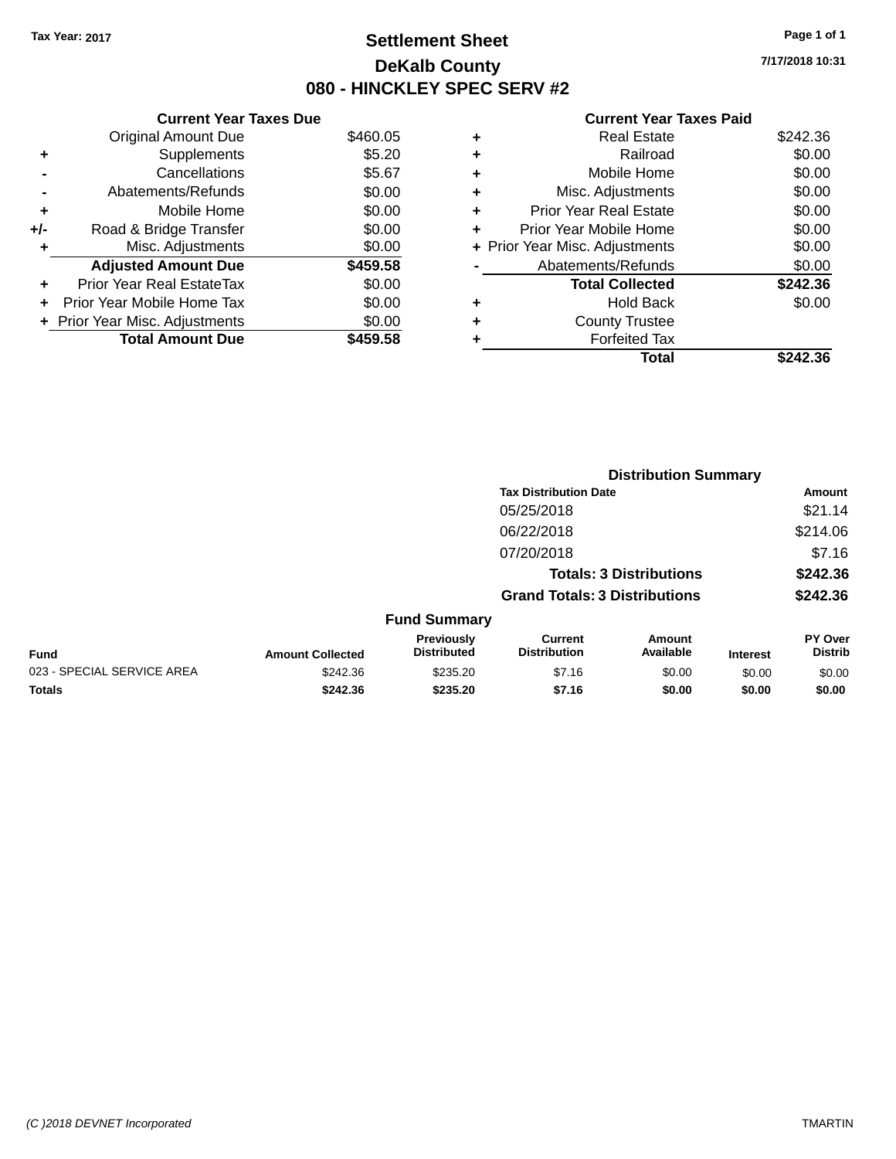### **Settlement Sheet Tax Year: 2017 Page 1 of 1 DeKalb County 080 - HINCKLEY SPEC SERV #2**

**7/17/2018 10:31**

#### **Current Year Taxes Paid**

|     | <b>Current Year Taxes Due</b>     |          |
|-----|-----------------------------------|----------|
|     | <b>Original Amount Due</b>        | \$460.05 |
| ٠   | Supplements                       | \$5.20   |
|     | Cancellations                     | \$5.67   |
|     | Abatements/Refunds                | \$0.00   |
| ÷   | Mobile Home                       | \$0.00   |
| +/- | Road & Bridge Transfer            | \$0.00   |
|     | Misc. Adjustments                 | \$0.00   |
|     | <b>Adjusted Amount Due</b>        | \$459.58 |
| ÷   | Prior Year Real EstateTax         | \$0.00   |
| ÷   | <b>Prior Year Mobile Home Tax</b> | \$0.00   |
|     | + Prior Year Misc. Adjustments    | \$0.00   |
|     | <b>Total Amount Due</b>           | \$459.58 |

|   | <b>Real Estate</b>             | \$242.36 |
|---|--------------------------------|----------|
| ٠ | Railroad                       | \$0.00   |
| ٠ | Mobile Home                    | \$0.00   |
| ٠ | Misc. Adjustments              | \$0.00   |
| ٠ | <b>Prior Year Real Estate</b>  | \$0.00   |
|   | Prior Year Mobile Home         | \$0.00   |
|   | + Prior Year Misc. Adjustments | \$0.00   |
|   | Abatements/Refunds             | \$0.00   |
|   | <b>Total Collected</b>         | \$242.36 |
| ٠ | <b>Hold Back</b>               | \$0.00   |
|   | <b>County Trustee</b>          |          |
| ٠ | <b>Forfeited Tax</b>           |          |
|   | Total                          | \$242.36 |
|   |                                |          |

|                            |                         |                                  | <b>Distribution Summary</b>           |                                |                 |                           |
|----------------------------|-------------------------|----------------------------------|---------------------------------------|--------------------------------|-----------------|---------------------------|
|                            |                         |                                  | <b>Tax Distribution Date</b>          |                                |                 | Amount                    |
|                            |                         |                                  | 05/25/2018                            |                                |                 | \$21.14                   |
|                            |                         |                                  | 06/22/2018                            |                                |                 | \$214.06                  |
|                            |                         |                                  | 07/20/2018                            |                                |                 | \$7.16                    |
|                            |                         |                                  |                                       | <b>Totals: 3 Distributions</b> |                 | \$242.36                  |
|                            |                         |                                  | <b>Grand Totals: 3 Distributions</b>  |                                |                 | \$242.36                  |
|                            |                         | <b>Fund Summary</b>              |                                       |                                |                 |                           |
| <b>Fund</b>                | <b>Amount Collected</b> | Previously<br><b>Distributed</b> | <b>Current</b><br><b>Distribution</b> | Amount<br>Available            | <b>Interest</b> | PY Over<br><b>Distrib</b> |
| 023 - SPECIAL SERVICE AREA | \$242.36                | \$235.20                         | \$7.16                                | \$0.00                         | \$0.00          | \$0.00                    |
| <b>Totals</b>              | \$242.36                | \$235.20                         | \$7.16                                | \$0.00                         | \$0.00          | \$0.00                    |
|                            |                         |                                  |                                       |                                |                 |                           |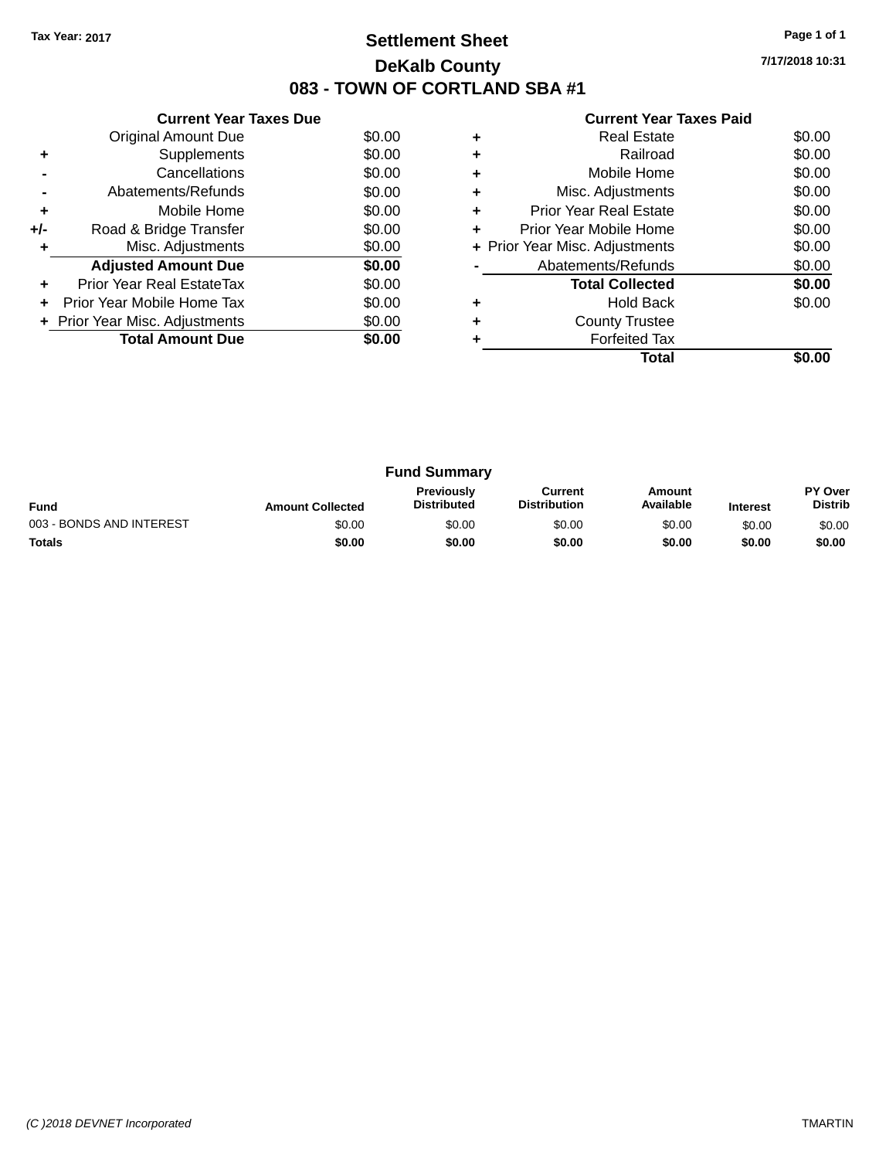# **Settlement Sheet Tax Year: 2017 Page 1 of 1 DeKalb County 083 - TOWN OF CORTLAND SBA #1**

**7/17/2018 10:31**

| <b>Current Year Taxes Paid</b> |  |  |
|--------------------------------|--|--|
|                                |  |  |

|     | <b>Current Year Taxes Due</b>  |        |
|-----|--------------------------------|--------|
|     | <b>Original Amount Due</b>     | \$0.00 |
| ٠   | Supplements                    | \$0.00 |
|     | Cancellations                  | \$0.00 |
|     | Abatements/Refunds             | \$0.00 |
| ٠   | Mobile Home                    | \$0.00 |
| +/- | Road & Bridge Transfer         | \$0.00 |
|     | Misc. Adjustments              | \$0.00 |
|     | <b>Adjusted Amount Due</b>     | \$0.00 |
| ÷   | Prior Year Real EstateTax      | \$0.00 |
|     | Prior Year Mobile Home Tax     | \$0.00 |
|     | + Prior Year Misc. Adjustments | \$0.00 |
|     | <b>Total Amount Due</b>        | \$0.00 |
|     |                                |        |

|   | Total                          |        |
|---|--------------------------------|--------|
|   | <b>Forfeited Tax</b>           |        |
|   | <b>County Trustee</b>          |        |
|   | Hold Back                      | \$0.00 |
|   | <b>Total Collected</b>         | \$0.00 |
|   | Abatements/Refunds             | \$0.00 |
|   | + Prior Year Misc. Adjustments | \$0.00 |
| ٠ | Prior Year Mobile Home         | \$0.00 |
| ٠ | <b>Prior Year Real Estate</b>  | \$0.00 |
| ٠ | Misc. Adjustments              | \$0.00 |
|   | Mobile Home                    | \$0.00 |
|   | Railroad                       | \$0.00 |
|   | <b>Real Estate</b>             | \$0.00 |

| <b>Fund Summary</b>      |                         |                                         |                                |                     |                 |                                  |
|--------------------------|-------------------------|-----------------------------------------|--------------------------------|---------------------|-----------------|----------------------------------|
| <b>Fund</b>              | <b>Amount Collected</b> | <b>Previously</b><br><b>Distributed</b> | Current<br><b>Distribution</b> | Amount<br>Available | <b>Interest</b> | <b>PY Over</b><br><b>Distrib</b> |
| 003 - BONDS AND INTEREST | \$0.00                  | \$0.00                                  | \$0.00                         | \$0.00              | \$0.00          | \$0.00                           |
| <b>Totals</b>            | \$0.00                  | \$0.00                                  | \$0.00                         | \$0.00              | \$0.00          | \$0.00                           |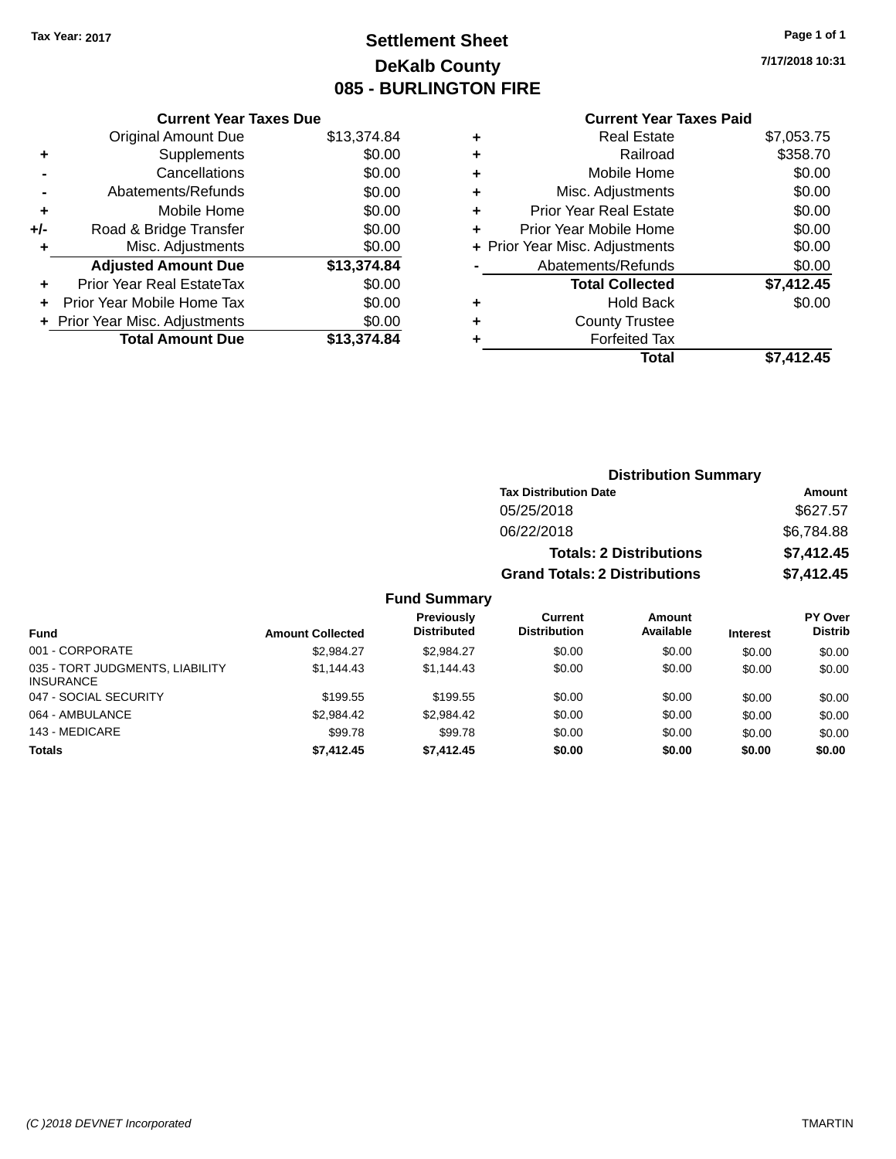# **Settlement Sheet Tax Year: 2017 Page 1 of 1 DeKalb County 085 - BURLINGTON FIRE**

**7/17/2018 10:31**

|       | <b>Current Year Taxes Due</b>  |             |
|-------|--------------------------------|-------------|
|       | <b>Original Amount Due</b>     | \$13,374.84 |
| ٠     | Supplements                    | \$0.00      |
|       | Cancellations                  | \$0.00      |
|       | Abatements/Refunds             | \$0.00      |
| ٠     | Mobile Home                    | \$0.00      |
| $+/-$ | Road & Bridge Transfer         | \$0.00      |
| ٠     | Misc. Adjustments              | \$0.00      |
|       | <b>Adjusted Amount Due</b>     | \$13,374.84 |
| ٠     | Prior Year Real EstateTax      | \$0.00      |
|       | Prior Year Mobile Home Tax     | \$0.00      |
|       | + Prior Year Misc. Adjustments | \$0.00      |
|       | <b>Total Amount Due</b>        | \$13,374.84 |
|       |                                |             |

### **Current Year Taxes Paid**

| ٠ | <b>Real Estate</b>             | \$7,053.75 |
|---|--------------------------------|------------|
| ٠ | Railroad                       | \$358.70   |
| ٠ | Mobile Home                    | \$0.00     |
| ٠ | Misc. Adjustments              | \$0.00     |
| ٠ | <b>Prior Year Real Estate</b>  | \$0.00     |
| ٠ | Prior Year Mobile Home         | \$0.00     |
|   | + Prior Year Misc. Adjustments | \$0.00     |
|   | Abatements/Refunds             | \$0.00     |
|   | <b>Total Collected</b>         | \$7,412.45 |
| ٠ | <b>Hold Back</b>               | \$0.00     |
| ٠ | <b>County Trustee</b>          |            |
|   | <b>Forfeited Tax</b>           |            |
|   | Total                          | \$7,412.45 |
|   |                                |            |

| <b>Distribution Summary</b>          |            |
|--------------------------------------|------------|
| <b>Tax Distribution Date</b>         | Amount     |
| 05/25/2018                           | \$627.57   |
| 06/22/2018                           | \$6,784.88 |
| <b>Totals: 2 Distributions</b>       | \$7,412.45 |
| <b>Grand Totals: 2 Distributions</b> | \$7,412.45 |

| <b>Fund</b>                                         | <b>Amount Collected</b> | Previously<br><b>Distributed</b> | Current<br><b>Distribution</b> | Amount<br>Available | <b>Interest</b> | PY Over<br><b>Distrib</b> |
|-----------------------------------------------------|-------------------------|----------------------------------|--------------------------------|---------------------|-----------------|---------------------------|
| 001 - CORPORATE                                     | \$2.984.27              | \$2.984.27                       | \$0.00                         | \$0.00              | \$0.00          | \$0.00                    |
| 035 - TORT JUDGMENTS, LIABILITY<br><b>INSURANCE</b> | \$1.144.43              | \$1.144.43                       | \$0.00                         | \$0.00              | \$0.00          | \$0.00                    |
| 047 - SOCIAL SECURITY                               | \$199.55                | \$199.55                         | \$0.00                         | \$0.00              | \$0.00          | \$0.00                    |
| 064 - AMBULANCE                                     | \$2.984.42              | \$2,984.42                       | \$0.00                         | \$0.00              | \$0.00          | \$0.00                    |
| 143 - MEDICARE                                      | \$99.78                 | \$99.78                          | \$0.00                         | \$0.00              | \$0.00          | \$0.00                    |
| <b>Totals</b>                                       | \$7,412.45              | \$7.412.45                       | \$0.00                         | \$0.00              | \$0.00          | \$0.00                    |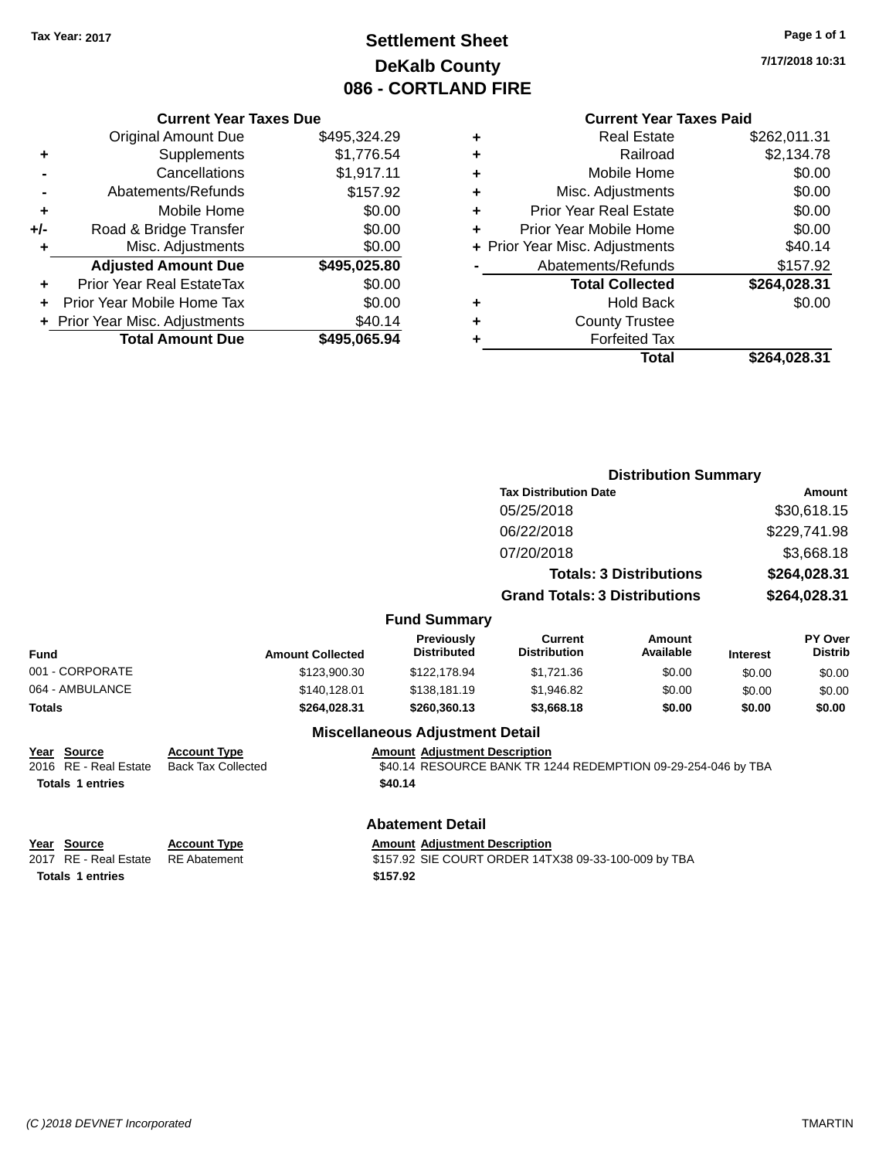# **Settlement Sheet Tax Year: 2017 Page 1 of 1 DeKalb County 086 - CORTLAND FIRE**

**7/17/2018 10:31**

#### **Current Year Taxes Paid**

|     | <b>Current Year Taxes Due</b>  |              |
|-----|--------------------------------|--------------|
|     | <b>Original Amount Due</b>     | \$495,324.29 |
| ٠   | Supplements                    | \$1,776.54   |
|     | Cancellations                  | \$1,917.11   |
|     | Abatements/Refunds             | \$157.92     |
| ٠   | Mobile Home                    | \$0.00       |
| +/- | Road & Bridge Transfer         | \$0.00       |
| ٠   | Misc. Adjustments              | \$0.00       |
|     | <b>Adjusted Amount Due</b>     | \$495,025.80 |
| ٠   | Prior Year Real EstateTax      | \$0.00       |
| ÷   | Prior Year Mobile Home Tax     | \$0.00       |
|     | + Prior Year Misc. Adjustments | \$40.14      |
|     | <b>Total Amount Due</b>        | \$495,065.94 |
|     |                                |              |

| ٠ | <b>Real Estate</b>             | \$262,011.31 |
|---|--------------------------------|--------------|
| ٠ | Railroad                       | \$2,134.78   |
| ٠ | Mobile Home                    | \$0.00       |
| ٠ | Misc. Adjustments              | \$0.00       |
| ٠ | <b>Prior Year Real Estate</b>  | \$0.00       |
| ٠ | Prior Year Mobile Home         | \$0.00       |
|   | + Prior Year Misc. Adjustments | \$40.14      |
|   | Abatements/Refunds             | \$157.92     |
|   | <b>Total Collected</b>         | \$264,028.31 |
| ٠ | Hold Back                      | \$0.00       |
| ٠ | <b>County Trustee</b>          |              |
| ٠ | <b>Forfeited Tax</b>           |              |
|   | Total                          | \$264,028.31 |
|   |                                |              |

|                           |                                  | <b>Tax Distribution Date</b><br>05/25/2018 |                                                                                                       |                                                                        | <b>Amount</b>                                                 |
|---------------------------|----------------------------------|--------------------------------------------|-------------------------------------------------------------------------------------------------------|------------------------------------------------------------------------|---------------------------------------------------------------|
|                           |                                  |                                            |                                                                                                       |                                                                        |                                                               |
|                           |                                  |                                            |                                                                                                       |                                                                        | \$30,618.15                                                   |
|                           |                                  | 06/22/2018                                 |                                                                                                       |                                                                        | \$229,741.98                                                  |
|                           |                                  | 07/20/2018                                 |                                                                                                       |                                                                        | \$3,668.18                                                    |
|                           |                                  |                                            |                                                                                                       |                                                                        | \$264,028.31                                                  |
|                           |                                  |                                            |                                                                                                       |                                                                        | \$264,028.31                                                  |
|                           |                                  |                                            |                                                                                                       |                                                                        |                                                               |
| <b>Amount Collected</b>   | Previously<br><b>Distributed</b> | <b>Current</b><br><b>Distribution</b>      | Amount<br>Available                                                                                   | <b>Interest</b>                                                        | PY Over<br><b>Distrib</b>                                     |
| \$123,900.30              | \$122,178.94                     | \$1,721.36                                 | \$0.00                                                                                                | \$0.00                                                                 | \$0.00                                                        |
| \$140,128.01              | \$138,181.19                     | \$1,946.82                                 | \$0.00                                                                                                | \$0.00                                                                 | \$0.00                                                        |
| \$264,028.31              | \$260,360.13                     | \$3,668.18                                 | \$0.00                                                                                                | \$0.00                                                                 | \$0.00                                                        |
|                           |                                  |                                            |                                                                                                       |                                                                        |                                                               |
| <b>Back Tax Collected</b> |                                  |                                            |                                                                                                       |                                                                        |                                                               |
|                           |                                  | \$40.14                                    | <b>Fund Summary</b><br><b>Miscellaneous Adjustment Detail</b><br><b>Amount Adjustment Description</b> | <b>Totals: 3 Distributions</b><br><b>Grand Totals: 3 Distributions</b> | \$40.14 RESOURCE BANK TR 1244 REDEMPTION 09-29-254-046 by TBA |

**Totals 1 entries 1 and 1 and 1 and 1 and 1 and 1 and 1 and 1 and 1 and 1 and 1 and 1 and 1 and 1 and 1 and 1 and 1 and 1 and 1 and 1 and 1 and 1 and 1 and 1 and 1 and 1 and 1 and 1 and 1 and 1 and 1 and 1 and 1 and 1 an** 

**Account Type Amount Adjustment Description** 2017 RE - Real Estate RE Abatement \$157.92 SIE COURT ORDER 14TX38 09-33-100-009 by TBA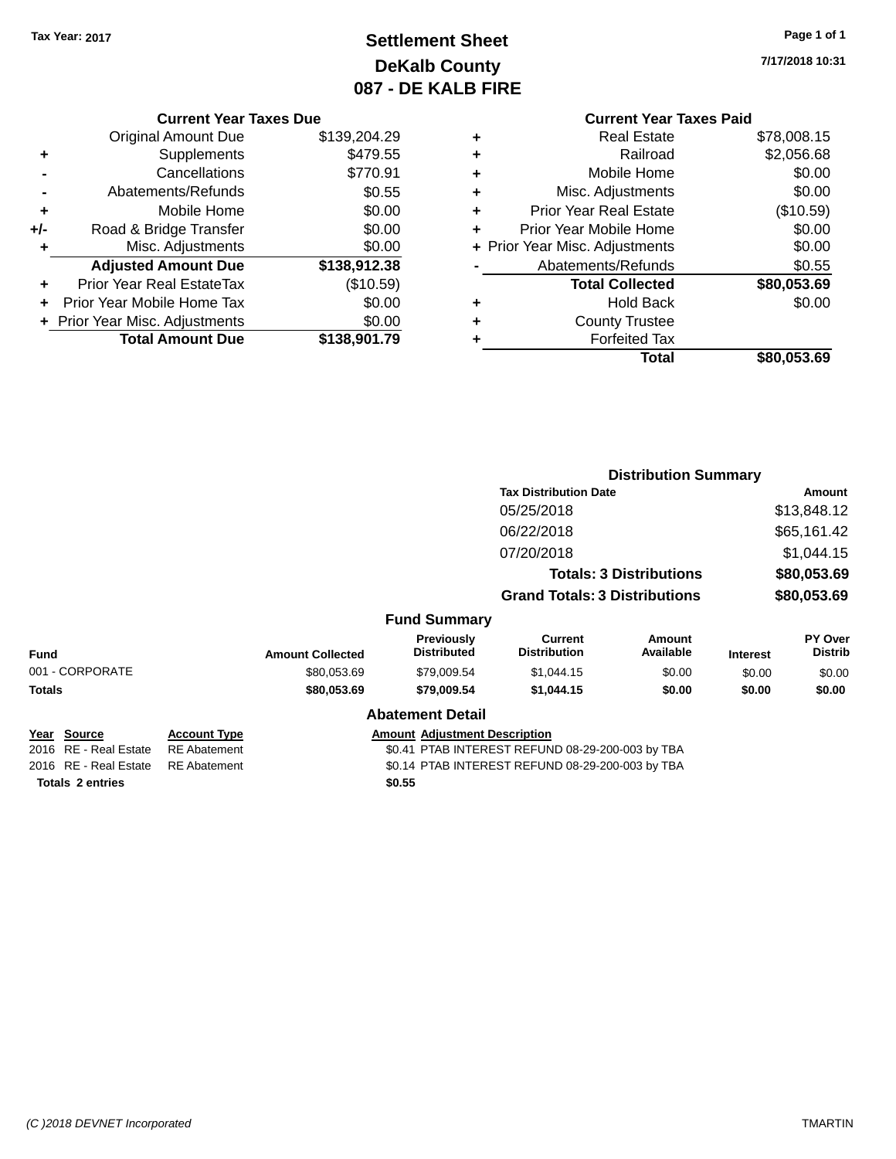# **Settlement Sheet Tax Year: 2017 Page 1 of 1 DeKalb County 087 - DE KALB FIRE**

**7/17/2018 10:31**

# **Current Year Taxes Paid**

|       | <b>Current Year Taxes Due</b>  |              |
|-------|--------------------------------|--------------|
|       | <b>Original Amount Due</b>     | \$139,204.29 |
| ٠     | Supplements                    | \$479.55     |
|       | Cancellations                  | \$770.91     |
|       | Abatements/Refunds             | \$0.55       |
| ٠     | Mobile Home                    | \$0.00       |
| $+/-$ | Road & Bridge Transfer         | \$0.00       |
| ٠     | Misc. Adjustments              | \$0.00       |
|       | <b>Adjusted Amount Due</b>     | \$138,912.38 |
| ٠     | Prior Year Real EstateTax      | (\$10.59)    |
|       | Prior Year Mobile Home Tax     | \$0.00       |
|       | + Prior Year Misc. Adjustments | \$0.00       |
|       | <b>Total Amount Due</b>        | \$138,901.79 |
|       |                                |              |

| ٠ | <b>Real Estate</b>             | \$78,008.15 |
|---|--------------------------------|-------------|
| ٠ | Railroad                       | \$2,056.68  |
| ٠ | Mobile Home                    | \$0.00      |
| ٠ | Misc. Adjustments              | \$0.00      |
| ٠ | <b>Prior Year Real Estate</b>  | (\$10.59)   |
| ٠ | Prior Year Mobile Home         | \$0.00      |
|   | + Prior Year Misc. Adjustments | \$0.00      |
|   | Abatements/Refunds             | \$0.55      |
|   | <b>Total Collected</b>         | \$80,053.69 |
| ٠ | <b>Hold Back</b>               | \$0.00      |
| ٠ | <b>County Trustee</b>          |             |
| ٠ | <b>Forfeited Tax</b>           |             |
|   | Total                          | \$80,053.69 |
|   |                                |             |

|                                      |                                            |                                                  |                                      | <b>Distribution Summary</b>                      |                                |                 |                           |
|--------------------------------------|--------------------------------------------|--------------------------------------------------|--------------------------------------|--------------------------------------------------|--------------------------------|-----------------|---------------------------|
|                                      |                                            |                                                  |                                      | <b>Tax Distribution Date</b>                     |                                |                 | <b>Amount</b>             |
|                                      |                                            |                                                  |                                      | 05/25/2018                                       |                                |                 | \$13,848.12               |
|                                      |                                            |                                                  |                                      | 06/22/2018                                       |                                |                 | \$65,161.42               |
|                                      |                                            |                                                  |                                      | 07/20/2018                                       |                                |                 | \$1,044.15                |
|                                      |                                            |                                                  |                                      |                                                  | <b>Totals: 3 Distributions</b> |                 | \$80,053.69               |
|                                      |                                            |                                                  |                                      | <b>Grand Totals: 3 Distributions</b>             |                                |                 | \$80,053.69               |
|                                      |                                            |                                                  | <b>Fund Summary</b>                  |                                                  |                                |                 |                           |
| <b>Fund</b>                          |                                            | <b>Amount Collected</b>                          | Previously<br><b>Distributed</b>     | <b>Current</b><br><b>Distribution</b>            | Amount<br>Available            | <b>Interest</b> | PY Over<br><b>Distrib</b> |
| 001 - CORPORATE                      |                                            | \$80,053.69                                      | \$79,009.54                          | \$1,044.15                                       | \$0.00                         | \$0.00          | \$0.00                    |
| <b>Totals</b>                        |                                            | \$80,053.69                                      | \$79,009.54                          | \$1,044.15                                       | \$0.00                         | \$0.00          | \$0.00                    |
|                                      |                                            |                                                  | <b>Abatement Detail</b>              |                                                  |                                |                 |                           |
| Year Source<br>2016 RE - Real Estate | <b>Account Type</b><br><b>RE</b> Abatement |                                                  | <b>Amount Adjustment Description</b> | \$0.41 PTAB INTEREST REFUND 08-29-200-003 by TBA |                                |                 |                           |
| 2016 RE - Real Estate                | <b>RE</b> Abatement                        | \$0.14 PTAB INTEREST REFUND 08-29-200-003 by TBA |                                      |                                                  |                                |                 |                           |
| <b>Totals 2 entries</b>              |                                            |                                                  | \$0.55                               |                                                  |                                |                 |                           |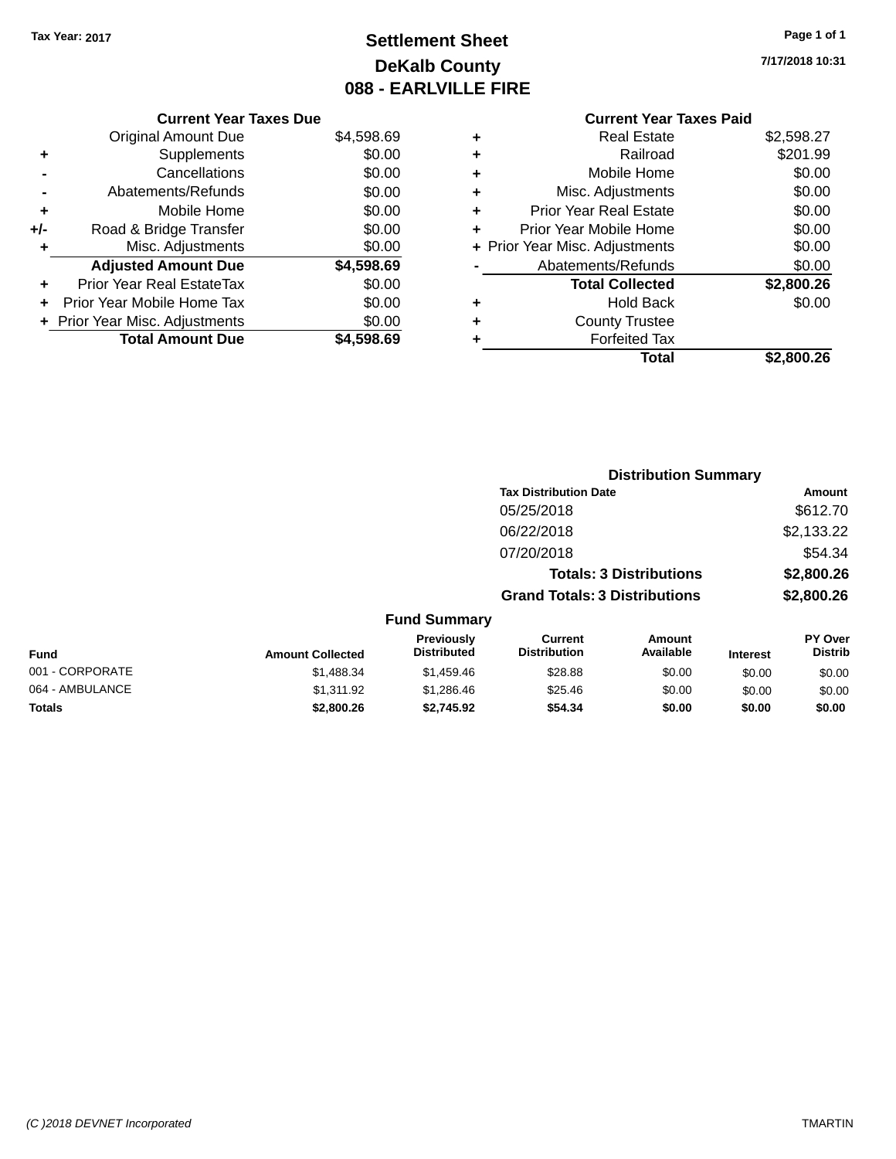# **Settlement Sheet Tax Year: 2017 Page 1 of 1 DeKalb County 088 - EARLVILLE FIRE**

**7/17/2018 10:31**

### **Current Year Taxes Due**

|       | <b>Original Amount Due</b>     | \$4,598.69 |
|-------|--------------------------------|------------|
| ٠     | Supplements                    | \$0.00     |
|       | Cancellations                  | \$0.00     |
|       | Abatements/Refunds             | \$0.00     |
| ÷     | Mobile Home                    | \$0.00     |
| $+/-$ | Road & Bridge Transfer         | \$0.00     |
| ٠     | Misc. Adjustments              | \$0.00     |
|       | <b>Adjusted Amount Due</b>     | \$4,598.69 |
|       | Prior Year Real EstateTax      | \$0.00     |
|       | Prior Year Mobile Home Tax     | \$0.00     |
|       | + Prior Year Misc. Adjustments | \$0.00     |
|       | <b>Total Amount Due</b>        | \$4.598.69 |

### **Current Year Taxes Paid +** Real Estate \$2,598.27

|   | Railroad                       | \$201.99   |
|---|--------------------------------|------------|
| ÷ | Mobile Home                    | \$0.00     |
| ٠ | Misc. Adjustments              | \$0.00     |
| ٠ | <b>Prior Year Real Estate</b>  | \$0.00     |
|   | Prior Year Mobile Home         | \$0.00     |
|   | + Prior Year Misc. Adjustments | \$0.00     |
|   | Abatements/Refunds             | \$0.00     |
|   | <b>Total Collected</b>         | \$2,800.26 |
| ٠ | <b>Hold Back</b>               | \$0.00     |
|   | <b>County Trustee</b>          |            |
|   | <b>Forfeited Tax</b>           |            |
|   | Total                          | \$2,800.26 |
|   |                                |            |

|                     | <b>Distribution Summary</b>          |            |
|---------------------|--------------------------------------|------------|
|                     | <b>Tax Distribution Date</b>         | Amount     |
|                     | 05/25/2018                           | \$612.70   |
|                     | 06/22/2018                           | \$2,133.22 |
|                     | 07/20/2018                           | \$54.34    |
|                     | <b>Totals: 3 Distributions</b>       | \$2,800.26 |
|                     | <b>Grand Totals: 3 Distributions</b> | \$2,800.26 |
| <b>Fund Summary</b> |                                      |            |

| <b>Fund</b>     | <b>Amount Collected</b> | <b>Previously</b><br><b>Distributed</b> | Current<br><b>Distribution</b> | Amount<br>Available | <b>Interest</b> | <b>PY Over</b><br><b>Distrib</b> |
|-----------------|-------------------------|-----------------------------------------|--------------------------------|---------------------|-----------------|----------------------------------|
| 001 - CORPORATE | \$1,488.34              | \$1,459.46                              | \$28.88                        | \$0.00              | \$0.00          | \$0.00                           |
| 064 - AMBULANCE | \$1.311.92              | \$1,286.46                              | \$25.46                        | \$0.00              | \$0.00          | \$0.00                           |
| Totals          | \$2,800.26              | \$2.745.92                              | \$54.34                        | \$0.00              | \$0.00          | \$0.00                           |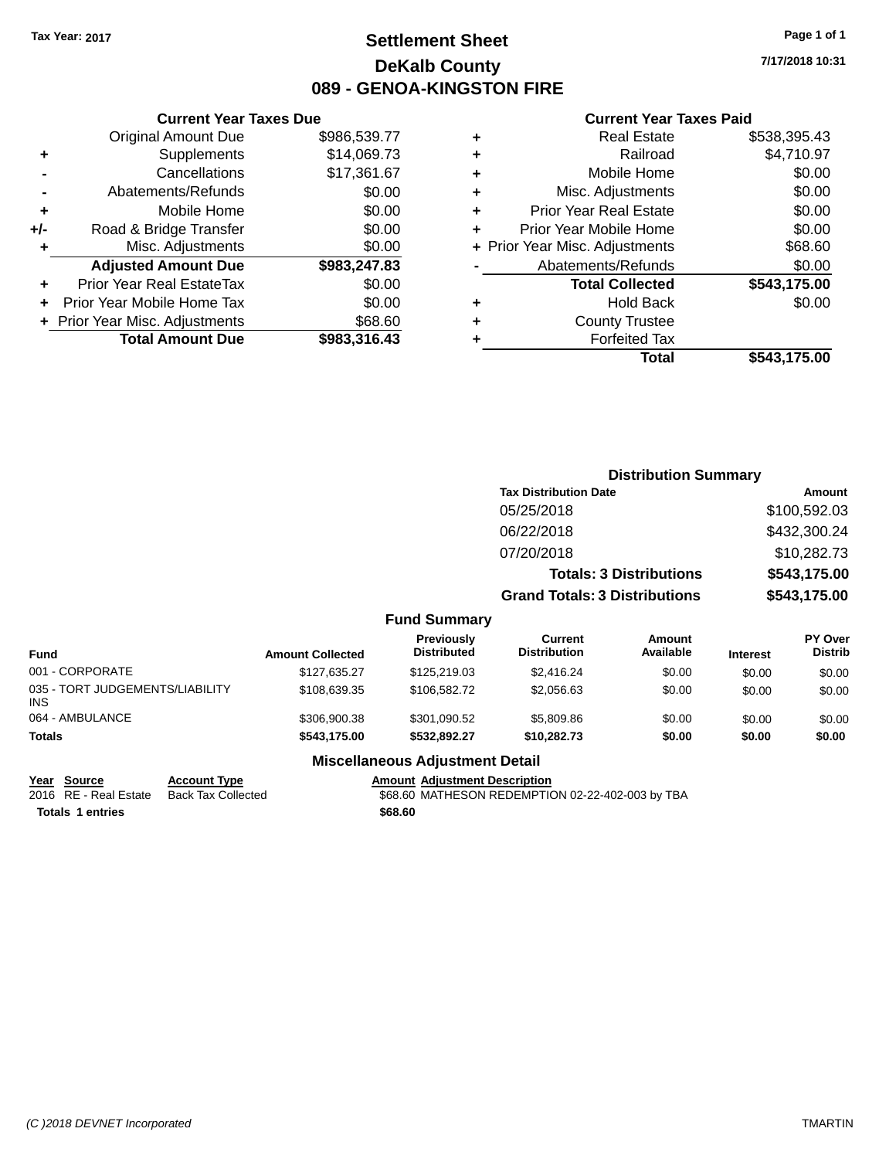### **Settlement Sheet Tax Year: 2017 Page 1 of 1 DeKalb County 089 - GENOA-KINGSTON FIRE**

**7/17/2018 10:31**

#### **Current Year Taxes Paid**

|     | <b>Current Year Taxes Due</b>  |              |  |  |  |  |  |
|-----|--------------------------------|--------------|--|--|--|--|--|
|     | <b>Original Amount Due</b>     | \$986,539.77 |  |  |  |  |  |
| ٠   | Supplements                    | \$14,069.73  |  |  |  |  |  |
|     | Cancellations                  | \$17,361.67  |  |  |  |  |  |
|     | Abatements/Refunds             | \$0.00       |  |  |  |  |  |
| ٠   | Mobile Home                    | \$0.00       |  |  |  |  |  |
| +/- | Road & Bridge Transfer         | \$0.00       |  |  |  |  |  |
| ٠   | Misc. Adjustments              | \$0.00       |  |  |  |  |  |
|     | <b>Adjusted Amount Due</b>     | \$983,247.83 |  |  |  |  |  |
| ٠   | Prior Year Real EstateTax      | \$0.00       |  |  |  |  |  |
| ÷   | Prior Year Mobile Home Tax     | \$0.00       |  |  |  |  |  |
|     | + Prior Year Misc. Adjustments | \$68.60      |  |  |  |  |  |
|     | <b>Total Amount Due</b>        | \$983.316.43 |  |  |  |  |  |
|     |                                |              |  |  |  |  |  |

| ٠ | <b>Real Estate</b>             | \$538,395.43 |
|---|--------------------------------|--------------|
| ٠ | Railroad                       | \$4,710.97   |
| ٠ | Mobile Home                    | \$0.00       |
| ٠ | Misc. Adjustments              | \$0.00       |
| ٠ | <b>Prior Year Real Estate</b>  | \$0.00       |
| ٠ | Prior Year Mobile Home         | \$0.00       |
|   | + Prior Year Misc. Adjustments | \$68.60      |
|   | Abatements/Refunds             | \$0.00       |
|   | <b>Total Collected</b>         | \$543,175.00 |
| ٠ | Hold Back                      | \$0.00       |
| ٠ | <b>County Trustee</b>          |              |
| ٠ | <b>Forfeited Tax</b>           |              |
|   | Total                          | \$543,175.00 |
|   |                                |              |

|                                         |                         |                                  |                                      | <b>Distribution Summary</b>    |                 |                           |
|-----------------------------------------|-------------------------|----------------------------------|--------------------------------------|--------------------------------|-----------------|---------------------------|
|                                         |                         |                                  | <b>Tax Distribution Date</b>         |                                |                 | Amount                    |
|                                         |                         |                                  | 05/25/2018                           |                                |                 | \$100,592.03              |
|                                         |                         |                                  | 06/22/2018                           |                                |                 | \$432,300.24              |
|                                         |                         |                                  | 07/20/2018                           |                                |                 | \$10,282.73               |
|                                         |                         |                                  |                                      | <b>Totals: 3 Distributions</b> |                 | \$543,175.00              |
|                                         |                         |                                  | <b>Grand Totals: 3 Distributions</b> |                                |                 | \$543,175.00              |
|                                         |                         | <b>Fund Summary</b>              |                                      |                                |                 |                           |
| <b>Fund</b>                             | <b>Amount Collected</b> | Previously<br><b>Distributed</b> | Current<br><b>Distribution</b>       | Amount<br>Available            | <b>Interest</b> | PY Over<br><b>Distrib</b> |
| 001 - CORPORATE                         | \$127,635.27            | \$125,219.03                     | \$2,416.24                           | \$0.00                         | \$0.00          | \$0.00                    |
| 035 - TORT JUDGEMENTS/LIABILITY<br>INS. | \$108,639.35            | \$106,582.72                     | \$2,056.63                           | \$0.00                         | \$0.00          | \$0.00                    |
| 064 - AMBULANCE                         | \$306,900.38            | \$301,090.52                     | \$5,809.86                           | \$0.00                         | \$0.00          | \$0.00                    |
| Totals                                  | \$543,175.00            | \$532,892.27                     | \$10,282.73                          | \$0.00                         | \$0.00          | \$0.00                    |

#### **Miscellaneous Adjustment Detail**

### **Year** Source **Account Type Account Adjustment Description**

**Totals \$68.60 1 entries**

2016 RE - Real Estate Back Tax Collected **688.60 MATHESON REDEMPTION 02-22-402-003 by TBA**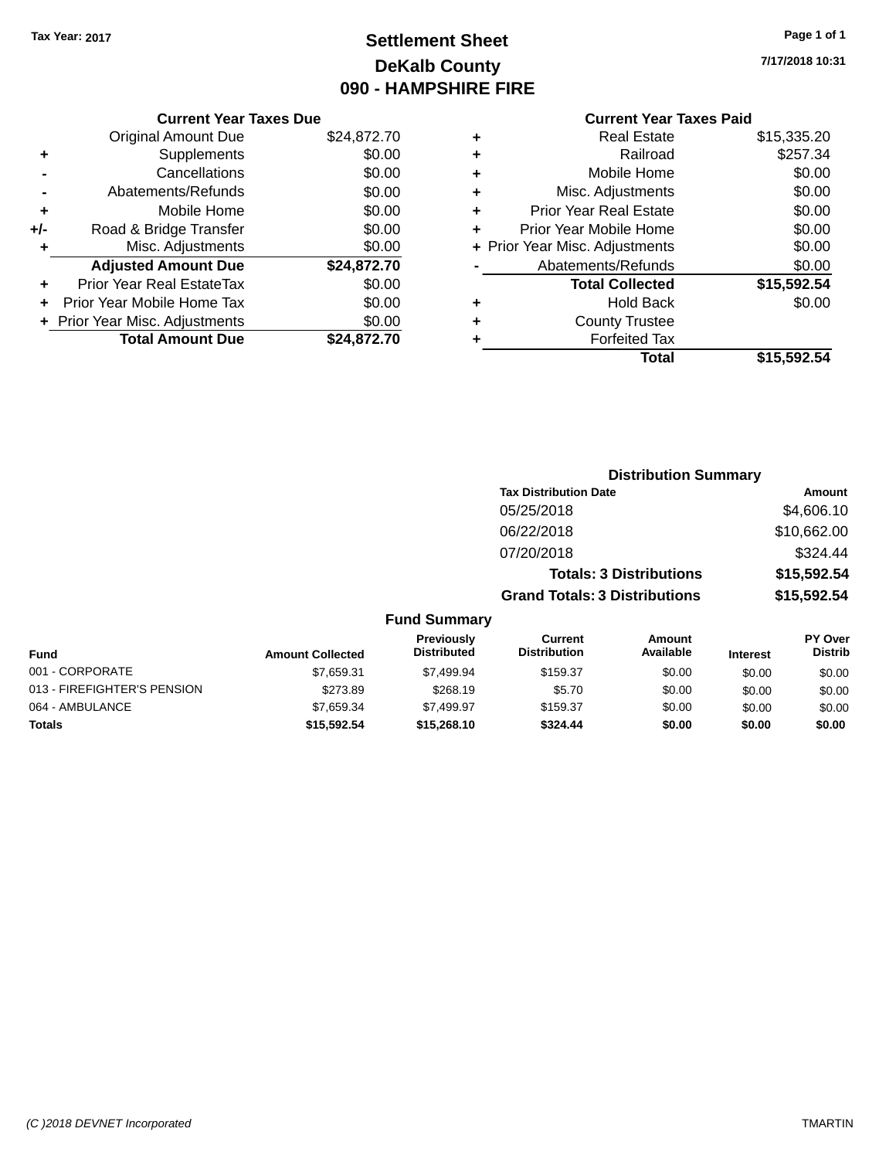# **Settlement Sheet Tax Year: 2017 Page 1 of 1 DeKalb County 090 - HAMPSHIRE FIRE**

**7/17/2018 10:31**

### **Current Year Taxes Paid**

|       | <b>Current Year Taxes Due</b>  |             |
|-------|--------------------------------|-------------|
|       | <b>Original Amount Due</b>     | \$24,872.70 |
| ٠     | Supplements                    | \$0.00      |
|       | Cancellations                  | \$0.00      |
|       | Abatements/Refunds             | \$0.00      |
| ٠     | Mobile Home                    | \$0.00      |
| $+/-$ | Road & Bridge Transfer         | \$0.00      |
| ٠     | Misc. Adjustments              | \$0.00      |
|       | <b>Adjusted Amount Due</b>     | \$24,872.70 |
| ٠     | Prior Year Real EstateTax      | \$0.00      |
|       | Prior Year Mobile Home Tax     | \$0.00      |
|       | + Prior Year Misc. Adjustments | \$0.00      |
|       | <b>Total Amount Due</b>        | \$24,872.70 |
|       |                                |             |

| ٠ | <b>Real Estate</b>             | \$15,335.20 |
|---|--------------------------------|-------------|
| ٠ | Railroad                       | \$257.34    |
| ٠ | Mobile Home                    | \$0.00      |
| ٠ | Misc. Adjustments              | \$0.00      |
| ٠ | <b>Prior Year Real Estate</b>  | \$0.00      |
|   | Prior Year Mobile Home         | \$0.00      |
|   | + Prior Year Misc. Adjustments | \$0.00      |
|   | Abatements/Refunds             | \$0.00      |
|   | <b>Total Collected</b>         | \$15,592.54 |
| ٠ | Hold Back                      | \$0.00      |
| ٠ | <b>County Trustee</b>          |             |
| ٠ | <b>Forfeited Tax</b>           |             |
|   | Total                          | \$15,592.54 |
|   |                                |             |

|                             |                         |                                  | <b>Distribution Summary</b>           |                                |                 |                                  |
|-----------------------------|-------------------------|----------------------------------|---------------------------------------|--------------------------------|-----------------|----------------------------------|
|                             |                         |                                  | <b>Tax Distribution Date</b>          |                                |                 | Amount                           |
|                             |                         |                                  | 05/25/2018                            |                                |                 | \$4,606.10                       |
|                             |                         |                                  | 06/22/2018                            |                                |                 | \$10,662.00                      |
|                             |                         |                                  | 07/20/2018                            |                                |                 | \$324.44                         |
|                             |                         |                                  |                                       | <b>Totals: 3 Distributions</b> |                 | \$15,592.54                      |
|                             |                         |                                  | <b>Grand Totals: 3 Distributions</b>  |                                |                 | \$15,592.54                      |
|                             |                         | <b>Fund Summary</b>              |                                       |                                |                 |                                  |
| <b>Fund</b>                 | <b>Amount Collected</b> | Previously<br><b>Distributed</b> | <b>Current</b><br><b>Distribution</b> | Amount<br>Available            | <b>Interest</b> | <b>PY Over</b><br><b>Distrib</b> |
| 001 - CORPORATE             | \$7,659.31              | \$7,499.94                       | \$159.37                              | \$0.00                         | \$0.00          | \$0.00                           |
| 013 - FIREFIGHTER'S PENSION | \$273.89                | \$268.19                         | \$5.70                                | \$0.00                         | \$0.00          | \$0.00                           |
| 064 - AMBULANCE             | \$7,659.34              | \$7,499.97                       | \$159.37                              | \$0.00                         | \$0.00          | \$0.00                           |
| <b>Totals</b>               | \$15,592.54             | \$15,268.10                      | \$324.44                              | \$0.00                         | \$0.00          | \$0.00                           |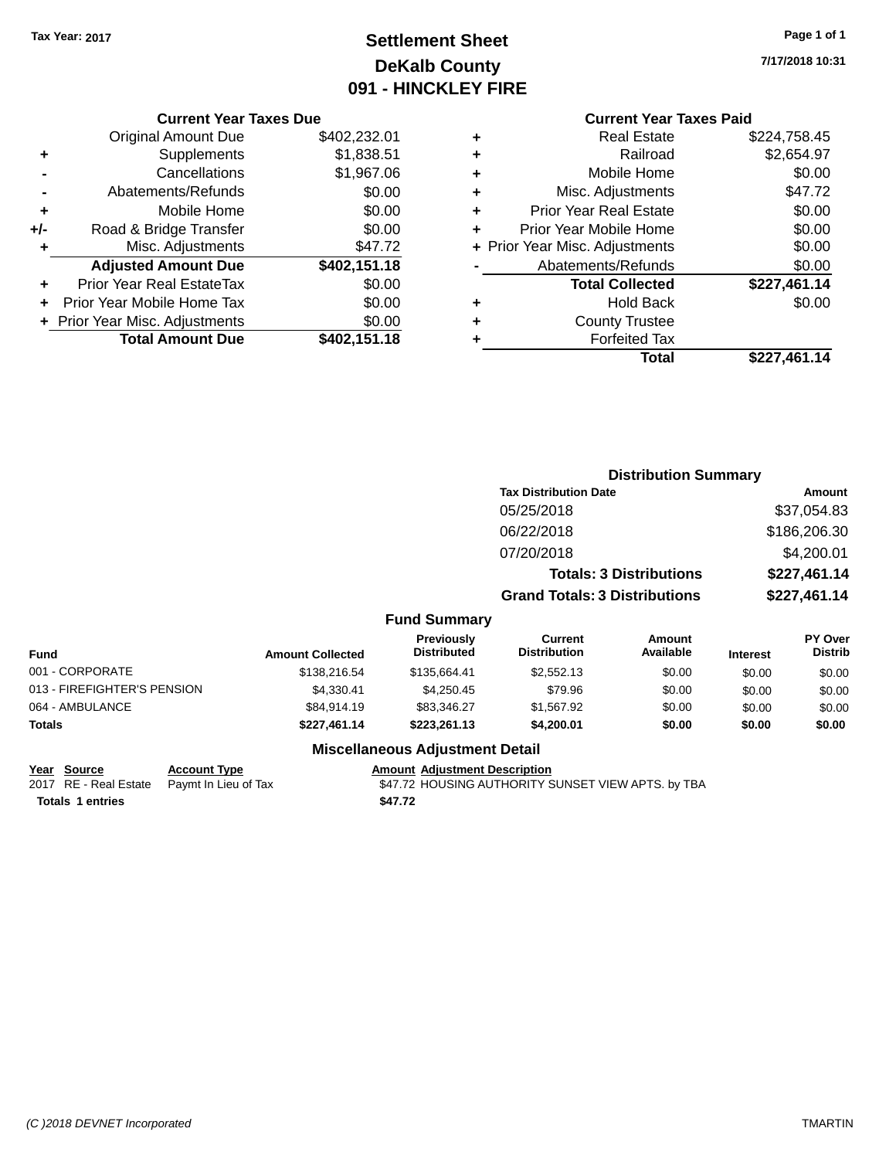# **Settlement Sheet Tax Year: 2017 Page 1 of 1 DeKalb County 091 - HINCKLEY FIRE**

**7/17/2018 10:31**

### **Current Year Taxes Paid**

|     | <b>Current Year Taxes Due</b>  |              |  |  |  |  |  |
|-----|--------------------------------|--------------|--|--|--|--|--|
|     | <b>Original Amount Due</b>     | \$402,232.01 |  |  |  |  |  |
| ٠   | Supplements                    | \$1,838.51   |  |  |  |  |  |
|     | Cancellations                  | \$1,967.06   |  |  |  |  |  |
|     | Abatements/Refunds             | \$0.00       |  |  |  |  |  |
| ٠   | Mobile Home                    | \$0.00       |  |  |  |  |  |
| +/- | Road & Bridge Transfer         | \$0.00       |  |  |  |  |  |
| ٠   | Misc. Adjustments              | \$47.72      |  |  |  |  |  |
|     | <b>Adjusted Amount Due</b>     | \$402,151.18 |  |  |  |  |  |
|     | Prior Year Real EstateTax      | \$0.00       |  |  |  |  |  |
|     | Prior Year Mobile Home Tax     | \$0.00       |  |  |  |  |  |
|     | + Prior Year Misc. Adjustments | \$0.00       |  |  |  |  |  |
|     | <b>Total Amount Due</b>        | \$402,151.18 |  |  |  |  |  |
|     |                                |              |  |  |  |  |  |

|   | <b>Real Estate</b>             | \$224,758.45 |
|---|--------------------------------|--------------|
| ٠ | Railroad                       | \$2,654.97   |
| ٠ | Mobile Home                    | \$0.00       |
| ٠ | Misc. Adjustments              | \$47.72      |
| ٠ | <b>Prior Year Real Estate</b>  | \$0.00       |
| ٠ | Prior Year Mobile Home         | \$0.00       |
|   | + Prior Year Misc. Adjustments | \$0.00       |
|   | Abatements/Refunds             | \$0.00       |
|   | <b>Total Collected</b>         | \$227,461.14 |
| ٠ | Hold Back                      | \$0.00       |
| ٠ | <b>County Trustee</b>          |              |
|   | <b>Forfeited Tax</b>           |              |
|   | Total                          | \$227.461.14 |
|   |                                |              |

|                             |                         |                                         |                                      | <b>Distribution Summary</b>    |                 |                                  |
|-----------------------------|-------------------------|-----------------------------------------|--------------------------------------|--------------------------------|-----------------|----------------------------------|
|                             |                         |                                         | <b>Tax Distribution Date</b>         |                                |                 | Amount                           |
|                             |                         |                                         | 05/25/2018                           |                                |                 | \$37,054.83                      |
|                             |                         |                                         | 06/22/2018                           |                                |                 | \$186,206.30                     |
|                             |                         |                                         | 07/20/2018                           |                                |                 | \$4,200.01                       |
|                             |                         |                                         |                                      | <b>Totals: 3 Distributions</b> |                 | \$227,461.14                     |
|                             |                         |                                         | <b>Grand Totals: 3 Distributions</b> |                                |                 | \$227,461.14                     |
|                             |                         | <b>Fund Summary</b>                     |                                      |                                |                 |                                  |
| <b>Fund</b>                 | <b>Amount Collected</b> | <b>Previously</b><br><b>Distributed</b> | Current<br><b>Distribution</b>       | <b>Amount</b><br>Available     | <b>Interest</b> | <b>PY Over</b><br><b>Distrib</b> |
| 001 - CORPORATE             | \$138,216.54            | \$135,664.41                            | \$2,552.13                           | \$0.00                         | \$0.00          | \$0.00                           |
| 013 - FIREFIGHTER'S PENSION | \$4,330.41              | \$4,250.45                              | \$79.96                              | \$0.00                         | \$0.00          | \$0.00                           |
| 064 - AMBULANCE             | \$84,914.19             | \$83,346.27                             | \$1,567.92                           | \$0.00                         | \$0.00          | \$0.00                           |
| Totals                      | \$227,461.14            | \$223,261.13                            | \$4,200.01                           | \$0.00                         | \$0.00          | \$0.00                           |
|                             |                         | Miccellenceus Adjustment Detail         |                                      |                                |                 |                                  |

### **Miscellaneous Adjustment Detail**

#### **Year Source Account Type Account Adjustment Description**

2017 RE - Real Estate Paymt In Lieu of Tax **120 SAT.72 HOUSING AUTHORITY SUNSET VIEW APTS**. by TBA **Totals \$47.72 1 entries**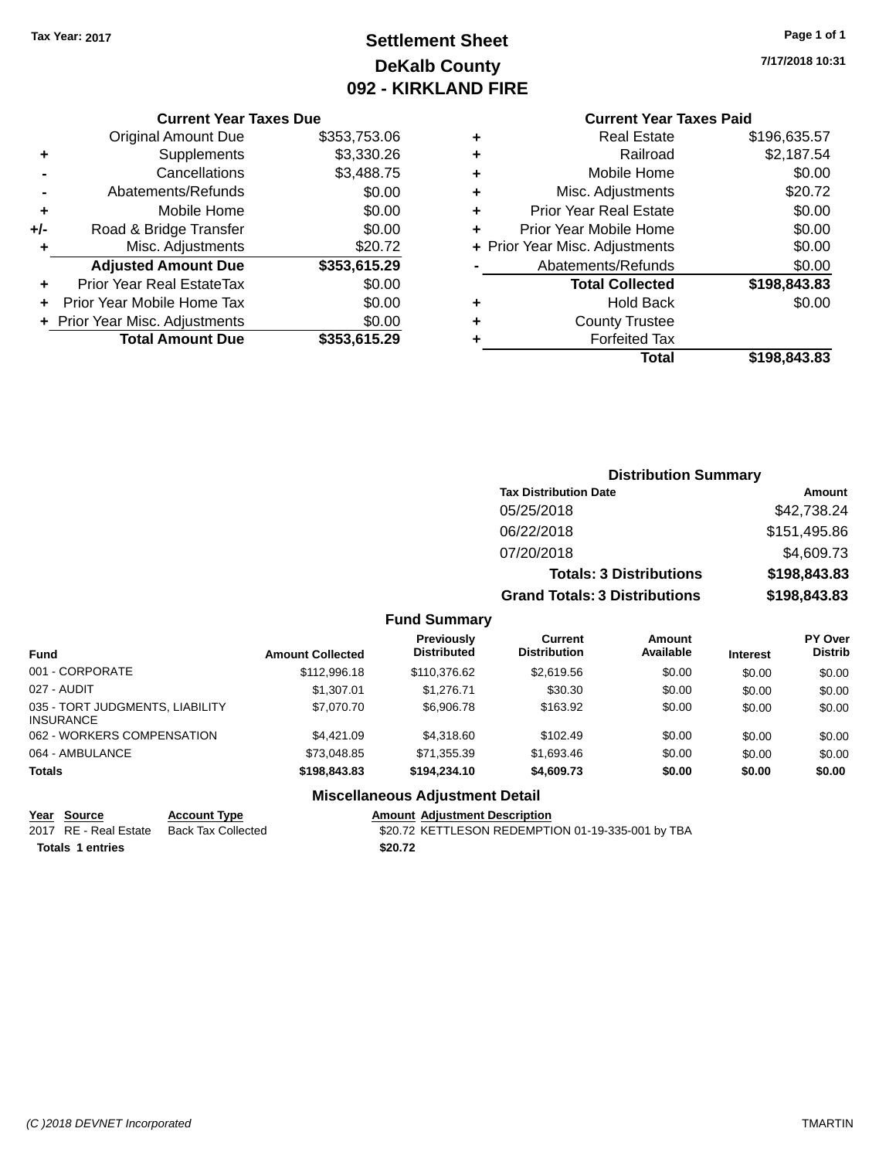# **Settlement Sheet Tax Year: 2017 Page 1 of 1 DeKalb County 092 - KIRKLAND FIRE**

**7/17/2018 10:31**

#### **Current Year Taxes Due**

|       | <b>Original Amount Due</b>     | \$353,753.06 |
|-------|--------------------------------|--------------|
| ٠     | Supplements                    | \$3,330.26   |
|       | Cancellations                  | \$3,488.75   |
|       | Abatements/Refunds             | \$0.00       |
| ٠     | Mobile Home                    | \$0.00       |
| $+/-$ | Road & Bridge Transfer         | \$0.00       |
| ٠     | Misc. Adjustments              | \$20.72      |
|       | <b>Adjusted Amount Due</b>     | \$353,615.29 |
|       | Prior Year Real EstateTax      | \$0.00       |
|       | Prior Year Mobile Home Tax     | \$0.00       |
|       | + Prior Year Misc. Adjustments | \$0.00       |
|       | <b>Total Amount Due</b>        | \$353,615.29 |

# **Current Year Taxes Paid**

| ٠ | <b>Real Estate</b>             | \$196,635.57 |
|---|--------------------------------|--------------|
| ٠ | Railroad                       | \$2,187.54   |
| ٠ | Mobile Home                    | \$0.00       |
| ٠ | Misc. Adjustments              | \$20.72      |
| ٠ | <b>Prior Year Real Estate</b>  | \$0.00       |
| ٠ | Prior Year Mobile Home         | \$0.00       |
|   | + Prior Year Misc. Adjustments | \$0.00       |
|   | Abatements/Refunds             | \$0.00       |
|   | <b>Total Collected</b>         | \$198,843.83 |
| ٠ | <b>Hold Back</b>               | \$0.00       |
| ٠ | <b>County Trustee</b>          |              |
|   | <b>Forfeited Tax</b>           |              |
|   | Total                          | \$198,843.83 |
|   |                                |              |

### **Distribution Summary Tax Distribution Date Amount** 05/25/2018 \$42,738.24 06/22/2018 \$151,495.86 07/20/2018 \$4,609.73 **Totals: 3 Distributions \$198,843.83 Grand Totals: 3 Distributions \$198,843.83**

#### **Fund Summary**

| <b>Fund</b>                                         | <b>Amount Collected</b> | <b>Previously</b><br><b>Distributed</b> | Current<br><b>Distribution</b> | <b>Amount</b><br>Available | <b>Interest</b> | <b>PY Over</b><br><b>Distrib</b> |
|-----------------------------------------------------|-------------------------|-----------------------------------------|--------------------------------|----------------------------|-----------------|----------------------------------|
| 001 - CORPORATE                                     | \$112,996.18            | \$110,376.62                            | \$2,619.56                     | \$0.00                     | \$0.00          | \$0.00                           |
| 027 - AUDIT                                         | \$1,307.01              | \$1,276.71                              | \$30.30                        | \$0.00                     | \$0.00          | \$0.00                           |
| 035 - TORT JUDGMENTS, LIABILITY<br><b>INSURANCE</b> | \$7,070.70              | \$6,906.78                              | \$163.92                       | \$0.00                     | \$0.00          | \$0.00                           |
| 062 - WORKERS COMPENSATION                          | \$4,421.09              | \$4,318,60                              | \$102.49                       | \$0.00                     | \$0.00          | \$0.00                           |
| 064 - AMBULANCE                                     | \$73,048.85             | \$71,355.39                             | \$1,693.46                     | \$0.00                     | \$0.00          | \$0.00                           |
| <b>Totals</b>                                       | \$198,843.83            | \$194,234,10                            | \$4,609.73                     | \$0.00                     | \$0.00          | \$0.00                           |

#### **Miscellaneous Adjustment Detail**

| Year Source             | <b>Account Type</b> | <b>Amount Adiustment Description</b>              |
|-------------------------|---------------------|---------------------------------------------------|
| 2017 RE - Real Estate   | Back Tax Collected  | \$20.72 KETTLESON REDEMPTION 01-19-335-001 by TBA |
| <b>Totals 1 entries</b> |                     | \$20.72                                           |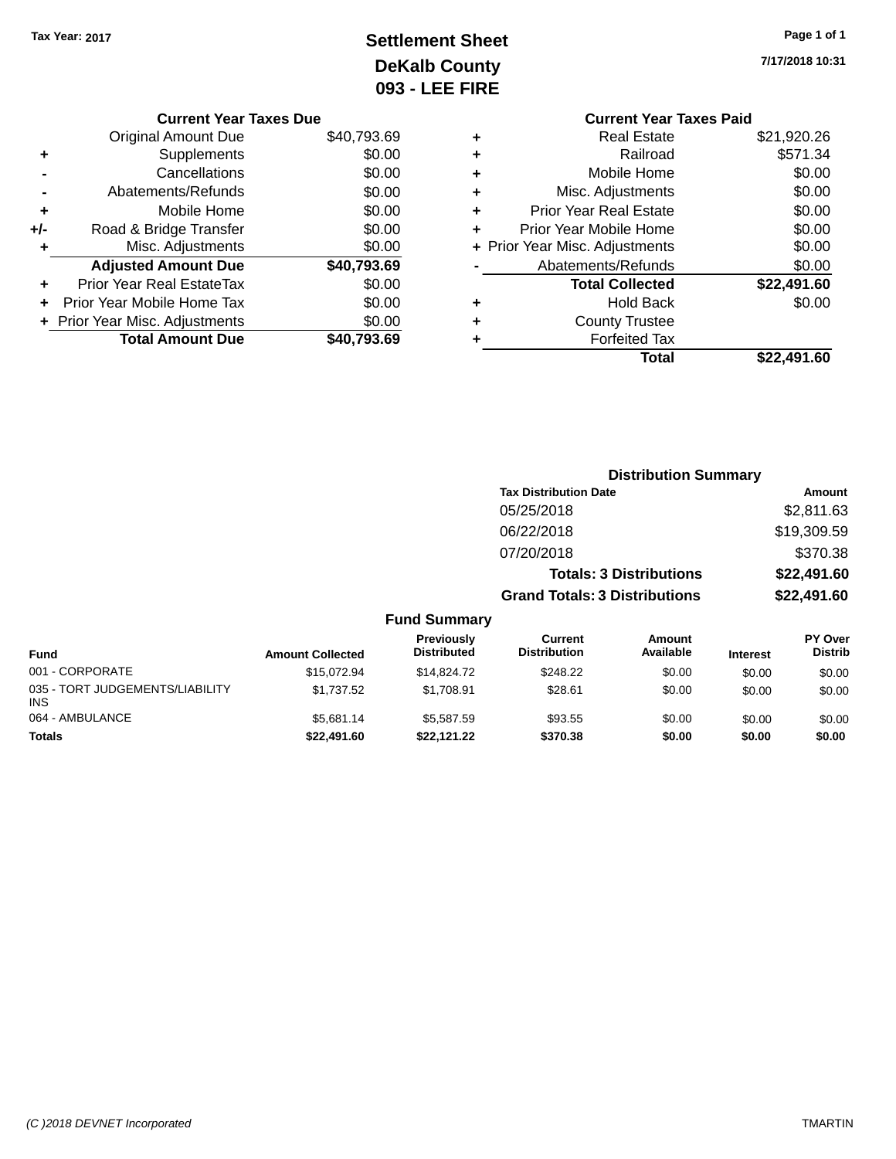# **Settlement Sheet Tax Year: 2017 Page 1 of 1 DeKalb County 093 - LEE FIRE**

**7/17/2018 10:31**

| ㄴㄴ ㅣ !!ヽㄴ |                                |             |
|-----------|--------------------------------|-------------|
|           | <b>Current Year Taxes Paid</b> |             |
| ٠         | <b>Real Estate</b>             | \$21,920.26 |
| ٠         | Railroad                       | \$571.34    |
| ٠         | Mobile Home                    | \$0.00      |
| ٠         | Misc. Adjustments              | \$0.00      |
| ٠         | <b>Prior Year Real Estate</b>  | \$0.00      |
| ÷         | Prior Year Mobile Home         | \$0.00      |
|           | + Prior Year Misc. Adjustments | \$0.00      |
|           |                                |             |

|   | Prior Year Mobile Home         | \$0.00      |
|---|--------------------------------|-------------|
|   | + Prior Year Misc. Adjustments | \$0.00      |
|   | Abatements/Refunds             | \$0.00      |
|   | <b>Total Collected</b>         | \$22,491.60 |
| ٠ | Hold Back                      | \$0.00      |
| ٠ | <b>County Trustee</b>          |             |
| + | <b>Forfeited Tax</b>           |             |
|   | Total                          | \$22,491.60 |

|     | <b>Current Year Taxes Due</b>    |             |
|-----|----------------------------------|-------------|
|     | <b>Original Amount Due</b>       | \$40,793.69 |
| ٠   | Supplements                      | \$0.00      |
|     | Cancellations                    | \$0.00      |
|     | Abatements/Refunds               | \$0.00      |
| ٠   | Mobile Home                      | \$0.00      |
| +/- | Road & Bridge Transfer           | \$0.00      |
| ٠   | Misc. Adjustments                | \$0.00      |
|     | <b>Adjusted Amount Due</b>       | \$40,793.69 |
|     | <b>Prior Year Real EstateTax</b> | \$0.00      |
|     | Prior Year Mobile Home Tax       | \$0.00      |
|     | + Prior Year Misc. Adjustments   | \$0.00      |
|     | <b>Total Amount Due</b>          | \$40,793.69 |

|                     |                                      | <b>Distribution Summary</b>    |                |
|---------------------|--------------------------------------|--------------------------------|----------------|
|                     | <b>Tax Distribution Date</b>         |                                | Amount         |
|                     | 05/25/2018                           |                                | \$2,811.63     |
|                     | 06/22/2018                           |                                | \$19,309.59    |
|                     | 07/20/2018                           |                                | \$370.38       |
|                     |                                      | <b>Totals: 3 Distributions</b> | \$22,491.60    |
|                     | <b>Grand Totals: 3 Distributions</b> |                                | \$22,491.60    |
| <b>Fund Summary</b> |                                      |                                |                |
| Previously          | Current                              | Amount                         | <b>PY Over</b> |

| <b>Fund</b>                            | <b>Amount Collected</b> | <b>Previously</b><br><b>Distributed</b> | Current<br><b>Distribution</b> | Amount<br>Available | <b>Interest</b> | <b>PY Over</b><br><b>Distrib</b> |
|----------------------------------------|-------------------------|-----------------------------------------|--------------------------------|---------------------|-----------------|----------------------------------|
| 001 - CORPORATE                        | \$15,072.94             | \$14,824,72                             | \$248.22                       | \$0.00              | \$0.00          | \$0.00                           |
| 035 - TORT JUDGEMENTS/LIABILITY<br>INS | \$1.737.52              | \$1.708.91                              | \$28.61                        | \$0.00              | \$0.00          | \$0.00                           |
| 064 - AMBULANCE                        | \$5.681.14              | \$5,587.59                              | \$93.55                        | \$0.00              | \$0.00          | \$0.00                           |
| Totals                                 | \$22,491.60             | \$22,121,22                             | \$370.38                       | \$0.00              | \$0.00          | \$0.00                           |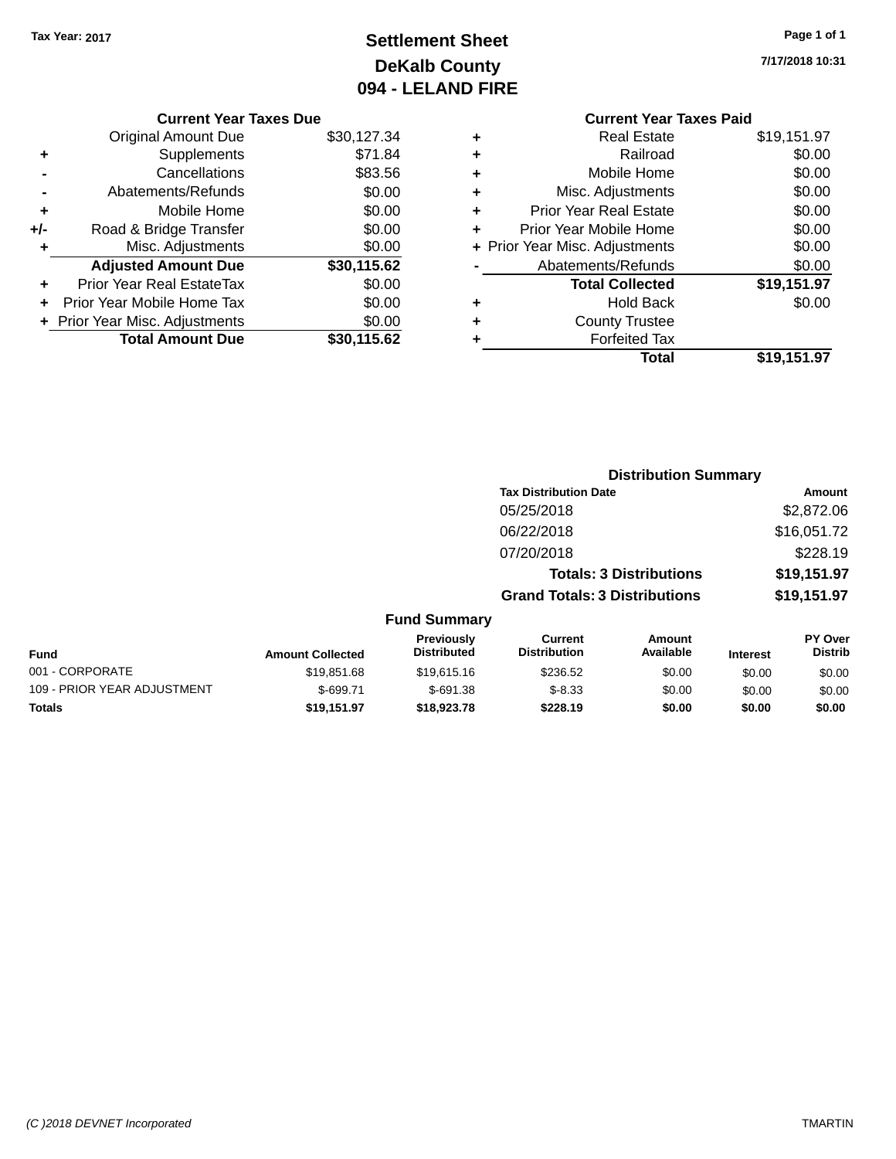# **Settlement Sheet Tax Year: 2017 Page 1 of 1 DeKalb County 094 - LELAND FIRE**

**7/17/2018 10:31**

|     | <b>Current Year Taxes Due</b>  |             |
|-----|--------------------------------|-------------|
|     | Original Amount Due            | \$30,127.34 |
| ٠   | Supplements                    | \$71.84     |
|     | Cancellations                  | \$83.56     |
|     | Abatements/Refunds             | \$0.00      |
| ٠   | Mobile Home                    | \$0.00      |
| +/- | Road & Bridge Transfer         | \$0.00      |
| ٠   | Misc. Adjustments              | \$0.00      |
|     | <b>Adjusted Amount Due</b>     | \$30,115.62 |
| ÷   | Prior Year Real EstateTax      | \$0.00      |
|     | Prior Year Mobile Home Tax     | \$0.00      |
|     | + Prior Year Misc. Adjustments | \$0.00      |
|     | <b>Total Amount Due</b>        | \$30,115.62 |
|     |                                |             |

### **Current Year Taxes Paid +** Real Estate \$19,151.97 **+** Railroad \$0.00 **+** Mobile Home \$0.00 **+** Misc. Adjustments \$0.00 **+** Prior Year Real Estate \$0.00 **+** Prior Year Mobile Home \$0.00 **+ Prior Year Misc. Adjustments**  $$0.00$ Abatements/Refunds \$0.00 **Total Collected \$19,151.97 +** Hold Back \$0.00 **+** County Trustee **+** Forfeited Tax **Total \$19,151.97**

**Distribution Summary Tax Distribution Date Amount** 

05/25/2018 \$2,872.06 06/22/2018 \$16,051.72 07/20/2018 \$228.19 **Totals: 3 Distributions \$19,151.97 Grand Totals: 3 Distributions \$19,151.97 Fund Summary Fund Interest Amount Collected Distributed PY Over Distrib Amount Available Current Distribution Previously** 001 - CORPORATE \$19,851.68 \$19,615.16 \$236.52 \$0.00 \$0.00 \$0.00 109 - PRIOR YEAR ADJUSTMENT  $$-699.71$   $$-691.38$   $$-8.33$   $$0.00$   $$0.00$   $$0.00$ **Totals \$19,151.97 \$18,923.78 \$228.19 \$0.00 \$0.00 \$0.00**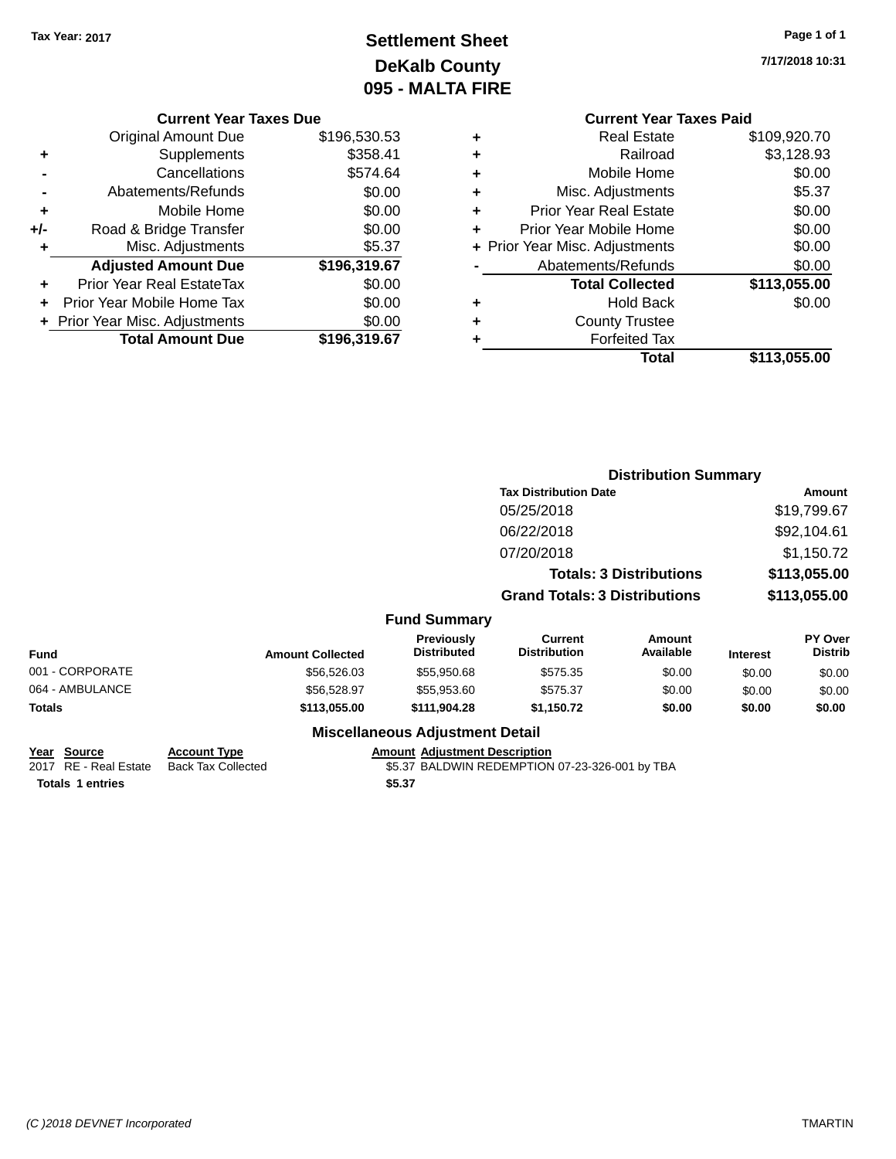# **Settlement Sheet Tax Year: 2017 Page 1 of 1 DeKalb County 095 - MALTA FIRE**

**7/17/2018 10:31**

### **Current Year Taxes Due**

|     | <b>Original Amount Due</b>     | \$196,530.53 |
|-----|--------------------------------|--------------|
| ٠   | Supplements                    | \$358.41     |
|     | Cancellations                  | \$574.64     |
|     | Abatements/Refunds             | \$0.00       |
| ٠   | Mobile Home                    | \$0.00       |
| +/- | Road & Bridge Transfer         | \$0.00       |
| ٠   | Misc. Adjustments              | \$5.37       |
|     | <b>Adjusted Amount Due</b>     | \$196,319.67 |
| ٠   | Prior Year Real EstateTax      | \$0.00       |
|     | Prior Year Mobile Home Tax     | \$0.00       |
|     | + Prior Year Misc. Adjustments | \$0.00       |
|     | <b>Total Amount Due</b>        | \$196,319.67 |

### **Current Year Taxes Paid +** Real Estate \$109,920.70 **+** Railroad \$3,128.93

|   | Mobile Home                    | \$0.00       |
|---|--------------------------------|--------------|
| ٠ | Misc. Adjustments              | \$5.37       |
| ٠ | <b>Prior Year Real Estate</b>  | \$0.00       |
|   | Prior Year Mobile Home         | \$0.00       |
|   | + Prior Year Misc. Adjustments | \$0.00       |
|   | Abatements/Refunds             | \$0.00       |
|   | <b>Total Collected</b>         | \$113,055.00 |
|   | <b>Hold Back</b>               | \$0.00       |
| ٠ | <b>County Trustee</b>          |              |
|   | <b>Forfeited Tax</b>           |              |
|   | Total                          | \$113,055.00 |

|                 | <b>Distribution Summary</b> |                                  |                                       |                                |                 |                           |
|-----------------|-----------------------------|----------------------------------|---------------------------------------|--------------------------------|-----------------|---------------------------|
|                 |                             |                                  | <b>Tax Distribution Date</b>          |                                |                 | Amount                    |
|                 |                             |                                  | 05/25/2018                            |                                |                 | \$19,799.67               |
|                 |                             |                                  | 06/22/2018                            |                                |                 | \$92,104.61               |
|                 |                             |                                  | 07/20/2018                            |                                |                 | \$1,150.72                |
|                 |                             |                                  |                                       | <b>Totals: 3 Distributions</b> |                 | \$113,055.00              |
|                 |                             |                                  | <b>Grand Totals: 3 Distributions</b>  |                                |                 | \$113,055.00              |
|                 |                             | <b>Fund Summary</b>              |                                       |                                |                 |                           |
| <b>Fund</b>     | <b>Amount Collected</b>     | Previously<br><b>Distributed</b> | <b>Current</b><br><b>Distribution</b> | Amount<br>Available            | <b>Interest</b> | PY Over<br><b>Distrib</b> |
| 001 - CORPORATE | \$56,526.03                 | \$55,950.68                      | \$575.35                              | \$0.00                         | \$0.00          | \$0.00                    |
| 064 - AMBULANCE | \$56,528.97                 | \$55,953.60                      | \$575.37                              | \$0.00                         | \$0.00          | \$0.00                    |
| <b>Totals</b>   | \$113,055.00                | \$111,904.28                     | \$1,150.72                            | \$0.00                         | \$0.00          | \$0.00                    |
|                 |                             |                                  |                                       |                                |                 |                           |

### **Miscellaneous Adjustment Detail**

| Year Source             | <b>Account Type</b> | Amount |
|-------------------------|---------------------|--------|
| 2017 RE - Real Estate   | Back Tax Collected  | \$5.37 |
| <b>Totals 1 entries</b> |                     | \$5.37 |

**<u>Rount Adjustment Description</u>**  $$5.37$  BALDWIN REDEMPTION 07-23-326-001 by TBA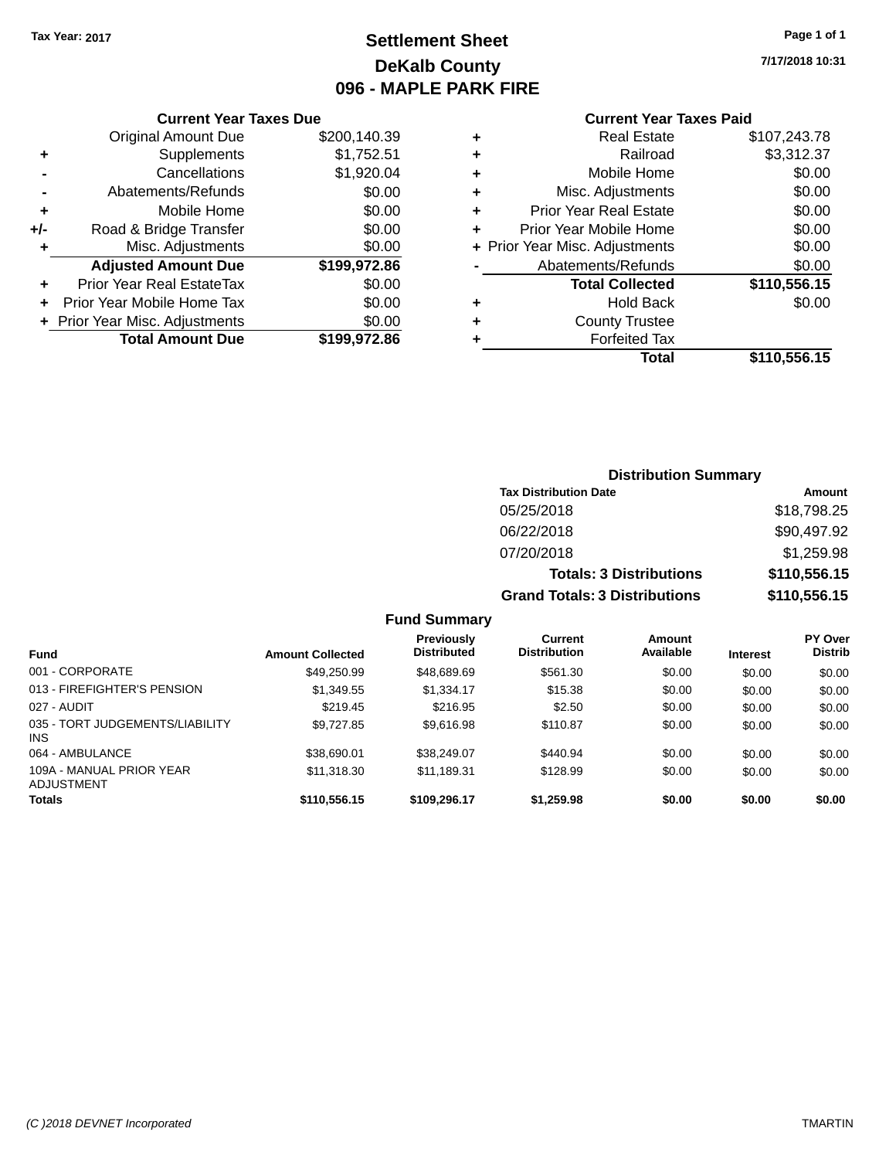# **Settlement Sheet Tax Year: 2017 Page 1 of 1 DeKalb County 096 - MAPLE PARK FIRE**

**7/17/2018 10:31**

#### **Current Year Taxes Paid**

|       | <b>Current Year Taxes Due</b>  |              |  |  |  |
|-------|--------------------------------|--------------|--|--|--|
|       | <b>Original Amount Due</b>     | \$200,140.39 |  |  |  |
| ٠     | Supplements                    | \$1,752.51   |  |  |  |
|       | Cancellations                  | \$1,920.04   |  |  |  |
|       | Abatements/Refunds             | \$0.00       |  |  |  |
| ٠     | Mobile Home                    | \$0.00       |  |  |  |
| $+/-$ | Road & Bridge Transfer         | \$0.00       |  |  |  |
| ٠     | Misc. Adjustments              |              |  |  |  |
|       | <b>Adjusted Amount Due</b>     | \$199,972.86 |  |  |  |
| ٠     | Prior Year Real EstateTax      | \$0.00       |  |  |  |
|       | Prior Year Mobile Home Tax     | \$0.00       |  |  |  |
|       | + Prior Year Misc. Adjustments | \$0.00       |  |  |  |
|       | <b>Total Amount Due</b>        | \$199.972.86 |  |  |  |
|       |                                |              |  |  |  |

| ٠ | <b>Real Estate</b>             | \$107,243.78 |
|---|--------------------------------|--------------|
| ٠ | Railroad                       | \$3,312.37   |
| ٠ | Mobile Home                    | \$0.00       |
| ٠ | Misc. Adjustments              | \$0.00       |
| ٠ | <b>Prior Year Real Estate</b>  | \$0.00       |
| ٠ | Prior Year Mobile Home         | \$0.00       |
|   | + Prior Year Misc. Adjustments | \$0.00       |
|   | Abatements/Refunds             | \$0.00       |
|   | <b>Total Collected</b>         | \$110,556.15 |
| ٠ | Hold Back                      | \$0.00       |
| ٠ | <b>County Trustee</b>          |              |
| ٠ | <b>Forfeited Tax</b>           |              |
|   | Total                          | \$110,556.15 |
|   |                                |              |

### **Distribution Summary Tax Distribution Date Amount** 05/25/2018 \$18,798.25 06/22/2018 \$90,497.92 07/20/2018 \$1,259.98 **Totals: 3 Distributions \$110,556.15 Grand Totals: 3 Distributions \$110,556.15**

| <b>Fund</b>                                   | <b>Amount Collected</b> | Previously<br><b>Distributed</b> | Current<br><b>Distribution</b> | Amount<br>Available | <b>Interest</b> | <b>PY Over</b><br><b>Distrib</b> |
|-----------------------------------------------|-------------------------|----------------------------------|--------------------------------|---------------------|-----------------|----------------------------------|
| 001 - CORPORATE                               | \$49.250.99             | \$48,689.69                      | \$561.30                       | \$0.00              | \$0.00          | \$0.00                           |
| 013 - FIREFIGHTER'S PENSION                   | \$1,349.55              | \$1,334.17                       | \$15.38                        | \$0.00              | \$0.00          | \$0.00                           |
| 027 - AUDIT                                   | \$219.45                | \$216.95                         | \$2.50                         | \$0.00              | \$0.00          | \$0.00                           |
| 035 - TORT JUDGEMENTS/LIABILITY<br><b>INS</b> | \$9,727.85              | \$9.616.98                       | \$110.87                       | \$0.00              | \$0.00          | \$0.00                           |
| 064 - AMBULANCE                               | \$38,690.01             | \$38,249.07                      | \$440.94                       | \$0.00              | \$0.00          | \$0.00                           |
| 109A - MANUAL PRIOR YEAR<br>ADJUSTMENT        | \$11,318.30             | \$11,189.31                      | \$128.99                       | \$0.00              | \$0.00          | \$0.00                           |
| <b>Totals</b>                                 | \$110,556.15            | \$109,296.17                     | \$1,259.98                     | \$0.00              | \$0.00          | \$0.00                           |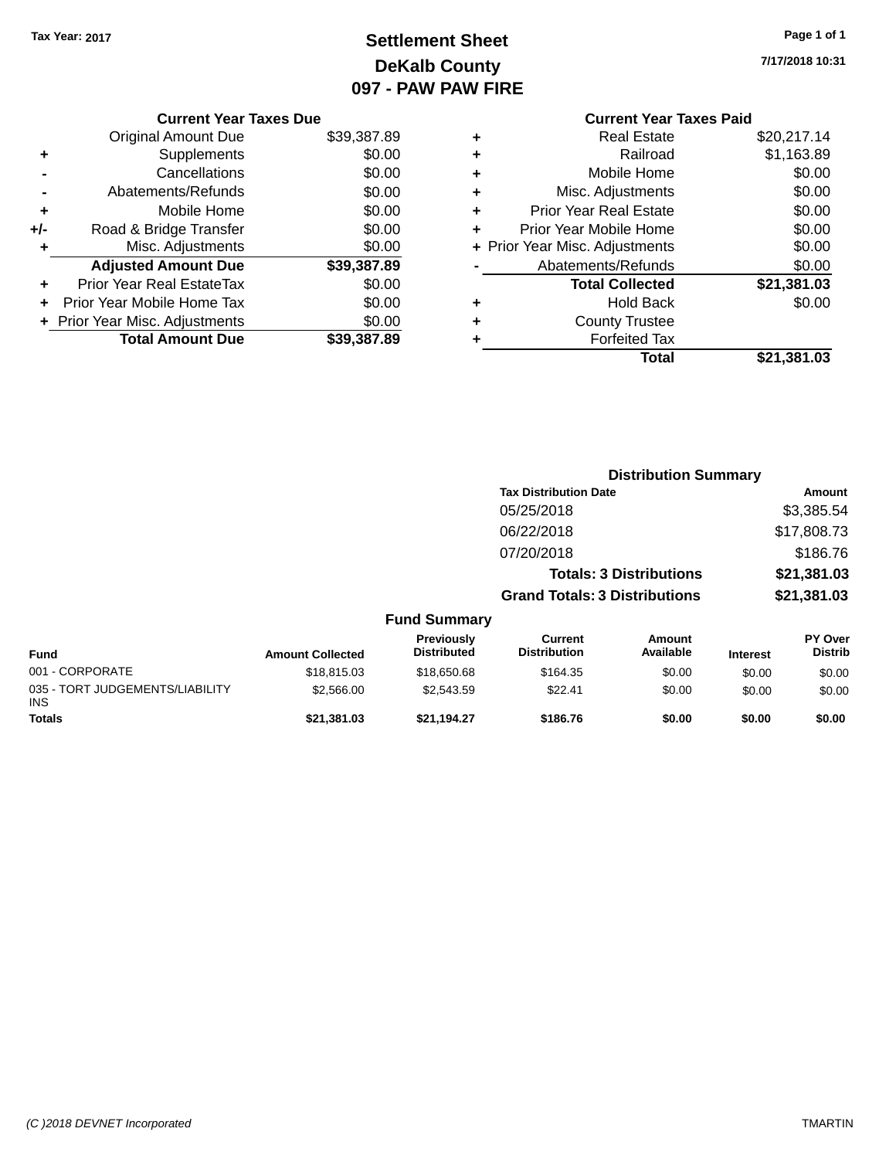# **Settlement Sheet Tax Year: 2017 Page 1 of 1 DeKalb County 097 - PAW PAW FIRE**

**7/17/2018 10:31**

# **Current Year Taxes Paid +** Real Estate \$20,217.14

|     | <b>Original Amount Due</b>       | \$39,387.89 |
|-----|----------------------------------|-------------|
| ٠   | Supplements                      | \$0.00      |
|     | Cancellations                    | \$0.00      |
|     | Abatements/Refunds               | \$0.00      |
| ٠   | Mobile Home                      | \$0.00      |
| +/- | Road & Bridge Transfer           | \$0.00      |
| ٠   | Misc. Adjustments                | \$0.00      |
|     | <b>Adjusted Amount Due</b>       | \$39,387.89 |
|     | <b>Prior Year Real EstateTax</b> | \$0.00      |
| ÷   | Prior Year Mobile Home Tax       | \$0.00      |
|     |                                  |             |
|     | + Prior Year Misc. Adjustments   | \$0.00      |

**Current Year Taxes Due**

|   | Total                          | \$21,381.03   |
|---|--------------------------------|---------------|
| ٠ | <b>Forfeited Tax</b>           |               |
| ÷ | <b>County Trustee</b>          |               |
| ٠ | <b>Hold Back</b>               | \$0.00        |
|   | <b>Total Collected</b>         | \$21,381.03   |
|   | Abatements/Refunds             | \$0.00        |
|   | + Prior Year Misc. Adjustments | \$0.00        |
| ٠ | Prior Year Mobile Home         | \$0.00        |
| ÷ | <b>Prior Year Real Estate</b>  | \$0.00        |
| ÷ | Misc. Adjustments              | \$0.00        |
| ÷ | Mobile Home                    | \$0.00        |
| ÷ | Railroad                       | \$1,163.89    |
| T | noar Loiaio                    | 94 J.L.II. 17 |

|                                               |                         |                                  | <b>Distribution Summary</b>           |                                |                 |                           |
|-----------------------------------------------|-------------------------|----------------------------------|---------------------------------------|--------------------------------|-----------------|---------------------------|
|                                               |                         |                                  | <b>Tax Distribution Date</b>          |                                |                 | Amount                    |
|                                               |                         |                                  | 05/25/2018                            |                                |                 | \$3,385.54                |
|                                               |                         |                                  | 06/22/2018                            |                                |                 | \$17,808.73               |
|                                               |                         |                                  | 07/20/2018                            |                                |                 | \$186.76                  |
|                                               |                         |                                  |                                       | <b>Totals: 3 Distributions</b> |                 | \$21,381.03               |
|                                               |                         |                                  | <b>Grand Totals: 3 Distributions</b>  |                                |                 | \$21,381.03               |
|                                               |                         | <b>Fund Summary</b>              |                                       |                                |                 |                           |
| <b>Fund</b>                                   | <b>Amount Collected</b> | Previously<br><b>Distributed</b> | <b>Current</b><br><b>Distribution</b> | <b>Amount</b><br>Available     | <b>Interest</b> | PY Over<br><b>Distrib</b> |
| 001 - CORPORATE                               | \$18,815.03             | \$18,650.68                      | \$164.35                              | \$0.00                         | \$0.00          | \$0.00                    |
| 035 - TORT JUDGEMENTS/LIABILITY<br><b>INS</b> | \$2,566.00              | \$2,543.59                       | \$22.41                               | \$0.00                         | \$0.00          | \$0.00                    |
| <b>Totals</b>                                 | \$21.381.03             | \$21,194.27                      | \$186.76                              | \$0.00                         | \$0.00          | \$0.00                    |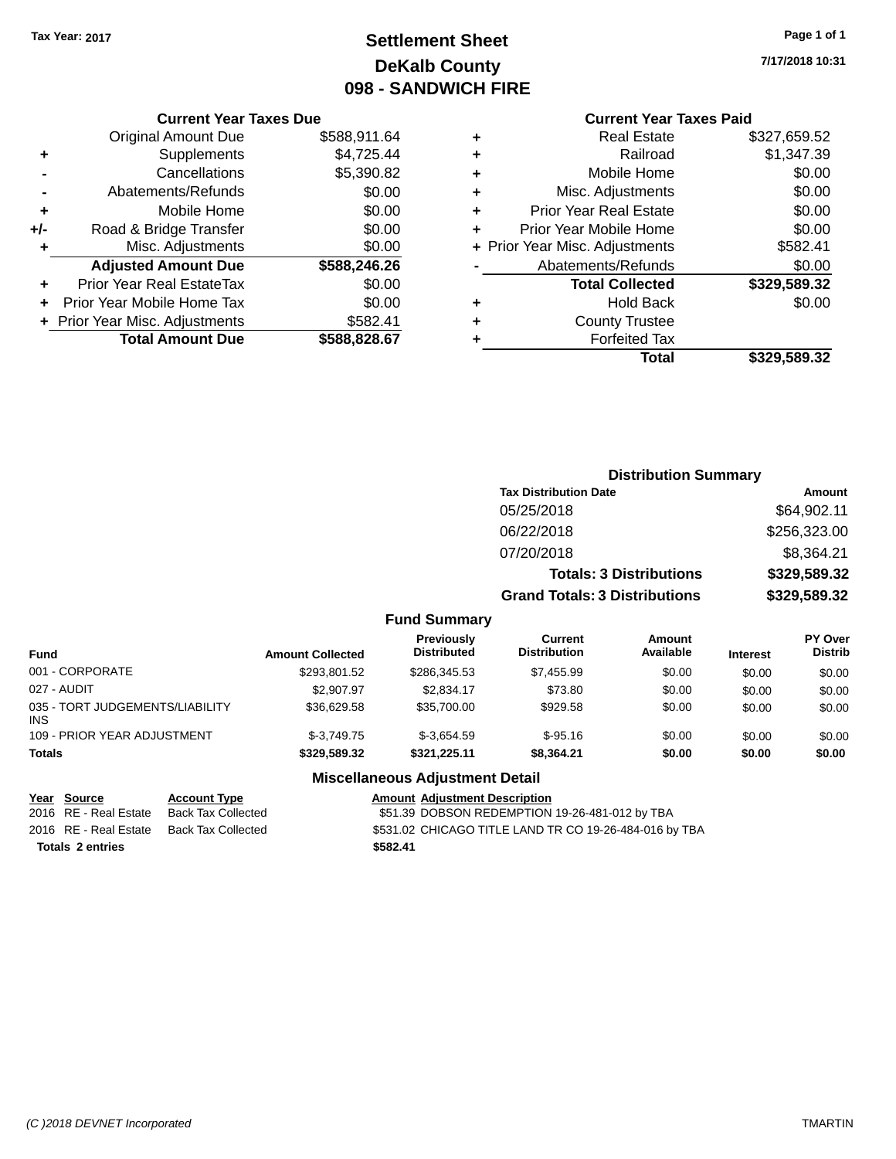# **Settlement Sheet Tax Year: 2017 Page 1 of 1 DeKalb County 098 - SANDWICH FIRE**

**7/17/2018 10:31**

### **Current Year Taxes Paid**

|       | <b>Current Year Taxes Due</b>  |              |  |  |  |
|-------|--------------------------------|--------------|--|--|--|
|       | <b>Original Amount Due</b>     | \$588,911.64 |  |  |  |
| ٠     | Supplements                    | \$4,725.44   |  |  |  |
|       | Cancellations                  | \$5,390.82   |  |  |  |
|       | Abatements/Refunds             | \$0.00       |  |  |  |
| ٠     | Mobile Home                    | \$0.00       |  |  |  |
| $+/-$ | Road & Bridge Transfer         | \$0.00       |  |  |  |
| ٠     | Misc. Adjustments              | \$0.00       |  |  |  |
|       | <b>Adjusted Amount Due</b>     | \$588,246.26 |  |  |  |
| ٠     | Prior Year Real EstateTax      | \$0.00       |  |  |  |
|       | Prior Year Mobile Home Tax     | \$0.00       |  |  |  |
|       | + Prior Year Misc. Adjustments | \$582.41     |  |  |  |
|       | <b>Total Amount Due</b>        | \$588,828.67 |  |  |  |
|       |                                |              |  |  |  |

| <b>Real Estate</b>             | \$327,659.52 |
|--------------------------------|--------------|
| Railroad                       | \$1,347.39   |
| Mobile Home                    | \$0.00       |
| Misc. Adjustments              | \$0.00       |
| <b>Prior Year Real Estate</b>  | \$0.00       |
| Prior Year Mobile Home         | \$0.00       |
| + Prior Year Misc. Adjustments | \$582.41     |
| Abatements/Refunds             | \$0.00       |
| <b>Total Collected</b>         | \$329,589.32 |
| <b>Hold Back</b>               | \$0.00       |
| <b>County Trustee</b>          |              |
| <b>Forfeited Tax</b>           |              |
| Total                          | \$329,589.32 |
|                                |              |

### **Distribution Summary Tax Distribution Date Amount** 05/25/2018 \$64,902.11 06/22/2018 \$256,323.00 07/20/2018 \$8,364.21 **Totals: 3 Distributions \$329,589.32 Grand Totals: 3 Distributions \$329,589.32**

#### **Fund Summary**

| <b>Fund</b>                                   | <b>Amount Collected</b> | Previously<br><b>Distributed</b> | <b>Current</b><br><b>Distribution</b> | <b>Amount</b><br>Available | <b>Interest</b> | <b>PY Over</b><br><b>Distrib</b> |
|-----------------------------------------------|-------------------------|----------------------------------|---------------------------------------|----------------------------|-----------------|----------------------------------|
| 001 - CORPORATE                               | \$293.801.52            | \$286,345,53                     | \$7.455.99                            | \$0.00                     | \$0.00          | \$0.00                           |
| 027 - AUDIT                                   | \$2,907.97              | \$2.834.17                       | \$73.80                               | \$0.00                     | \$0.00          | \$0.00                           |
| 035 - TORT JUDGEMENTS/LIABILITY<br><b>INS</b> | \$36,629.58             | \$35,700.00                      | \$929.58                              | \$0.00                     | \$0.00          | \$0.00                           |
| 109 - PRIOR YEAR ADJUSTMENT                   | $$-3.749.75$            | $$-3.654.59$                     | $$-95.16$                             | \$0.00                     | \$0.00          | \$0.00                           |
| <b>Totals</b>                                 | \$329,589.32            | \$321.225.11                     | \$8,364,21                            | \$0.00                     | \$0.00          | \$0.00                           |

#### **Miscellaneous Adjustment Detail**

**Totals \$582.41 2 entries**

**Year Source Account Type Amount Adjustment Description** \$51.39 DOBSON REDEMPTION 19-26-481-012 by TBA 2016 RE - Real Estate Back Tax Collected \$531.02 CHICAGO TITLE LAND TR CO 19-26-484-016 by TBA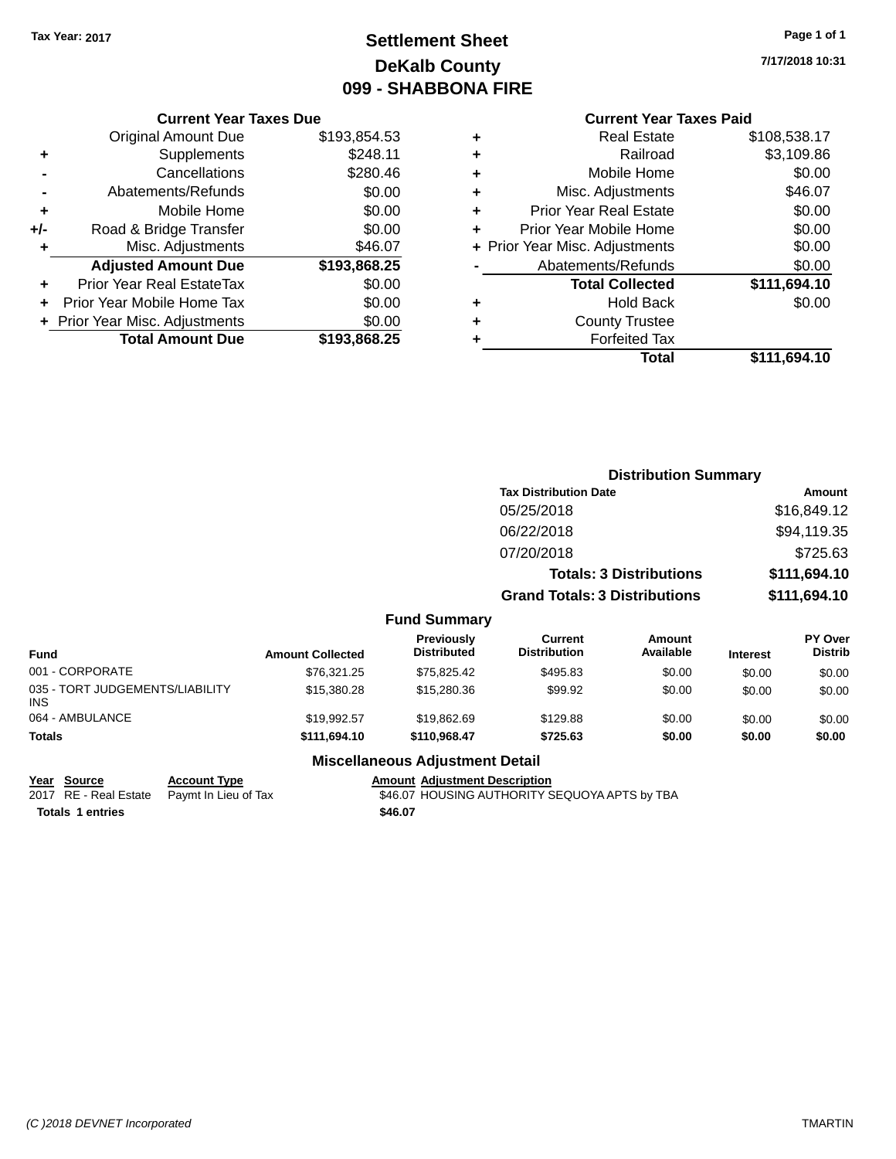# **Settlement Sheet Tax Year: 2017 Page 1 of 1 DeKalb County 099 - SHABBONA FIRE**

**7/17/2018 10:31**

### **Current Year Taxes Paid**

|     | <b>Current Year Taxes Due</b>  |              |
|-----|--------------------------------|--------------|
|     | <b>Original Amount Due</b>     | \$193,854.53 |
| ٠   | Supplements                    | \$248.11     |
|     | Cancellations                  | \$280.46     |
|     | Abatements/Refunds             | \$0.00       |
| ٠   | Mobile Home                    | \$0.00       |
| +/- | Road & Bridge Transfer         | \$0.00       |
| ٠   | Misc. Adjustments              | \$46.07      |
|     | <b>Adjusted Amount Due</b>     | \$193,868.25 |
| ٠   | Prior Year Real EstateTax      | \$0.00       |
|     | Prior Year Mobile Home Tax     | \$0.00       |
|     | + Prior Year Misc. Adjustments | \$0.00       |
|     | <b>Total Amount Due</b>        | \$193,868.25 |
|     |                                |              |

| ٠ | <b>Real Estate</b>             | \$108,538.17 |
|---|--------------------------------|--------------|
| ٠ | Railroad                       | \$3,109.86   |
| ٠ | Mobile Home                    | \$0.00       |
| ٠ | Misc. Adjustments              | \$46.07      |
| ٠ | <b>Prior Year Real Estate</b>  | \$0.00       |
| ٠ | Prior Year Mobile Home         | \$0.00       |
|   | + Prior Year Misc. Adjustments | \$0.00       |
|   | Abatements/Refunds             | \$0.00       |
|   | <b>Total Collected</b>         | \$111,694.10 |
| ٠ | <b>Hold Back</b>               | \$0.00       |
| ٠ | <b>County Trustee</b>          |              |
| ٠ | <b>Forfeited Tax</b>           |              |
|   | <b>Total</b>                   | \$111,694.10 |
|   |                                |              |

|                                         |                         |                                  |                                       | <b>Distribution Summary</b>    |                 |                                  |
|-----------------------------------------|-------------------------|----------------------------------|---------------------------------------|--------------------------------|-----------------|----------------------------------|
|                                         |                         |                                  | <b>Tax Distribution Date</b>          |                                |                 | <b>Amount</b>                    |
|                                         |                         |                                  | 05/25/2018                            |                                |                 | \$16,849.12                      |
|                                         |                         |                                  | 06/22/2018                            |                                |                 | \$94,119.35                      |
|                                         |                         |                                  | 07/20/2018                            |                                |                 | \$725.63                         |
|                                         |                         |                                  |                                       | <b>Totals: 3 Distributions</b> |                 | \$111,694.10                     |
|                                         |                         |                                  | <b>Grand Totals: 3 Distributions</b>  |                                |                 | \$111,694.10                     |
|                                         |                         | <b>Fund Summary</b>              |                                       |                                |                 |                                  |
| <b>Fund</b>                             | <b>Amount Collected</b> | Previously<br><b>Distributed</b> | <b>Current</b><br><b>Distribution</b> | Amount<br>Available            | <b>Interest</b> | <b>PY Over</b><br><b>Distrib</b> |
| 001 - CORPORATE                         | \$76,321.25             | \$75,825.42                      | \$495.83                              | \$0.00                         | \$0.00          | \$0.00                           |
| 035 - TORT JUDGEMENTS/LIABILITY<br>INS. | \$15,380.28             | \$15,280.36                      | \$99.92                               | \$0.00                         | \$0.00          | \$0.00                           |
| 064 - AMBULANCE                         | \$19,992.57             | \$19,862.69                      | \$129.88                              | \$0.00                         | \$0.00          | \$0.00                           |
| <b>Totals</b>                           | \$111,694.10            | \$110,968.47                     | \$725.63                              | \$0.00                         | \$0.00          | \$0.00                           |

#### **Miscellaneous Adjustment Detail**

**Year Source Account Type Amount Adjustment Description**

**Totals \$46.07 1 entries**

2017 RE - Real Estate hPaymt In Lieu of Tax **186.07 HOUSING AUTHORITY SEQUOYA APTS by TBA**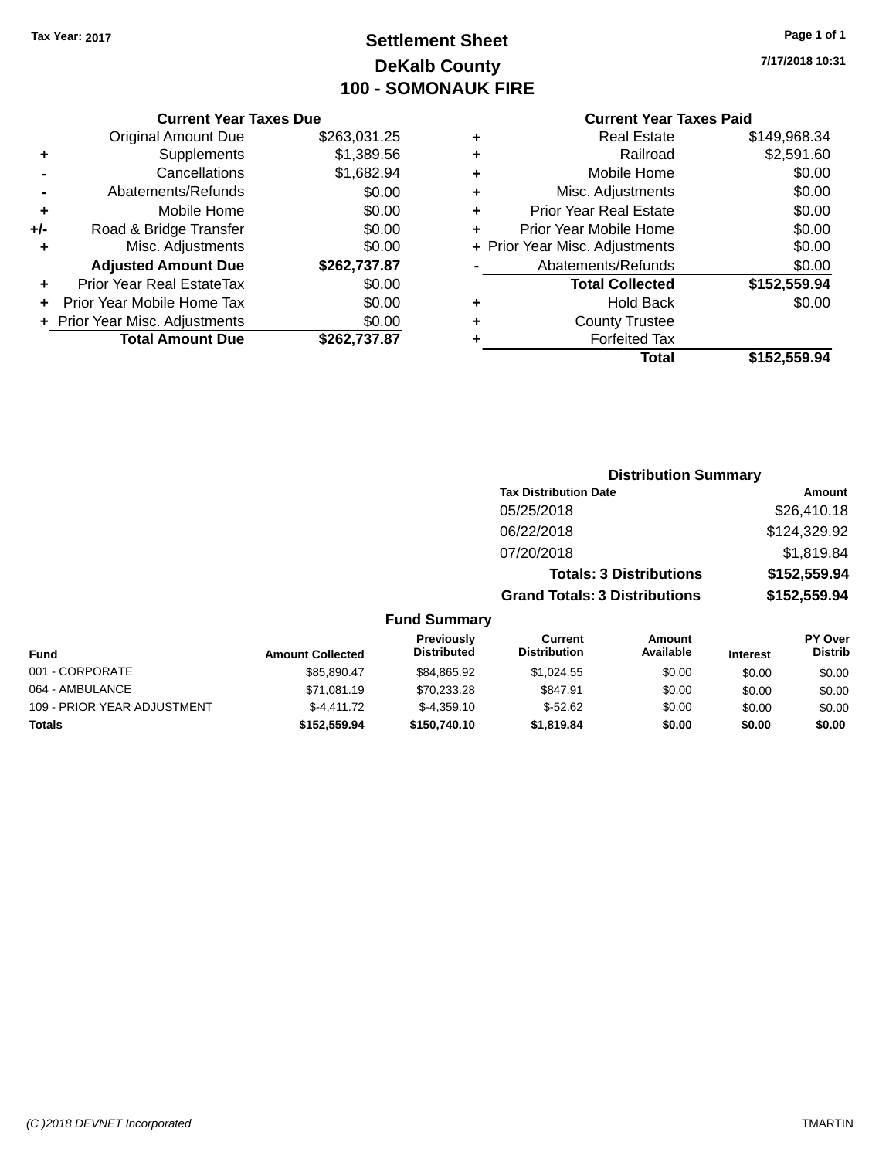# **Settlement Sheet Tax Year: 2017 Page 1 of 1 DeKalb County 100 - SOMONAUK FIRE**

**7/17/2018 10:31**

### **Current Year Taxes Due**

|     | <b>Original Amount Due</b>       | \$263,031.25 |
|-----|----------------------------------|--------------|
| ٠   | Supplements                      | \$1,389.56   |
|     | Cancellations                    | \$1,682.94   |
|     | Abatements/Refunds               | \$0.00       |
| ÷   | Mobile Home                      | \$0.00       |
| +/- | Road & Bridge Transfer           | \$0.00       |
| ٠   | Misc. Adjustments                | \$0.00       |
|     |                                  |              |
|     | <b>Adjusted Amount Due</b>       | \$262,737.87 |
| ÷   | <b>Prior Year Real EstateTax</b> | \$0.00       |
|     | Prior Year Mobile Home Tax       | \$0.00       |
|     | + Prior Year Misc. Adjustments   | \$0.00       |

#### **Current Year Taxes Paid**

| ٠ | <b>Real Estate</b>             | \$149,968.34 |
|---|--------------------------------|--------------|
| ٠ | Railroad                       | \$2,591.60   |
| ÷ | Mobile Home                    | \$0.00       |
| ٠ | Misc. Adjustments              | \$0.00       |
| ٠ | <b>Prior Year Real Estate</b>  | \$0.00       |
| ٠ | Prior Year Mobile Home         | \$0.00       |
|   | + Prior Year Misc. Adjustments | \$0.00       |
|   | Abatements/Refunds             | \$0.00       |
|   | <b>Total Collected</b>         | \$152,559.94 |
| ٠ | <b>Hold Back</b>               | \$0.00       |
| ٠ | <b>County Trustee</b>          |              |
| ٠ | <b>Forfeited Tax</b>           |              |
|   | Total                          | \$152,559.94 |
|   |                                |              |

### **Distribution Summary Tax Distribution Date Amount** 05/25/2018 \$26,410.18 06/22/2018 \$124,329.92 07/20/2018 \$1,819.84 **Totals: 3 Distributions \$152,559.94 Grand Totals: 3 Distributions \$152,559.94**

| <b>Fund</b>                 | <b>Amount Collected</b> | <b>Previously</b><br><b>Distributed</b> | Current<br><b>Distribution</b> | Amount<br>Available | <b>Interest</b> | PY Over<br><b>Distrib</b> |
|-----------------------------|-------------------------|-----------------------------------------|--------------------------------|---------------------|-----------------|---------------------------|
| 001 - CORPORATE             | \$85.890.47             | \$84.865.92                             | \$1.024.55                     | \$0.00              | \$0.00          | \$0.00                    |
| 064 - AMBULANCE             | \$71,081.19             | \$70.233.28                             | \$847.91                       | \$0.00              | \$0.00          | \$0.00                    |
| 109 - PRIOR YEAR ADJUSTMENT | $$-4.411.72$            | $$-4.359.10$                            | $$-52.62$                      | \$0.00              | \$0.00          | \$0.00                    |
| <b>Totals</b>               | \$152,559.94            | \$150,740.10                            | \$1,819.84                     | \$0.00              | \$0.00          | \$0.00                    |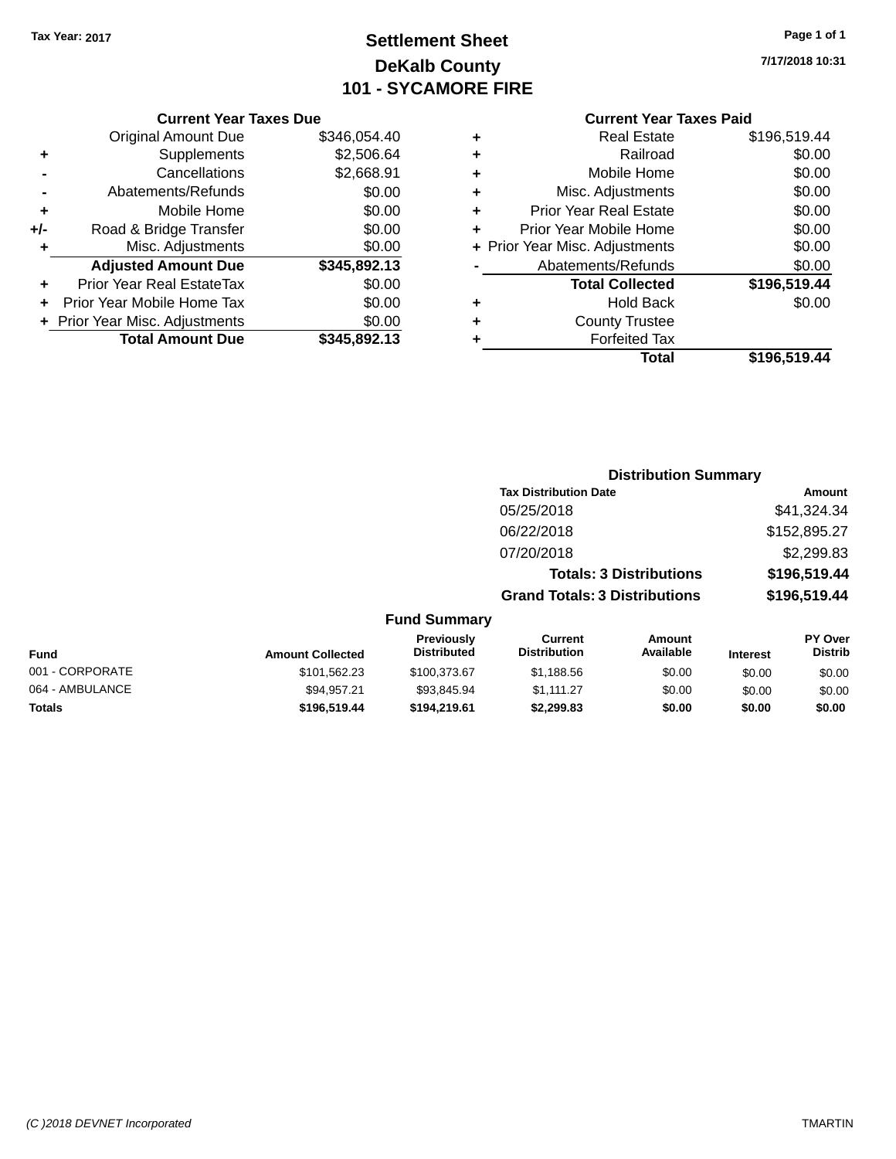# **Settlement Sheet Tax Year: 2017 Page 1 of 1 DeKalb County 101 - SYCAMORE FIRE**

**7/17/2018 10:31**

#### **Current Year Taxes Paid**

| \$346,054.40 |
|--------------|
| \$2,506.64   |
| \$2,668.91   |
| \$0.00       |
| \$0.00       |
| \$0.00       |
| \$0.00       |
| \$345,892.13 |
| \$0.00       |
| \$0.00       |
| \$0.00       |
| \$345.892.13 |
|              |

| ٠ | Real Estate                    | \$196,519.44 |
|---|--------------------------------|--------------|
| ٠ | Railroad                       | \$0.00       |
| ٠ | Mobile Home                    | \$0.00       |
| ٠ | Misc. Adjustments              | \$0.00       |
| ٠ | <b>Prior Year Real Estate</b>  | \$0.00       |
| ÷ | Prior Year Mobile Home         | \$0.00       |
|   | + Prior Year Misc. Adjustments | \$0.00       |
|   | Abatements/Refunds             | \$0.00       |
|   | <b>Total Collected</b>         | \$196,519.44 |
| ٠ | Hold Back                      | \$0.00       |
| ٠ | <b>County Trustee</b>          |              |
| ٠ | <b>Forfeited Tax</b>           |              |
|   | Total                          | \$196,519.44 |
|   |                                |              |

|     |                                         |                                      | <b>Distribution Summary</b>    |                 |                                  |
|-----|-----------------------------------------|--------------------------------------|--------------------------------|-----------------|----------------------------------|
|     |                                         | <b>Tax Distribution Date</b>         |                                |                 | Amount                           |
|     |                                         | 05/25/2018                           |                                |                 | \$41,324.34                      |
|     |                                         | 06/22/2018                           |                                |                 | \$152,895.27                     |
|     |                                         | 07/20/2018                           |                                |                 | \$2,299.83                       |
|     |                                         |                                      | <b>Totals: 3 Distributions</b> |                 | \$196,519.44                     |
|     |                                         | <b>Grand Totals: 3 Distributions</b> |                                |                 | \$196,519.44                     |
|     | <b>Fund Summary</b>                     |                                      |                                |                 |                                  |
| ted | <b>Previously</b><br><b>Distributed</b> | Current<br><b>Distribution</b>       | Amount<br>Available            | <b>Interest</b> | <b>PY Over</b><br><b>Distrib</b> |

| Fund            | <b>Amount Collected</b> | <b>Previously</b><br><b>Distributed</b> | Current<br><b>Distribution</b> | Amount<br>Available | <b>Interest</b> | <b>PY Over</b><br>Distrib |  |
|-----------------|-------------------------|-----------------------------------------|--------------------------------|---------------------|-----------------|---------------------------|--|
| 001 - CORPORATE | \$101,562.23            | \$100.373.67                            | \$1.188.56                     | \$0.00              | \$0.00          | \$0.00                    |  |
| 064 - AMBULANCE | \$94.957.21             | \$93.845.94                             | \$1.111.27                     | \$0.00              | \$0.00          | \$0.00                    |  |
| <b>Totals</b>   | \$196,519,44            | \$194,219.61                            | \$2.299.83                     | \$0.00              | \$0.00          | \$0.00                    |  |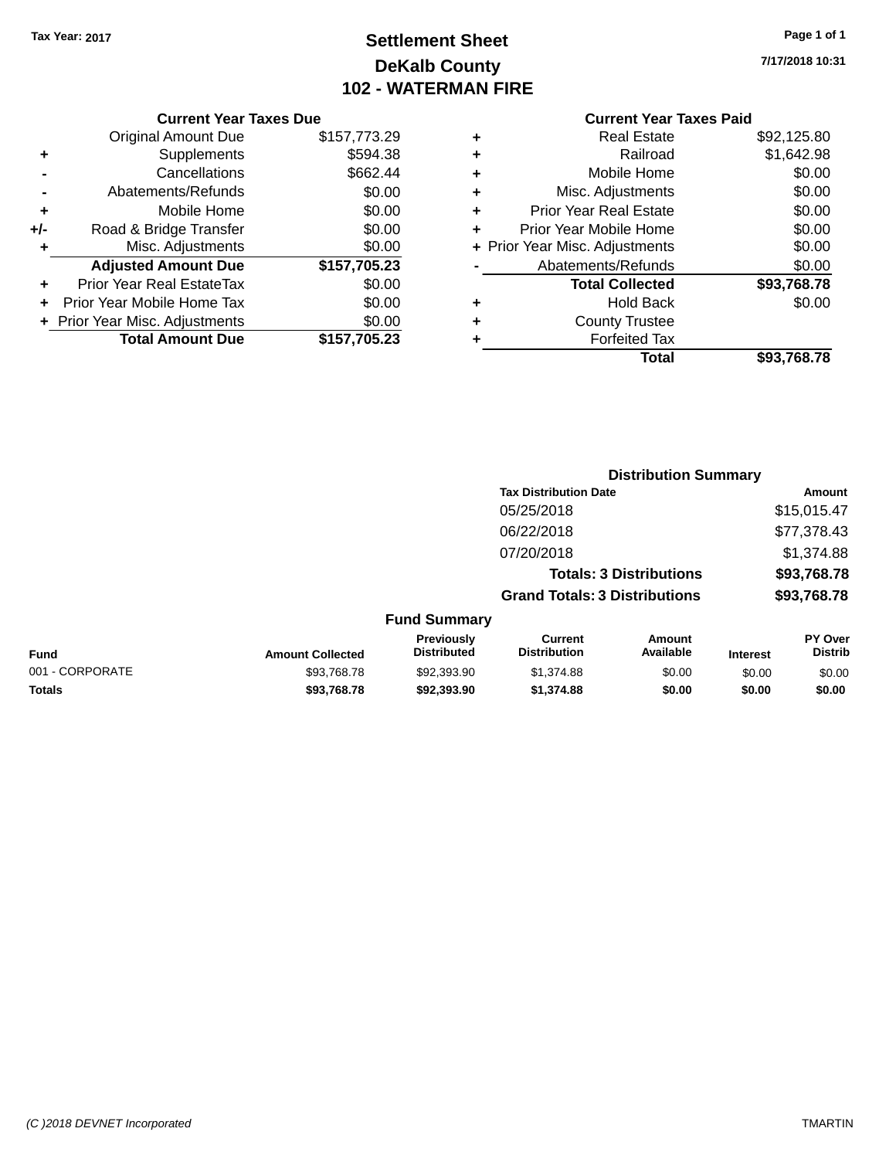# **Settlement Sheet Tax Year: 2017 Page 1 of 1 DeKalb County 102 - WATERMAN FIRE**

**7/17/2018 10:31**

#### **Current Year Taxes Due**

|     | <b>Original Amount Due</b>       | \$157,773.29 |
|-----|----------------------------------|--------------|
| ٠   | Supplements                      | \$594.38     |
|     | Cancellations                    | \$662.44     |
|     | Abatements/Refunds               | \$0.00       |
| ٠   | Mobile Home                      | \$0.00       |
| +/- | Road & Bridge Transfer           | \$0.00       |
| ۰   | Misc. Adjustments                | \$0.00       |
|     | <b>Adjusted Amount Due</b>       | \$157,705.23 |
|     | <b>Prior Year Real EstateTax</b> | \$0.00       |
|     | Prior Year Mobile Home Tax       | \$0.00       |
|     | + Prior Year Misc. Adjustments   | \$0.00       |
|     | <b>Total Amount Due</b>          | \$157,705.23 |

### **Current Year Taxes Paid**

|   | Total                          | \$93,768.78 |
|---|--------------------------------|-------------|
| ٠ | <b>Forfeited Tax</b>           |             |
| ٠ | <b>County Trustee</b>          |             |
| ٠ | Hold Back                      | \$0.00      |
|   | <b>Total Collected</b>         | \$93,768.78 |
|   | Abatements/Refunds             | \$0.00      |
|   | + Prior Year Misc. Adjustments | \$0.00      |
| ٠ | Prior Year Mobile Home         | \$0.00      |
| ٠ | <b>Prior Year Real Estate</b>  | \$0.00      |
| ٠ | Misc. Adjustments              | \$0.00      |
| ٠ | Mobile Home                    | \$0.00      |
| ٠ | Railroad                       | \$1,642.98  |
| ٠ | <b>Real Estate</b>             | \$92,125.80 |

#### **Distribution Summary Tax Distribution Date Amount** 05/25/2018 \$15,015.47 06/22/2018 \$77,378.43 07/20/2018 \$1,374.88 **Totals: 3 Distributions \$93,768.78 Grand Totals: 3 Distributions \$93,768.78 Fund Summary PY Over Distrib Amount Current Previously**

|                 |                         | <b>Previously</b>  | Current             | Amount    |                 | <b>PY Over</b> |
|-----------------|-------------------------|--------------------|---------------------|-----------|-----------------|----------------|
| <b>Fund</b>     | <b>Amount Collected</b> | <b>Distributed</b> | <b>Distribution</b> | Available | <b>Interest</b> | Distrib        |
| 001 - CORPORATE | \$93,768.78             | \$92,393,90        | \$1.374.88          | \$0.00    | \$0.00          | \$0.00         |

**Totals \$93,768.78 \$92,393.90 \$1,374.88 \$0.00 \$0.00 \$0.00**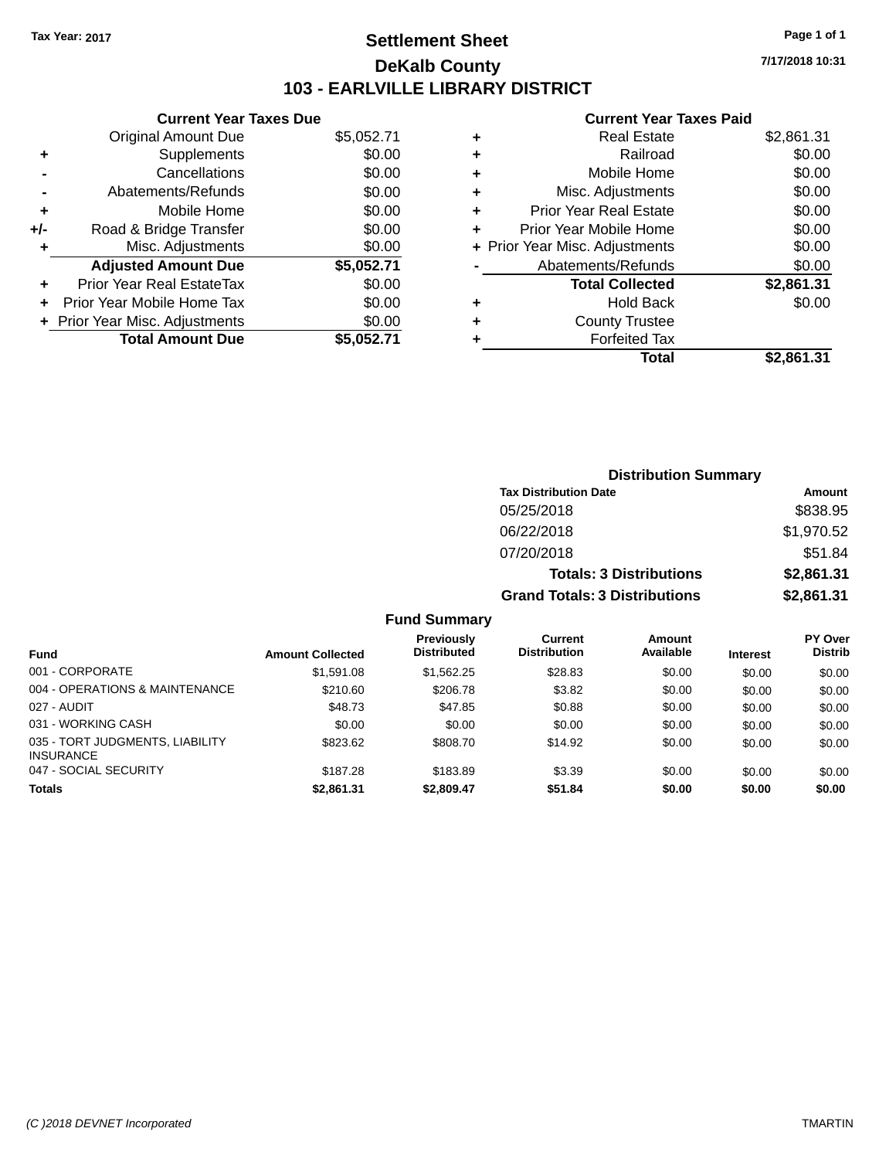### **Settlement Sheet Tax Year: 2017 Page 1 of 1 DeKalb County 103 - EARLVILLE LIBRARY DISTRICT**

**7/17/2018 10:31**

### **Current Year Taxes Paid**

|     | <b>Current Year Taxes Due</b>  |            |
|-----|--------------------------------|------------|
|     | <b>Original Amount Due</b>     | \$5,052.71 |
|     | Supplements                    | \$0.00     |
|     | Cancellations                  | \$0.00     |
|     | Abatements/Refunds             | \$0.00     |
| ٠   | Mobile Home                    | \$0.00     |
| +/- | Road & Bridge Transfer         | \$0.00     |
|     | Misc. Adjustments              | \$0.00     |
|     | <b>Adjusted Amount Due</b>     | \$5,052.71 |
| ÷   | Prior Year Real EstateTax      | \$0.00     |
|     | Prior Year Mobile Home Tax     | \$0.00     |
|     | + Prior Year Misc. Adjustments | \$0.00     |
|     | <b>Total Amount Due</b>        | \$5.052.71 |
|     |                                |            |

|   | <b>Hold Back</b>               | \$0.00     |
|---|--------------------------------|------------|
|   | <b>Total Collected</b>         | \$2,861.31 |
|   | Abatements/Refunds             | \$0.00     |
|   | + Prior Year Misc. Adjustments | \$0.00     |
| ٠ | Prior Year Mobile Home         | \$0.00     |
| ٠ | <b>Prior Year Real Estate</b>  | \$0.00     |
| ٠ | Misc. Adjustments              | \$0.00     |
| ٠ | Mobile Home                    | \$0.00     |
| ٠ | Railroad                       | \$0.00     |
| ٠ | Real Estate                    | \$2,861.31 |
|   |                                |            |

| <b>Distribution Summary</b>          |            |  |  |  |
|--------------------------------------|------------|--|--|--|
| <b>Tax Distribution Date</b>         | Amount     |  |  |  |
| 05/25/2018                           | \$838.95   |  |  |  |
| 06/22/2018                           | \$1,970.52 |  |  |  |
| 07/20/2018                           | \$51.84    |  |  |  |
| <b>Totals: 3 Distributions</b>       | \$2,861.31 |  |  |  |
| <b>Grand Totals: 3 Distributions</b> | \$2,861.31 |  |  |  |

|                                                     |                         | <b>Previously</b>  | Current             | Amount    |                 | <b>PY Over</b> |
|-----------------------------------------------------|-------------------------|--------------------|---------------------|-----------|-----------------|----------------|
| <b>Fund</b>                                         | <b>Amount Collected</b> | <b>Distributed</b> | <b>Distribution</b> | Available | <b>Interest</b> | <b>Distrib</b> |
| 001 - CORPORATE                                     | \$1,591.08              | \$1,562.25         | \$28.83             | \$0.00    | \$0.00          | \$0.00         |
| 004 - OPERATIONS & MAINTENANCE                      | \$210.60                | \$206.78           | \$3.82              | \$0.00    | \$0.00          | \$0.00         |
| 027 - AUDIT                                         | \$48.73                 | \$47.85            | \$0.88              | \$0.00    | \$0.00          | \$0.00         |
| 031 - WORKING CASH                                  | \$0.00                  | \$0.00             | \$0.00              | \$0.00    | \$0.00          | \$0.00         |
| 035 - TORT JUDGMENTS, LIABILITY<br><b>INSURANCE</b> | \$823.62                | \$808.70           | \$14.92             | \$0.00    | \$0.00          | \$0.00         |
| 047 - SOCIAL SECURITY                               | \$187.28                | \$183.89           | \$3.39              | \$0.00    | \$0.00          | \$0.00         |
| <b>Totals</b>                                       | \$2,861.31              | \$2,809.47         | \$51.84             | \$0.00    | \$0.00          | \$0.00         |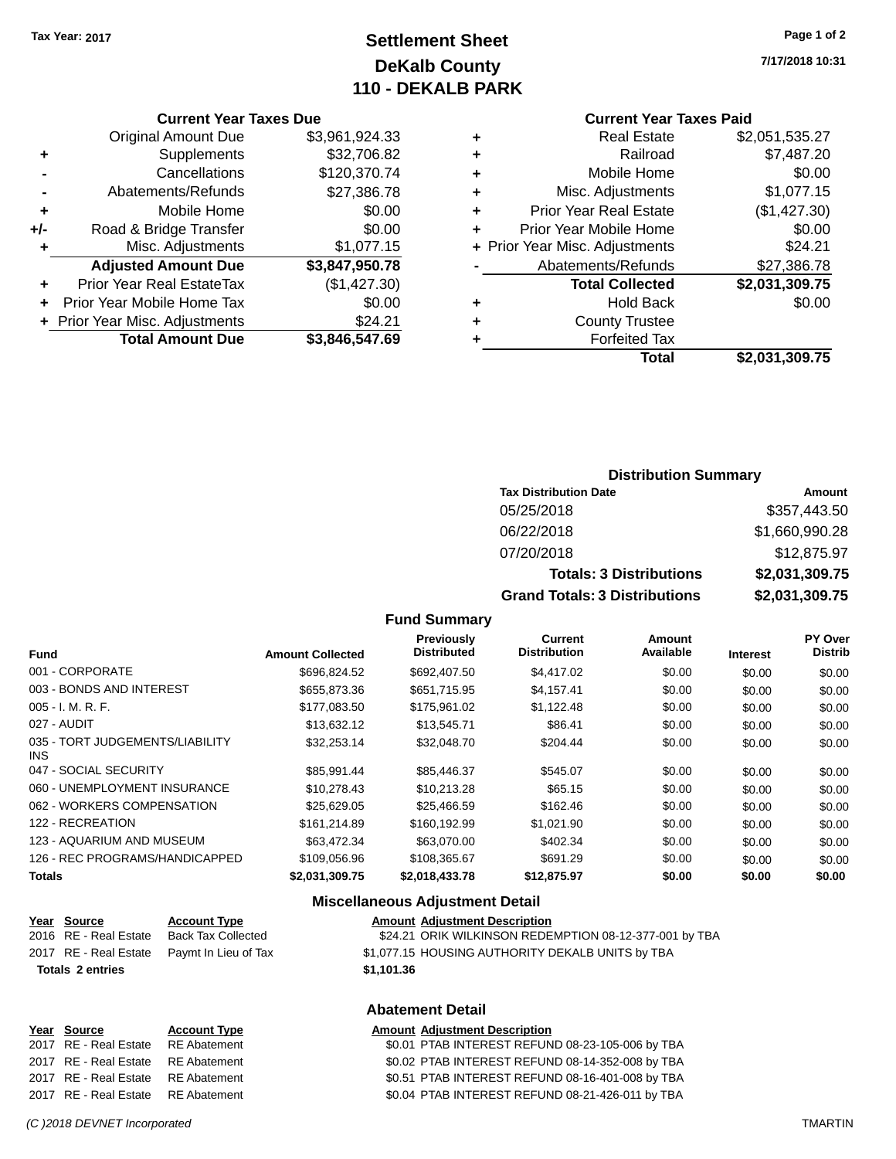# **Settlement Sheet Tax Year: 2017 Page 1 of 2 DeKalb County 110 - DEKALB PARK**

**7/17/2018 10:31**

### **Current Year Taxes Paid**

|   | Total                          | \$2,031,309.75 |
|---|--------------------------------|----------------|
|   | <b>Forfeited Tax</b>           |                |
| ٠ | <b>County Trustee</b>          |                |
| ٠ | <b>Hold Back</b>               | \$0.00         |
|   | <b>Total Collected</b>         | \$2,031,309.75 |
|   | Abatements/Refunds             | \$27,386.78    |
|   | + Prior Year Misc. Adjustments | \$24.21        |
| ٠ | Prior Year Mobile Home         | \$0.00         |
| ٠ | <b>Prior Year Real Estate</b>  | (\$1,427.30)   |
| ٠ | Misc. Adjustments              | \$1,077.15     |
| ٠ | Mobile Home                    | \$0.00         |
| ٠ | Railroad                       | \$7,487.20     |
| ٠ | <b>Real Estate</b>             | \$2,051,535.27 |
|   |                                |                |

| ٠   | Prior Year Mobile Home Tax                              | \$0.00                         |
|-----|---------------------------------------------------------|--------------------------------|
| ٠   | <b>Adjusted Amount Due</b><br>Prior Year Real EstateTax | \$3,847,950.78<br>(\$1,427.30) |
| ٠   | Misc. Adjustments                                       |                                |
| +/- | Road & Bridge Transfer                                  | \$0.00<br>\$1,077.15           |
| ٠   | Mobile Home                                             | \$0.00                         |
|     | Abatements/Refunds                                      | \$27,386.78                    |
|     | Cancellations                                           | \$120,370.74                   |
| ٠   | Supplements                                             | \$32,706.82                    |
|     | <b>Original Amount Due</b>                              | \$3,961,924.33                 |
|     | <b>Current Year Taxes Due</b>                           |                                |

| <b>Distribution Summary</b> |  |
|-----------------------------|--|
|-----------------------------|--|

| <b>Tax Distribution Date</b>         | Amount         |
|--------------------------------------|----------------|
| 05/25/2018                           | \$357,443.50   |
| 06/22/2018                           | \$1,660,990.28 |
| 07/20/2018                           | \$12,875.97    |
| <b>Totals: 3 Distributions</b>       | \$2,031,309.75 |
| <b>Grand Totals: 3 Distributions</b> | \$2,031,309.75 |

#### **Fund Summary**

| <b>Fund</b>                             | <b>Amount Collected</b> | <b>Previously</b><br><b>Distributed</b> | <b>Current</b><br><b>Distribution</b> | Amount<br>Available | <b>Interest</b> | PY Over<br><b>Distrib</b> |
|-----------------------------------------|-------------------------|-----------------------------------------|---------------------------------------|---------------------|-----------------|---------------------------|
| 001 - CORPORATE                         | \$696,824.52            | \$692,407.50                            | \$4,417.02                            | \$0.00              | \$0.00          | \$0.00                    |
| 003 - BONDS AND INTEREST                | \$655,873,36            | \$651.715.95                            | \$4.157.41                            | \$0.00              | \$0.00          | \$0.00                    |
| $005 - I. M. R. F.$                     | \$177,083.50            | \$175,961.02                            | \$1,122.48                            | \$0.00              | \$0.00          | \$0.00                    |
| 027 - AUDIT                             | \$13,632.12             | \$13.545.71                             | \$86.41                               | \$0.00              | \$0.00          | \$0.00                    |
| 035 - TORT JUDGEMENTS/LIABILITY<br>INS. | \$32.253.14             | \$32,048.70                             | \$204.44                              | \$0.00              | \$0.00          | \$0.00                    |
| 047 - SOCIAL SECURITY                   | \$85.991.44             | \$85,446.37                             | \$545.07                              | \$0.00              | \$0.00          | \$0.00                    |
| 060 - UNEMPLOYMENT INSURANCE            | \$10.278.43             | \$10.213.28                             | \$65.15                               | \$0.00              | \$0.00          | \$0.00                    |
| 062 - WORKERS COMPENSATION              | \$25,629.05             | \$25.466.59                             | \$162.46                              | \$0.00              | \$0.00          | \$0.00                    |
| 122 - RECREATION                        | \$161.214.89            | \$160.192.99                            | \$1,021.90                            | \$0.00              | \$0.00          | \$0.00                    |
| 123 - AQUARIUM AND MUSEUM               | \$63,472.34             | \$63,070,00                             | \$402.34                              | \$0.00              | \$0.00          | \$0.00                    |
| 126 - REC PROGRAMS/HANDICAPPED          | \$109.056.96            | \$108.365.67                            | \$691.29                              | \$0.00              | \$0.00          | \$0.00                    |
| <b>Totals</b>                           | \$2,031,309.75          | \$2,018,433.78                          | \$12,875.97                           | \$0.00              | \$0.00          | \$0.00                    |

#### **Miscellaneous Adjustment Detail**

| <u>Year Source</u>      | <b>Account Type</b>                        | <b>Amount Adjustment Description</b>                   |
|-------------------------|--------------------------------------------|--------------------------------------------------------|
| 2016 RE - Real Estate   | <b>Back Tax Collected</b>                  | \$24.21 ORIK WILKINSON REDEMPTION 08-12-377-001 by TBA |
|                         | 2017 RE - Real Estate Paymt In Lieu of Tax | \$1,077.15 HOUSING AUTHORITY DEKALB UNITS by TBA       |
| <b>Totals 2 entries</b> |                                            | \$1.101.36                                             |
|                         |                                            |                                                        |
|                         |                                            |                                                        |

#### **Abatement Detail**

# **Year Source Account Type Amount Adjustment Description**<br>2017 RE - Real Estate RE Abatement \$0.01 PTAB INTEREST REFUN

| 2017 RE - Real Estate              | RE Abatement |
|------------------------------------|--------------|
| 2017 RE - Real Estate RE Abatement |              |
| 2017 RE - Real Estate RE Abatement |              |

\$0.01 PTAB INTEREST REFUND 08-23-105-006 by TBA \$0.02 PTAB INTEREST REFUND 08-14-352-008 by TBA \$0.51 PTAB INTEREST REFUND 08-16-401-008 by TBA \$0.04 PTAB INTEREST REFUND 08-21-426-011 by TBA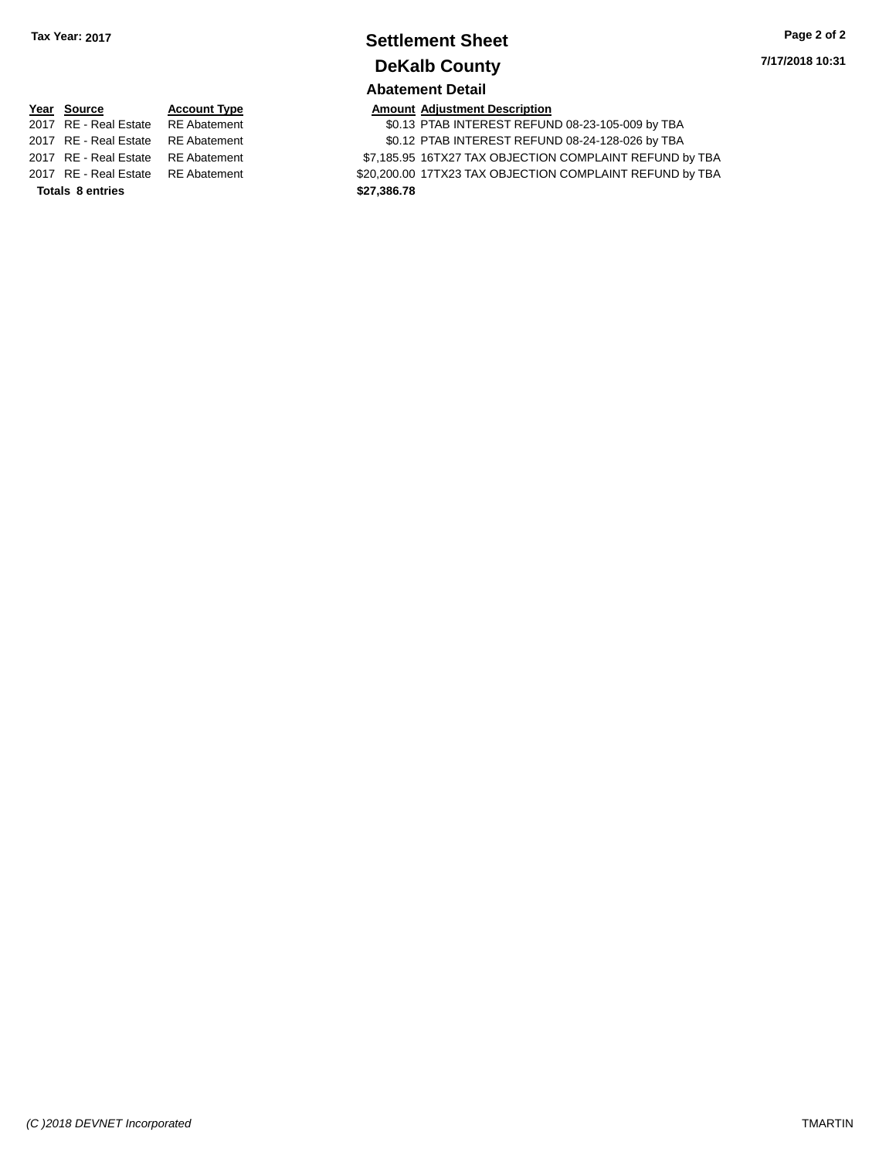### **Settlement Sheet Tax Year: 2017 Page 2 of 2 DeKalb County Abatement Detail**

**7/17/2018 10:31**

**Year Source Account Type Amount Adjustment Description**<br>2017 RE - Real Estate RE Abatement \$0.13 PTAB INTEREST REFUN **Totals \$27,386.78 8 entries**

\$0.13 PTAB INTEREST REFUND 08-23-105-009 by TBA 2017 RE - Real Estate RE Abatement \$0.12 PTAB INTEREST REFUND 08-24-128-026 by TBA 2017 RE - Real Estate RE Abatement \$7,185.95 16TX27 TAX OBJECTION COMPLAINT REFUND by TBA 2017 RE - Real Estate RE Abatement \$20,200.00 17TX23 TAX OBJECTION COMPLAINT REFUND by TBA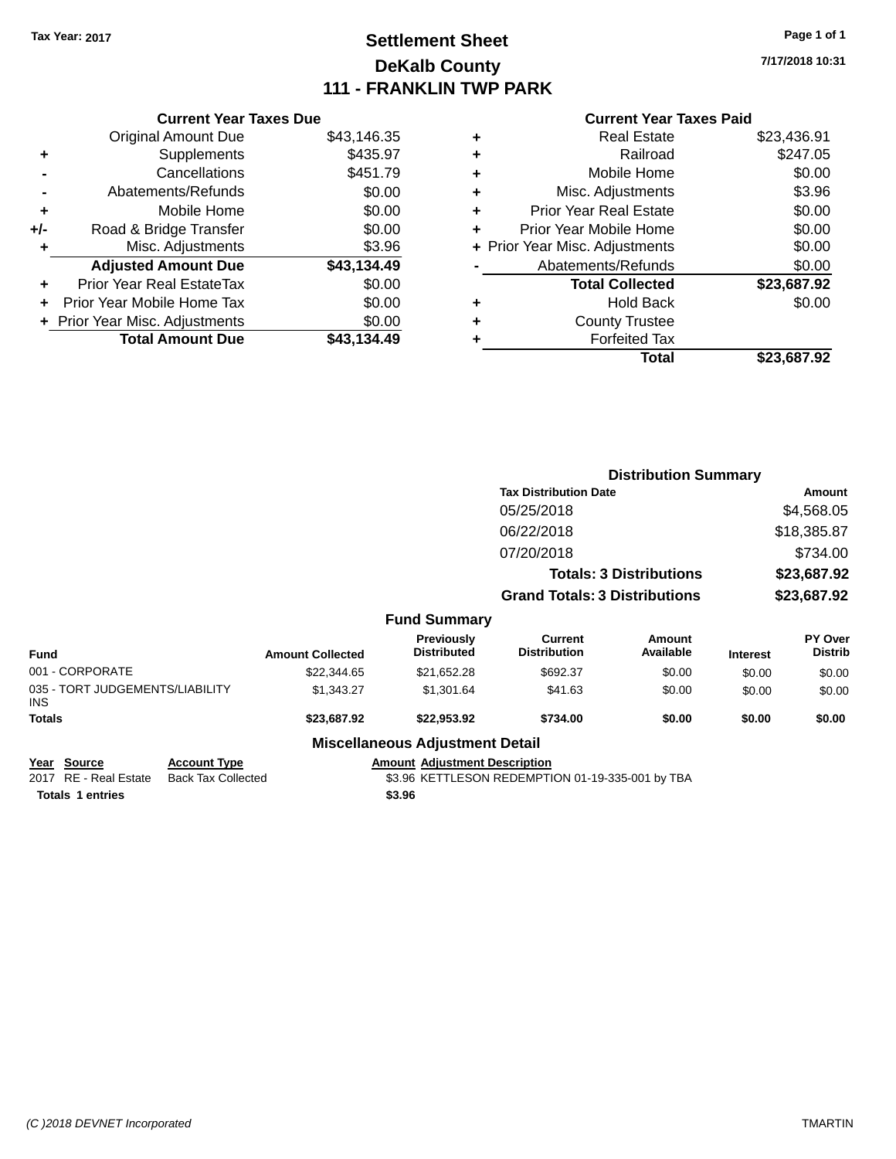# **Settlement Sheet Tax Year: 2017 Page 1 of 1 DeKalb County 111 - FRANKLIN TWP PARK**

**7/17/2018 10:31**

### **Current Year Taxes Paid**

|     | <b>Current Year Taxes Due</b> |             |
|-----|-------------------------------|-------------|
|     | <b>Original Amount Due</b>    | \$43,146.35 |
| ٠   | Supplements                   | \$435.97    |
|     | Cancellations                 | \$451.79    |
|     | Abatements/Refunds            | \$0.00      |
| ٠   | Mobile Home                   | \$0.00      |
| +/- | Road & Bridge Transfer        | \$0.00      |
|     | Misc. Adjustments             | \$3.96      |
|     | <b>Adjusted Amount Due</b>    | \$43,134.49 |
| ÷   | Prior Year Real EstateTax     | \$0.00      |
| ٠   | Prior Year Mobile Home Tax    | \$0.00      |
|     | Prior Year Misc. Adjustments  | \$0.00      |
|     | <b>Total Amount Due</b>       | \$43.134.49 |

|   | <b>Real Estate</b>             | \$23,436.91 |
|---|--------------------------------|-------------|
| ٠ | Railroad                       | \$247.05    |
| ٠ | Mobile Home                    | \$0.00      |
| ٠ | Misc. Adjustments              | \$3.96      |
| ٠ | <b>Prior Year Real Estate</b>  | \$0.00      |
| ÷ | Prior Year Mobile Home         | \$0.00      |
|   | + Prior Year Misc. Adjustments | \$0.00      |
|   | Abatements/Refunds             | \$0.00      |
|   | <b>Total Collected</b>         | \$23,687.92 |
| ٠ | <b>Hold Back</b>               | \$0.00      |
| ٠ | <b>County Trustee</b>          |             |
| ٠ | <b>Forfeited Tax</b>           |             |
|   | Total                          | \$23,687.92 |
|   |                                |             |

|                                               |                         |                                        | <b>Distribution Summary</b>           |                                |                 |                           |
|-----------------------------------------------|-------------------------|----------------------------------------|---------------------------------------|--------------------------------|-----------------|---------------------------|
|                                               |                         |                                        | <b>Tax Distribution Date</b>          |                                |                 | Amount                    |
|                                               |                         |                                        | 05/25/2018                            |                                |                 | \$4,568.05                |
|                                               |                         |                                        | 06/22/2018                            |                                |                 | \$18,385.87               |
|                                               |                         |                                        | 07/20/2018                            |                                |                 | \$734.00                  |
|                                               |                         |                                        |                                       | <b>Totals: 3 Distributions</b> |                 | \$23,687.92               |
|                                               |                         |                                        | <b>Grand Totals: 3 Distributions</b>  |                                |                 | \$23,687.92               |
|                                               |                         | <b>Fund Summary</b>                    |                                       |                                |                 |                           |
| <b>Fund</b>                                   | <b>Amount Collected</b> | Previously<br><b>Distributed</b>       | <b>Current</b><br><b>Distribution</b> | Amount<br>Available            | <b>Interest</b> | PY Over<br><b>Distrib</b> |
| 001 - CORPORATE                               | \$22,344.65             | \$21,652.28                            | \$692.37                              | \$0.00                         | \$0.00          | \$0.00                    |
| 035 - TORT JUDGEMENTS/LIABILITY<br><b>INS</b> | \$1,343.27              | \$1,301.64                             | \$41.63                               | \$0.00                         | \$0.00          | \$0.00                    |
| <b>Totals</b>                                 | \$23,687.92             | \$22,953.92                            | \$734.00                              | \$0.00                         | \$0.00          | \$0.00                    |
|                                               |                         | <b>Miscellaneous Adjustment Detail</b> |                                       |                                |                 |                           |

| Year Source             | <b>Account Type</b> | <b>Amount Adiustment Description</b>             |
|-------------------------|---------------------|--------------------------------------------------|
| 2017 RE - Real Estate   | Back Tax Collected  | \$3.96 KETTLESON REDEMPTION 01-19-335-001 by TBA |
| <b>Totals 1 entries</b> |                     | \$3.96                                           |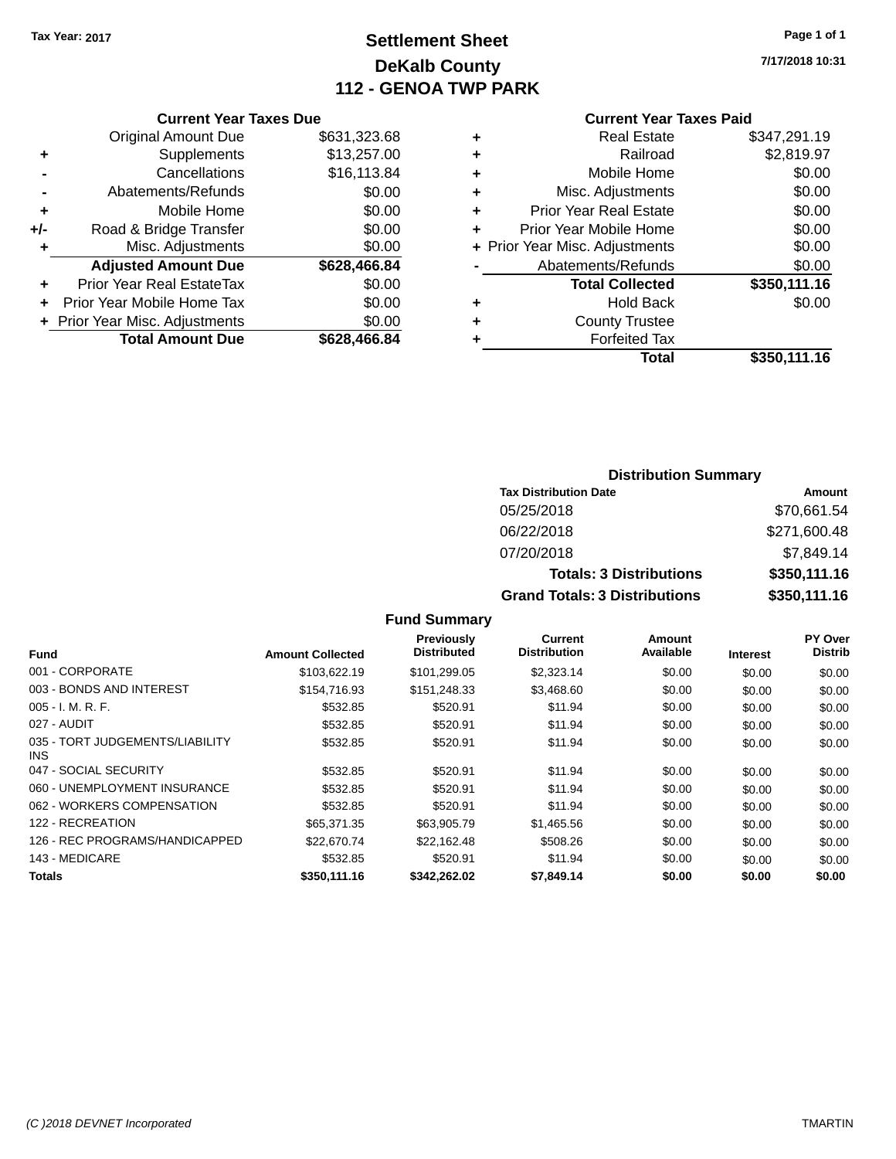# **Settlement Sheet Tax Year: 2017 Page 1 of 1 DeKalb County 112 - GENOA TWP PARK**

**7/17/2018 10:31**

#### **Current Year Taxes Paid**

|     | <b>Current Year Taxes Due</b>  |              |
|-----|--------------------------------|--------------|
|     | <b>Original Amount Due</b>     | \$631,323.68 |
| ٠   | Supplements                    | \$13,257.00  |
|     | Cancellations                  | \$16,113.84  |
|     | Abatements/Refunds             | \$0.00       |
| ٠   | Mobile Home                    | \$0.00       |
| +/- | Road & Bridge Transfer         | \$0.00       |
| ٠   | Misc. Adjustments              | \$0.00       |
|     | <b>Adjusted Amount Due</b>     | \$628,466.84 |
| ٠   | Prior Year Real EstateTax      | \$0.00       |
| ÷   | Prior Year Mobile Home Tax     | \$0.00       |
|     | + Prior Year Misc. Adjustments | \$0.00       |
|     | <b>Total Amount Due</b>        | \$628,466.84 |

|   | <b>Real Estate</b>             | \$347,291.19 |
|---|--------------------------------|--------------|
| ٠ | Railroad                       | \$2,819.97   |
| ٠ | Mobile Home                    | \$0.00       |
| ٠ | Misc. Adjustments              | \$0.00       |
| ٠ | <b>Prior Year Real Estate</b>  | \$0.00       |
| ٠ | Prior Year Mobile Home         | \$0.00       |
|   | + Prior Year Misc. Adjustments | \$0.00       |
|   | Abatements/Refunds             | \$0.00       |
|   | <b>Total Collected</b>         | \$350,111.16 |
| ٠ | <b>Hold Back</b>               | \$0.00       |
| ٠ | <b>County Trustee</b>          |              |
| ٠ | <b>Forfeited Tax</b>           |              |
|   | Total                          | \$350,111.16 |
|   |                                |              |

### **Distribution Summary Tax Distribution Date Amount** 05/25/2018 \$70,661.54 06/22/2018 \$271,600.48 07/20/2018 \$7,849.14 **Totals: 3 Distributions \$350,111.16 Grand Totals: 3 Distributions \$350,111.16**

| Fund                                    | <b>Amount Collected</b> | <b>Previously</b><br><b>Distributed</b> | <b>Current</b><br><b>Distribution</b> | Amount<br>Available | <b>Interest</b> | PY Over<br><b>Distrib</b> |
|-----------------------------------------|-------------------------|-----------------------------------------|---------------------------------------|---------------------|-----------------|---------------------------|
| 001 - CORPORATE                         | \$103,622.19            | \$101,299.05                            | \$2,323.14                            | \$0.00              | \$0.00          | \$0.00                    |
| 003 - BONDS AND INTEREST                | \$154,716.93            | \$151.248.33                            | \$3,468.60                            | \$0.00              | \$0.00          | \$0.00                    |
| $005 - I. M. R. F.$                     | \$532.85                | \$520.91                                | \$11.94                               | \$0.00              | \$0.00          | \$0.00                    |
| 027 - AUDIT                             | \$532.85                | \$520.91                                | \$11.94                               | \$0.00              | \$0.00          | \$0.00                    |
| 035 - TORT JUDGEMENTS/LIABILITY<br>INS. | \$532.85                | \$520.91                                | \$11.94                               | \$0.00              | \$0.00          | \$0.00                    |
| 047 - SOCIAL SECURITY                   | \$532.85                | \$520.91                                | \$11.94                               | \$0.00              | \$0.00          | \$0.00                    |
| 060 - UNEMPLOYMENT INSURANCE            | \$532.85                | \$520.91                                | \$11.94                               | \$0.00              | \$0.00          | \$0.00                    |
| 062 - WORKERS COMPENSATION              | \$532.85                | \$520.91                                | \$11.94                               | \$0.00              | \$0.00          | \$0.00                    |
| 122 - RECREATION                        | \$65,371.35             | \$63,905.79                             | \$1,465.56                            | \$0.00              | \$0.00          | \$0.00                    |
| 126 - REC PROGRAMS/HANDICAPPED          | \$22,670.74             | \$22.162.48                             | \$508.26                              | \$0.00              | \$0.00          | \$0.00                    |
| 143 - MEDICARE                          | \$532.85                | \$520.91                                | \$11.94                               | \$0.00              | \$0.00          | \$0.00                    |
| Totals                                  | \$350,111.16            | \$342.262.02                            | \$7,849.14                            | \$0.00              | \$0.00          | \$0.00                    |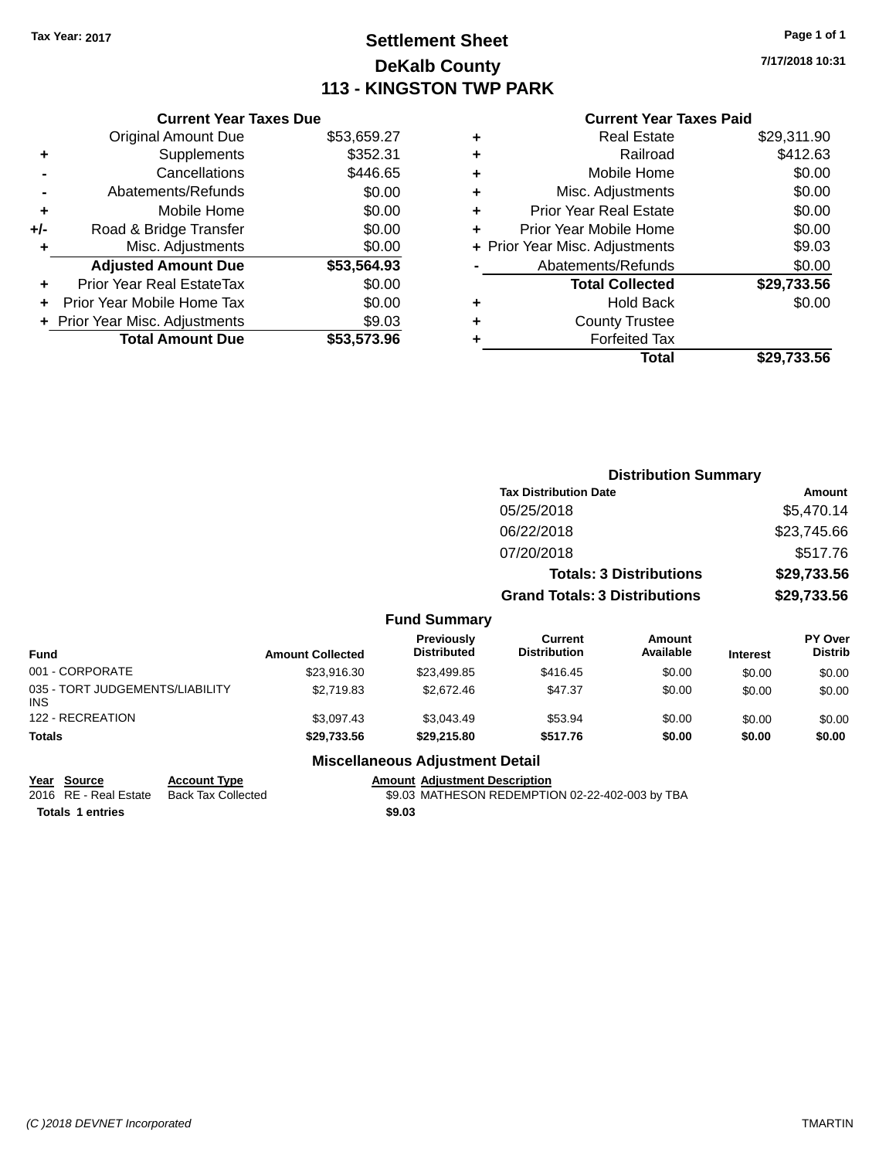# **Settlement Sheet Tax Year: 2017 Page 1 of 1 DeKalb County 113 - KINGSTON TWP PARK**

**7/17/2018 10:31**

|     | <b>Current Year Taxes Due</b>  |             |
|-----|--------------------------------|-------------|
|     | <b>Original Amount Due</b>     | \$53,659.27 |
| ٠   | Supplements                    | \$352.31    |
|     | Cancellations                  | \$446.65    |
|     | Abatements/Refunds             | \$0.00      |
| ٠   | Mobile Home                    | \$0.00      |
| +/- | Road & Bridge Transfer         | \$0.00      |
| ٠   | Misc. Adjustments              | \$0.00      |
|     | <b>Adjusted Amount Due</b>     | \$53,564.93 |
| ÷   | Prior Year Real EstateTax      | \$0.00      |
|     | Prior Year Mobile Home Tax     | \$0.00      |
|     | + Prior Year Misc. Adjustments | \$9.03      |
|     | <b>Total Amount Due</b>        | \$53.573.96 |
|     |                                |             |

### **Current Year Taxes Paid**

| ٠ | <b>Real Estate</b>             | \$29,311.90 |
|---|--------------------------------|-------------|
| ٠ | Railroad                       | \$412.63    |
| ٠ | Mobile Home                    | \$0.00      |
| ٠ | Misc. Adjustments              | \$0.00      |
| ٠ | <b>Prior Year Real Estate</b>  | \$0.00      |
| ٠ | Prior Year Mobile Home         | \$0.00      |
|   | + Prior Year Misc. Adjustments | \$9.03      |
|   | Abatements/Refunds             | \$0.00      |
|   | <b>Total Collected</b>         | \$29,733.56 |
| ٠ | <b>Hold Back</b>               | \$0.00      |
| ٠ | <b>County Trustee</b>          |             |
|   | <b>Forfeited Tax</b>           |             |
|   | Total                          | \$29,733.56 |
|   |                                |             |

|                                         |                         |                                  |                                      | <b>Distribution Summary</b>    |                 |                           |
|-----------------------------------------|-------------------------|----------------------------------|--------------------------------------|--------------------------------|-----------------|---------------------------|
|                                         |                         |                                  | <b>Tax Distribution Date</b>         |                                |                 | <b>Amount</b>             |
|                                         |                         |                                  | 05/25/2018                           |                                |                 | \$5.470.14                |
|                                         |                         |                                  | 06/22/2018                           |                                |                 | \$23,745.66               |
|                                         |                         |                                  | 07/20/2018                           |                                |                 | \$517.76                  |
|                                         |                         |                                  |                                      | <b>Totals: 3 Distributions</b> |                 | \$29,733.56               |
|                                         |                         |                                  | <b>Grand Totals: 3 Distributions</b> |                                |                 | \$29,733.56               |
|                                         |                         | <b>Fund Summary</b>              |                                      |                                |                 |                           |
| <b>Fund</b>                             | <b>Amount Collected</b> | Previously<br><b>Distributed</b> | Current<br><b>Distribution</b>       | Amount<br>Available            | <b>Interest</b> | PY Over<br><b>Distrib</b> |
| 001 - CORPORATE                         | \$23,916.30             | \$23,499.85                      | \$416.45                             | \$0.00                         | \$0.00          | \$0.00                    |
| 035 - TORT JUDGEMENTS/LIABILITY<br>INS. | \$2,719.83              | \$2,672.46                       | \$47.37                              | \$0.00                         | \$0.00          | \$0.00                    |
| 122 - RECREATION                        | \$3,097.43              | \$3,043.49                       | \$53.94                              | \$0.00                         | \$0.00          | \$0.00                    |
| <b>Totals</b>                           | \$29,733.56             | \$29,215.80                      | \$517.76                             | \$0.00                         | \$0.00          | \$0.00                    |
|                                         |                         |                                  |                                      |                                |                 |                           |

#### **Miscellaneous Adjustment Detail**

**Year** Source **Account Type Account Adjustment Description** 

INS

**Totals \$9.03 1 entries**

2016 RE - Real Estate Back Tax Collected 59.03 MATHESON REDEMPTION 02-22-402-003 by TBA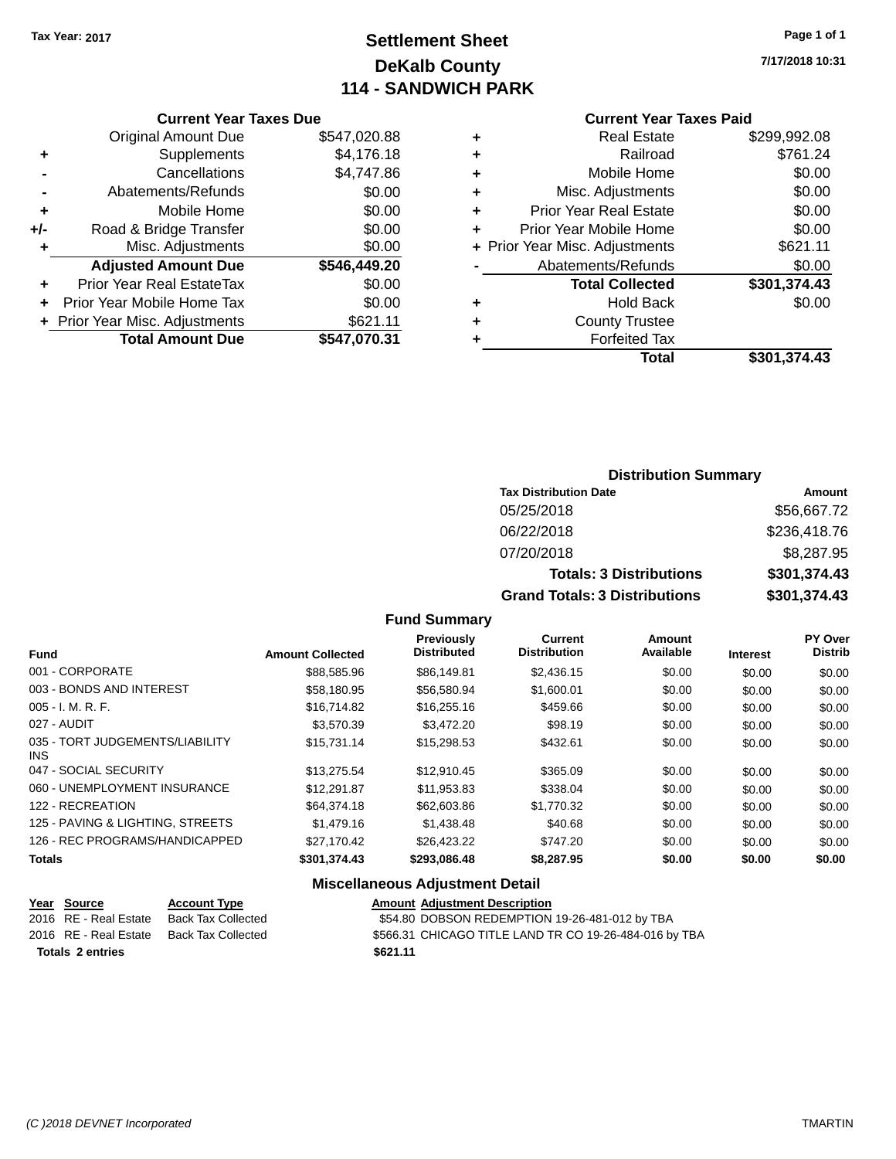# **Settlement Sheet Tax Year: 2017 Page 1 of 1 DeKalb County 114 - SANDWICH PARK**

**7/17/2018 10:31**

|       | <b>Current Year Taxes Due</b>  |              |
|-------|--------------------------------|--------------|
|       | <b>Original Amount Due</b>     | \$547,020.88 |
| ٠     | Supplements                    | \$4,176.18   |
|       | Cancellations                  | \$4,747.86   |
|       | Abatements/Refunds             | \$0.00       |
| ٠     | Mobile Home                    | \$0.00       |
| $+/-$ | Road & Bridge Transfer         | \$0.00       |
| ٠     | Misc. Adjustments              | \$0.00       |
|       | <b>Adjusted Amount Due</b>     | \$546,449.20 |
| ٠     | Prior Year Real EstateTax      | \$0.00       |
|       | Prior Year Mobile Home Tax     | \$0.00       |
|       | + Prior Year Misc. Adjustments | \$621.11     |
|       | <b>Total Amount Due</b>        | \$547,070.31 |
|       |                                |              |

|   | Total                          | \$301,374.43 |
|---|--------------------------------|--------------|
| ٠ | <b>Forfeited Tax</b>           |              |
| ٠ | <b>County Trustee</b>          |              |
| ٠ | <b>Hold Back</b>               | \$0.00       |
|   | <b>Total Collected</b>         | \$301,374.43 |
|   | Abatements/Refunds             | \$0.00       |
|   | + Prior Year Misc. Adjustments | \$621.11     |
| ٠ | Prior Year Mobile Home         | \$0.00       |
| ÷ | <b>Prior Year Real Estate</b>  | \$0.00       |
| ٠ | Misc. Adjustments              | \$0.00       |
| ٠ | Mobile Home                    | \$0.00       |
| ٠ | Railroad                       | \$761.24     |
| ٠ | <b>Real Estate</b>             | \$299,992.08 |
|   |                                |              |

**Current Year Taxes Paid**

### **Distribution Summary Tax Distribution Date Amount** 05/25/2018 \$56,667.72 06/22/2018 \$236,418.76 07/20/2018 \$8,287.95 **Totals: 3 Distributions \$301,374.43 Grand Totals: 3 Distributions \$301,374.43**

#### **Fund Summary**

| <b>Fund</b>                             | <b>Amount Collected</b> | <b>Previously</b><br><b>Distributed</b> | Current<br><b>Distribution</b> | Amount<br>Available | <b>Interest</b> | <b>PY Over</b><br><b>Distrib</b> |
|-----------------------------------------|-------------------------|-----------------------------------------|--------------------------------|---------------------|-----------------|----------------------------------|
| 001 - CORPORATE                         | \$88,585,96             | \$86,149.81                             | \$2,436.15                     | \$0.00              | \$0.00          | \$0.00                           |
| 003 - BONDS AND INTEREST                | \$58,180.95             | \$56,580.94                             | \$1,600.01                     | \$0.00              | \$0.00          | \$0.00                           |
| $005 - I. M. R. F.$                     | \$16,714.82             | \$16,255.16                             | \$459.66                       | \$0.00              | \$0.00          | \$0.00                           |
| 027 - AUDIT                             | \$3.570.39              | \$3,472.20                              | \$98.19                        | \$0.00              | \$0.00          | \$0.00                           |
| 035 - TORT JUDGEMENTS/LIABILITY<br>INS. | \$15.731.14             | \$15,298.53                             | \$432.61                       | \$0.00              | \$0.00          | \$0.00                           |
| 047 - SOCIAL SECURITY                   | \$13.275.54             | \$12.910.45                             | \$365.09                       | \$0.00              | \$0.00          | \$0.00                           |
| 060 - UNEMPLOYMENT INSURANCE            | \$12,291.87             | \$11.953.83                             | \$338.04                       | \$0.00              | \$0.00          | \$0.00                           |
| 122 - RECREATION                        | \$64,374.18             | \$62,603.86                             | \$1,770.32                     | \$0.00              | \$0.00          | \$0.00                           |
| 125 - PAVING & LIGHTING, STREETS        | \$1,479.16              | \$1,438,48                              | \$40.68                        | \$0.00              | \$0.00          | \$0.00                           |
| 126 - REC PROGRAMS/HANDICAPPED          | \$27.170.42             | \$26.423.22                             | \$747.20                       | \$0.00              | \$0.00          | \$0.00                           |
| <b>Totals</b>                           | \$301,374.43            | \$293,086.48                            | \$8,287.95                     | \$0.00              | \$0.00          | \$0.00                           |

#### **Miscellaneous Adjustment Detail**

|                         | Year Source           | <b>Account Type</b> |  | <b>Amount Adiustment Description</b>                   |
|-------------------------|-----------------------|---------------------|--|--------------------------------------------------------|
|                         | 2016 RE - Real Estate | Back Tax Collected  |  | \$54.80 DOBSON REDEMPTION 19-26-481-012 by TBA         |
|                         | 2016 RE - Real Estate | Back Tax Collected  |  | \$566.31 CHICAGO TITLE LAND TR CO 19-26-484-016 by TBA |
| <b>Totals 2 entries</b> |                       | \$621.11            |  |                                                        |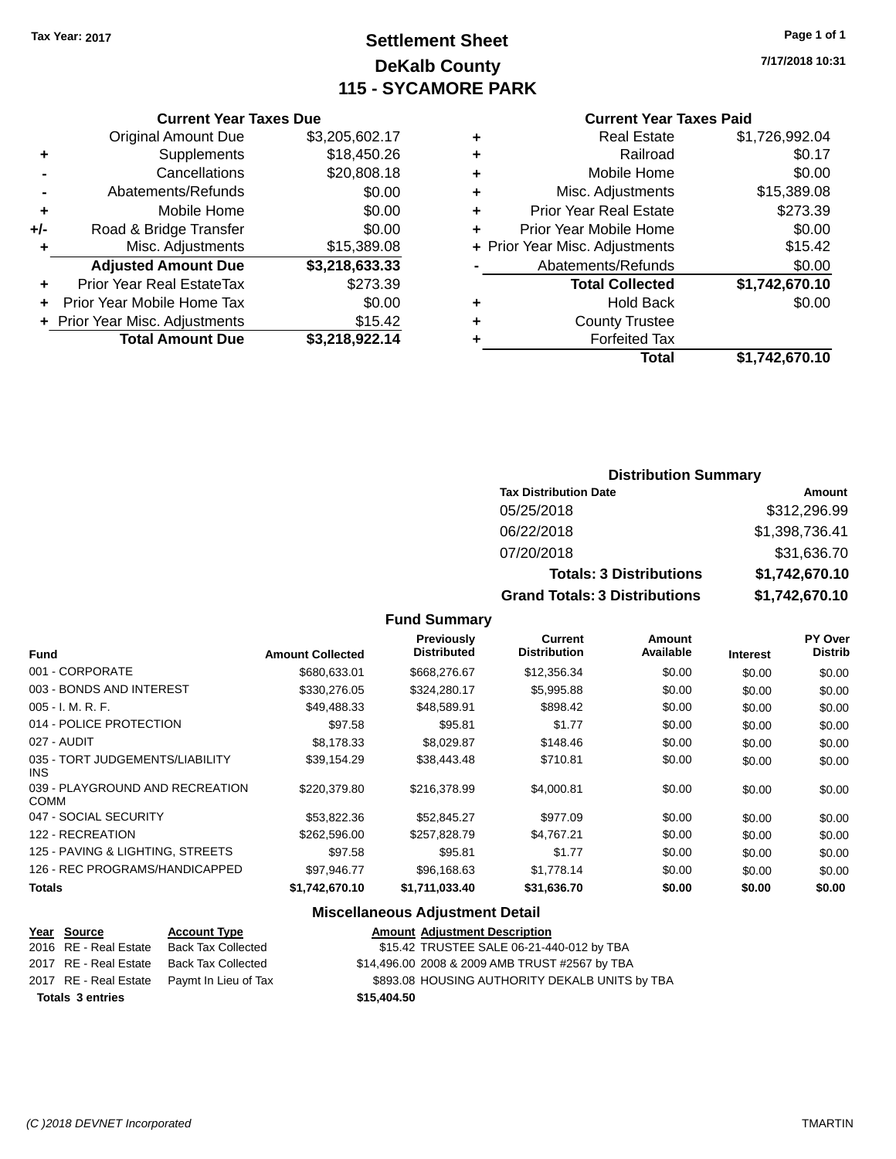# **Settlement Sheet Tax Year: 2017 Page 1 of 1 DeKalb County 115 - SYCAMORE PARK**

**7/17/2018 10:31**

#### **Current Year Taxes Paid**

|   | Total                          | \$1,742,670.10 |
|---|--------------------------------|----------------|
| ٠ | <b>Forfeited Tax</b>           |                |
| ٠ | <b>County Trustee</b>          |                |
| ٠ | <b>Hold Back</b>               | \$0.00         |
|   | <b>Total Collected</b>         | \$1,742,670.10 |
|   | Abatements/Refunds             | \$0.00         |
|   | + Prior Year Misc. Adjustments | \$15.42        |
| ٠ | Prior Year Mobile Home         | \$0.00         |
| ٠ | <b>Prior Year Real Estate</b>  | \$273.39       |
| ٠ | Misc. Adjustments              | \$15,389.08    |
| ٠ | Mobile Home                    | \$0.00         |
| ٠ | Railroad                       | \$0.17         |
| ٠ | <b>Real Estate</b>             | \$1,726,992.04 |
|   |                                |                |

#### **Current Year Taxes Due** Original Amount Due \$3,205,602.17<br>Supplements \$18,450.26 **+** Supplements **-** Cancellations \$20,808.18 **-** Abatements/Refunds \$0.00 **+** Mobile Home \$0.00 **+/-** Road & Bridge Transfer \$0.00<br>Misc. Adjustments \$15,389.08 **+** Misc. Adjustments **Adjusted Amount Due \$3,218,633.33**

| <b>Total Amount Due</b>        | \$3,218,922.14 |
|--------------------------------|----------------|
| + Prior Year Misc. Adjustments | \$15.42        |
| + Prior Year Mobile Home Tax   | \$0.00         |
| Prior Year Real EstateTax      | \$273.39       |

#### **Distribution Summary**

| <b>Tax Distribution Date</b>         | Amount         |
|--------------------------------------|----------------|
| 05/25/2018                           | \$312,296.99   |
| 06/22/2018                           | \$1,398,736.41 |
| 07/20/2018                           | \$31,636.70    |
| <b>Totals: 3 Distributions</b>       | \$1,742,670.10 |
| <b>Grand Totals: 3 Distributions</b> | \$1,742,670.10 |

#### **Fund Summary**

| <b>Fund</b>                                    | <b>Amount Collected</b> | Previously<br><b>Distributed</b> | <b>Current</b><br><b>Distribution</b> | Amount<br>Available | <b>Interest</b> | <b>PY Over</b><br><b>Distrib</b> |
|------------------------------------------------|-------------------------|----------------------------------|---------------------------------------|---------------------|-----------------|----------------------------------|
| 001 - CORPORATE                                | \$680,633.01            | \$668,276.67                     | \$12,356.34                           | \$0.00              | \$0.00          | \$0.00                           |
| 003 - BONDS AND INTEREST                       | \$330,276.05            | \$324,280.17                     | \$5,995.88                            | \$0.00              | \$0.00          | \$0.00                           |
| $005 - I. M. R. F.$                            | \$49,488.33             | \$48,589.91                      | \$898.42                              | \$0.00              | \$0.00          | \$0.00                           |
| 014 - POLICE PROTECTION                        | \$97.58                 | \$95.81                          | \$1.77                                | \$0.00              | \$0.00          | \$0.00                           |
| 027 - AUDIT                                    | \$8.178.33              | \$8.029.87                       | \$148.46                              | \$0.00              | \$0.00          | \$0.00                           |
| 035 - TORT JUDGEMENTS/LIABILITY<br><b>INS</b>  | \$39,154.29             | \$38,443.48                      | \$710.81                              | \$0.00              | \$0.00          | \$0.00                           |
| 039 - PLAYGROUND AND RECREATION<br><b>COMM</b> | \$220,379.80            | \$216,378.99                     | \$4,000.81                            | \$0.00              | \$0.00          | \$0.00                           |
| 047 - SOCIAL SECURITY                          | \$53,822.36             | \$52,845.27                      | \$977.09                              | \$0.00              | \$0.00          | \$0.00                           |
| 122 - RECREATION                               | \$262,596.00            | \$257.828.79                     | \$4.767.21                            | \$0.00              | \$0.00          | \$0.00                           |
| 125 - PAVING & LIGHTING, STREETS               | \$97.58                 | \$95.81                          | \$1.77                                | \$0.00              | \$0.00          | \$0.00                           |
| 126 - REC PROGRAMS/HANDICAPPED                 | \$97,946.77             | \$96,168.63                      | \$1,778.14                            | \$0.00              | \$0.00          | \$0.00                           |
| <b>Totals</b>                                  | \$1,742,670.10          | \$1,711,033.40                   | \$31,636.70                           | \$0.00              | \$0.00          | \$0.00                           |

#### **Miscellaneous Adjustment Detail**

| Year Source             | <b>Account Type</b>       | <b>Amount Adjustment Description</b>           |
|-------------------------|---------------------------|------------------------------------------------|
| 2016 RE - Real Estate   | <b>Back Tax Collected</b> | \$15.42 TRUSTEE SALE 06-21-440-012 by TBA      |
| 2017 RE - Real Estate   | <b>Back Tax Collected</b> | \$14,496.00 2008 & 2009 AMB TRUST #2567 by TBA |
| 2017 RE - Real Estate   | Paymt In Lieu of Tax      | \$893.08 HOUSING AUTHORITY DEKALB UNITS by TBA |
| <b>Totals 3 entries</b> |                           | \$15,404.50                                    |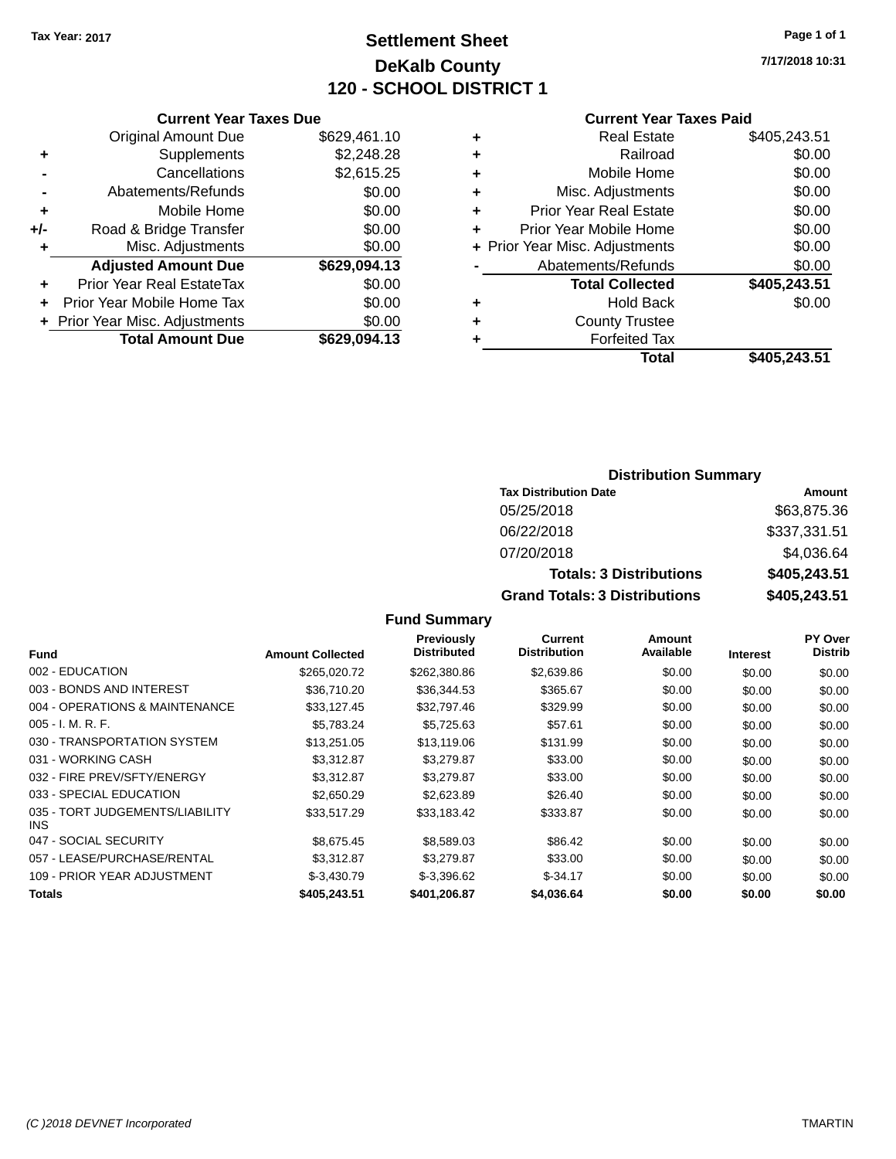## **Settlement Sheet Tax Year: 2017 Page 1 of 1 DeKalb County 120 - SCHOOL DISTRICT 1**

**7/17/2018 10:31**

#### **Current Year Taxes Paid**

|     | <b>Current Year Taxes Due</b>  |              |
|-----|--------------------------------|--------------|
|     | <b>Original Amount Due</b>     | \$629,461.10 |
| ٠   | Supplements                    | \$2,248.28   |
|     | Cancellations                  | \$2,615.25   |
|     | Abatements/Refunds             | \$0.00       |
| ٠   | Mobile Home                    | \$0.00       |
| +/- | Road & Bridge Transfer         | \$0.00       |
| ٠   | Misc. Adjustments              | \$0.00       |
|     | <b>Adjusted Amount Due</b>     | \$629,094.13 |
| ٠   | Prior Year Real EstateTax      | \$0.00       |
|     | Prior Year Mobile Home Tax     | \$0.00       |
|     | + Prior Year Misc. Adjustments | \$0.00       |
|     | <b>Total Amount Due</b>        | \$629,094.13 |
|     |                                |              |

| ٠ | <b>Real Estate</b>             | \$405,243.51 |
|---|--------------------------------|--------------|
| ٠ | Railroad                       | \$0.00       |
| ٠ | Mobile Home                    | \$0.00       |
| ٠ | Misc. Adjustments              | \$0.00       |
| ٠ | <b>Prior Year Real Estate</b>  | \$0.00       |
| ٠ | Prior Year Mobile Home         | \$0.00       |
|   | + Prior Year Misc. Adjustments | \$0.00       |
|   | Abatements/Refunds             | \$0.00       |
|   | <b>Total Collected</b>         | \$405,243.51 |
| ٠ | Hold Back                      | \$0.00       |
| ٠ | <b>County Trustee</b>          |              |
| ٠ | <b>Forfeited Tax</b>           |              |
|   | Total                          | \$405,243.51 |
|   |                                |              |

### **Distribution Summary Tax Distribution Date Amount** 05/25/2018 \$63,875.36 06/22/2018 \$337,331.51 07/20/2018 \$4,036.64 **Totals: 3 Distributions \$405,243.51 Grand Totals: 3 Distributions \$405,243.51**

| <b>Fund</b>                             | <b>Amount Collected</b> | <b>Previously</b><br><b>Distributed</b> | <b>Current</b><br><b>Distribution</b> | Amount<br>Available | <b>Interest</b> | <b>PY Over</b><br><b>Distrib</b> |
|-----------------------------------------|-------------------------|-----------------------------------------|---------------------------------------|---------------------|-----------------|----------------------------------|
| 002 - EDUCATION                         | \$265,020.72            | \$262,380.86                            | \$2,639.86                            | \$0.00              | \$0.00          | \$0.00                           |
| 003 - BONDS AND INTEREST                | \$36,710.20             | \$36,344.53                             | \$365.67                              | \$0.00              | \$0.00          | \$0.00                           |
| 004 - OPERATIONS & MAINTENANCE          | \$33,127.45             | \$32,797.46                             | \$329.99                              | \$0.00              | \$0.00          | \$0.00                           |
| $005 - I. M. R. F.$                     | \$5,783.24              | \$5,725.63                              | \$57.61                               | \$0.00              | \$0.00          | \$0.00                           |
| 030 - TRANSPORTATION SYSTEM             | \$13,251.05             | \$13,119.06                             | \$131.99                              | \$0.00              | \$0.00          | \$0.00                           |
| 031 - WORKING CASH                      | \$3,312.87              | \$3,279.87                              | \$33.00                               | \$0.00              | \$0.00          | \$0.00                           |
| 032 - FIRE PREV/SFTY/ENERGY             | \$3,312.87              | \$3,279.87                              | \$33.00                               | \$0.00              | \$0.00          | \$0.00                           |
| 033 - SPECIAL EDUCATION                 | \$2,650.29              | \$2,623.89                              | \$26.40                               | \$0.00              | \$0.00          | \$0.00                           |
| 035 - TORT JUDGEMENTS/LIABILITY<br>INS. | \$33,517.29             | \$33,183.42                             | \$333.87                              | \$0.00              | \$0.00          | \$0.00                           |
| 047 - SOCIAL SECURITY                   | \$8,675,45              | \$8,589.03                              | \$86.42                               | \$0.00              | \$0.00          | \$0.00                           |
| 057 - LEASE/PURCHASE/RENTAL             | \$3.312.87              | \$3,279.87                              | \$33.00                               | \$0.00              | \$0.00          | \$0.00                           |
| 109 - PRIOR YEAR ADJUSTMENT             | $$-3.430.79$            | $$-3.396.62$                            | $$-34.17$                             | \$0.00              | \$0.00          | \$0.00                           |
| <b>Totals</b>                           | \$405.243.51            | \$401,206.87                            | \$4,036.64                            | \$0.00              | \$0.00          | \$0.00                           |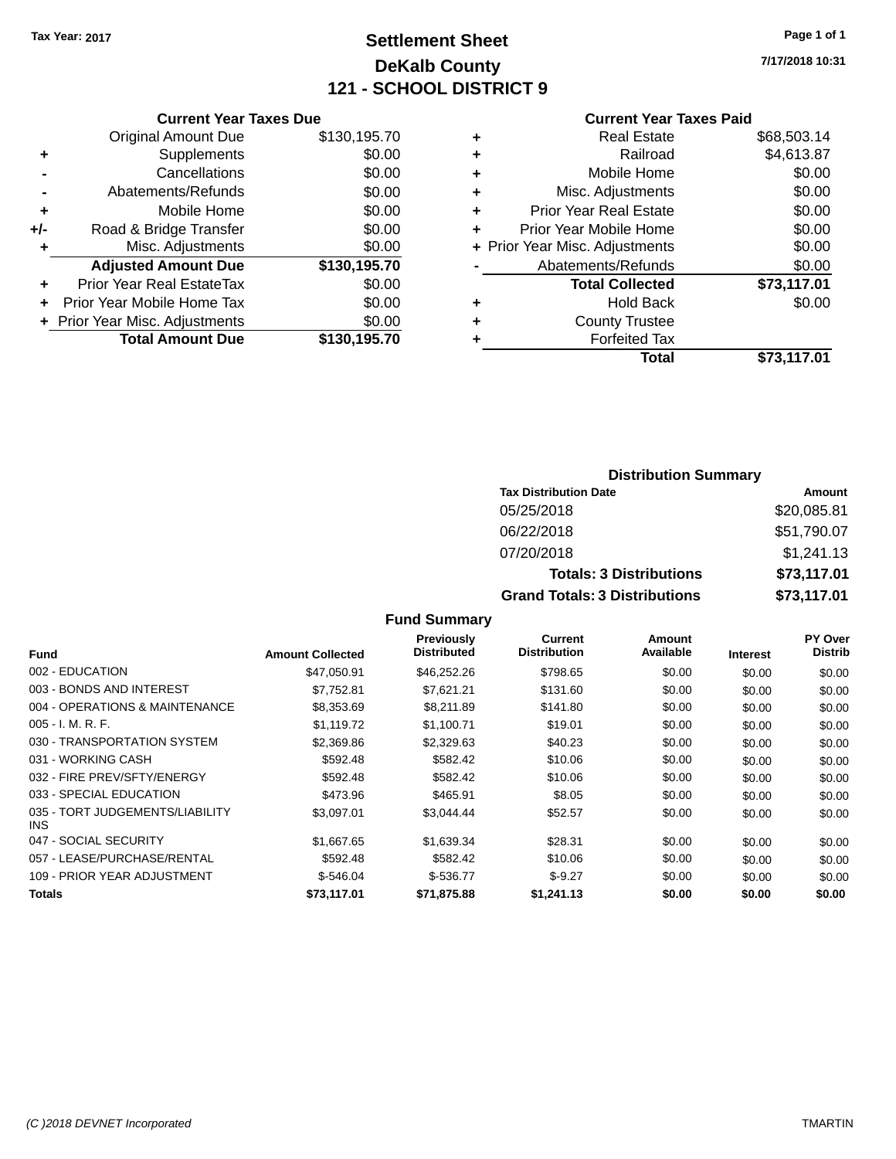### **Settlement Sheet Tax Year: 2017 Page 1 of 1 DeKalb County 121 - SCHOOL DISTRICT 9**

**7/17/2018 10:31**

| <b>Current</b> |
|----------------|
|                |

|     | <b>Current Year Taxes Due</b>    |              |
|-----|----------------------------------|--------------|
|     | <b>Original Amount Due</b>       | \$130,195.70 |
| ٠   | Supplements                      | \$0.00       |
|     | Cancellations                    | \$0.00       |
|     | Abatements/Refunds               | \$0.00       |
| ٠   | Mobile Home                      | \$0.00       |
| +/- | Road & Bridge Transfer           | \$0.00       |
| ٠   | Misc. Adjustments                | \$0.00       |
|     | <b>Adjusted Amount Due</b>       | \$130,195.70 |
| ٠   | <b>Prior Year Real EstateTax</b> | \$0.00       |
|     | Prior Year Mobile Home Tax       | \$0.00       |
|     | + Prior Year Misc. Adjustments   | \$0.00       |
|     | <b>Total Amount Due</b>          | \$130,195.70 |
|     |                                  |              |

| <b>Current Year Taxes Paid</b> |             |
|--------------------------------|-------------|
| <b>Real Estate</b>             | \$68,503.14 |
| Railroad                       | \$4,613.87  |
| Mobile Home                    | \$0.00      |
| Misc. Adjustments              | \$0.00      |
| <b>Prior Year Real Estate</b>  | \$0.00      |
| Prior Year Mobile Home         | \$0.00      |
| + Prior Year Misc. Adjustments | \$0.00      |
| Abatements/Refunds             | \$0.00      |
| <b>Total Collected</b>         | \$73,117.01 |
| <b>Hold Back</b>               | \$0.00      |
| <b>County Trustee</b>          |             |
| <b>Forfeited Tax</b>           |             |
| Total                          | \$73,117.01 |
|                                |             |

| <b>Distribution Summary</b>          |             |  |  |  |
|--------------------------------------|-------------|--|--|--|
| <b>Tax Distribution Date</b>         | Amount      |  |  |  |
| 05/25/2018                           | \$20,085.81 |  |  |  |
| 06/22/2018                           | \$51,790.07 |  |  |  |
| 07/20/2018                           | \$1,241.13  |  |  |  |
| <b>Totals: 3 Distributions</b>       | \$73,117.01 |  |  |  |
| <b>Grand Totals: 3 Distributions</b> | \$73,117.01 |  |  |  |

| <b>Fund</b>                             | <b>Amount Collected</b> | Previously<br><b>Distributed</b> | Current<br><b>Distribution</b> | Amount<br>Available | <b>Interest</b> | <b>PY Over</b><br><b>Distrib</b> |
|-----------------------------------------|-------------------------|----------------------------------|--------------------------------|---------------------|-----------------|----------------------------------|
| 002 - EDUCATION                         | \$47.050.91             | \$46,252.26                      | \$798.65                       | \$0.00              | \$0.00          | \$0.00                           |
| 003 - BONDS AND INTEREST                | \$7.752.81              | \$7,621.21                       | \$131.60                       | \$0.00              | \$0.00          | \$0.00                           |
| 004 - OPERATIONS & MAINTENANCE          | \$8,353.69              | \$8,211.89                       | \$141.80                       | \$0.00              | \$0.00          | \$0.00                           |
| $005 - I. M. R. F.$                     | \$1,119.72              | \$1,100.71                       | \$19.01                        | \$0.00              | \$0.00          | \$0.00                           |
| 030 - TRANSPORTATION SYSTEM             | \$2,369.86              | \$2,329.63                       | \$40.23                        | \$0.00              | \$0.00          | \$0.00                           |
| 031 - WORKING CASH                      | \$592.48                | \$582.42                         | \$10.06                        | \$0.00              | \$0.00          | \$0.00                           |
| 032 - FIRE PREV/SFTY/ENERGY             | \$592.48                | \$582.42                         | \$10.06                        | \$0.00              | \$0.00          | \$0.00                           |
| 033 - SPECIAL EDUCATION                 | \$473.96                | \$465.91                         | \$8.05                         | \$0.00              | \$0.00          | \$0.00                           |
| 035 - TORT JUDGEMENTS/LIABILITY<br>INS. | \$3.097.01              | \$3.044.44                       | \$52.57                        | \$0.00              | \$0.00          | \$0.00                           |
| 047 - SOCIAL SECURITY                   | \$1.667.65              | \$1,639.34                       | \$28.31                        | \$0.00              | \$0.00          | \$0.00                           |
| 057 - LEASE/PURCHASE/RENTAL             | \$592.48                | \$582.42                         | \$10.06                        | \$0.00              | \$0.00          | \$0.00                           |
| 109 - PRIOR YEAR ADJUSTMENT             | $$-546.04$              | $$-536.77$                       | $$-9.27$                       | \$0.00              | \$0.00          | \$0.00                           |
| Totals                                  | \$73.117.01             | \$71,875.88                      | \$1,241,13                     | \$0.00              | \$0.00          | \$0.00                           |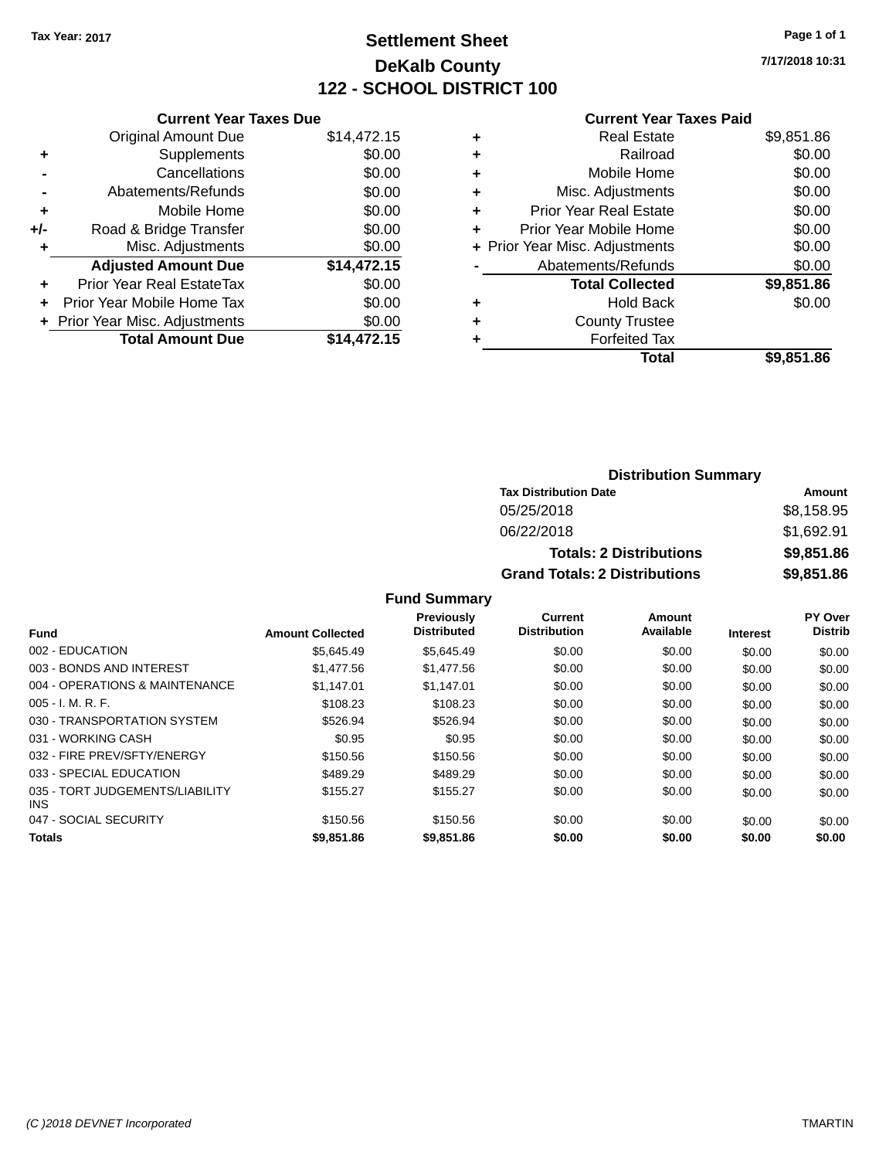## **Settlement Sheet Tax Year: 2017 Page 1 of 1 DeKalb County 122 - SCHOOL DISTRICT 100**

**7/17/2018 10:31**

#### **Current Year Taxes Paid**

|       | <b>Current Year Taxes Due</b>  |             |
|-------|--------------------------------|-------------|
|       | <b>Original Amount Due</b>     | \$14,472.15 |
| ٠     | Supplements                    | \$0.00      |
|       | Cancellations                  | \$0.00      |
|       | Abatements/Refunds             | \$0.00      |
| ٠     | Mobile Home                    | \$0.00      |
| $+/-$ | Road & Bridge Transfer         | \$0.00      |
|       | Misc. Adjustments              | \$0.00      |
|       | <b>Adjusted Amount Due</b>     | \$14,472.15 |
| ٠     | Prior Year Real EstateTax      | \$0.00      |
|       | Prior Year Mobile Home Tax     | \$0.00      |
|       | + Prior Year Misc. Adjustments | \$0.00      |
|       | <b>Total Amount Due</b>        | \$14.472.15 |
|       |                                |             |

|   | <b>Real Estate</b>             | \$9,851.86 |
|---|--------------------------------|------------|
| ٠ | Railroad                       | \$0.00     |
| ٠ | Mobile Home                    | \$0.00     |
| ٠ | Misc. Adjustments              | \$0.00     |
| ٠ | <b>Prior Year Real Estate</b>  | \$0.00     |
|   | Prior Year Mobile Home         | \$0.00     |
|   | + Prior Year Misc. Adjustments | \$0.00     |
|   | Abatements/Refunds             | \$0.00     |
|   | <b>Total Collected</b>         | \$9,851.86 |
| ٠ | <b>Hold Back</b>               | \$0.00     |
|   | <b>County Trustee</b>          |            |
| ٠ | <b>Forfeited Tax</b>           |            |
|   | Total                          | \$9,851.86 |
|   |                                |            |

| <b>Distribution Summary</b>                        |            |  |  |  |
|----------------------------------------------------|------------|--|--|--|
| <b>Tax Distribution Date</b>                       | Amount     |  |  |  |
| 05/25/2018                                         | \$8,158.95 |  |  |  |
| 06/22/2018                                         | \$1,692.91 |  |  |  |
| \$9,851.86<br><b>Totals: 2 Distributions</b>       |            |  |  |  |
| \$9,851.86<br><b>Grand Totals: 2 Distributions</b> |            |  |  |  |

|                                               |                         | <b>Previously</b><br><b>Distributed</b> | Current<br><b>Distribution</b> | Amount<br>Available |                 | PY Over<br><b>Distrib</b> |
|-----------------------------------------------|-------------------------|-----------------------------------------|--------------------------------|---------------------|-----------------|---------------------------|
| <b>Fund</b>                                   | <b>Amount Collected</b> |                                         |                                |                     | <b>Interest</b> |                           |
| 002 - EDUCATION                               | \$5.645.49              | \$5.645.49                              | \$0.00                         | \$0.00              | \$0.00          | \$0.00                    |
| 003 - BONDS AND INTEREST                      | \$1.477.56              | \$1,477.56                              | \$0.00                         | \$0.00              | \$0.00          | \$0.00                    |
| 004 - OPERATIONS & MAINTENANCE                | \$1.147.01              | \$1.147.01                              | \$0.00                         | \$0.00              | \$0.00          | \$0.00                    |
| $005 - I. M. R. F.$                           | \$108.23                | \$108.23                                | \$0.00                         | \$0.00              | \$0.00          | \$0.00                    |
| 030 - TRANSPORTATION SYSTEM                   | \$526.94                | \$526.94                                | \$0.00                         | \$0.00              | \$0.00          | \$0.00                    |
| 031 - WORKING CASH                            | \$0.95                  | \$0.95                                  | \$0.00                         | \$0.00              | \$0.00          | \$0.00                    |
| 032 - FIRE PREV/SFTY/ENERGY                   | \$150.56                | \$150.56                                | \$0.00                         | \$0.00              | \$0.00          | \$0.00                    |
| 033 - SPECIAL EDUCATION                       | \$489.29                | \$489.29                                | \$0.00                         | \$0.00              | \$0.00          | \$0.00                    |
| 035 - TORT JUDGEMENTS/LIABILITY<br><b>INS</b> | \$155.27                | \$155.27                                | \$0.00                         | \$0.00              | \$0.00          | \$0.00                    |
| 047 - SOCIAL SECURITY                         | \$150.56                | \$150.56                                | \$0.00                         | \$0.00              | \$0.00          | \$0.00                    |
| <b>Totals</b>                                 | \$9,851,86              | \$9,851.86                              | \$0.00                         | \$0.00              | \$0.00          | \$0.00                    |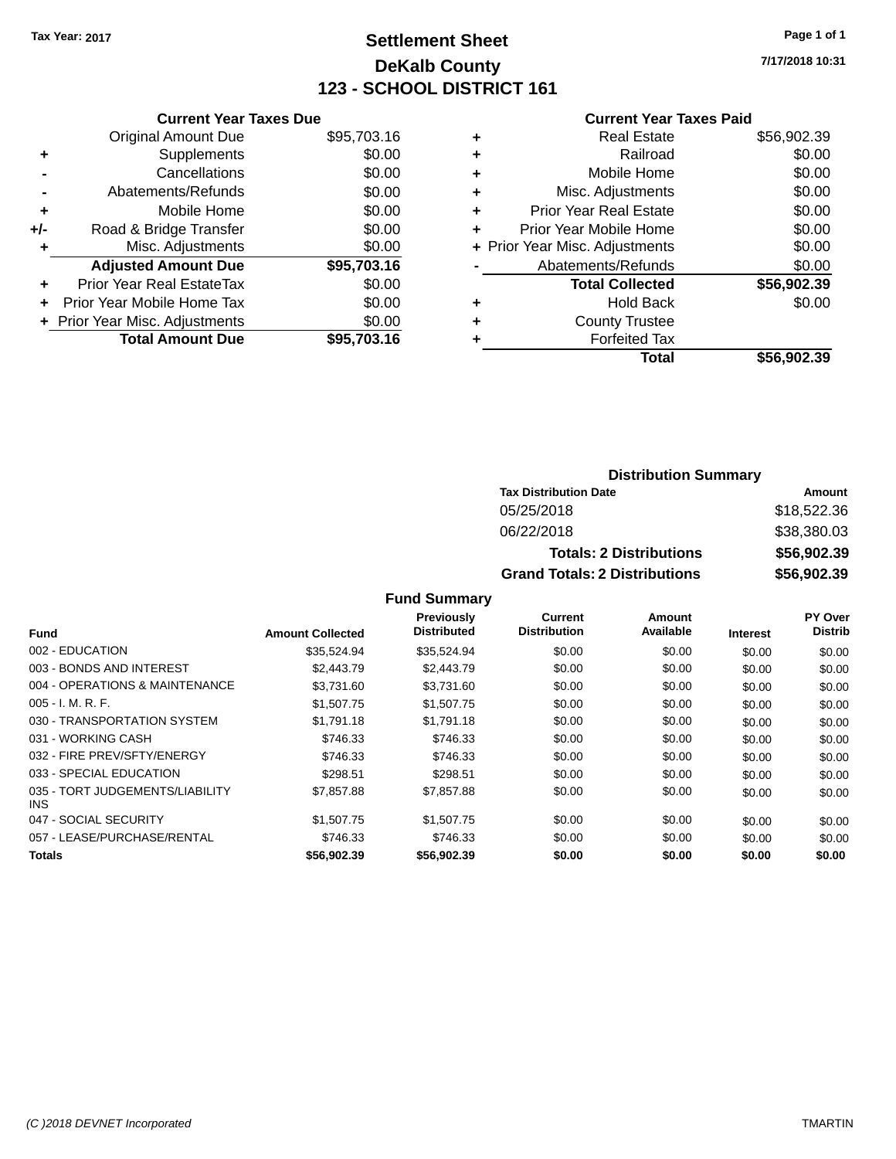## **Settlement Sheet Tax Year: 2017 Page 1 of 1 DeKalb County 123 - SCHOOL DISTRICT 161**

**7/17/2018 10:31**

#### **Current Year Taxes Paid**

|     | <b>Current Year Taxes Due</b>  |             |
|-----|--------------------------------|-------------|
|     | <b>Original Amount Due</b>     | \$95,703.16 |
| ٠   | Supplements                    | \$0.00      |
|     | Cancellations                  | \$0.00      |
|     | Abatements/Refunds             | \$0.00      |
| ٠   | Mobile Home                    | \$0.00      |
| +/- | Road & Bridge Transfer         | \$0.00      |
|     | Misc. Adjustments              | \$0.00      |
|     | <b>Adjusted Amount Due</b>     | \$95,703.16 |
| ٠   | Prior Year Real EstateTax      | \$0.00      |
|     | Prior Year Mobile Home Tax     | \$0.00      |
|     | + Prior Year Misc. Adjustments | \$0.00      |
|     | <b>Total Amount Due</b>        | \$95,703,16 |
|     |                                |             |

|   | <b>Real Estate</b>             | \$56,902.39 |
|---|--------------------------------|-------------|
| ٠ | Railroad                       | \$0.00      |
| ٠ | Mobile Home                    | \$0.00      |
| ٠ | Misc. Adjustments              | \$0.00      |
| ٠ | Prior Year Real Estate         | \$0.00      |
| ٠ | Prior Year Mobile Home         | \$0.00      |
|   | + Prior Year Misc. Adjustments | \$0.00      |
|   | Abatements/Refunds             | \$0.00      |
|   | <b>Total Collected</b>         | \$56,902.39 |
| ٠ | Hold Back                      | \$0.00      |
| ٠ | <b>County Trustee</b>          |             |
| ٠ | <b>Forfeited Tax</b>           |             |
|   | Total                          | \$56,902.39 |
|   |                                |             |

### **Distribution Summary Tax Distribution Date Amount** 05/25/2018 \$18,522.36 06/22/2018 \$38,380.03 **Totals: 2 Distributions \$56,902.39 Grand Totals: 2 Distributions \$56,902.39**

|                                         |                         | Previously         | <b>Current</b>      | Amount    |                 | PY Over        |
|-----------------------------------------|-------------------------|--------------------|---------------------|-----------|-----------------|----------------|
| <b>Fund</b>                             | <b>Amount Collected</b> | <b>Distributed</b> | <b>Distribution</b> | Available | <b>Interest</b> | <b>Distrib</b> |
| 002 - EDUCATION                         | \$35.524.94             | \$35.524.94        | \$0.00              | \$0.00    | \$0.00          | \$0.00         |
| 003 - BONDS AND INTEREST                | \$2,443.79              | \$2,443.79         | \$0.00              | \$0.00    | \$0.00          | \$0.00         |
| 004 - OPERATIONS & MAINTENANCE          | \$3.731.60              | \$3,731.60         | \$0.00              | \$0.00    | \$0.00          | \$0.00         |
| $005 - I. M. R. F.$                     | \$1,507.75              | \$1,507.75         | \$0.00              | \$0.00    | \$0.00          | \$0.00         |
| 030 - TRANSPORTATION SYSTEM             | \$1,791.18              | \$1.791.18         | \$0.00              | \$0.00    | \$0.00          | \$0.00         |
| 031 - WORKING CASH                      | \$746.33                | \$746.33           | \$0.00              | \$0.00    | \$0.00          | \$0.00         |
| 032 - FIRE PREV/SFTY/ENERGY             | \$746.33                | \$746.33           | \$0.00              | \$0.00    | \$0.00          | \$0.00         |
| 033 - SPECIAL EDUCATION                 | \$298.51                | \$298.51           | \$0.00              | \$0.00    | \$0.00          | \$0.00         |
| 035 - TORT JUDGEMENTS/LIABILITY<br>INS. | \$7,857.88              | \$7,857.88         | \$0.00              | \$0.00    | \$0.00          | \$0.00         |
| 047 - SOCIAL SECURITY                   | \$1,507.75              | \$1,507.75         | \$0.00              | \$0.00    | \$0.00          | \$0.00         |
| 057 - LEASE/PURCHASE/RENTAL             | \$746.33                | \$746.33           | \$0.00              | \$0.00    | \$0.00          | \$0.00         |
| <b>Totals</b>                           | \$56,902.39             | \$56,902.39        | \$0.00              | \$0.00    | \$0.00          | \$0.00         |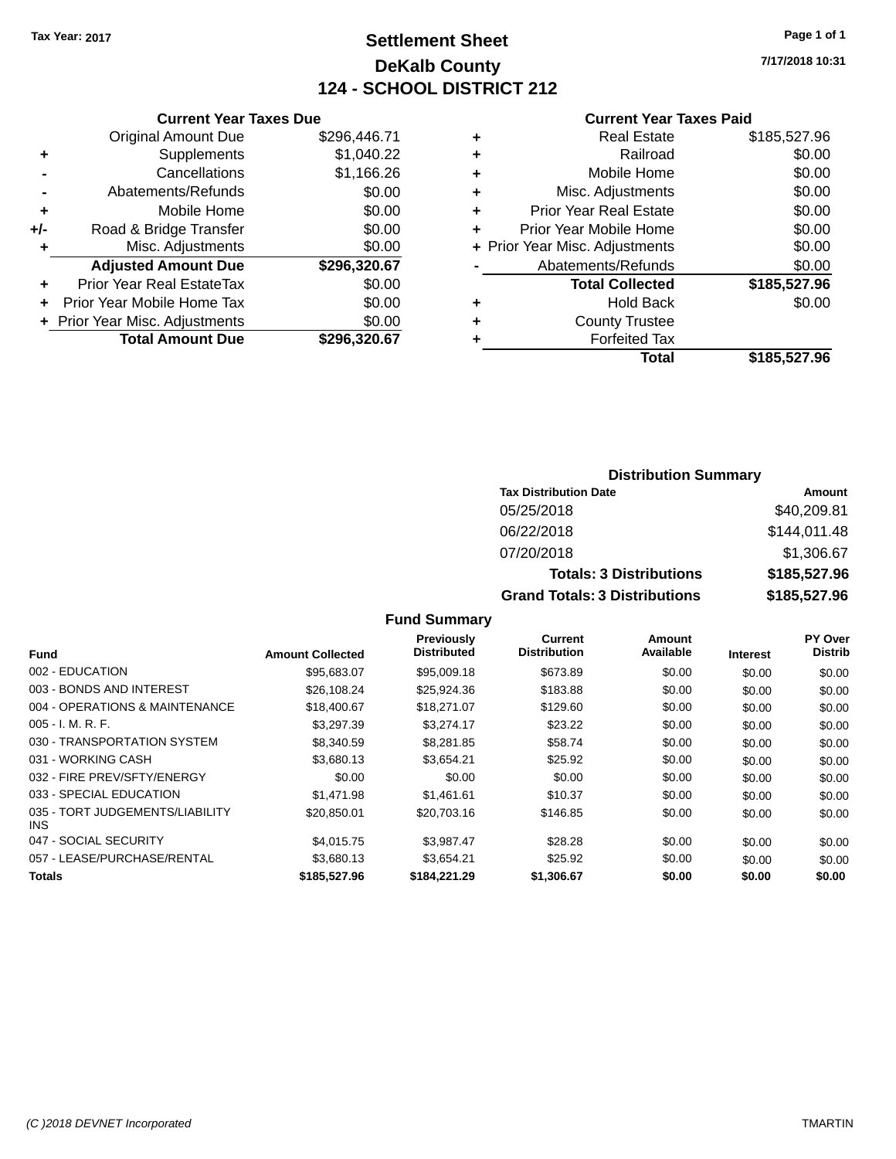### **Settlement Sheet Tax Year: 2017 Page 1 of 1 DeKalb County 124 - SCHOOL DISTRICT 212**

**7/17/2018 10:31**

#### **Current Year Taxes Paid**

|     | <b>Current Year Taxes Due</b>  |              |  |  |  |
|-----|--------------------------------|--------------|--|--|--|
|     | <b>Original Amount Due</b>     | \$296,446.71 |  |  |  |
| ٠   | Supplements                    | \$1,040.22   |  |  |  |
|     | Cancellations                  | \$1,166.26   |  |  |  |
|     | Abatements/Refunds             | \$0.00       |  |  |  |
| ٠   | Mobile Home                    | \$0.00       |  |  |  |
| +/- | Road & Bridge Transfer         | \$0.00       |  |  |  |
|     | Misc. Adjustments              | \$0.00       |  |  |  |
|     | <b>Adjusted Amount Due</b>     | \$296,320.67 |  |  |  |
| ٠   | Prior Year Real EstateTax      | \$0.00       |  |  |  |
|     | Prior Year Mobile Home Tax     | \$0.00       |  |  |  |
|     | + Prior Year Misc. Adjustments | \$0.00       |  |  |  |
|     | <b>Total Amount Due</b>        | \$296,320.67 |  |  |  |
|     |                                |              |  |  |  |

|   | <b>Real Estate</b>             | \$185,527.96 |
|---|--------------------------------|--------------|
| ٠ | Railroad                       | \$0.00       |
| ٠ | Mobile Home                    | \$0.00       |
| ٠ | Misc. Adjustments              | \$0.00       |
| ٠ | <b>Prior Year Real Estate</b>  | \$0.00       |
| ÷ | Prior Year Mobile Home         | \$0.00       |
|   | + Prior Year Misc. Adjustments | \$0.00       |
|   | Abatements/Refunds             | \$0.00       |
|   | <b>Total Collected</b>         | \$185,527.96 |
| ٠ | Hold Back                      | \$0.00       |
| ٠ | <b>County Trustee</b>          |              |
| ٠ | <b>Forfeited Tax</b>           |              |
|   | Total                          | \$185,527.96 |
|   |                                |              |

### **Distribution Summary Tax Distribution Date Amount** 05/25/2018 \$40,209.81 06/22/2018 \$144,011.48 07/20/2018 \$1,306.67 **Totals: 3 Distributions \$185,527.96 Grand Totals: 3 Distributions \$185,527.96**

| Fund                                          | <b>Amount Collected</b> | <b>Previously</b><br><b>Distributed</b> | <b>Current</b><br><b>Distribution</b> | Amount<br>Available | <b>Interest</b> | PY Over<br><b>Distrib</b> |
|-----------------------------------------------|-------------------------|-----------------------------------------|---------------------------------------|---------------------|-----------------|---------------------------|
| 002 - EDUCATION                               | \$95,683.07             | \$95,009.18                             | \$673.89                              | \$0.00              | \$0.00          | \$0.00                    |
| 003 - BONDS AND INTEREST                      | \$26,108.24             | \$25,924.36                             | \$183.88                              | \$0.00              | \$0.00          | \$0.00                    |
| 004 - OPERATIONS & MAINTENANCE                | \$18,400.67             | \$18,271.07                             | \$129.60                              | \$0.00              | \$0.00          | \$0.00                    |
| $005 - I. M. R. F.$                           | \$3,297.39              | \$3,274.17                              | \$23.22                               | \$0.00              | \$0.00          | \$0.00                    |
| 030 - TRANSPORTATION SYSTEM                   | \$8,340.59              | \$8,281.85                              | \$58.74                               | \$0.00              | \$0.00          | \$0.00                    |
| 031 - WORKING CASH                            | \$3,680.13              | \$3.654.21                              | \$25.92                               | \$0.00              | \$0.00          | \$0.00                    |
| 032 - FIRE PREV/SFTY/ENERGY                   | \$0.00                  | \$0.00                                  | \$0.00                                | \$0.00              | \$0.00          | \$0.00                    |
| 033 - SPECIAL EDUCATION                       | \$1,471.98              | \$1.461.61                              | \$10.37                               | \$0.00              | \$0.00          | \$0.00                    |
| 035 - TORT JUDGEMENTS/LIABILITY<br><b>INS</b> | \$20,850.01             | \$20,703.16                             | \$146.85                              | \$0.00              | \$0.00          | \$0.00                    |
| 047 - SOCIAL SECURITY                         | \$4.015.75              | \$3.987.47                              | \$28.28                               | \$0.00              | \$0.00          | \$0.00                    |
| 057 - LEASE/PURCHASE/RENTAL                   | \$3,680.13              | \$3.654.21                              | \$25.92                               | \$0.00              | \$0.00          | \$0.00                    |
| <b>Totals</b>                                 | \$185,527.96            | \$184,221,29                            | \$1,306.67                            | \$0.00              | \$0.00          | \$0.00                    |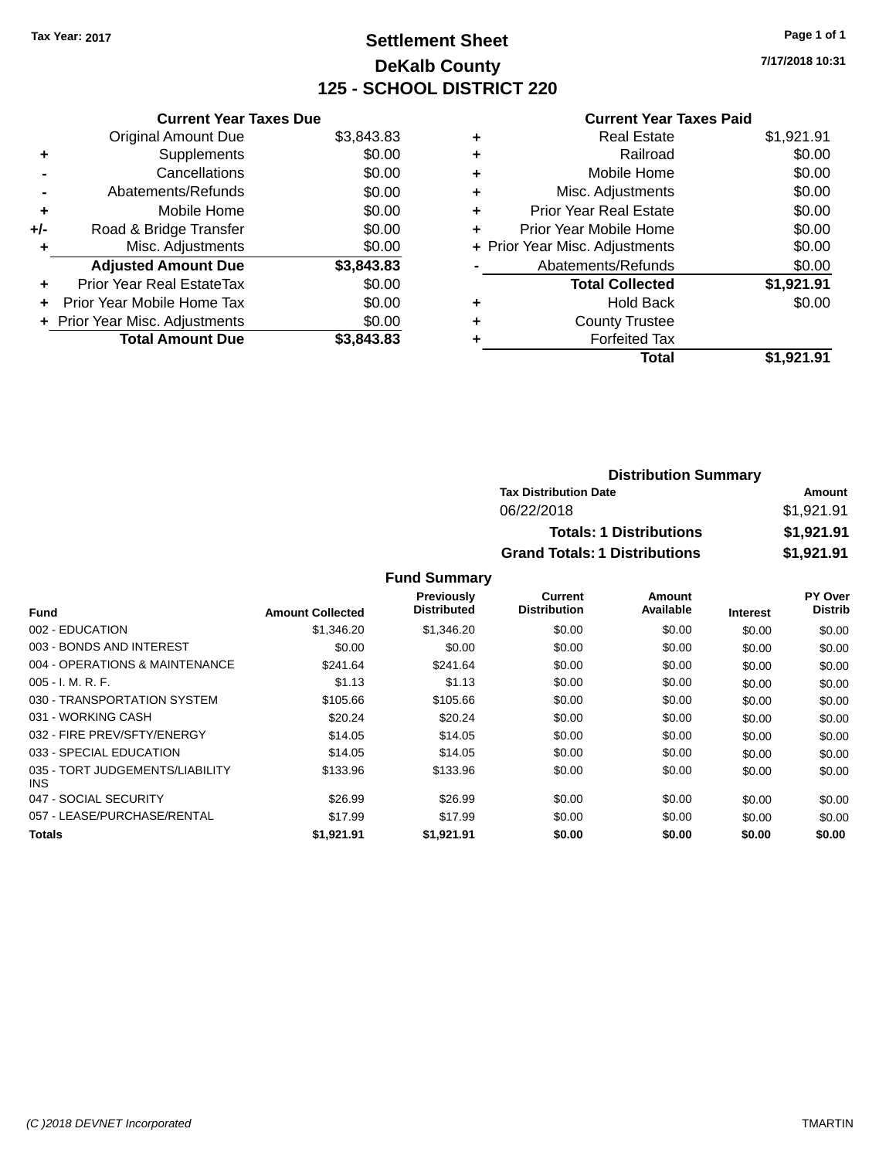## **Settlement Sheet Tax Year: 2017 Page 1 of 1 DeKalb County 125 - SCHOOL DISTRICT 220**

**7/17/2018 10:31**

#### **Current Year Taxes Paid**

| <b>Current Year Taxes Due</b>  |            |
|--------------------------------|------------|
| <b>Original Amount Due</b>     | \$3,843.83 |
| Supplements                    | \$0.00     |
| Cancellations                  | \$0.00     |
| Abatements/Refunds             | \$0.00     |
| Mobile Home                    | \$0.00     |
| Road & Bridge Transfer         | \$0.00     |
| Misc. Adjustments              | \$0.00     |
| <b>Adjusted Amount Due</b>     | \$3,843.83 |
| Prior Year Real EstateTax      | \$0.00     |
| Prior Year Mobile Home Tax     | \$0.00     |
| + Prior Year Misc. Adjustments | \$0.00     |
| <b>Total Amount Due</b>        | \$3.843.83 |
|                                |            |

| \$0.00     |
|------------|
| \$0.00     |
| \$0.00     |
| \$0.00     |
| \$0.00     |
| \$0.00     |
| \$0.00     |
| \$1,921.91 |
| \$0.00     |
|            |
|            |
| \$1.921.91 |
|            |

| <b>Distribution Summary</b>          |            |
|--------------------------------------|------------|
| <b>Tax Distribution Date</b>         | Amount     |
| 06/22/2018                           | \$1,921.91 |
| <b>Totals: 1 Distributions</b>       | \$1,921.91 |
| <b>Grand Totals: 1 Distributions</b> | \$1,921.91 |

| Fund                                    | <b>Amount Collected</b> | <b>Previously</b><br><b>Distributed</b> | Current<br><b>Distribution</b> | Amount<br>Available | <b>Interest</b> | PY Over<br><b>Distrib</b> |
|-----------------------------------------|-------------------------|-----------------------------------------|--------------------------------|---------------------|-----------------|---------------------------|
| 002 - EDUCATION                         | \$1,346,20              | \$1,346.20                              | \$0.00                         | \$0.00              | \$0.00          | \$0.00                    |
| 003 - BONDS AND INTEREST                | \$0.00                  | \$0.00                                  | \$0.00                         | \$0.00              | \$0.00          | \$0.00                    |
| 004 - OPERATIONS & MAINTENANCE          | \$241.64                | \$241.64                                | \$0.00                         | \$0.00              | \$0.00          | \$0.00                    |
| $005 - I. M. R. F.$                     | \$1.13                  | \$1.13                                  | \$0.00                         | \$0.00              | \$0.00          | \$0.00                    |
| 030 - TRANSPORTATION SYSTEM             | \$105.66                | \$105.66                                | \$0.00                         | \$0.00              | \$0.00          | \$0.00                    |
| 031 - WORKING CASH                      | \$20.24                 | \$20.24                                 | \$0.00                         | \$0.00              | \$0.00          | \$0.00                    |
| 032 - FIRE PREV/SFTY/ENERGY             | \$14.05                 | \$14.05                                 | \$0.00                         | \$0.00              | \$0.00          | \$0.00                    |
| 033 - SPECIAL EDUCATION                 | \$14.05                 | \$14.05                                 | \$0.00                         | \$0.00              | \$0.00          | \$0.00                    |
| 035 - TORT JUDGEMENTS/LIABILITY<br>INS. | \$133.96                | \$133.96                                | \$0.00                         | \$0.00              | \$0.00          | \$0.00                    |
| 047 - SOCIAL SECURITY                   | \$26.99                 | \$26.99                                 | \$0.00                         | \$0.00              | \$0.00          | \$0.00                    |
| 057 - LEASE/PURCHASE/RENTAL             | \$17.99                 | \$17.99                                 | \$0.00                         | \$0.00              | \$0.00          | \$0.00                    |
| <b>Totals</b>                           | \$1,921.91              | \$1,921.91                              | \$0.00                         | \$0.00              | \$0.00          | \$0.00                    |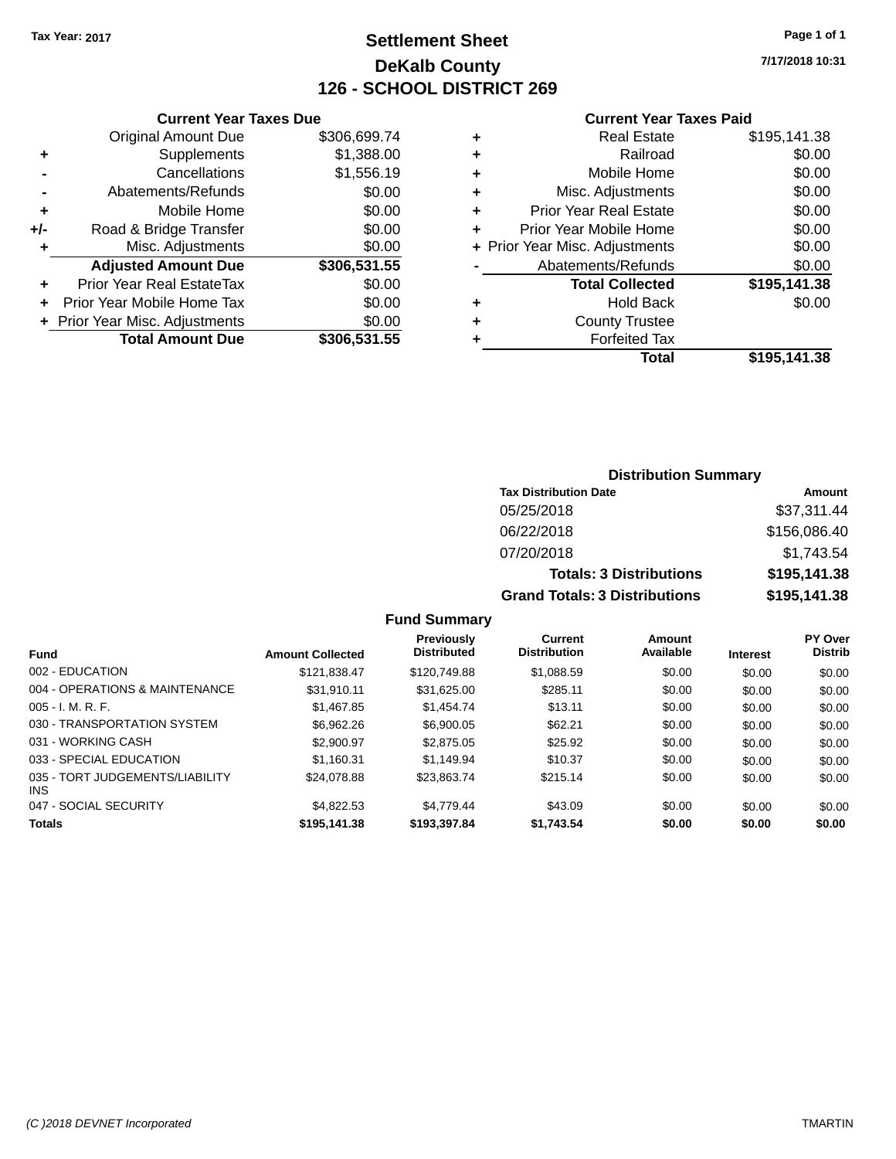# **Settlement Sheet Tax Year: 2017 Page 1 of 1 DeKalb County 126 - SCHOOL DISTRICT 269**

**7/17/2018 10:31**

#### **Current Year Taxes Paid**

|     | <b>Current Year Taxes Due</b>  |              |  |  |  |
|-----|--------------------------------|--------------|--|--|--|
|     | <b>Original Amount Due</b>     | \$306,699.74 |  |  |  |
| ٠   | Supplements                    | \$1,388.00   |  |  |  |
|     | Cancellations                  | \$1,556.19   |  |  |  |
|     | Abatements/Refunds             | \$0.00       |  |  |  |
| ٠   | Mobile Home                    | \$0.00       |  |  |  |
| +/- | Road & Bridge Transfer         | \$0.00       |  |  |  |
| ٠   | Misc. Adjustments              | \$0.00       |  |  |  |
|     | <b>Adjusted Amount Due</b>     | \$306,531.55 |  |  |  |
| ٠   | Prior Year Real EstateTax      | \$0.00       |  |  |  |
| ÷   | Prior Year Mobile Home Tax     | \$0.00       |  |  |  |
|     | + Prior Year Misc. Adjustments | \$0.00       |  |  |  |
|     | <b>Total Amount Due</b>        | \$306,531.55 |  |  |  |
|     |                                |              |  |  |  |

|   | <b>Real Estate</b>             | \$195,141.38 |
|---|--------------------------------|--------------|
| ٠ | Railroad                       | \$0.00       |
| ٠ | Mobile Home                    | \$0.00       |
| ٠ | Misc. Adjustments              | \$0.00       |
| ٠ | <b>Prior Year Real Estate</b>  | \$0.00       |
| ÷ | Prior Year Mobile Home         | \$0.00       |
|   | + Prior Year Misc. Adjustments | \$0.00       |
|   | Abatements/Refunds             | \$0.00       |
|   | <b>Total Collected</b>         | \$195,141.38 |
| ٠ | <b>Hold Back</b>               | \$0.00       |
| ٠ | <b>County Trustee</b>          |              |
| ٠ | <b>Forfeited Tax</b>           |              |
|   | <b>Total</b>                   | \$195,141.38 |
|   |                                |              |

# **Distribution Summary Tax Distribution Date Amount** 05/25/2018 \$37,311.44 06/22/2018 \$156,086.40 07/20/2018 \$1,743.54 **Totals: 3 Distributions \$195,141.38 Grand Totals: 3 Distributions \$195,141.38**

| <b>Amount Collected</b> | Previously<br><b>Distributed</b> | Current<br><b>Distribution</b> | Amount<br>Available | <b>Interest</b> | <b>PY Over</b><br><b>Distrib</b> |
|-------------------------|----------------------------------|--------------------------------|---------------------|-----------------|----------------------------------|
| \$121.838.47            | \$120,749.88                     | \$1,088.59                     | \$0.00              | \$0.00          | \$0.00                           |
| \$31.910.11             | \$31.625.00                      | \$285.11                       | \$0.00              | \$0.00          | \$0.00                           |
| \$1.467.85              | \$1,454,74                       | \$13.11                        | \$0.00              | \$0.00          | \$0.00                           |
| \$6,962.26              | \$6,900.05                       | \$62.21                        | \$0.00              | \$0.00          | \$0.00                           |
| \$2,900.97              | \$2,875.05                       | \$25.92                        | \$0.00              | \$0.00          | \$0.00                           |
| \$1.160.31              | \$1.149.94                       | \$10.37                        | \$0.00              | \$0.00          | \$0.00                           |
| \$24,078.88             | \$23.863.74                      | \$215.14                       | \$0.00              | \$0.00          | \$0.00                           |
| \$4.822.53              | \$4.779.44                       | \$43.09                        | \$0.00              | \$0.00          | \$0.00                           |
| \$195,141,38            | \$193,397.84                     | \$1,743.54                     | \$0.00              | \$0.00          | \$0.00                           |
|                         |                                  |                                |                     |                 |                                  |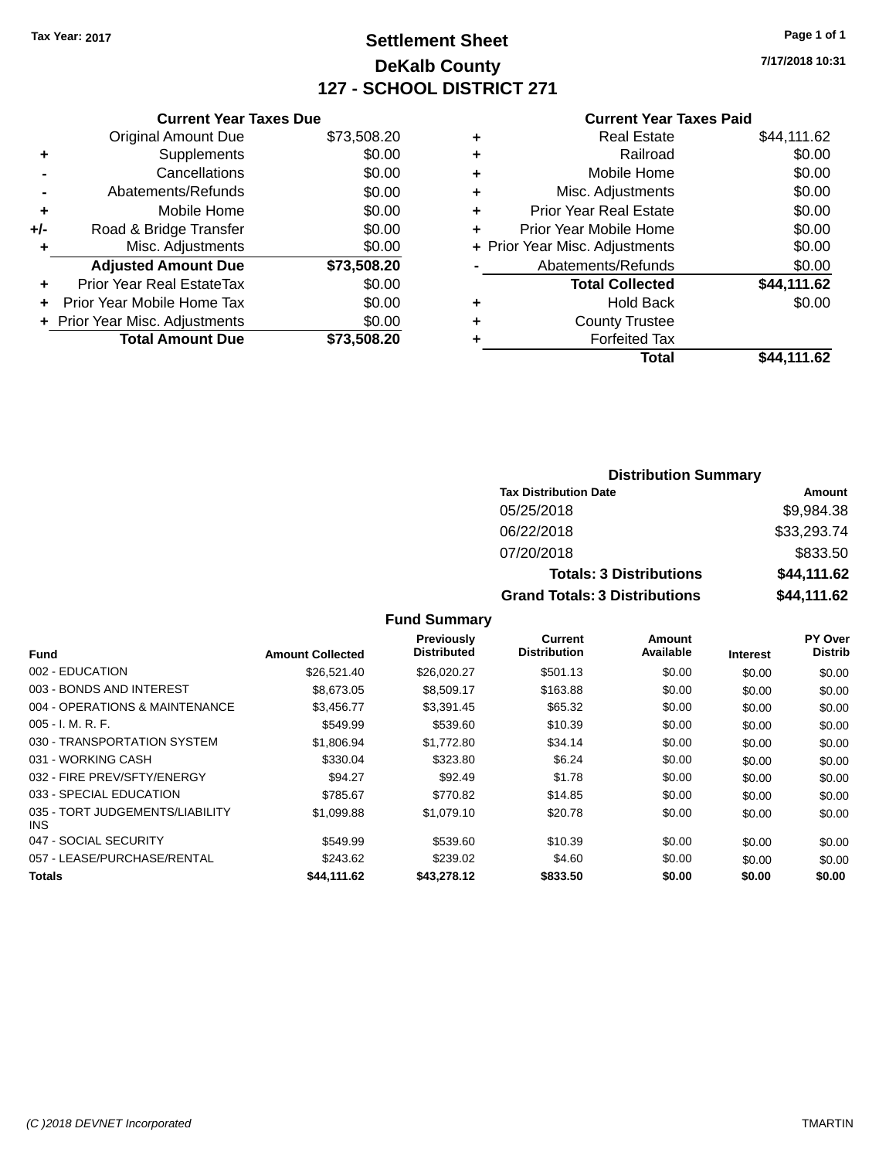# **Settlement Sheet Tax Year: 2017 Page 1 of 1 DeKalb County 127 - SCHOOL DISTRICT 271**

**7/17/2018 10:31**

#### **Current Year Taxes Paid**

|     | <b>Current Year Taxes Due</b>  |             |
|-----|--------------------------------|-------------|
|     | <b>Original Amount Due</b>     | \$73,508.20 |
| ٠   | Supplements                    | \$0.00      |
|     | Cancellations                  | \$0.00      |
|     | Abatements/Refunds             | \$0.00      |
| ٠   | Mobile Home                    | \$0.00      |
| +/- | Road & Bridge Transfer         | \$0.00      |
|     | Misc. Adjustments              | \$0.00      |
|     | <b>Adjusted Amount Due</b>     | \$73,508.20 |
| ٠   | Prior Year Real EstateTax      | \$0.00      |
| ٠   | Prior Year Mobile Home Tax     | \$0.00      |
|     | + Prior Year Misc. Adjustments | \$0.00      |
|     | <b>Total Amount Due</b>        | \$73,508.20 |
|     |                                |             |

| ٠ | <b>Real Estate</b>             | \$44,111.62 |
|---|--------------------------------|-------------|
| ٠ | Railroad                       | \$0.00      |
| ٠ | Mobile Home                    | \$0.00      |
| ٠ | Misc. Adjustments              | \$0.00      |
| ٠ | <b>Prior Year Real Estate</b>  | \$0.00      |
| ٠ | Prior Year Mobile Home         | \$0.00      |
|   | + Prior Year Misc. Adjustments | \$0.00      |
|   | Abatements/Refunds             | \$0.00      |
|   | <b>Total Collected</b>         | \$44,111.62 |
| ٠ | <b>Hold Back</b>               | \$0.00      |
| ٠ | <b>County Trustee</b>          |             |
| ٠ | <b>Forfeited Tax</b>           |             |
|   | Total                          | \$44,111.62 |
|   |                                |             |

| <b>Distribution Summary</b>          |             |  |  |  |
|--------------------------------------|-------------|--|--|--|
| <b>Tax Distribution Date</b>         | Amount      |  |  |  |
| 05/25/2018                           | \$9,984.38  |  |  |  |
| 06/22/2018                           | \$33,293.74 |  |  |  |
| 07/20/2018                           | \$833.50    |  |  |  |
| <b>Totals: 3 Distributions</b>       | \$44,111.62 |  |  |  |
| <b>Grand Totals: 3 Distributions</b> | \$44,111.62 |  |  |  |

| <b>Fund</b>                             | <b>Amount Collected</b> | <b>Previously</b><br><b>Distributed</b> | <b>Current</b><br><b>Distribution</b> | Amount<br>Available | <b>Interest</b> | PY Over<br><b>Distrib</b> |
|-----------------------------------------|-------------------------|-----------------------------------------|---------------------------------------|---------------------|-----------------|---------------------------|
| 002 - EDUCATION                         | \$26,521.40             | \$26,020.27                             | \$501.13                              | \$0.00              | \$0.00          | \$0.00                    |
| 003 - BONDS AND INTEREST                | \$8,673,05              | \$8,509.17                              | \$163.88                              | \$0.00              | \$0.00          | \$0.00                    |
| 004 - OPERATIONS & MAINTENANCE          | \$3,456.77              | \$3,391.45                              | \$65.32                               | \$0.00              | \$0.00          | \$0.00                    |
| $005 - I. M. R. F.$                     | \$549.99                | \$539.60                                | \$10.39                               | \$0.00              | \$0.00          | \$0.00                    |
| 030 - TRANSPORTATION SYSTEM             | \$1.806.94              | \$1,772.80                              | \$34.14                               | \$0.00              | \$0.00          | \$0.00                    |
| 031 - WORKING CASH                      | \$330.04                | \$323.80                                | \$6.24                                | \$0.00              | \$0.00          | \$0.00                    |
| 032 - FIRE PREV/SFTY/ENERGY             | \$94.27                 | \$92.49                                 | \$1.78                                | \$0.00              | \$0.00          | \$0.00                    |
| 033 - SPECIAL EDUCATION                 | \$785.67                | \$770.82                                | \$14.85                               | \$0.00              | \$0.00          | \$0.00                    |
| 035 - TORT JUDGEMENTS/LIABILITY<br>INS. | \$1,099.88              | \$1,079.10                              | \$20.78                               | \$0.00              | \$0.00          | \$0.00                    |
| 047 - SOCIAL SECURITY                   | \$549.99                | \$539.60                                | \$10.39                               | \$0.00              | \$0.00          | \$0.00                    |
| 057 - LEASE/PURCHASE/RENTAL             | \$243.62                | \$239.02                                | \$4.60                                | \$0.00              | \$0.00          | \$0.00                    |
| <b>Totals</b>                           | \$44,111.62             | \$43,278,12                             | \$833.50                              | \$0.00              | \$0.00          | \$0.00                    |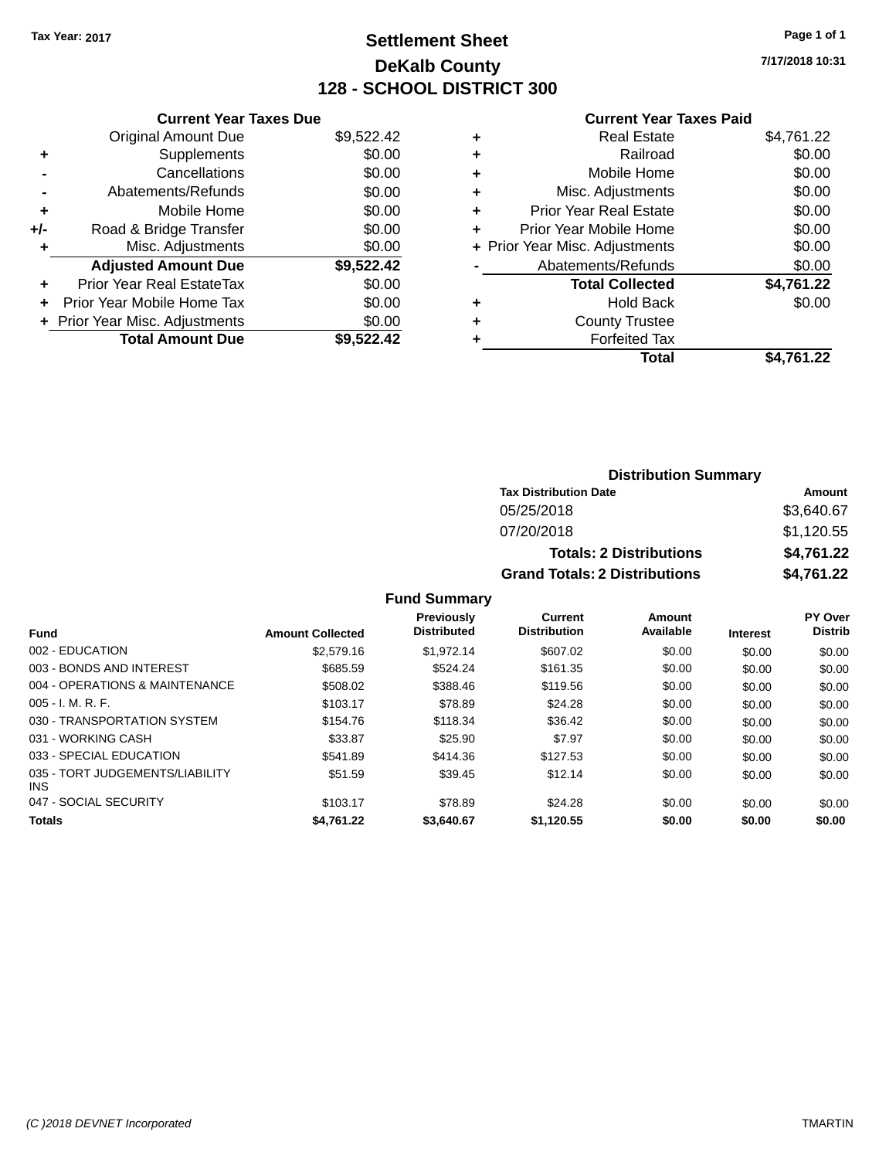# **Settlement Sheet Tax Year: 2017 Page 1 of 1 DeKalb County 128 - SCHOOL DISTRICT 300**

**7/17/2018 10:31**

#### **Current Year Taxes Paid**

|     | <b>Current Year Taxes Due</b>  |            |  |  |  |
|-----|--------------------------------|------------|--|--|--|
|     | <b>Original Amount Due</b>     | \$9,522.42 |  |  |  |
| ÷   | Supplements                    | \$0.00     |  |  |  |
|     | Cancellations                  | \$0.00     |  |  |  |
|     | Abatements/Refunds             | \$0.00     |  |  |  |
| ٠   | Mobile Home                    | \$0.00     |  |  |  |
| +/- | Road & Bridge Transfer         | \$0.00     |  |  |  |
|     | Misc. Adjustments              | \$0.00     |  |  |  |
|     | <b>Adjusted Amount Due</b>     | \$9,522.42 |  |  |  |
| ÷   | Prior Year Real EstateTax      | \$0.00     |  |  |  |
|     | Prior Year Mobile Home Tax     | \$0.00     |  |  |  |
|     | + Prior Year Misc. Adjustments | \$0.00     |  |  |  |
|     | <b>Total Amount Due</b>        | \$9.522.42 |  |  |  |

|   | <b>Real Estate</b>             | \$4,761.22 |
|---|--------------------------------|------------|
| ٠ | Railroad                       | \$0.00     |
| ÷ | Mobile Home                    | \$0.00     |
| ٠ | Misc. Adjustments              | \$0.00     |
| ٠ | <b>Prior Year Real Estate</b>  | \$0.00     |
| ٠ | Prior Year Mobile Home         | \$0.00     |
|   | + Prior Year Misc. Adjustments | \$0.00     |
|   | Abatements/Refunds             | \$0.00     |
|   | <b>Total Collected</b>         | \$4,761.22 |
| ٠ | Hold Back                      | \$0.00     |
| ٠ | <b>County Trustee</b>          |            |
| ٠ | <b>Forfeited Tax</b>           |            |
|   | Total                          | \$4,761.22 |
|   |                                |            |

| <b>Distribution Summary</b>          |            |  |  |  |  |
|--------------------------------------|------------|--|--|--|--|
| <b>Tax Distribution Date</b>         | Amount     |  |  |  |  |
| 05/25/2018                           | \$3,640.67 |  |  |  |  |
| 07/20/2018                           | \$1,120.55 |  |  |  |  |
| <b>Totals: 2 Distributions</b>       | \$4,761.22 |  |  |  |  |
| <b>Grand Totals: 2 Distributions</b> | \$4,761.22 |  |  |  |  |

|                                               |                         | <b>Previously</b><br><b>Distributed</b> | Current<br><b>Distribution</b> | Amount<br>Available |                 | PY Over        |
|-----------------------------------------------|-------------------------|-----------------------------------------|--------------------------------|---------------------|-----------------|----------------|
| <b>Fund</b>                                   | <b>Amount Collected</b> |                                         |                                |                     | <b>Interest</b> | <b>Distrib</b> |
| 002 - EDUCATION                               | \$2,579.16              | \$1.972.14                              | \$607.02                       | \$0.00              | \$0.00          | \$0.00         |
| 003 - BONDS AND INTEREST                      | \$685.59                | \$524.24                                | \$161.35                       | \$0.00              | \$0.00          | \$0.00         |
| 004 - OPERATIONS & MAINTENANCE                | \$508.02                | \$388.46                                | \$119.56                       | \$0.00              | \$0.00          | \$0.00         |
| $005 - I. M. R. F.$                           | \$103.17                | \$78.89                                 | \$24.28                        | \$0.00              | \$0.00          | \$0.00         |
| 030 - TRANSPORTATION SYSTEM                   | \$154.76                | \$118.34                                | \$36.42                        | \$0.00              | \$0.00          | \$0.00         |
| 031 - WORKING CASH                            | \$33.87                 | \$25.90                                 | \$7.97                         | \$0.00              | \$0.00          | \$0.00         |
| 033 - SPECIAL EDUCATION                       | \$541.89                | \$414.36                                | \$127.53                       | \$0.00              | \$0.00          | \$0.00         |
| 035 - TORT JUDGEMENTS/LIABILITY<br><b>INS</b> | \$51.59                 | \$39.45                                 | \$12.14                        | \$0.00              | \$0.00          | \$0.00         |
| 047 - SOCIAL SECURITY                         | \$103.17                | \$78.89                                 | \$24.28                        | \$0.00              | \$0.00          | \$0.00         |
| <b>Totals</b>                                 | \$4,761.22              | \$3,640.67                              | \$1,120.55                     | \$0.00              | \$0.00          | \$0.00         |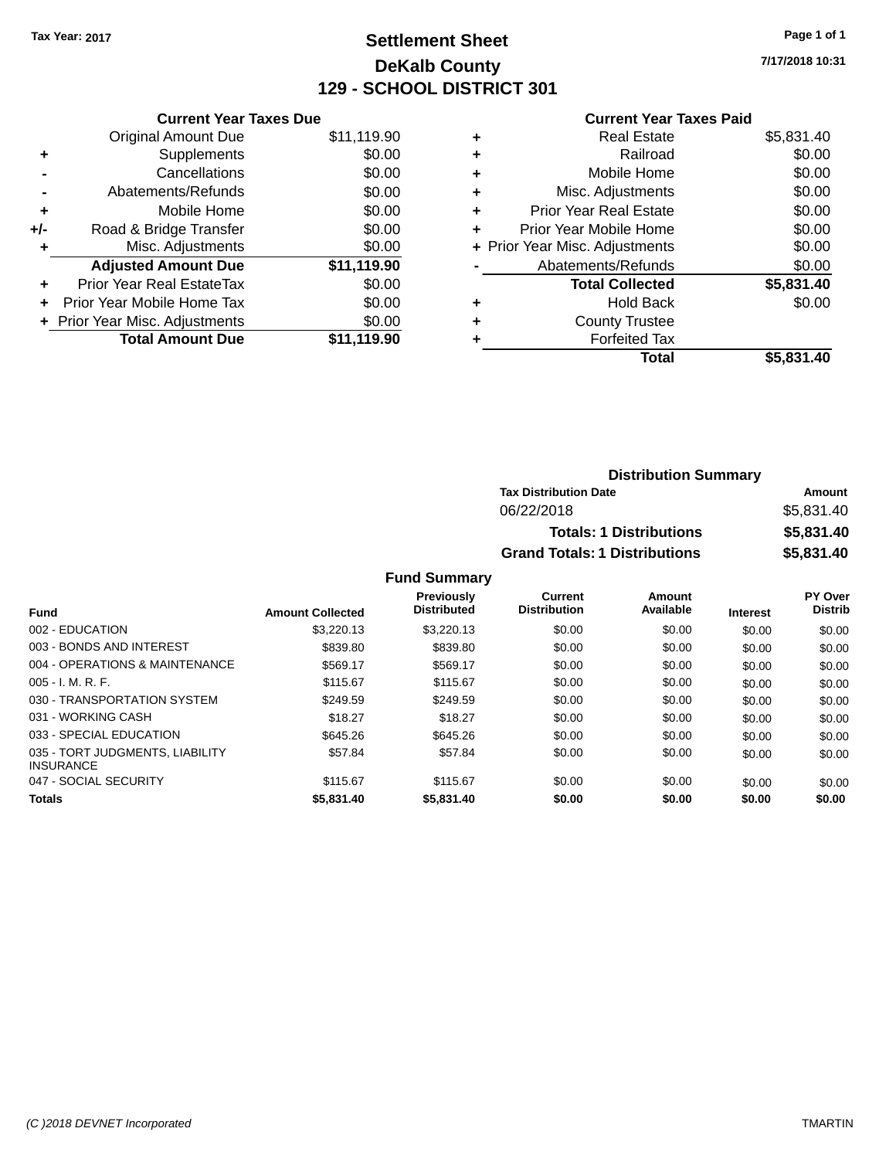# **Settlement Sheet Tax Year: 2017 Page 1 of 1 DeKalb County 129 - SCHOOL DISTRICT 301**

**7/17/2018 10:31**

#### **Current Year Taxes Paid**

| <b>Current Year Taxes Due</b> |                                |  |  |  |
|-------------------------------|--------------------------------|--|--|--|
| <b>Original Amount Due</b>    | \$11,119.90                    |  |  |  |
| Supplements                   | \$0.00                         |  |  |  |
| Cancellations                 | \$0.00                         |  |  |  |
| Abatements/Refunds            | \$0.00                         |  |  |  |
| Mobile Home                   | \$0.00                         |  |  |  |
| Road & Bridge Transfer        | \$0.00                         |  |  |  |
| Misc. Adjustments             | \$0.00                         |  |  |  |
| <b>Adjusted Amount Due</b>    | \$11,119.90                    |  |  |  |
| Prior Year Real EstateTax     | \$0.00                         |  |  |  |
| Prior Year Mobile Home Tax    | \$0.00                         |  |  |  |
|                               | \$0.00                         |  |  |  |
| <b>Total Amount Due</b>       | \$11.119.90                    |  |  |  |
|                               | + Prior Year Misc. Adjustments |  |  |  |

|   | <b>Real Estate</b>             | \$5,831.40 |
|---|--------------------------------|------------|
| ٠ | Railroad                       | \$0.00     |
| ٠ | Mobile Home                    | \$0.00     |
| ٠ | Misc. Adjustments              | \$0.00     |
| ٠ | <b>Prior Year Real Estate</b>  | \$0.00     |
| ٠ | Prior Year Mobile Home         | \$0.00     |
|   | + Prior Year Misc. Adjustments | \$0.00     |
|   | Abatements/Refunds             | \$0.00     |
|   | <b>Total Collected</b>         | \$5,831.40 |
| ٠ | <b>Hold Back</b>               | \$0.00     |
| ٠ | <b>County Trustee</b>          |            |
| ٠ | <b>Forfeited Tax</b>           |            |
|   | Total                          | \$5,831.40 |
|   |                                |            |

| <b>Distribution Summary</b>          |            |
|--------------------------------------|------------|
| <b>Tax Distribution Date</b>         | Amount     |
| 06/22/2018                           | \$5,831.40 |
| <b>Totals: 1 Distributions</b>       | \$5,831.40 |
| <b>Grand Totals: 1 Distributions</b> | \$5,831.40 |

| <b>Fund</b>                                         | <b>Amount Collected</b> | <b>Previously</b><br><b>Distributed</b> | Current<br><b>Distribution</b> | Amount<br>Available | <b>Interest</b> | PY Over<br><b>Distrib</b> |
|-----------------------------------------------------|-------------------------|-----------------------------------------|--------------------------------|---------------------|-----------------|---------------------------|
| 002 - EDUCATION                                     | \$3.220.13              | \$3.220.13                              | \$0.00                         | \$0.00              | \$0.00          | \$0.00                    |
| 003 - BONDS AND INTEREST                            | \$839.80                | \$839.80                                | \$0.00                         | \$0.00              | \$0.00          | \$0.00                    |
| 004 - OPERATIONS & MAINTENANCE                      | \$569.17                | \$569.17                                | \$0.00                         | \$0.00              | \$0.00          | \$0.00                    |
| $005 - I. M. R. F.$                                 | \$115.67                | \$115.67                                | \$0.00                         | \$0.00              | \$0.00          | \$0.00                    |
| 030 - TRANSPORTATION SYSTEM                         | \$249.59                | \$249.59                                | \$0.00                         | \$0.00              | \$0.00          | \$0.00                    |
| 031 - WORKING CASH                                  | \$18.27                 | \$18.27                                 | \$0.00                         | \$0.00              | \$0.00          | \$0.00                    |
| 033 - SPECIAL EDUCATION                             | \$645.26                | \$645.26                                | \$0.00                         | \$0.00              | \$0.00          | \$0.00                    |
| 035 - TORT JUDGMENTS, LIABILITY<br><b>INSURANCE</b> | \$57.84                 | \$57.84                                 | \$0.00                         | \$0.00              | \$0.00          | \$0.00                    |
| 047 - SOCIAL SECURITY                               | \$115.67                | \$115.67                                | \$0.00                         | \$0.00              | \$0.00          | \$0.00                    |
| Totals                                              | \$5,831.40              | \$5,831.40                              | \$0.00                         | \$0.00              | \$0.00          | \$0.00                    |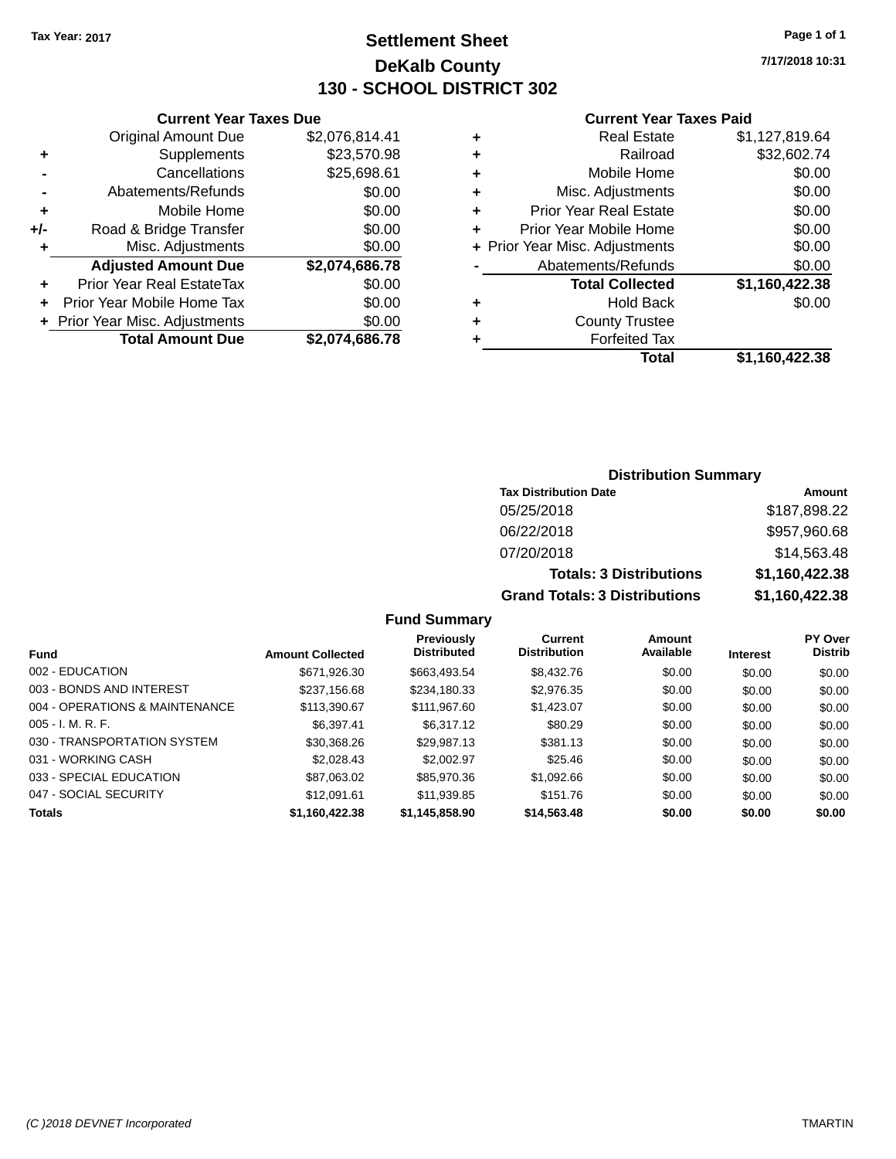# **Settlement Sheet Tax Year: 2017 Page 1 of 1 DeKalb County 130 - SCHOOL DISTRICT 302**

**7/17/2018 10:31**

#### **Current Year Taxes Paid**

|     | <b>Current Year Taxes Due</b>  |                |
|-----|--------------------------------|----------------|
|     | <b>Original Amount Due</b>     | \$2,076,814.41 |
| ٠   | Supplements                    | \$23,570.98    |
|     | Cancellations                  | \$25,698.61    |
|     | Abatements/Refunds             | \$0.00         |
| ٠   | Mobile Home                    | \$0.00         |
| +/- | Road & Bridge Transfer         | \$0.00         |
|     | Misc. Adjustments              | \$0.00         |
|     | <b>Adjusted Amount Due</b>     | \$2,074,686.78 |
| ٠   | Prior Year Real EstateTax      | \$0.00         |
|     | Prior Year Mobile Home Tax     | \$0.00         |
|     | + Prior Year Misc. Adjustments | \$0.00         |
|     | <b>Total Amount Due</b>        | \$2,074,686.78 |
|     |                                |                |

|   | <b>Real Estate</b>             | \$1,127,819.64 |
|---|--------------------------------|----------------|
| ٠ | Railroad                       | \$32,602.74    |
| ÷ | Mobile Home                    | \$0.00         |
| ٠ | Misc. Adjustments              | \$0.00         |
| ٠ | <b>Prior Year Real Estate</b>  | \$0.00         |
| ÷ | Prior Year Mobile Home         | \$0.00         |
|   | + Prior Year Misc. Adjustments | \$0.00         |
|   | Abatements/Refunds             | \$0.00         |
|   | <b>Total Collected</b>         | \$1,160,422.38 |
| ٠ | Hold Back                      | \$0.00         |
| ٠ | <b>County Trustee</b>          |                |
|   | <b>Forfeited Tax</b>           |                |
|   | <b>Total</b>                   | \$1,160,422.38 |
|   |                                |                |

# **Distribution Summary Tax Distribution Date Amount** 05/25/2018 \$187,898.22 06/22/2018 \$957,960.68 07/20/2018 \$14,563.48 **Totals: 3 Distributions \$1,160,422.38 Grand Totals: 3 Distributions \$1,160,422.38**

| <b>Fund</b>                    | <b>Amount Collected</b> | Previously<br><b>Distributed</b> | Current<br><b>Distribution</b> | <b>Amount</b><br>Available | <b>Interest</b> | <b>PY Over</b><br><b>Distrib</b> |
|--------------------------------|-------------------------|----------------------------------|--------------------------------|----------------------------|-----------------|----------------------------------|
| 002 - EDUCATION                | \$671,926.30            | \$663,493.54                     | \$8,432.76                     | \$0.00                     | \$0.00          | \$0.00                           |
| 003 - BONDS AND INTEREST       | \$237,156.68            | \$234,180.33                     | \$2,976.35                     | \$0.00                     | \$0.00          | \$0.00                           |
| 004 - OPERATIONS & MAINTENANCE | \$113,390.67            | \$111,967.60                     | \$1,423.07                     | \$0.00                     | \$0.00          | \$0.00                           |
| $005 - I. M. R. F.$            | \$6.397.41              | \$6.317.12                       | \$80.29                        | \$0.00                     | \$0.00          | \$0.00                           |
| 030 - TRANSPORTATION SYSTEM    | \$30,368.26             | \$29,987.13                      | \$381.13                       | \$0.00                     | \$0.00          | \$0.00                           |
| 031 - WORKING CASH             | \$2,028.43              | \$2,002.97                       | \$25.46                        | \$0.00                     | \$0.00          | \$0.00                           |
| 033 - SPECIAL EDUCATION        | \$87,063.02             | \$85,970.36                      | \$1,092.66                     | \$0.00                     | \$0.00          | \$0.00                           |
| 047 - SOCIAL SECURITY          | \$12,091.61             | \$11,939.85                      | \$151.76                       | \$0.00                     | \$0.00          | \$0.00                           |
| <b>Totals</b>                  | \$1,160,422.38          | \$1,145,858.90                   | \$14,563.48                    | \$0.00                     | \$0.00          | \$0.00                           |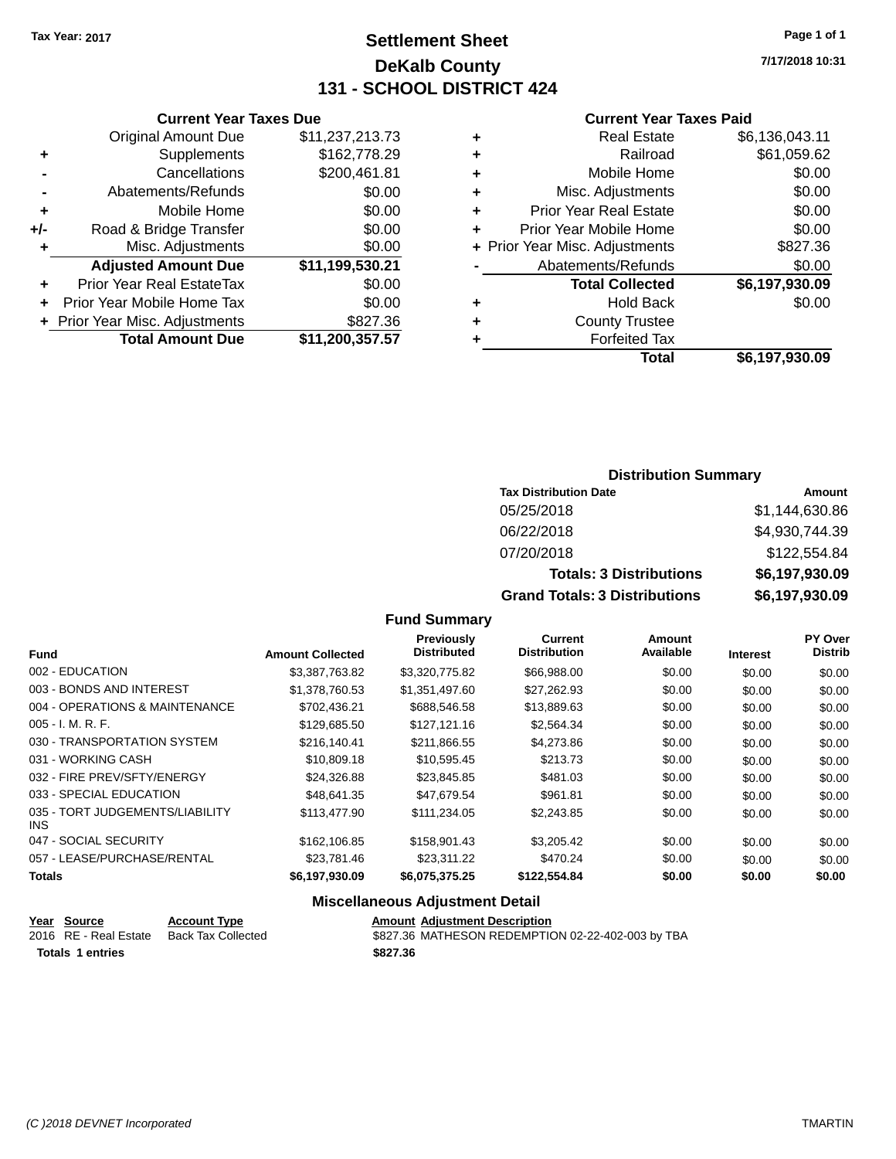# **Settlement Sheet Tax Year: 2017 Page 1 of 1 DeKalb County 131 - SCHOOL DISTRICT 424**

**7/17/2018 10:31**

#### **Current Year Taxes Paid**

|     | <b>Current Year Taxes Due</b>  |                 |
|-----|--------------------------------|-----------------|
|     | <b>Original Amount Due</b>     | \$11,237,213.73 |
| ٠   | Supplements                    | \$162,778.29    |
|     | Cancellations                  | \$200,461.81    |
|     | Abatements/Refunds             | \$0.00          |
| ٠   | Mobile Home                    | \$0.00          |
| +/- | Road & Bridge Transfer         | \$0.00          |
| ٠   | Misc. Adjustments              | \$0.00          |
|     | <b>Adjusted Amount Due</b>     | \$11,199,530.21 |
| ٠   | Prior Year Real EstateTax      | \$0.00          |
| ÷   | Prior Year Mobile Home Tax     | \$0.00          |
|     | + Prior Year Misc. Adjustments | \$827.36        |
|     | <b>Total Amount Due</b>        | \$11,200,357.57 |
|     |                                |                 |

| ٠ | <b>Real Estate</b>             | \$6,136,043.11 |
|---|--------------------------------|----------------|
| ٠ | Railroad                       | \$61,059.62    |
| ٠ | Mobile Home                    | \$0.00         |
| ٠ | Misc. Adjustments              | \$0.00         |
| ٠ | <b>Prior Year Real Estate</b>  | \$0.00         |
| ٠ | Prior Year Mobile Home         | \$0.00         |
|   | + Prior Year Misc. Adjustments | \$827.36       |
|   | Abatements/Refunds             | \$0.00         |
|   | <b>Total Collected</b>         | \$6,197,930.09 |
| ٠ | Hold Back                      | \$0.00         |
| ٠ | <b>County Trustee</b>          |                |
| ٠ | <b>Forfeited Tax</b>           |                |
|   | Total                          | \$6,197,930.09 |
|   |                                |                |

# **Distribution Summary**

| <b>Tax Distribution Date</b>         | Amount         |
|--------------------------------------|----------------|
| 05/25/2018                           | \$1,144,630.86 |
| 06/22/2018                           | \$4,930,744.39 |
| 07/20/2018                           | \$122,554.84   |
| <b>Totals: 3 Distributions</b>       | \$6,197,930.09 |
| <b>Grand Totals: 3 Distributions</b> | \$6,197,930.09 |

# **Fund Summary**

| <b>Fund</b>                             | <b>Amount Collected</b> | <b>Previously</b><br><b>Distributed</b> | <b>Current</b><br><b>Distribution</b> | Amount<br>Available | <b>Interest</b> | PY Over<br><b>Distrib</b> |
|-----------------------------------------|-------------------------|-----------------------------------------|---------------------------------------|---------------------|-----------------|---------------------------|
| 002 - EDUCATION                         | \$3,387,763.82          | \$3,320,775.82                          | \$66,988.00                           | \$0.00              | \$0.00          | \$0.00                    |
| 003 - BONDS AND INTEREST                | \$1,378,760,53          | \$1,351,497.60                          | \$27.262.93                           | \$0.00              | \$0.00          | \$0.00                    |
| 004 - OPERATIONS & MAINTENANCE          | \$702,436.21            | \$688,546.58                            | \$13,889.63                           | \$0.00              | \$0.00          | \$0.00                    |
| $005 - I. M. R. F.$                     | \$129,685.50            | \$127,121,16                            | \$2,564.34                            | \$0.00              | \$0.00          | \$0.00                    |
| 030 - TRANSPORTATION SYSTEM             | \$216,140.41            | \$211,866.55                            | \$4,273.86                            | \$0.00              | \$0.00          | \$0.00                    |
| 031 - WORKING CASH                      | \$10,809.18             | \$10,595.45                             | \$213.73                              | \$0.00              | \$0.00          | \$0.00                    |
| 032 - FIRE PREV/SFTY/ENERGY             | \$24,326.88             | \$23,845.85                             | \$481.03                              | \$0.00              | \$0.00          | \$0.00                    |
| 033 - SPECIAL EDUCATION                 | \$48.641.35             | \$47.679.54                             | \$961.81                              | \$0.00              | \$0.00          | \$0.00                    |
| 035 - TORT JUDGEMENTS/LIABILITY<br>INS. | \$113,477.90            | \$111,234.05                            | \$2,243.85                            | \$0.00              | \$0.00          | \$0.00                    |
| 047 - SOCIAL SECURITY                   | \$162,106.85            | \$158,901.43                            | \$3,205.42                            | \$0.00              | \$0.00          | \$0.00                    |
| 057 - LEASE/PURCHASE/RENTAL             | \$23.781.46             | \$23.311.22                             | \$470.24                              | \$0.00              | \$0.00          | \$0.00                    |
| <b>Totals</b>                           | \$6,197,930.09          | \$6,075,375.25                          | \$122,554.84                          | \$0.00              | \$0.00          | \$0.00                    |

| Year Source             | <b>Account Type</b> | <b>Amount Adiustment Description</b>              |
|-------------------------|---------------------|---------------------------------------------------|
| 2016 RE - Real Estate   | Back Tax Collected  | \$827.36 MATHESON REDEMPTION 02-22-402-003 by TBA |
| <b>Totals 1 entries</b> |                     | \$827.36                                          |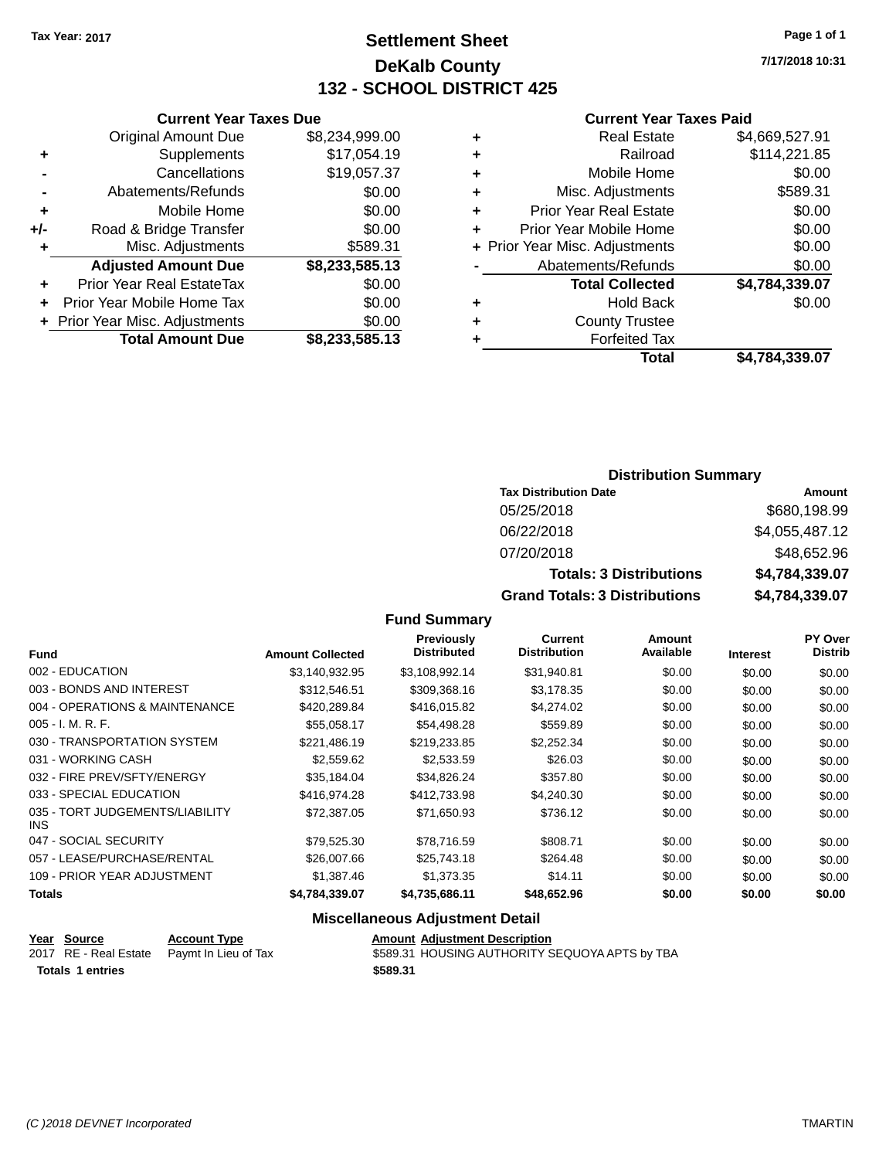# **Settlement Sheet Tax Year: 2017 Page 1 of 1 DeKalb County 132 - SCHOOL DISTRICT 425**

**7/17/2018 10:31**

#### **Current Year Taxes Paid**

|     | <b>Total Amount Due</b>          | \$8,233,585.13 |
|-----|----------------------------------|----------------|
|     | + Prior Year Misc. Adjustments   | \$0.00         |
| ٠   | Prior Year Mobile Home Tax       | \$0.00         |
| ٠   | <b>Prior Year Real EstateTax</b> | \$0.00         |
|     | <b>Adjusted Amount Due</b>       | \$8,233,585.13 |
| ٠   | Misc. Adjustments                | \$589.31       |
| +/- | Road & Bridge Transfer           | \$0.00         |
| ٠   | Mobile Home                      | \$0.00         |
|     | Abatements/Refunds               | \$0.00         |
|     | Cancellations                    | \$19,057.37    |
| ٠   | Supplements                      | \$17,054.19    |
|     | <b>Original Amount Due</b>       | \$8,234,999.00 |
|     |                                  |                |

**Current Year Taxes Due**

|   | <b>Real Estate</b>             | \$4,669,527.91 |
|---|--------------------------------|----------------|
| ٠ | Railroad                       | \$114,221.85   |
| ٠ | Mobile Home                    | \$0.00         |
| ٠ | Misc. Adjustments              | \$589.31       |
| ٠ | <b>Prior Year Real Estate</b>  | \$0.00         |
| ٠ | Prior Year Mobile Home         | \$0.00         |
|   | + Prior Year Misc. Adjustments | \$0.00         |
|   | Abatements/Refunds             | \$0.00         |
|   | <b>Total Collected</b>         | \$4,784,339.07 |
| ٠ | <b>Hold Back</b>               | \$0.00         |
| ٠ | <b>County Trustee</b>          |                |
| ٠ | <b>Forfeited Tax</b>           |                |
|   | Total                          | \$4,784,339.07 |
|   |                                |                |

# **Distribution Summary Tax Distribution Date Amount** 05/25/2018 \$680,198.99 06/22/2018 \$4,055,487.12 07/20/2018 \$48,652.96 **Totals: 3 Distributions \$4,784,339.07 Grand Totals: 3 Distributions \$4,784,339.07**

#### **Fund Summary**

| <b>Fund</b>                             | <b>Amount Collected</b> | <b>Previously</b><br><b>Distributed</b> | <b>Current</b><br><b>Distribution</b> | Amount<br>Available | <b>Interest</b> | <b>PY Over</b><br><b>Distrib</b> |
|-----------------------------------------|-------------------------|-----------------------------------------|---------------------------------------|---------------------|-----------------|----------------------------------|
| 002 - EDUCATION                         | \$3,140,932.95          | \$3,108,992.14                          | \$31,940.81                           | \$0.00              | \$0.00          | \$0.00                           |
| 003 - BONDS AND INTEREST                | \$312,546.51            | \$309,368.16                            | \$3,178.35                            | \$0.00              | \$0.00          | \$0.00                           |
| 004 - OPERATIONS & MAINTENANCE          | \$420,289.84            | \$416,015.82                            | \$4,274.02                            | \$0.00              | \$0.00          | \$0.00                           |
| $005 - I. M. R. F.$                     | \$55.058.17             | \$54.498.28                             | \$559.89                              | \$0.00              | \$0.00          | \$0.00                           |
| 030 - TRANSPORTATION SYSTEM             | \$221,486.19            | \$219,233.85                            | \$2,252.34                            | \$0.00              | \$0.00          | \$0.00                           |
| 031 - WORKING CASH                      | \$2,559.62              | \$2,533.59                              | \$26.03                               | \$0.00              | \$0.00          | \$0.00                           |
| 032 - FIRE PREV/SFTY/ENERGY             | \$35,184.04             | \$34,826.24                             | \$357.80                              | \$0.00              | \$0.00          | \$0.00                           |
| 033 - SPECIAL EDUCATION                 | \$416.974.28            | \$412,733,98                            | \$4,240,30                            | \$0.00              | \$0.00          | \$0.00                           |
| 035 - TORT JUDGEMENTS/LIABILITY<br>INS. | \$72,387.05             | \$71,650.93                             | \$736.12                              | \$0.00              | \$0.00          | \$0.00                           |
| 047 - SOCIAL SECURITY                   | \$79,525.30             | \$78,716.59                             | \$808.71                              | \$0.00              | \$0.00          | \$0.00                           |
| 057 - LEASE/PURCHASE/RENTAL             | \$26,007.66             | \$25,743.18                             | \$264.48                              | \$0.00              | \$0.00          | \$0.00                           |
| 109 - PRIOR YEAR ADJUSTMENT             | \$1,387.46              | \$1,373.35                              | \$14.11                               | \$0.00              | \$0.00          | \$0.00                           |
| Totals                                  | \$4,784,339.07          | \$4,735,686.11                          | \$48,652.96                           | \$0.00              | \$0.00          | \$0.00                           |

| Year Source             | <b>Account Type</b>                        | <b>Amount Adjustment Description</b>           |
|-------------------------|--------------------------------------------|------------------------------------------------|
|                         | 2017 RE - Real Estate Paymt In Lieu of Tax | \$589.31 HOUSING AUTHORITY SEQUOYA APTS by TBA |
| <b>Totals 1 entries</b> |                                            | \$589.31                                       |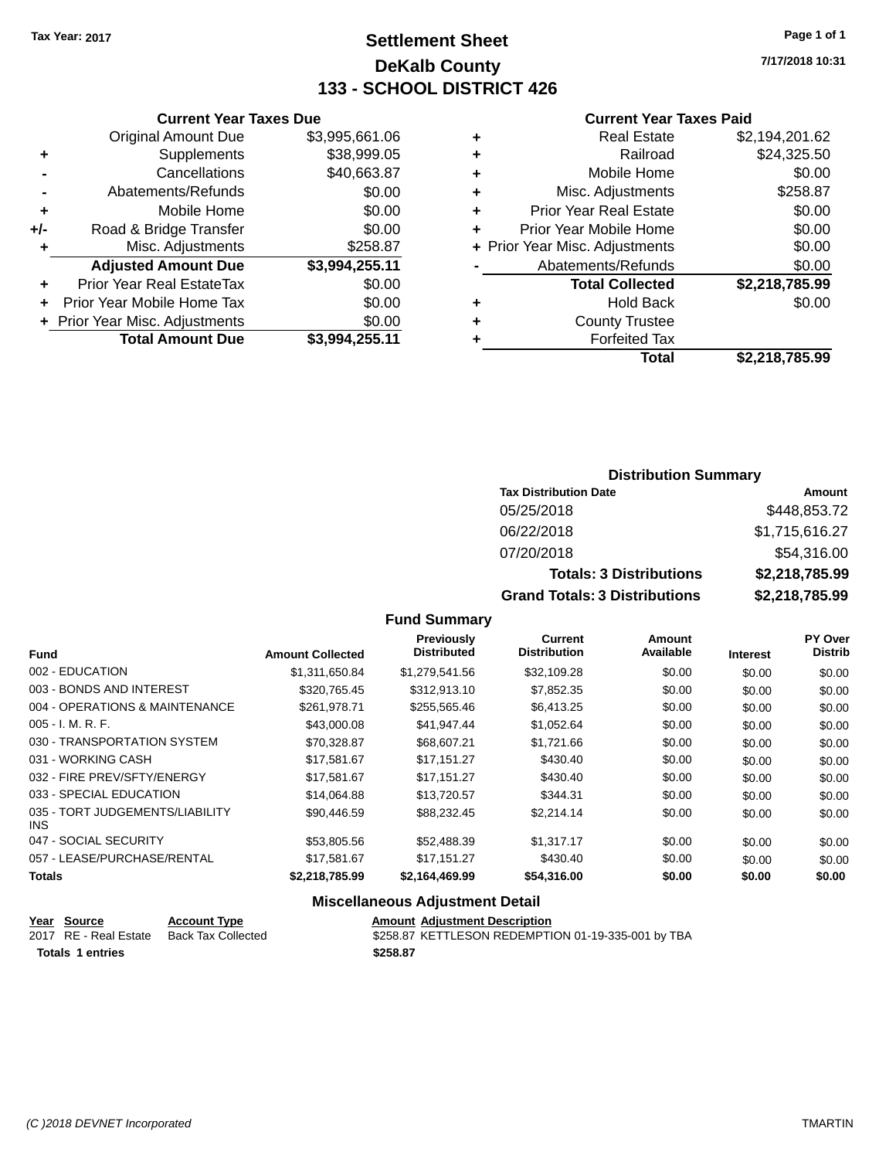# **Settlement Sheet Tax Year: 2017 Page 1 of 1 DeKalb County 133 - SCHOOL DISTRICT 426**

**7/17/2018 10:31**

#### **Current Year Taxes Paid**

|     | <b>Total Amount Due</b>        | \$3,994,255.11 |
|-----|--------------------------------|----------------|
|     | + Prior Year Misc. Adjustments | \$0.00         |
|     | Prior Year Mobile Home Tax     | \$0.00         |
| ٠   | Prior Year Real EstateTax      | \$0.00         |
|     | <b>Adjusted Amount Due</b>     | \$3,994,255.11 |
| ٠   | Misc. Adjustments              | \$258.87       |
| +/- | Road & Bridge Transfer         | \$0.00         |
| ÷   | Mobile Home                    | \$0.00         |
|     | Abatements/Refunds             | \$0.00         |
|     | Cancellations                  | \$40,663.87    |
| ٠   | Supplements                    | \$38,999.05    |
|     | <b>Original Amount Due</b>     | \$3,995,661.06 |
|     |                                |                |

**Current Year Taxes Due**

| ٠ | <b>Real Estate</b>             | \$2,194,201.62 |
|---|--------------------------------|----------------|
| ٠ | Railroad                       | \$24,325.50    |
| ٠ | Mobile Home                    | \$0.00         |
| ٠ | Misc. Adjustments              | \$258.87       |
| ٠ | <b>Prior Year Real Estate</b>  | \$0.00         |
| ٠ | Prior Year Mobile Home         | \$0.00         |
|   | + Prior Year Misc. Adjustments | \$0.00         |
|   | Abatements/Refunds             | \$0.00         |
|   | <b>Total Collected</b>         | \$2,218,785.99 |
| ٠ | <b>Hold Back</b>               | \$0.00         |
|   | <b>County Trustee</b>          |                |
| ٠ | <b>Forfeited Tax</b>           |                |
|   | Total                          | \$2,218,785.99 |
|   |                                |                |

# **Distribution Summary Tax Distribution Date Amount** 05/25/2018 \$448,853.72 06/22/2018 \$1,715,616.27 07/20/2018 \$54,316.00 **Totals: 3 Distributions \$2,218,785.99 Grand Totals: 3 Distributions \$2,218,785.99**

#### **Fund Summary**

| <b>Fund</b>                             | <b>Amount Collected</b> | <b>Previously</b><br><b>Distributed</b> | <b>Current</b><br><b>Distribution</b> | <b>Amount</b><br>Available | <b>Interest</b> | PY Over<br><b>Distrib</b> |
|-----------------------------------------|-------------------------|-----------------------------------------|---------------------------------------|----------------------------|-----------------|---------------------------|
| 002 - EDUCATION                         | \$1,311,650.84          | \$1,279,541.56                          | \$32,109.28                           | \$0.00                     | \$0.00          | \$0.00                    |
| 003 - BONDS AND INTEREST                | \$320.765.45            | \$312.913.10                            | \$7,852.35                            | \$0.00                     | \$0.00          | \$0.00                    |
| 004 - OPERATIONS & MAINTENANCE          | \$261,978.71            | \$255,565.46                            | \$6,413.25                            | \$0.00                     | \$0.00          | \$0.00                    |
| $005 - I. M. R. F.$                     | \$43,000.08             | \$41.947.44                             | \$1,052.64                            | \$0.00                     | \$0.00          | \$0.00                    |
| 030 - TRANSPORTATION SYSTEM             | \$70,328.87             | \$68,607.21                             | \$1,721.66                            | \$0.00                     | \$0.00          | \$0.00                    |
| 031 - WORKING CASH                      | \$17,581.67             | \$17,151.27                             | \$430.40                              | \$0.00                     | \$0.00          | \$0.00                    |
| 032 - FIRE PREV/SFTY/ENERGY             | \$17.581.67             | \$17,151.27                             | \$430.40                              | \$0.00                     | \$0.00          | \$0.00                    |
| 033 - SPECIAL EDUCATION                 | \$14.064.88             | \$13,720.57                             | \$344.31                              | \$0.00                     | \$0.00          | \$0.00                    |
| 035 - TORT JUDGEMENTS/LIABILITY<br>INS. | \$90.446.59             | \$88.232.45                             | \$2,214.14                            | \$0.00                     | \$0.00          | \$0.00                    |
| 047 - SOCIAL SECURITY                   | \$53,805.56             | \$52,488.39                             | \$1,317.17                            | \$0.00                     | \$0.00          | \$0.00                    |
| 057 - LEASE/PURCHASE/RENTAL             | \$17.581.67             | \$17,151.27                             | \$430.40                              | \$0.00                     | \$0.00          | \$0.00                    |
| <b>Totals</b>                           | \$2.218.785.99          | \$2.164.469.99                          | \$54,316,00                           | \$0.00                     | \$0.00          | \$0.00                    |

| Year Source             | <b>Account Type</b> | <b>Amount Adiustment Description</b>               |
|-------------------------|---------------------|----------------------------------------------------|
| 2017 RE - Real Estate   | Back Tax Collected  | \$258.87 KETTLESON REDEMPTION 01-19-335-001 by TBA |
| <b>Totals 1 entries</b> |                     | \$258.87                                           |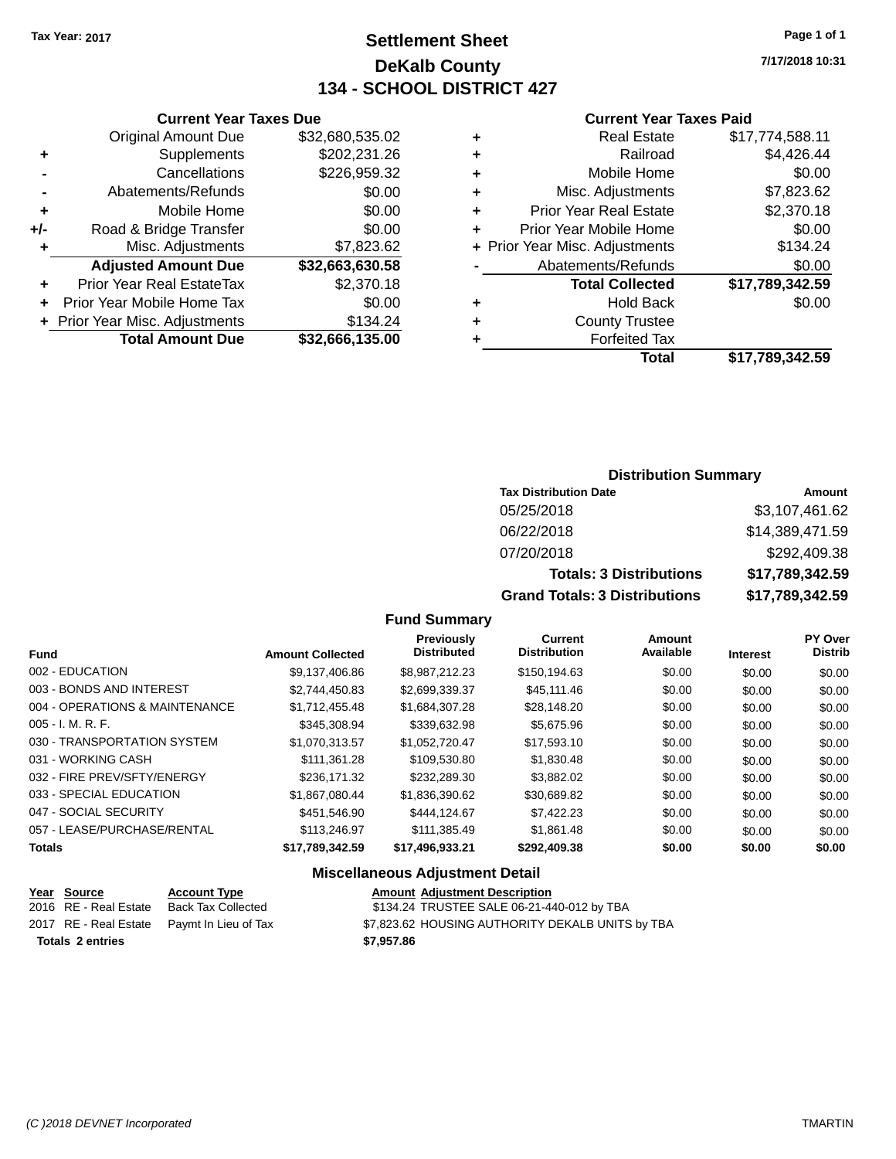# **Settlement Sheet Tax Year: 2017 Page 1 of 1 DeKalb County 134 - SCHOOL DISTRICT 427**

**7/17/2018 10:31**

#### **Current Year Taxes Paid**

|     | <b>Current Year Taxes Due</b>  |                 |  |  |  |  |  |
|-----|--------------------------------|-----------------|--|--|--|--|--|
|     | <b>Original Amount Due</b>     | \$32,680,535.02 |  |  |  |  |  |
| ٠   | Supplements                    | \$202,231.26    |  |  |  |  |  |
|     | \$226,959.32<br>Cancellations  |                 |  |  |  |  |  |
|     | Abatements/Refunds             | \$0.00          |  |  |  |  |  |
| ٠   | Mobile Home                    | \$0.00          |  |  |  |  |  |
| +/- | Road & Bridge Transfer         | \$0.00          |  |  |  |  |  |
| ٠   | Misc. Adjustments              | \$7,823.62      |  |  |  |  |  |
|     | <b>Adjusted Amount Due</b>     | \$32,663,630.58 |  |  |  |  |  |
| ٠   | Prior Year Real EstateTax      | \$2,370.18      |  |  |  |  |  |
|     | Prior Year Mobile Home Tax     | \$0.00          |  |  |  |  |  |
|     | + Prior Year Misc. Adjustments | \$134.24        |  |  |  |  |  |
|     | <b>Total Amount Due</b>        | \$32,666,135.00 |  |  |  |  |  |
|     |                                |                 |  |  |  |  |  |

|   | <b>Real Estate</b>             | \$17,774,588.11 |
|---|--------------------------------|-----------------|
| ٠ | Railroad                       | \$4,426.44      |
| ٠ | Mobile Home                    | \$0.00          |
| ٠ | Misc. Adjustments              | \$7,823.62      |
| ٠ | <b>Prior Year Real Estate</b>  | \$2,370.18      |
| ÷ | Prior Year Mobile Home         | \$0.00          |
|   | + Prior Year Misc. Adjustments | \$134.24        |
|   | Abatements/Refunds             | \$0.00          |
|   | <b>Total Collected</b>         | \$17,789,342.59 |
| ٠ | <b>Hold Back</b>               | \$0.00          |
| ٠ | <b>County Trustee</b>          |                 |
| ٠ | <b>Forfeited Tax</b>           |                 |
|   | <b>Total</b>                   | \$17,789,342.59 |
|   |                                |                 |

# **Distribution Summary**

| <b>Tax Distribution Date</b>         | Amount          |
|--------------------------------------|-----------------|
| 05/25/2018                           | \$3,107,461.62  |
| 06/22/2018                           | \$14,389,471.59 |
| 07/20/2018                           | \$292,409.38    |
| <b>Totals: 3 Distributions</b>       | \$17,789,342.59 |
| <b>Grand Totals: 3 Distributions</b> | \$17,789,342.59 |

### **Fund Summary**

|                                |                         | Previously         | Current             | <b>Amount</b> |                 | <b>PY Over</b> |
|--------------------------------|-------------------------|--------------------|---------------------|---------------|-----------------|----------------|
| <b>Fund</b>                    | <b>Amount Collected</b> | <b>Distributed</b> | <b>Distribution</b> | Available     | <b>Interest</b> | <b>Distrib</b> |
| 002 - EDUCATION                | \$9.137.406.86          | \$8.987.212.23     | \$150,194.63        | \$0.00        | \$0.00          | \$0.00         |
| 003 - BONDS AND INTEREST       | \$2,744,450.83          | \$2,699,339.37     | \$45,111,46         | \$0.00        | \$0.00          | \$0.00         |
| 004 - OPERATIONS & MAINTENANCE | \$1.712.455.48          | \$1,684,307.28     | \$28,148.20         | \$0.00        | \$0.00          | \$0.00         |
| $005 - I. M. R. F.$            | \$345,308.94            | \$339.632.98       | \$5,675.96          | \$0.00        | \$0.00          | \$0.00         |
| 030 - TRANSPORTATION SYSTEM    | \$1,070,313.57          | \$1,052,720.47     | \$17,593.10         | \$0.00        | \$0.00          | \$0.00         |
| 031 - WORKING CASH             | \$111.361.28            | \$109.530.80       | \$1,830.48          | \$0.00        | \$0.00          | \$0.00         |
| 032 - FIRE PREV/SFTY/ENERGY    | \$236,171.32            | \$232,289.30       | \$3,882.02          | \$0.00        | \$0.00          | \$0.00         |
| 033 - SPECIAL EDUCATION        | \$1.867.080.44          | \$1,836,390.62     | \$30,689.82         | \$0.00        | \$0.00          | \$0.00         |
| 047 - SOCIAL SECURITY          | \$451.546.90            | \$444.124.67       | \$7,422.23          | \$0.00        | \$0.00          | \$0.00         |
| 057 - LEASE/PURCHASE/RENTAL    | \$113,246.97            | \$111.385.49       | \$1,861.48          | \$0.00        | \$0.00          | \$0.00         |
| <b>Totals</b>                  | \$17.789.342.59         | \$17.496.933.21    | \$292,409.38        | \$0.00        | \$0.00          | \$0.00         |

|                         | Year Source           | <b>Account Type</b>                        | <b>Amount Adjustment Description</b>             |
|-------------------------|-----------------------|--------------------------------------------|--------------------------------------------------|
|                         | 2016 RE - Real Estate | Back Tax Collected                         | \$134.24 TRUSTEE SALE 06-21-440-012 by TBA       |
|                         |                       | 2017 RE - Real Estate Pavmt In Lieu of Tax | \$7,823.62 HOUSING AUTHORITY DEKALB UNITS by TBA |
| <b>Totals 2 entries</b> |                       |                                            | \$7.957.86                                       |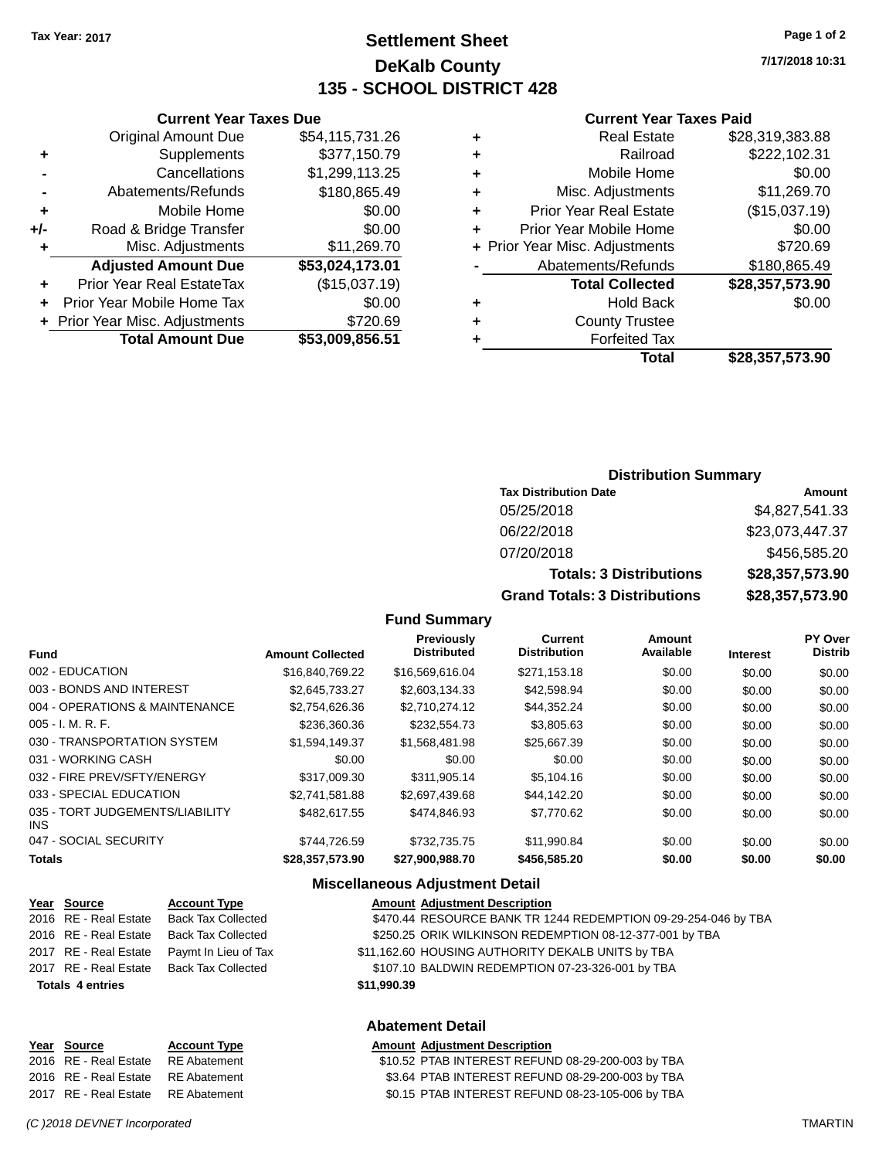**Current Year Taxes Due** Original Amount Due \$54,115,731.26

**Adjusted Amount Due \$53,024,173.01**

**Total Amount Due \$53,009,856.51**

**+** Supplements \$377,150.79 **-** Cancellations \$1,299,113.25 **-** Abatements/Refunds \$180,865.49 **+** Mobile Home \$0.00 **+/-** Road & Bridge Transfer \$0.00<br>**+** Misc. Adjustments \$11,269.70

**+** Prior Year Real EstateTax (\$15,037.19) **+** Prior Year Mobile Home Tax \$0.00 **+** Prior Year Misc. Adjustments \$720.69

**+** Misc. Adjustments

# **Settlement Sheet Tax Year: 2017 Page 1 of 2 DeKalb County 135 - SCHOOL DISTRICT 428**

**7/17/2018 10:31**

#### **Current Year Taxes Paid**

| ٠ | <b>Real Estate</b>             | \$28,319,383.88 |
|---|--------------------------------|-----------------|
| ٠ | Railroad                       | \$222,102.31    |
| ٠ | Mobile Home                    | \$0.00          |
| ٠ | Misc. Adjustments              | \$11,269.70     |
| ٠ | <b>Prior Year Real Estate</b>  | (\$15,037.19)   |
| ٠ | Prior Year Mobile Home         | \$0.00          |
|   | + Prior Year Misc. Adjustments | \$720.69        |
|   | Abatements/Refunds             | \$180,865.49    |
|   | <b>Total Collected</b>         | \$28,357,573.90 |
| ÷ | <b>Hold Back</b>               | \$0.00          |
| ÷ | <b>County Trustee</b>          |                 |
|   | <b>Forfeited Tax</b>           |                 |
|   | Total                          | \$28,357,573.90 |

| <b>Distribution Summary</b> |  |
|-----------------------------|--|
| ın Nato                     |  |

| <b>Tax Distribution Date</b>         | Amount          |
|--------------------------------------|-----------------|
| 05/25/2018                           | \$4,827,541.33  |
| 06/22/2018                           | \$23,073,447.37 |
| 07/20/2018                           | \$456,585.20    |
| <b>Totals: 3 Distributions</b>       | \$28,357,573.90 |
| <b>Grand Totals: 3 Distributions</b> | \$28,357,573.90 |

#### **Fund Summary**

| <b>Amount Collected</b> | Previously<br><b>Distributed</b> | <b>Current</b><br><b>Distribution</b> | Amount<br>Available | <b>Interest</b> | PY Over<br><b>Distrib</b> |
|-------------------------|----------------------------------|---------------------------------------|---------------------|-----------------|---------------------------|
| \$16,840,769.22         | \$16,569,616.04                  | \$271,153.18                          | \$0.00              | \$0.00          | \$0.00                    |
| \$2.645.733.27          | \$2,603,134,33                   | \$42,598.94                           | \$0.00              | \$0.00          | \$0.00                    |
| \$2,754,626,36          | \$2.710.274.12                   | \$44,352.24                           | \$0.00              | \$0.00          | \$0.00                    |
| \$236,360,36            | \$232,554.73                     | \$3.805.63                            | \$0.00              | \$0.00          | \$0.00                    |
| \$1.594.149.37          | \$1,568,481.98                   | \$25,667.39                           | \$0.00              | \$0.00          | \$0.00                    |
| \$0.00                  | \$0.00                           | \$0.00                                | \$0.00              | \$0.00          | \$0.00                    |
| \$317,009.30            | \$311.905.14                     | \$5,104.16                            | \$0.00              | \$0.00          | \$0.00                    |
| \$2.741.581.88          | \$2.697.439.68                   | \$44,142.20                           | \$0.00              | \$0.00          | \$0.00                    |
| \$482.617.55            | \$474,846,93                     | \$7,770.62                            | \$0.00              | \$0.00          | \$0.00                    |
| \$744.726.59            | \$732,735,75                     | \$11,990.84                           | \$0.00              | \$0.00          | \$0.00                    |
| \$28,357,573.90         | \$27.900.988.70                  | \$456,585.20                          | \$0.00              | \$0.00          | \$0.00                    |
|                         |                                  |                                       |                     |                 |                           |

| Year Source             | <b>Account Type</b>       | <b>Amount Adjustment Description</b>                           |
|-------------------------|---------------------------|----------------------------------------------------------------|
| 2016 RE - Real Estate   | <b>Back Tax Collected</b> | \$470.44 RESOURCE BANK TR 1244 REDEMPTION 09-29-254-046 by TBA |
| 2016 RE - Real Estate   | <b>Back Tax Collected</b> | \$250.25 ORIK WILKINSON REDEMPTION 08-12-377-001 by TBA        |
| 2017 RE - Real Estate   | Paymt In Lieu of Tax      | \$11,162.60 HOUSING AUTHORITY DEKALB UNITS by TBA              |
| 2017 RE - Real Estate   | <b>Back Tax Collected</b> | \$107.10 BALDWIN REDEMPTION 07-23-326-001 by TBA               |
| <b>Totals 4 entries</b> |                           | \$11,990.39                                                    |
|                         |                           | <b>Abatement Detail</b>                                        |
| Year Source             | <b>Account Type</b>       | <b>Amount Adjustment Description</b>                           |

| $15a$ $90u$ $05$                   | <b>ACCOMIL TAPS</b> | Allivulli Aujustinent Description                 |
|------------------------------------|---------------------|---------------------------------------------------|
| 2016 RE - Real Estate              | RE Abatement        | \$10.52 PTAB INTEREST REFUND 08-29-200-003 by TBA |
| 2016 RE - Real Estate RE Abatement |                     | \$3.64 PTAB INTEREST REFUND 08-29-200-003 by TBA  |
| 2017 RE - Real Estate RE Abatement |                     | \$0.15 PTAB INTEREST REFUND 08-23-105-006 by TBA  |
|                                    |                     |                                                   |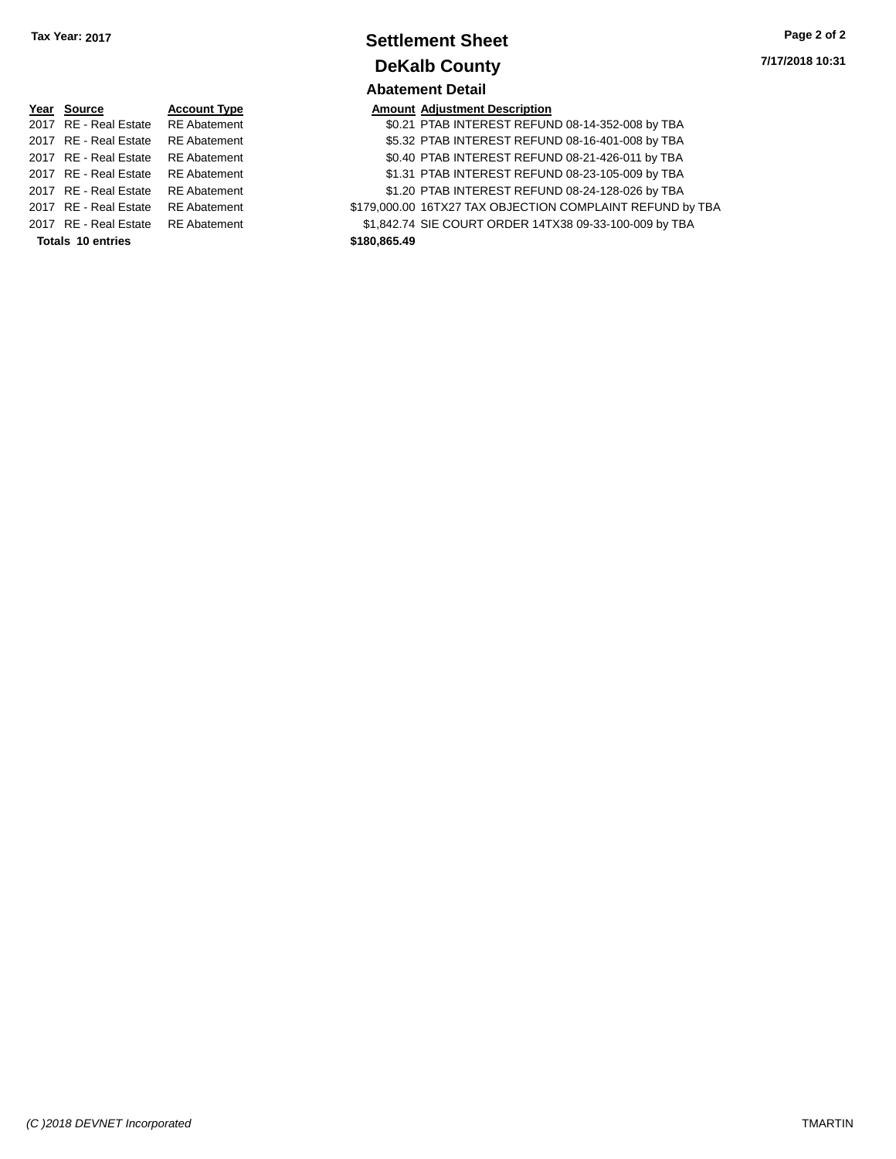| Tax Year: 2017 | <b>Settlement Sheet</b> | Page 2 of 2     |
|----------------|-------------------------|-----------------|
|                | <b>DeKalb County</b>    | 7/17/2018 10:31 |
|                | <b>Abatement Detail</b> |                 |

|                          | Year Source           | <b>Account Type</b> |              | <b>Amount Adjustment Description</b> |
|--------------------------|-----------------------|---------------------|--------------|--------------------------------------|
|                          | 2017 RE - Real Estate | <b>RE</b> Abatement |              | \$0.21 PTAB INTEREST REFUN           |
|                          | 2017 RE - Real Estate | <b>RE</b> Abatement |              | \$5.32 PTAB INTEREST REFUN           |
|                          | 2017 RE - Real Estate | <b>RE</b> Abatement |              | \$0.40 PTAB INTEREST REFUN           |
|                          | 2017 RE - Real Estate | <b>RE</b> Abatement |              | \$1.31 PTAB INTEREST REFUN           |
|                          | 2017 RE - Real Estate | <b>RE</b> Abatement |              | \$1.20 PTAB INTEREST REFUN           |
|                          | 2017 RE - Real Estate | <b>RE</b> Abatement |              | \$179,000.00 16TX27 TAX OBJECTION    |
|                          | 2017 RE - Real Estate | <b>RE</b> Abatement |              | \$1.842.74 SIE COURT ORDER 14T       |
| <b>Totals 10 entries</b> |                       |                     | \$180,865.49 |                                      |

| Year Source                        | <b>Account Type</b> | <b>Amount Adjustment Description</b>                      |
|------------------------------------|---------------------|-----------------------------------------------------------|
| 2017 RE - Real Estate              | <b>RE</b> Abatement | \$0.21 PTAB INTEREST REFUND 08-14-352-008 by TBA          |
| 2017 RE - Real Estate              | <b>RE</b> Abatement | \$5.32 PTAB INTEREST REFUND 08-16-401-008 by TBA          |
| 2017 RE - Real Estate              | <b>RE</b> Abatement | \$0.40 PTAB INTEREST REFUND 08-21-426-011 by TBA          |
| 2017 RE - Real Estate              | <b>RE Abatement</b> | \$1.31 PTAB INTEREST REFUND 08-23-105-009 by TBA          |
| 2017 RE - Real Estate              | <b>RE</b> Abatement | \$1.20 PTAB INTEREST REFUND 08-24-128-026 by TBA          |
| 2017 RE - Real Estate              | <b>RE</b> Abatement | \$179,000.00 16TX27 TAX OBJECTION COMPLAINT REFUND by TBA |
| 2017 RE - Real Estate RE Abatement |                     | \$1,842.74 SIE COURT ORDER 14TX38 09-33-100-009 by TBA    |
|                                    |                     |                                                           |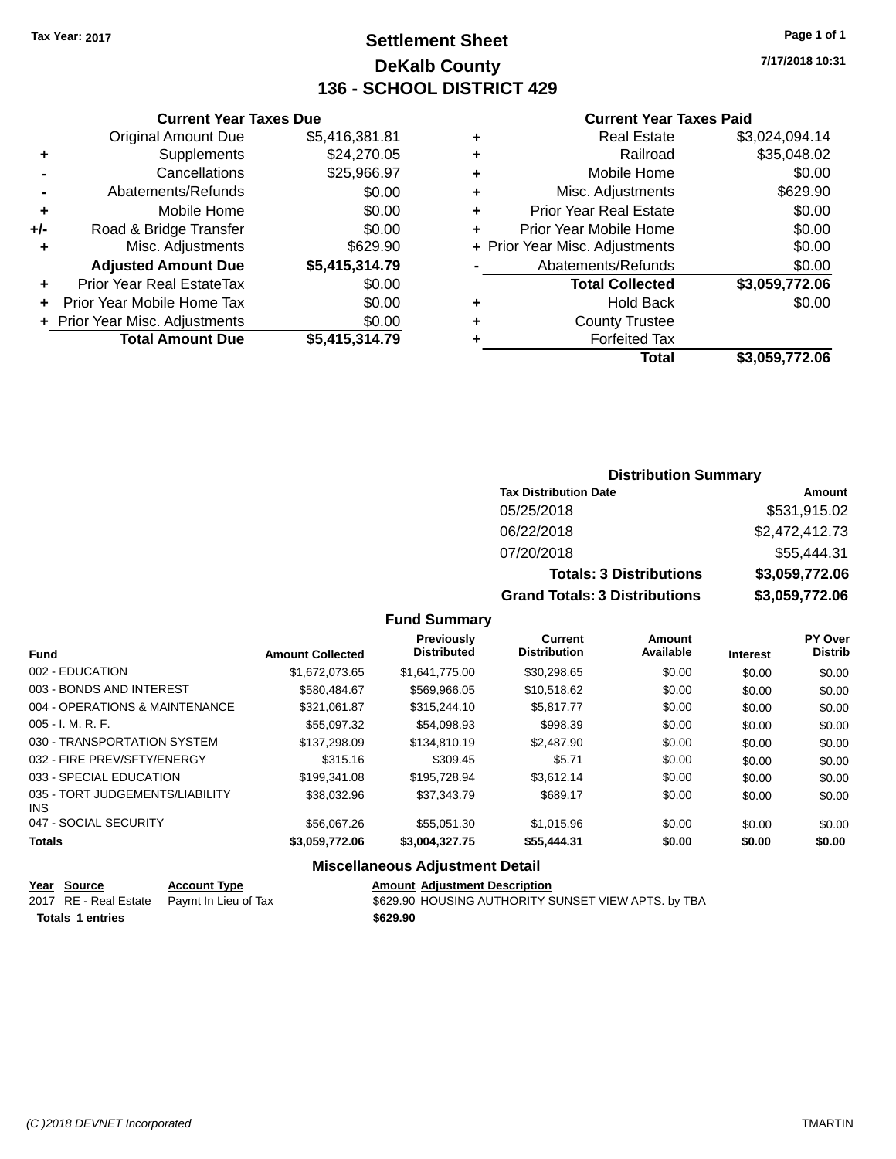# **Settlement Sheet Tax Year: 2017 Page 1 of 1 DeKalb County 136 - SCHOOL DISTRICT 429**

**7/17/2018 10:31**

#### **Current Year Taxes Paid**

|     | <b>Original Amount Due</b>       | \$5,416,381.81 |
|-----|----------------------------------|----------------|
| ٠   | Supplements                      | \$24,270.05    |
|     | Cancellations                    | \$25,966.97    |
|     | Abatements/Refunds               | \$0.00         |
| ٠   | Mobile Home                      | \$0.00         |
| +/- | Road & Bridge Transfer           | \$0.00         |
| ٠   | Misc. Adjustments                | \$629.90       |
|     | <b>Adjusted Amount Due</b>       | \$5,415,314.79 |
| ÷   | <b>Prior Year Real EstateTax</b> | \$0.00         |
|     | Prior Year Mobile Home Tax       | \$0.00         |
|     | + Prior Year Misc. Adjustments   | \$0.00         |
|     | <b>Total Amount Due</b>          | \$5,415,314.79 |
|     |                                  |                |

**Current Year Taxes Due**

|   | <b>Real Estate</b>             | \$3,024,094.14 |
|---|--------------------------------|----------------|
| ٠ | Railroad                       | \$35,048.02    |
| ٠ | Mobile Home                    | \$0.00         |
| ٠ | Misc. Adjustments              | \$629.90       |
| ٠ | <b>Prior Year Real Estate</b>  | \$0.00         |
| ٠ | Prior Year Mobile Home         | \$0.00         |
|   | + Prior Year Misc. Adjustments | \$0.00         |
|   | Abatements/Refunds             | \$0.00         |
|   | <b>Total Collected</b>         | \$3,059,772.06 |
| ٠ | <b>Hold Back</b>               | \$0.00         |
| ٠ | <b>County Trustee</b>          |                |
| ٠ | <b>Forfeited Tax</b>           |                |
|   | Total                          | \$3,059,772.06 |
|   |                                |                |

# **Distribution Summary Tax Distribution Date Amount** 05/25/2018 \$531,915.02 06/22/2018 \$2,472,412.73 07/20/2018 \$55,444.31 **Totals: 3 Distributions \$3,059,772.06 Grand Totals: 3 Distributions \$3,059,772.06**

#### **Fund Summary**

| <b>Fund</b>                             | <b>Amount Collected</b> | Previously<br><b>Distributed</b> | Current<br><b>Distribution</b> | Amount<br>Available | <b>Interest</b> | <b>PY Over</b><br><b>Distrib</b> |
|-----------------------------------------|-------------------------|----------------------------------|--------------------------------|---------------------|-----------------|----------------------------------|
|                                         |                         |                                  |                                |                     |                 |                                  |
| 002 - EDUCATION                         | \$1,672,073.65          | \$1.641.775.00                   | \$30,298.65                    | \$0.00              | \$0.00          | \$0.00                           |
| 003 - BONDS AND INTEREST                | \$580,484.67            | \$569,966.05                     | \$10,518.62                    | \$0.00              | \$0.00          | \$0.00                           |
| 004 - OPERATIONS & MAINTENANCE          | \$321,061.87            | \$315,244.10                     | \$5,817.77                     | \$0.00              | \$0.00          | \$0.00                           |
| $005 - I. M. R. F.$                     | \$55,097.32             | \$54,098.93                      | \$998.39                       | \$0.00              | \$0.00          | \$0.00                           |
| 030 - TRANSPORTATION SYSTEM             | \$137,298.09            | \$134,810.19                     | \$2,487.90                     | \$0.00              | \$0.00          | \$0.00                           |
| 032 - FIRE PREV/SFTY/ENERGY             | \$315.16                | \$309.45                         | \$5.71                         | \$0.00              | \$0.00          | \$0.00                           |
| 033 - SPECIAL EDUCATION                 | \$199,341.08            | \$195,728.94                     | \$3.612.14                     | \$0.00              | \$0.00          | \$0.00                           |
| 035 - TORT JUDGEMENTS/LIABILITY<br>INS. | \$38,032.96             | \$37,343.79                      | \$689.17                       | \$0.00              | \$0.00          | \$0.00                           |
| 047 - SOCIAL SECURITY                   | \$56,067.26             | \$55.051.30                      | \$1,015.96                     | \$0.00              | \$0.00          | \$0.00                           |
| <b>Totals</b>                           | \$3,059,772.06          | \$3,004,327.75                   | \$55,444.31                    | \$0.00              | \$0.00          | \$0.00                           |

| Year Source             | <b>Account Type</b>                        | <b>Amount Adiustment Description</b>                |
|-------------------------|--------------------------------------------|-----------------------------------------------------|
|                         | 2017 RE - Real Estate Paymt In Lieu of Tax | \$629.90 HOUSING AUTHORITY SUNSET VIEW APTS. by TBA |
| <b>Totals 1 entries</b> |                                            | \$629.90                                            |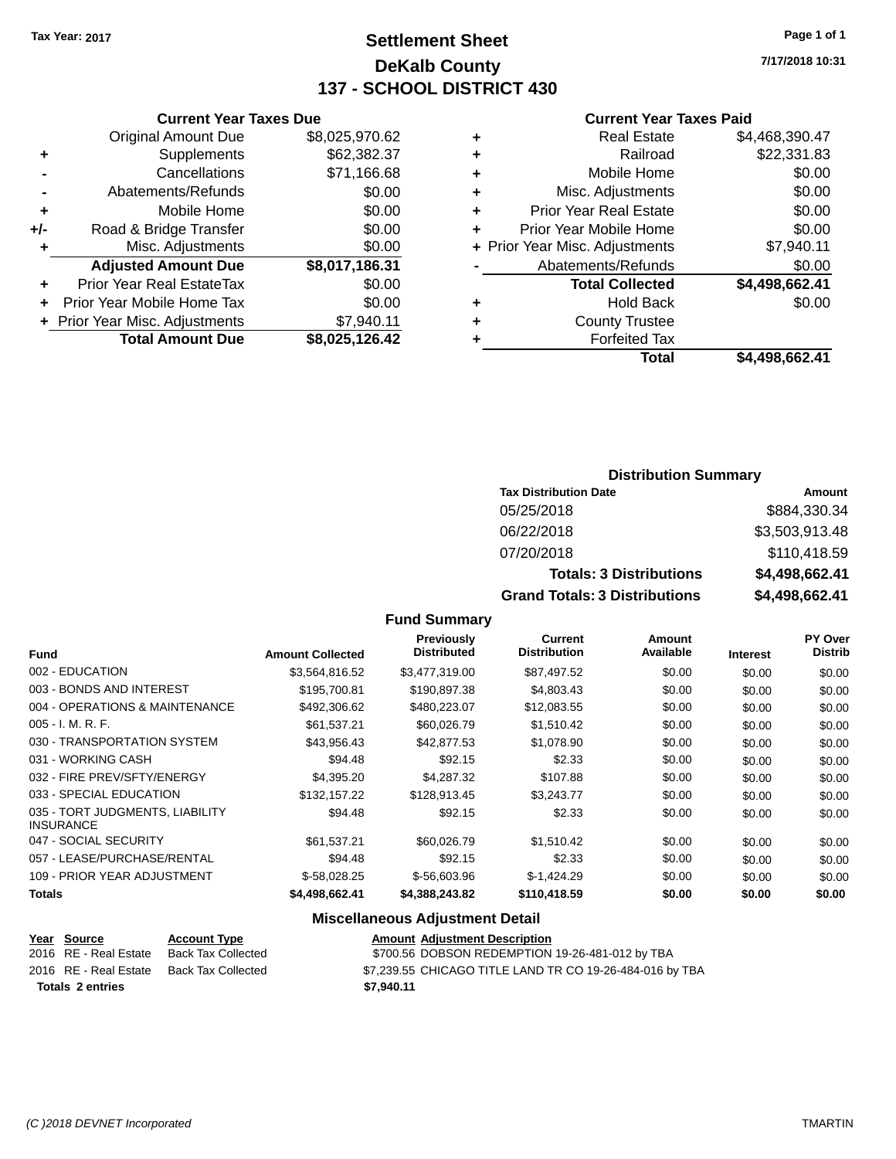# **Settlement Sheet Tax Year: 2017 Page 1 of 1 DeKalb County 137 - SCHOOL DISTRICT 430**

**7/17/2018 10:31**

#### **Current Year Taxes Paid**

|     | <b>Current Year Taxes Due</b>    |                |   |
|-----|----------------------------------|----------------|---|
|     | <b>Original Amount Due</b>       | \$8,025,970.62 | ٠ |
| ٠   | Supplements                      | \$62,382.37    | ٠ |
|     | Cancellations                    | \$71,166.68    | ٠ |
|     | Abatements/Refunds               | \$0.00         | ٠ |
|     | Mobile Home                      | \$0.00         | ٠ |
| +/- | Road & Bridge Transfer           | \$0.00         | ٠ |
|     | Misc. Adjustments                | \$0.00         | ٠ |
|     | <b>Adjusted Amount Due</b>       | \$8,017,186.31 |   |
| ٠   | <b>Prior Year Real EstateTax</b> | \$0.00         |   |
|     | Prior Year Mobile Home Tax       | \$0.00         | ٠ |
|     | + Prior Year Misc. Adjustments   | \$7,940.11     | ٠ |
|     | <b>Total Amount Due</b>          | \$8,025,126.42 |   |
|     |                                  |                |   |

| ٠ | <b>Real Estate</b>             | \$4,468,390.47 |
|---|--------------------------------|----------------|
| ٠ | Railroad                       | \$22,331.83    |
| ٠ | Mobile Home                    | \$0.00         |
| ٠ | Misc. Adjustments              | \$0.00         |
| ٠ | <b>Prior Year Real Estate</b>  | \$0.00         |
| ٠ | Prior Year Mobile Home         | \$0.00         |
|   | + Prior Year Misc. Adjustments | \$7,940.11     |
|   | Abatements/Refunds             | \$0.00         |
|   | <b>Total Collected</b>         | \$4,498,662.41 |
| ٠ | <b>Hold Back</b>               | \$0.00         |
| ٠ | <b>County Trustee</b>          |                |
| ٠ | <b>Forfeited Tax</b>           |                |
|   | <b>Total</b>                   | \$4,498,662.41 |

# **Distribution Summary Tax Distribution Date Amount** 05/25/2018 \$884,330.34

| <b>Totals: 3 Distributions</b>       | \$4,498,662.41 |
|--------------------------------------|----------------|
| <b>Grand Totals: 3 Distributions</b> | \$4,498,662.41 |
|                                      |                |

### **Fund Summary**

|                                                     |                         | <b>Previously</b><br><b>Distributed</b> | <b>Current</b><br><b>Distribution</b> | Amount<br>Available |                 | <b>PY Over</b><br><b>Distrib</b> |
|-----------------------------------------------------|-------------------------|-----------------------------------------|---------------------------------------|---------------------|-----------------|----------------------------------|
| <b>Fund</b>                                         | <b>Amount Collected</b> |                                         |                                       |                     | <b>Interest</b> |                                  |
| 002 - EDUCATION                                     | \$3,564,816.52          | \$3,477,319.00                          | \$87,497.52                           | \$0.00              | \$0.00          | \$0.00                           |
| 003 - BONDS AND INTEREST                            | \$195.700.81            | \$190.897.38                            | \$4,803.43                            | \$0.00              | \$0.00          | \$0.00                           |
| 004 - OPERATIONS & MAINTENANCE                      | \$492,306.62            | \$480,223.07                            | \$12,083.55                           | \$0.00              | \$0.00          | \$0.00                           |
| $005 - I. M. R. F.$                                 | \$61,537.21             | \$60,026.79                             | \$1,510.42                            | \$0.00              | \$0.00          | \$0.00                           |
| 030 - TRANSPORTATION SYSTEM                         | \$43.956.43             | \$42,877.53                             | \$1,078.90                            | \$0.00              | \$0.00          | \$0.00                           |
| 031 - WORKING CASH                                  | \$94.48                 | \$92.15                                 | \$2.33                                | \$0.00              | \$0.00          | \$0.00                           |
| 032 - FIRE PREV/SFTY/ENERGY                         | \$4,395.20              | \$4,287.32                              | \$107.88                              | \$0.00              | \$0.00          | \$0.00                           |
| 033 - SPECIAL EDUCATION                             | \$132,157.22            | \$128,913.45                            | \$3,243.77                            | \$0.00              | \$0.00          | \$0.00                           |
| 035 - TORT JUDGMENTS, LIABILITY<br><b>INSURANCE</b> | \$94.48                 | \$92.15                                 | \$2.33                                | \$0.00              | \$0.00          | \$0.00                           |
| 047 - SOCIAL SECURITY                               | \$61.537.21             | \$60,026.79                             | \$1,510.42                            | \$0.00              | \$0.00          | \$0.00                           |
| 057 - LEASE/PURCHASE/RENTAL                         | \$94.48                 | \$92.15                                 | \$2.33                                | \$0.00              | \$0.00          | \$0.00                           |
| 109 - PRIOR YEAR ADJUSTMENT                         | $$-58,028.25$           | $$-56.603.96$                           | $$-1,424.29$                          | \$0.00              | \$0.00          | \$0.00                           |
| Totals                                              | \$4,498,662.41          | \$4,388,243.82                          | \$110,418.59                          | \$0.00              | \$0.00          | \$0.00                           |

#### **Miscellaneous Adjustment Detail**

| Year Source             | <b>Account Type</b>       | Amount     |
|-------------------------|---------------------------|------------|
| 2016 RE - Real Estate   | <b>Back Tax Collected</b> | \$700.56   |
| 2016 RE - Real Estate   | <b>Back Tax Collected</b> | \$7.239.55 |
| <b>Totals 2 entries</b> |                           | \$7.940.11 |

**Pear Source Account Adjustment Description** ected **\$700.56 DOBSON REDEMPTION 19-26-481-012 by TBA** ected **\$7,239.55 CHICAGO TITLE LAND TR CO 19-26-484-016 by TBA**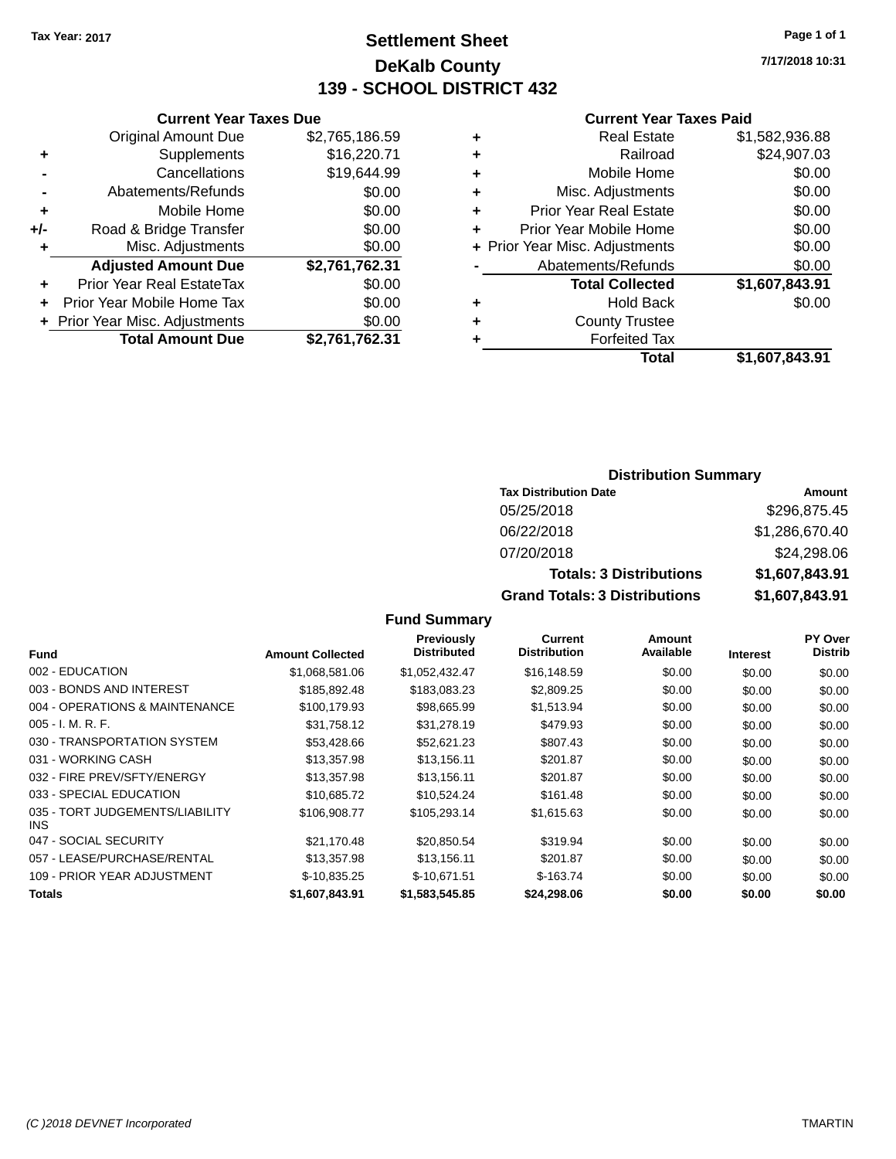# **Settlement Sheet Tax Year: 2017 Page 1 of 1 DeKalb County 139 - SCHOOL DISTRICT 432**

**7/17/2018 10:31**

#### **Current Year Taxes Paid**

|     | <b>Current Year Taxes Due</b>  |                |
|-----|--------------------------------|----------------|
|     | <b>Original Amount Due</b>     | \$2,765,186.59 |
| ٠   | Supplements                    | \$16,220.71    |
|     | Cancellations                  | \$19,644.99    |
|     | Abatements/Refunds             | \$0.00         |
| ٠   | Mobile Home                    | \$0.00         |
| +/- | Road & Bridge Transfer         | \$0.00         |
| ٠   | Misc. Adjustments              | \$0.00         |
|     | <b>Adjusted Amount Due</b>     | \$2,761,762.31 |
| ٠   | Prior Year Real EstateTax      | \$0.00         |
|     | Prior Year Mobile Home Tax     | \$0.00         |
|     | + Prior Year Misc. Adjustments | \$0.00         |
|     | <b>Total Amount Due</b>        | \$2,761,762.31 |
|     |                                |                |

|   | <b>Real Estate</b>             | \$1,582,936.88 |
|---|--------------------------------|----------------|
| ٠ | Railroad                       | \$24,907.03    |
| ٠ | Mobile Home                    | \$0.00         |
| ٠ | Misc. Adjustments              | \$0.00         |
| ٠ | <b>Prior Year Real Estate</b>  | \$0.00         |
| ÷ | Prior Year Mobile Home         | \$0.00         |
|   | + Prior Year Misc. Adjustments | \$0.00         |
|   | Abatements/Refunds             | \$0.00         |
|   | <b>Total Collected</b>         | \$1,607,843.91 |
| ٠ | <b>Hold Back</b>               | \$0.00         |
| ٠ | <b>County Trustee</b>          |                |
| ٠ | <b>Forfeited Tax</b>           |                |
|   | Total                          | \$1,607,843.91 |
|   |                                |                |

# **Distribution Summary**

| <b>Tax Distribution Date</b>         | Amount         |
|--------------------------------------|----------------|
| 05/25/2018                           | \$296,875.45   |
| 06/22/2018                           | \$1,286,670.40 |
| 07/20/2018                           | \$24,298.06    |
| <b>Totals: 3 Distributions</b>       | \$1,607,843.91 |
| <b>Grand Totals: 3 Distributions</b> | \$1,607,843.91 |

|                                         |                         | <b>Previously</b><br><b>Distributed</b> | Current<br><b>Distribution</b> | Amount<br>Available |                 | <b>PY Over</b><br><b>Distrib</b> |
|-----------------------------------------|-------------------------|-----------------------------------------|--------------------------------|---------------------|-----------------|----------------------------------|
| <b>Fund</b>                             | <b>Amount Collected</b> |                                         |                                |                     | <b>Interest</b> |                                  |
| 002 - EDUCATION                         | \$1,068,581.06          | \$1,052,432.47                          | \$16,148.59                    | \$0.00              | \$0.00          | \$0.00                           |
| 003 - BONDS AND INTEREST                | \$185,892.48            | \$183,083.23                            | \$2,809.25                     | \$0.00              | \$0.00          | \$0.00                           |
| 004 - OPERATIONS & MAINTENANCE          | \$100.179.93            | \$98,665.99                             | \$1,513.94                     | \$0.00              | \$0.00          | \$0.00                           |
| $005 - I. M. R. F.$                     | \$31.758.12             | \$31,278.19                             | \$479.93                       | \$0.00              | \$0.00          | \$0.00                           |
| 030 - TRANSPORTATION SYSTEM             | \$53,428.66             | \$52,621.23                             | \$807.43                       | \$0.00              | \$0.00          | \$0.00                           |
| 031 - WORKING CASH                      | \$13,357.98             | \$13,156.11                             | \$201.87                       | \$0.00              | \$0.00          | \$0.00                           |
| 032 - FIRE PREV/SFTY/ENERGY             | \$13,357.98             | \$13,156.11                             | \$201.87                       | \$0.00              | \$0.00          | \$0.00                           |
| 033 - SPECIAL EDUCATION                 | \$10,685.72             | \$10,524.24                             | \$161.48                       | \$0.00              | \$0.00          | \$0.00                           |
| 035 - TORT JUDGEMENTS/LIABILITY<br>INS. | \$106,908.77            | \$105.293.14                            | \$1,615.63                     | \$0.00              | \$0.00          | \$0.00                           |
| 047 - SOCIAL SECURITY                   | \$21.170.48             | \$20.850.54                             | \$319.94                       | \$0.00              | \$0.00          | \$0.00                           |
| 057 - LEASE/PURCHASE/RENTAL             | \$13,357.98             | \$13,156.11                             | \$201.87                       | \$0.00              | \$0.00          | \$0.00                           |
| 109 - PRIOR YEAR ADJUSTMENT             | \$-10,835.25            | $$-10.671.51$                           | $$-163.74$                     | \$0.00              | \$0.00          | \$0.00                           |
| <b>Totals</b>                           | \$1,607,843.91          | \$1,583,545.85                          | \$24,298.06                    | \$0.00              | \$0.00          | \$0.00                           |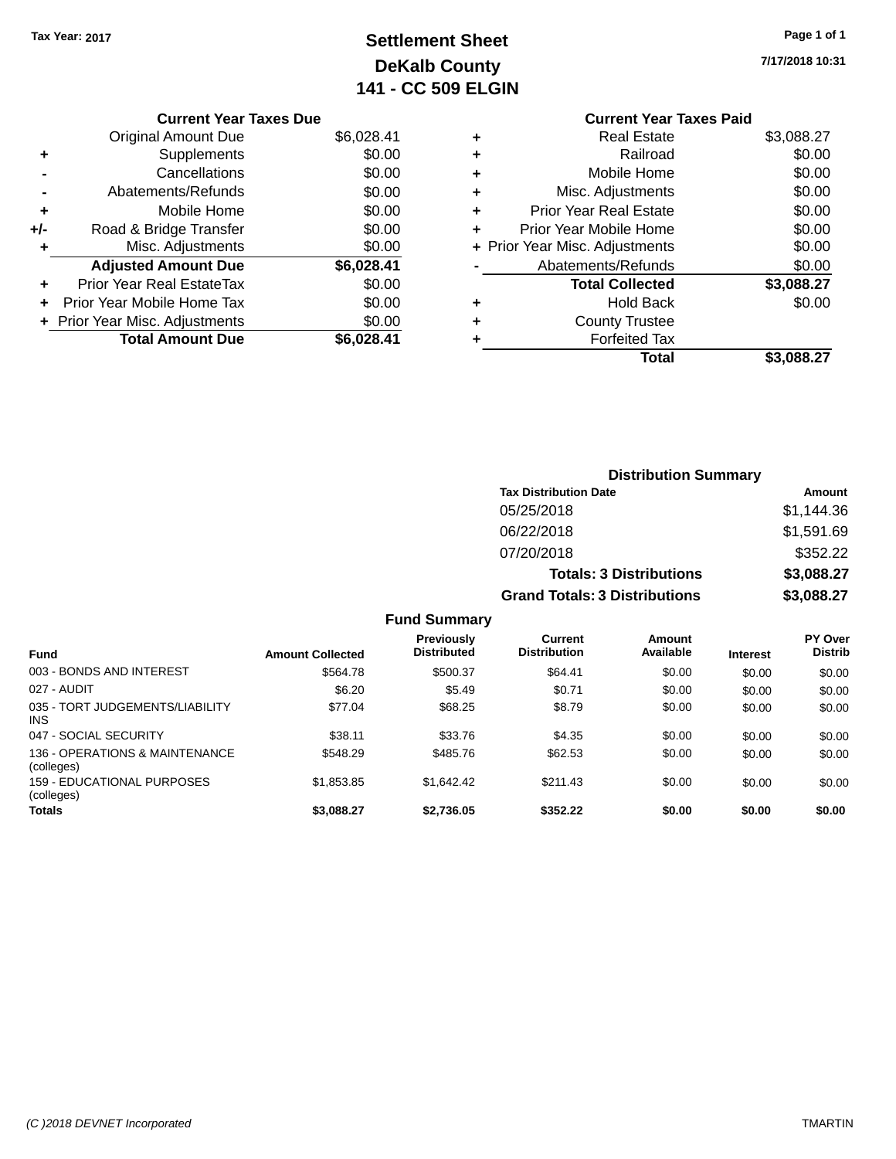# **Settlement Sheet Tax Year: 2017 Page 1 of 1 DeKalb County 141 - CC 509 ELGIN**

**7/17/2018 10:31**

# **Current Year Taxes Paid +** Real Estate \$3,088.27 **+** Railroad \$0.00 **+** Mobile Home \$0.00 **+** Misc. Adjustments \$0.00 **+** Prior Year Real Estate \$0.00 **+** Prior Year Mobile Home \$0.00 **+ Prior Year Misc. Adjustments**  $$0.00$ Abatements/Refunds \$0.00 **Total Collected \$3,088.27 +** Hold Back \$0.00 **+** County Trustee **+** Forfeited Tax **Total \$3,088.27**

|                                                 |                         |                                         |                                       | <b>Distribution Summary</b>    |                 |                                  |
|-------------------------------------------------|-------------------------|-----------------------------------------|---------------------------------------|--------------------------------|-----------------|----------------------------------|
|                                                 |                         |                                         | <b>Tax Distribution Date</b>          |                                |                 | Amount                           |
|                                                 |                         |                                         | 05/25/2018                            |                                |                 | \$1,144.36                       |
|                                                 |                         |                                         | 06/22/2018                            |                                |                 | \$1,591.69                       |
|                                                 |                         |                                         | 07/20/2018                            |                                |                 | \$352.22                         |
|                                                 |                         |                                         |                                       | <b>Totals: 3 Distributions</b> |                 | \$3,088.27                       |
|                                                 |                         |                                         | <b>Grand Totals: 3 Distributions</b>  |                                |                 | \$3,088.27                       |
|                                                 |                         | <b>Fund Summary</b>                     |                                       |                                |                 |                                  |
| <b>Fund</b>                                     | <b>Amount Collected</b> | <b>Previously</b><br><b>Distributed</b> | <b>Current</b><br><b>Distribution</b> | Amount<br>Available            | <b>Interest</b> | <b>PY Over</b><br><b>Distrib</b> |
| 003 - BONDS AND INTEREST                        | \$564.78                | \$500.37                                | \$64.41                               | \$0.00                         | \$0.00          | \$0.00                           |
| 027 - AUDIT                                     | \$6.20                  | \$5.49                                  | \$0.71                                | \$0.00                         | \$0.00          | \$0.00                           |
| 035 - TORT JUDGEMENTS/LIABILITY<br><b>INS</b>   | \$77.04                 | \$68.25                                 | \$8.79                                | \$0.00                         | \$0.00          | \$0.00                           |
| 047 - SOCIAL SECURITY                           | \$38.11                 | \$33.76                                 | \$4.35                                | \$0.00                         | \$0.00          | \$0.00                           |
| 136 - OPERATIONS & MAINTENANCE<br>(colleges)    | \$548.29                | \$485.76                                | \$62.53                               | \$0.00                         | \$0.00          | \$0.00                           |
| <b>159 - EDUCATIONAL PURPOSES</b><br>(colleges) | \$1,853.85              | \$1,642.42                              | \$211.43                              | \$0.00                         | \$0.00          | \$0.00                           |
| <b>Totals</b>                                   | \$3,088.27              | \$2,736.05                              | \$352.22                              | \$0.00                         | \$0.00          | \$0.00                           |

# **Current Year Taxes Due**

|     | <b>Original Amount Due</b>     | \$6,028.41 |
|-----|--------------------------------|------------|
| ٠   | Supplements                    | \$0.00     |
|     | Cancellations                  | \$0.00     |
|     | Abatements/Refunds             | \$0.00     |
| ÷   | Mobile Home                    | \$0.00     |
| +/- | Road & Bridge Transfer         | \$0.00     |
| ٠   | Misc. Adjustments              | \$0.00     |
|     | <b>Adjusted Amount Due</b>     | \$6,028.41 |
| ٠   | Prior Year Real EstateTax      | \$0.00     |
|     |                                |            |
|     | Prior Year Mobile Home Tax     | \$0.00     |
|     | + Prior Year Misc. Adjustments | \$0.00     |
|     | <b>Total Amount Due</b>        | \$6,028.41 |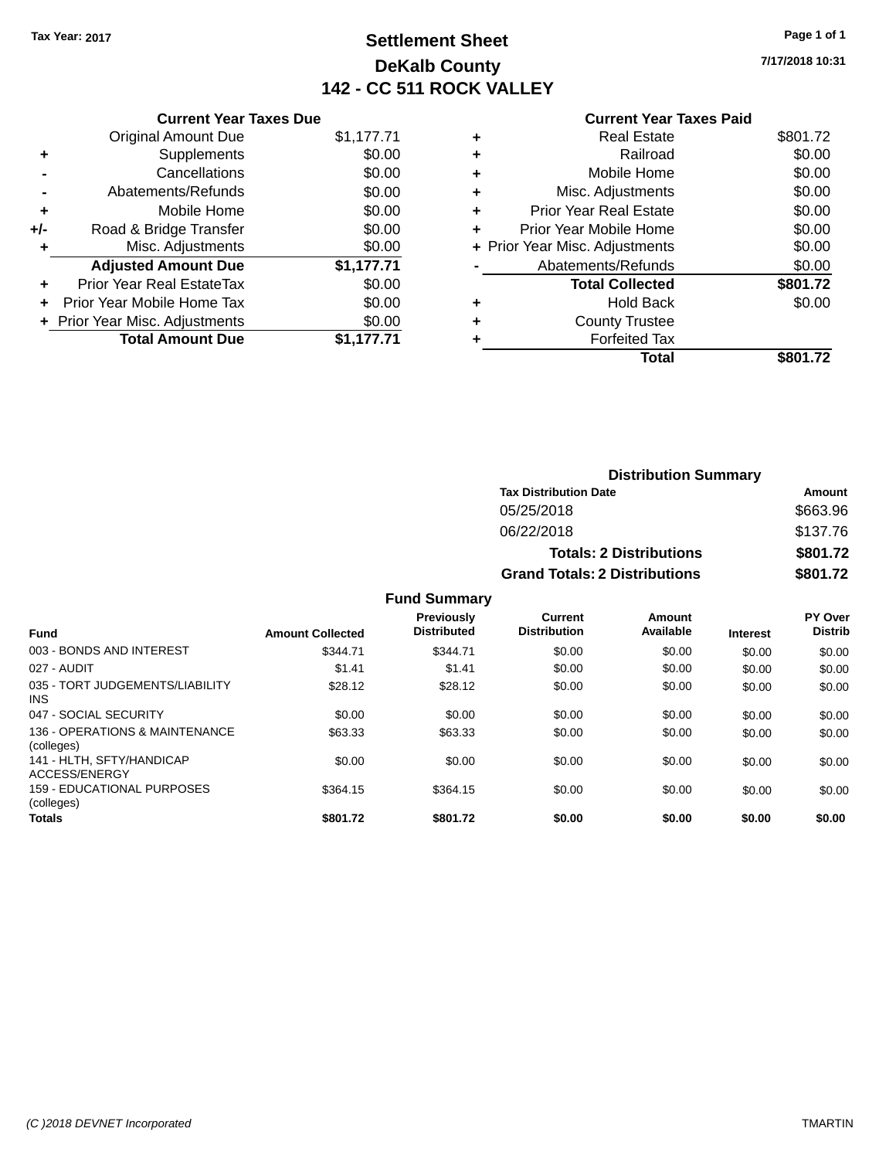# **Settlement Sheet Tax Year: 2017 Page 1 of 1 DeKalb County 142 - CC 511 ROCK VALLEY**

**7/17/2018 10:31**

# **Current Year Taxes Paid**

|       | <b>Current Year Taxes Due</b>  |            |  |  |  |  |
|-------|--------------------------------|------------|--|--|--|--|
|       | <b>Original Amount Due</b>     | \$1,177.71 |  |  |  |  |
| ٠     | Supplements                    | \$0.00     |  |  |  |  |
|       | Cancellations                  | \$0.00     |  |  |  |  |
|       | Abatements/Refunds             | \$0.00     |  |  |  |  |
| ٠     | Mobile Home                    | \$0.00     |  |  |  |  |
| $+/-$ | Road & Bridge Transfer         | \$0.00     |  |  |  |  |
| ٠     | \$0.00<br>Misc. Adjustments    |            |  |  |  |  |
|       | <b>Adjusted Amount Due</b>     | \$1,177.71 |  |  |  |  |
| ٠     | Prior Year Real EstateTax      | \$0.00     |  |  |  |  |
|       | Prior Year Mobile Home Tax     | \$0.00     |  |  |  |  |
|       | + Prior Year Misc. Adjustments | \$0.00     |  |  |  |  |
|       | <b>Total Amount Due</b>        | \$1,177.71 |  |  |  |  |
|       |                                |            |  |  |  |  |

|   | <b>Real Estate</b>             | \$801.72 |
|---|--------------------------------|----------|
| ٠ | Railroad                       | \$0.00   |
| ٠ | Mobile Home                    | \$0.00   |
| ٠ | Misc. Adjustments              | \$0.00   |
| ٠ | <b>Prior Year Real Estate</b>  | \$0.00   |
| ÷ | Prior Year Mobile Home         | \$0.00   |
|   | + Prior Year Misc. Adjustments | \$0.00   |
|   | Abatements/Refunds             | \$0.00   |
|   | <b>Total Collected</b>         | \$801.72 |
| ٠ | <b>Hold Back</b>               | \$0.00   |
| ٠ | <b>County Trustee</b>          |          |
| ٠ | <b>Forfeited Tax</b>           |          |
|   | Total                          | \$801.72 |
|   |                                |          |

| <b>Distribution Summary</b>          |          |  |  |  |
|--------------------------------------|----------|--|--|--|
| <b>Tax Distribution Date</b>         | Amount   |  |  |  |
| 05/25/2018                           | \$663.96 |  |  |  |
| 06/22/2018                           | \$137.76 |  |  |  |
| <b>Totals: 2 Distributions</b>       | \$801.72 |  |  |  |
| <b>Grand Totals: 2 Distributions</b> | \$801.72 |  |  |  |

| <b>Fund</b>                                     | <b>Amount Collected</b> | <b>Previously</b><br><b>Distributed</b> | Current<br><b>Distribution</b> | Amount<br>Available | <b>Interest</b> | PY Over<br><b>Distrib</b> |
|-------------------------------------------------|-------------------------|-----------------------------------------|--------------------------------|---------------------|-----------------|---------------------------|
| 003 - BONDS AND INTEREST                        | \$344.71                | \$344.71                                | \$0.00                         | \$0.00              | \$0.00          | \$0.00                    |
| 027 - AUDIT                                     | \$1.41                  | \$1.41                                  | \$0.00                         | \$0.00              | \$0.00          | \$0.00                    |
| 035 - TORT JUDGEMENTS/LIABILITY<br><b>INS</b>   | \$28.12                 | \$28.12                                 | \$0.00                         | \$0.00              | \$0.00          | \$0.00                    |
| 047 - SOCIAL SECURITY                           | \$0.00                  | \$0.00                                  | \$0.00                         | \$0.00              | \$0.00          | \$0.00                    |
| 136 - OPERATIONS & MAINTENANCE<br>(colleges)    | \$63.33                 | \$63.33                                 | \$0.00                         | \$0.00              | \$0.00          | \$0.00                    |
| 141 - HLTH, SFTY/HANDICAP<br>ACCESS/ENERGY      | \$0.00                  | \$0.00                                  | \$0.00                         | \$0.00              | \$0.00          | \$0.00                    |
| <b>159 - EDUCATIONAL PURPOSES</b><br>(colleges) | \$364.15                | \$364.15                                | \$0.00                         | \$0.00              | \$0.00          | \$0.00                    |
| <b>Totals</b>                                   | \$801.72                | \$801.72                                | \$0.00                         | \$0.00              | \$0.00          | \$0.00                    |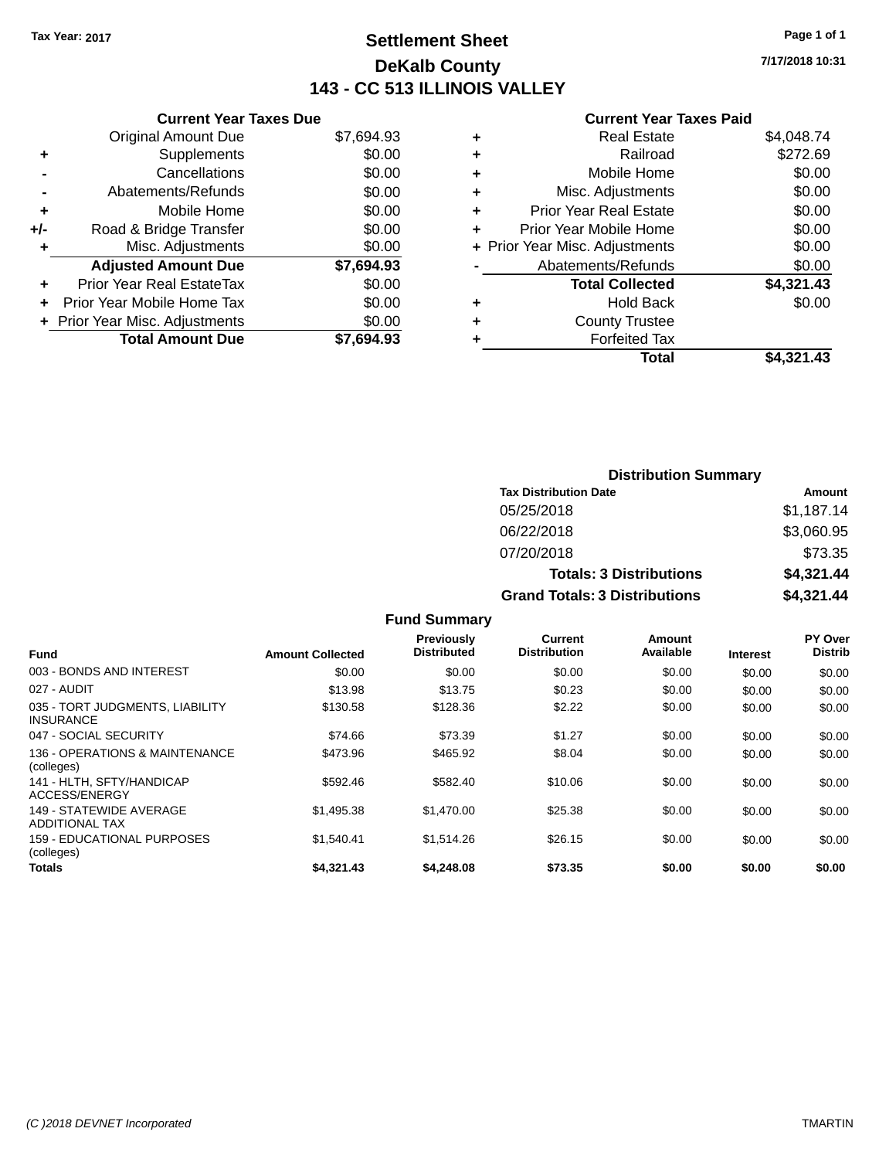# **Settlement Sheet Tax Year: 2017 Page 1 of 1 DeKalb County 143 - CC 513 ILLINOIS VALLEY**

**7/17/2018 10:31**

#### **Current Year Taxes Paid**

|     | <b>Current Year Taxes Due</b>  |            |  |  |  |  |
|-----|--------------------------------|------------|--|--|--|--|
|     | <b>Original Amount Due</b>     | \$7,694.93 |  |  |  |  |
| ٠   | Supplements                    | \$0.00     |  |  |  |  |
|     | Cancellations                  | \$0.00     |  |  |  |  |
|     | Abatements/Refunds             | \$0.00     |  |  |  |  |
| ٠   | Mobile Home                    | \$0.00     |  |  |  |  |
| +/- | Road & Bridge Transfer         | \$0.00     |  |  |  |  |
|     | \$0.00<br>Misc. Adjustments    |            |  |  |  |  |
|     | <b>Adjusted Amount Due</b>     | \$7,694.93 |  |  |  |  |
| ٠   | Prior Year Real EstateTax      | \$0.00     |  |  |  |  |
|     | Prior Year Mobile Home Tax     | \$0.00     |  |  |  |  |
|     | + Prior Year Misc. Adjustments | \$0.00     |  |  |  |  |
|     | <b>Total Amount Due</b>        | \$7.694.93 |  |  |  |  |
|     |                                |            |  |  |  |  |

| ٠ | <b>Real Estate</b>             | \$4,048.74 |
|---|--------------------------------|------------|
| ٠ | Railroad                       | \$272.69   |
| ٠ | Mobile Home                    | \$0.00     |
| ٠ | Misc. Adjustments              | \$0.00     |
| ٠ | <b>Prior Year Real Estate</b>  | \$0.00     |
| ٠ | Prior Year Mobile Home         | \$0.00     |
|   | + Prior Year Misc. Adjustments | \$0.00     |
|   | Abatements/Refunds             | \$0.00     |
|   | <b>Total Collected</b>         | \$4,321.43 |
| ٠ | <b>Hold Back</b>               | \$0.00     |
| ٠ | <b>County Trustee</b>          |            |
| ٠ | <b>Forfeited Tax</b>           |            |
|   | Total                          | \$4.321.43 |
|   |                                |            |

| <b>Distribution Summary</b>          |            |  |  |  |
|--------------------------------------|------------|--|--|--|
| <b>Tax Distribution Date</b>         | Amount     |  |  |  |
| 05/25/2018                           | \$1,187.14 |  |  |  |
| 06/22/2018                           | \$3,060.95 |  |  |  |
| 07/20/2018                           | \$73.35    |  |  |  |
| <b>Totals: 3 Distributions</b>       | \$4,321.44 |  |  |  |
| <b>Grand Totals: 3 Distributions</b> | \$4,321.44 |  |  |  |

| <b>Fund</b>                                         | <b>Amount Collected</b> | Previously<br><b>Distributed</b> | Current<br><b>Distribution</b> | Amount<br>Available | <b>Interest</b> | <b>PY Over</b><br><b>Distrib</b> |
|-----------------------------------------------------|-------------------------|----------------------------------|--------------------------------|---------------------|-----------------|----------------------------------|
| 003 - BONDS AND INTEREST                            | \$0.00                  | \$0.00                           | \$0.00                         | \$0.00              | \$0.00          | \$0.00                           |
| 027 - AUDIT                                         | \$13.98                 | \$13.75                          | \$0.23                         | \$0.00              | \$0.00          | \$0.00                           |
| 035 - TORT JUDGMENTS, LIABILITY<br><b>INSURANCE</b> | \$130.58                | \$128.36                         | \$2.22                         | \$0.00              | \$0.00          | \$0.00                           |
| 047 - SOCIAL SECURITY                               | \$74.66                 | \$73.39                          | \$1.27                         | \$0.00              | \$0.00          | \$0.00                           |
| 136 - OPERATIONS & MAINTENANCE<br>(colleges)        | \$473.96                | \$465.92                         | \$8.04                         | \$0.00              | \$0.00          | \$0.00                           |
| 141 - HLTH, SFTY/HANDICAP<br>ACCESS/ENERGY          | \$592.46                | \$582.40                         | \$10.06                        | \$0.00              | \$0.00          | \$0.00                           |
| 149 - STATEWIDE AVERAGE<br><b>ADDITIONAL TAX</b>    | \$1.495.38              | \$1,470.00                       | \$25.38                        | \$0.00              | \$0.00          | \$0.00                           |
| 159 - EDUCATIONAL PURPOSES<br>(colleges)            | \$1.540.41              | \$1.514.26                       | \$26.15                        | \$0.00              | \$0.00          | \$0.00                           |
| <b>Totals</b>                                       | \$4,321.43              | \$4,248.08                       | \$73.35                        | \$0.00              | \$0.00          | \$0.00                           |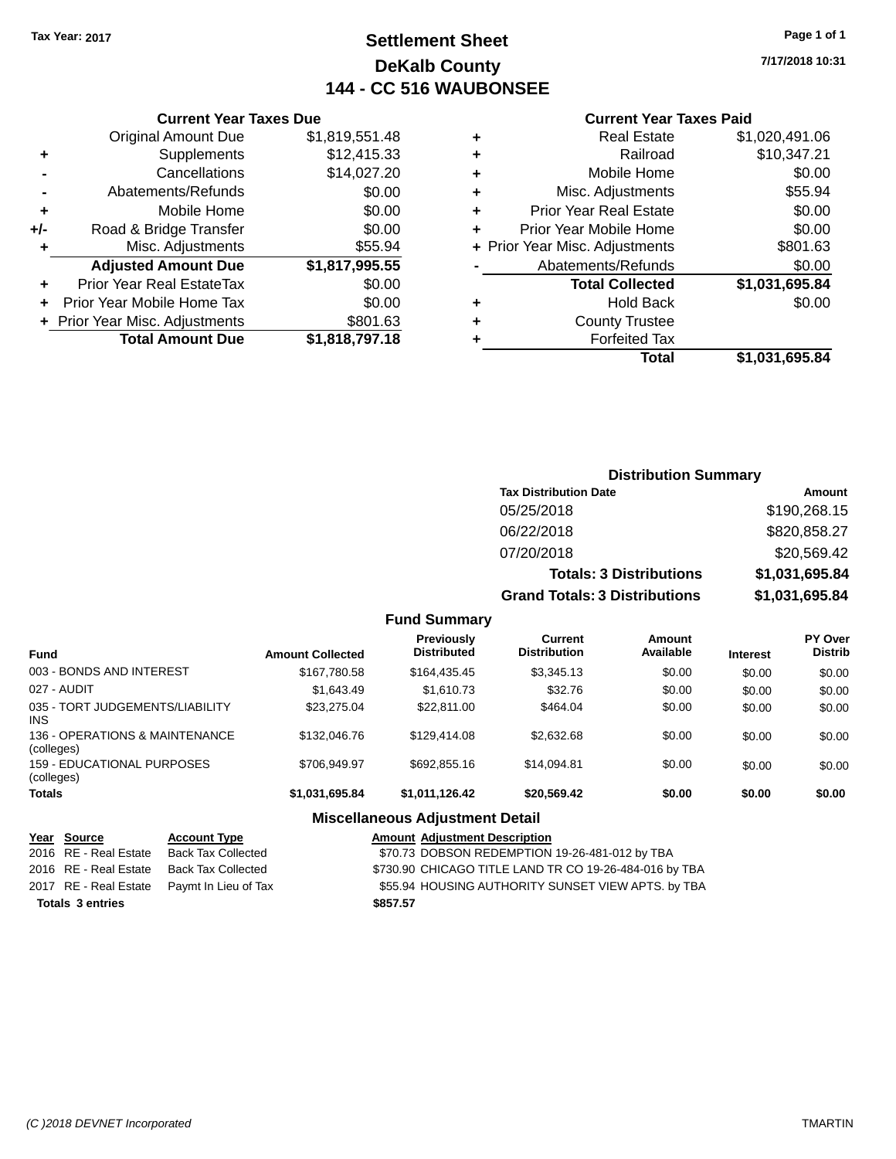# **Settlement Sheet Tax Year: 2017 Page 1 of 1 DeKalb County 144 - CC 516 WAUBONSEE**

**7/17/2018 10:31**

#### **Current Year Taxes Paid**

| Curi                  |   |                | <b>Current Year Taxes Due</b>    |       |
|-----------------------|---|----------------|----------------------------------|-------|
| R٥                    | ٠ | \$1,819,551.48 | Original Amount Due              |       |
|                       | ٠ | \$12,415.33    | Supplements                      |       |
| Mol                   | ٠ | \$14,027.20    | Cancellations                    |       |
| Misc. Ad              | ٠ | \$0.00         | Abatements/Refunds               |       |
| Prior Year Re         | ÷ | \$0.00         | Mobile Home                      |       |
| Prior Year Mol        | ٠ | \$0.00         | Road & Bridge Transfer           | $+/-$ |
| + Prior Year Misc. Ad |   | \$55.94        | Misc. Adjustments                |       |
| Abatements            |   | \$1,817,995.55 | <b>Adjusted Amount Due</b>       |       |
| Total (               |   | \$0.00         | <b>Prior Year Real EstateTax</b> |       |
|                       | ٠ | \$0.00         | Prior Year Mobile Home Tax       |       |
| Count                 | ٠ | \$801.63       | + Prior Year Misc. Adjustments   |       |
| For                   |   | \$1,818,797.18 | <b>Total Amount Due</b>          |       |
|                       |   |                |                                  |       |

| ٠ | <b>Real Estate</b>             | \$1,020,491.06 |
|---|--------------------------------|----------------|
| ٠ | Railroad                       | \$10,347.21    |
| ٠ | Mobile Home                    | \$0.00         |
| ٠ | Misc. Adjustments              | \$55.94        |
| ٠ | <b>Prior Year Real Estate</b>  | \$0.00         |
| ÷ | Prior Year Mobile Home         | \$0.00         |
|   | + Prior Year Misc. Adjustments | \$801.63       |
|   | Abatements/Refunds             | \$0.00         |
|   | <b>Total Collected</b>         | \$1,031,695.84 |
| ٠ | <b>Hold Back</b>               | \$0.00         |
| ٠ | <b>County Trustee</b>          |                |
|   | <b>Forfeited Tax</b>           |                |
|   | Total                          | \$1,031,695.84 |
|   |                                |                |

# **Distribution Summary Tax Distribution Date Amount** 05/25/2018 \$190,268.15 06/22/2018 \$820,858.27 07/20/2018 \$20,569.42 **Totals: 3 Distributions \$1,031,695.84 Grand Totals: 3 Distributions \$1,031,695.84**

#### **Fund Summary**

| <b>Fund</b>                                   | <b>Amount Collected</b> | <b>Previously</b><br><b>Distributed</b> | Current<br><b>Distribution</b> | Amount<br>Available | <b>Interest</b> | <b>PY Over</b><br><b>Distrib</b> |
|-----------------------------------------------|-------------------------|-----------------------------------------|--------------------------------|---------------------|-----------------|----------------------------------|
| 003 - BONDS AND INTEREST                      | \$167,780.58            | \$164,435.45                            | \$3,345.13                     | \$0.00              | \$0.00          | \$0.00                           |
| 027 - AUDIT                                   | \$1,643.49              | \$1,610.73                              | \$32.76                        | \$0.00              | \$0.00          | \$0.00                           |
| 035 - TORT JUDGEMENTS/LIABILITY<br><b>INS</b> | \$23,275.04             | \$22,811.00                             | \$464.04                       | \$0.00              | \$0.00          | \$0.00                           |
| 136 - OPERATIONS & MAINTENANCE<br>(colleges)  | \$132,046.76            | \$129,414.08                            | \$2,632.68                     | \$0.00              | \$0.00          | \$0.00                           |
| 159 - EDUCATIONAL PURPOSES<br>(colleges)      | \$706.949.97            | \$692,855.16                            | \$14.094.81                    | \$0.00              | \$0.00          | \$0.00                           |
| <b>Totals</b>                                 | \$1,031,695.84          | \$1,011,126.42                          | \$20.569.42                    | \$0.00              | \$0.00          | \$0.00                           |
|                                               | ---                     |                                         |                                |                     |                 |                                  |

| Year Source             | <b>Account Type</b>                        | <b>Amount Adjustment Description</b>                   |
|-------------------------|--------------------------------------------|--------------------------------------------------------|
| 2016 RE - Real Estate   | <b>Back Tax Collected</b>                  | \$70.73 DOBSON REDEMPTION 19-26-481-012 by TBA         |
| 2016 RE - Real Estate   | Back Tax Collected                         | \$730.90 CHICAGO TITLE LAND TR CO 19-26-484-016 by TBA |
|                         | 2017 RE - Real Estate Paymt In Lieu of Tax | \$55.94 HOUSING AUTHORITY SUNSET VIEW APTS. by TBA     |
| <b>Totals 3 entries</b> |                                            | \$857.57                                               |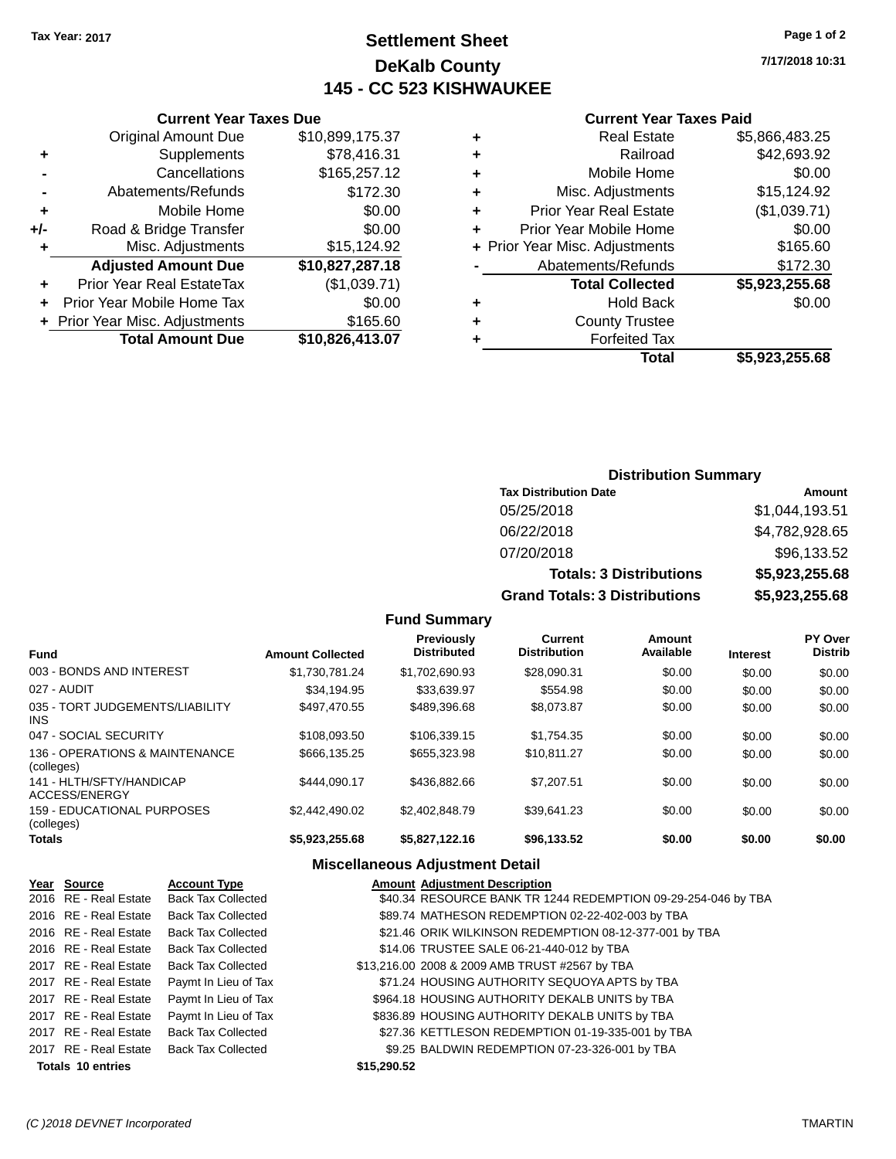# **Settlement Sheet Tax Year: 2017 Page 1 of 2 DeKalb County 145 - CC 523 KISHWAUKEE**

**7/17/2018 10:31**

#### **Current Year Taxes Paid**

|   | Total                          | \$5,923,255.68 |
|---|--------------------------------|----------------|
| ٠ | <b>Forfeited Tax</b>           |                |
| ٠ | <b>County Trustee</b>          |                |
| ٠ | <b>Hold Back</b>               | \$0.00         |
|   | <b>Total Collected</b>         | \$5,923,255.68 |
|   | Abatements/Refunds             | \$172.30       |
|   | + Prior Year Misc. Adjustments | \$165.60       |
| ÷ | Prior Year Mobile Home         | \$0.00         |
| ÷ | <b>Prior Year Real Estate</b>  | (\$1,039.71)   |
| ÷ | Misc. Adjustments              | \$15,124.92    |
| ÷ | Mobile Home                    | \$0.00         |
| ٠ | Railroad                       | \$42,693.92    |
| ٠ | <b>Real Estate</b>             | \$5,866,483.25 |
|   |                                |                |

|     | <b>Current Year Taxes Due</b>    |                 |  |
|-----|----------------------------------|-----------------|--|
|     | <b>Original Amount Due</b>       | \$10,899,175.37 |  |
| ٠   | Supplements                      | \$78,416.31     |  |
|     | Cancellations                    | \$165,257.12    |  |
|     | Abatements/Refunds               | \$172.30        |  |
| ٠   | Mobile Home                      | \$0.00          |  |
| +/- | Road & Bridge Transfer           | \$0.00          |  |
| ٠   | Misc. Adjustments                | \$15,124.92     |  |
|     | <b>Adjusted Amount Due</b>       | \$10,827,287.18 |  |
|     | <b>Prior Year Real EstateTax</b> | (\$1,039.71)    |  |
|     | Prior Year Mobile Home Tax       | \$0.00          |  |
|     | + Prior Year Misc. Adjustments   | \$165.60        |  |
|     | <b>Total Amount Due</b>          | \$10,826,413.07 |  |

# **Distribution Summary**

| <b>Tax Distribution Date</b>         | Amount         |
|--------------------------------------|----------------|
| 05/25/2018                           | \$1,044,193.51 |
| 06/22/2018                           | \$4,782,928.65 |
| 07/20/2018                           | \$96,133.52    |
| <b>Totals: 3 Distributions</b>       | \$5,923,255.68 |
| <b>Grand Totals: 3 Distributions</b> | \$5,923,255.68 |

#### **Fund Summary**

| <b>Fund</b>                                  | <b>Amount Collected</b> | Previously<br><b>Distributed</b> | Current<br><b>Distribution</b> | Amount<br>Available | <b>Interest</b> | PY Over<br><b>Distrib</b> |
|----------------------------------------------|-------------------------|----------------------------------|--------------------------------|---------------------|-----------------|---------------------------|
| 003 - BONDS AND INTEREST                     | \$1.730.781.24          | \$1.702.690.93                   | \$28,090.31                    | \$0.00              | \$0.00          | \$0.00                    |
| 027 - AUDIT                                  | \$34,194.95             | \$33.639.97                      | \$554.98                       | \$0.00              | \$0.00          | \$0.00                    |
| 035 - TORT JUDGEMENTS/LIABILITY<br>INS.      | \$497.470.55            | \$489,396,68                     | \$8.073.87                     | \$0.00              | \$0.00          | \$0.00                    |
| 047 - SOCIAL SECURITY                        | \$108,093.50            | \$106.339.15                     | \$1.754.35                     | \$0.00              | \$0.00          | \$0.00                    |
| 136 - OPERATIONS & MAINTENANCE<br>(colleges) | \$666.135.25            | \$655,323,98                     | \$10.811.27                    | \$0.00              | \$0.00          | \$0.00                    |
| 141 - HLTH/SFTY/HANDICAP<br>ACCESS/ENERGY    | \$444.090.17            | \$436,882,66                     | \$7.207.51                     | \$0.00              | \$0.00          | \$0.00                    |
| 159 - EDUCATIONAL PURPOSES<br>(colleges)     | \$2.442.490.02          | \$2.402.848.79                   | \$39.641.23                    | \$0.00              | \$0.00          | \$0.00                    |
| Totals                                       | \$5,923,255.68          | \$5,827,122.16                   | \$96,133.52                    | \$0.00              | \$0.00          | \$0.00                    |

| Year Source              | <b>Account Type</b>       | <b>Amount Adjustment Description</b>                          |
|--------------------------|---------------------------|---------------------------------------------------------------|
| 2016 RE - Real Estate    | <b>Back Tax Collected</b> | \$40.34 RESOURCE BANK TR 1244 REDEMPTION 09-29-254-046 by TBA |
| 2016 RE - Real Estate    | <b>Back Tax Collected</b> | \$89.74 MATHESON REDEMPTION 02-22-402-003 by TBA              |
| 2016 RE - Real Estate    | <b>Back Tax Collected</b> | \$21.46 ORIK WILKINSON REDEMPTION 08-12-377-001 by TBA        |
| 2016 RE - Real Estate    | <b>Back Tax Collected</b> | \$14.06 TRUSTEE SALE 06-21-440-012 by TBA                     |
| 2017 RE - Real Estate    | <b>Back Tax Collected</b> | \$13,216.00 2008 & 2009 AMB TRUST #2567 by TBA                |
| 2017 RE - Real Estate    | Paymt In Lieu of Tax      | \$71.24 HOUSING AUTHORITY SEQUOYA APTS by TBA                 |
| 2017 RE - Real Estate    | Paymt In Lieu of Tax      | \$964.18 HOUSING AUTHORITY DEKALB UNITS by TBA                |
| 2017 RE - Real Estate    | Paymt In Lieu of Tax      | \$836.89 HOUSING AUTHORITY DEKALB UNITS by TBA                |
| 2017 RE - Real Estate    | <b>Back Tax Collected</b> | \$27.36 KETTLESON REDEMPTION 01-19-335-001 by TBA             |
| 2017 RE - Real Estate    | <b>Back Tax Collected</b> | \$9.25 BALDWIN REDEMPTION 07-23-326-001 by TBA                |
| <b>Totals 10 entries</b> |                           | \$15,290.52                                                   |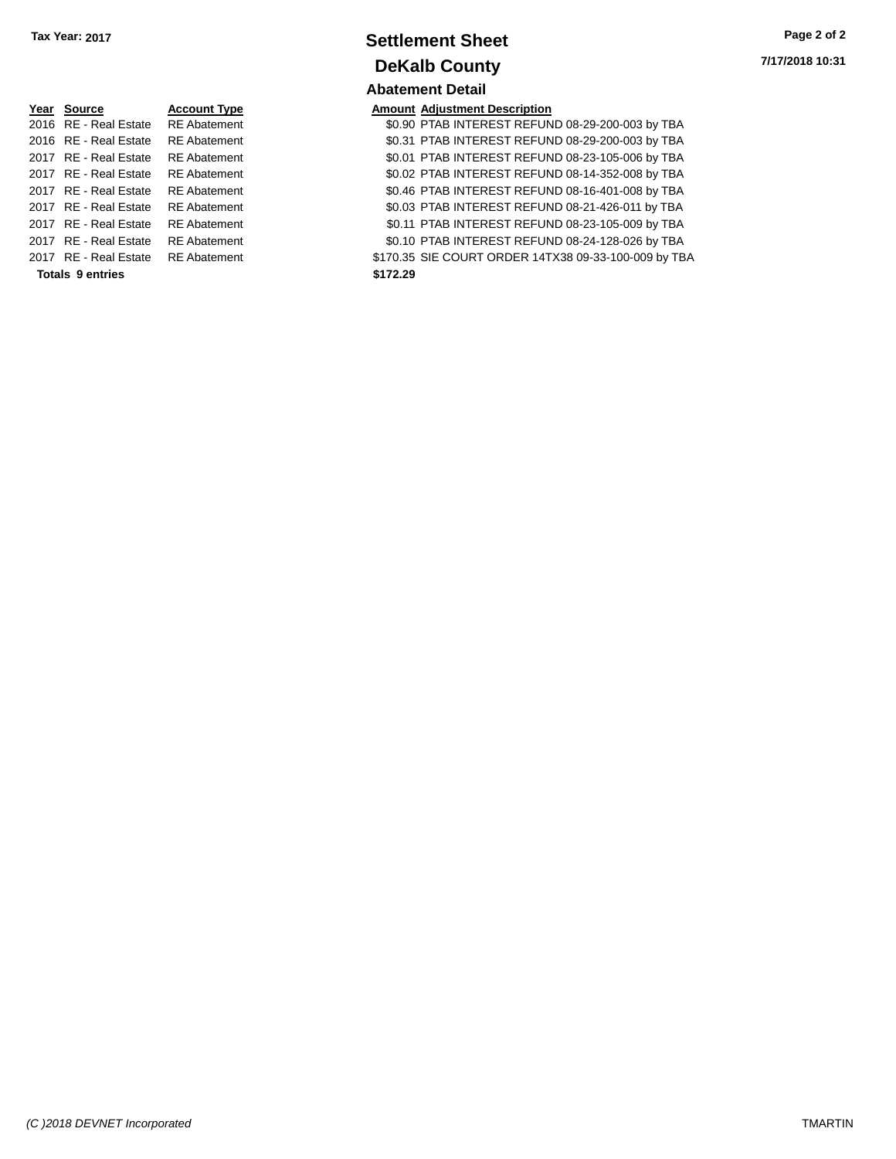| Year Source             | <b>Account Type</b> | <b>Amount</b> |
|-------------------------|---------------------|---------------|
| 2016 RE - Real Estate   | <b>RE</b> Abatement | \$0.90        |
| 2016 RE - Real Estate   | <b>RE</b> Abatement | \$0.31        |
| 2017 RE - Real Estate   | <b>RE</b> Abatement | \$0.01        |
| 2017 RE - Real Estate   | <b>RE</b> Abatement | \$0.02        |
| 2017 RE - Real Estate   | <b>RE</b> Abatement | \$0.46        |
| 2017 RE - Real Estate   | <b>RE</b> Abatement | \$0.03        |
| 2017 RE - Real Estate   | <b>RE</b> Abatement | \$0.11        |
| 2017 RE - Real Estate   | <b>RE</b> Abatement | \$0.10        |
| 2017 RE - Real Estate   | <b>RE</b> Abatement | \$170.35      |
| <b>Totals 9 entries</b> |                     | \$172.29      |

# **Settlement Sheet Tax Year: 2017 Page 2 of 2 DeKalb County Abatement Detail**

# **Amount Adjustment Description**

\$0.90 PTAB INTEREST REFUND 08-29-200-003 by TBA \$0.31 PTAB INTEREST REFUND 08-29-200-003 by TBA \$0.01 PTAB INTEREST REFUND 08-23-105-006 by TBA \$0.02 PTAB INTEREST REFUND 08-14-352-008 by TBA \$0.46 PTAB INTEREST REFUND 08-16-401-008 by TBA \$0.03 PTAB INTEREST REFUND 08-21-426-011 by TBA \$0.11 PTAB INTEREST REFUND 08-23-105-009 by TBA \$0.10 PTAB INTEREST REFUND 08-24-128-026 by TBA \$170.35 SIE COURT ORDER 14TX38 09-33-100-009 by TBA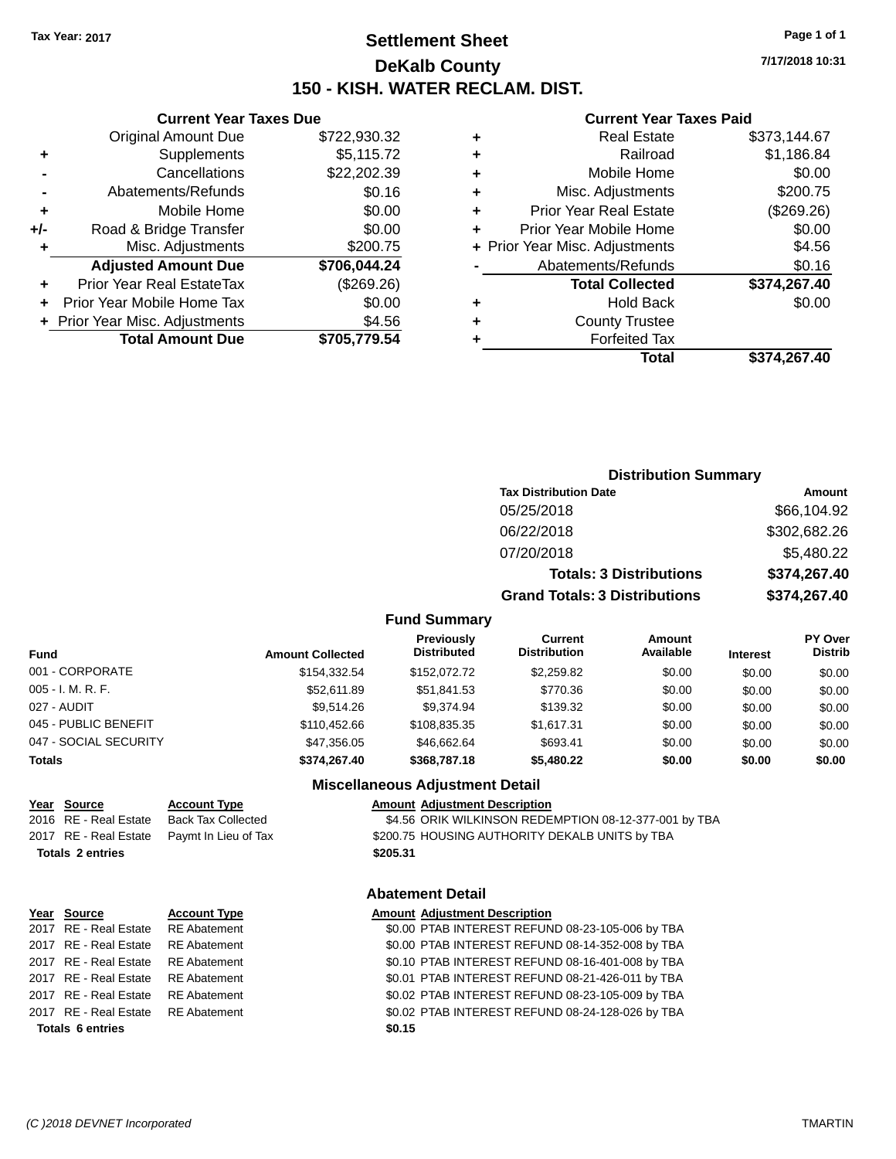# **Settlement Sheet Tax Year: 2017 Page 1 of 1 DeKalb County 150 - KISH. WATER RECLAM. DIST.**

**7/17/2018 10:31**

#### **Current Year Taxes Paid**

|     | <b>Current Year Taxes Due</b>  |              |  |
|-----|--------------------------------|--------------|--|
|     | <b>Original Amount Due</b>     | \$722,930.32 |  |
| ٠   | Supplements                    | \$5,115.72   |  |
|     | Cancellations                  | \$22,202.39  |  |
|     | Abatements/Refunds             | \$0.16       |  |
| ٠   | Mobile Home                    | \$0.00       |  |
| +/- | Road & Bridge Transfer         | \$0.00       |  |
|     | Misc. Adjustments              | \$200.75     |  |
|     | <b>Adjusted Amount Due</b>     | \$706,044.24 |  |
|     | Prior Year Real EstateTax      | (\$269.26)   |  |
| ÷   | Prior Year Mobile Home Tax     | \$0.00       |  |
|     | + Prior Year Misc. Adjustments | \$4.56       |  |
|     | <b>Total Amount Due</b>        | \$705,779.54 |  |

| <b>Distribution Summary</b>          |              |
|--------------------------------------|--------------|
| <b>Tax Distribution Date</b>         | Amount       |
| 05/25/2018                           | \$66,104.92  |
| 06/22/2018                           | \$302,682.26 |
| 07/20/2018                           | \$5,480.22   |
| <b>Totals: 3 Distributions</b>       | \$374,267.40 |
| <b>Grand Totals: 3 Distributions</b> | \$374,267.40 |
|                                      |              |

### **Fund Summary**

| Fund                  | <b>Amount Collected</b> | <b>Previously</b><br><b>Distributed</b> | Current<br><b>Distribution</b> | <b>Amount</b><br>Available | <b>Interest</b> | <b>PY Over</b><br><b>Distrib</b> |
|-----------------------|-------------------------|-----------------------------------------|--------------------------------|----------------------------|-----------------|----------------------------------|
| 001 - CORPORATE       | \$154.332.54            | \$152,072.72                            | \$2,259.82                     | \$0.00                     | \$0.00          | \$0.00                           |
| 005 - I. M. R. F.     | \$52,611.89             | \$51,841.53                             | \$770.36                       | \$0.00                     | \$0.00          | \$0.00                           |
| 027 - AUDIT           | \$9.514.26              | \$9.374.94                              | \$139.32                       | \$0.00                     | \$0.00          | \$0.00                           |
| 045 - PUBLIC BENEFIT  | \$110,452,66            | \$108.835.35                            | \$1,617.31                     | \$0.00                     | \$0.00          | \$0.00                           |
| 047 - SOCIAL SECURITY | \$47.356.05             | \$46.662.64                             | \$693.41                       | \$0.00                     | \$0.00          | \$0.00                           |
| Totals                | \$374.267.40            | \$368,787.18                            | \$5,480.22                     | \$0.00                     | \$0.00          | \$0.00                           |

#### **Miscellaneous Adjustment Detail**

| Year Source             | <b>Account Type</b>                        |          | <b>Amount Adjustment Description</b>                  |
|-------------------------|--------------------------------------------|----------|-------------------------------------------------------|
| 2016 RE - Real Estate   | Back Tax Collected                         |          | \$4.56 ORIK WILKINSON REDEMPTION 08-12-377-001 by TBA |
|                         | 2017 RE - Real Estate Paymt In Lieu of Tax |          | \$200.75 HOUSING AUTHORITY DEKALB UNITS by TBA        |
| <b>Totals 2 entries</b> |                                            | \$205.31 |                                                       |
|                         |                                            |          |                                                       |

# **Totals \$205.31 2 entries**

# **Abatement Detail**

| Year Source             | <b>Account Type</b> | <b>Amount Adjustment Description</b>             |
|-------------------------|---------------------|--------------------------------------------------|
| 2017 RE - Real Estate   | RE Abatement        | \$0.00 PTAB INTEREST REFUND 08-23-105-006 by TBA |
| 2017 RE - Real Estate   | <b>RE Abatement</b> | \$0.00 PTAB INTEREST REFUND 08-14-352-008 by TBA |
| 2017 RE - Real Estate   | RE Abatement        | \$0.10 PTAB INTEREST REFUND 08-16-401-008 by TBA |
| 2017 RE - Real Estate   | <b>RE Abatement</b> | \$0.01 PTAB INTEREST REFUND 08-21-426-011 by TBA |
| 2017 RE - Real Estate   | <b>RE Abatement</b> | \$0.02 PTAB INTEREST REFUND 08-23-105-009 by TBA |
| 2017 RE - Real Estate   | RE Abatement        | \$0.02 PTAB INTEREST REFUND 08-24-128-026 by TBA |
| <b>Totals 6 entries</b> |                     | \$0.15                                           |
|                         |                     |                                                  |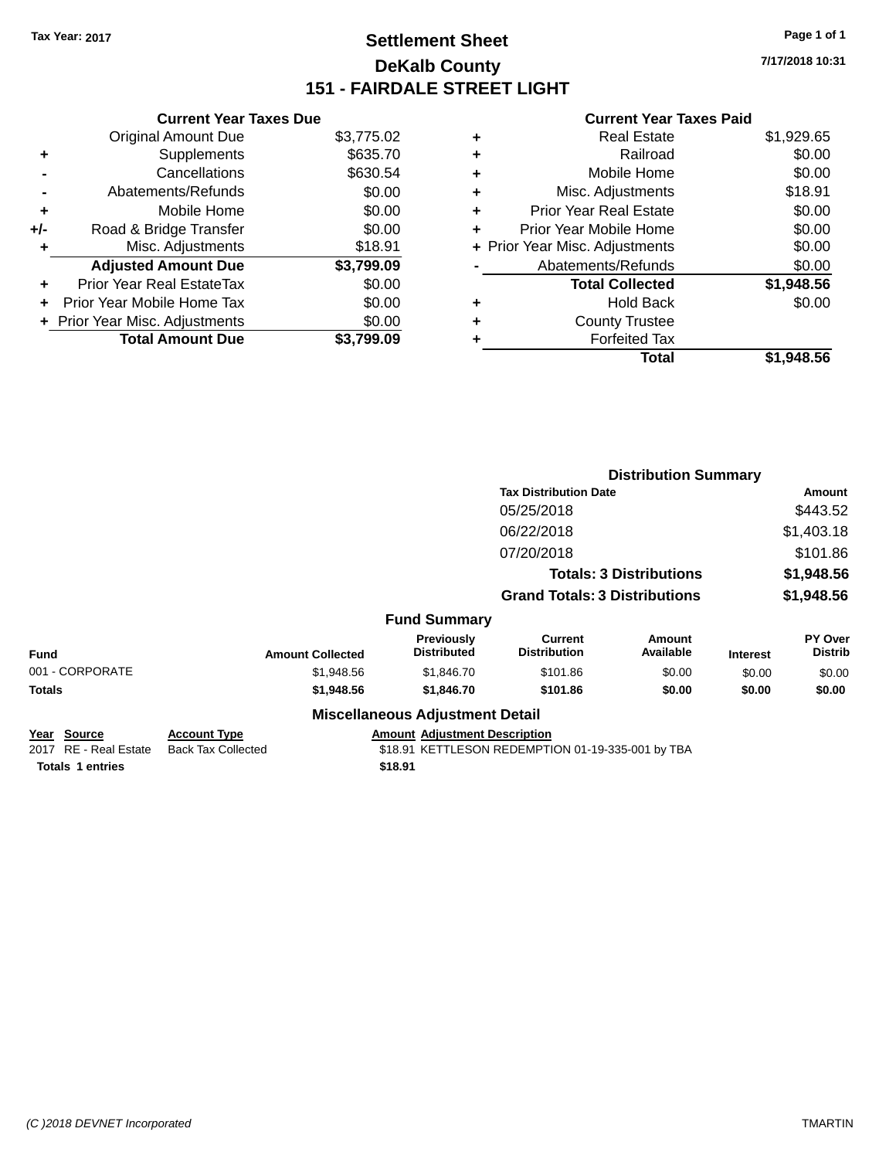# **Settlement Sheet Tax Year: 2017 Page 1 of 1 DeKalb County 151 - FAIRDALE STREET LIGHT**

**7/17/2018 10:31**

|     | <b>Current Year Taxes Due</b>  |            |
|-----|--------------------------------|------------|
|     | <b>Original Amount Due</b>     | \$3,775.02 |
| ٠   | Supplements                    | \$635.70   |
|     | Cancellations                  | \$630.54   |
|     | Abatements/Refunds             | \$0.00     |
| ÷   | Mobile Home                    | \$0.00     |
| +/- | Road & Bridge Transfer         | \$0.00     |
|     | Misc. Adjustments              | \$18.91    |
|     | <b>Adjusted Amount Due</b>     | \$3,799.09 |
| ÷   | Prior Year Real EstateTax      | \$0.00     |
|     | Prior Year Mobile Home Tax     | \$0.00     |
|     | + Prior Year Misc. Adjustments | \$0.00     |
|     | <b>Total Amount Due</b>        | \$3.799.09 |

|   | <b>Real Estate</b>             | \$1,929.65 |
|---|--------------------------------|------------|
| ٠ | Railroad                       | \$0.00     |
| ٠ | Mobile Home                    | \$0.00     |
| ٠ | Misc. Adjustments              | \$18.91    |
| ٠ | <b>Prior Year Real Estate</b>  | \$0.00     |
| ÷ | Prior Year Mobile Home         | \$0.00     |
|   | + Prior Year Misc. Adjustments | \$0.00     |
|   | Abatements/Refunds             | \$0.00     |
|   | <b>Total Collected</b>         | \$1,948.56 |
| ٠ | <b>Hold Back</b>               | \$0.00     |
| ٠ | <b>County Trustee</b>          |            |
| ٠ | <b>Forfeited Tax</b>           |            |
|   | Total                          | \$1,948.56 |
|   |                                |            |

|                                             |                                                  |                                         | <b>Distribution Summary</b>                       |                                |                 |                           |
|---------------------------------------------|--------------------------------------------------|-----------------------------------------|---------------------------------------------------|--------------------------------|-----------------|---------------------------|
|                                             |                                                  |                                         | <b>Tax Distribution Date</b>                      |                                |                 |                           |
|                                             |                                                  |                                         | 05/25/2018                                        |                                |                 | \$443.52                  |
|                                             |                                                  |                                         | 06/22/2018                                        |                                |                 | \$1,403.18                |
|                                             |                                                  |                                         | 07/20/2018                                        |                                |                 | \$101.86                  |
|                                             |                                                  |                                         |                                                   | <b>Totals: 3 Distributions</b> |                 | \$1,948.56                |
|                                             |                                                  |                                         | <b>Grand Totals: 3 Distributions</b>              |                                |                 | \$1,948.56                |
|                                             |                                                  | <b>Fund Summary</b>                     |                                                   |                                |                 |                           |
| <b>Fund</b>                                 | <b>Amount Collected</b>                          | <b>Previously</b><br><b>Distributed</b> | <b>Current</b><br><b>Distribution</b>             | Amount<br>Available            | <b>Interest</b> | PY Over<br><b>Distrib</b> |
| 001 - CORPORATE                             | \$1,948.56                                       | \$1,846.70                              | \$101.86                                          | \$0.00                         | \$0.00          | \$0.00                    |
| Totals                                      | \$1,948.56                                       | \$1,846.70                              | \$101.86                                          | \$0.00                         | \$0.00          | \$0.00                    |
|                                             |                                                  | <b>Miscellaneous Adjustment Detail</b>  |                                                   |                                |                 |                           |
| <u>Year Source</u><br>2017 RE - Real Estate | <b>Account Type</b><br><b>Back Tax Collected</b> | <b>Amount Adjustment Description</b>    | \$18.91 KETTLESON REDEMPTION 01-19-335-001 by TBA |                                |                 |                           |
| <b>Totals 1 entries</b>                     |                                                  | \$18.91                                 |                                                   |                                |                 |                           |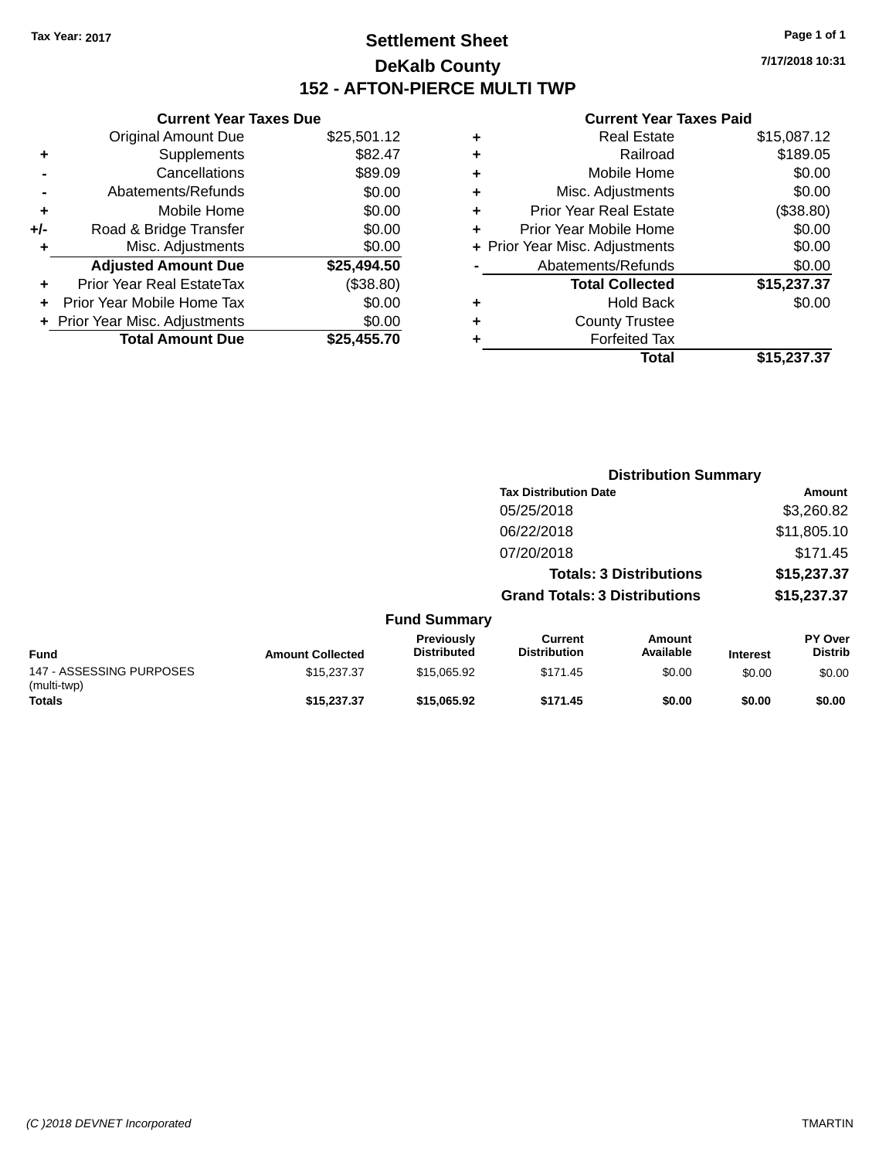# **Settlement Sheet Tax Year: 2017 Page 1 of 1 DeKalb County 152 - AFTON-PIERCE MULTI TWP**

**7/17/2018 10:31**

|     | <b>Current Year Taxes Due</b>  |             |
|-----|--------------------------------|-------------|
|     | <b>Original Amount Due</b>     | \$25,501.12 |
| ٠   | Supplements                    | \$82.47     |
|     | Cancellations                  | \$89.09     |
|     | Abatements/Refunds             | \$0.00      |
| ÷   | Mobile Home                    | \$0.00      |
| +/- | Road & Bridge Transfer         | \$0.00      |
|     | Misc. Adjustments              | \$0.00      |
|     | <b>Adjusted Amount Due</b>     | \$25,494.50 |
| ٠   | Prior Year Real EstateTax      | (\$38.80)   |
|     | Prior Year Mobile Home Tax     | \$0.00      |
|     | + Prior Year Misc. Adjustments | \$0.00      |
|     | <b>Total Amount Due</b>        | \$25,455,70 |
|     |                                |             |

| ٠ | <b>Real Estate</b>             | \$15,087.12 |
|---|--------------------------------|-------------|
| ٠ | Railroad                       | \$189.05    |
| ٠ | Mobile Home                    | \$0.00      |
| ٠ | Misc. Adjustments              | \$0.00      |
| ٠ | <b>Prior Year Real Estate</b>  | (\$38.80)   |
| ٠ | Prior Year Mobile Home         | \$0.00      |
|   | + Prior Year Misc. Adjustments | \$0.00      |
|   | Abatements/Refunds             | \$0.00      |
|   | <b>Total Collected</b>         | \$15,237.37 |
| ٠ | <b>Hold Back</b>               | \$0.00      |
| ٠ | <b>County Trustee</b>          |             |
| ٠ | <b>Forfeited Tax</b>           |             |
|   | Total                          | \$15,237.37 |
|   |                                |             |

|                                         |                         |                                  | <b>Distribution Summary</b>           |                                |                 |                                  |  |
|-----------------------------------------|-------------------------|----------------------------------|---------------------------------------|--------------------------------|-----------------|----------------------------------|--|
|                                         |                         |                                  | <b>Tax Distribution Date</b>          |                                |                 | Amount                           |  |
|                                         |                         |                                  | 05/25/2018                            |                                |                 | \$3,260.82                       |  |
|                                         |                         |                                  | 06/22/2018                            |                                |                 | \$11,805.10                      |  |
|                                         |                         |                                  | 07/20/2018                            |                                |                 | \$171.45                         |  |
|                                         |                         |                                  |                                       | <b>Totals: 3 Distributions</b> |                 | \$15,237.37                      |  |
|                                         |                         |                                  | <b>Grand Totals: 3 Distributions</b>  |                                |                 | \$15,237.37                      |  |
|                                         |                         | <b>Fund Summary</b>              |                                       |                                |                 |                                  |  |
| <b>Fund</b>                             | <b>Amount Collected</b> | Previously<br><b>Distributed</b> | <b>Current</b><br><b>Distribution</b> | <b>Amount</b><br>Available     | <b>Interest</b> | <b>PY Over</b><br><b>Distrib</b> |  |
| 147 - ASSESSING PURPOSES<br>(multi-twp) | \$15,237.37             | \$15,065.92                      | \$171.45                              | \$0.00                         | \$0.00          | \$0.00                           |  |
| <b>Totals</b>                           | \$15,237,37             | \$15,065.92                      | \$171.45                              | \$0.00                         | \$0.00          | \$0.00                           |  |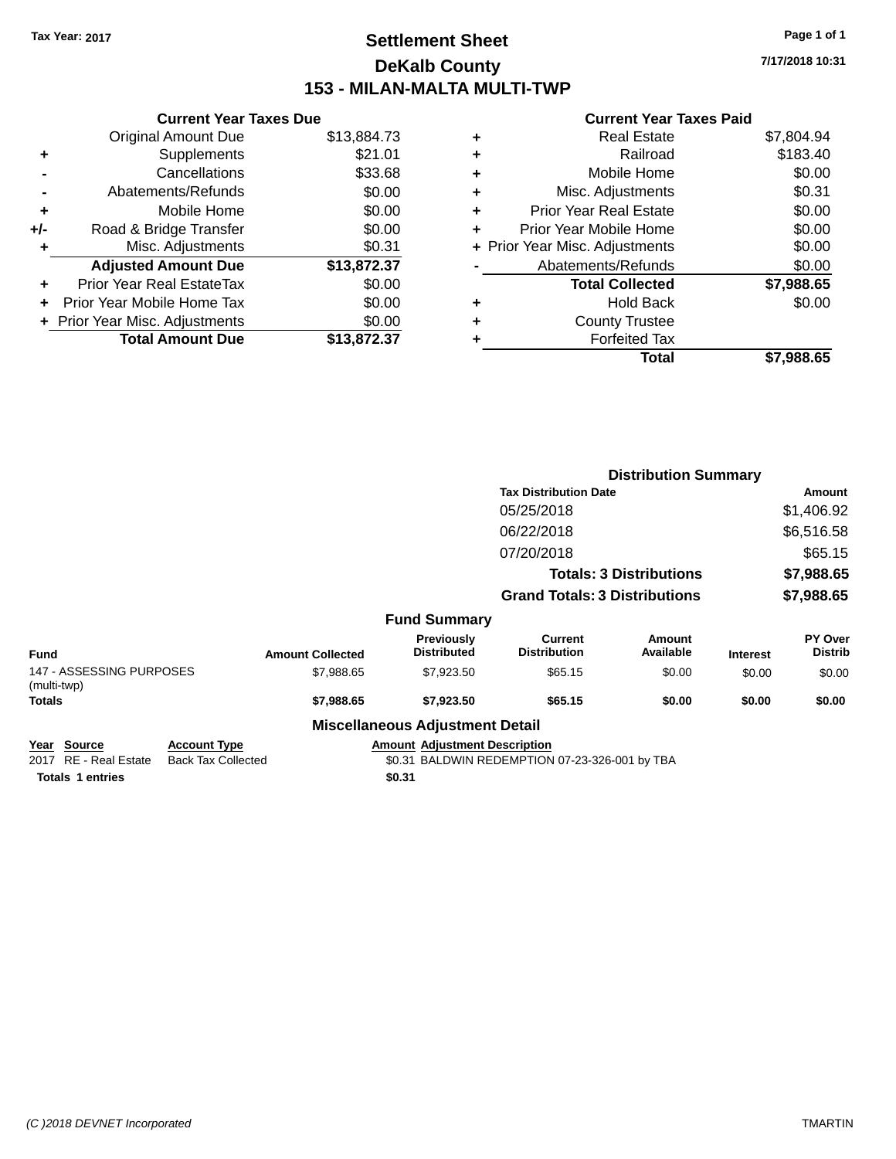# **Settlement Sheet Tax Year: 2017 Page 1 of 1 DeKalb County 153 - MILAN-MALTA MULTI-TWP**

**7/17/2018 10:31**

# **Current Year Taxes Paid**

|     | <b>Current Year Taxes Due</b>  |             |
|-----|--------------------------------|-------------|
|     | <b>Original Amount Due</b>     | \$13,884.73 |
| ٠   | Supplements                    | \$21.01     |
|     | Cancellations                  | \$33.68     |
|     | Abatements/Refunds             | \$0.00      |
| ÷   | Mobile Home                    | \$0.00      |
| +/- | Road & Bridge Transfer         | \$0.00      |
|     | Misc. Adjustments              | \$0.31      |
|     | <b>Adjusted Amount Due</b>     | \$13,872.37 |
| ٠   | Prior Year Real EstateTax      | \$0.00      |
|     | Prior Year Mobile Home Tax     | \$0.00      |
|     | + Prior Year Misc. Adjustments | \$0.00      |
|     | <b>Total Amount Due</b>        | \$13,872.37 |
|     |                                |             |

| ٠ | <b>Real Estate</b>             | \$7,804.94 |
|---|--------------------------------|------------|
| ÷ | Railroad                       | \$183.40   |
| ٠ | Mobile Home                    | \$0.00     |
| ٠ | Misc. Adjustments              | \$0.31     |
| ٠ | <b>Prior Year Real Estate</b>  | \$0.00     |
| ٠ | Prior Year Mobile Home         | \$0.00     |
|   | + Prior Year Misc. Adjustments | \$0.00     |
|   | Abatements/Refunds             | \$0.00     |
|   | <b>Total Collected</b>         | \$7,988.65 |
| ٠ | <b>Hold Back</b>               | \$0.00     |
| ٠ | <b>County Trustee</b>          |            |
|   | <b>Forfeited Tax</b>           |            |
|   | Total                          | \$7,988.65 |
|   |                                |            |

|                                                |                                                  |                         |                                         | <b>Distribution Summary</b>                    |                                |                 |                           |
|------------------------------------------------|--------------------------------------------------|-------------------------|-----------------------------------------|------------------------------------------------|--------------------------------|-----------------|---------------------------|
|                                                |                                                  |                         | <b>Tax Distribution Date</b>            |                                                |                                | Amount          |                           |
|                                                |                                                  |                         |                                         | 05/25/2018                                     |                                |                 | \$1,406.92                |
|                                                |                                                  |                         |                                         | 06/22/2018                                     |                                |                 | \$6,516.58                |
|                                                |                                                  |                         |                                         | 07/20/2018                                     |                                |                 | \$65.15                   |
|                                                |                                                  |                         |                                         |                                                | <b>Totals: 3 Distributions</b> |                 | \$7,988.65                |
|                                                |                                                  |                         |                                         | <b>Grand Totals: 3 Distributions</b>           |                                |                 | \$7,988.65                |
|                                                |                                                  |                         | <b>Fund Summary</b>                     |                                                |                                |                 |                           |
| <b>Fund</b>                                    |                                                  | <b>Amount Collected</b> | <b>Previously</b><br><b>Distributed</b> | Current<br><b>Distribution</b>                 | Amount<br>Available            | <b>Interest</b> | PY Over<br><b>Distrib</b> |
| 147 - ASSESSING PURPOSES<br>(multi-twp)        |                                                  | \$7,988.65              | \$7,923.50                              | \$65.15                                        | \$0.00                         | \$0.00          | \$0.00                    |
| <b>Totals</b>                                  |                                                  | \$7,988.65              | \$7,923.50                              | \$65.15                                        | \$0.00                         | \$0.00          | \$0.00                    |
|                                                |                                                  |                         | <b>Miscellaneous Adjustment Detail</b>  |                                                |                                |                 |                           |
| <b>Source</b><br>Year<br>2017 RE - Real Estate | <b>Account Type</b><br><b>Back Tax Collected</b> |                         | <b>Amount Adjustment Description</b>    | \$0.31 BALDWIN REDEMPTION 07-23-326-001 by TBA |                                |                 |                           |

**Totals \$0.31 1 entries**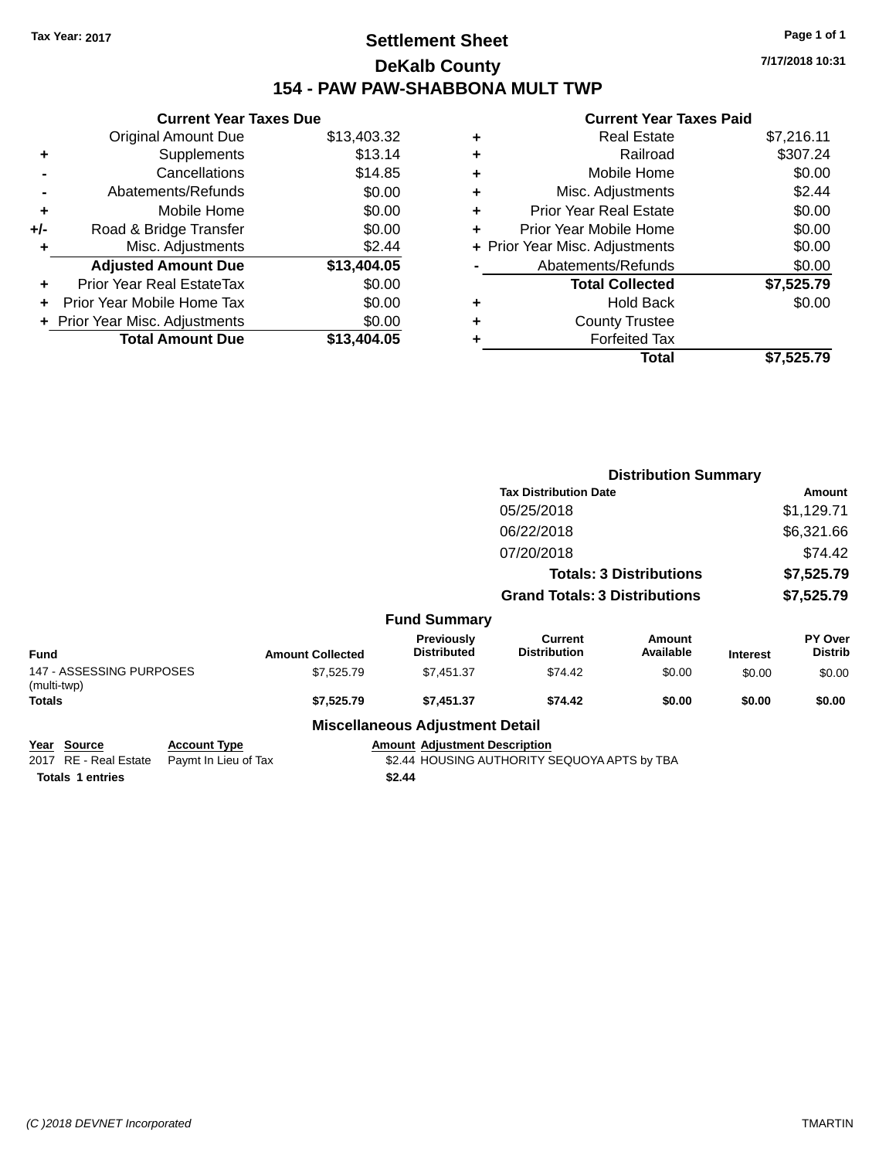# **Settlement Sheet Tax Year: 2017 Page 1 of 1 DeKalb County 154 - PAW PAW-SHABBONA MULT TWP**

**7/17/2018 10:31**

# **Current Year Taxes Paid**

|     | <b>Current Year Taxes Due</b> |             |  |  |  |  |
|-----|-------------------------------|-------------|--|--|--|--|
|     | Original Amount Due           | \$13,403.32 |  |  |  |  |
| ٠   | Supplements                   | \$13.14     |  |  |  |  |
|     | Cancellations                 | \$14.85     |  |  |  |  |
|     | Abatements/Refunds            | \$0.00      |  |  |  |  |
| ٠   | Mobile Home                   | \$0.00      |  |  |  |  |
| +/- | Road & Bridge Transfer        | \$0.00      |  |  |  |  |
| ٠   | Misc. Adjustments             | \$2.44      |  |  |  |  |
|     | <b>Adjusted Amount Due</b>    | \$13,404.05 |  |  |  |  |
|     | Prior Year Real EstateTax     | \$0.00      |  |  |  |  |
|     | Prior Year Mobile Home Tax    | \$0.00      |  |  |  |  |
|     | Prior Year Misc. Adjustments  | \$0.00      |  |  |  |  |
|     | <b>Total Amount Due</b>       | \$13,404.05 |  |  |  |  |
|     |                               |             |  |  |  |  |

| ٠ | <b>Real Estate</b>             | \$7,216.11 |
|---|--------------------------------|------------|
| ٠ | Railroad                       | \$307.24   |
| ٠ | Mobile Home                    | \$0.00     |
| ٠ | Misc. Adjustments              | \$2.44     |
| ٠ | <b>Prior Year Real Estate</b>  | \$0.00     |
| ٠ | Prior Year Mobile Home         | \$0.00     |
|   | + Prior Year Misc. Adjustments | \$0.00     |
|   | Abatements/Refunds             | \$0.00     |
|   | <b>Total Collected</b>         | \$7,525.79 |
| ٠ | <b>Hold Back</b>               | \$0.00     |
| ٠ | <b>County Trustee</b>          |            |
| ٠ | <b>Forfeited Tax</b>           |            |
|   | Total                          | \$7.525.79 |
|   |                                |            |

|                                         |                         |                                        | <b>Distribution Summary</b>           |                     |                 |                           |
|-----------------------------------------|-------------------------|----------------------------------------|---------------------------------------|---------------------|-----------------|---------------------------|
|                                         |                         |                                        | <b>Tax Distribution Date</b>          |                     |                 | Amount                    |
|                                         |                         |                                        | 05/25/2018                            |                     |                 | \$1,129.71                |
|                                         |                         |                                        | 06/22/2018                            |                     |                 | \$6,321.66                |
|                                         |                         |                                        | 07/20/2018                            |                     |                 | \$74.42                   |
| <b>Totals: 3 Distributions</b>          |                         |                                        |                                       | \$7,525.79          |                 |                           |
|                                         |                         |                                        | <b>Grand Totals: 3 Distributions</b>  |                     |                 | \$7,525.79                |
|                                         |                         | <b>Fund Summary</b>                    |                                       |                     |                 |                           |
| <b>Fund</b>                             | <b>Amount Collected</b> | Previously<br><b>Distributed</b>       | <b>Current</b><br><b>Distribution</b> | Amount<br>Available | <b>Interest</b> | PY Over<br><b>Distrib</b> |
| 147 - ASSESSING PURPOSES<br>(multi-twp) | \$7,525.79              | \$7,451.37                             | \$74.42                               | \$0.00              | \$0.00          | \$0.00                    |
| Totals                                  | \$7,525.79              | \$7,451.37                             | \$74.42                               | \$0.00              | \$0.00          | \$0.00                    |
|                                         |                         | <b>Miscellaneous Adjustment Detail</b> |                                       |                     |                 |                           |

# **Year Source Account Type Account Type Amount Adjustment Description**<br>2017 RE - Real Estate Paymt In Lieu of Tax \$2.44 HOUSING AUTHORITY S

\$2.44 HOUSING AUTHORITY SEQUOYA APTS by TBA

**Totals \$2.44 1 entries**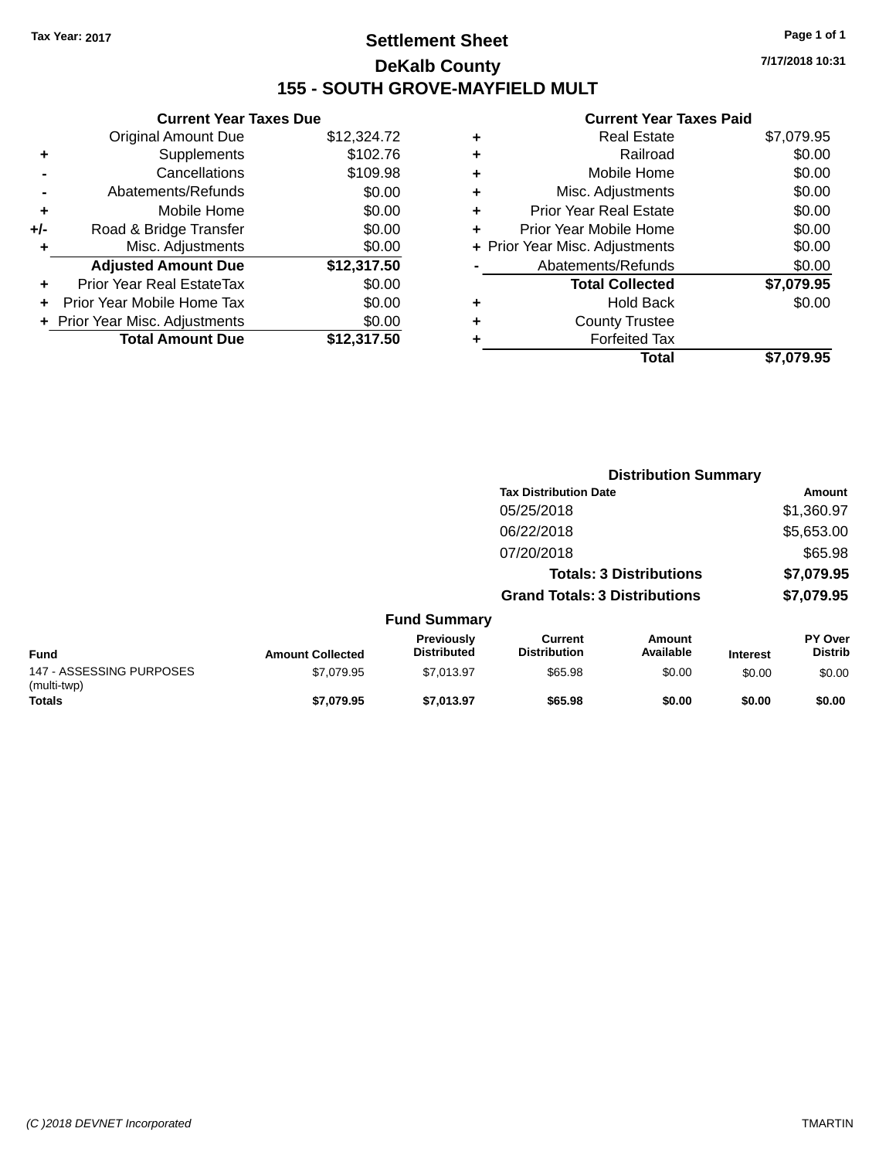# **Settlement Sheet Tax Year: 2017 Page 1 of 1 DeKalb County 155 - SOUTH GROVE-MAYFIELD MULT**

**7/17/2018 10:31**

|     | <b>Current Year Taxes Due</b>  |             |
|-----|--------------------------------|-------------|
|     | <b>Original Amount Due</b>     | \$12,324.72 |
| ٠   | Supplements                    | \$102.76    |
|     | Cancellations                  | \$109.98    |
|     | Abatements/Refunds             | \$0.00      |
| ÷   | Mobile Home                    | \$0.00      |
| +/- | Road & Bridge Transfer         | \$0.00      |
| ٠   | Misc. Adjustments              | \$0.00      |
|     | <b>Adjusted Amount Due</b>     | \$12,317.50 |
| ٠   | Prior Year Real EstateTax      | \$0.00      |
|     | Prior Year Mobile Home Tax     | \$0.00      |
|     | + Prior Year Misc. Adjustments | \$0.00      |
|     | <b>Total Amount Due</b>        | \$12,317.50 |
|     |                                |             |

|   | <b>Real Estate</b>             | \$7,079.95 |
|---|--------------------------------|------------|
| ٠ | Railroad                       | \$0.00     |
| ٠ | Mobile Home                    | \$0.00     |
| ٠ | Misc. Adjustments              | \$0.00     |
| ٠ | <b>Prior Year Real Estate</b>  | \$0.00     |
| ٠ | Prior Year Mobile Home         | \$0.00     |
|   | + Prior Year Misc. Adjustments | \$0.00     |
|   | Abatements/Refunds             | \$0.00     |
|   | <b>Total Collected</b>         | \$7,079.95 |
| ٠ | <b>Hold Back</b>               | \$0.00     |
| ٠ | <b>County Trustee</b>          |            |
|   | <b>Forfeited Tax</b>           |            |
|   | Total                          | \$7.079.95 |
|   |                                |            |

|                                         |                         |                                  |                                      | <b>Distribution Summary</b>    |                 |                           |
|-----------------------------------------|-------------------------|----------------------------------|--------------------------------------|--------------------------------|-----------------|---------------------------|
|                                         |                         |                                  | <b>Tax Distribution Date</b>         |                                |                 | Amount                    |
|                                         |                         |                                  | 05/25/2018                           |                                |                 | \$1,360.97                |
|                                         |                         |                                  | 06/22/2018                           |                                |                 | \$5,653.00                |
|                                         |                         |                                  | 07/20/2018                           |                                |                 | \$65.98                   |
|                                         |                         |                                  |                                      | <b>Totals: 3 Distributions</b> |                 | \$7,079.95                |
|                                         |                         |                                  | <b>Grand Totals: 3 Distributions</b> |                                |                 | \$7,079.95                |
|                                         |                         | <b>Fund Summary</b>              |                                      |                                |                 |                           |
| Fund                                    | <b>Amount Collected</b> | Previously<br><b>Distributed</b> | Current<br><b>Distribution</b>       | <b>Amount</b><br>Available     | <b>Interest</b> | PY Over<br><b>Distrib</b> |
| 147 - ASSESSING PURPOSES<br>(multi-twp) | \$7,079.95              | \$7,013.97                       | \$65.98                              | \$0.00                         | \$0.00          | \$0.00                    |
| <b>Totals</b>                           | \$7,079.95              | \$7,013.97                       | \$65.98                              | \$0.00                         | \$0.00          | \$0.00                    |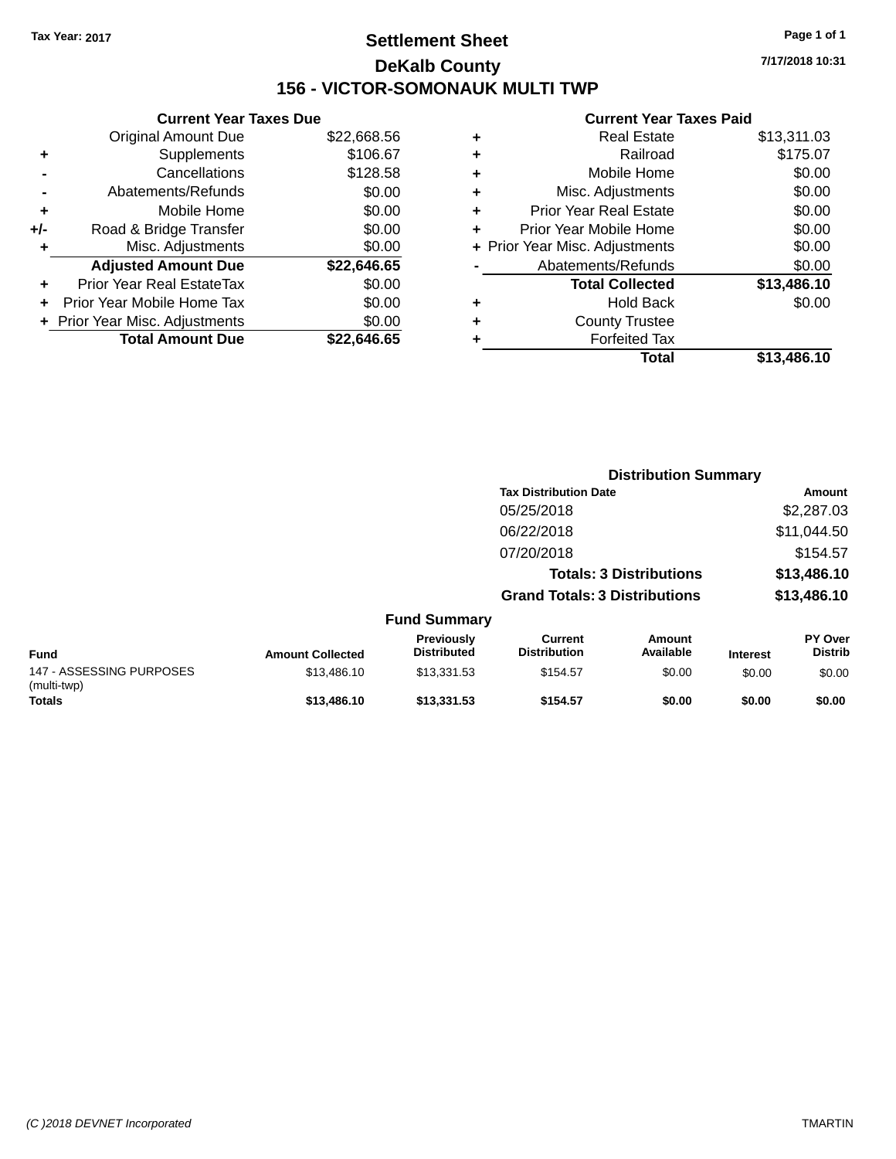# **Settlement Sheet Tax Year: 2017 Page 1 of 1 DeKalb County 156 - VICTOR-SOMONAUK MULTI TWP**

**7/17/2018 10:31**

|     | <b>Current Year Taxes Due</b>  |             |
|-----|--------------------------------|-------------|
|     | Original Amount Due            | \$22,668.56 |
| ٠   | Supplements                    | \$106.67    |
|     | Cancellations                  | \$128.58    |
|     | Abatements/Refunds             | \$0.00      |
| ÷   | Mobile Home                    | \$0.00      |
| +/- | Road & Bridge Transfer         | \$0.00      |
|     | Misc. Adjustments              | \$0.00      |
|     | <b>Adjusted Amount Due</b>     | \$22,646.65 |
| ٠   | Prior Year Real EstateTax      | \$0.00      |
|     | Prior Year Mobile Home Tax     | \$0.00      |
|     | + Prior Year Misc. Adjustments | \$0.00      |
|     | <b>Total Amount Due</b>        | \$22.646.65 |
|     |                                |             |

|   | <b>Real Estate</b>             | \$13,311.03 |
|---|--------------------------------|-------------|
| ٠ | Railroad                       | \$175.07    |
| ٠ | Mobile Home                    | \$0.00      |
| ٠ | Misc. Adjustments              | \$0.00      |
| ٠ | <b>Prior Year Real Estate</b>  | \$0.00      |
| ÷ | Prior Year Mobile Home         | \$0.00      |
|   | + Prior Year Misc. Adjustments | \$0.00      |
|   | Abatements/Refunds             | \$0.00      |
|   | <b>Total Collected</b>         | \$13,486.10 |
| ٠ | <b>Hold Back</b>               | \$0.00      |
| ٠ | <b>County Trustee</b>          |             |
| ٠ | <b>Forfeited Tax</b>           |             |
|   | Total                          | \$13,486.10 |
|   |                                |             |

|                                         |                         |                                  |                                       | <b>Distribution Summary</b>    |                 |                           |
|-----------------------------------------|-------------------------|----------------------------------|---------------------------------------|--------------------------------|-----------------|---------------------------|
|                                         |                         |                                  | <b>Tax Distribution Date</b>          |                                |                 | Amount                    |
|                                         |                         |                                  | 05/25/2018                            |                                |                 | \$2,287.03                |
|                                         |                         |                                  | 06/22/2018                            |                                |                 | \$11,044.50               |
|                                         |                         |                                  | 07/20/2018                            |                                |                 | \$154.57                  |
|                                         |                         |                                  |                                       | <b>Totals: 3 Distributions</b> |                 | \$13,486.10               |
|                                         |                         |                                  | <b>Grand Totals: 3 Distributions</b>  |                                |                 | \$13,486.10               |
|                                         |                         | <b>Fund Summary</b>              |                                       |                                |                 |                           |
| <b>Fund</b>                             | <b>Amount Collected</b> | Previously<br><b>Distributed</b> | <b>Current</b><br><b>Distribution</b> | <b>Amount</b><br>Available     | <b>Interest</b> | PY Over<br><b>Distrib</b> |
| 147 - ASSESSING PURPOSES<br>(multi-twp) | \$13,486.10             | \$13,331.53                      | \$154.57                              | \$0.00                         | \$0.00          | \$0.00                    |
| <b>Totals</b>                           | \$13,486.10             | \$13,331.53                      | \$154.57                              | \$0.00                         | \$0.00          | \$0.00                    |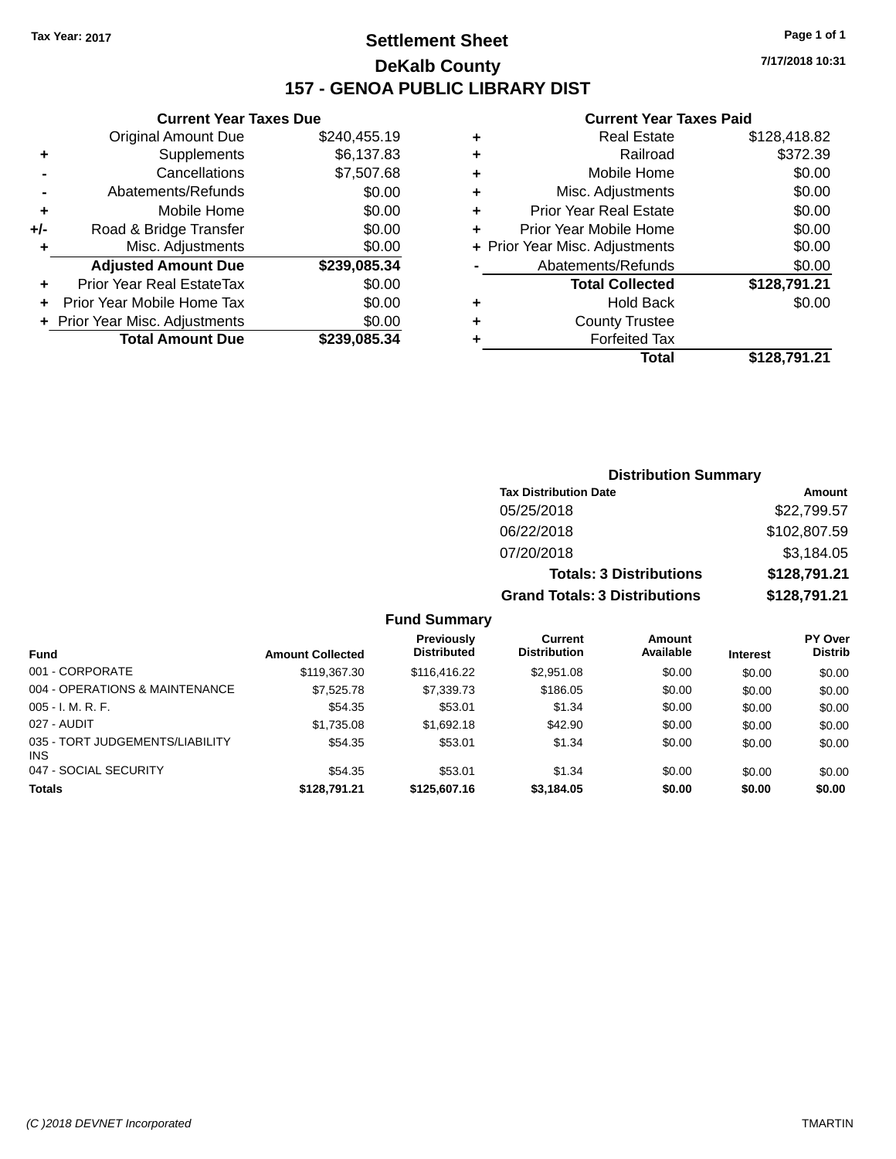# **Settlement Sheet Tax Year: 2017 Page 1 of 1 DeKalb County 157 - GENOA PUBLIC LIBRARY DIST**

**Current Year Taxes Due**

|       | <b>Total Amount Due</b>          | \$239,085.34 |
|-------|----------------------------------|--------------|
|       | + Prior Year Misc. Adjustments   | \$0.00       |
|       | Prior Year Mobile Home Tax       | \$0.00       |
| ٠     | <b>Prior Year Real EstateTax</b> | \$0.00       |
|       | <b>Adjusted Amount Due</b>       | \$239,085.34 |
| ٠     | Misc. Adjustments                | \$0.00       |
| $+/-$ | Road & Bridge Transfer           | \$0.00       |
| ٠     | Mobile Home                      | \$0.00       |
|       | Abatements/Refunds               | \$0.00       |
|       | Cancellations                    | \$7,507.68   |
| ٠     | Supplements                      | \$6,137.83   |
|       | <b>Original Amount Due</b>       | \$240,455.19 |
|       |                                  |              |

#### **Current Year Taxes Paid**

|   | <b>Real Estate</b>             | \$128,418.82 |
|---|--------------------------------|--------------|
| ٠ | Railroad                       | \$372.39     |
| ٠ | Mobile Home                    | \$0.00       |
| ٠ | Misc. Adjustments              | \$0.00       |
| ٠ | <b>Prior Year Real Estate</b>  | \$0.00       |
| ٠ | Prior Year Mobile Home         | \$0.00       |
|   | + Prior Year Misc. Adjustments | \$0.00       |
|   | Abatements/Refunds             | \$0.00       |
|   | <b>Total Collected</b>         | \$128,791.21 |
| ٠ | <b>Hold Back</b>               | \$0.00       |
| ٠ | <b>County Trustee</b>          |              |
|   | <b>Forfeited Tax</b>           |              |
|   | Total                          | \$128.791.21 |
|   |                                |              |

| <b>Distribution Summary</b>          |              |
|--------------------------------------|--------------|
| <b>Tax Distribution Date</b>         | Amount       |
| 05/25/2018                           | \$22,799.57  |
| 06/22/2018                           | \$102,807.59 |
| 07/20/2018                           | \$3,184.05   |
| <b>Totals: 3 Distributions</b>       | \$128,791.21 |
| <b>Grand Totals: 3 Distributions</b> | \$128,791.21 |

|                                         |                         | Previously         | Current             | Amount    |                 | <b>PY Over</b> |
|-----------------------------------------|-------------------------|--------------------|---------------------|-----------|-----------------|----------------|
| Fund                                    | <b>Amount Collected</b> | <b>Distributed</b> | <b>Distribution</b> | Available | <b>Interest</b> | <b>Distrib</b> |
| 001 - CORPORATE                         | \$119,367.30            | \$116,416.22       | \$2,951.08          | \$0.00    | \$0.00          | \$0.00         |
| 004 - OPERATIONS & MAINTENANCE          | \$7,525.78              | \$7,339.73         | \$186.05            | \$0.00    | \$0.00          | \$0.00         |
| $005 - I. M. R. F.$                     | \$54.35                 | \$53.01            | \$1.34              | \$0.00    | \$0.00          | \$0.00         |
| 027 - AUDIT                             | \$1,735.08              | \$1,692.18         | \$42.90             | \$0.00    | \$0.00          | \$0.00         |
| 035 - TORT JUDGEMENTS/LIABILITY<br>INS. | \$54.35                 | \$53.01            | \$1.34              | \$0.00    | \$0.00          | \$0.00         |
| 047 - SOCIAL SECURITY                   | \$54.35                 | \$53.01            | \$1.34              | \$0.00    | \$0.00          | \$0.00         |
| <b>Totals</b>                           | \$128,791.21            | \$125,607.16       | \$3,184.05          | \$0.00    | \$0.00          | \$0.00         |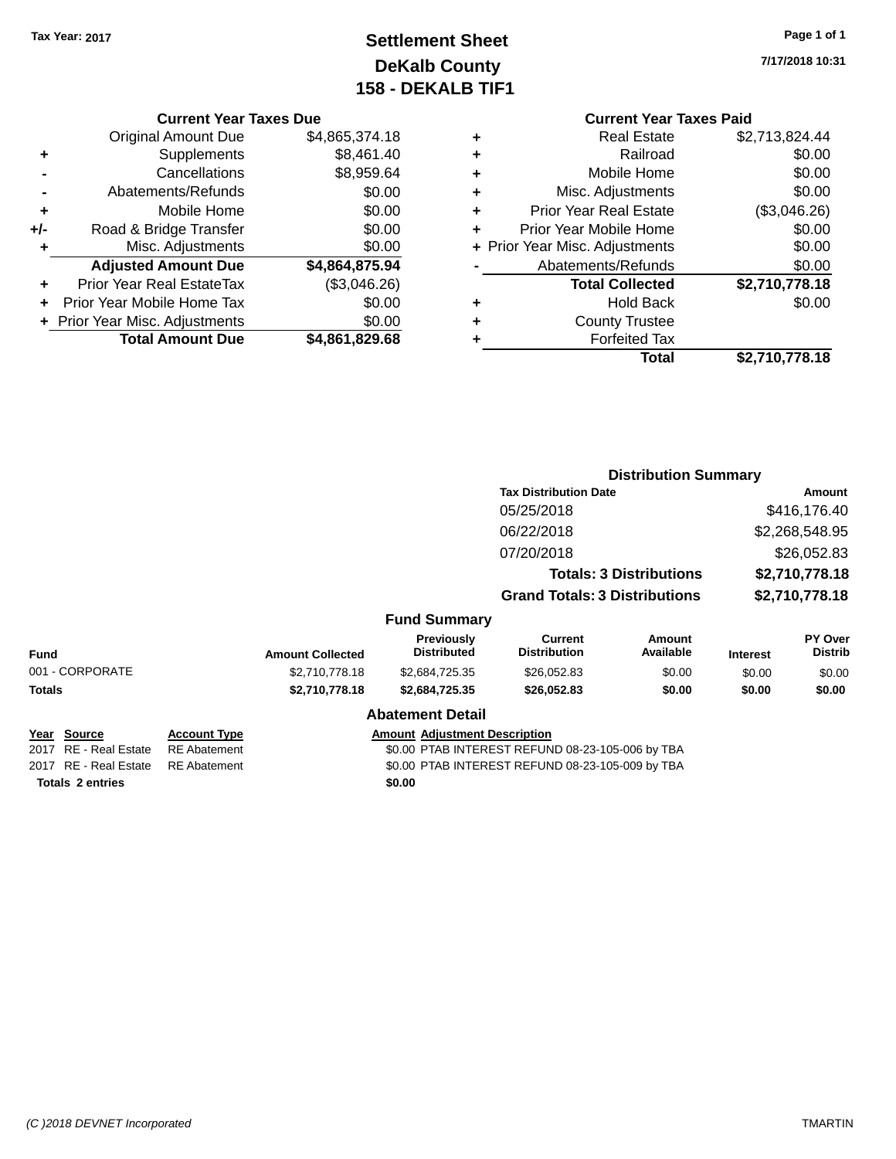# **Settlement Sheet Tax Year: 2017 Page 1 of 1 DeKalb County 158 - DEKALB TIF1**

**7/17/2018 10:31**

#### **Current Year Taxes Due**

|     | <b>Original Amount Due</b>     | \$4,865,374.18 |
|-----|--------------------------------|----------------|
| ٠   | Supplements                    | \$8,461.40     |
|     | Cancellations                  | \$8,959.64     |
|     | Abatements/Refunds             | \$0.00         |
| ٠   | Mobile Home                    | \$0.00         |
| +/- | Road & Bridge Transfer         | \$0.00         |
| ٠   | Misc. Adjustments              | \$0.00         |
|     | <b>Adjusted Amount Due</b>     | \$4,864,875.94 |
| ÷   | Prior Year Real EstateTax      | (\$3,046.26)   |
|     | Prior Year Mobile Home Tax     | \$0.00         |
|     | + Prior Year Misc. Adjustments | \$0.00         |
|     | <b>Total Amount Due</b>        | \$4,861,829.68 |

| ٠ | <b>Real Estate</b>             | \$2,713,824.44 |
|---|--------------------------------|----------------|
| ٠ | Railroad                       | \$0.00         |
| ٠ | Mobile Home                    | \$0.00         |
| ٠ | Misc. Adjustments              | \$0.00         |
| ٠ | <b>Prior Year Real Estate</b>  | (\$3,046.26)   |
| ٠ | Prior Year Mobile Home         | \$0.00         |
|   | + Prior Year Misc. Adjustments | \$0.00         |
|   | Abatements/Refunds             | \$0.00         |
|   | <b>Total Collected</b>         | \$2,710,778.18 |
| ٠ | <b>Hold Back</b>               | \$0.00         |
| ٠ | <b>County Trustee</b>          |                |
| ٠ | <b>Forfeited Tax</b>           |                |
|   | Total                          | \$2,710,778.18 |
|   |                                |                |

|                                                        |                                            |                         |                                         |                                                  | <b>Distribution Summary</b>    |                 |                                  |
|--------------------------------------------------------|--------------------------------------------|-------------------------|-----------------------------------------|--------------------------------------------------|--------------------------------|-----------------|----------------------------------|
|                                                        |                                            |                         |                                         | <b>Tax Distribution Date</b>                     |                                |                 | Amount                           |
|                                                        |                                            |                         |                                         | 05/25/2018                                       |                                |                 | \$416,176.40                     |
|                                                        |                                            |                         |                                         | 06/22/2018                                       |                                |                 | \$2,268,548.95                   |
|                                                        |                                            |                         |                                         | 07/20/2018                                       |                                |                 | \$26,052.83                      |
|                                                        |                                            |                         |                                         |                                                  | <b>Totals: 3 Distributions</b> |                 | \$2,710,778.18                   |
|                                                        |                                            |                         |                                         | <b>Grand Totals: 3 Distributions</b>             |                                |                 | \$2,710,778.18                   |
|                                                        |                                            |                         | <b>Fund Summary</b>                     |                                                  |                                |                 |                                  |
| <b>Fund</b>                                            |                                            | <b>Amount Collected</b> | <b>Previously</b><br><b>Distributed</b> | Current<br><b>Distribution</b>                   | Amount<br>Available            | <b>Interest</b> | <b>PY Over</b><br><b>Distrib</b> |
| 001 - CORPORATE                                        |                                            | \$2,710,778.18          | \$2,684,725.35                          | \$26,052.83                                      | \$0.00                         | \$0.00          | \$0.00                           |
| Totals                                                 |                                            | \$2,710,778.18          | \$2,684,725.35                          | \$26,052.83                                      | \$0.00                         | \$0.00          | \$0.00                           |
|                                                        |                                            |                         | <b>Abatement Detail</b>                 |                                                  |                                |                 |                                  |
| <u> Year Source</u><br><b>RE</b> - Real Estate<br>2017 | <b>Account Type</b><br><b>RE</b> Abatement |                         | <b>Amount Adjustment Description</b>    | \$0.00 PTAB INTEREST REFUND 08-23-105-006 by TBA |                                |                 |                                  |
| 2017 RE - Real Estate                                  | <b>RE</b> Abatement                        |                         |                                         | \$0.00 PTAB INTEREST REFUND 08-23-105-009 by TBA |                                |                 |                                  |
| <b>Totals 2 entries</b>                                |                                            |                         | \$0.00                                  |                                                  |                                |                 |                                  |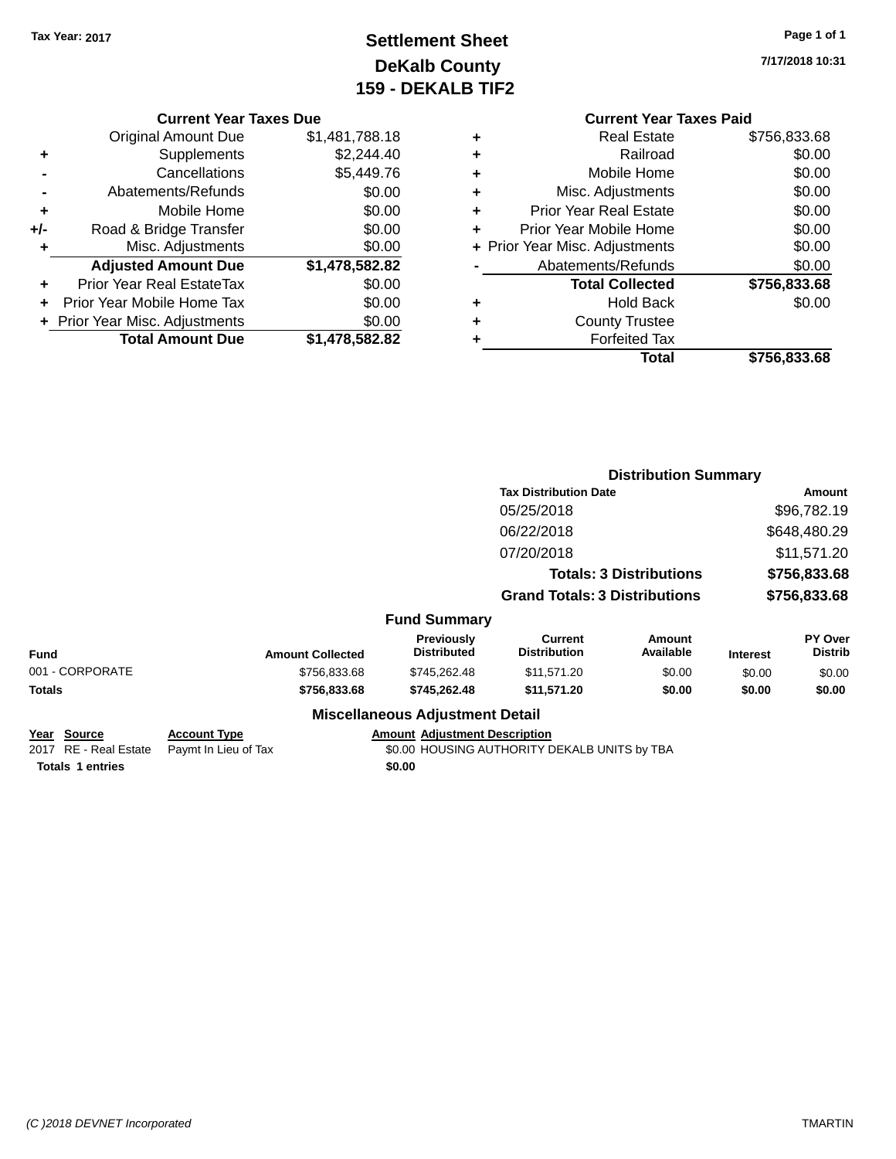# **Settlement Sheet Tax Year: 2017 Page 1 of 1 DeKalb County 159 - DEKALB TIF2**

**7/17/2018 10:31**

#### **Current Year Taxes Due**

|       | <b>Original Amount Due</b>       | \$1,481,788.18 |
|-------|----------------------------------|----------------|
| ٠     | Supplements                      | \$2,244.40     |
|       | Cancellations                    | \$5,449.76     |
|       | Abatements/Refunds               | \$0.00         |
| ٠     | Mobile Home                      | \$0.00         |
| $+/-$ | Road & Bridge Transfer           | \$0.00         |
| ٠     | Misc. Adjustments                | \$0.00         |
|       | <b>Adjusted Amount Due</b>       | \$1,478,582.82 |
|       | <b>Prior Year Real EstateTax</b> | \$0.00         |
|       | Prior Year Mobile Home Tax       | \$0.00         |
|       | + Prior Year Misc. Adjustments   | \$0.00         |
|       | <b>Total Amount Due</b>          | \$1,478,582.82 |

# **Current Year Taxes Paid +** Real Estate \$756,833.68 **+** Railroad \$0.00 **+** Mobile Home \$0.00 **+** Misc. Adjustments \$0.00 **+** Prior Year Real Estate \$0.00 **+** Prior Year Mobile Home \$0.00 **+ Prior Year Misc. Adjustments**  $$0.00$ Abatements/Refunds \$0.00 **Total Collected \$756,833.68 +** Hold Back \$0.00 **+** County Trustee **+** Forfeited Tax

**Total \$756,833.68**

| <b>Distribution Summary</b>  |              |
|------------------------------|--------------|
| <b>Tax Distribution Date</b> | Amount       |
| 05/25/2018                   | \$96,782.19  |
| 06/22/2018                   | \$648,480.29 |
|                              |              |

| \$11,571.20  |
|--------------|
| \$756,833.68 |
| \$756,833.68 |
|              |

# **Fund Summary**

| Fund            | <b>Amount Collected</b> | <b>Previously</b><br><b>Distributed</b> | Current<br><b>Distribution</b> | Amount<br>Available | <b>Interest</b> | PY Over<br><b>Distrib</b> |
|-----------------|-------------------------|-----------------------------------------|--------------------------------|---------------------|-----------------|---------------------------|
| 001 - CORPORATE | \$756,833,68            | \$745,262,48                            | \$11.571.20                    | \$0.00              | \$0.00          | \$0.00                    |
| Totals          | \$756,833,68            | \$745,262,48                            | \$11.571.20                    | \$0.00              | \$0.00          | \$0.00                    |
|                 |                         | Micrallangous Adiustmant Datail         |                                |                     |                 |                           |

# **Miscellaneous Adjustment Detail**

#### **Year Source Account Type Account Account Adjustment Description** 2017 RE - Real Estate Paymt In Lieu of Tax S0.00 HOUSING AUTHORITY DEKALB UNITS by TBA **Totals 1 entries** \$0.00

*(C )2018 DEVNET Incorporated* TMARTIN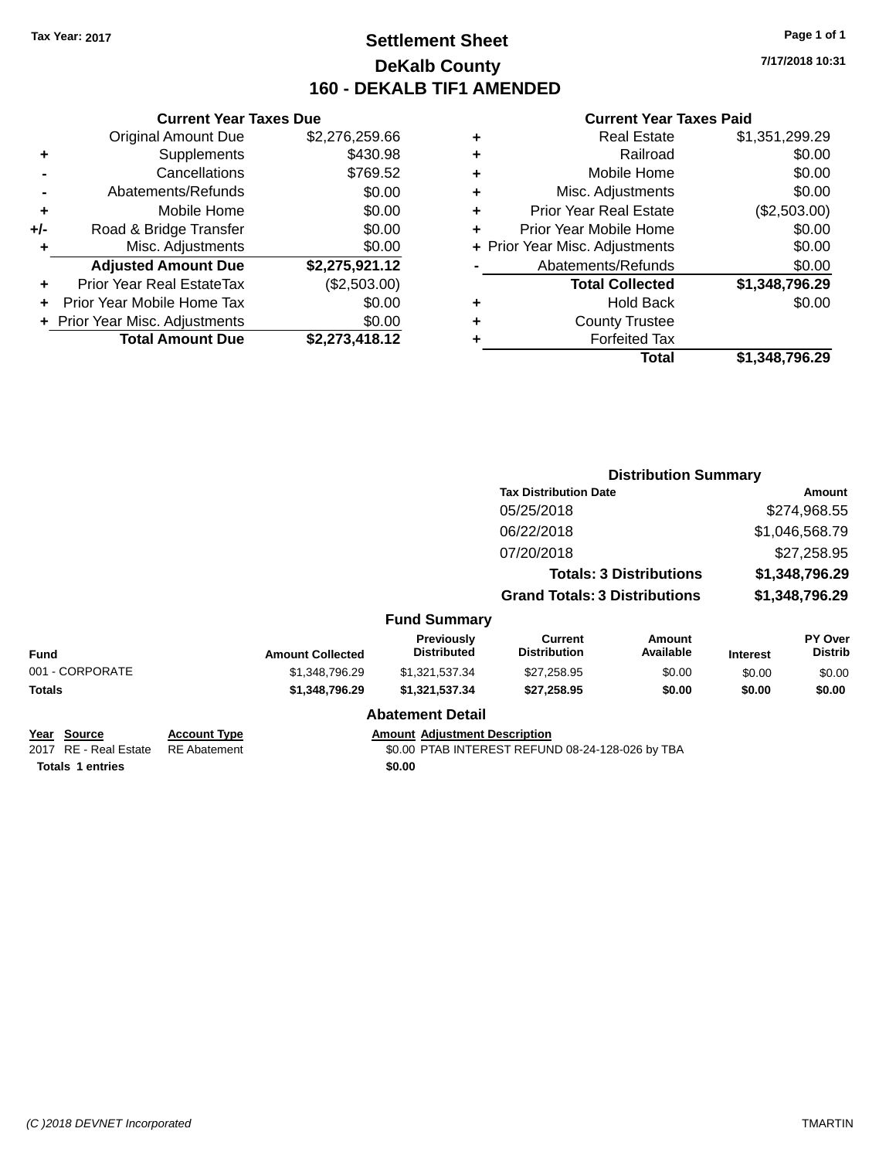# **Settlement Sheet Tax Year: 2017 Page 1 of 1 DeKalb County 160 - DEKALB TIF1 AMENDED**

**7/17/2018 10:31**

|     | <b>Current Year Taxes Due</b>  |                |
|-----|--------------------------------|----------------|
|     | <b>Original Amount Due</b>     | \$2,276,259.66 |
| ٠   | Supplements                    | \$430.98       |
|     | Cancellations                  | \$769.52       |
|     | Abatements/Refunds             | \$0.00         |
| ٠   | Mobile Home                    | \$0.00         |
| +/- | Road & Bridge Transfer         | \$0.00         |
| ٠   | Misc. Adjustments              | \$0.00         |
|     | <b>Adjusted Amount Due</b>     | \$2,275,921.12 |
| ٠   | Prior Year Real EstateTax      | (\$2,503.00)   |
| ÷   | Prior Year Mobile Home Tax     | \$0.00         |
|     | + Prior Year Misc. Adjustments | \$0.00         |
|     | <b>Total Amount Due</b>        | \$2,273,418.12 |

| ٠ | <b>Real Estate</b>             | \$1,351,299.29 |
|---|--------------------------------|----------------|
| ٠ | Railroad                       | \$0.00         |
| ٠ | Mobile Home                    | \$0.00         |
| ٠ | Misc. Adjustments              | \$0.00         |
| ٠ | <b>Prior Year Real Estate</b>  | (\$2,503.00)   |
| ÷ | Prior Year Mobile Home         | \$0.00         |
|   | + Prior Year Misc. Adjustments | \$0.00         |
|   | Abatements/Refunds             | \$0.00         |
|   | <b>Total Collected</b>         | \$1,348,796.29 |
| ٠ | <b>Hold Back</b>               | \$0.00         |
| ٠ | <b>County Trustee</b>          |                |
| ٠ | <b>Forfeited Tax</b>           |                |
|   | <b>Total</b>                   | \$1,348,796.29 |
|   |                                |                |

|                                             |                                            |                         |                                      |                                                  | <b>Distribution Summary</b>    |                 |                           |
|---------------------------------------------|--------------------------------------------|-------------------------|--------------------------------------|--------------------------------------------------|--------------------------------|-----------------|---------------------------|
|                                             |                                            |                         |                                      | <b>Tax Distribution Date</b>                     |                                |                 | Amount                    |
|                                             |                                            |                         |                                      | 05/25/2018                                       |                                |                 | \$274,968.55              |
|                                             |                                            |                         |                                      | 06/22/2018                                       |                                |                 | \$1,046,568.79            |
|                                             |                                            |                         |                                      | 07/20/2018                                       |                                |                 | \$27,258.95               |
|                                             |                                            |                         |                                      |                                                  | <b>Totals: 3 Distributions</b> |                 | \$1,348,796.29            |
|                                             |                                            |                         |                                      | <b>Grand Totals: 3 Distributions</b>             |                                |                 | \$1,348,796.29            |
|                                             |                                            |                         | <b>Fund Summary</b>                  |                                                  |                                |                 |                           |
| <b>Fund</b>                                 |                                            | <b>Amount Collected</b> | Previously<br><b>Distributed</b>     | <b>Current</b><br><b>Distribution</b>            | <b>Amount</b><br>Available     | <b>Interest</b> | PY Over<br><b>Distrib</b> |
| 001 - CORPORATE                             |                                            | \$1,348,796.29          | \$1,321,537.34                       | \$27,258.95                                      | \$0.00                         | \$0.00          | \$0.00                    |
| Totals                                      |                                            | \$1,348,796.29          | \$1,321,537.34                       | \$27,258.95                                      | \$0.00                         | \$0.00          | \$0.00                    |
|                                             |                                            |                         | <b>Abatement Detail</b>              |                                                  |                                |                 |                           |
| <u>Year Source</u><br>2017 RE - Real Estate | <b>Account Type</b><br><b>RE</b> Abatement |                         | <b>Amount Adjustment Description</b> | \$0.00 PTAB INTEREST REFUND 08-24-128-026 by TBA |                                |                 |                           |
| <b>Totals 1 entries</b>                     |                                            |                         | \$0.00                               |                                                  |                                |                 |                           |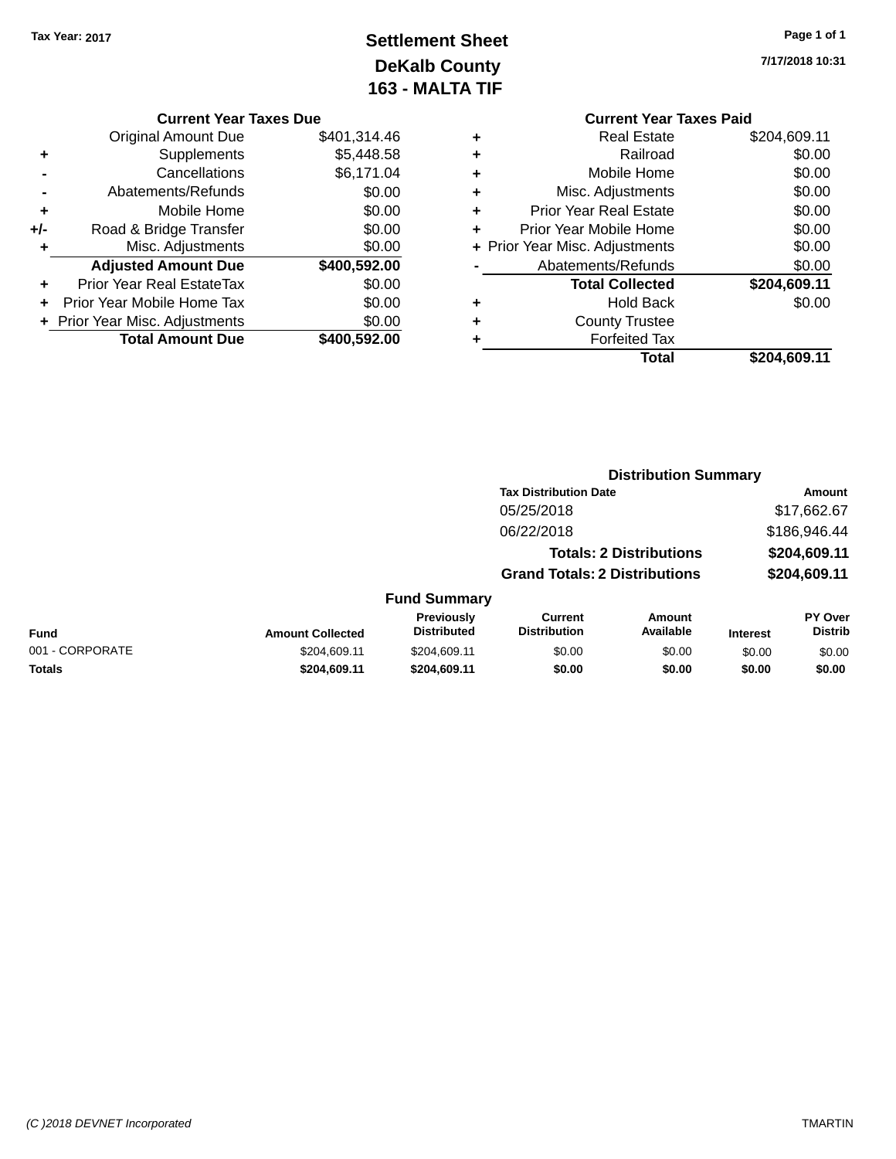# **Settlement Sheet Tax Year: 2017 Page 1 of 1 DeKalb County 163 - MALTA TIF**

**Current Year Taxes Due** Original Amount Due \$401,314.46 **+** Supplements \$5,448.58 **-** Cancellations \$6,171.04 **-** Abatements/Refunds \$0.00 **+** Mobile Home \$0.00 **+/-** Road & Bridge Transfer \$0.00 **+** Misc. Adjustments \$0.00 **Adjusted Amount Due \$400,592.00 +** Prior Year Real EstateTax \$0.00 **+** Prior Year Mobile Home Tax \$0.00 **+ Prior Year Misc. Adjustments**  $$0.00$ **Total Amount Due \$400,592.00**

# **Current Year Taxes Paid +** Real Estate \$204,609.11 **+** Railroad \$0.00 **+** Mobile Home \$0.00 **+** Misc. Adjustments \$0.00 **+** Prior Year Real Estate \$0.00 **+** Prior Year Mobile Home \$0.00 **+** Prior Year Misc. Adjustments  $$0.00$ Abatements/Refunds \$0.00 **Total Collected \$204,609.11 +** Hold Back \$0.00 **+** County Trustee **+** Forfeited Tax **Total \$204,609.11**

|                 |                         |                                  | <b>Distribution Summary</b>           |                                |                 |                                  |
|-----------------|-------------------------|----------------------------------|---------------------------------------|--------------------------------|-----------------|----------------------------------|
|                 |                         |                                  | <b>Tax Distribution Date</b>          |                                |                 | Amount                           |
|                 |                         |                                  | 05/25/2018                            |                                |                 | \$17,662.67                      |
|                 |                         |                                  | 06/22/2018                            |                                |                 | \$186,946.44                     |
|                 |                         |                                  |                                       | <b>Totals: 2 Distributions</b> |                 | \$204,609.11                     |
|                 |                         |                                  | <b>Grand Totals: 2 Distributions</b>  |                                |                 | \$204,609.11                     |
|                 |                         | <b>Fund Summary</b>              |                                       |                                |                 |                                  |
| <b>Fund</b>     | <b>Amount Collected</b> | Previously<br><b>Distributed</b> | <b>Current</b><br><b>Distribution</b> | Amount<br>Available            | <b>Interest</b> | <b>PY Over</b><br><b>Distrib</b> |
| 001 - CORPORATE | \$204.609.11            | \$204,609.11                     | \$0.00                                | \$0.00                         | \$0.00          | \$0.00                           |
| <b>Totals</b>   | \$204.609.11            | \$204.609.11                     | \$0.00                                | \$0.00                         | \$0.00          | \$0.00                           |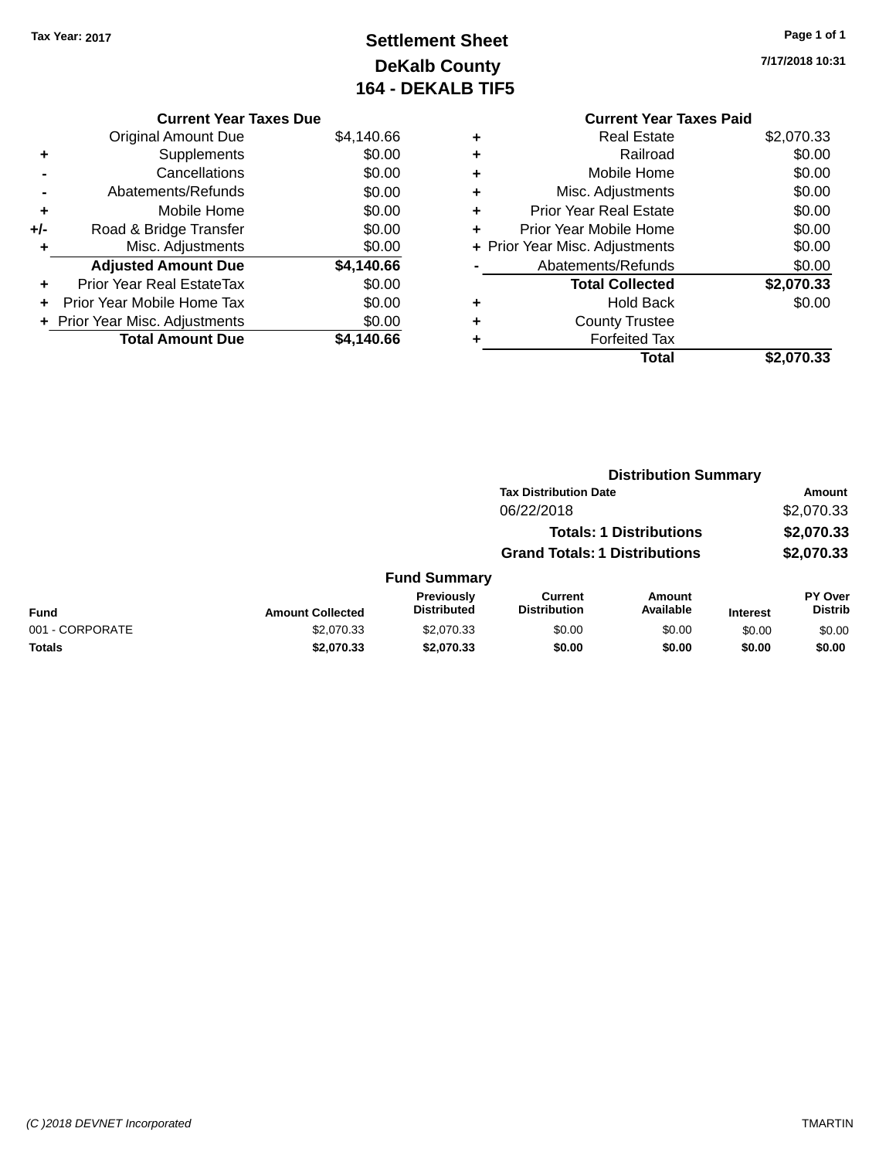# **Settlement Sheet Tax Year: 2017 Page 1 of 1 DeKalb County 164 - DEKALB TIF5**

**7/17/2018 10:31**

# **Current Year Taxes Paid +** Real Estate \$2,070.33 **+** Railroad \$0.00 **+** Mobile Home \$0.00 **+** Misc. Adjustments \$0.00 **+** Prior Year Real Estate \$0.00 **+** Prior Year Mobile Home

|           | Total                              | \$2,070.33 |
|-----------|------------------------------------|------------|
| $\ddot{}$ | <b>Forfeited Tax</b>               |            |
| $\ddot{}$ | <b>County Trustee</b>              |            |
| ÷         | <b>Hold Back</b>                   | \$0.00     |
|           | <b>Total Collected</b>             | \$2,070.33 |
|           | Abatements/Refunds                 | \$0.00     |
|           | + Prior Year Misc. Adjustments     | \$0.00     |
|           | <u>FIIUI TGAI IVIUUIIG LIUIIIG</u> | vv.vv      |

**Distribution Summary**

|                 |                         |                                         | <b>Tax Distribution Date</b>          |                                |                 | Amount                    |
|-----------------|-------------------------|-----------------------------------------|---------------------------------------|--------------------------------|-----------------|---------------------------|
|                 |                         |                                         | 06/22/2018                            |                                |                 | \$2,070.33                |
|                 |                         |                                         |                                       | <b>Totals: 1 Distributions</b> |                 | \$2,070.33                |
|                 |                         |                                         | <b>Grand Totals: 1 Distributions</b>  |                                |                 | \$2,070.33                |
|                 |                         | <b>Fund Summary</b>                     |                                       |                                |                 |                           |
| Fund            | <b>Amount Collected</b> | <b>Previously</b><br><b>Distributed</b> | <b>Current</b><br><b>Distribution</b> | <b>Amount</b><br>Available     | <b>Interest</b> | PY Over<br><b>Distrib</b> |
| 001 - CORPORATE | \$2,070.33              | \$2,070.33                              | \$0.00                                | \$0.00                         | \$0.00          | \$0.00                    |
| <b>Totals</b>   | \$2,070.33              | \$2,070.33                              | \$0.00                                | \$0.00                         | \$0.00          | \$0.00                    |
|                 |                         |                                         |                                       |                                |                 |                           |

# **Current Year Taxes Due** Original Amount Due \$4,140.66 **+** Supplements \$0.00

| Cancellations                    | \$0.00                                                    |
|----------------------------------|-----------------------------------------------------------|
| Abatements/Refunds               | \$0.00                                                    |
| Mobile Home                      | \$0.00                                                    |
| Road & Bridge Transfer           | \$0.00                                                    |
| Misc. Adjustments                | \$0.00                                                    |
| <b>Adjusted Amount Due</b>       | \$4,140.66                                                |
| <b>Prior Year Real EstateTax</b> | \$0.00                                                    |
| Prior Year Mobile Home Tax       | \$0.00                                                    |
|                                  | \$0.00                                                    |
|                                  | \$4,140.66                                                |
|                                  | + Prior Year Misc. Adjustments<br><b>Total Amount Due</b> |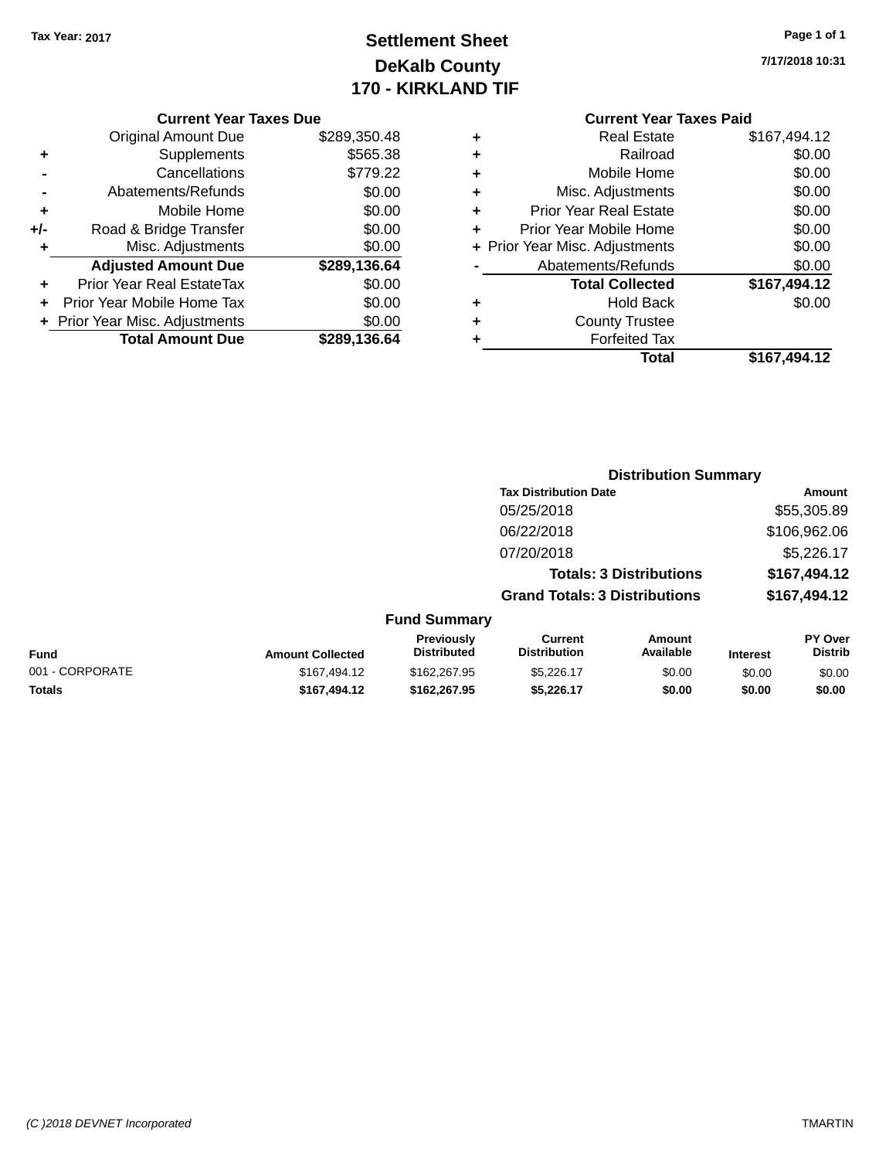# **Settlement Sheet Tax Year: 2017 Page 1 of 1 DeKalb County 170 - KIRKLAND TIF**

**7/17/2018 10:31**

|  | <b>Current Year Taxes Due</b> |  |  |  |
|--|-------------------------------|--|--|--|
|--|-------------------------------|--|--|--|

| <b>Original Amount Due</b> | \$289,350.48                   |
|----------------------------|--------------------------------|
| Supplements                | \$565.38                       |
| Cancellations              | \$779.22                       |
| Abatements/Refunds         | \$0.00                         |
| Mobile Home                | \$0.00                         |
| Road & Bridge Transfer     | \$0.00                         |
| Misc. Adjustments          | \$0.00                         |
| <b>Adjusted Amount Due</b> | \$289,136.64                   |
| Prior Year Real EstateTax  | \$0.00                         |
| Prior Year Mobile Home Tax | \$0.00                         |
|                            | \$0.00                         |
| <b>Total Amount Due</b>    | \$289,136.64                   |
|                            | + Prior Year Misc. Adjustments |

|   | <b>Real Estate</b>             | \$167,494.12 |
|---|--------------------------------|--------------|
| ٠ | Railroad                       | \$0.00       |
| ٠ | Mobile Home                    | \$0.00       |
| ٠ | Misc. Adjustments              | \$0.00       |
| ٠ | <b>Prior Year Real Estate</b>  | \$0.00       |
| ٠ | Prior Year Mobile Home         | \$0.00       |
|   | + Prior Year Misc. Adjustments | \$0.00       |
|   | Abatements/Refunds             | \$0.00       |
|   | <b>Total Collected</b>         | \$167,494.12 |
| ٠ | <b>Hold Back</b>               | \$0.00       |
| ٠ | <b>County Trustee</b>          |              |
|   | <b>Forfeited Tax</b>           |              |
|   | Total                          | \$167,494.12 |
|   |                                |              |

|                         |                                         |                                       | <b>Distribution Summary</b>    |                 |                                  |
|-------------------------|-----------------------------------------|---------------------------------------|--------------------------------|-----------------|----------------------------------|
|                         |                                         | <b>Tax Distribution Date</b>          |                                |                 | Amount                           |
|                         |                                         | 05/25/2018                            |                                |                 | \$55,305.89                      |
|                         |                                         | 06/22/2018                            |                                |                 | \$106,962.06                     |
|                         |                                         | 07/20/2018                            |                                |                 | \$5,226.17                       |
|                         |                                         |                                       | <b>Totals: 3 Distributions</b> |                 | \$167,494.12                     |
|                         |                                         | <b>Grand Totals: 3 Distributions</b>  |                                |                 | \$167,494.12                     |
|                         | <b>Fund Summary</b>                     |                                       |                                |                 |                                  |
| <b>Amount Collected</b> | <b>Previously</b><br><b>Distributed</b> | <b>Current</b><br><b>Distribution</b> | Amount<br>Available            | <b>Interest</b> | <b>PY Over</b><br><b>Distrib</b> |
|                         |                                         | $\cdots$                              | $\cdots$                       |                 |                                  |

| <b>Fund</b>     | <b>Amount Collected</b> | <b>Previously</b><br><b>Distributed</b> | uurrent<br><b>Distribution</b> | Amount<br>Available | <b>Interest</b> | <b>PT OVER</b><br>Distrib |
|-----------------|-------------------------|-----------------------------------------|--------------------------------|---------------------|-----------------|---------------------------|
| 001 - CORPORATE | \$167.494.12            | \$162.267.95                            | \$5.226.17                     | \$0.00              | \$0.00          | \$0.00                    |
| <b>Totals</b>   | \$167.494.12            | \$162.267.95                            | \$5.226.17                     | \$0.00              | \$0.00          | \$0.00                    |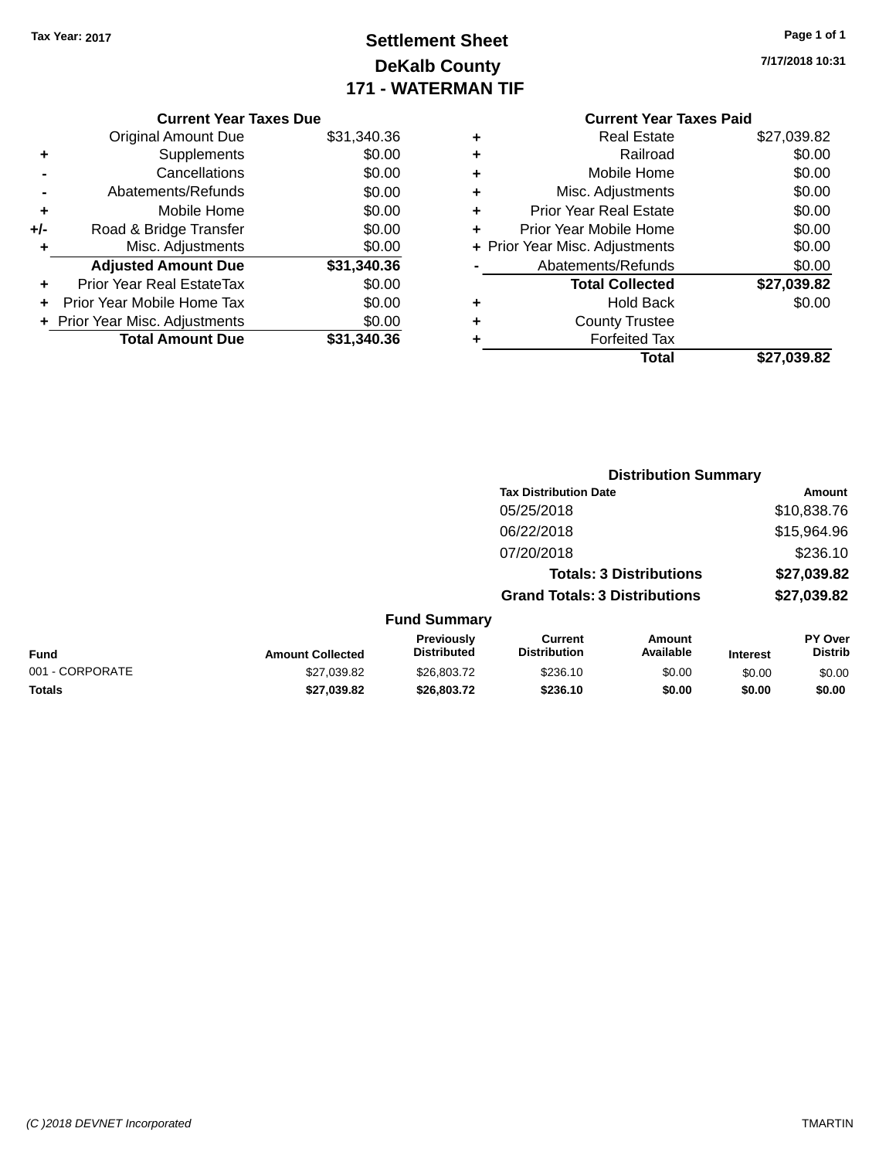# **Settlement Sheet Tax Year: 2017 Page 1 of 1 DeKalb County 171 - WATERMAN TIF**

| Page 1 of 1 |  |
|-------------|--|
|             |  |

**7/17/2018 10:31**

|     | <b>Current Year Taxes Due</b>  |             |
|-----|--------------------------------|-------------|
|     | <b>Original Amount Due</b>     | \$31,340.36 |
| ٠   | Supplements                    | \$0.00      |
|     | Cancellations                  | \$0.00      |
|     | Abatements/Refunds             | \$0.00      |
| ٠   | Mobile Home                    | \$0.00      |
| +/- | Road & Bridge Transfer         | \$0.00      |
|     | Misc. Adjustments              | \$0.00      |
|     | <b>Adjusted Amount Due</b>     | \$31,340.36 |
| ٠   | Prior Year Real EstateTax      | \$0.00      |
|     | Prior Year Mobile Home Tax     | \$0.00      |
|     | + Prior Year Misc. Adjustments | \$0.00      |
|     | <b>Total Amount Due</b>        | \$31,340,36 |
|     |                                |             |

# **Current Year Taxes Paid +** Real Estate \$27,039.82 **+** Railroad \$0.00 **+** Mobile Home \$0.00 **+** Misc. Adjustments \$0.00 **+** Prior Year Real Estate \$0.00 **+** Prior Year Mobile Home \$0.00

|           | Total                          | \$27,039.82 |
|-----------|--------------------------------|-------------|
|           | <b>Forfeited Tax</b>           |             |
|           | <b>County Trustee</b>          |             |
| $\ddot{}$ | <b>Hold Back</b>               | \$0.00      |
|           | <b>Total Collected</b>         | \$27,039.82 |
|           | Abatements/Refunds             | \$0.00      |
|           | + Prior Year Misc. Adjustments | \$0.00      |

|                 |                         |                                  |                                       | <b>Distribution Summary</b>    |                 |                           |
|-----------------|-------------------------|----------------------------------|---------------------------------------|--------------------------------|-----------------|---------------------------|
|                 |                         |                                  | <b>Tax Distribution Date</b>          |                                |                 | Amount                    |
|                 |                         |                                  | 05/25/2018                            |                                |                 | \$10,838.76               |
|                 |                         |                                  | 06/22/2018                            |                                |                 | \$15,964.96               |
|                 |                         |                                  | 07/20/2018                            |                                |                 | \$236.10                  |
|                 |                         |                                  |                                       | <b>Totals: 3 Distributions</b> |                 | \$27,039.82               |
|                 |                         |                                  | <b>Grand Totals: 3 Distributions</b>  |                                |                 | \$27,039.82               |
|                 |                         | <b>Fund Summary</b>              |                                       |                                |                 |                           |
| <b>Fund</b>     | <b>Amount Collected</b> | Previously<br><b>Distributed</b> | <b>Current</b><br><b>Distribution</b> | Amount<br>Available            | <b>Interest</b> | PY Over<br><b>Distrib</b> |
| 001 - CORPORATE | \$27,039.82             | \$26,803.72                      | \$236.10                              | \$0.00                         | \$0.00          | \$0.00                    |
| <b>Totals</b>   | \$27,039.82             | \$26,803.72                      | \$236.10                              | \$0.00                         | \$0.00          | \$0.00                    |
|                 |                         |                                  |                                       |                                |                 |                           |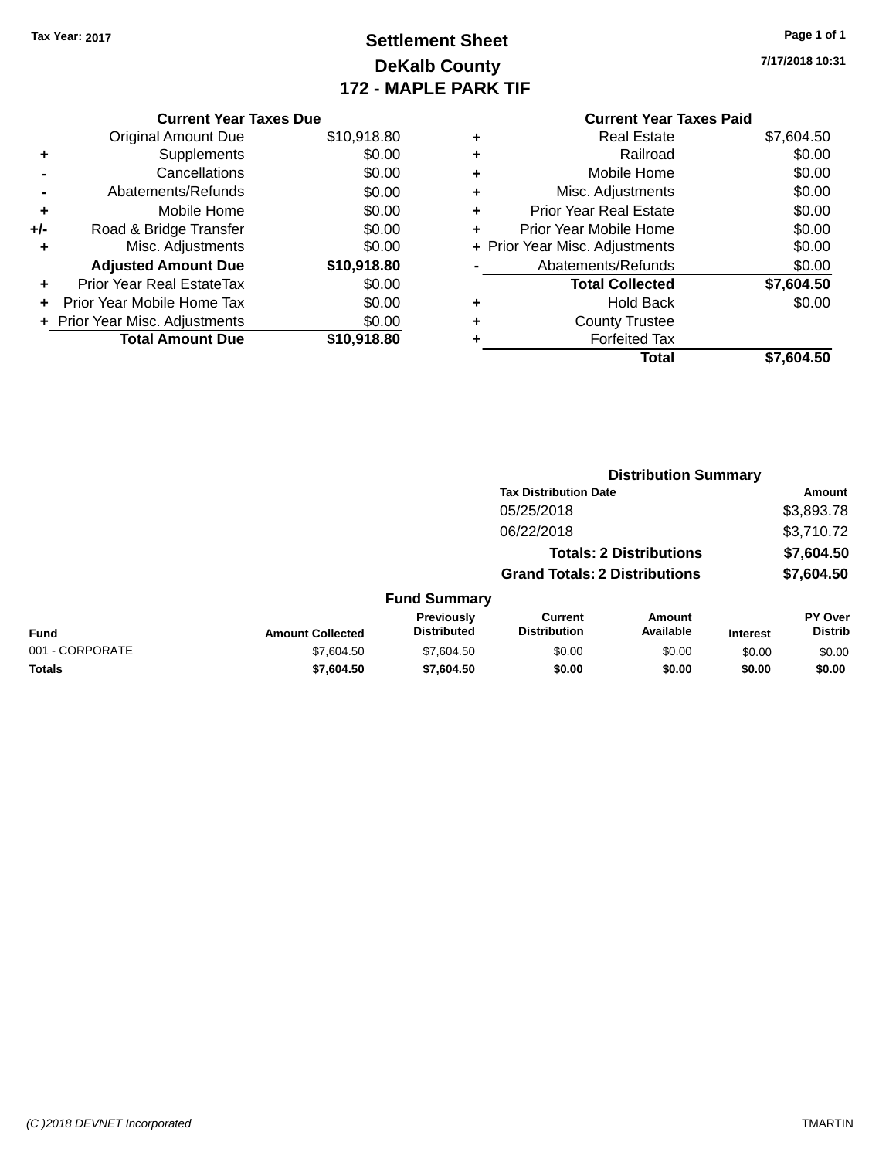# **Settlement Sheet Tax Year: 2017 Page 1 of 1 DeKalb County 172 - MAPLE PARK TIF**

**7/17/2018 10:31**

# **Current Year Taxes Paid +** Real Estate \$7,604.50 **+** Railroad \$0.00 **+** Mobile Home \$0.00 **+** Misc. Adjustments \$0.00 **+** Prior Year Real Estate \$0.00 **+** Prior Year Mobile Home \$0.00 **+ Prior Year Misc. Adjustments**  $$0.00$ **-** Abatements/Refunds \$0.00 **Total Collected \$7,604.50 +** Hold Back \$0.00 **+** County Trustee **+** Forfeited Tax **Total \$7,604.50**

**Distribution Summary**

|                 |                         |                                  | <b>Tax Distribution Date</b>         |                                |                 | Amount                           |
|-----------------|-------------------------|----------------------------------|--------------------------------------|--------------------------------|-----------------|----------------------------------|
|                 |                         |                                  | 05/25/2018                           |                                |                 | \$3,893.78                       |
|                 |                         |                                  | 06/22/2018                           |                                |                 | \$3,710.72                       |
|                 |                         |                                  |                                      | <b>Totals: 2 Distributions</b> |                 | \$7,604.50                       |
|                 |                         |                                  | <b>Grand Totals: 2 Distributions</b> |                                |                 | \$7,604.50                       |
|                 |                         | <b>Fund Summary</b>              |                                      |                                |                 |                                  |
| <b>Fund</b>     | <b>Amount Collected</b> | Previously<br><b>Distributed</b> | Current<br><b>Distribution</b>       | <b>Amount</b><br>Available     | <b>Interest</b> | <b>PY Over</b><br><b>Distrib</b> |
| 001 - CORPORATE | \$7,604.50              | \$7,604.50                       | \$0.00                               | \$0.00                         | \$0.00          | \$0.00                           |
| <b>Totals</b>   | \$7,604.50              | \$7,604.50                       | \$0.00                               | \$0.00                         | \$0.00          | \$0.00                           |

| <b>Current Year Taxes Due</b>             |                   |
|-------------------------------------------|-------------------|
| $\bigcap$ -isisal Assauct $\bigcap_{i=1}$ | $A \cap A \cap A$ |

|       | Original Amount Due              | \$10,918.80 |
|-------|----------------------------------|-------------|
| ٠     | Supplements                      | \$0.00      |
|       | Cancellations                    | \$0.00      |
|       | Abatements/Refunds               | \$0.00      |
| ÷     | Mobile Home                      | \$0.00      |
| $+/-$ | Road & Bridge Transfer           | \$0.00      |
| ٠     | Misc. Adjustments                | \$0.00      |
|       | <b>Adjusted Amount Due</b>       | \$10,918.80 |
| ٠     | <b>Prior Year Real EstateTax</b> | \$0.00      |
| ÷     | Prior Year Mobile Home Tax       | \$0.00      |
|       | + Prior Year Misc. Adjustments   | \$0.00      |
|       | <b>Total Amount Due</b>          | \$10,918.80 |
|       |                                  |             |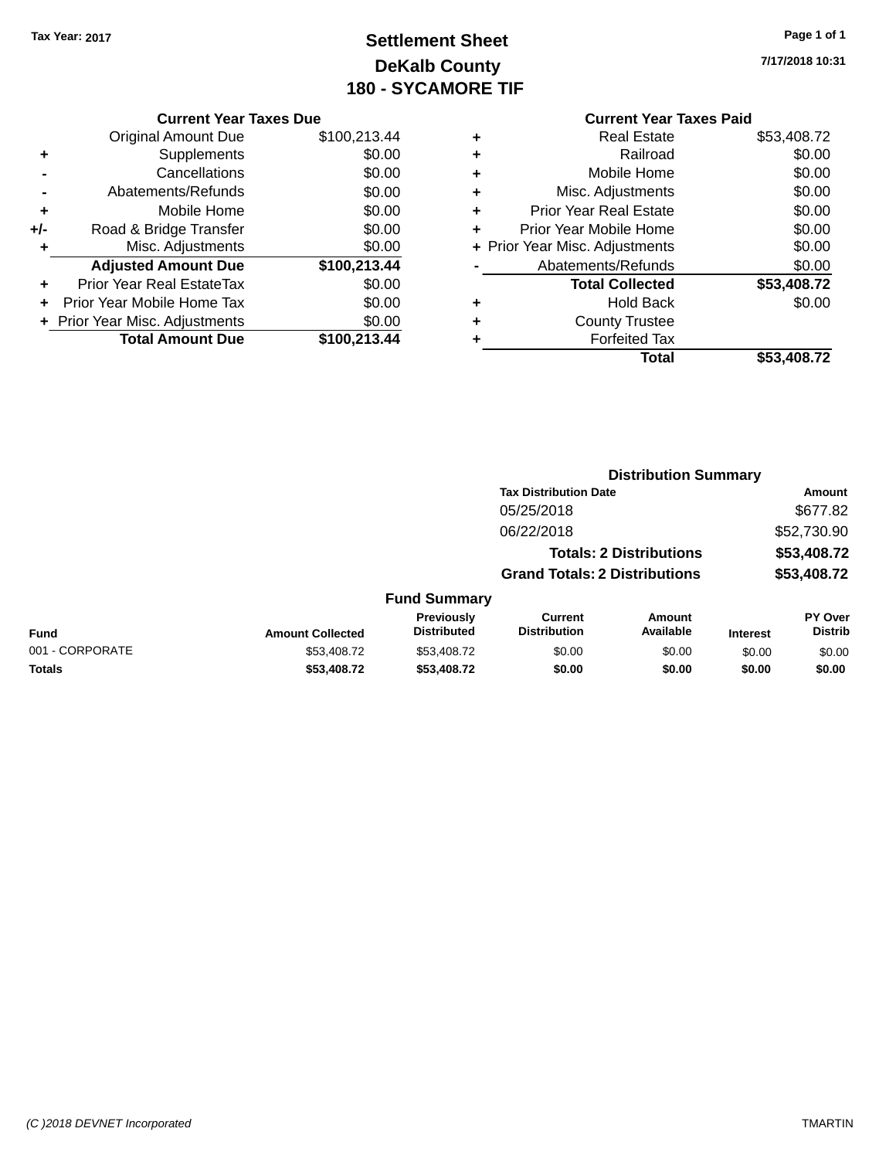## **Settlement Sheet Tax Year: 2017 Page 1 of 1 DeKalb County 180 - SYCAMORE TIF**

**7/17/2018 10:31**

|     | <b>Current Year Taxes Due</b>  |              |
|-----|--------------------------------|--------------|
|     | <b>Original Amount Due</b>     | \$100,213.44 |
| ٠   | Supplements                    | \$0.00       |
|     | Cancellations                  | \$0.00       |
|     | Abatements/Refunds             | \$0.00       |
| ٠   | Mobile Home                    | \$0.00       |
| +/- | Road & Bridge Transfer         | \$0.00       |
| ٠   | Misc. Adjustments              | \$0.00       |
|     | <b>Adjusted Amount Due</b>     | \$100,213.44 |
|     | Prior Year Real EstateTax      | \$0.00       |
|     | Prior Year Mobile Home Tax     | \$0.00       |
|     | + Prior Year Misc. Adjustments | \$0.00       |
|     | <b>Total Amount Due</b>        | \$100,213.44 |
|     |                                |              |

|   | Total                          | \$53,408.72 |
|---|--------------------------------|-------------|
| ٠ | <b>Forfeited Tax</b>           |             |
| ٠ | <b>County Trustee</b>          |             |
| ٠ | <b>Hold Back</b>               | \$0.00      |
|   | <b>Total Collected</b>         | \$53,408.72 |
|   | Abatements/Refunds             | \$0.00      |
|   | + Prior Year Misc. Adjustments | \$0.00      |
| ٠ | Prior Year Mobile Home         | \$0.00      |
| ٠ | <b>Prior Year Real Estate</b>  | \$0.00      |
| ٠ | Misc. Adjustments              | \$0.00      |
| ٠ | Mobile Home                    | \$0.00      |
| ÷ | Railroad                       | \$0.00      |
|   | <b>Real Estate</b>             | \$53,408.72 |

|                 |                         |                                  |                                       | <b>Distribution Summary</b>    |                 |                           |
|-----------------|-------------------------|----------------------------------|---------------------------------------|--------------------------------|-----------------|---------------------------|
|                 |                         |                                  | <b>Tax Distribution Date</b>          |                                |                 | Amount                    |
|                 |                         |                                  | 05/25/2018                            |                                |                 | \$677.82                  |
|                 |                         |                                  | 06/22/2018                            |                                |                 | \$52,730.90               |
|                 |                         |                                  |                                       | <b>Totals: 2 Distributions</b> |                 | \$53,408.72               |
|                 |                         |                                  | <b>Grand Totals: 2 Distributions</b>  |                                |                 | \$53,408.72               |
|                 |                         | <b>Fund Summary</b>              |                                       |                                |                 |                           |
| <b>Fund</b>     | <b>Amount Collected</b> | Previously<br><b>Distributed</b> | <b>Current</b><br><b>Distribution</b> | Amount<br>Available            | <b>Interest</b> | PY Over<br><b>Distrib</b> |
| 001 - CORPORATE | \$53,408.72             | \$53,408.72                      | \$0.00                                | \$0.00                         | \$0.00          | \$0.00                    |
| <b>Totals</b>   | \$53,408.72             | \$53,408.72                      | \$0.00                                | \$0.00                         | \$0.00          | \$0.00                    |
|                 |                         |                                  |                                       |                                |                 |                           |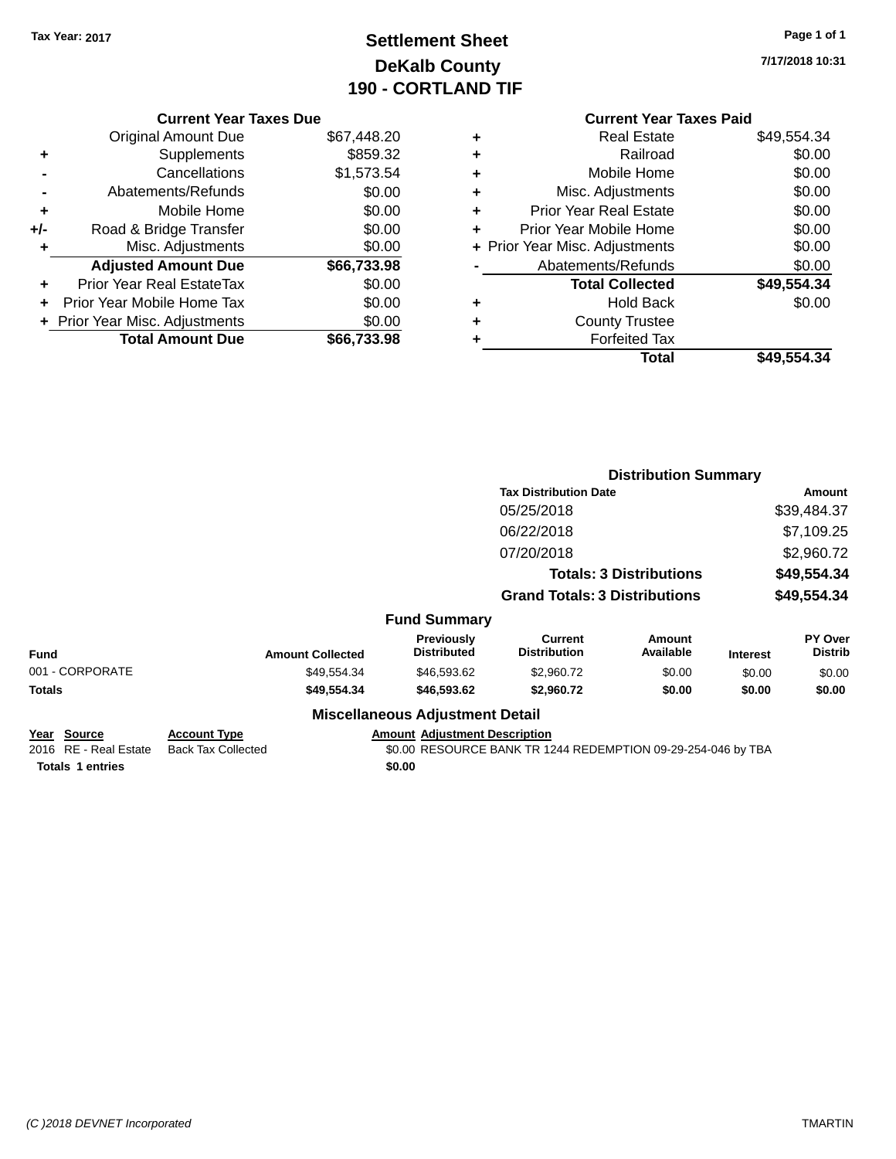## **Settlement Sheet Tax Year: 2017 Page 1 of 1 DeKalb County 190 - CORTLAND TIF**

**7/17/2018 10:31**

|       | <b>Current Year Taxes Due</b>  |             |
|-------|--------------------------------|-------------|
|       | <b>Original Amount Due</b>     | \$67,448.20 |
| ٠     | Supplements                    | \$859.32    |
|       | Cancellations                  | \$1,573.54  |
|       | Abatements/Refunds             | \$0.00      |
| ٠     | Mobile Home                    | \$0.00      |
| $+/-$ | Road & Bridge Transfer         | \$0.00      |
| ٠     | Misc. Adjustments              | \$0.00      |
|       | <b>Adjusted Amount Due</b>     | \$66,733.98 |
| ٠     | Prior Year Real EstateTax      | \$0.00      |
| ٠     | Prior Year Mobile Home Tax     | \$0.00      |
|       | + Prior Year Misc. Adjustments | \$0.00      |
|       | <b>Total Amount Due</b>        | \$66.733.98 |
|       |                                |             |

#### **Current Year Taxes Paid +** Real Estate \$49,554.34 **+** Railroad \$0.00 **+** Mobile Home \$0.00 **+** Misc. Adjustments \$0.00 **+** Prior Year Real Estate \$0.00 **+** Prior Year Mobile Home \$0.00 **+ Prior Year Misc. Adjustments**  $$0.00$ **-** Abatements/Refunds \$0.00 **Total Collected \$49,554.34 +** Hold Back \$0.00 **+** County Trustee **+** Forfeited Tax

**Total \$49,554.34**

|                                                                 |                                                  |                                                | <b>Distribution Summary</b>                                  |                                |                 |                                  |
|-----------------------------------------------------------------|--------------------------------------------------|------------------------------------------------|--------------------------------------------------------------|--------------------------------|-----------------|----------------------------------|
|                                                                 |                                                  |                                                | <b>Tax Distribution Date</b>                                 |                                |                 | Amount                           |
|                                                                 |                                                  |                                                | 05/25/2018                                                   |                                |                 | \$39,484.37                      |
|                                                                 |                                                  |                                                | 06/22/2018                                                   |                                |                 | \$7,109.25                       |
|                                                                 |                                                  |                                                | 07/20/2018                                                   |                                |                 | \$2,960.72                       |
|                                                                 |                                                  |                                                |                                                              | <b>Totals: 3 Distributions</b> |                 | \$49,554.34                      |
|                                                                 |                                                  |                                                | <b>Grand Totals: 3 Distributions</b>                         |                                |                 | \$49,554.34                      |
|                                                                 |                                                  | <b>Fund Summary</b>                            |                                                              |                                |                 |                                  |
| <b>Fund</b>                                                     | <b>Amount Collected</b>                          | <b>Previously</b><br><b>Distributed</b>        | <b>Current</b><br><b>Distribution</b>                        | <b>Amount</b><br>Available     | <b>Interest</b> | <b>PY Over</b><br><b>Distrib</b> |
| 001 - CORPORATE                                                 | \$49,554.34                                      | \$46,593.62                                    | \$2,960.72                                                   | \$0.00                         | \$0.00          | \$0.00                           |
| <b>Totals</b>                                                   | \$49,554.34                                      | \$46,593.62                                    | \$2,960.72                                                   | \$0.00                         | \$0.00          | \$0.00                           |
|                                                                 |                                                  | <b>Miscellaneous Adjustment Detail</b>         |                                                              |                                |                 |                                  |
| Year Source<br>2016 RE - Real Estate<br><b>Totals 1 entries</b> | <b>Account Type</b><br><b>Back Tax Collected</b> | <b>Amount Adjustment Description</b><br>\$0.00 | \$0.00 RESOURCE BANK TR 1244 REDEMPTION 09-29-254-046 by TBA |                                |                 |                                  |
|                                                                 |                                                  |                                                |                                                              |                                |                 |                                  |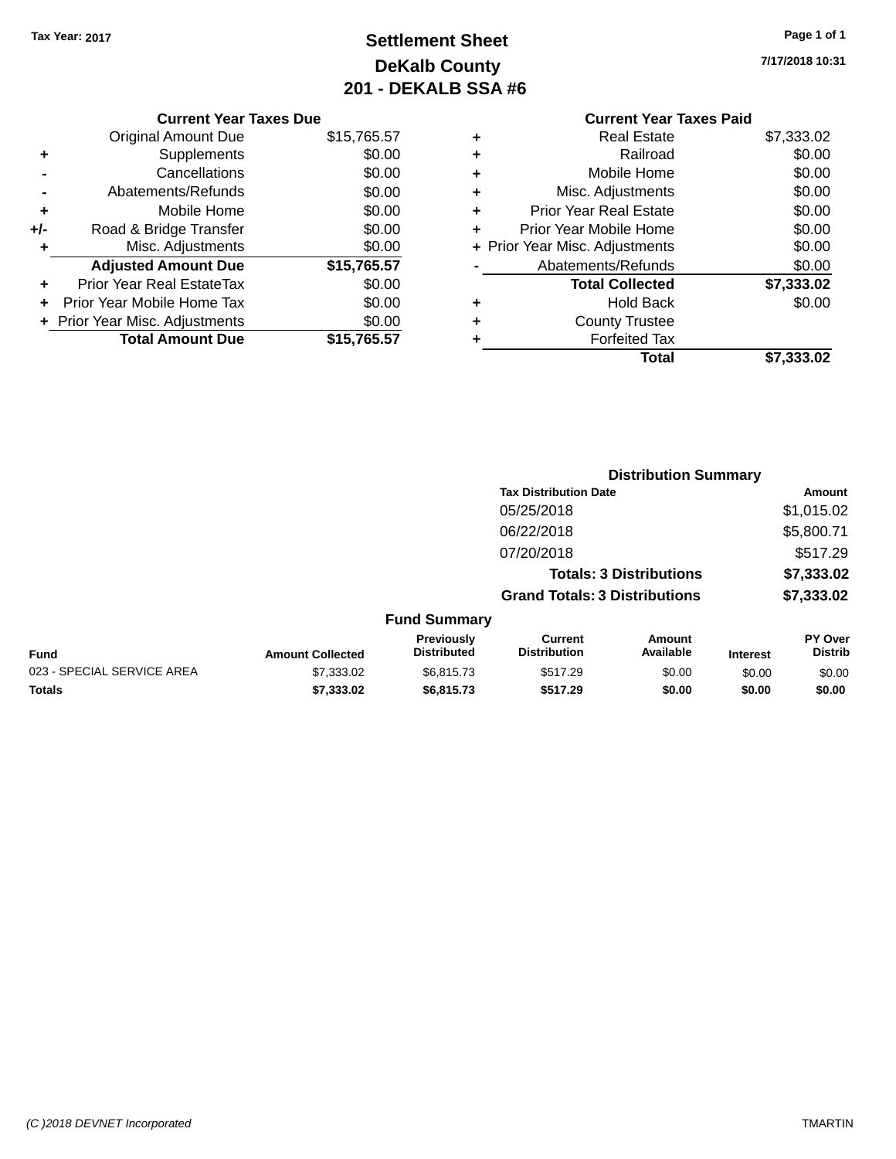## **Settlement Sheet Tax Year: 2017 Page 1 of 1 DeKalb County 201 - DEKALB SSA #6**

**7/17/2018 10:31**

|     | <b>Current Year Taxes Due</b>  |             |
|-----|--------------------------------|-------------|
|     | <b>Original Amount Due</b>     | \$15,765.57 |
| ٠   | Supplements                    | \$0.00      |
|     | Cancellations                  | \$0.00      |
|     | Abatements/Refunds             | \$0.00      |
| ٠   | Mobile Home                    | \$0.00      |
| +/- | Road & Bridge Transfer         | \$0.00      |
|     | Misc. Adjustments              | \$0.00      |
|     | <b>Adjusted Amount Due</b>     | \$15,765.57 |
| ÷   | Prior Year Real EstateTax      | \$0.00      |
| ÷   | Prior Year Mobile Home Tax     | \$0.00      |
|     | + Prior Year Misc. Adjustments | \$0.00      |
|     | <b>Total Amount Due</b>        | \$15,765.57 |
|     |                                |             |

#### **Current Year Taxes Paid +** Real Estate \$7,333.02 **+** Railroad \$0.00 **+** Mobile Home \$0.00 **+** Misc. Adjustments \$0.00 **+** Prior Year Real Estate \$0.00

|   | Total                          | \$7,333.02 |
|---|--------------------------------|------------|
|   | <b>Forfeited Tax</b>           |            |
| ÷ | <b>County Trustee</b>          |            |
| ÷ | <b>Hold Back</b>               | \$0.00     |
|   | <b>Total Collected</b>         | \$7,333.02 |
|   | Abatements/Refunds             | \$0.00     |
|   | + Prior Year Misc. Adjustments | \$0.00     |
|   | Prior Year Mobile Home         | \$0.00     |

|                            |                         |                                         |                                       | <b>Distribution Summary</b>    |                 |                                  |
|----------------------------|-------------------------|-----------------------------------------|---------------------------------------|--------------------------------|-----------------|----------------------------------|
|                            |                         |                                         | <b>Tax Distribution Date</b>          |                                |                 | <b>Amount</b>                    |
|                            |                         |                                         | 05/25/2018                            |                                |                 | \$1,015.02                       |
|                            |                         |                                         | 06/22/2018                            |                                |                 | \$5,800.71                       |
|                            |                         |                                         | 07/20/2018                            |                                |                 | \$517.29                         |
|                            |                         |                                         |                                       | <b>Totals: 3 Distributions</b> |                 | \$7,333.02                       |
|                            |                         |                                         | <b>Grand Totals: 3 Distributions</b>  |                                |                 | \$7,333.02                       |
|                            |                         | <b>Fund Summary</b>                     |                                       |                                |                 |                                  |
| <b>Fund</b>                | <b>Amount Collected</b> | <b>Previously</b><br><b>Distributed</b> | <b>Current</b><br><b>Distribution</b> | Amount<br>Available            | <b>Interest</b> | <b>PY Over</b><br><b>Distrib</b> |
| 023 - SPECIAL SERVICE AREA | \$7,333.02              | \$6,815.73                              | \$517.29                              | \$0.00                         | \$0.00          | \$0.00                           |
| <b>Totals</b>              | \$7,333.02              | \$6,815.73                              | \$517.29                              | \$0.00                         | \$0.00          | \$0.00                           |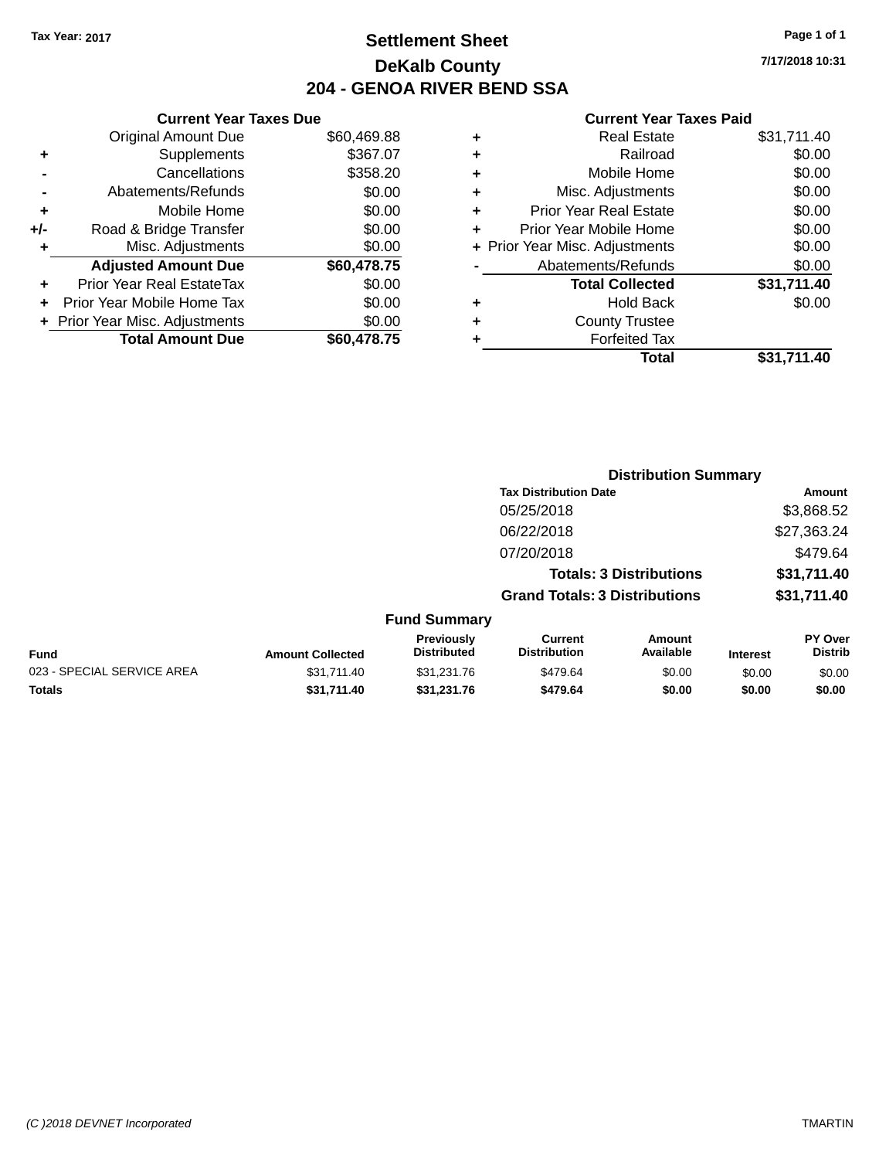## **Settlement Sheet Tax Year: 2017 Page 1 of 1 DeKalb County 204 - GENOA RIVER BEND SSA**

**7/17/2018 10:31**

|       | <b>Current Year Taxes Due</b>  |             |
|-------|--------------------------------|-------------|
|       | <b>Original Amount Due</b>     | \$60,469.88 |
| ٠     | Supplements                    | \$367.07    |
|       | Cancellations                  | \$358.20    |
|       | Abatements/Refunds             | \$0.00      |
| ÷     | Mobile Home                    | \$0.00      |
| $+/-$ | Road & Bridge Transfer         | \$0.00      |
|       | Misc. Adjustments              | \$0.00      |
|       | <b>Adjusted Amount Due</b>     | \$60,478.75 |
| ٠     | Prior Year Real EstateTax      | \$0.00      |
|       | Prior Year Mobile Home Tax     | \$0.00      |
|       | + Prior Year Misc. Adjustments | \$0.00      |
|       | <b>Total Amount Due</b>        | \$60,478.75 |
|       |                                |             |

|   | <b>Real Estate</b>             | \$31,711.40 |
|---|--------------------------------|-------------|
| ٠ | Railroad                       | \$0.00      |
| ٠ | Mobile Home                    | \$0.00      |
| ٠ | Misc. Adjustments              | \$0.00      |
| ÷ | <b>Prior Year Real Estate</b>  | \$0.00      |
| ÷ | Prior Year Mobile Home         | \$0.00      |
|   | + Prior Year Misc. Adjustments | \$0.00      |
|   | Abatements/Refunds             | \$0.00      |
|   | <b>Total Collected</b>         | \$31,711.40 |
| ٠ | Hold Back                      | \$0.00      |
| ÷ | <b>County Trustee</b>          |             |
| ٠ | <b>Forfeited Tax</b>           |             |
|   | Total                          | \$31,711.40 |
|   |                                |             |

|                            |                         |                                  |                                       | <b>Distribution Summary</b>    |                 |                           |
|----------------------------|-------------------------|----------------------------------|---------------------------------------|--------------------------------|-----------------|---------------------------|
|                            |                         |                                  | <b>Tax Distribution Date</b>          |                                |                 | Amount                    |
|                            |                         |                                  | 05/25/2018                            |                                |                 | \$3,868.52                |
|                            |                         |                                  | 06/22/2018                            |                                |                 | \$27,363.24               |
|                            |                         |                                  | 07/20/2018                            |                                |                 | \$479.64                  |
|                            |                         |                                  |                                       | <b>Totals: 3 Distributions</b> |                 | \$31,711.40               |
|                            |                         |                                  | <b>Grand Totals: 3 Distributions</b>  |                                |                 | \$31,711.40               |
|                            |                         | <b>Fund Summary</b>              |                                       |                                |                 |                           |
| <b>Fund</b>                | <b>Amount Collected</b> | Previously<br><b>Distributed</b> | <b>Current</b><br><b>Distribution</b> | Amount<br>Available            | <b>Interest</b> | PY Over<br><b>Distrib</b> |
| 023 - SPECIAL SERVICE AREA | \$31,711.40             | \$31,231.76                      | \$479.64                              | \$0.00                         | \$0.00          | \$0.00                    |
| <b>Totals</b>              | \$31,711.40             | \$31,231.76                      | \$479.64                              | \$0.00                         | \$0.00          | \$0.00                    |
|                            |                         |                                  |                                       |                                |                 |                           |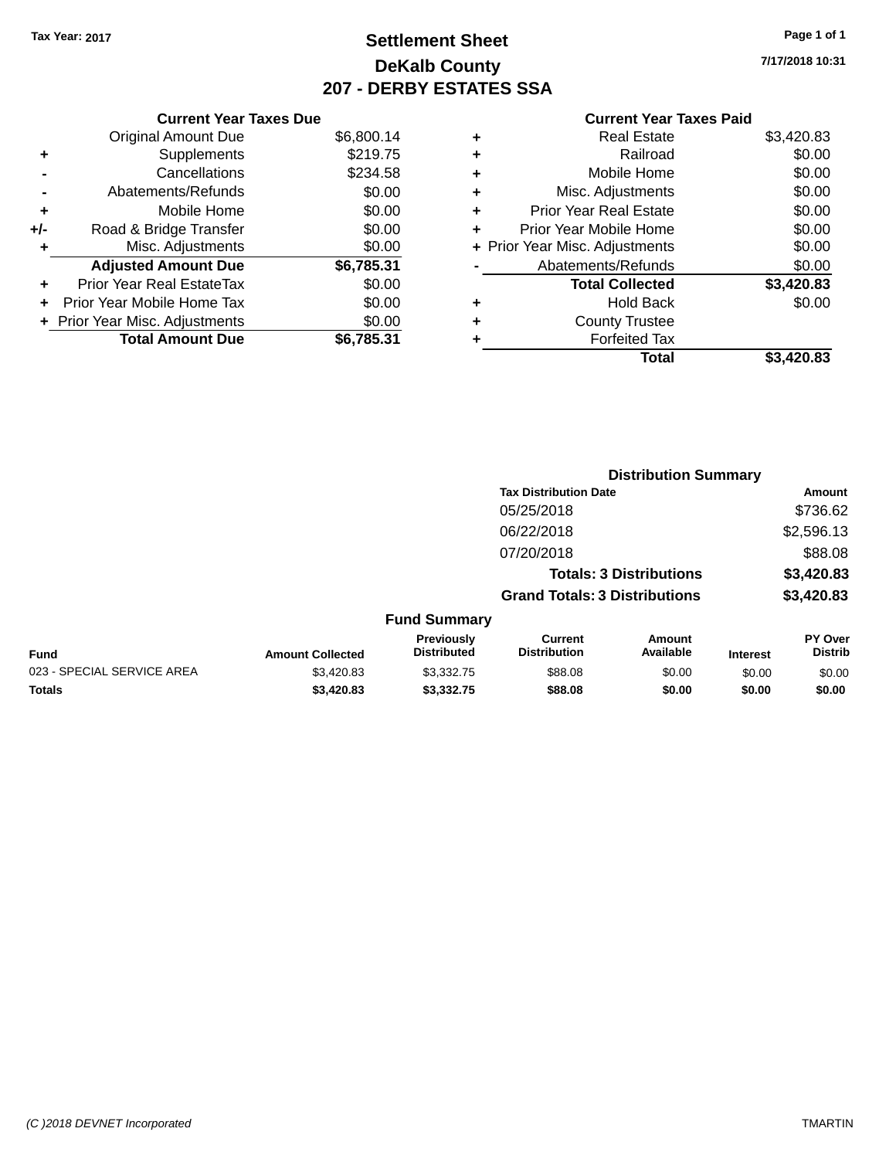## **Settlement Sheet Tax Year: 2017 Page 1 of 1 DeKalb County 207 - DERBY ESTATES SSA**

**7/17/2018 10:31**

|     | <b>Current Year Taxes Due</b>     |            |
|-----|-----------------------------------|------------|
|     | <b>Original Amount Due</b>        | \$6,800.14 |
| ٠   | Supplements                       | \$219.75   |
|     | Cancellations                     | \$234.58   |
|     | Abatements/Refunds                | \$0.00     |
| ٠   | Mobile Home                       | \$0.00     |
| +/- | Road & Bridge Transfer            | \$0.00     |
| ٠   | Misc. Adjustments                 | \$0.00     |
|     | <b>Adjusted Amount Due</b>        | \$6,785.31 |
| ÷   | Prior Year Real EstateTax         | \$0.00     |
| ٠   | <b>Prior Year Mobile Home Tax</b> | \$0.00     |
|     | + Prior Year Misc. Adjustments    | \$0.00     |
|     | <b>Total Amount Due</b>           | \$6.785.31 |

|   | <b>Real Estate</b>             | \$3,420.83 |
|---|--------------------------------|------------|
| ٠ | Railroad                       | \$0.00     |
| ٠ | Mobile Home                    | \$0.00     |
| ٠ | Misc. Adjustments              | \$0.00     |
| ٠ | <b>Prior Year Real Estate</b>  | \$0.00     |
| ٠ | Prior Year Mobile Home         | \$0.00     |
|   | + Prior Year Misc. Adjustments | \$0.00     |
|   | Abatements/Refunds             | \$0.00     |
|   | <b>Total Collected</b>         | \$3,420.83 |
| ٠ | Hold Back                      | \$0.00     |
| ٠ | <b>County Trustee</b>          |            |
| ٠ | <b>Forfeited Tax</b>           |            |
|   | Total                          | \$3,420.83 |
|   |                                |            |

|                            |                         |                                  |                                       | <b>Distribution Summary</b>    |                 |                           |
|----------------------------|-------------------------|----------------------------------|---------------------------------------|--------------------------------|-----------------|---------------------------|
|                            |                         |                                  | <b>Tax Distribution Date</b>          |                                |                 | Amount                    |
|                            |                         |                                  | 05/25/2018                            |                                |                 | \$736.62                  |
|                            |                         |                                  | 06/22/2018                            |                                |                 | \$2,596.13                |
|                            |                         |                                  | 07/20/2018                            |                                |                 | \$88.08                   |
|                            |                         |                                  |                                       | <b>Totals: 3 Distributions</b> |                 | \$3,420.83                |
|                            |                         |                                  | <b>Grand Totals: 3 Distributions</b>  |                                |                 | \$3,420.83                |
|                            |                         | <b>Fund Summary</b>              |                                       |                                |                 |                           |
| <b>Fund</b>                | <b>Amount Collected</b> | Previously<br><b>Distributed</b> | <b>Current</b><br><b>Distribution</b> | Amount<br>Available            | <b>Interest</b> | PY Over<br><b>Distrib</b> |
| 023 - SPECIAL SERVICE AREA | \$3,420.83              | \$3,332.75                       | \$88.08                               | \$0.00                         | \$0.00          | \$0.00                    |
| <b>Totals</b>              | \$3,420.83              | \$3,332.75                       | \$88.08                               | \$0.00                         | \$0.00          | \$0.00                    |
|                            |                         |                                  |                                       |                                |                 |                           |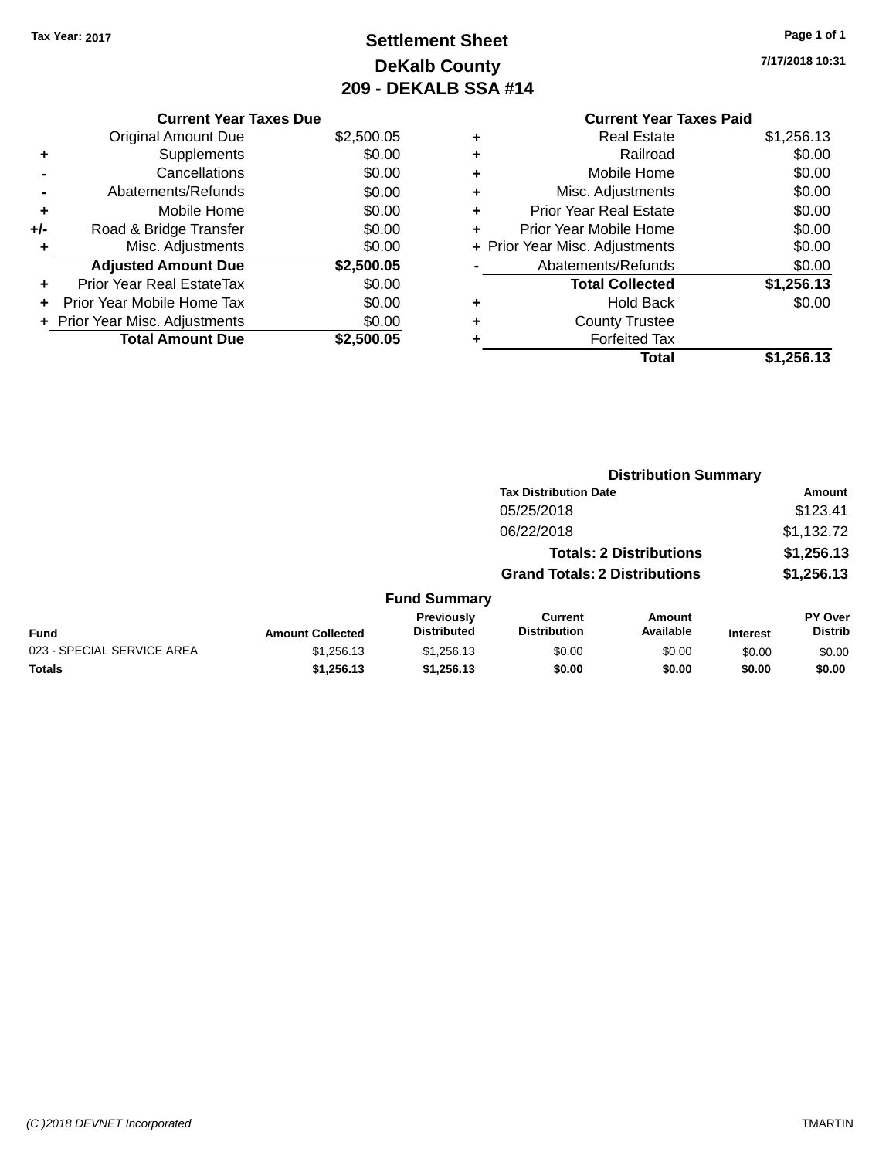## **Settlement Sheet Tax Year: 2017 Page 1 of 1 DeKalb County 209 - DEKALB SSA #14**

**7/17/2018 10:31**

|     | <b>Current Year Taxes Due</b>  |            |
|-----|--------------------------------|------------|
|     | <b>Original Amount Due</b>     | \$2,500.05 |
| ٠   | Supplements                    | \$0.00     |
|     | Cancellations                  | \$0.00     |
|     | Abatements/Refunds             | \$0.00     |
| ٠   | Mobile Home                    | \$0.00     |
| +/- | Road & Bridge Transfer         | \$0.00     |
| ٠   | Misc. Adjustments              | \$0.00     |
|     | <b>Adjusted Amount Due</b>     | \$2,500.05 |
|     | Prior Year Real EstateTax      | \$0.00     |
|     | Prior Year Mobile Home Tax     | \$0.00     |
|     | + Prior Year Misc. Adjustments | \$0.00     |
|     | <b>Total Amount Due</b>        | \$2,500.05 |
|     |                                |            |

|   | <b>Real Estate</b>             | \$1,256.13 |
|---|--------------------------------|------------|
| ٠ | Railroad                       | \$0.00     |
| ٠ | Mobile Home                    | \$0.00     |
| ٠ | Misc. Adjustments              | \$0.00     |
| ٠ | <b>Prior Year Real Estate</b>  | \$0.00     |
| ÷ | Prior Year Mobile Home         | \$0.00     |
|   | + Prior Year Misc. Adjustments | \$0.00     |
|   | Abatements/Refunds             | \$0.00     |
|   | <b>Total Collected</b>         | \$1,256.13 |
|   | <b>Hold Back</b>               | \$0.00     |
| ٠ | <b>County Trustee</b>          |            |
|   | <b>Forfeited Tax</b>           |            |
|   | Total                          | \$1,256.13 |
|   |                                |            |

|                            |                         |                                         |                                       | <b>Distribution Summary</b>    |                 |                           |
|----------------------------|-------------------------|-----------------------------------------|---------------------------------------|--------------------------------|-----------------|---------------------------|
|                            |                         |                                         | <b>Tax Distribution Date</b>          |                                |                 | Amount                    |
|                            |                         |                                         | 05/25/2018                            |                                |                 | \$123.41                  |
|                            |                         |                                         | 06/22/2018                            |                                |                 | \$1,132.72                |
|                            |                         |                                         |                                       | <b>Totals: 2 Distributions</b> |                 | \$1,256.13                |
|                            |                         |                                         | <b>Grand Totals: 2 Distributions</b>  |                                |                 | \$1,256.13                |
|                            |                         | <b>Fund Summary</b>                     |                                       |                                |                 |                           |
| <b>Fund</b>                | <b>Amount Collected</b> | <b>Previously</b><br><b>Distributed</b> | <b>Current</b><br><b>Distribution</b> | <b>Amount</b><br>Available     | <b>Interest</b> | PY Over<br><b>Distrib</b> |
| 023 - SPECIAL SERVICE AREA | \$1,256.13              | \$1,256.13                              | \$0.00                                | \$0.00                         | \$0.00          | \$0.00                    |
| <b>Totals</b>              | \$1,256.13              | \$1,256.13                              | \$0.00                                | \$0.00                         | \$0.00          | \$0.00                    |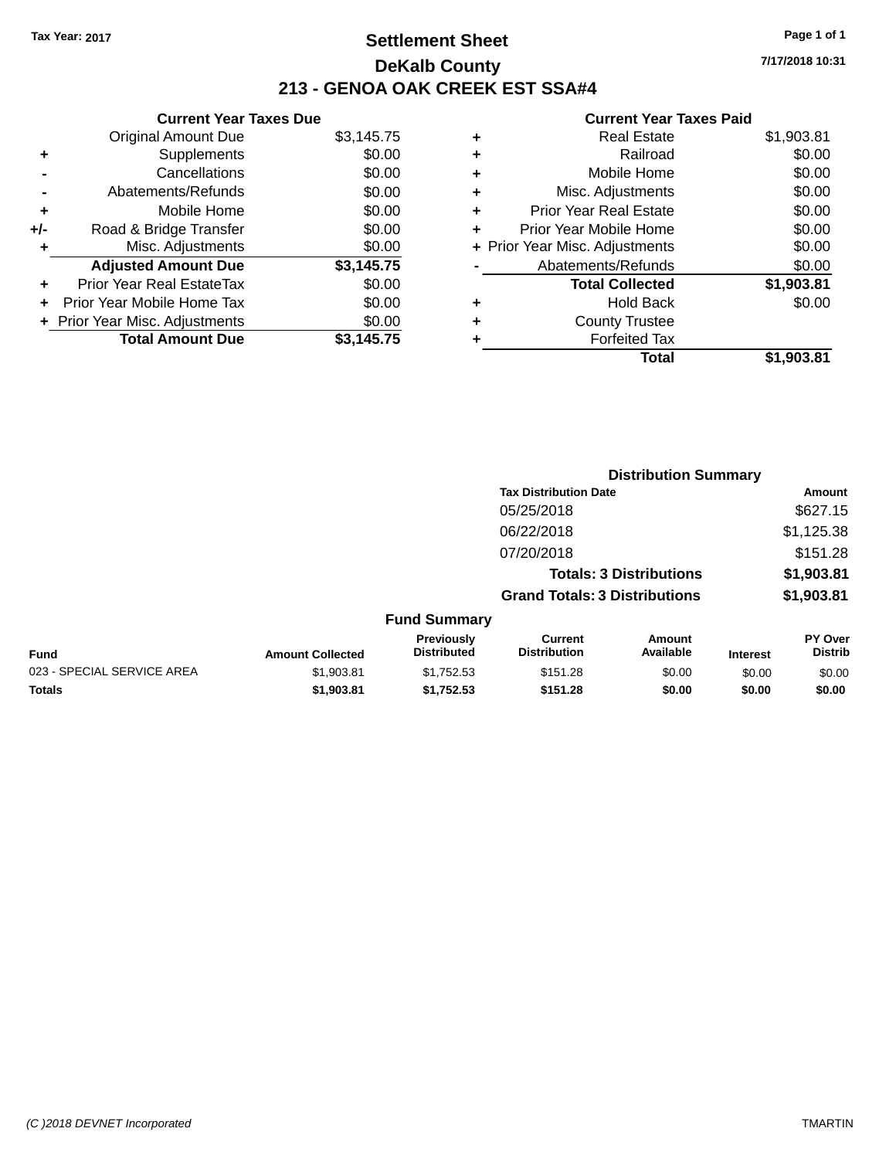## **Settlement Sheet Tax Year: 2017 Page 1 of 1 DeKalb County 213 - GENOA OAK CREEK EST SSA#4**

**Current Year Taxes Due** Original Amount Due \$3,145.75 **+** Supplements \$0.00 **-** Cancellations \$0.00 **-** Abatements/Refunds \$0.00 **+** Mobile Home \$0.00 **+/-** Road & Bridge Transfer \$0.00 **+** Misc. Adjustments \$0.00 **Adjusted Amount Due \$3,145.75 +** Prior Year Real EstateTax \$0.00 **+** Prior Year Mobile Home Tax \$0.00 **+ Prior Year Misc. Adjustments**  $$0.00$ Total Amount Due \$3,145.75

| ٠ | <b>Real Estate</b>             | \$1,903.81 |
|---|--------------------------------|------------|
| ÷ | Railroad                       | \$0.00     |
| ٠ | Mobile Home                    | \$0.00     |
| ٠ | Misc. Adjustments              | \$0.00     |
| ٠ | <b>Prior Year Real Estate</b>  | \$0.00     |
| ٠ | Prior Year Mobile Home         | \$0.00     |
|   | + Prior Year Misc. Adjustments | \$0.00     |
|   | Abatements/Refunds             | \$0.00     |
|   | <b>Total Collected</b>         | \$1,903.81 |
| ٠ | <b>Hold Back</b>               | \$0.00     |
| ٠ | <b>County Trustee</b>          |            |
| ٠ | <b>Forfeited Tax</b>           |            |
|   | Total                          | \$1,903.81 |
|   |                                |            |

|                            |                         |                                         |                                       | <b>Distribution Summary</b>    |                 |                                  |
|----------------------------|-------------------------|-----------------------------------------|---------------------------------------|--------------------------------|-----------------|----------------------------------|
|                            |                         |                                         | <b>Tax Distribution Date</b>          |                                |                 | Amount                           |
|                            |                         |                                         | 05/25/2018                            |                                |                 | \$627.15                         |
|                            |                         |                                         | 06/22/2018                            |                                |                 | \$1,125.38                       |
|                            |                         |                                         | 07/20/2018                            |                                |                 | \$151.28                         |
|                            |                         |                                         |                                       | <b>Totals: 3 Distributions</b> |                 | \$1,903.81                       |
|                            |                         |                                         | <b>Grand Totals: 3 Distributions</b>  |                                |                 | \$1,903.81                       |
|                            |                         | <b>Fund Summary</b>                     |                                       |                                |                 |                                  |
| <b>Fund</b>                | <b>Amount Collected</b> | <b>Previously</b><br><b>Distributed</b> | <b>Current</b><br><b>Distribution</b> | Amount<br>Available            | <b>Interest</b> | <b>PY Over</b><br><b>Distrib</b> |
| 023 - SPECIAL SERVICE AREA | \$1,903.81              | \$1,752.53                              | \$151.28                              | \$0.00                         | \$0.00          | \$0.00                           |
| <b>Totals</b>              | \$1,903.81              | \$1,752.53                              | \$151.28                              | \$0.00                         | \$0.00          | \$0.00                           |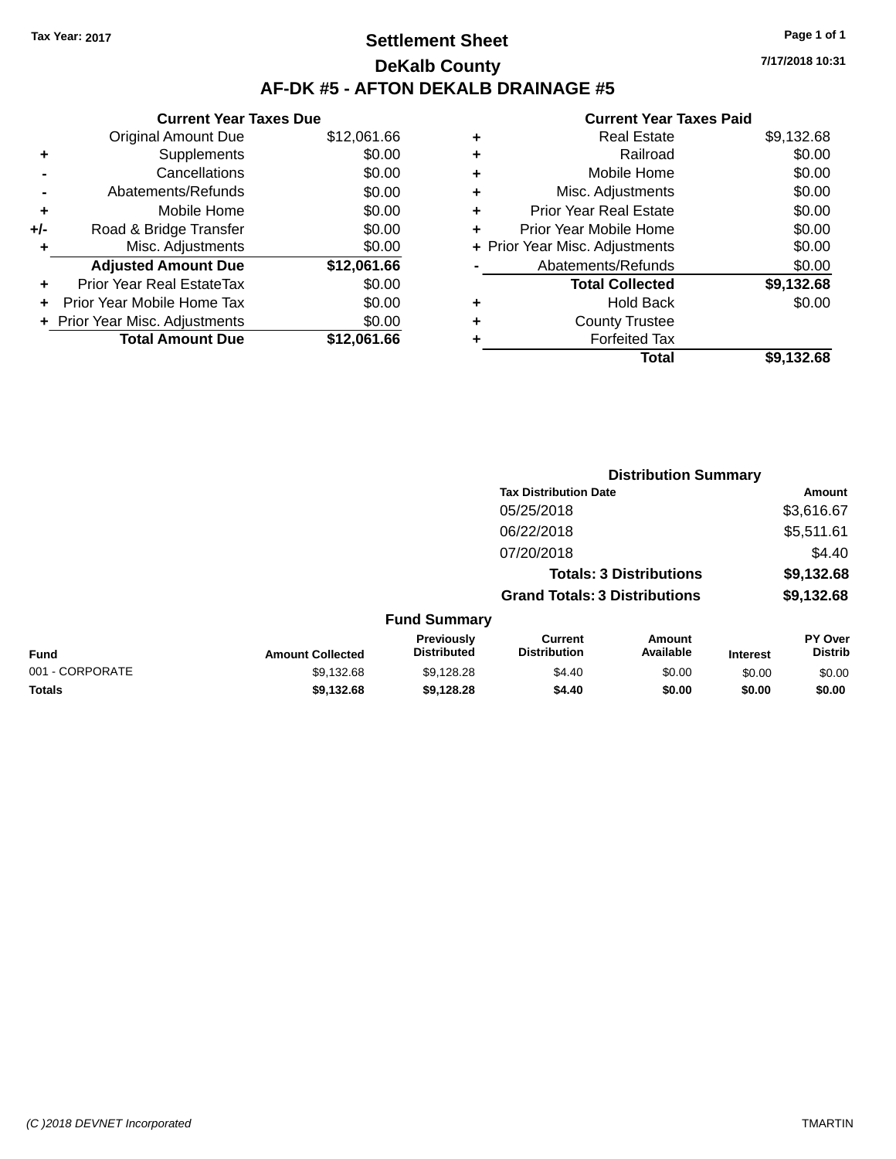## **Settlement Sheet Tax Year: 2017 Page 1 of 1 DeKalb County AF-DK #5 - AFTON DEKALB DRAINAGE #5**

| <b>Current Year Taxes Due</b>  |             |
|--------------------------------|-------------|
| <b>Original Amount Due</b>     | \$12,061.66 |
| Supplements                    | \$0.00      |
| Cancellations                  | \$0.00      |
| Abatements/Refunds             | \$0.00      |
| Mobile Home                    | \$0.00      |
| Road & Bridge Transfer         | \$0.00      |
| Misc. Adjustments              | \$0.00      |
| <b>Adjusted Amount Due</b>     | \$12,061.66 |
| Prior Year Real EstateTax      | \$0.00      |
| Prior Year Mobile Home Tax     | \$0.00      |
| + Prior Year Misc. Adjustments | \$0.00      |
| <b>Total Amount Due</b>        | \$12.061.66 |
|                                |             |

|   | <b>Real Estate</b>             | \$9,132.68 |
|---|--------------------------------|------------|
| ٠ | Railroad                       | \$0.00     |
| ٠ | Mobile Home                    | \$0.00     |
| ٠ | Misc. Adjustments              | \$0.00     |
| ٠ | <b>Prior Year Real Estate</b>  | \$0.00     |
| ٠ | Prior Year Mobile Home         | \$0.00     |
|   | + Prior Year Misc. Adjustments | \$0.00     |
|   | Abatements/Refunds             | \$0.00     |
|   | <b>Total Collected</b>         | \$9,132.68 |
| ٠ | Hold Back                      | \$0.00     |
| ٠ | <b>County Trustee</b>          |            |
| ٠ | <b>Forfeited Tax</b>           |            |
|   | Total                          | \$9,132.68 |
|   |                                |            |

|                 |                         |                                         |                                       | <b>Distribution Summary</b>    |                 |                           |
|-----------------|-------------------------|-----------------------------------------|---------------------------------------|--------------------------------|-----------------|---------------------------|
|                 |                         |                                         | <b>Tax Distribution Date</b>          |                                |                 | <b>Amount</b>             |
|                 |                         |                                         | 05/25/2018                            |                                |                 | \$3,616.67                |
|                 |                         |                                         | 06/22/2018                            |                                |                 | \$5,511.61                |
|                 |                         |                                         | 07/20/2018                            |                                |                 | \$4.40                    |
|                 |                         |                                         |                                       | <b>Totals: 3 Distributions</b> |                 | \$9,132.68                |
|                 |                         |                                         | <b>Grand Totals: 3 Distributions</b>  |                                |                 | \$9,132.68                |
|                 |                         | <b>Fund Summary</b>                     |                                       |                                |                 |                           |
| <b>Fund</b>     | <b>Amount Collected</b> | <b>Previously</b><br><b>Distributed</b> | <b>Current</b><br><b>Distribution</b> | Amount<br>Available            | <b>Interest</b> | PY Over<br><b>Distrib</b> |
| 001 - CORPORATE | \$9,132.68              | \$9,128.28                              | \$4.40                                | \$0.00                         | \$0.00          | \$0.00                    |
| <b>Totals</b>   | \$9,132.68              | \$9,128.28                              | \$4.40                                | \$0.00                         | \$0.00          | \$0.00                    |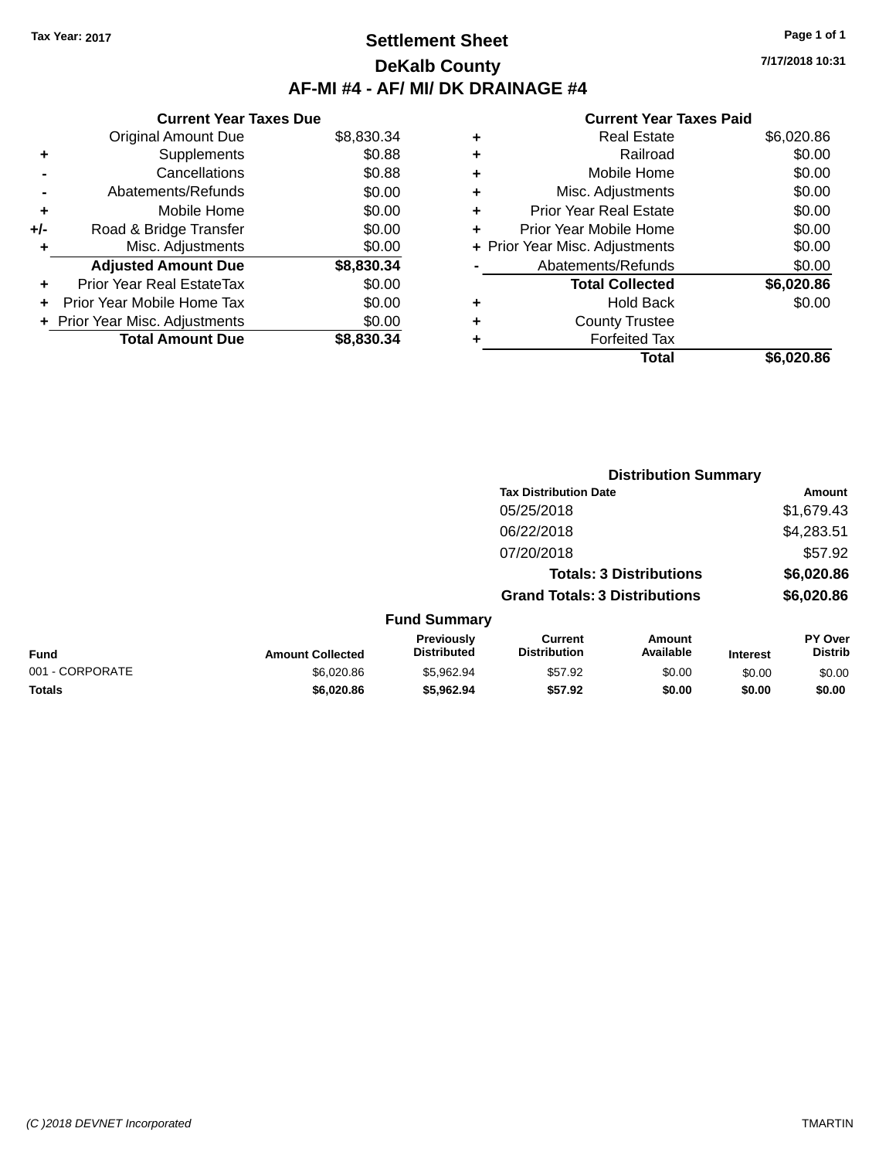## **Settlement Sheet Tax Year: 2017 Page 1 of 1 DeKalb County AF-MI #4 - AF/ MI/ DK DRAINAGE #4**

**7/17/2018 10:31**

|     | <b>Current Year Taxes Due</b>  |            |
|-----|--------------------------------|------------|
|     | <b>Original Amount Due</b>     | \$8,830.34 |
| ٠   | Supplements                    | \$0.88     |
|     | Cancellations                  | \$0.88     |
|     | Abatements/Refunds             | \$0.00     |
| ٠   | Mobile Home                    | \$0.00     |
| +/- | Road & Bridge Transfer         | \$0.00     |
|     | Misc. Adjustments              | \$0.00     |
|     | <b>Adjusted Amount Due</b>     | \$8,830.34 |
| ÷   | Prior Year Real EstateTax      | \$0.00     |
| ÷   | Prior Year Mobile Home Tax     | \$0.00     |
|     | + Prior Year Misc. Adjustments | \$0.00     |
|     | <b>Total Amount Due</b>        | \$8,830,34 |

|   | <b>Real Estate</b>             | \$6,020.86 |
|---|--------------------------------|------------|
| ٠ | Railroad                       | \$0.00     |
| ٠ | Mobile Home                    | \$0.00     |
| ٠ | Misc. Adjustments              | \$0.00     |
| ٠ | <b>Prior Year Real Estate</b>  | \$0.00     |
| ٠ | Prior Year Mobile Home         | \$0.00     |
|   | + Prior Year Misc. Adjustments | \$0.00     |
|   | Abatements/Refunds             | \$0.00     |
|   | <b>Total Collected</b>         | \$6,020.86 |
| ٠ | Hold Back                      | \$0.00     |
| ٠ | <b>County Trustee</b>          |            |
| ٠ | <b>Forfeited Tax</b>           |            |
|   | Total                          | \$6,020.86 |
|   |                                |            |

|                 |                         |                                  |                                       | <b>Distribution Summary</b>    |                 |                           |
|-----------------|-------------------------|----------------------------------|---------------------------------------|--------------------------------|-----------------|---------------------------|
|                 |                         |                                  | <b>Tax Distribution Date</b>          |                                |                 | Amount                    |
|                 |                         |                                  | 05/25/2018                            |                                |                 | \$1,679.43                |
|                 |                         |                                  | 06/22/2018                            |                                |                 | \$4,283.51                |
|                 |                         |                                  | 07/20/2018                            |                                |                 | \$57.92                   |
|                 |                         |                                  |                                       | <b>Totals: 3 Distributions</b> |                 | \$6,020.86                |
|                 |                         |                                  | <b>Grand Totals: 3 Distributions</b>  |                                |                 | \$6,020.86                |
|                 |                         | <b>Fund Summary</b>              |                                       |                                |                 |                           |
| Fund            | <b>Amount Collected</b> | Previously<br><b>Distributed</b> | <b>Current</b><br><b>Distribution</b> | Amount<br>Available            | <b>Interest</b> | PY Over<br><b>Distrib</b> |
| 001 - CORPORATE | \$6,020.86              | \$5,962.94                       | \$57.92                               | \$0.00                         | \$0.00          | \$0.00                    |
| <b>Totals</b>   | \$6,020.86              | \$5,962.94                       | \$57.92                               | \$0.00                         | \$0.00          | \$0.00                    |
|                 |                         |                                  |                                       |                                |                 |                           |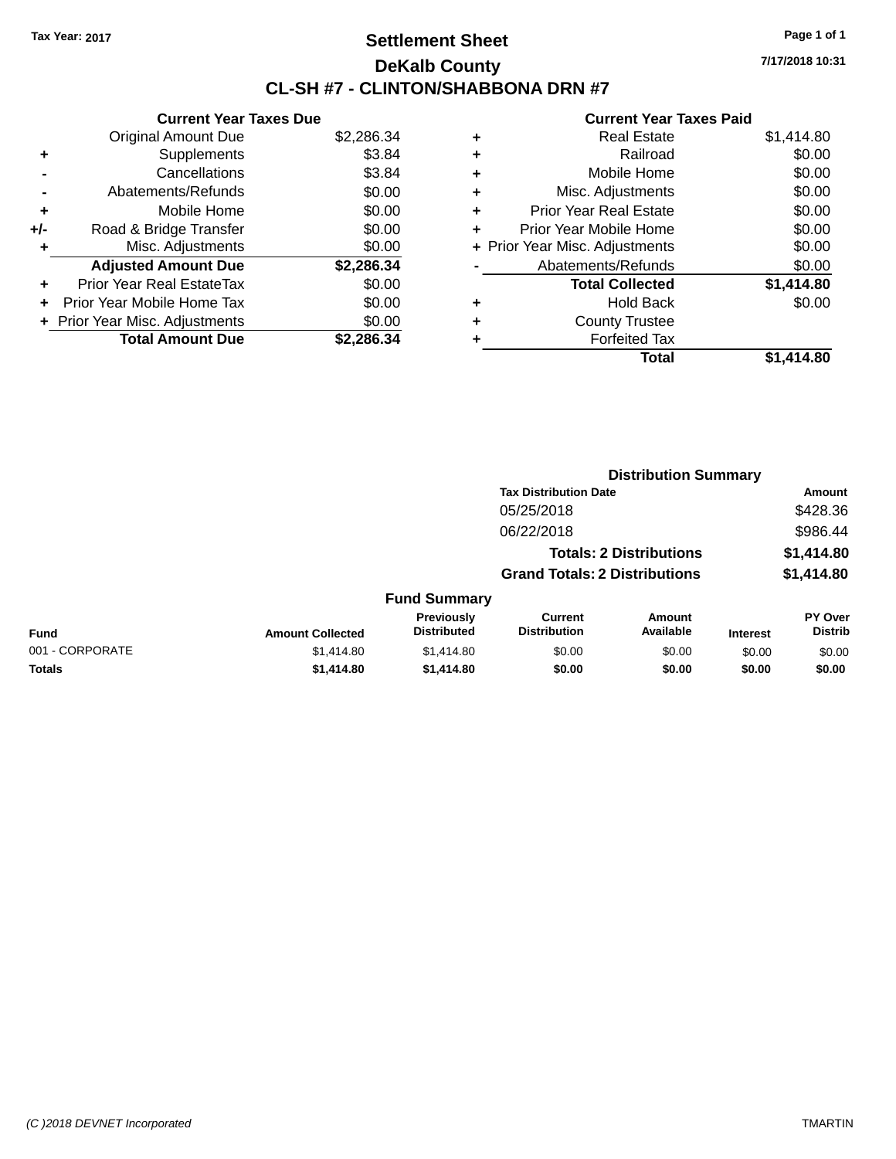## **Settlement Sheet Tax Year: 2017 Page 1 of 1 DeKalb County CL-SH #7 - CLINTON/SHABBONA DRN #7**

**7/17/2018 10:31**

|     | <b>Current Year Taxes Due</b>  |            |
|-----|--------------------------------|------------|
|     | <b>Original Amount Due</b>     | \$2,286.34 |
| ٠   | Supplements                    | \$3.84     |
|     | Cancellations                  | \$3.84     |
|     | Abatements/Refunds             | \$0.00     |
| ٠   | Mobile Home                    | \$0.00     |
| +/- | Road & Bridge Transfer         | \$0.00     |
|     | Misc. Adjustments              | \$0.00     |
|     | <b>Adjusted Amount Due</b>     | \$2,286.34 |
| ٠   | Prior Year Real EstateTax      | \$0.00     |
| ÷   | Prior Year Mobile Home Tax     | \$0.00     |
|     | + Prior Year Misc. Adjustments | \$0.00     |
|     | <b>Total Amount Due</b>        | \$2.286.34 |

|   | <b>Real Estate</b>             | \$1,414.80 |
|---|--------------------------------|------------|
| ٠ | Railroad                       | \$0.00     |
| ٠ | Mobile Home                    | \$0.00     |
| ٠ | Misc. Adjustments              | \$0.00     |
| ٠ | <b>Prior Year Real Estate</b>  | \$0.00     |
| ٠ | Prior Year Mobile Home         | \$0.00     |
|   | + Prior Year Misc. Adjustments | \$0.00     |
|   | Abatements/Refunds             | \$0.00     |
|   | <b>Total Collected</b>         | \$1,414.80 |
| ٠ | Hold Back                      | \$0.00     |
| ٠ | <b>County Trustee</b>          |            |
| ٠ | <b>Forfeited Tax</b>           |            |
|   | Total                          | \$1,414.80 |
|   |                                |            |

|                 |                         |                                  |                                       | <b>Distribution Summary</b>    |                 |                           |
|-----------------|-------------------------|----------------------------------|---------------------------------------|--------------------------------|-----------------|---------------------------|
|                 |                         |                                  | <b>Tax Distribution Date</b>          |                                |                 | <b>Amount</b>             |
|                 |                         |                                  | 05/25/2018                            |                                |                 | \$428.36                  |
|                 |                         |                                  | 06/22/2018                            |                                |                 | \$986.44                  |
|                 |                         |                                  |                                       | <b>Totals: 2 Distributions</b> |                 | \$1,414.80                |
|                 |                         |                                  | <b>Grand Totals: 2 Distributions</b>  |                                |                 | \$1,414.80                |
|                 |                         | <b>Fund Summary</b>              |                                       |                                |                 |                           |
| Fund            | <b>Amount Collected</b> | Previously<br><b>Distributed</b> | <b>Current</b><br><b>Distribution</b> | Amount<br>Available            | <b>Interest</b> | PY Over<br><b>Distrib</b> |
| 001 - CORPORATE | \$1,414.80              | \$1,414.80                       | \$0.00                                | \$0.00                         | \$0.00          | \$0.00                    |
| <b>Totals</b>   | \$1,414.80              | \$1,414.80                       | \$0.00                                | \$0.00                         | \$0.00          | \$0.00                    |
|                 |                         |                                  |                                       |                                |                 |                           |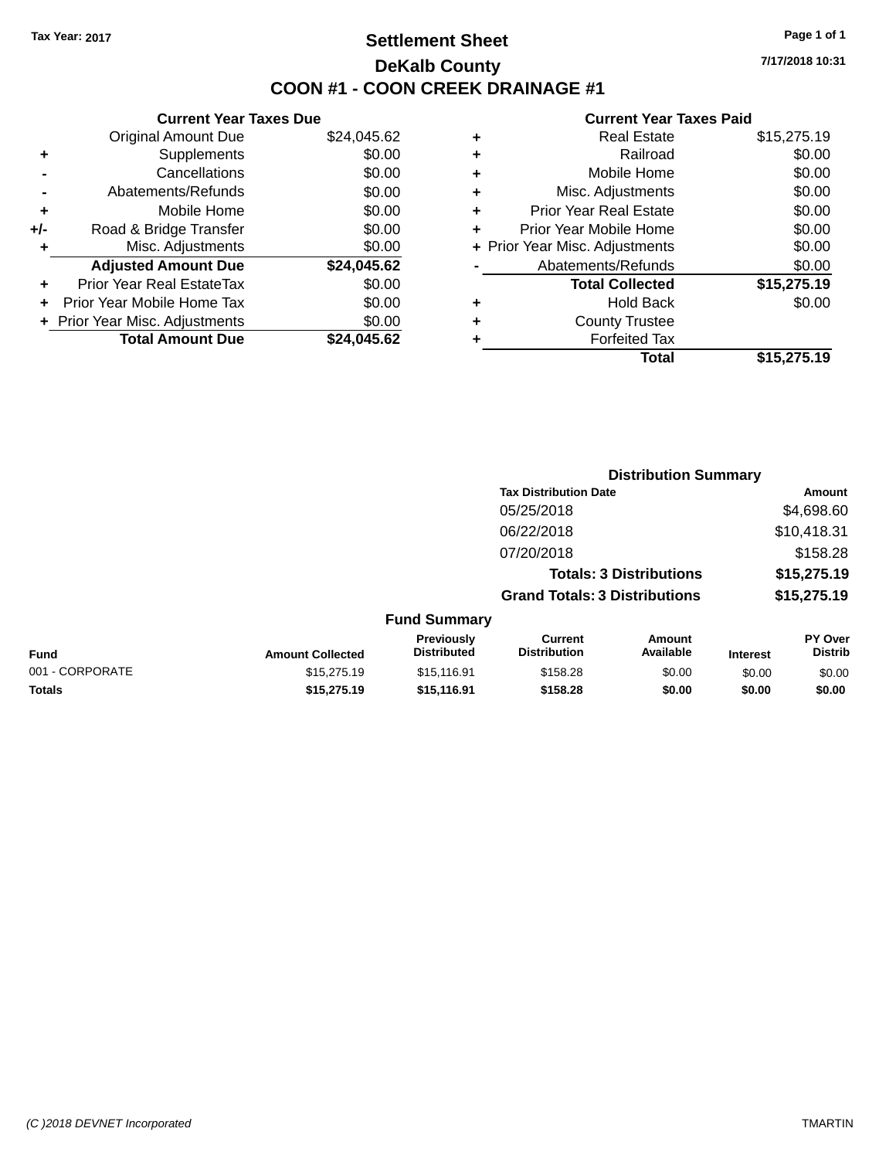## **Settlement Sheet Tax Year: 2017 Page 1 of 1 DeKalb County COON #1 - COON CREEK DRAINAGE #1**

**7/17/2018 10:31**

#### **Current Year Taxes Paid**

|     | <b>Current Year Taxes Due</b>  |             |
|-----|--------------------------------|-------------|
|     | <b>Original Amount Due</b>     | \$24,045.62 |
| ٠   | Supplements                    | \$0.00      |
|     | Cancellations                  | \$0.00      |
|     | Abatements/Refunds             | \$0.00      |
| ٠   | Mobile Home                    | \$0.00      |
| +/- | Road & Bridge Transfer         | \$0.00      |
|     | Misc. Adjustments              | \$0.00      |
|     | <b>Adjusted Amount Due</b>     | \$24,045.62 |
| ÷   | Prior Year Real EstateTax      | \$0.00      |
|     | Prior Year Mobile Home Tax     | \$0.00      |
|     | + Prior Year Misc. Adjustments | \$0.00      |
|     | <b>Total Amount Due</b>        | \$24,045.62 |
|     |                                |             |

|   | <b>Real Estate</b>             | \$15,275.19 |
|---|--------------------------------|-------------|
| ٠ | Railroad                       | \$0.00      |
| ٠ | Mobile Home                    | \$0.00      |
| ٠ | Misc. Adjustments              | \$0.00      |
| ٠ | Prior Year Real Estate         | \$0.00      |
| ٠ | Prior Year Mobile Home         | \$0.00      |
|   | + Prior Year Misc. Adjustments | \$0.00      |
|   | Abatements/Refunds             | \$0.00      |
|   | <b>Total Collected</b>         | \$15,275.19 |
| ٠ | Hold Back                      | \$0.00      |
| ٠ | <b>County Trustee</b>          |             |
| ٠ | <b>Forfeited Tax</b>           |             |
|   | <b>Total</b>                   | \$15,275.19 |
|   |                                |             |

|                 |                         |                                  |                                       | <b>Distribution Summary</b>    |                 |                                  |
|-----------------|-------------------------|----------------------------------|---------------------------------------|--------------------------------|-----------------|----------------------------------|
|                 |                         |                                  | <b>Tax Distribution Date</b>          |                                |                 | <b>Amount</b>                    |
|                 |                         |                                  | 05/25/2018                            |                                |                 | \$4,698.60                       |
|                 |                         |                                  | 06/22/2018                            |                                |                 | \$10,418.31                      |
|                 |                         |                                  | 07/20/2018                            |                                |                 | \$158.28                         |
|                 |                         |                                  |                                       | <b>Totals: 3 Distributions</b> |                 | \$15,275.19                      |
|                 |                         |                                  | <b>Grand Totals: 3 Distributions</b>  |                                |                 | \$15,275.19                      |
|                 |                         | <b>Fund Summary</b>              |                                       |                                |                 |                                  |
| <b>Fund</b>     | <b>Amount Collected</b> | Previously<br><b>Distributed</b> | <b>Current</b><br><b>Distribution</b> | <b>Amount</b><br>Available     | <b>Interest</b> | <b>PY Over</b><br><b>Distrib</b> |
| 001 - CORPORATE | \$15,275.19             | \$15,116.91                      | \$158.28                              | \$0.00                         | \$0.00          | \$0.00                           |
| <b>Totals</b>   | \$15,275.19             | \$15,116.91                      | \$158.28                              | \$0.00                         | \$0.00          | \$0.00                           |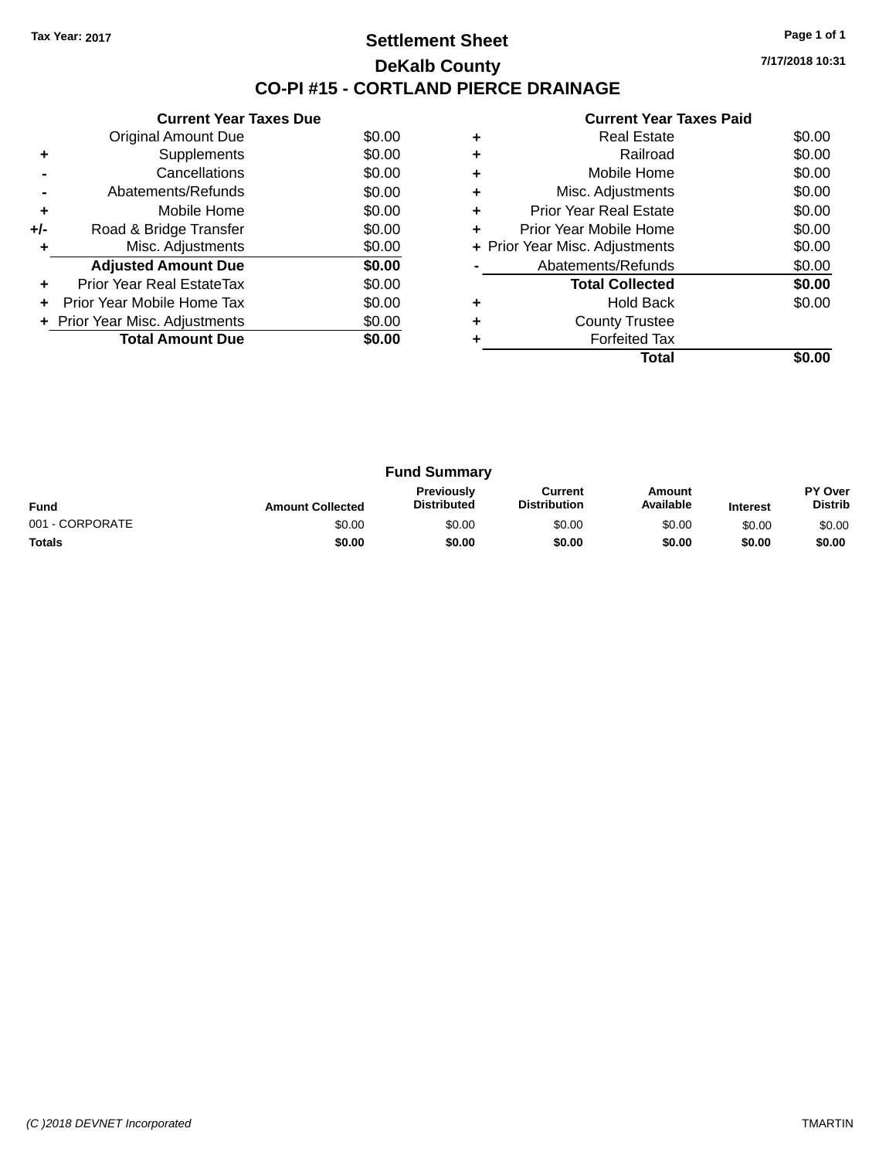### **Settlement Sheet Tax Year: 2017 Page 1 of 1 DeKalb County CO-PI #15 - CORTLAND PIERCE DRAINAGE**

**7/17/2018 10:31**

|     | <b>Current Year Taxes Due</b>  |        |
|-----|--------------------------------|--------|
|     | Original Amount Due            | \$0.00 |
|     | Supplements                    | \$0.00 |
|     | Cancellations                  | \$0.00 |
|     | Abatements/Refunds             | \$0.00 |
| ٠   | Mobile Home                    | \$0.00 |
| +/- | Road & Bridge Transfer         | \$0.00 |
|     | Misc. Adjustments              | \$0.00 |
|     | <b>Adjusted Amount Due</b>     | \$0.00 |
|     | Prior Year Real EstateTax      | \$0.00 |
|     | Prior Year Mobile Home Tax     | \$0.00 |
|     | + Prior Year Misc. Adjustments | \$0.00 |
|     | <b>Total Amount Due</b>        | \$0.00 |
|     |                                |        |

|   | <b>Real Estate</b>             | \$0.00 |
|---|--------------------------------|--------|
|   | Railroad                       | \$0.00 |
|   | Mobile Home                    | \$0.00 |
| ٠ | Misc. Adjustments              | \$0.00 |
| ٠ | Prior Year Real Estate         | \$0.00 |
| ٠ | Prior Year Mobile Home         | \$0.00 |
|   | + Prior Year Misc. Adjustments | \$0.00 |
|   | Abatements/Refunds             | \$0.00 |
|   | <b>Total Collected</b>         | \$0.00 |
|   | Hold Back                      | \$0.00 |
|   | <b>County Trustee</b>          |        |
|   | <b>Forfeited Tax</b>           |        |
|   | Total                          |        |

| <b>Fund Summary</b> |                         |                                         |                                |                     |                 |                                  |
|---------------------|-------------------------|-----------------------------------------|--------------------------------|---------------------|-----------------|----------------------------------|
| <b>Fund</b>         | <b>Amount Collected</b> | <b>Previously</b><br><b>Distributed</b> | Current<br><b>Distribution</b> | Amount<br>Available | <b>Interest</b> | <b>PY Over</b><br><b>Distrib</b> |
| 001 - CORPORATE     | \$0.00                  | \$0.00                                  | \$0.00                         | \$0.00              | \$0.00          | \$0.00                           |
| <b>Totals</b>       | \$0.00                  | \$0.00                                  | \$0.00                         | \$0.00              | \$0.00          | \$0.00                           |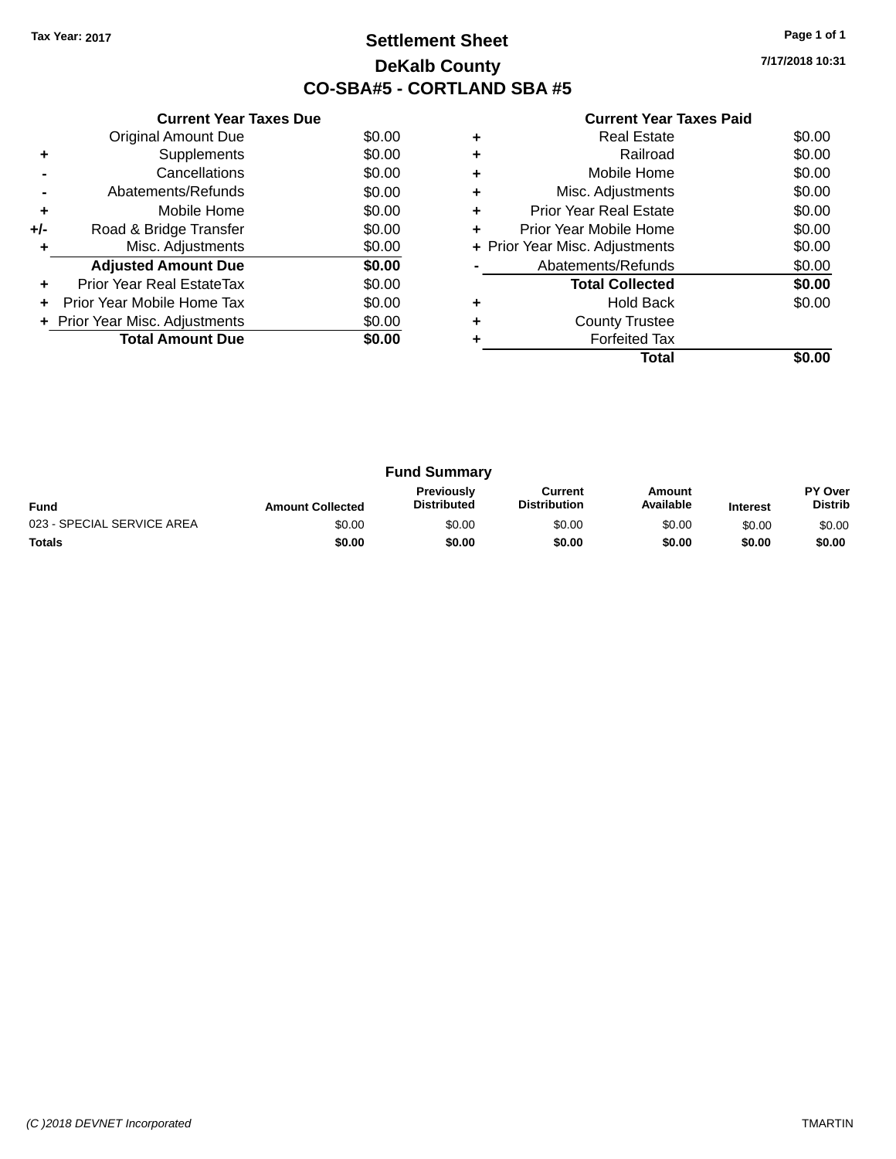## **Settlement Sheet Tax Year: 2017 Page 1 of 1 DeKalb County CO-SBA#5 - CORTLAND SBA #5**

**7/17/2018 10:31**

|     | <b>Current Year Taxes Due</b>    |        |
|-----|----------------------------------|--------|
|     | <b>Original Amount Due</b>       | \$0.00 |
| ٠   | Supplements                      | \$0.00 |
|     | Cancellations                    | \$0.00 |
|     | Abatements/Refunds               | \$0.00 |
| ٠   | Mobile Home                      | \$0.00 |
| +/- | Road & Bridge Transfer           | \$0.00 |
| ٠   | Misc. Adjustments                | \$0.00 |
|     | <b>Adjusted Amount Due</b>       | \$0.00 |
| ÷   | <b>Prior Year Real EstateTax</b> | \$0.00 |
| ٠   | Prior Year Mobile Home Tax       | \$0.00 |
|     | + Prior Year Misc. Adjustments   | \$0.00 |
|     | <b>Total Amount Due</b>          | \$0.00 |
|     |                                  |        |

|   | <b>Real Estate</b>             | \$0.00 |
|---|--------------------------------|--------|
| ٠ | Railroad                       | \$0.00 |
| ٠ | Mobile Home                    | \$0.00 |
| ٠ | Misc. Adjustments              | \$0.00 |
| ٠ | <b>Prior Year Real Estate</b>  | \$0.00 |
| ÷ | Prior Year Mobile Home         | \$0.00 |
|   | + Prior Year Misc. Adjustments | \$0.00 |
|   | Abatements/Refunds             | \$0.00 |
|   | <b>Total Collected</b>         | \$0.00 |
| ٠ | <b>Hold Back</b>               | \$0.00 |
| ٠ | <b>County Trustee</b>          |        |
|   | <b>Forfeited Tax</b>           |        |
|   | Total                          |        |

|                            |                         | <b>Fund Summary</b>                     |                                |                     |                 |                           |
|----------------------------|-------------------------|-----------------------------------------|--------------------------------|---------------------|-----------------|---------------------------|
| <b>Fund</b>                | <b>Amount Collected</b> | <b>Previously</b><br><b>Distributed</b> | Current<br><b>Distribution</b> | Amount<br>Available | <b>Interest</b> | PY Over<br><b>Distrib</b> |
| 023 - SPECIAL SERVICE AREA | \$0.00                  | \$0.00                                  | \$0.00                         | \$0.00              | \$0.00          | \$0.00                    |
| <b>Totals</b>              | \$0.00                  | \$0.00                                  | \$0.00                         | \$0.00              | \$0.00          | \$0.00                    |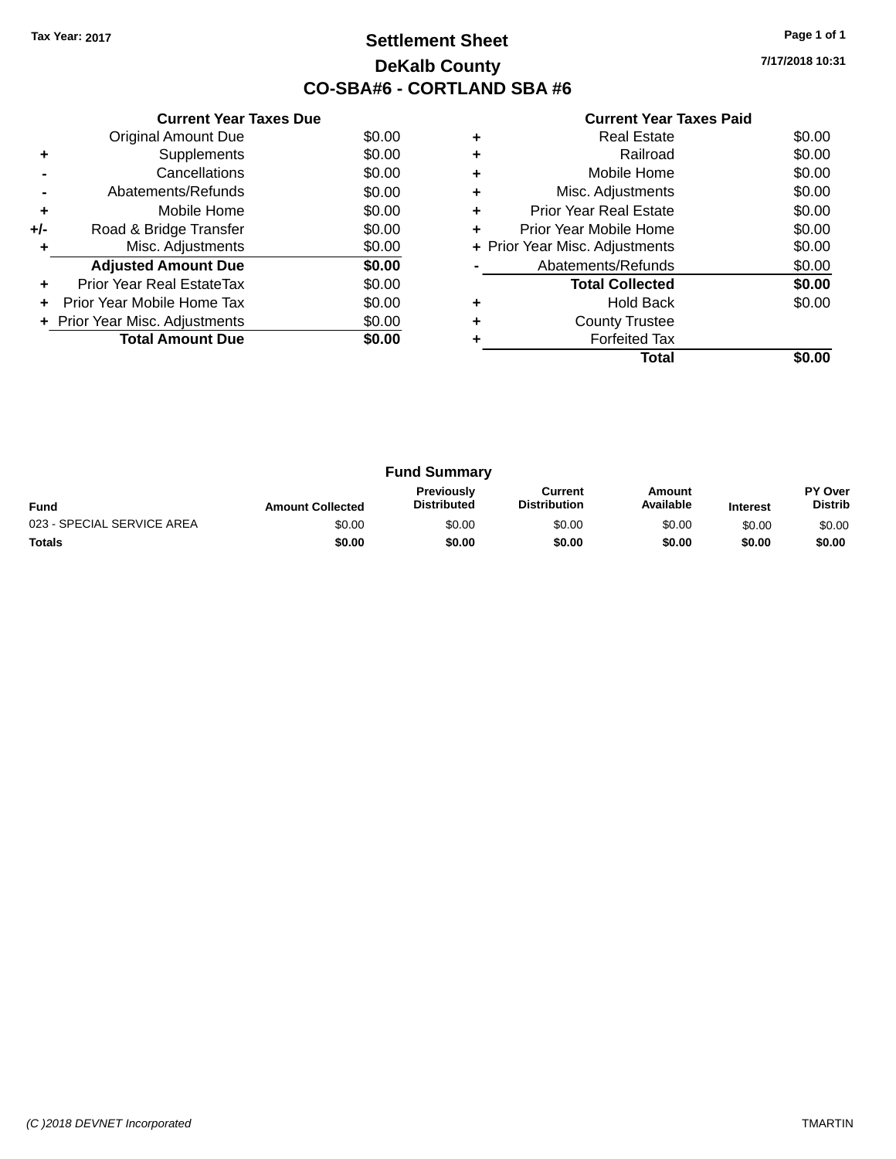## **Settlement Sheet Tax Year: 2017 Page 1 of 1 DeKalb County CO-SBA#6 - CORTLAND SBA #6**

**7/17/2018 10:31**

|     | <b>Current Year Taxes Due</b> |        |
|-----|-------------------------------|--------|
|     | <b>Original Amount Due</b>    | \$0.00 |
| ٠   | Supplements                   | \$0.00 |
|     | Cancellations                 | \$0.00 |
|     | Abatements/Refunds            | \$0.00 |
| ٠   | Mobile Home                   | \$0.00 |
| +/- | Road & Bridge Transfer        | \$0.00 |
| ٠   | Misc. Adjustments             | \$0.00 |
|     | <b>Adjusted Amount Due</b>    | \$0.00 |
| ÷   | Prior Year Real EstateTax     | \$0.00 |
|     | Prior Year Mobile Home Tax    | \$0.00 |
|     | Prior Year Misc. Adjustments  | \$0.00 |
|     | <b>Total Amount Due</b>       | \$0.00 |
|     |                               |        |

| <b>Real Estate</b>             | \$0.00 |
|--------------------------------|--------|
| Railroad                       | \$0.00 |
| Mobile Home                    | \$0.00 |
| Misc. Adjustments              | \$0.00 |
| <b>Prior Year Real Estate</b>  | \$0.00 |
| Prior Year Mobile Home         | \$0.00 |
| + Prior Year Misc. Adjustments | \$0.00 |
| Abatements/Refunds             | \$0.00 |
| <b>Total Collected</b>         | \$0.00 |
| <b>Hold Back</b>               | \$0.00 |
| <b>County Trustee</b>          |        |
| <b>Forfeited Tax</b>           |        |
| Total                          |        |
|                                |        |

|                            |                         | <b>Fund Summary</b>                     |                                |                     |                 |                           |
|----------------------------|-------------------------|-----------------------------------------|--------------------------------|---------------------|-----------------|---------------------------|
| <b>Fund</b>                | <b>Amount Collected</b> | <b>Previously</b><br><b>Distributed</b> | Current<br><b>Distribution</b> | Amount<br>Available | <b>Interest</b> | PY Over<br><b>Distrib</b> |
| 023 - SPECIAL SERVICE AREA | \$0.00                  | \$0.00                                  | \$0.00                         | \$0.00              | \$0.00          | \$0.00                    |
| <b>Totals</b>              | \$0.00                  | \$0.00                                  | \$0.00                         | \$0.00              | \$0.00          | \$0.00                    |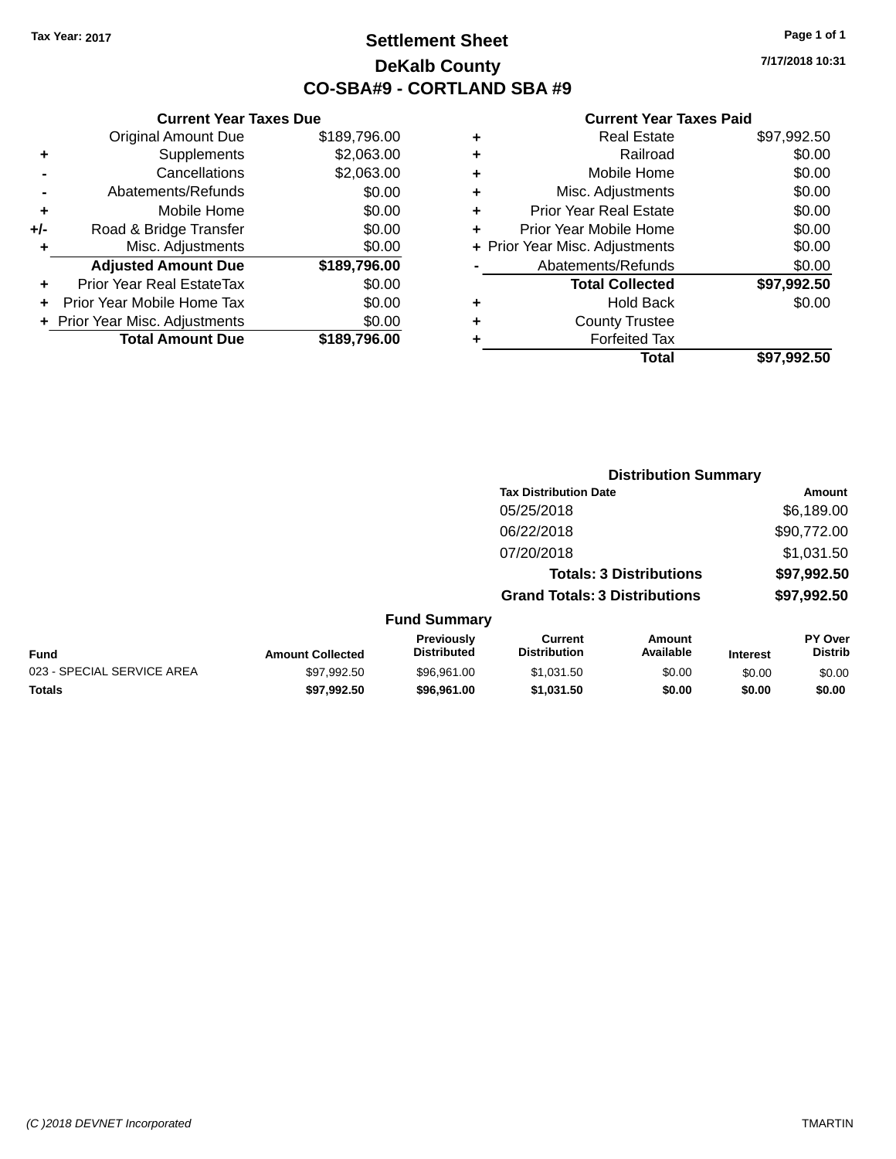## **Settlement Sheet Tax Year: 2017 Page 1 of 1 DeKalb County CO-SBA#9 - CORTLAND SBA #9**

**7/17/2018 10:31**

|       | <b>Current Year Taxes Due</b>  |              |   |                 |
|-------|--------------------------------|--------------|---|-----------------|
|       | <b>Original Amount Due</b>     | \$189,796.00 | ٠ |                 |
| ٠     | <b>Supplements</b>             | \$2,063.00   | ٠ |                 |
|       | Cancellations                  | \$2,063.00   | ٠ |                 |
|       | Abatements/Refunds             | \$0.00       | ٠ | Mi              |
|       | Mobile Home                    | \$0.00       |   | Prior Y         |
| $+/-$ | Road & Bridge Transfer         | \$0.00       |   | Prior Ye        |
|       | Misc. Adjustments              | \$0.00       |   | + Prior Year Mi |
|       | <b>Adjusted Amount Due</b>     | \$189,796.00 |   | Abate           |
|       | Prior Year Real EstateTax      | \$0.00       |   |                 |
| ÷     | Prior Year Mobile Home Tax     | \$0.00       |   |                 |
|       | + Prior Year Misc. Adjustments | \$0.00       |   |                 |
|       | <b>Total Amount Due</b>        | \$189,796.00 |   |                 |
|       |                                |              |   |                 |

|   | <b>Real Estate</b>             | \$97,992.50 |
|---|--------------------------------|-------------|
| ÷ | Railroad                       | \$0.00      |
|   | Mobile Home                    | \$0.00      |
| ٠ | Misc. Adjustments              | \$0.00      |
| ٠ | <b>Prior Year Real Estate</b>  | \$0.00      |
| ÷ | Prior Year Mobile Home         | \$0.00      |
|   | + Prior Year Misc. Adjustments | \$0.00      |
|   | Abatements/Refunds             | \$0.00      |
|   | <b>Total Collected</b>         | \$97,992.50 |
|   | <b>Hold Back</b>               | \$0.00      |
| ÷ | <b>County Trustee</b>          |             |
|   | <b>Forfeited Tax</b>           |             |
|   |                                |             |
|   | Total                          | \$97,992.50 |

|                            |                         |                                  |                                       | <b>Distribution Summary</b>    |                 |                           |
|----------------------------|-------------------------|----------------------------------|---------------------------------------|--------------------------------|-----------------|---------------------------|
|                            |                         |                                  | <b>Tax Distribution Date</b>          |                                |                 | Amount                    |
|                            |                         |                                  | 05/25/2018                            |                                |                 | \$6,189.00                |
|                            |                         |                                  | 06/22/2018                            |                                |                 | \$90,772.00               |
|                            |                         |                                  | 07/20/2018                            |                                |                 | \$1,031.50                |
|                            |                         |                                  |                                       | <b>Totals: 3 Distributions</b> |                 | \$97,992.50               |
|                            |                         |                                  | <b>Grand Totals: 3 Distributions</b>  |                                |                 | \$97,992.50               |
|                            |                         | <b>Fund Summary</b>              |                                       |                                |                 |                           |
| Fund                       | <b>Amount Collected</b> | Previously<br><b>Distributed</b> | <b>Current</b><br><b>Distribution</b> | Amount<br>Available            | <b>Interest</b> | PY Over<br><b>Distrib</b> |
| 023 - SPECIAL SERVICE AREA | \$97,992.50             | \$96,961.00                      | \$1,031.50                            | \$0.00                         | \$0.00          | \$0.00                    |
| <b>Totals</b>              | \$97,992.50             | \$96,961.00                      | \$1,031.50                            | \$0.00                         | \$0.00          | \$0.00                    |
|                            |                         |                                  |                                       |                                |                 |                           |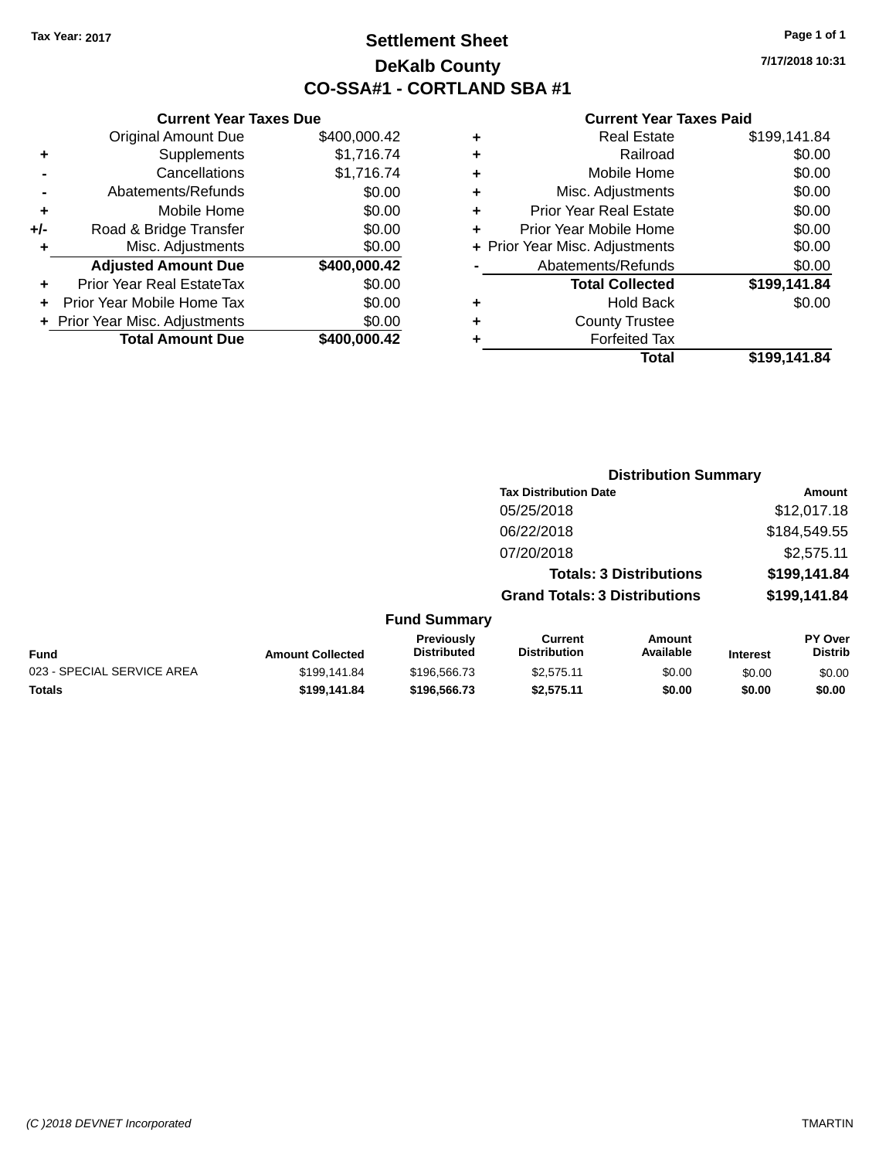## **Settlement Sheet Tax Year: 2017 Page 1 of 1 DeKalb County CO-SSA#1 - CORTLAND SBA #1**

**7/17/2018 10:31**

|     | <b>Current Year Taxes Due</b>  |              |   |              |
|-----|--------------------------------|--------------|---|--------------|
|     | <b>Original Amount Due</b>     | \$400,000.42 | ٠ |              |
|     | Supplements                    | \$1,716.74   | ٠ |              |
|     | Cancellations                  | \$1,716.74   | ٠ |              |
|     | Abatements/Refunds             | \$0.00       | ٠ |              |
|     | Mobile Home                    | \$0.00       |   | Pric         |
| +/- | Road & Bridge Transfer         | \$0.00       |   | Prior        |
| ٠   | Misc. Adjustments              | \$0.00       |   | + Prior Year |
|     | <b>Adjusted Amount Due</b>     | \$400,000.42 |   | Ab           |
|     | Prior Year Real EstateTax      | \$0.00       |   |              |
|     | Prior Year Mobile Home Tax     | \$0.00       | ٠ |              |
|     | + Prior Year Misc. Adjustments | \$0.00       |   |              |
|     | <b>Total Amount Due</b>        | \$400,000.42 |   |              |
|     |                                |              |   |              |

| <b>Real Estate</b>             | \$199,141.84 |
|--------------------------------|--------------|
| Railroad                       | \$0.00       |
| Mobile Home                    | \$0.00       |
| Misc. Adjustments              | \$0.00       |
| <b>Prior Year Real Estate</b>  | \$0.00       |
| Prior Year Mobile Home         | \$0.00       |
| + Prior Year Misc. Adjustments | \$0.00       |
| Abatements/Refunds             | \$0.00       |
| <b>Total Collected</b>         | \$199,141.84 |
| Hold Back                      | \$0.00       |
| <b>County Trustee</b>          |              |
| <b>Forfeited Tax</b>           |              |
| Total                          | \$199,141.84 |
|                                |              |

|                            |                         |                                  |                                       | <b>Distribution Summary</b>    |          |                                  |
|----------------------------|-------------------------|----------------------------------|---------------------------------------|--------------------------------|----------|----------------------------------|
|                            |                         |                                  | <b>Tax Distribution Date</b>          |                                |          | Amount                           |
|                            |                         |                                  | 05/25/2018                            |                                |          | \$12,017.18                      |
|                            |                         |                                  | 06/22/2018                            |                                |          | \$184,549.55                     |
|                            |                         |                                  | 07/20/2018                            |                                |          | \$2,575.11                       |
|                            |                         |                                  |                                       | <b>Totals: 3 Distributions</b> |          | \$199,141.84                     |
|                            |                         |                                  | <b>Grand Totals: 3 Distributions</b>  |                                |          | \$199,141.84                     |
|                            |                         | <b>Fund Summary</b>              |                                       |                                |          |                                  |
| <b>Fund</b>                | <b>Amount Collected</b> | Previously<br><b>Distributed</b> | <b>Current</b><br><b>Distribution</b> | Amount<br>Available            | Interest | <b>PY Over</b><br><b>Distrib</b> |
| 023 - SPECIAL SERVICE AREA | \$199,141.84            | \$196,566.73                     | \$2,575.11                            | \$0.00                         | \$0.00   | \$0.00                           |
| <b>Totals</b>              | \$199,141.84            | \$196,566.73                     | \$2,575.11                            | \$0.00                         | \$0.00   | \$0.00                           |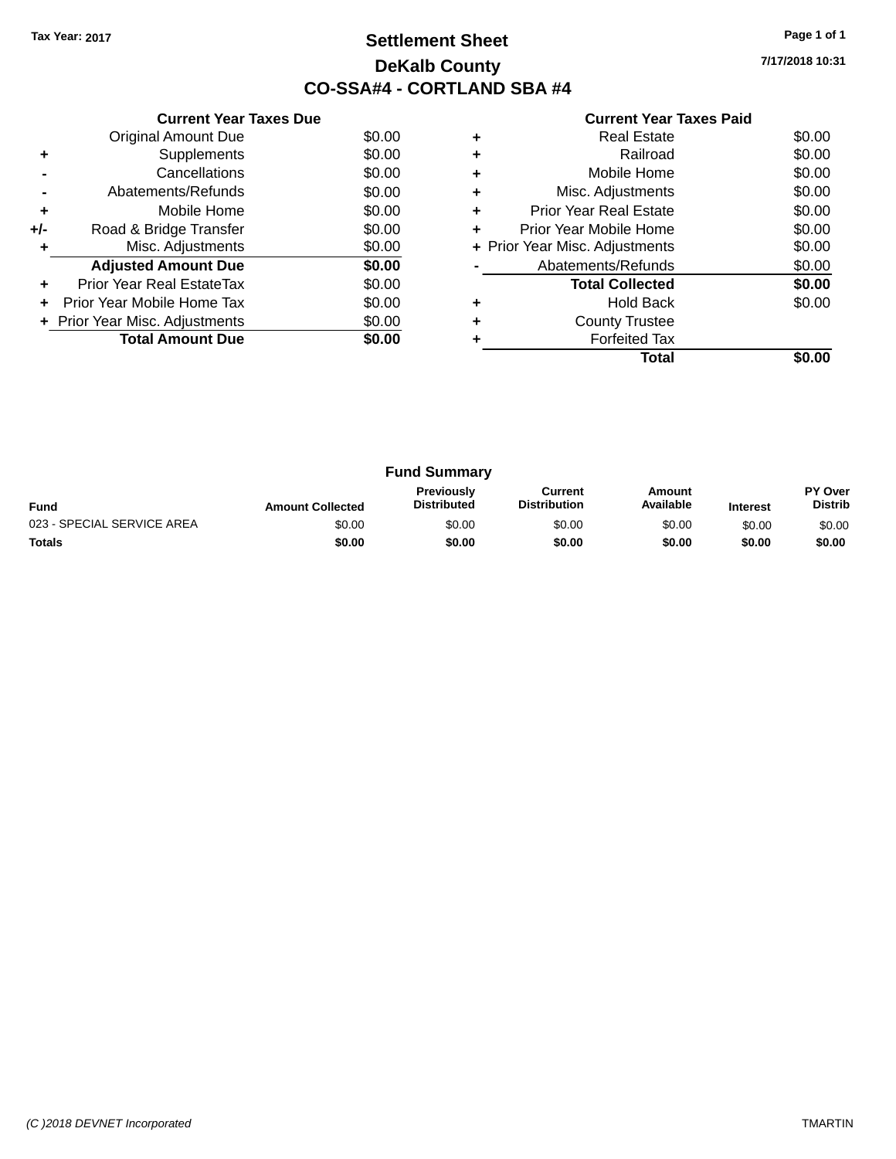## **Settlement Sheet Tax Year: 2017 Page 1 of 1 DeKalb County CO-SSA#4 - CORTLAND SBA #4**

**7/17/2018 10:31**

|     | <b>Current Year Taxes Due</b>  |        |
|-----|--------------------------------|--------|
|     | <b>Original Amount Due</b>     | \$0.00 |
| ٠   | Supplements                    | \$0.00 |
|     | Cancellations                  | \$0.00 |
|     | Abatements/Refunds             | \$0.00 |
| ÷   | Mobile Home                    | \$0.00 |
| +/- | Road & Bridge Transfer         | \$0.00 |
| ٠   | Misc. Adjustments              | \$0.00 |
|     | <b>Adjusted Amount Due</b>     | \$0.00 |
|     | Prior Year Real EstateTax      | \$0.00 |
| ÷   | Prior Year Mobile Home Tax     | \$0.00 |
|     | + Prior Year Misc. Adjustments | \$0.00 |
|     | <b>Total Amount Due</b>        | \$0.00 |
|     |                                |        |

|   | <b>Real Estate</b>             | \$0.00 |
|---|--------------------------------|--------|
| ٠ | Railroad                       | \$0.00 |
| ٠ | Mobile Home                    | \$0.00 |
| ÷ | Misc. Adjustments              | \$0.00 |
|   | <b>Prior Year Real Estate</b>  | \$0.00 |
| ÷ | Prior Year Mobile Home         | \$0.00 |
|   | + Prior Year Misc. Adjustments | \$0.00 |
|   | Abatements/Refunds             | \$0.00 |
|   | <b>Total Collected</b>         | \$0.00 |
| ٠ | <b>Hold Back</b>               | \$0.00 |
| ٠ | <b>County Trustee</b>          |        |
|   | <b>Forfeited Tax</b>           |        |
|   | Total                          |        |

| <b>Fund Summary</b>        |                         |                                         |                                |                     |                 |                           |
|----------------------------|-------------------------|-----------------------------------------|--------------------------------|---------------------|-----------------|---------------------------|
| <b>Fund</b>                | <b>Amount Collected</b> | <b>Previously</b><br><b>Distributed</b> | Current<br><b>Distribution</b> | Amount<br>Available | <b>Interest</b> | PY Over<br><b>Distrib</b> |
| 023 - SPECIAL SERVICE AREA | \$0.00                  | \$0.00                                  | \$0.00                         | \$0.00              | \$0.00          | \$0.00                    |
| <b>Totals</b>              | \$0.00                  | \$0.00                                  | \$0.00                         | \$0.00              | \$0.00          | \$0.00                    |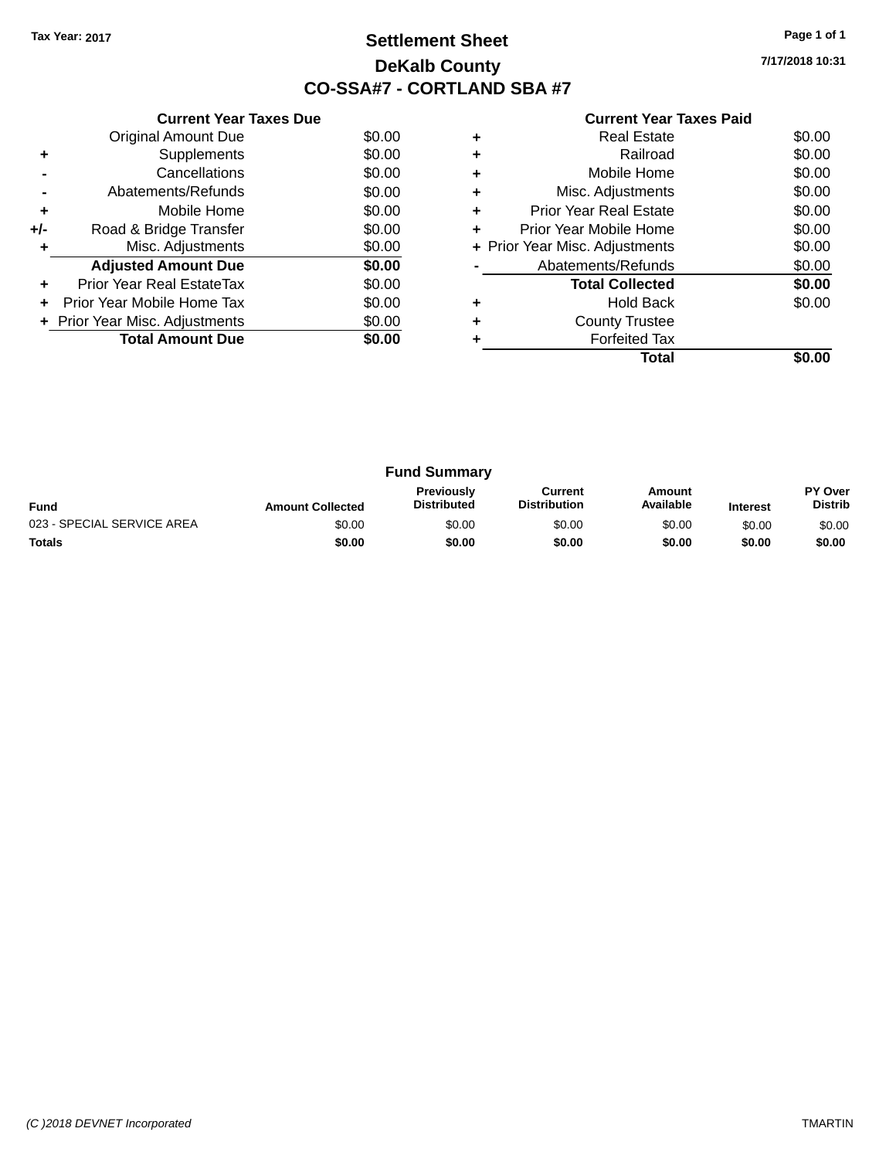## **Settlement Sheet Tax Year: 2017 Page 1 of 1 DeKalb County CO-SSA#7 - CORTLAND SBA #7**

**7/17/2018 10:31**

|     | <b>Current Year Taxes Due</b>  |        |
|-----|--------------------------------|--------|
|     | <b>Original Amount Due</b>     | \$0.00 |
| ٠   | Supplements                    | \$0.00 |
|     | Cancellations                  | \$0.00 |
|     | Abatements/Refunds             | \$0.00 |
| ÷   | Mobile Home                    | \$0.00 |
| +/- | Road & Bridge Transfer         | \$0.00 |
| ٠   | Misc. Adjustments              | \$0.00 |
|     | <b>Adjusted Amount Due</b>     | \$0.00 |
| ÷   | Prior Year Real EstateTax      | \$0.00 |
|     | Prior Year Mobile Home Tax     | \$0.00 |
|     | + Prior Year Misc. Adjustments | \$0.00 |
|     | <b>Total Amount Due</b>        | \$0.00 |
|     |                                |        |

|   | Real Estate                    | \$0.00 |
|---|--------------------------------|--------|
|   | Railroad                       | \$0.00 |
|   | Mobile Home                    | \$0.00 |
| ٠ | Misc. Adjustments              | \$0.00 |
| ٠ | <b>Prior Year Real Estate</b>  | \$0.00 |
| ٠ | Prior Year Mobile Home         | \$0.00 |
|   | + Prior Year Misc. Adjustments | \$0.00 |
|   | Abatements/Refunds             | \$0.00 |
|   | <b>Total Collected</b>         | \$0.00 |
|   | <b>Hold Back</b>               | \$0.00 |
|   | <b>County Trustee</b>          |        |
|   | <b>Forfeited Tax</b>           |        |
|   | Total                          |        |

| <b>Fund Summary</b>        |                         |                                         |                                |                     |                 |                                  |
|----------------------------|-------------------------|-----------------------------------------|--------------------------------|---------------------|-----------------|----------------------------------|
| <b>Fund</b>                | <b>Amount Collected</b> | <b>Previously</b><br><b>Distributed</b> | Current<br><b>Distribution</b> | Amount<br>Available | <b>Interest</b> | <b>PY Over</b><br><b>Distrib</b> |
| 023 - SPECIAL SERVICE AREA | \$0.00                  | \$0.00                                  | \$0.00                         | \$0.00              | \$0.00          | \$0.00                           |
| <b>Totals</b>              | \$0.00                  | \$0.00                                  | \$0.00                         | \$0.00              | \$0.00          | \$0.00                           |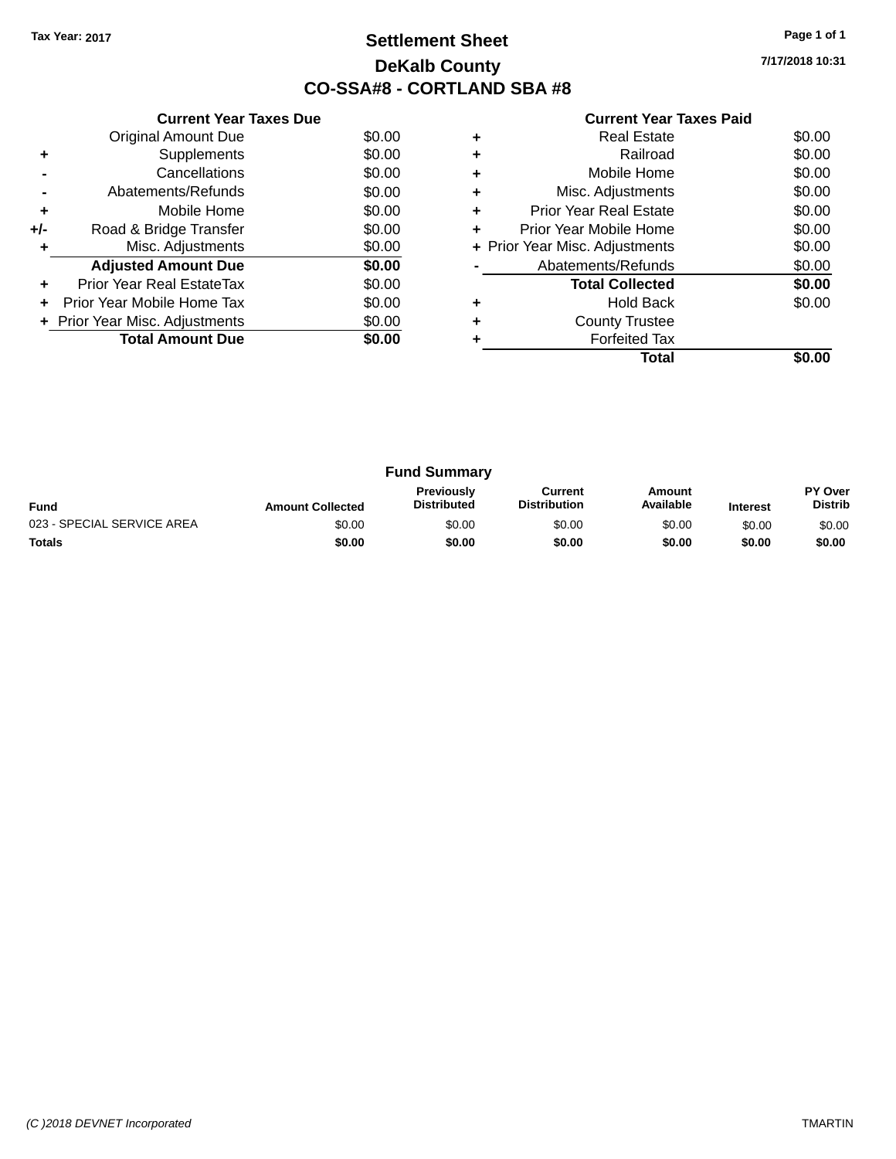## **Settlement Sheet Tax Year: 2017 Page 1 of 1 DeKalb County CO-SSA#8 - CORTLAND SBA #8**

**7/17/2018 10:31**

|     | <b>Current Year Taxes Due</b>  |        |
|-----|--------------------------------|--------|
|     | <b>Original Amount Due</b>     | \$0.00 |
| ٠   | Supplements                    | \$0.00 |
|     | Cancellations                  | \$0.00 |
|     | Abatements/Refunds             | \$0.00 |
| ٠   | Mobile Home                    | \$0.00 |
| +/- | Road & Bridge Transfer         | \$0.00 |
| ٠   | Misc. Adjustments              | \$0.00 |
|     | <b>Adjusted Amount Due</b>     | \$0.00 |
| ÷   | Prior Year Real EstateTax      | \$0.00 |
| ÷   | Prior Year Mobile Home Tax     | \$0.00 |
|     | + Prior Year Misc. Adjustments | \$0.00 |
|     | <b>Total Amount Due</b>        | \$0.00 |
|     |                                |        |

| ٠<br>÷ | <b>Real Estate</b><br>Railroad | \$0.00<br>\$0.00 |
|--------|--------------------------------|------------------|
|        |                                |                  |
| ٠      | Mobile Home                    | \$0.00           |
| ٠      | Misc. Adjustments              | \$0.00           |
| ٠      | Prior Year Real Estate         | \$0.00           |
| ٠      | Prior Year Mobile Home         | \$0.00           |
|        | + Prior Year Misc. Adjustments | \$0.00           |
|        | Abatements/Refunds             | \$0.00           |
|        | <b>Total Collected</b>         | \$0.00           |
| ٠      | <b>Hold Back</b>               | \$0.00           |
| ٠      | <b>County Trustee</b>          |                  |
|        | <b>Forfeited Tax</b>           |                  |
|        | Total                          |                  |

| <b>Fund Summary</b>        |                         |                                         |                                |                     |                 |                                  |
|----------------------------|-------------------------|-----------------------------------------|--------------------------------|---------------------|-----------------|----------------------------------|
| <b>Fund</b>                | <b>Amount Collected</b> | <b>Previously</b><br><b>Distributed</b> | Current<br><b>Distribution</b> | Amount<br>Available | <b>Interest</b> | <b>PY Over</b><br><b>Distrib</b> |
| 023 - SPECIAL SERVICE AREA | \$0.00                  | \$0.00                                  | \$0.00                         | \$0.00              | \$0.00          | \$0.00                           |
| <b>Totals</b>              | \$0.00                  | \$0.00                                  | \$0.00                         | \$0.00              | \$0.00          | \$0.00                           |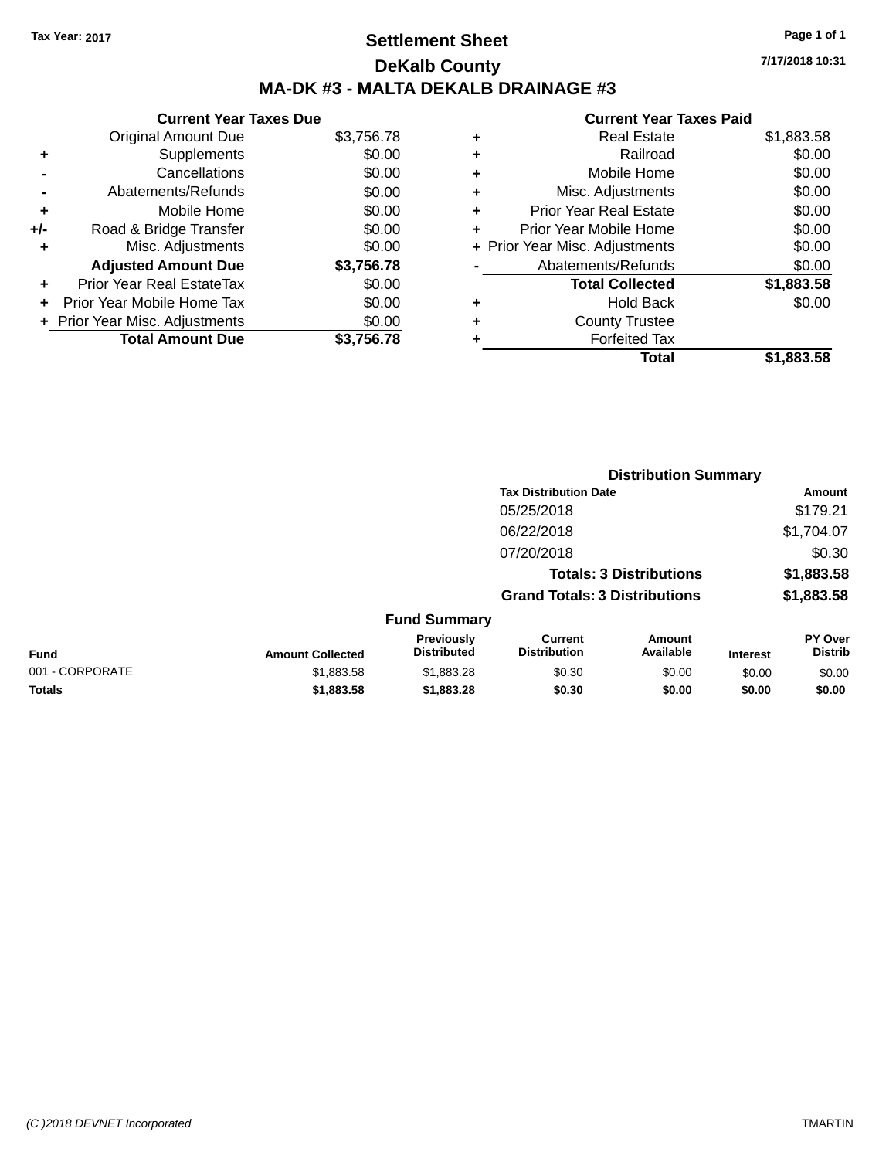## **Settlement Sheet Tax Year: 2017 Page 1 of 1 DeKalb County MA-DK #3 - MALTA DEKALB DRAINAGE #3**

|     | <b>Current Year Taxes Due</b>    |            |
|-----|----------------------------------|------------|
|     | <b>Original Amount Due</b>       | \$3,756.78 |
| ٠   | Supplements                      | \$0.00     |
|     | Cancellations                    | \$0.00     |
|     | Abatements/Refunds               | \$0.00     |
| ٠   | Mobile Home                      | \$0.00     |
| +/- | Road & Bridge Transfer           | \$0.00     |
| ٠   | Misc. Adjustments                | \$0.00     |
|     | <b>Adjusted Amount Due</b>       | \$3,756.78 |
| ٠   | <b>Prior Year Real EstateTax</b> | \$0.00     |
| ٠   | Prior Year Mobile Home Tax       | \$0.00     |
|     | + Prior Year Misc. Adjustments   | \$0.00     |
|     | <b>Total Amount Due</b>          | \$3,756.78 |

|   | <b>Real Estate</b>             | \$1,883.58 |
|---|--------------------------------|------------|
| ٠ | Railroad                       | \$0.00     |
| ٠ | Mobile Home                    | \$0.00     |
| ٠ | Misc. Adjustments              | \$0.00     |
| ٠ | <b>Prior Year Real Estate</b>  | \$0.00     |
| ٠ | Prior Year Mobile Home         | \$0.00     |
|   | + Prior Year Misc. Adjustments | \$0.00     |
|   | Abatements/Refunds             | \$0.00     |
|   | <b>Total Collected</b>         | \$1,883.58 |
| ٠ | <b>Hold Back</b>               | \$0.00     |
| ٠ | <b>County Trustee</b>          |            |
|   | <b>Forfeited Tax</b>           |            |
|   | Total                          | \$1.883.58 |
|   |                                |            |

|                 |                         |                                         | <b>Distribution Summary</b>           |                                |                 |                           |
|-----------------|-------------------------|-----------------------------------------|---------------------------------------|--------------------------------|-----------------|---------------------------|
|                 |                         |                                         | <b>Tax Distribution Date</b>          |                                |                 | <b>Amount</b>             |
|                 |                         |                                         | 05/25/2018                            |                                |                 | \$179.21                  |
|                 |                         |                                         | 06/22/2018                            |                                |                 | \$1,704.07                |
|                 |                         |                                         | 07/20/2018                            |                                |                 | \$0.30                    |
|                 |                         |                                         |                                       | <b>Totals: 3 Distributions</b> |                 | \$1,883.58                |
|                 |                         |                                         | <b>Grand Totals: 3 Distributions</b>  |                                |                 | \$1,883.58                |
|                 |                         | <b>Fund Summary</b>                     |                                       |                                |                 |                           |
| <b>Fund</b>     | <b>Amount Collected</b> | <b>Previously</b><br><b>Distributed</b> | <b>Current</b><br><b>Distribution</b> | Amount<br>Available            | <b>Interest</b> | PY Over<br><b>Distrib</b> |
| 001 - CORPORATE | \$1,883.58              | \$1,883.28                              | \$0.30                                | \$0.00                         | \$0.00          | \$0.00                    |
| <b>Totals</b>   | \$1,883.58              | \$1,883.28                              | \$0.30                                | \$0.00                         | \$0.00          | \$0.00                    |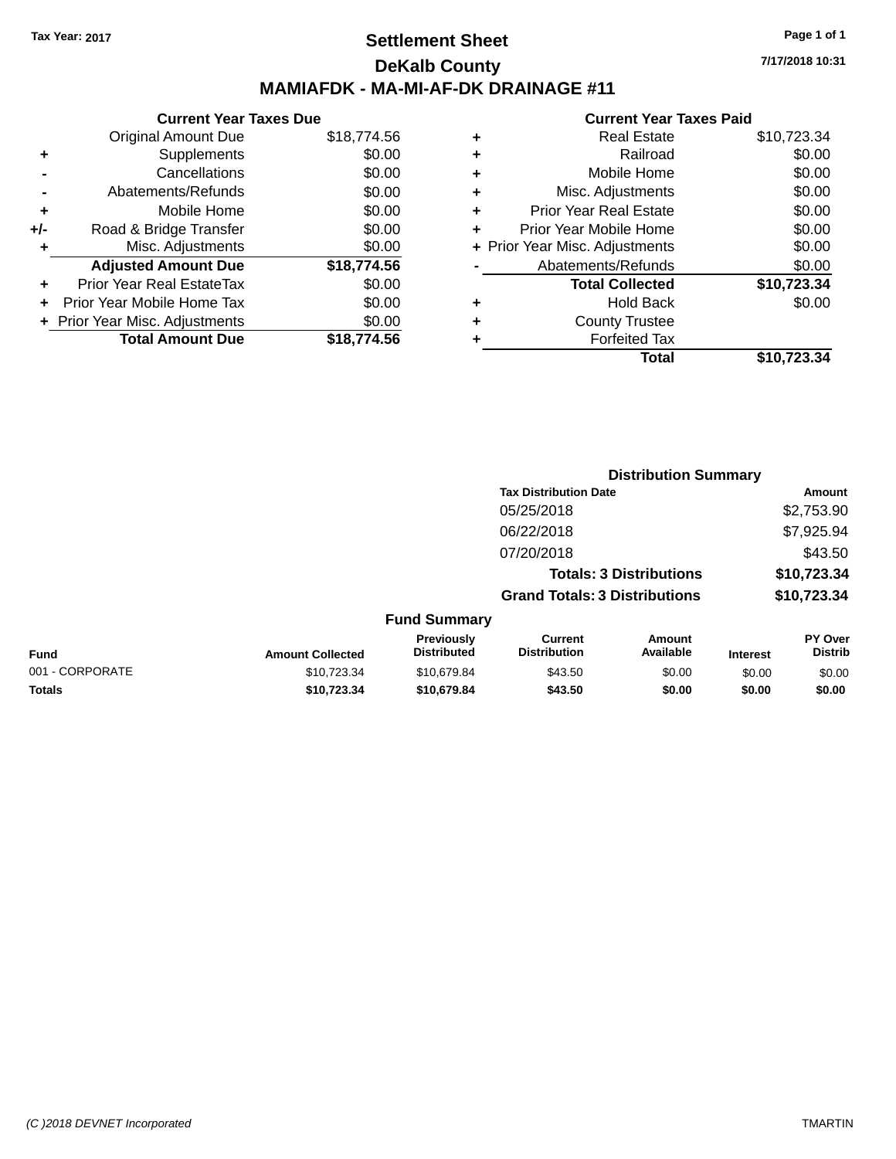## **Settlement Sheet Tax Year: 2017 Page 1 of 1 DeKalb County MAMIAFDK - MA-MI-AF-DK DRAINAGE #11**

**Current Year Taxes Due** Original Amount Due \$18,774.56 **+** Supplements \$0.00 **-** Cancellations \$0.00 **-** Abatements/Refunds \$0.00 **+** Mobile Home \$0.00 **+/-** Road & Bridge Transfer \$0.00 **+** Misc. Adjustments \$0.00 **Adjusted Amount Due \$18,774.56 +** Prior Year Real EstateTax \$0.00 **+** Prior Year Mobile Home Tax \$0.00

**+** Prior Year Misc. Adjustments  $$0.00$ 

**Total Amount Due \$18,774.56**

#### **Current Year Taxes Paid +** Real Estate \$10,723.34 **+** Railroad \$0.00 **+** Mobile Home \$0.00 **+** Misc. Adjustments \$0.00 **+** Prior Year Real Estate \$0.00 **+** Prior Year Mobile Home \$0.00 **+** Prior Year Misc. Adjustments  $$0.00$ Abatements/Refunds \$0.00 **Total Collected \$10,723.34 +** Hold Back \$0.00 **+** County Trustee **+** Forfeited Tax **Total \$10,723.34**

**Distribution Summary**

|                         |                                         |                                       |                     |                                                                                                        | Amount                           |
|-------------------------|-----------------------------------------|---------------------------------------|---------------------|--------------------------------------------------------------------------------------------------------|----------------------------------|
|                         |                                         | 05/25/2018                            |                     |                                                                                                        | \$2,753.90                       |
|                         |                                         | 06/22/2018                            |                     |                                                                                                        | \$7,925.94                       |
|                         |                                         | 07/20/2018                            |                     |                                                                                                        | \$43.50                          |
|                         |                                         |                                       |                     |                                                                                                        | \$10,723.34                      |
|                         |                                         |                                       |                     |                                                                                                        | \$10,723.34                      |
|                         |                                         |                                       |                     |                                                                                                        |                                  |
| <b>Amount Collected</b> | <b>Previously</b><br><b>Distributed</b> | <b>Current</b><br><b>Distribution</b> | Amount<br>Available | <b>Interest</b>                                                                                        | <b>PY Over</b><br><b>Distrib</b> |
| \$10,723.34             | \$10.679.84                             | \$43.50                               | \$0.00              | \$0.00                                                                                                 | \$0.00                           |
| \$10.723.34             | \$10,679.84                             | \$43.50                               | \$0.00              | \$0.00                                                                                                 | \$0.00                           |
|                         |                                         |                                       | <b>Fund Summary</b> | <b>Tax Distribution Date</b><br><b>Totals: 3 Distributions</b><br><b>Grand Totals: 3 Distributions</b> |                                  |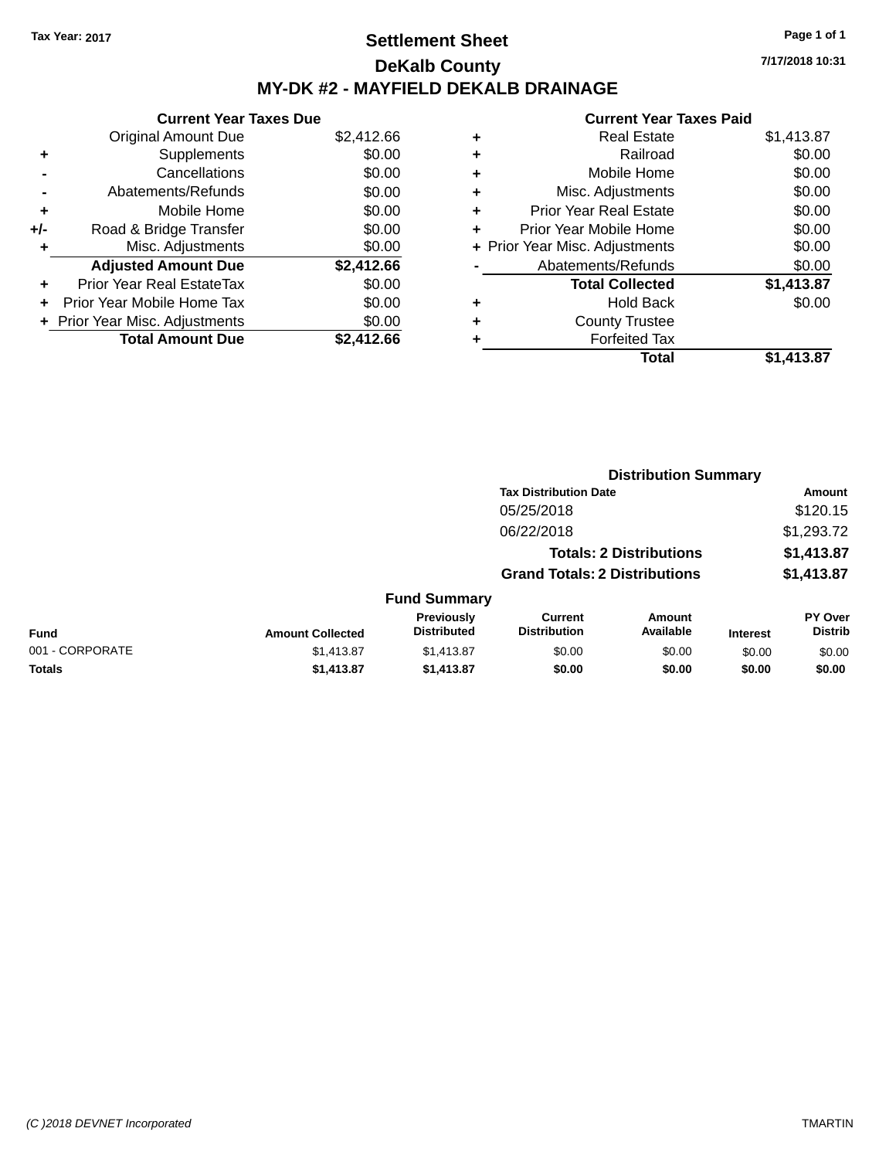## **Settlement Sheet Tax Year: 2017 Page 1 of 1 DeKalb County MY-DK #2 - MAYFIELD DEKALB DRAINAGE**

**7/17/2018 10:31**

|     | <b>Current Year Taxes Due</b>  |            |
|-----|--------------------------------|------------|
|     | <b>Original Amount Due</b>     | \$2,412.66 |
| ٠   | Supplements                    | \$0.00     |
|     | Cancellations                  | \$0.00     |
|     | Abatements/Refunds             | \$0.00     |
| ٠   | Mobile Home                    | \$0.00     |
| +/- | Road & Bridge Transfer         | \$0.00     |
|     | Misc. Adjustments              | \$0.00     |
|     | <b>Adjusted Amount Due</b>     | \$2,412.66 |
| ÷   | Prior Year Real EstateTax      | \$0.00     |
|     | Prior Year Mobile Home Tax     | \$0.00     |
|     | + Prior Year Misc. Adjustments | \$0.00     |
|     | <b>Total Amount Due</b>        | \$2.412.66 |

|   | <b>Real Estate</b>             | \$1,413.87 |
|---|--------------------------------|------------|
| ٠ | Railroad                       | \$0.00     |
| ٠ | Mobile Home                    | \$0.00     |
| ٠ | Misc. Adjustments              | \$0.00     |
| ٠ | <b>Prior Year Real Estate</b>  | \$0.00     |
|   | Prior Year Mobile Home         | \$0.00     |
|   | + Prior Year Misc. Adjustments | \$0.00     |
|   | Abatements/Refunds             | \$0.00     |
|   | <b>Total Collected</b>         | \$1,413.87 |
| ٠ | <b>Hold Back</b>               | \$0.00     |
|   | <b>County Trustee</b>          |            |
| ٠ | <b>Forfeited Tax</b>           |            |
|   | Total                          | \$1.413.87 |
|   |                                |            |

|                 |                         |                                  | <b>Distribution Summary</b>           |                                |                 |                           |  |
|-----------------|-------------------------|----------------------------------|---------------------------------------|--------------------------------|-----------------|---------------------------|--|
|                 |                         |                                  | <b>Tax Distribution Date</b>          |                                |                 | Amount                    |  |
|                 |                         |                                  | 05/25/2018                            |                                |                 | \$120.15                  |  |
|                 |                         |                                  | 06/22/2018                            |                                |                 | \$1,293.72                |  |
|                 |                         |                                  |                                       | <b>Totals: 2 Distributions</b> |                 | \$1,413.87                |  |
|                 |                         |                                  | <b>Grand Totals: 2 Distributions</b>  |                                |                 | \$1,413.87                |  |
|                 |                         | <b>Fund Summary</b>              |                                       |                                |                 |                           |  |
| <b>Fund</b>     | <b>Amount Collected</b> | Previously<br><b>Distributed</b> | <b>Current</b><br><b>Distribution</b> | Amount<br>Available            | <b>Interest</b> | PY Over<br><b>Distrib</b> |  |
| 001 - CORPORATE | \$1,413.87              | \$1,413.87                       | \$0.00                                | \$0.00                         | \$0.00          | \$0.00                    |  |
| <b>Totals</b>   | \$1,413.87              | \$1,413.87                       | \$0.00                                | \$0.00                         | \$0.00          | \$0.00                    |  |
|                 |                         |                                  |                                       |                                |                 |                           |  |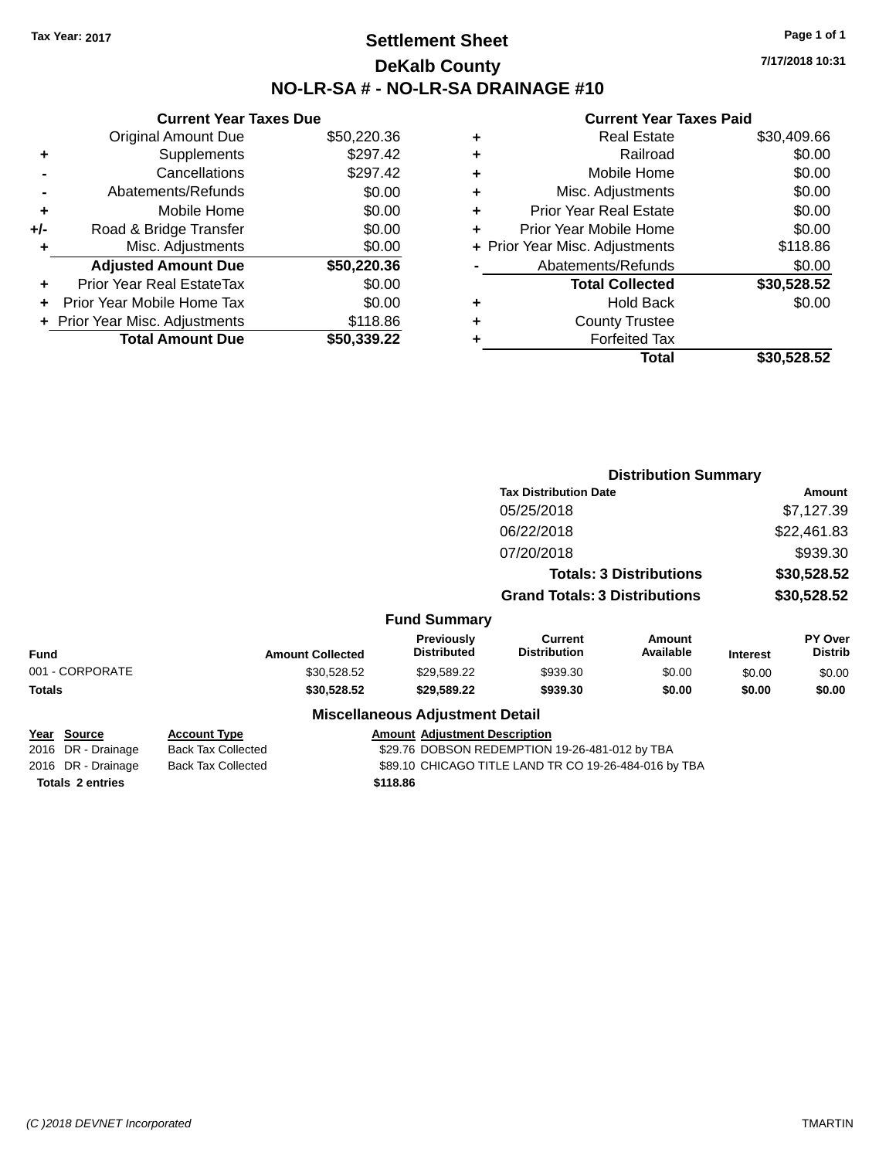## **Settlement Sheet Tax Year: 2017 Page 1 of 1 DeKalb County NO-LR-SA # - NO-LR-SA DRAINAGE #10**

**7/17/2018 10:31**

#### **Current Year Taxes Paid**

|     | <b>Current Year Taxes Due</b>  |             |
|-----|--------------------------------|-------------|
|     | <b>Original Amount Due</b>     | \$50,220.36 |
| ٠   | Supplements                    | \$297.42    |
|     | Cancellations                  | \$297.42    |
|     | Abatements/Refunds             | \$0.00      |
| ٠   | Mobile Home                    | \$0.00      |
| +/- | Road & Bridge Transfer         | \$0.00      |
| ٠   | Misc. Adjustments              | \$0.00      |
|     | <b>Adjusted Amount Due</b>     | \$50,220.36 |
| ÷   | Prior Year Real EstateTax      | \$0.00      |
| ÷   | Prior Year Mobile Home Tax     | \$0.00      |
|     | + Prior Year Misc. Adjustments | \$118.86    |
|     | <b>Total Amount Due</b>        | \$50.339.22 |

| ٠ | <b>Real Estate</b>             | \$30,409.66 |
|---|--------------------------------|-------------|
| ٠ | Railroad                       | \$0.00      |
| ٠ | Mobile Home                    | \$0.00      |
| ٠ | Misc. Adjustments              | \$0.00      |
| ٠ | <b>Prior Year Real Estate</b>  | \$0.00      |
| ٠ | Prior Year Mobile Home         | \$0.00      |
|   | + Prior Year Misc. Adjustments | \$118.86    |
|   | Abatements/Refunds             | \$0.00      |
|   | <b>Total Collected</b>         | \$30,528.52 |
| ٠ | <b>Hold Back</b>               | \$0.00      |
| ٠ | <b>County Trustee</b>          |             |
| ٠ | <b>Forfeited Tax</b>           |             |
|   | <b>Total</b>                   | \$30,528.52 |
|   |                                |             |

|                                          |                                                  |                                                       | <b>Distribution Summary</b>                    |                                |                 |                           |  |
|------------------------------------------|--------------------------------------------------|-------------------------------------------------------|------------------------------------------------|--------------------------------|-----------------|---------------------------|--|
|                                          |                                                  |                                                       | <b>Tax Distribution Date</b>                   |                                |                 | Amount                    |  |
|                                          |                                                  |                                                       | 05/25/2018                                     |                                |                 | \$7,127.39                |  |
|                                          |                                                  |                                                       | 06/22/2018                                     |                                |                 | \$22,461.83               |  |
|                                          |                                                  |                                                       | 07/20/2018                                     |                                |                 | \$939.30                  |  |
|                                          |                                                  |                                                       |                                                | <b>Totals: 3 Distributions</b> |                 | \$30,528.52               |  |
|                                          |                                                  |                                                       | <b>Grand Totals: 3 Distributions</b>           |                                |                 | \$30,528.52               |  |
|                                          |                                                  | <b>Fund Summary</b>                                   |                                                |                                |                 |                           |  |
| <b>Fund</b>                              | <b>Amount Collected</b>                          | <b>Previously</b><br><b>Distributed</b>               | <b>Current</b><br><b>Distribution</b>          | Amount<br>Available            | <b>Interest</b> | PY Over<br><b>Distrib</b> |  |
| 001 - CORPORATE                          | \$30,528.52                                      | \$29,589.22                                           | \$939.30                                       | \$0.00                         | \$0.00          | \$0.00                    |  |
| Totals                                   | \$30,528.52                                      | \$29,589.22                                           | \$939.30                                       | \$0.00                         | \$0.00          | \$0.00                    |  |
|                                          |                                                  | <b>Miscellaneous Adjustment Detail</b>                |                                                |                                |                 |                           |  |
| <u>Year Source</u><br>2016 DR - Drainage | <b>Account Type</b><br><b>Back Tax Collected</b> | <b>Amount Adjustment Description</b>                  | \$29.76 DOBSON REDEMPTION 19-26-481-012 by TBA |                                |                 |                           |  |
| 2016 DR - Drainage                       | <b>Back Tax Collected</b>                        | \$89.10 CHICAGO TITLE LAND TR CO 19-26-484-016 by TBA |                                                |                                |                 |                           |  |

**Totals \$118.86 2 entries**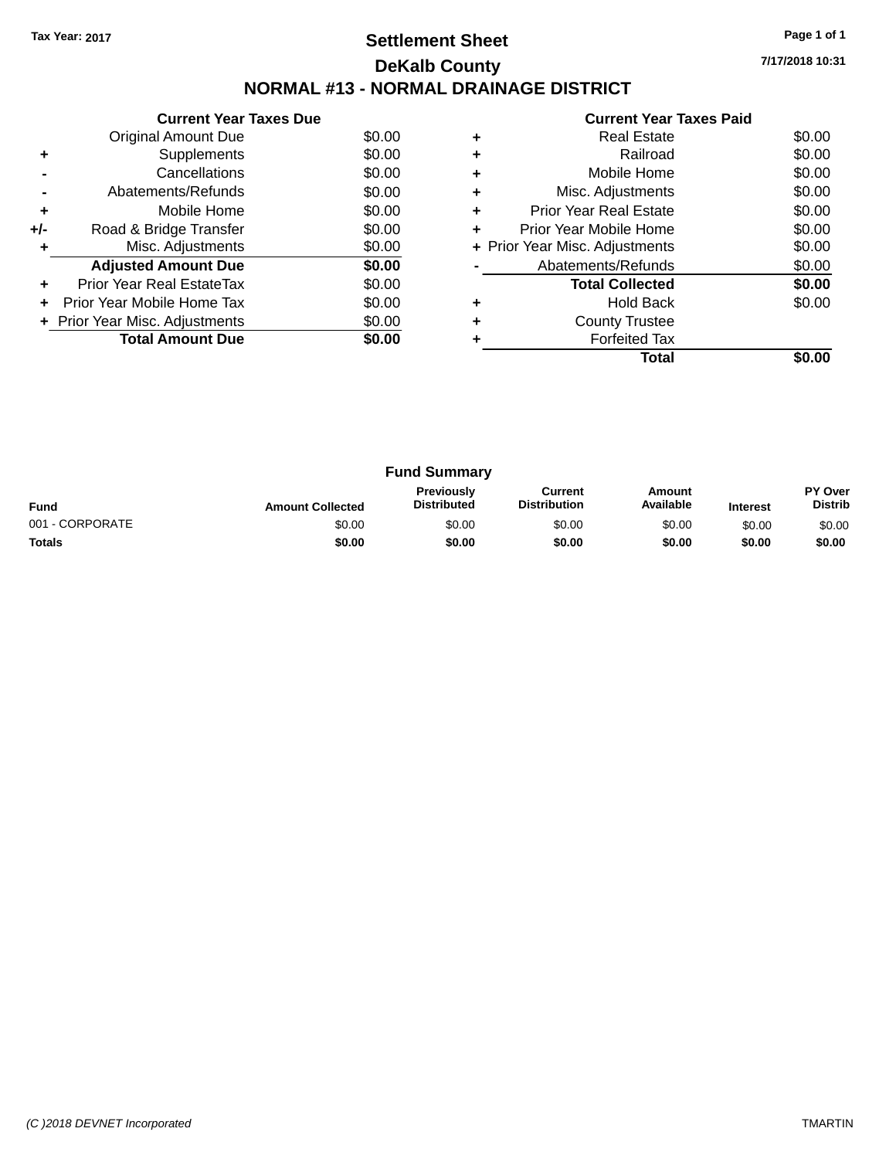## **Settlement Sheet Tax Year: 2017 Page 1 of 1 DeKalb County NORMAL #13 - NORMAL DRAINAGE DISTRICT**

**Current Year Taxes Due** Original Amount Due \$0.00<br>Supplements \$0.00 **+** Supplements **-** Cancellations \$0.00 **-** Abatements/Refunds \$0.00 **+** Mobile Home \$0.00 **+/-** Road & Bridge Transfer \$0.00<br> **+** Misc. Adjustments \$0.00 **+** Misc. Adjustments Adjusted Amount Due \$0.00 **+** Prior Year Real EstateTax \$0.00 **+** Prior Year Mobile Home Tax \$0.00 **+ Prior Year Misc. Adjustments**  $$0.00$ **Total Amount Due \$0.00** 

|   | <b>Current Year Taxes Paid</b> |        |
|---|--------------------------------|--------|
| ٠ | <b>Real Estate</b>             | \$0.00 |
| ٠ | Railroad                       | \$0.00 |
| ٠ | Mobile Home                    | \$0.00 |
|   | Misc. Adjustments              | \$0.00 |
| ٠ | <b>Prior Year Real Estate</b>  | \$0.00 |
| ٠ | Prior Year Mobile Home         | \$0.00 |
|   | + Prior Year Misc. Adjustments | \$0.00 |
|   | Abatements/Refunds             | \$0.00 |
|   | <b>Total Collected</b>         | \$0.00 |
| ٠ | Hold Back                      | \$0.00 |
| ٠ | <b>County Trustee</b>          |        |
|   | <b>Forfeited Tax</b>           |        |
|   | Total                          |        |

| <b>Fund Summary</b> |                         |                                         |                                |                     |                 |                                  |
|---------------------|-------------------------|-----------------------------------------|--------------------------------|---------------------|-----------------|----------------------------------|
| <b>Fund</b>         | <b>Amount Collected</b> | <b>Previously</b><br><b>Distributed</b> | Current<br><b>Distribution</b> | Amount<br>Available | <b>Interest</b> | <b>PY Over</b><br><b>Distrib</b> |
| 001 - CORPORATE     | \$0.00                  | \$0.00                                  | \$0.00                         | \$0.00              | \$0.00          | \$0.00                           |
| <b>Totals</b>       | \$0.00                  | \$0.00                                  | \$0.00                         | \$0.00              | \$0.00          | \$0.00                           |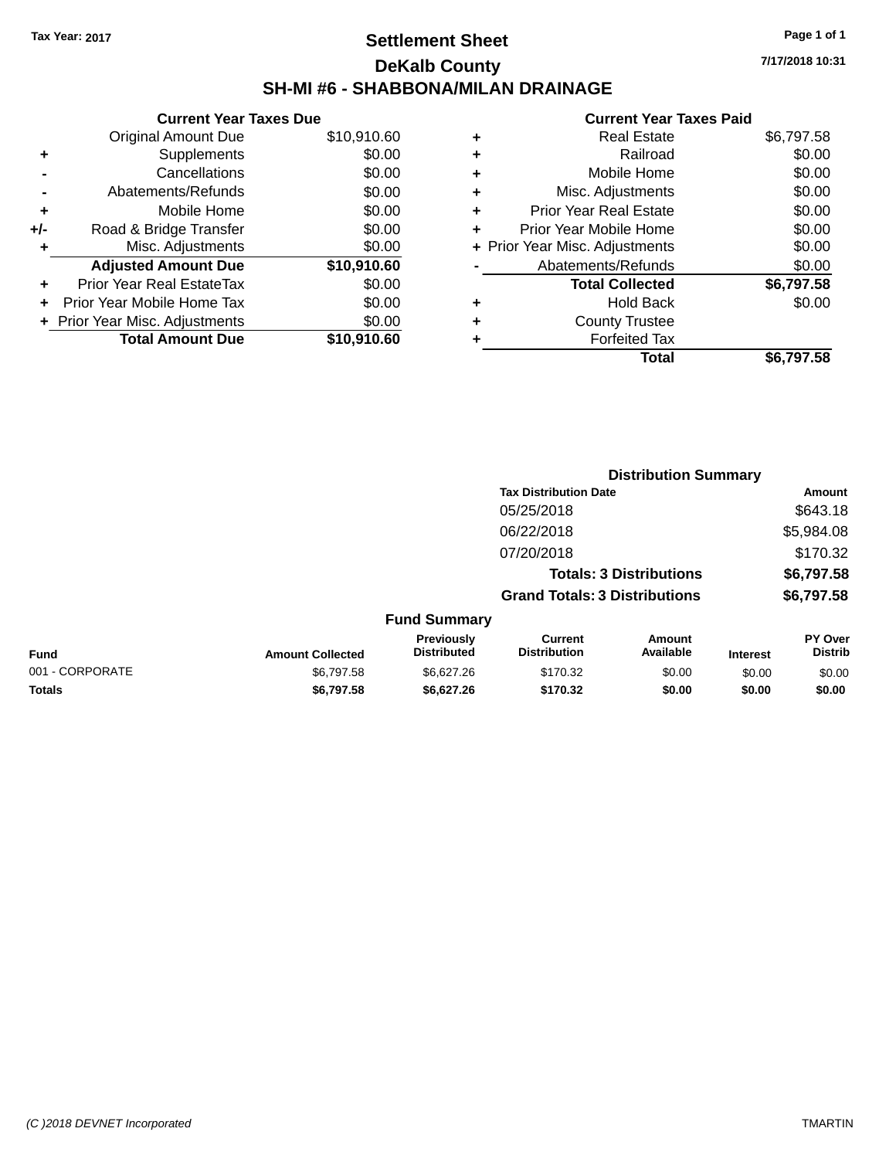## **Settlement Sheet Tax Year: 2017 Page 1 of 1 DeKalb County SH-MI #6 - SHABBONA/MILAN DRAINAGE**

**7/17/2018 10:31**

|     | <b>Current Year Taxes Due</b>  |             |
|-----|--------------------------------|-------------|
|     | <b>Original Amount Due</b>     | \$10,910.60 |
| ٠   | Supplements                    | \$0.00      |
|     | Cancellations                  | \$0.00      |
|     | Abatements/Refunds             | \$0.00      |
| ÷   | Mobile Home                    | \$0.00      |
| +/- | Road & Bridge Transfer         | \$0.00      |
|     | Misc. Adjustments              | \$0.00      |
|     | <b>Adjusted Amount Due</b>     | \$10,910.60 |
| ٠   | Prior Year Real EstateTax      | \$0.00      |
|     | Prior Year Mobile Home Tax     | \$0.00      |
|     | + Prior Year Misc. Adjustments | \$0.00      |
|     | <b>Total Amount Due</b>        | \$10,910.60 |
|     |                                |             |

|   | <b>Real Estate</b>             | \$6,797.58 |
|---|--------------------------------|------------|
| ٠ | Railroad                       | \$0.00     |
| ٠ | Mobile Home                    | \$0.00     |
| ٠ | Misc. Adjustments              | \$0.00     |
| ٠ | <b>Prior Year Real Estate</b>  | \$0.00     |
| ٠ | Prior Year Mobile Home         | \$0.00     |
|   | + Prior Year Misc. Adjustments | \$0.00     |
|   | Abatements/Refunds             | \$0.00     |
|   | <b>Total Collected</b>         | \$6,797.58 |
| ٠ | <b>Hold Back</b>               | \$0.00     |
| ٠ | <b>County Trustee</b>          |            |
| ٠ | <b>Forfeited Tax</b>           |            |
|   | Total                          | \$6,797.58 |
|   |                                |            |

|                 |                         |                                  |                                       | <b>Distribution Summary</b>    |                 |                           |
|-----------------|-------------------------|----------------------------------|---------------------------------------|--------------------------------|-----------------|---------------------------|
|                 |                         |                                  | <b>Tax Distribution Date</b>          |                                |                 | Amount                    |
|                 |                         |                                  | 05/25/2018                            |                                |                 | \$643.18                  |
|                 |                         |                                  | 06/22/2018                            |                                |                 | \$5,984.08                |
|                 |                         |                                  | 07/20/2018                            |                                |                 | \$170.32                  |
|                 |                         |                                  |                                       | <b>Totals: 3 Distributions</b> |                 | \$6,797.58                |
|                 |                         |                                  | <b>Grand Totals: 3 Distributions</b>  |                                |                 | \$6,797.58                |
|                 |                         | <b>Fund Summary</b>              |                                       |                                |                 |                           |
| <b>Fund</b>     | <b>Amount Collected</b> | Previously<br><b>Distributed</b> | <b>Current</b><br><b>Distribution</b> | Amount<br>Available            | <b>Interest</b> | PY Over<br><b>Distrib</b> |
| 001 - CORPORATE | \$6,797.58              | \$6,627.26                       | \$170.32                              | \$0.00                         | \$0.00          | \$0.00                    |
| <b>Totals</b>   | \$6,797.58              | \$6,627.26                       | \$170.32                              | \$0.00                         | \$0.00          | \$0.00                    |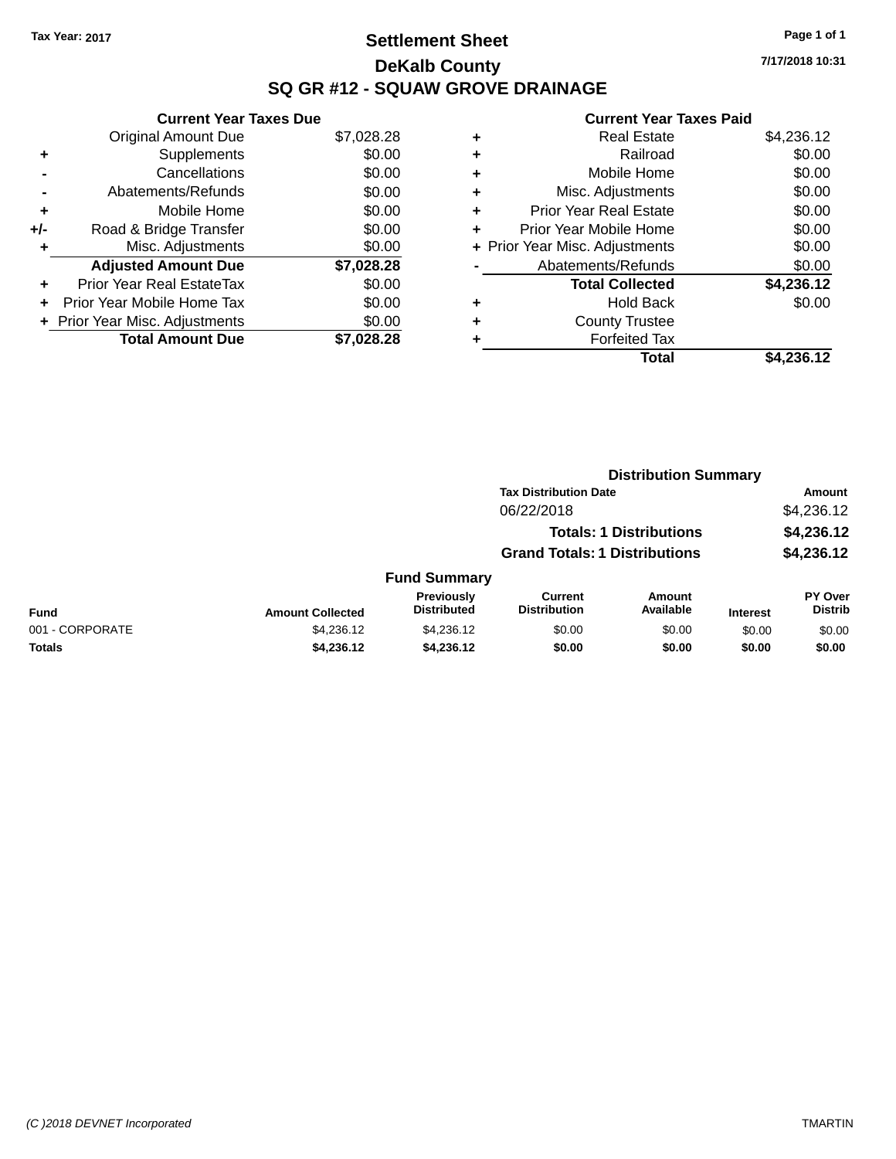## **Settlement Sheet Tax Year: 2017 Page 1 of 1 DeKalb County SQ GR #12 - SQUAW GROVE DRAINAGE**

**7/17/2018 10:31**

|     | <b>Current Year Taxes Due</b>     |            |
|-----|-----------------------------------|------------|
|     | <b>Original Amount Due</b>        | \$7,028.28 |
| ÷   | Supplements                       | \$0.00     |
|     | Cancellations                     | \$0.00     |
|     | Abatements/Refunds                | \$0.00     |
| ٠   | Mobile Home                       | \$0.00     |
| +/- | Road & Bridge Transfer            | \$0.00     |
|     | Misc. Adjustments                 | \$0.00     |
|     | <b>Adjusted Amount Due</b>        | \$7,028.28 |
| ÷   | Prior Year Real EstateTax         | \$0.00     |
| ÷   | <b>Prior Year Mobile Home Tax</b> | \$0.00     |
|     | + Prior Year Misc. Adjustments    | \$0.00     |
|     | <b>Total Amount Due</b>           | \$7.028.28 |

| ٠ | <b>Real Estate</b>             | \$4,236.12 |
|---|--------------------------------|------------|
| ٠ | Railroad                       | \$0.00     |
| ٠ | Mobile Home                    | \$0.00     |
| ٠ | Misc. Adjustments              | \$0.00     |
| ٠ | <b>Prior Year Real Estate</b>  | \$0.00     |
| ٠ | Prior Year Mobile Home         | \$0.00     |
|   | + Prior Year Misc. Adjustments | \$0.00     |
|   | Abatements/Refunds             | \$0.00     |
|   | <b>Total Collected</b>         | \$4,236.12 |
| ٠ | Hold Back                      | \$0.00     |
| ٠ | <b>County Trustee</b>          |            |
| ٠ | <b>Forfeited Tax</b>           |            |
|   | Total                          | \$4,236.12 |
|   |                                |            |

|                 |                         | <b>Distribution Summary</b>      |                                       |                                |                 |                                  |
|-----------------|-------------------------|----------------------------------|---------------------------------------|--------------------------------|-----------------|----------------------------------|
|                 |                         |                                  | <b>Tax Distribution Date</b>          |                                |                 | Amount                           |
|                 |                         |                                  | 06/22/2018                            |                                |                 | \$4,236.12                       |
|                 |                         |                                  |                                       | <b>Totals: 1 Distributions</b> |                 | \$4,236.12                       |
|                 |                         |                                  | <b>Grand Totals: 1 Distributions</b>  |                                |                 | \$4,236.12                       |
|                 |                         | <b>Fund Summary</b>              |                                       |                                |                 |                                  |
| <b>Fund</b>     | <b>Amount Collected</b> | Previously<br><b>Distributed</b> | <b>Current</b><br><b>Distribution</b> | Amount<br>Available            | <b>Interest</b> | <b>PY Over</b><br><b>Distrib</b> |
| 001 - CORPORATE | \$4,236.12              | \$4,236.12                       | \$0.00                                | \$0.00                         | \$0.00          | \$0.00                           |
| <b>Totals</b>   | \$4,236.12              | \$4,236.12                       | \$0.00                                | \$0.00                         | \$0.00          | \$0.00                           |
|                 |                         |                                  |                                       |                                |                 |                                  |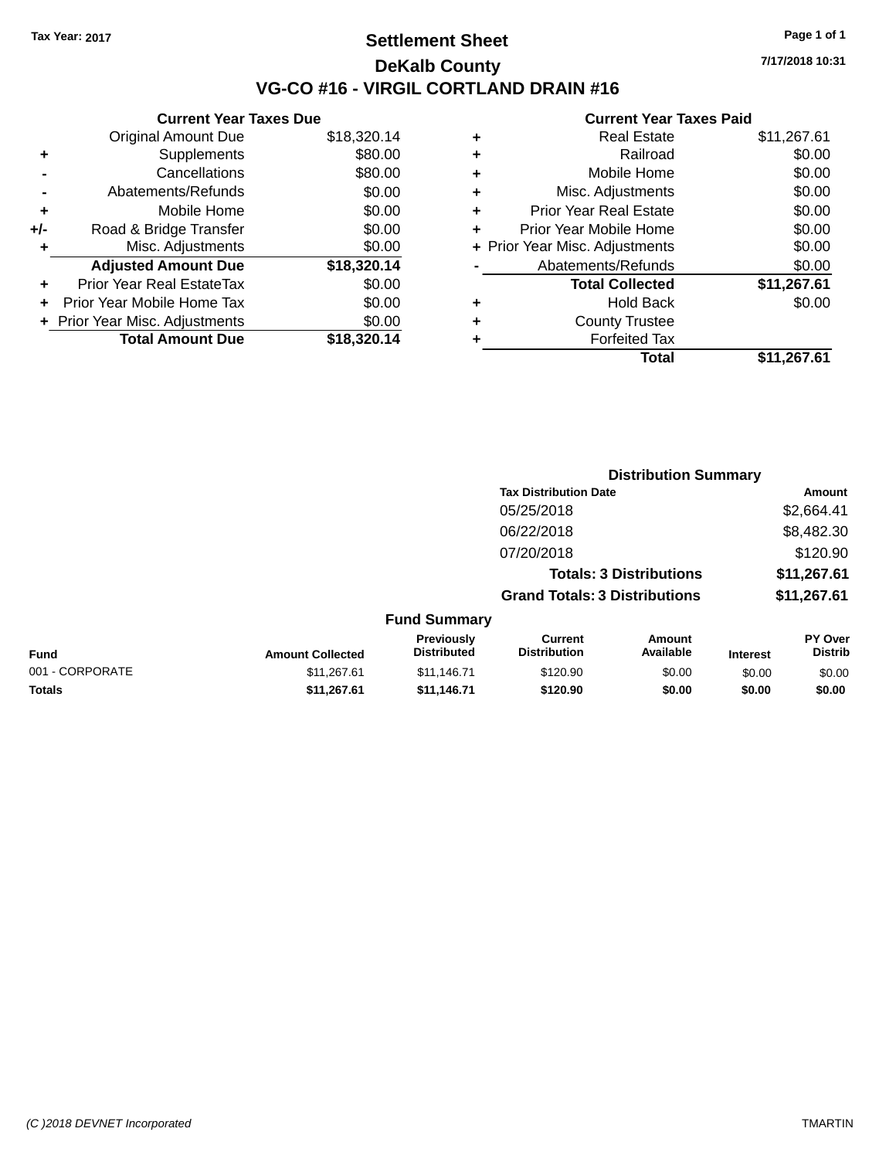### **Settlement Sheet Tax Year: 2017 Page 1 of 1 DeKalb County VG-CO #16 - VIRGIL CORTLAND DRAIN #16**

**7/17/2018 10:31**

|     | <b>Current Year Taxes Due</b>  |             |  |  |  |  |
|-----|--------------------------------|-------------|--|--|--|--|
|     | <b>Original Amount Due</b>     | \$18,320.14 |  |  |  |  |
| ٠   | Supplements                    | \$80.00     |  |  |  |  |
|     | Cancellations                  | \$80.00     |  |  |  |  |
|     | Abatements/Refunds             | \$0.00      |  |  |  |  |
| ٠   | Mobile Home                    | \$0.00      |  |  |  |  |
| +/- | Road & Bridge Transfer         | \$0.00      |  |  |  |  |
|     | Misc. Adjustments              | \$0.00      |  |  |  |  |
|     | <b>Adjusted Amount Due</b>     | \$18,320.14 |  |  |  |  |
| ÷   | Prior Year Real EstateTax      | \$0.00      |  |  |  |  |
| ÷   | Prior Year Mobile Home Tax     | \$0.00      |  |  |  |  |
|     | + Prior Year Misc. Adjustments | \$0.00      |  |  |  |  |
|     | <b>Total Amount Due</b>        | \$18,320.14 |  |  |  |  |

| ٠ | <b>Real Estate</b>             | \$11,267.61 |
|---|--------------------------------|-------------|
| ٠ | Railroad                       | \$0.00      |
| ٠ | Mobile Home                    | \$0.00      |
| ٠ | Misc. Adjustments              | \$0.00      |
| ٠ | <b>Prior Year Real Estate</b>  | \$0.00      |
| ٠ | Prior Year Mobile Home         | \$0.00      |
|   | + Prior Year Misc. Adjustments | \$0.00      |
|   | Abatements/Refunds             | \$0.00      |
|   | <b>Total Collected</b>         | \$11,267.61 |
| ٠ | Hold Back                      | \$0.00      |
| ٠ | <b>County Trustee</b>          |             |
| ٠ | <b>Forfeited Tax</b>           |             |
|   | Total                          | \$11,267.61 |
|   |                                |             |

|                 | <b>Distribution Summary</b> |                                  |                                       |                                |                 |                           |
|-----------------|-----------------------------|----------------------------------|---------------------------------------|--------------------------------|-----------------|---------------------------|
|                 |                             |                                  | <b>Tax Distribution Date</b>          |                                |                 | Amount                    |
|                 |                             |                                  | 05/25/2018                            |                                |                 | \$2,664.41                |
|                 |                             |                                  | 06/22/2018                            |                                |                 | \$8,482.30                |
|                 |                             |                                  | 07/20/2018                            |                                |                 | \$120.90                  |
|                 |                             |                                  |                                       | <b>Totals: 3 Distributions</b> |                 | \$11,267.61               |
|                 |                             |                                  | <b>Grand Totals: 3 Distributions</b>  |                                |                 | \$11,267.61               |
|                 |                             | <b>Fund Summary</b>              |                                       |                                |                 |                           |
| <b>Fund</b>     | <b>Amount Collected</b>     | Previously<br><b>Distributed</b> | <b>Current</b><br><b>Distribution</b> | Amount<br>Available            | <b>Interest</b> | PY Over<br><b>Distrib</b> |
| 001 - CORPORATE | \$11,267.61                 | \$11,146.71                      | \$120.90                              | \$0.00                         | \$0.00          | \$0.00                    |
| <b>Totals</b>   | \$11,267.61                 | \$11,146.71                      | \$120.90                              | \$0.00                         | \$0.00          | \$0.00                    |
|                 |                             |                                  |                                       |                                |                 |                           |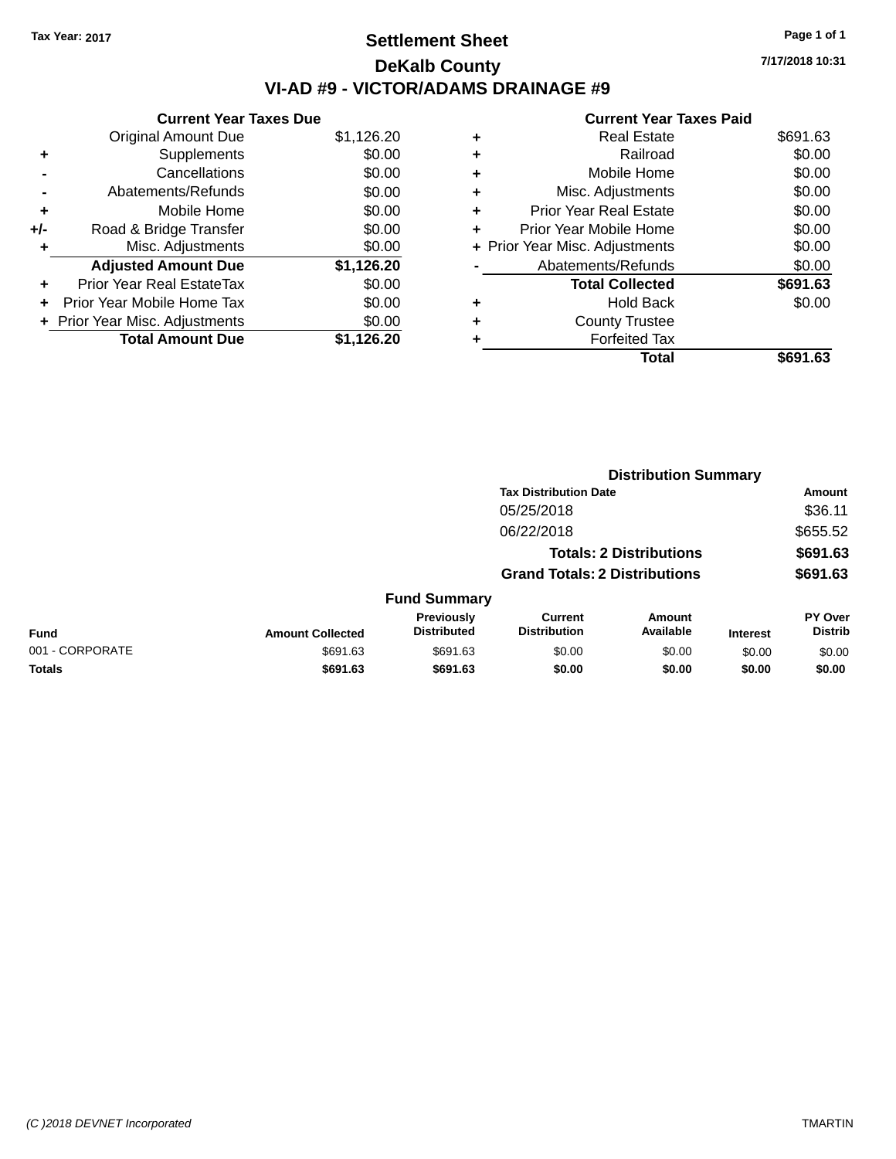## **Settlement Sheet Tax Year: 2017 Page 1 of 1 DeKalb County VI-AD #9 - VICTOR/ADAMS DRAINAGE #9**

|     | <b>Current Year Taxes Due</b>  |            |  |  |  |  |  |
|-----|--------------------------------|------------|--|--|--|--|--|
|     | <b>Original Amount Due</b>     | \$1,126.20 |  |  |  |  |  |
| ٠   | Supplements                    | \$0.00     |  |  |  |  |  |
|     | Cancellations                  | \$0.00     |  |  |  |  |  |
|     | Abatements/Refunds             | \$0.00     |  |  |  |  |  |
| ٠   | Mobile Home                    | \$0.00     |  |  |  |  |  |
| +/- | Road & Bridge Transfer         | \$0.00     |  |  |  |  |  |
| ٠   | Misc. Adjustments              | \$0.00     |  |  |  |  |  |
|     | <b>Adjusted Amount Due</b>     | \$1,126.20 |  |  |  |  |  |
| ٠   | Prior Year Real EstateTax      | \$0.00     |  |  |  |  |  |
|     | Prior Year Mobile Home Tax     | \$0.00     |  |  |  |  |  |
|     | + Prior Year Misc. Adjustments | \$0.00     |  |  |  |  |  |
|     | <b>Total Amount Due</b>        | \$1,126.20 |  |  |  |  |  |

#### **Current Year Taxes Paid +** Real Estate \$691.63 **+** Railroad \$0.00 **+** Mobile Home \$0.00 **+** Misc. Adjustments \$0.00 **+** Prior Year Real Estate \$0.00 **+** Prior Year Mobile Home \$0.00 **+ Prior Year Misc. Adjustments**  $$0.00$ **-** Abatements/Refunds \$0.00 **Total Collected \$691.63 +** Hold Back \$0.00 **+** County Trustee **+** Forfeited Tax **Total \$691.63**

|                 | <b>Distribution Summary</b> |                                         |                                       |                                |                 |                           |  |
|-----------------|-----------------------------|-----------------------------------------|---------------------------------------|--------------------------------|-----------------|---------------------------|--|
|                 |                             |                                         | <b>Tax Distribution Date</b>          |                                |                 | Amount                    |  |
|                 |                             |                                         | 05/25/2018                            |                                |                 | \$36.11                   |  |
|                 |                             |                                         | 06/22/2018                            |                                |                 | \$655.52                  |  |
|                 |                             |                                         |                                       | <b>Totals: 2 Distributions</b> |                 | \$691.63                  |  |
|                 |                             |                                         | <b>Grand Totals: 2 Distributions</b>  |                                |                 | \$691.63                  |  |
|                 |                             | <b>Fund Summary</b>                     |                                       |                                |                 |                           |  |
| <b>Fund</b>     | <b>Amount Collected</b>     | <b>Previously</b><br><b>Distributed</b> | <b>Current</b><br><b>Distribution</b> | Amount<br>Available            | <b>Interest</b> | PY Over<br><b>Distrib</b> |  |
| 001 - CORPORATE | \$691.63                    | \$691.63                                | \$0.00                                | \$0.00                         | \$0.00          | \$0.00                    |  |
| <b>Totals</b>   | \$691.63                    | \$691.63                                | \$0.00                                | \$0.00                         | \$0.00          | \$0.00                    |  |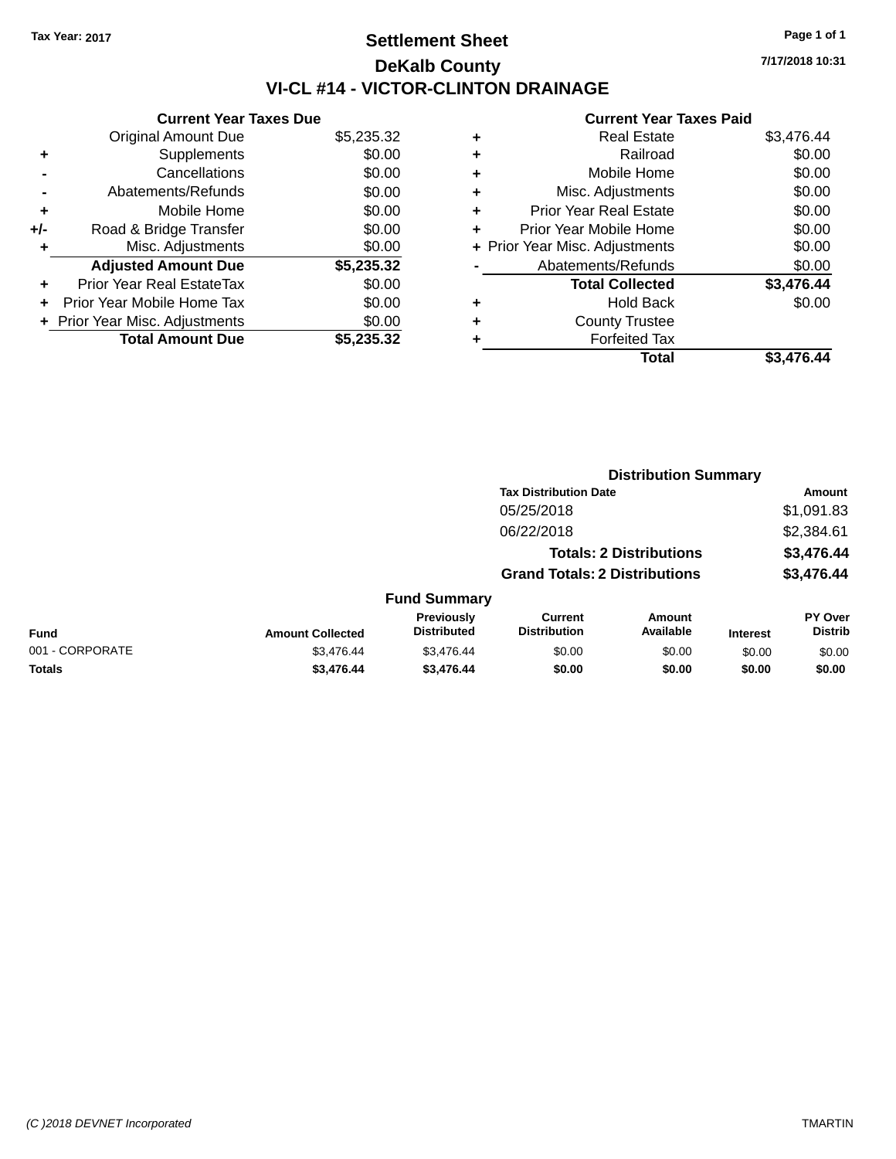## **Settlement Sheet Tax Year: 2017 Page 1 of 1 DeKalb County VI-CL #14 - VICTOR-CLINTON DRAINAGE**

**7/17/2018 10:31**

|     | <b>Current Year Taxes Due</b>  |            |
|-----|--------------------------------|------------|
|     | <b>Original Amount Due</b>     | \$5,235.32 |
| ٠   | Supplements                    | \$0.00     |
|     | Cancellations                  | \$0.00     |
|     | Abatements/Refunds             | \$0.00     |
| ٠   | Mobile Home                    | \$0.00     |
| +/- | Road & Bridge Transfer         | \$0.00     |
|     | Misc. Adjustments              | \$0.00     |
|     | <b>Adjusted Amount Due</b>     | \$5,235.32 |
| ٠   | Prior Year Real EstateTax      | \$0.00     |
|     | Prior Year Mobile Home Tax     | \$0.00     |
|     | + Prior Year Misc. Adjustments | \$0.00     |
|     | <b>Total Amount Due</b>        | \$5,235,32 |
|     |                                |            |

|                 |                         | <b>Distribution Summary</b>      |                                       |                                |                 |                                  |
|-----------------|-------------------------|----------------------------------|---------------------------------------|--------------------------------|-----------------|----------------------------------|
|                 |                         |                                  | <b>Tax Distribution Date</b>          |                                |                 | Amount                           |
|                 |                         |                                  | 05/25/2018                            |                                |                 | \$1,091.83                       |
|                 |                         |                                  | 06/22/2018                            |                                |                 | \$2,384.61                       |
|                 |                         |                                  |                                       | <b>Totals: 2 Distributions</b> |                 | \$3,476.44                       |
|                 |                         |                                  | <b>Grand Totals: 2 Distributions</b>  |                                |                 | \$3,476.44                       |
|                 |                         | <b>Fund Summary</b>              |                                       |                                |                 |                                  |
| <b>Fund</b>     | <b>Amount Collected</b> | Previously<br><b>Distributed</b> | <b>Current</b><br><b>Distribution</b> | Amount<br>Available            | <b>Interest</b> | <b>PY Over</b><br><b>Distrib</b> |
| 001 - CORPORATE | \$3,476.44              | \$3,476.44                       | \$0.00                                | \$0.00                         | \$0.00          | \$0.00                           |
| <b>Totals</b>   | \$3,476.44              | \$3,476.44                       | \$0.00                                | \$0.00                         | \$0.00          | \$0.00                           |
|                 |                         |                                  |                                       |                                |                 |                                  |